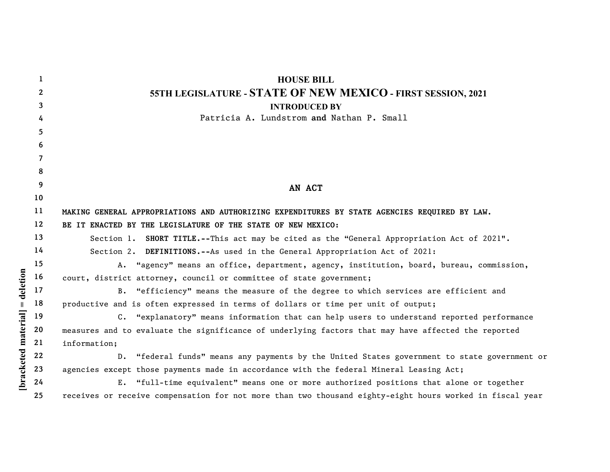|                    | 1            | <b>HOUSE BILL</b>                                                                                        |
|--------------------|--------------|----------------------------------------------------------------------------------------------------------|
|                    | $\mathbf{2}$ | 55TH LEGISLATURE - STATE OF NEW MEXICO - FIRST SESSION, 2021                                             |
|                    | 3            | <b>INTRODUCED BY</b>                                                                                     |
|                    | 4            | Patricia A. Lundstrom and Nathan P. Small                                                                |
|                    | 5            |                                                                                                          |
|                    | 6            |                                                                                                          |
|                    | 7            |                                                                                                          |
|                    | 8            |                                                                                                          |
|                    | 9            | AN ACT                                                                                                   |
|                    | 10           |                                                                                                          |
|                    | 11           | MAKING GENERAL APPROPRIATIONS AND AUTHORIZING EXPENDITURES BY STATE AGENCIES REQUIRED BY LAW.            |
|                    | 12           | BE IT ENACTED BY THE LEGISLATURE OF THE STATE OF NEW MEXICO:                                             |
|                    | 13           | SHORT TITLE.--This act may be cited as the "General Appropriation Act of 2021".<br>Section 1.            |
|                    | 14           | Section 2. DEFINITIONS.--As used in the General Appropriation Act of 2021:                               |
|                    | 15           | "agency" means an office, department, agency, institution, board, bureau, commission,<br>A.              |
| deletion           | 16           | court, district attorney, council or committee of state government;                                      |
|                    | 17           | B. "efficiency" means the measure of the degree to which services are efficient and                      |
|                    | 18           | productive and is often expressed in terms of dollars or time per unit of output;                        |
|                    | 19           | C. "explanatory" means information that can help users to understand reported performance                |
| bracketed material | 20           | measures and to evaluate the significance of underlying factors that may have affected the reported      |
|                    | 21           | information;                                                                                             |
|                    | 22           | "federal funds" means any payments by the United States government to state government or<br>$D$ .       |
|                    | 23           | agencies except those payments made in accordance with the federal Mineral Leasing Act;                  |
|                    | 24           | E. "full-time equivalent" means one or more authorized positions that alone or together                  |
|                    | 25           | receives or receive compensation for not more than two thousand eighty-eight hours worked in fiscal year |
|                    |              |                                                                                                          |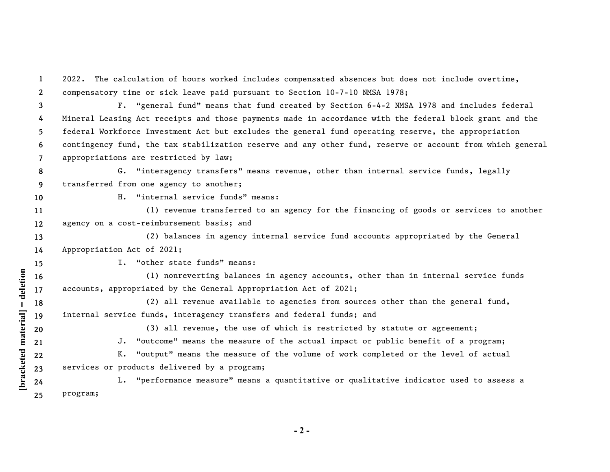**1 2 3 4 5 6 7 8 9 10 11 12** 2022. The calculation of hours worked includes compensated absences but does not include overtime, compensatory time or sick leave paid pursuant to Section 10-7-10 NMSA 1978; F. "general fund" means that fund created by Section 6-4-2 NMSA 1978 and includes federal Mineral Leasing Act receipts and those payments made in accordance with the federal block grant and the federal Workforce Investment Act but excludes the general fund operating reserve, the appropriation contingency fund, the tax stabilization reserve and any other fund, reserve or account from which general appropriations are restricted by law; G. "interagency transfers" means revenue, other than internal service funds, legally transferred from one agency to another; H. "internal service funds" means: (1) revenue transferred to an agency for the financing of goods or services to another agency on a cost-reimbursement basis; and

**13 14** (2) balances in agency internal service fund accounts appropriated by the General Appropriation Act of 2021;

I. "other state funds" means:

**15**

**20 21**

[bracketed material] = deletion

**16 17** (1) nonreverting balances in agency accounts, other than in internal service funds accounts, appropriated by the General Appropriation Act of 2021;

**18 19** (2) all revenue available to agencies from sources other than the general fund, internal service funds, interagency transfers and federal funds; and

(3) all revenue, the use of which is restricted by statute or agreement;

J. "outcome" means the measure of the actual impact or public benefit of a program;

**22 23** K. "output" means the measure of the volume of work completed or the level of actual services or products delivered by a program;

**[bracketed material] = deletion 24 25** L. "performance measure" means a quantitative or qualitative indicator used to assess a program;

**- 2 -**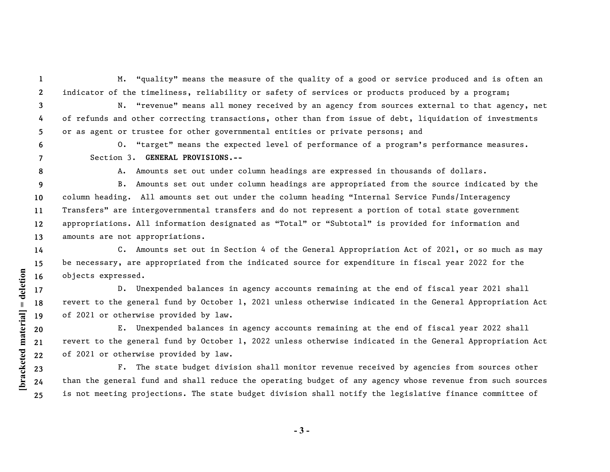**1 2**

M. "quality" means the measure of the quality of a good or service produced and is often an indicator of the timeliness, reliability or safety of services or products produced by a program;

**3 4 5** N. "revenue" means all money received by an agency from sources external to that agency, net of refunds and other correcting transactions, other than from issue of debt, liquidation of investments or as agent or trustee for other governmental entities or private persons; and

**6 7** O. "target" means the expected level of performance of a program's performance measures. Section 3. **GENERAL PROVISIONS.--**

**8**

**[bracketed material] = deletion**

[bracketed material] = deletion

A*.* Amounts set out under column headings are expressed in thousands of dollars.

**9 10 11 12 13** B. Amounts set out under column headings are appropriated from the source indicated by the column heading. All amounts set out under the column heading "Internal Service Funds/Interagency Transfers" are intergovernmental transfers and do not represent a portion of total state government appropriations. All information designated as "Total" or "Subtotal" is provided for information and amounts are not appropriations.

**14 15 16** C. Amounts set out in Section 4 of the General Appropriation Act of 2021, or so much as may be necessary, are appropriated from the indicated source for expenditure in fiscal year 2022 for the objects expressed.

D. Unexpended balances in agency accounts remaining at the end of fiscal year 2021 shall revert to the general fund by October 1, 2021 unless otherwise indicated in the General Appropriation Act of 2021 or otherwise provided by law.

E. Unexpended balances in agency accounts remaining at the end of fiscal year 2022 shall revert to the general fund by October 1, 2022 unless otherwise indicated in the General Appropriation Act of 2021 or otherwise provided by law.

F. The state budget division shall monitor revenue received by agencies from sources other than the general fund and shall reduce the operating budget of any agency whose revenue from such sources is not meeting projections. The state budget division shall notify the legislative finance committee of

**- 3 -**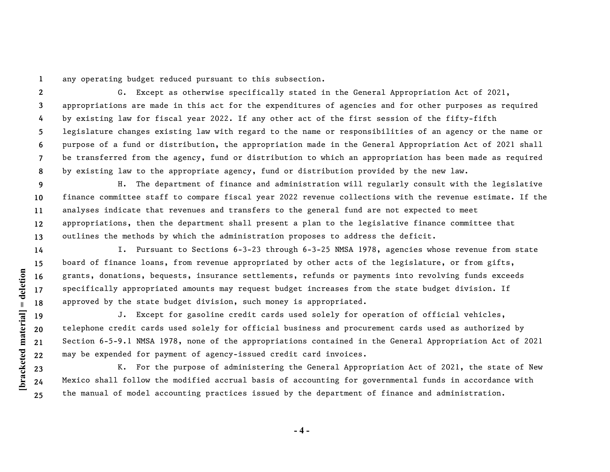**1** any operating budget reduced pursuant to this subsection.

**2 3 4 5 6 7 8** G. Except as otherwise specifically stated in the General Appropriation Act of 2021, appropriations are made in this act for the expenditures of agencies and for other purposes as required by existing law for fiscal year 2022. If any other act of the first session of the fifty-fifth legislature changes existing law with regard to the name or responsibilities of an agency or the name or purpose of a fund or distribution, the appropriation made in the General Appropriation Act of 2021 shall be transferred from the agency, fund or distribution to which an appropriation has been made as required by existing law to the appropriate agency, fund or distribution provided by the new law.

**9 10 11 12 13** H. The department of finance and administration will regularly consult with the legislative finance committee staff to compare fiscal year 2022 revenue collections with the revenue estimate. If the analyses indicate that revenues and transfers to the general fund are not expected to meet appropriations, then the department shall present a plan to the legislative finance committee that outlines the methods by which the administration proposes to address the deficit.

I. Pursuant to Sections 6-3-23 through 6-3-25 NMSA 1978, agencies whose revenue from state board of finance loans, from revenue appropriated by other acts of the legislature, or from gifts, grants, donations, bequests, insurance settlements, refunds or payments into revolving funds exceeds specifically appropriated amounts may request budget increases from the state budget division. If approved by the state budget division, such money is appropriated.

J. Except for gasoline credit cards used solely for operation of official vehicles, telephone credit cards used solely for official business and procurement cards used as authorized by Section 6-5-9.1 NMSA 1978, none of the appropriations contained in the General Appropriation Act of 2021 may be expended for payment of agency-issued credit card invoices.

K. For the purpose of administering the General Appropriation Act of 2021, the state of New Mexico shall follow the modified accrual basis of accounting for governmental funds in accordance with the manual of model accounting practices issued by the department of finance and administration.

[bracketed material] = deletion **[bracketed material] = deletion 16 17 18 19 20 21 22 23 24**

**25**

**14 15**

**- 4 -**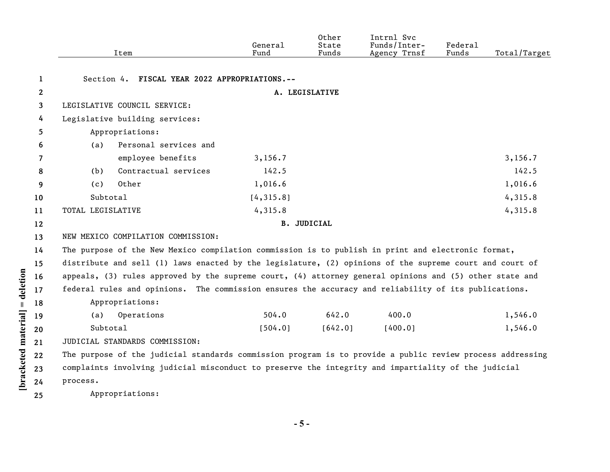|                            |              |                                                                                                     | Item                                                                                                          | General<br>Fund | Other<br>State<br>Funds | Intrnl Svc<br>Funds/Inter-<br>Agency Trnsf | Federal<br>Funds | Total/Target |  |  |
|----------------------------|--------------|-----------------------------------------------------------------------------------------------------|---------------------------------------------------------------------------------------------------------------|-----------------|-------------------------|--------------------------------------------|------------------|--------------|--|--|
|                            | $\mathbf{1}$ | Section 4. FISCAL YEAR 2022 APPROPRIATIONS.--                                                       |                                                                                                               |                 |                         |                                            |                  |              |  |  |
|                            | $\mathbf{2}$ |                                                                                                     |                                                                                                               |                 | A. LEGISLATIVE          |                                            |                  |              |  |  |
|                            | 3            |                                                                                                     | LEGISLATIVE COUNCIL SERVICE:                                                                                  |                 |                         |                                            |                  |              |  |  |
|                            | 4            | Legislative building services:                                                                      |                                                                                                               |                 |                         |                                            |                  |              |  |  |
|                            | 5            | Appropriations:                                                                                     |                                                                                                               |                 |                         |                                            |                  |              |  |  |
|                            | 6            | (a)                                                                                                 | Personal services and                                                                                         |                 |                         |                                            |                  |              |  |  |
|                            | 7            |                                                                                                     | employee benefits                                                                                             | 3, 156.7        |                         |                                            |                  | 3, 156.7     |  |  |
|                            | 8            | (b)                                                                                                 | Contractual services                                                                                          | 142.5           |                         |                                            |                  | 142.5        |  |  |
|                            | 9            | (c)                                                                                                 | Other                                                                                                         | 1,016.6         |                         |                                            |                  | 1,016.6      |  |  |
|                            | 10           | Subtotal                                                                                            |                                                                                                               | [4, 315.8]      |                         |                                            |                  | 4,315.8      |  |  |
|                            | 11           | TOTAL LEGISLATIVE                                                                                   |                                                                                                               | 4,315.8         |                         |                                            |                  | 4,315.8      |  |  |
|                            | 12           | <b>B. JUDICIAL</b>                                                                                  |                                                                                                               |                 |                         |                                            |                  |              |  |  |
|                            | 13           | NEW MEXICO COMPILATION COMMISSION:                                                                  |                                                                                                               |                 |                         |                                            |                  |              |  |  |
|                            | 14           | The purpose of the New Mexico compilation commission is to publish in print and electronic format,  |                                                                                                               |                 |                         |                                            |                  |              |  |  |
|                            | 15           |                                                                                                     | distribute and sell (1) laws enacted by the legislature, (2) opinions of the supreme court and court of       |                 |                         |                                            |                  |              |  |  |
| deletion                   | 16           |                                                                                                     | appeals, $(3)$ rules approved by the supreme court, $(4)$ attorney general opinions and $(5)$ other state and |                 |                         |                                            |                  |              |  |  |
|                            | 17           |                                                                                                     | federal rules and opinions. The commission ensures the accuracy and reliability of its publications.          |                 |                         |                                            |                  |              |  |  |
| $\ensuremath{\mathsf{II}}$ | 18           |                                                                                                     | Appropriations:                                                                                               |                 |                         |                                            |                  |              |  |  |
|                            | 19           | (a)                                                                                                 | Operations                                                                                                    | 504.0           | 642.0                   | 400.0                                      |                  | 1,546.0      |  |  |
|                            | 20           | Subtotal                                                                                            |                                                                                                               | [504.0]         | [642.0]                 | [400.0]                                    |                  | 1,546.0      |  |  |
|                            | 21           |                                                                                                     | JUDICIAL STANDARDS COMMISSION:                                                                                |                 |                         |                                            |                  |              |  |  |
| bracketed material         | 22           |                                                                                                     | The purpose of the judicial standards commission program is to provide a public review process addressing     |                 |                         |                                            |                  |              |  |  |
|                            | 23           | complaints involving judicial misconduct to preserve the integrity and impartiality of the judicial |                                                                                                               |                 |                         |                                            |                  |              |  |  |
|                            | 24           | process.                                                                                            |                                                                                                               |                 |                         |                                            |                  |              |  |  |
|                            | 25           |                                                                                                     | Appropriations:                                                                                               |                 |                         |                                            |                  |              |  |  |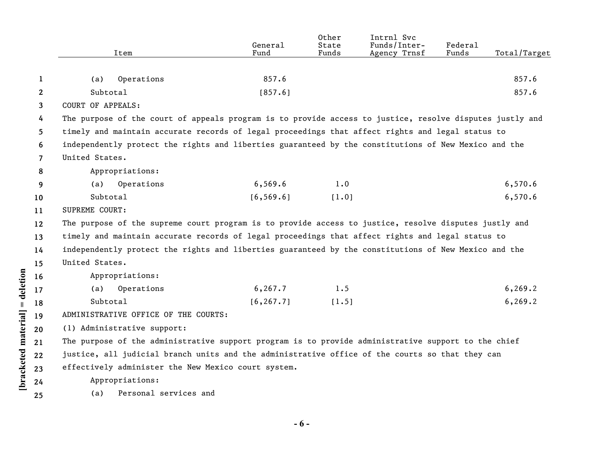|              | Item                                                                                                     | General<br>Fund | Other<br>State<br>Funds | Intrnl Svc<br>Funds/Inter-<br>Agency Trnsf | Federal<br>Funds | Total/Target |
|--------------|----------------------------------------------------------------------------------------------------------|-----------------|-------------------------|--------------------------------------------|------------------|--------------|
|              |                                                                                                          |                 |                         |                                            |                  |              |
| 1            | Operations<br>(a)                                                                                        | 857.6           |                         |                                            |                  | 857.6        |
| $\mathbf{2}$ | Subtotal                                                                                                 | [857.6]         |                         |                                            |                  | 857.6        |
| 3            | <b>COURT OF APPEALS:</b>                                                                                 |                 |                         |                                            |                  |              |
| 4            | The purpose of the court of appeals program is to provide access to justice, resolve disputes justly and |                 |                         |                                            |                  |              |
| 5.           | timely and maintain accurate records of legal proceedings that affect rights and legal status to         |                 |                         |                                            |                  |              |
| 6            | independently protect the rights and liberties guaranteed by the constitutions of New Mexico and the     |                 |                         |                                            |                  |              |
| 7            | United States.                                                                                           |                 |                         |                                            |                  |              |
| 8            | Appropriations:                                                                                          |                 |                         |                                            |                  |              |
| 9            | Operations<br>(a)                                                                                        | 6,569.6         | 1.0                     |                                            |                  | 6,570.6      |
| 10           | Subtotal                                                                                                 | [6, 569.6]      | [1.0]                   |                                            |                  | 6,570.6      |
| 11           | SUPREME COURT:                                                                                           |                 |                         |                                            |                  |              |
| $12 \,$      | The purpose of the supreme court program is to provide access to justice, resolve disputes justly and    |                 |                         |                                            |                  |              |
| 13           | timely and maintain accurate records of legal proceedings that affect rights and legal status to         |                 |                         |                                            |                  |              |
| 14           | independently protect the rights and liberties guaranteed by the constitutions of New Mexico and the     |                 |                         |                                            |                  |              |
| 15           | United States.                                                                                           |                 |                         |                                            |                  |              |
| 16           | Appropriations:                                                                                          |                 |                         |                                            |                  |              |
| 17           | Operations<br>(a)                                                                                        | 6, 267.7        | 1.5                     |                                            |                  | 6, 269.2     |
| 18           | Subtotal                                                                                                 | [6, 267.7]      | [1.5]                   |                                            |                  | 6, 269.2     |
| 19           | ADMINISTRATIVE OFFICE OF THE COURTS:                                                                     |                 |                         |                                            |                  |              |
| 20           | (1) Administrative support:                                                                              |                 |                         |                                            |                  |              |
| 21           | The purpose of the administrative support program is to provide administrative support to the chief      |                 |                         |                                            |                  |              |
| 22           | justice, all judicial branch units and the administrative office of the courts so that they can          |                 |                         |                                            |                  |              |
| 23           | effectively administer the New Mexico court system.                                                      |                 |                         |                                            |                  |              |
| 24           | Appropriations:                                                                                          |                 |                         |                                            |                  |              |
| 25           | Personal services and<br>(a)                                                                             |                 |                         |                                            |                  |              |

[bracketed material] = deletion **[bracketed material] = deletion**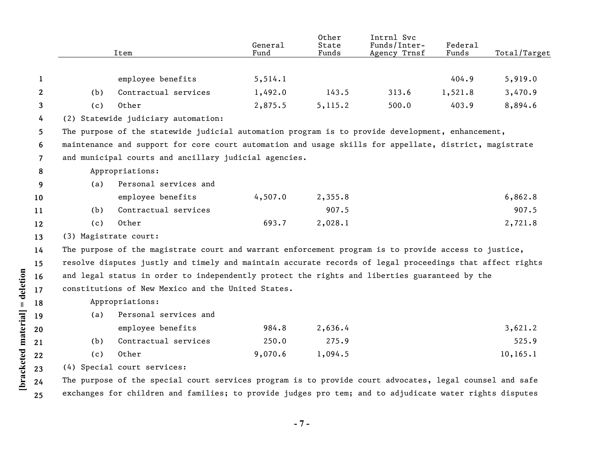|                |                                                                                                        | Item                                                                                                     | General<br>Fund | Other<br>State<br>Funds | Intrnl Svc<br>Funds/Inter-<br>Agency Trnsf | Federal<br>Funds | Total/Target |  |
|----------------|--------------------------------------------------------------------------------------------------------|----------------------------------------------------------------------------------------------------------|-----------------|-------------------------|--------------------------------------------|------------------|--------------|--|
|                |                                                                                                        |                                                                                                          |                 |                         |                                            |                  |              |  |
| 1              |                                                                                                        | employee benefits                                                                                        | 5, 514.1        |                         |                                            | 404.9            | 5,919.0      |  |
| $\mathbf{2}$   | (b)                                                                                                    | Contractual services                                                                                     | 1,492.0         | 143.5                   | 313.6                                      | 1,521.8          | 3,470.9      |  |
| 3              | (c)                                                                                                    | Other                                                                                                    | 2,875.5         | 5,115.2                 | 500.0                                      | 403.9            | 8,894.6      |  |
| 4              |                                                                                                        | (2) Statewide judiciary automation:                                                                      |                 |                         |                                            |                  |              |  |
| 5              |                                                                                                        | The purpose of the statewide judicial automation program is to provide development, enhancement,         |                 |                         |                                            |                  |              |  |
| 6              | maintenance and support for core court automation and usage skills for appellate, district, magistrate |                                                                                                          |                 |                         |                                            |                  |              |  |
| $\overline{7}$ | and municipal courts and ancillary judicial agencies.                                                  |                                                                                                          |                 |                         |                                            |                  |              |  |
| 8              |                                                                                                        | Appropriations:                                                                                          |                 |                         |                                            |                  |              |  |
| 9              | (a)                                                                                                    | Personal services and                                                                                    |                 |                         |                                            |                  |              |  |
| 10             |                                                                                                        | employee benefits                                                                                        | 4,507.0         | 2,355.8                 |                                            |                  | 6,862.8      |  |
| 11             | (b)                                                                                                    | Contractual services                                                                                     |                 | 907.5                   |                                            |                  | 907.5        |  |
| 12             | (c)                                                                                                    | Other                                                                                                    | 693.7           | 2,028.1                 |                                            |                  | 2,721.8      |  |
| 13             | (3) Magistrate court:                                                                                  |                                                                                                          |                 |                         |                                            |                  |              |  |
| 14             |                                                                                                        | The purpose of the magistrate court and warrant enforcement program is to provide access to justice,     |                 |                         |                                            |                  |              |  |
| 15             |                                                                                                        | resolve disputes justly and timely and maintain accurate records of legal proceedings that affect rights |                 |                         |                                            |                  |              |  |
| 16             |                                                                                                        | and legal status in order to independently protect the rights and liberties guaranteed by the            |                 |                         |                                            |                  |              |  |
| 17             |                                                                                                        | constitutions of New Mexico and the United States.                                                       |                 |                         |                                            |                  |              |  |
| 18             |                                                                                                        | Appropriations:                                                                                          |                 |                         |                                            |                  |              |  |
| 19             | (a)                                                                                                    | Personal services and                                                                                    |                 |                         |                                            |                  |              |  |
| 20             |                                                                                                        | employee benefits                                                                                        | 984.8           | 2,636.4                 |                                            |                  | 3,621.2      |  |
| 21             | (b)                                                                                                    | Contractual services                                                                                     | 250.0           | 275.9                   |                                            |                  | 525.9        |  |
| 22             | (c)                                                                                                    | Other                                                                                                    | 9,070.6         | 1,094.5                 |                                            |                  | 10, 165.1    |  |
| 23             |                                                                                                        | (4) Special court services:                                                                              |                 |                         |                                            |                  |              |  |
| 24             |                                                                                                        | The purpose of the special court services program is to provide court advocates, legal counsel and safe  |                 |                         |                                            |                  |              |  |
| 25             |                                                                                                        | exchanges for children and families; to provide judges pro tem; and to adjudicate water rights disputes  |                 |                         |                                            |                  |              |  |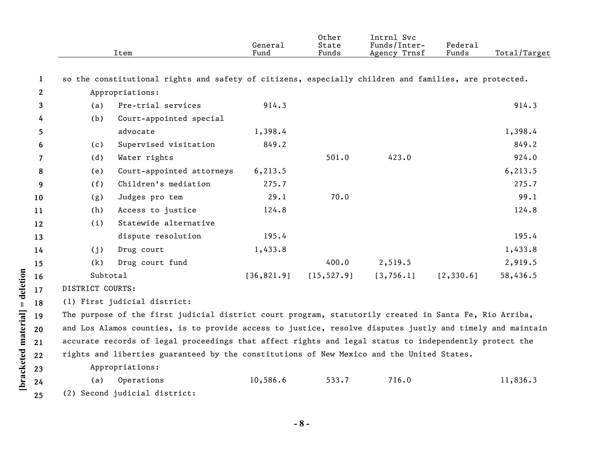|    |                  | Item                                                                                                      | General<br>Fund | Other<br>State<br>Funds | Intrnl Svc<br>Funds/Inter-<br>Agency Trnsf | Federal<br>Funds | Total/Target |
|----|------------------|-----------------------------------------------------------------------------------------------------------|-----------------|-------------------------|--------------------------------------------|------------------|--------------|
| 1  |                  | so the constitutional rights and safety of citizens, especially children and families, are protected.     |                 |                         |                                            |                  |              |
| 2  |                  | Appropriations:                                                                                           |                 |                         |                                            |                  |              |
| 3  | (a)              | Pre-trial services                                                                                        | 914.3           |                         |                                            |                  | 914.3        |
| 4  | (b)              | Court-appointed special                                                                                   |                 |                         |                                            |                  |              |
| 5  |                  | advocate                                                                                                  | 1,398.4         |                         |                                            |                  | 1,398.4      |
| 6  | (c)              | Supervised visitation                                                                                     | 849.2           |                         |                                            |                  | 849.2        |
| 7  | (d)              | Water rights                                                                                              |                 | 501.0                   | 423.0                                      |                  | 924.0        |
| 8  | (e)              | Court-appointed attorneys                                                                                 | 6, 213.5        |                         |                                            |                  | 6, 213.5     |
| 9  | (f)              | Children's mediation                                                                                      | 275.7           |                         |                                            |                  | 275.7        |
| 10 | (g)              | Judges pro tem                                                                                            | 29.1            | 70.0                    |                                            |                  | 99.1         |
| 11 | (h)              | Access to justice                                                                                         | 124.8           |                         |                                            |                  | 124.8        |
| 12 | (i)              | Statewide alternative                                                                                     |                 |                         |                                            |                  |              |
| 13 |                  | dispute resolution                                                                                        | 195.4           |                         |                                            |                  | 195.4        |
| 14 | (j)              | Drug court                                                                                                | 1,433.8         |                         |                                            |                  | 1,433.8      |
| 15 | (k)              | Drug court fund                                                                                           |                 | 400.0                   | 2,519.5                                    |                  | 2,919.5      |
| 16 | Subtotal         |                                                                                                           | [36, 821.9]     | [15, 527.9]             | [3, 756.1]                                 | [2, 330.6]       | 58,436.5     |
| 17 | DISTRICT COURTS: |                                                                                                           |                 |                         |                                            |                  |              |
| 18 |                  | (1) First judicial district:                                                                              |                 |                         |                                            |                  |              |
| 19 |                  | The purpose of the first judicial district court program, statutorily created in Santa Fe, Rio Arriba,    |                 |                         |                                            |                  |              |
| 20 |                  | and Los Alamos counties, is to provide access to justice, resolve disputes justly and timely and maintain |                 |                         |                                            |                  |              |
| 21 |                  | accurate records of legal proceedings that affect rights and legal status to independently protect the    |                 |                         |                                            |                  |              |
| 22 |                  | rights and liberties guaranteed by the constitutions of New Mexico and the United States.                 |                 |                         |                                            |                  |              |
| 23 |                  | Appropriations:                                                                                           |                 |                         |                                            |                  |              |
| 24 | (a)              | Operations                                                                                                | 10,586.6        | 533.7                   | 716.0                                      |                  | 11,836.3     |
| 25 |                  | (2) Second judicial district:                                                                             |                 |                         |                                            |                  |              |

**- 8 -** 

**[bracketed material] = deletion**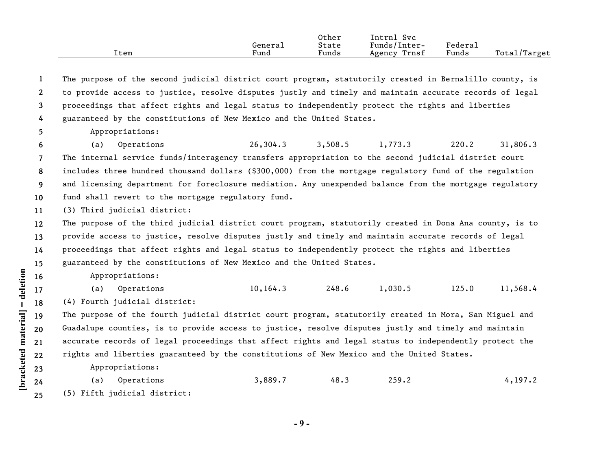|      |         | Other | lntrni<br>Svc   |         |                   |
|------|---------|-------|-----------------|---------|-------------------|
|      | General | State | Funds/Inter-    | Federai |                   |
| ltem | Fund    | Funds | Trnsf<br>Agency | Funds   | Total,<br>'Target |

**1 2 3 4** The purpose of the second judicial district court program, statutorily created in Bernalillo county, is to provide access to justice, resolve disputes justly and timely and maintain accurate records of legal proceedings that affect rights and legal status to independently protect the rights and liberties guaranteed by the constitutions of New Mexico and the United States.

**5**

Appropriations:

**6 7 8 9 10** (a) Operations 26,304.3 3,508.5 1,773.3 220.2 31,806.3 The internal service funds/interagency transfers appropriation to the second judicial district court includes three hundred thousand dollars (\$300,000) from the mortgage regulatory fund of the regulation and licensing department for foreclosure mediation. Any unexpended balance from the mortgage regulatory fund shall revert to the mortgage regulatory fund.

**11** (3) Third judicial district:

**12 13 14 15** The purpose of the third judicial district court program, statutorily created in Dona Ana county, is to provide access to justice, resolve disputes justly and timely and maintain accurate records of legal proceedings that affect rights and legal status to independently protect the rights and liberties guaranteed by the constitutions of New Mexico and the United States.

 $[\text{bracketed material}] = \text{detection}$ **[bracketed material] = deletion**

Appropriations:

(a) Operations 10,164.3 248.6 1,030.5 125.0 11,568.4

(4) Fourth judicial district:

The purpose of the fourth judicial district court program, statutorily created in Mora, San Miguel and Guadalupe counties, is to provide access to justice, resolve disputes justly and timely and maintain accurate records of legal proceedings that affect rights and legal status to independently protect the rights and liberties guaranteed by the constitutions of New Mexico and the United States.

Appropriations:

(a) Operations 3,889.7 48.3 259.2 4,197.2 (5) Fifth judicial district: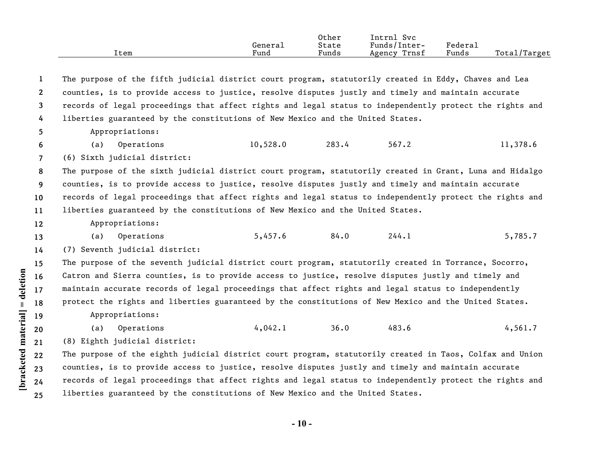|      |         | Other | Intrnl<br>Svc                  |                     |                   |
|------|---------|-------|--------------------------------|---------------------|-------------------|
|      | Genera⊥ | State | $\mathbf{r}$ 1<br>Funds/Inter- | Federa <sub>1</sub> |                   |
| ltem | Fund    | Funds | Trnsf<br>Agency                | Funds               | Total,<br>/Target |

**1 2 3 4 5 6 7 8 9 10 11 12 13 14 15 16 17 18 19 20 21 22 23 24 25** The purpose of the fifth judicial district court program, statutorily created in Eddy, Chaves and Lea counties, is to provide access to justice, resolve disputes justly and timely and maintain accurate records of legal proceedings that affect rights and legal status to independently protect the rights and liberties guaranteed by the constitutions of New Mexico and the United States. Appropriations: (a) Operations 10,528.0 283.4 567.2 11,378.6 (6) Sixth judicial district: The purpose of the sixth judicial district court program, statutorily created in Grant, Luna and Hidalgo counties, is to provide access to justice, resolve disputes justly and timely and maintain accurate records of legal proceedings that affect rights and legal status to independently protect the rights and liberties guaranteed by the constitutions of New Mexico and the United States. Appropriations: (a) Operations 5,457.6 84.0 244.1 5,785.7 (7) Seventh judicial district: The purpose of the seventh judicial district court program, statutorily created in Torrance, Socorro, Catron and Sierra counties, is to provide access to justice, resolve disputes justly and timely and maintain accurate records of legal proceedings that affect rights and legal status to independently protect the rights and liberties guaranteed by the constitutions of New Mexico and the United States. Appropriations: (a) Operations 4,042.1 36.0 483.6 4,561.7 (8) Eighth judicial district: The purpose of the eighth judicial district court program, statutorily created in Taos, Colfax and Union counties, is to provide access to justice, resolve disputes justly and timely and maintain accurate records of legal proceedings that affect rights and legal status to independently protect the rights and liberties guaranteed by the constitutions of New Mexico and the United States.

**[bracketed material] = deletion**

 $[\text{bracketed material}] = \text{detection}$ 

**- 10 -**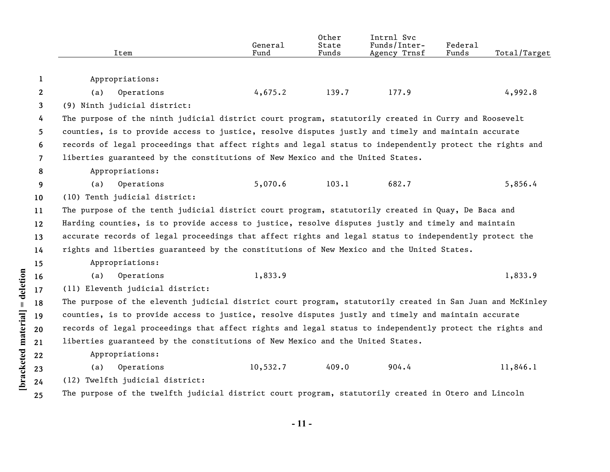|                      |              | Item                                                                                                      | General<br>Fund | Other<br>State<br>Funds | Intrnl Svc<br>Funds/Inter-<br>Agency Trnsf | Federal<br>Funds | Total/Target |  |  |  |
|----------------------|--------------|-----------------------------------------------------------------------------------------------------------|-----------------|-------------------------|--------------------------------------------|------------------|--------------|--|--|--|
|                      | $\mathbf{1}$ | Appropriations:                                                                                           |                 |                         |                                            |                  |              |  |  |  |
|                      | $\mathbf{2}$ | (a)<br>Operations                                                                                         | 4,675.2         | 139.7                   | 177.9                                      |                  | 4,992.8      |  |  |  |
|                      | 3            | (9) Ninth judicial district:                                                                              |                 |                         |                                            |                  |              |  |  |  |
|                      | 4            | The purpose of the ninth judicial district court program, statutorily created in Curry and Roosevelt      |                 |                         |                                            |                  |              |  |  |  |
|                      | 5            | counties, is to provide access to justice, resolve disputes justly and timely and maintain accurate       |                 |                         |                                            |                  |              |  |  |  |
|                      | 6            | records of legal proceedings that affect rights and legal status to independently protect the rights and  |                 |                         |                                            |                  |              |  |  |  |
|                      | 7            | liberties guaranteed by the constitutions of New Mexico and the United States.                            |                 |                         |                                            |                  |              |  |  |  |
|                      | 8            | Appropriations:                                                                                           |                 |                         |                                            |                  |              |  |  |  |
|                      | 9            | (a)<br>Operations                                                                                         | 5,070.6         | 103.1                   | 682.7                                      |                  | 5,856.4      |  |  |  |
|                      | 10           | (10) Tenth judicial district:                                                                             |                 |                         |                                            |                  |              |  |  |  |
|                      | 11           | The purpose of the tenth judicial district court program, statutorily created in Quay, De Baca and        |                 |                         |                                            |                  |              |  |  |  |
|                      | 12           | Harding counties, is to provide access to justice, resolve disputes justly and timely and maintain        |                 |                         |                                            |                  |              |  |  |  |
|                      | 13           | accurate records of legal proceedings that affect rights and legal status to independently protect the    |                 |                         |                                            |                  |              |  |  |  |
|                      | 14           | rights and liberties guaranteed by the constitutions of New Mexico and the United States.                 |                 |                         |                                            |                  |              |  |  |  |
|                      | 15           | Appropriations:                                                                                           |                 |                         |                                            |                  |              |  |  |  |
|                      | 16           | Operations<br>(a)                                                                                         | 1,833.9         |                         |                                            |                  | 1,833.9      |  |  |  |
|                      | 17           | (11) Eleventh judicial district:                                                                          |                 |                         |                                            |                  |              |  |  |  |
| = deletion           | 18           | The purpose of the eleventh judicial district court program, statutorily created in San Juan and McKinley |                 |                         |                                            |                  |              |  |  |  |
|                      | 19           | counties, is to provide access to justice, resolve disputes justly and timely and maintain accurate       |                 |                         |                                            |                  |              |  |  |  |
|                      | 20           | records of legal proceedings that affect rights and legal status to independently protect the rights and  |                 |                         |                                            |                  |              |  |  |  |
|                      | 21           | liberties guaranteed by the constitutions of New Mexico and the United States.                            |                 |                         |                                            |                  |              |  |  |  |
|                      | 22           | Appropriations:                                                                                           |                 |                         |                                            |                  |              |  |  |  |
| [bracketed material] | 23           | Operations<br>(a)                                                                                         | 10,532.7        | 409.0                   | 904.4                                      |                  | 11,846.1     |  |  |  |
|                      | 24           | (12) Twelfth judicial district:                                                                           |                 |                         |                                            |                  |              |  |  |  |
|                      | 25           | The purpose of the twelfth judicial district court program, statutorily created in Otero and Lincoln      |                 |                         |                                            |                  |              |  |  |  |

**- 11 -**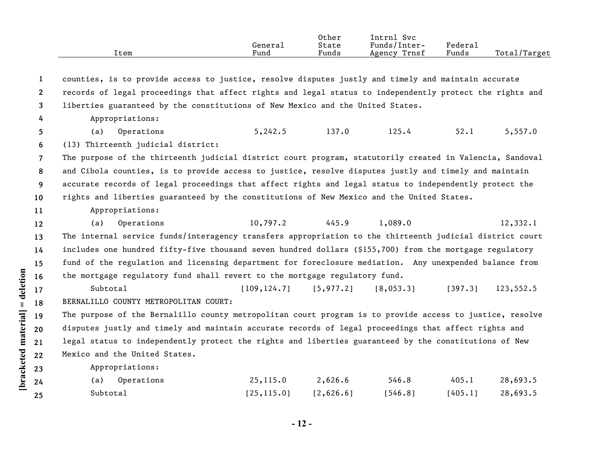|                | Item                                                                                                     | General<br>Fund | Other<br>State<br>Funds | Intrnl Svc<br>Funds/Inter-<br>Agency Trnsf | Federal<br>Funds | Total/Target |  |  |
|----------------|----------------------------------------------------------------------------------------------------------|-----------------|-------------------------|--------------------------------------------|------------------|--------------|--|--|
| $\mathbf{1}$   | counties, is to provide access to justice, resolve disputes justly and timely and maintain accurate      |                 |                         |                                            |                  |              |  |  |
| $\mathbf{2}$   | records of legal proceedings that affect rights and legal status to independently protect the rights and |                 |                         |                                            |                  |              |  |  |
| 3              | liberties guaranteed by the constitutions of New Mexico and the United States.                           |                 |                         |                                            |                  |              |  |  |
| 4              | Appropriations:                                                                                          |                 |                         |                                            |                  |              |  |  |
| 5.             | Operations<br>(a)                                                                                        | 5,242.5         | 137.0                   | 125.4                                      | 52.1             | 5,557.0      |  |  |
| 6              | (13) Thirteenth judicial district:                                                                       |                 |                         |                                            |                  |              |  |  |
| $\overline{7}$ | The purpose of the thirteenth judicial district court program, statutorily created in Valencia, Sandoval |                 |                         |                                            |                  |              |  |  |
| 8              | and Cibola counties, is to provide access to justice, resolve disputes justly and timely and maintain    |                 |                         |                                            |                  |              |  |  |
| 9              | accurate records of legal proceedings that affect rights and legal status to independently protect the   |                 |                         |                                            |                  |              |  |  |
| 10             | rights and liberties guaranteed by the constitutions of New Mexico and the United States.                |                 |                         |                                            |                  |              |  |  |
| 11             | Appropriations:                                                                                          |                 |                         |                                            |                  |              |  |  |
| 12             | Operations<br>(a)                                                                                        | 10,797.2        | 445.9                   | 1,089.0                                    |                  | 12,332.1     |  |  |
| 13             | The internal service funds/interagency transfers appropriation to the thirteenth judicial district court |                 |                         |                                            |                  |              |  |  |
| 14             | includes one hundred fifty-five thousand seven hundred dollars (\$155,700) from the mortgage regulatory  |                 |                         |                                            |                  |              |  |  |
| 15             | fund of the regulation and licensing department for foreclosure mediation. Any unexpended balance from   |                 |                         |                                            |                  |              |  |  |
| 16             | the mortgage regulatory fund shall revert to the mortgage regulatory fund.                               |                 |                         |                                            |                  |              |  |  |
| 17             | Subtotal                                                                                                 | [109, 124.7]    | [5, 977.2]              | [8,053.3]                                  | [397.3]          | 123,552.5    |  |  |
| 18             | BERNALILLO COUNTY METROPOLITAN COURT:                                                                    |                 |                         |                                            |                  |              |  |  |
| 19             | The purpose of the Bernalillo county metropolitan court program is to provide access to justice, resolve |                 |                         |                                            |                  |              |  |  |
| 20             | disputes justly and timely and maintain accurate records of legal proceedings that affect rights and     |                 |                         |                                            |                  |              |  |  |

**21 22** legal status to independently protect the rights and liberties guaranteed by the constitutions of New Mexico and the United States.

Appropriations:

**[bracketed material] = deletion**

[bracketed material] = deletion

**23 24 25**

| (a) Operations | 25,115.0    | 2,626.6   | 546.8   | 405.1   | 28,693.5 |
|----------------|-------------|-----------|---------|---------|----------|
| Subtotal       | [25, 115.0] | 12,626.61 | 1546.81 | [405.1] | 28,693.5 |

**- 12 -**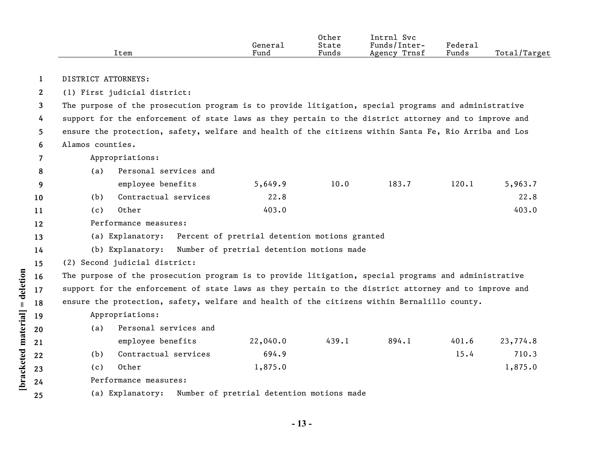|                       |                                                                                                       | Item                                                                                                  | General<br>Fund                               | Other<br>State<br>Funds | Intrnl Svc<br>Funds/Inter-<br>Agency Trnsf | Federal<br>Funds | Total/Target |  |  |  |
|-----------------------|-------------------------------------------------------------------------------------------------------|-------------------------------------------------------------------------------------------------------|-----------------------------------------------|-------------------------|--------------------------------------------|------------------|--------------|--|--|--|
|                       |                                                                                                       |                                                                                                       |                                               |                         |                                            |                  |              |  |  |  |
| 1                     |                                                                                                       | DISTRICT ATTORNEYS:                                                                                   |                                               |                         |                                            |                  |              |  |  |  |
| $\mathbf{2}^{\prime}$ | (1) First judicial district:                                                                          |                                                                                                       |                                               |                         |                                            |                  |              |  |  |  |
| 3                     |                                                                                                       | The purpose of the prosecution program is to provide litigation, special programs and administrative  |                                               |                         |                                            |                  |              |  |  |  |
| 4                     | support for the enforcement of state laws as they pertain to the district attorney and to improve and |                                                                                                       |                                               |                         |                                            |                  |              |  |  |  |
| 5.                    | ensure the protection, safety, welfare and health of the citizens within Santa Fe, Rio Arriba and Los |                                                                                                       |                                               |                         |                                            |                  |              |  |  |  |
| 6                     | Alamos counties.                                                                                      |                                                                                                       |                                               |                         |                                            |                  |              |  |  |  |
| 7                     |                                                                                                       | Appropriations:                                                                                       |                                               |                         |                                            |                  |              |  |  |  |
| 8                     | (a)                                                                                                   | Personal services and                                                                                 |                                               |                         |                                            |                  |              |  |  |  |
| 9                     |                                                                                                       | employee benefits                                                                                     | 5,649.9                                       | 10.0                    | 183.7                                      | 120.1            | 5,963.7      |  |  |  |
| 10                    | (b)                                                                                                   | Contractual services                                                                                  | 22.8                                          |                         |                                            |                  | 22.8         |  |  |  |
| 11                    | (c)                                                                                                   | Other                                                                                                 | 403.0                                         |                         |                                            |                  | 403.0        |  |  |  |
| 12                    |                                                                                                       | Performance measures:                                                                                 |                                               |                         |                                            |                  |              |  |  |  |
| 13                    |                                                                                                       | (a) Explanatory:                                                                                      | Percent of pretrial detention motions granted |                         |                                            |                  |              |  |  |  |
| 14                    |                                                                                                       | (b) Explanatory:                                                                                      | Number of pretrial detention motions made     |                         |                                            |                  |              |  |  |  |
| 15                    |                                                                                                       | (2) Second judicial district:                                                                         |                                               |                         |                                            |                  |              |  |  |  |
| 16                    |                                                                                                       | The purpose of the prosecution program is to provide litigation, special programs and administrative  |                                               |                         |                                            |                  |              |  |  |  |
| 17                    |                                                                                                       | support for the enforcement of state laws as they pertain to the district attorney and to improve and |                                               |                         |                                            |                  |              |  |  |  |
| 18                    |                                                                                                       | ensure the protection, safety, welfare and health of the citizens within Bernalillo county.           |                                               |                         |                                            |                  |              |  |  |  |
| 19                    |                                                                                                       | Appropriations:                                                                                       |                                               |                         |                                            |                  |              |  |  |  |
| 20                    | (a)                                                                                                   | Personal services and                                                                                 |                                               |                         |                                            |                  |              |  |  |  |
| 21                    |                                                                                                       | employee benefits                                                                                     | 22,040.0                                      | 439.1                   | 894.1                                      | 401.6            | 23,774.8     |  |  |  |
| 22                    | (b)                                                                                                   | Contractual services                                                                                  | 694.9                                         |                         |                                            | 15.4             | 710.3        |  |  |  |
| 23                    | (c)                                                                                                   | Other                                                                                                 | 1,875.0                                       |                         |                                            |                  | 1,875.0      |  |  |  |
| 24                    |                                                                                                       | Performance measures:                                                                                 |                                               |                         |                                            |                  |              |  |  |  |
| 25                    |                                                                                                       | (a) Explanatory:                                                                                      | Number of pretrial detention motions made     |                         |                                            |                  |              |  |  |  |

[bracketed material] = deletion

**- 13 -**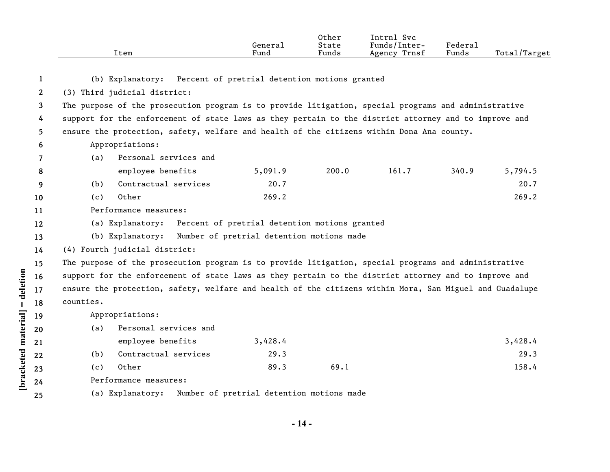|              | Item                          |                                                                                                         | General<br>Fund                               | Other<br>State<br>Funds | Intrnl Svc<br>Funds/Inter-<br>Agency Trnsf | Federal<br>Funds | Total/Target |  |
|--------------|-------------------------------|---------------------------------------------------------------------------------------------------------|-----------------------------------------------|-------------------------|--------------------------------------------|------------------|--------------|--|
| 1            |                               | (b) Explanatory: Percent of pretrial detention motions granted                                          |                                               |                         |                                            |                  |              |  |
| $\mathbf{2}$ | (3) Third judicial district:  |                                                                                                         |                                               |                         |                                            |                  |              |  |
| 3            |                               | The purpose of the prosecution program is to provide litigation, special programs and administrative    |                                               |                         |                                            |                  |              |  |
| 4            |                               | support for the enforcement of state laws as they pertain to the district attorney and to improve and   |                                               |                         |                                            |                  |              |  |
| 5.           |                               | ensure the protection, safety, welfare and health of the citizens within Dona Ana county.               |                                               |                         |                                            |                  |              |  |
| 6            | Appropriations:               |                                                                                                         |                                               |                         |                                            |                  |              |  |
| 7            | (a)                           | Personal services and                                                                                   |                                               |                         |                                            |                  |              |  |
| 8            |                               | employee benefits                                                                                       | 5,091.9                                       | 200.0                   | 161.7                                      | 340.9            | 5,794.5      |  |
| 9            | (b)                           | Contractual services                                                                                    | 20.7                                          |                         |                                            |                  | 20.7         |  |
| 10           | Other<br>(c)                  |                                                                                                         | 269.2                                         |                         |                                            |                  | 269.2        |  |
| 11           | Performance measures:         |                                                                                                         |                                               |                         |                                            |                  |              |  |
| 12           | (a) Explanatory:              |                                                                                                         | Percent of pretrial detention motions granted |                         |                                            |                  |              |  |
| 13           | (b) Explanatory:              |                                                                                                         | Number of pretrial detention motions made     |                         |                                            |                  |              |  |
| 14           | (4) Fourth judicial district: |                                                                                                         |                                               |                         |                                            |                  |              |  |
| 15           |                               | The purpose of the prosecution program is to provide litigation, special programs and administrative    |                                               |                         |                                            |                  |              |  |
| 16           |                               | support for the enforcement of state laws as they pertain to the district attorney and to improve and   |                                               |                         |                                            |                  |              |  |
| 17           |                               | ensure the protection, safety, welfare and health of the citizens within Mora, San Miguel and Guadalupe |                                               |                         |                                            |                  |              |  |
| 18           | counties.                     |                                                                                                         |                                               |                         |                                            |                  |              |  |
| 19           | Appropriations:               |                                                                                                         |                                               |                         |                                            |                  |              |  |
| 20           | (a)                           | Personal services and                                                                                   |                                               |                         |                                            |                  |              |  |
| 21           |                               | employee benefits                                                                                       | 3,428.4                                       |                         |                                            |                  | 3,428.4      |  |
| 22           | (b)                           | Contractual services                                                                                    | 29.3                                          |                         |                                            |                  | 29.3         |  |
| 23           | Other<br>(c)                  |                                                                                                         | 89.3                                          | 69.1                    |                                            |                  | 158.4        |  |
| 24           | Performance measures:         |                                                                                                         |                                               |                         |                                            |                  |              |  |
| 25           | (a) Explanatory:              |                                                                                                         | Number of pretrial detention motions made     |                         |                                            |                  |              |  |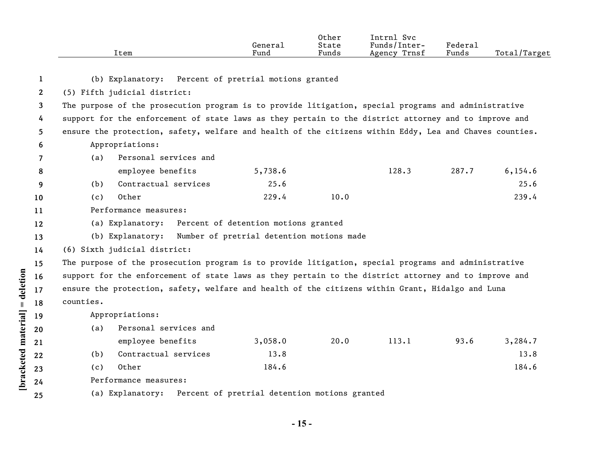|              | Item                                                                                                    | General<br>Fund                               | Other<br>State<br>Funds | Intrnl Svc<br>Funds/Inter-<br>Agency Trnsf | Federal<br>Funds | Total/Target |
|--------------|---------------------------------------------------------------------------------------------------------|-----------------------------------------------|-------------------------|--------------------------------------------|------------------|--------------|
| 1            | (b) Explanatory: Percent of pretrial motions granted                                                    |                                               |                         |                                            |                  |              |
| $\mathbf{2}$ | (5) Fifth judicial district:                                                                            |                                               |                         |                                            |                  |              |
| 3            | The purpose of the prosecution program is to provide litigation, special programs and administrative    |                                               |                         |                                            |                  |              |
| 4            | support for the enforcement of state laws as they pertain to the district attorney and to improve and   |                                               |                         |                                            |                  |              |
| 5            | ensure the protection, safety, welfare and health of the citizens within Eddy, Lea and Chaves counties. |                                               |                         |                                            |                  |              |
| 6            | Appropriations:                                                                                         |                                               |                         |                                            |                  |              |
| 7            | Personal services and<br>(a)                                                                            |                                               |                         |                                            |                  |              |
| 8            | employee benefits                                                                                       | 5,738.6                                       |                         | 128.3                                      | 287.7            | 6, 154.6     |
| 9            | Contractual services<br>(b)                                                                             | 25.6                                          |                         |                                            |                  | 25.6         |
| 10           | Other<br>(c)                                                                                            | 229.4                                         | 10.0                    |                                            |                  | 239.4        |
| 11           | Performance measures:                                                                                   |                                               |                         |                                            |                  |              |
| 12           | (a) Explanatory:                                                                                        | Percent of detention motions granted          |                         |                                            |                  |              |
| 13           | (b) Explanatory:                                                                                        | Number of pretrial detention motions made     |                         |                                            |                  |              |
| 14           | (6) Sixth judicial district:                                                                            |                                               |                         |                                            |                  |              |
| 15           | The purpose of the prosecution program is to provide litigation, special programs and administrative    |                                               |                         |                                            |                  |              |
| 16           | support for the enforcement of state laws as they pertain to the district attorney and to improve and   |                                               |                         |                                            |                  |              |
| 17           | ensure the protection, safety, welfare and health of the citizens within Grant, Hidalgo and Luna        |                                               |                         |                                            |                  |              |
| 18           | counties.                                                                                               |                                               |                         |                                            |                  |              |
| 19           | Appropriations:                                                                                         |                                               |                         |                                            |                  |              |
| 20           | Personal services and<br>(a)                                                                            |                                               |                         |                                            |                  |              |
| 21           | employee benefits                                                                                       | 3,058.0                                       | 20.0                    | 113.1                                      | 93.6             | 3,284.7      |
| 22           | Contractual services<br>(b)                                                                             | 13.8                                          |                         |                                            |                  | 13.8         |
| 23           | Other<br>(c)                                                                                            | 184.6                                         |                         |                                            |                  | 184.6        |
| 24           | Performance measures:                                                                                   |                                               |                         |                                            |                  |              |
| 25           | (a) Explanatory:                                                                                        | Percent of pretrial detention motions granted |                         |                                            |                  |              |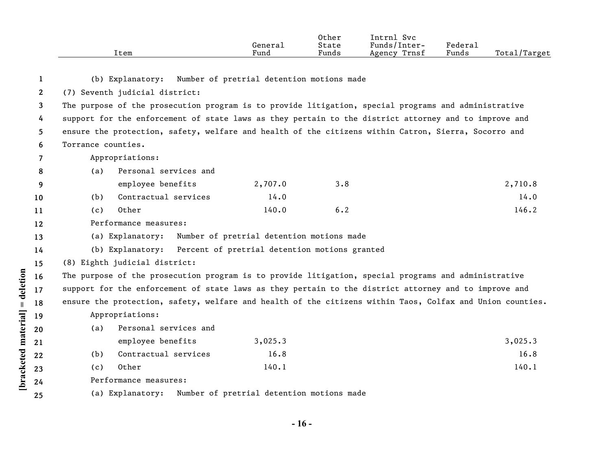|      |         | Other | Svc<br>Intrnl   |         |              |
|------|---------|-------|-----------------|---------|--------------|
|      | General | State | Funds/Inter-    | Federal |              |
| Item | Fund    | Funds | Trnsf<br>Agency | Funds   | Total/Target |

| 1            |                    | (b) Explanatory: Number of pretrial detention motions made     |         |     |                                                                                                           |
|--------------|--------------------|----------------------------------------------------------------|---------|-----|-----------------------------------------------------------------------------------------------------------|
| $\mathbf{2}$ |                    | (7) Seventh judicial district:                                 |         |     |                                                                                                           |
| 3            |                    |                                                                |         |     | The purpose of the prosecution program is to provide litigation, special programs and administrative      |
| 4            |                    |                                                                |         |     | support for the enforcement of state laws as they pertain to the district attorney and to improve and     |
| 5            |                    |                                                                |         |     | ensure the protection, safety, welfare and health of the citizens within Catron, Sierra, Socorro and      |
| 6            | Torrance counties. |                                                                |         |     |                                                                                                           |
| 7            |                    | Appropriations:                                                |         |     |                                                                                                           |
| 8            | (a)                | Personal services and                                          |         |     |                                                                                                           |
| 9            |                    | employee benefits                                              | 2,707.0 | 3.8 | 2,710.8                                                                                                   |
| 10           | (b)                | Contractual services                                           | 14.0    |     | 14.0                                                                                                      |
| 11           | (c)                | Other                                                          | 140.0   | 6.2 | 146.2                                                                                                     |
| 12           |                    | Performance measures:                                          |         |     |                                                                                                           |
| 13           |                    | (a) Explanatory: Number of pretrial detention motions made     |         |     |                                                                                                           |
| 14           |                    | (b) Explanatory: Percent of pretrial detention motions granted |         |     |                                                                                                           |
| 15           |                    | (8) Eighth judicial district:                                  |         |     |                                                                                                           |
| 16           |                    |                                                                |         |     | The purpose of the prosecution program is to provide litigation, special programs and administrative      |
| 17           |                    |                                                                |         |     | support for the enforcement of state laws as they pertain to the district attorney and to improve and     |
| 18           |                    |                                                                |         |     | ensure the protection, safety, welfare and health of the citizens within Taos, Colfax and Union counties. |
| 19           |                    | Appropriations:                                                |         |     |                                                                                                           |
| 20           | (a)                | Personal services and                                          |         |     |                                                                                                           |
| 21           |                    | employee benefits                                              | 3,025.3 |     | 3,025.3                                                                                                   |
| 22           | (b)                | Contractual services                                           | 16.8    |     | 16.8                                                                                                      |
| 23           | (c)                | Other                                                          | 140.1   |     | 140.1                                                                                                     |
| 24           |                    | Performance measures:                                          |         |     |                                                                                                           |
| 25           |                    | (a) Explanatory: Number of pretrial detention motions made     |         |     |                                                                                                           |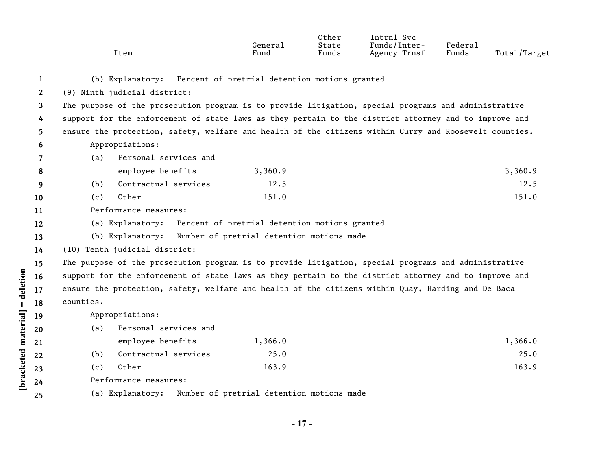|                | Item                                                                                                   | General<br>Fund                               | Other<br>State<br>Funds | Intrnl Svc<br>Funds/Inter-<br>Agency Trnsf | Federal<br>Funds | Total/Target |
|----------------|--------------------------------------------------------------------------------------------------------|-----------------------------------------------|-------------------------|--------------------------------------------|------------------|--------------|
| 1              | (b) Explanatory: Percent of pretrial detention motions granted                                         |                                               |                         |                                            |                  |              |
| $\overline{2}$ | (9) Ninth judicial district:                                                                           |                                               |                         |                                            |                  |              |
| 3              | The purpose of the prosecution program is to provide litigation, special programs and administrative   |                                               |                         |                                            |                  |              |
| 4              | support for the enforcement of state laws as they pertain to the district attorney and to improve and  |                                               |                         |                                            |                  |              |
| 5              | ensure the protection, safety, welfare and health of the citizens within Curry and Roosevelt counties. |                                               |                         |                                            |                  |              |
| 6              | Appropriations:                                                                                        |                                               |                         |                                            |                  |              |
| 7              | Personal services and<br>(a)                                                                           |                                               |                         |                                            |                  |              |
| 8              | employee benefits                                                                                      | 3,360.9                                       |                         |                                            |                  | 3,360.9      |
| 9              | Contractual services<br>(b)                                                                            | 12.5                                          |                         |                                            |                  | 12.5         |
| 10             | Other<br>(c)                                                                                           | 151.0                                         |                         |                                            |                  | 151.0        |
| 11             | Performance measures:                                                                                  |                                               |                         |                                            |                  |              |
| 12             | (a) Explanatory:                                                                                       | Percent of pretrial detention motions granted |                         |                                            |                  |              |
| 13             | (b) Explanatory: Number of pretrial detention motions made                                             |                                               |                         |                                            |                  |              |
| 14             | (10) Tenth judicial district:                                                                          |                                               |                         |                                            |                  |              |
| 15             | The purpose of the prosecution program is to provide litigation, special programs and administrative   |                                               |                         |                                            |                  |              |
| 16             | support for the enforcement of state laws as they pertain to the district attorney and to improve and  |                                               |                         |                                            |                  |              |
| 17             | ensure the protection, safety, welfare and health of the citizens within Quay, Harding and De Baca     |                                               |                         |                                            |                  |              |
| 18             | counties.                                                                                              |                                               |                         |                                            |                  |              |
| 19             | Appropriations:                                                                                        |                                               |                         |                                            |                  |              |
| 20             | Personal services and<br>(a)                                                                           |                                               |                         |                                            |                  |              |
| 21             | employee benefits                                                                                      | 1,366.0                                       |                         |                                            |                  | 1,366.0      |
| 22             | Contractual services<br>(b)                                                                            | 25.0                                          |                         |                                            |                  | 25.0         |
| 23             | Other<br>(c)                                                                                           | 163.9                                         |                         |                                            |                  | 163.9        |
| 24             | Performance measures:                                                                                  |                                               |                         |                                            |                  |              |
| 25             | (a) Explanatory:                                                                                       | Number of pretrial detention motions made     |                         |                                            |                  |              |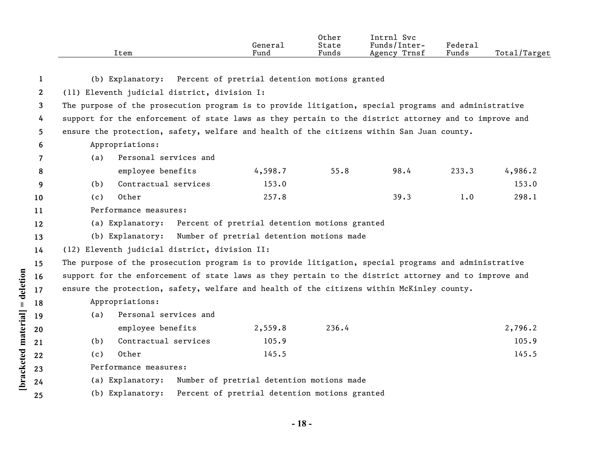|                       | Item                                                                                                  | General<br>Fund                               | Other<br>State<br>Funds | Intrnl Svc<br>Funds/Inter-<br>Agency Trnsf | Federal<br>Funds | Total/Target |
|-----------------------|-------------------------------------------------------------------------------------------------------|-----------------------------------------------|-------------------------|--------------------------------------------|------------------|--------------|
| 1                     | (b) Explanatory:                                                                                      | Percent of pretrial detention motions granted |                         |                                            |                  |              |
| $\mathbf{2}^{\prime}$ | (11) Eleventh judicial district, division I:                                                          |                                               |                         |                                            |                  |              |
| 3                     | The purpose of the prosecution program is to provide litigation, special programs and administrative  |                                               |                         |                                            |                  |              |
| 4                     | support for the enforcement of state laws as they pertain to the district attorney and to improve and |                                               |                         |                                            |                  |              |
| 5.                    | ensure the protection, safety, welfare and health of the citizens within San Juan county.             |                                               |                         |                                            |                  |              |
| 6                     | Appropriations:                                                                                       |                                               |                         |                                            |                  |              |
| 7                     | Personal services and<br>(a)                                                                          |                                               |                         |                                            |                  |              |
| 8                     | employee benefits                                                                                     | 4,598.7                                       | 55.8                    | 98.4                                       | 233.3            | 4,986.2      |
| 9                     | Contractual services<br>(b)                                                                           | 153.0                                         |                         |                                            |                  | 153.0        |
| 10                    | Other<br>(c)                                                                                          | 257.8                                         |                         | 39.3                                       | 1.0              | 298.1        |
| 11                    | Performance measures:                                                                                 |                                               |                         |                                            |                  |              |
| 12                    | (a) Explanatory:                                                                                      | Percent of pretrial detention motions granted |                         |                                            |                  |              |
| 13                    | (b) Explanatory:                                                                                      | Number of pretrial detention motions made     |                         |                                            |                  |              |
| 14                    | (12) Eleventh judicial district, division II:                                                         |                                               |                         |                                            |                  |              |
| 15                    | The purpose of the prosecution program is to provide litigation, special programs and administrative  |                                               |                         |                                            |                  |              |
| 16                    | support for the enforcement of state laws as they pertain to the district attorney and to improve and |                                               |                         |                                            |                  |              |
| 17                    | ensure the protection, safety, welfare and health of the citizens within McKinley county.             |                                               |                         |                                            |                  |              |
| 18                    | Appropriations:                                                                                       |                                               |                         |                                            |                  |              |
| 19                    | Personal services and<br>(a)                                                                          |                                               |                         |                                            |                  |              |
| 20                    | employee benefits                                                                                     | 2,559.8                                       | 236.4                   |                                            |                  | 2,796.2      |
| 21                    | Contractual services<br>(b)                                                                           | 105.9                                         |                         |                                            |                  | 105.9        |
| 22                    | Other<br>(c)                                                                                          | 145.5                                         |                         |                                            |                  | 145.5        |
| 23                    | Performance measures:                                                                                 |                                               |                         |                                            |                  |              |
| 24                    | (a) Explanatory:                                                                                      | Number of pretrial detention motions made     |                         |                                            |                  |              |
| 25                    | (b) Explanatory:                                                                                      | Percent of pretrial detention motions granted |                         |                                            |                  |              |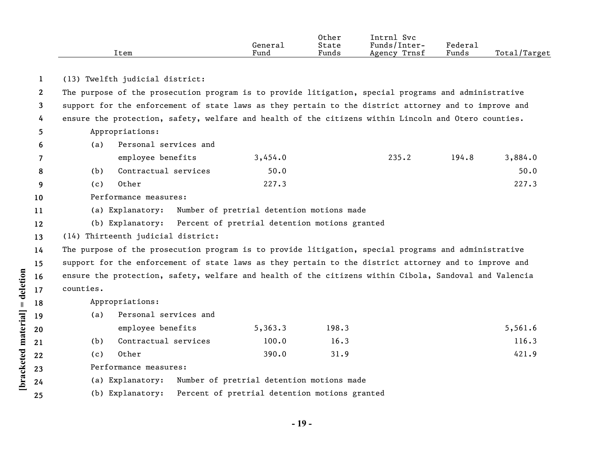|           |                   | General<br>Fund                                                                                                                                                                                                                                                                                                                                                                                 | Other<br>State<br>Funds  | Intrnl Svc<br>Funds/Inter-<br>Agency Trnsf | Federal<br>Funds                                                                                                                                                                                                   | Total/Target                                                                                                                                                                                                                                                                                                                                                                                                                                                                                                                                                                                                                                              |  |
|-----------|-------------------|-------------------------------------------------------------------------------------------------------------------------------------------------------------------------------------------------------------------------------------------------------------------------------------------------------------------------------------------------------------------------------------------------|--------------------------|--------------------------------------------|--------------------------------------------------------------------------------------------------------------------------------------------------------------------------------------------------------------------|-----------------------------------------------------------------------------------------------------------------------------------------------------------------------------------------------------------------------------------------------------------------------------------------------------------------------------------------------------------------------------------------------------------------------------------------------------------------------------------------------------------------------------------------------------------------------------------------------------------------------------------------------------------|--|
|           |                   |                                                                                                                                                                                                                                                                                                                                                                                                 |                          |                                            |                                                                                                                                                                                                                    |                                                                                                                                                                                                                                                                                                                                                                                                                                                                                                                                                                                                                                                           |  |
|           |                   |                                                                                                                                                                                                                                                                                                                                                                                                 |                          |                                            |                                                                                                                                                                                                                    |                                                                                                                                                                                                                                                                                                                                                                                                                                                                                                                                                                                                                                                           |  |
|           |                   |                                                                                                                                                                                                                                                                                                                                                                                                 |                          |                                            |                                                                                                                                                                                                                    |                                                                                                                                                                                                                                                                                                                                                                                                                                                                                                                                                                                                                                                           |  |
|           |                   |                                                                                                                                                                                                                                                                                                                                                                                                 |                          |                                            |                                                                                                                                                                                                                    |                                                                                                                                                                                                                                                                                                                                                                                                                                                                                                                                                                                                                                                           |  |
|           |                   |                                                                                                                                                                                                                                                                                                                                                                                                 |                          |                                            |                                                                                                                                                                                                                    |                                                                                                                                                                                                                                                                                                                                                                                                                                                                                                                                                                                                                                                           |  |
|           |                   |                                                                                                                                                                                                                                                                                                                                                                                                 |                          |                                            |                                                                                                                                                                                                                    |                                                                                                                                                                                                                                                                                                                                                                                                                                                                                                                                                                                                                                                           |  |
|           |                   |                                                                                                                                                                                                                                                                                                                                                                                                 |                          |                                            |                                                                                                                                                                                                                    |                                                                                                                                                                                                                                                                                                                                                                                                                                                                                                                                                                                                                                                           |  |
|           |                   |                                                                                                                                                                                                                                                                                                                                                                                                 |                          |                                            |                                                                                                                                                                                                                    | 3,884.0                                                                                                                                                                                                                                                                                                                                                                                                                                                                                                                                                                                                                                                   |  |
|           |                   |                                                                                                                                                                                                                                                                                                                                                                                                 |                          |                                            |                                                                                                                                                                                                                    | 50.0                                                                                                                                                                                                                                                                                                                                                                                                                                                                                                                                                                                                                                                      |  |
|           |                   |                                                                                                                                                                                                                                                                                                                                                                                                 |                          |                                            |                                                                                                                                                                                                                    | 227.3                                                                                                                                                                                                                                                                                                                                                                                                                                                                                                                                                                                                                                                     |  |
|           |                   |                                                                                                                                                                                                                                                                                                                                                                                                 |                          |                                            |                                                                                                                                                                                                                    |                                                                                                                                                                                                                                                                                                                                                                                                                                                                                                                                                                                                                                                           |  |
|           |                   |                                                                                                                                                                                                                                                                                                                                                                                                 |                          |                                            |                                                                                                                                                                                                                    |                                                                                                                                                                                                                                                                                                                                                                                                                                                                                                                                                                                                                                                           |  |
|           |                   |                                                                                                                                                                                                                                                                                                                                                                                                 |                          |                                            |                                                                                                                                                                                                                    |                                                                                                                                                                                                                                                                                                                                                                                                                                                                                                                                                                                                                                                           |  |
|           |                   |                                                                                                                                                                                                                                                                                                                                                                                                 |                          |                                            |                                                                                                                                                                                                                    |                                                                                                                                                                                                                                                                                                                                                                                                                                                                                                                                                                                                                                                           |  |
|           |                   |                                                                                                                                                                                                                                                                                                                                                                                                 |                          |                                            |                                                                                                                                                                                                                    |                                                                                                                                                                                                                                                                                                                                                                                                                                                                                                                                                                                                                                                           |  |
|           |                   |                                                                                                                                                                                                                                                                                                                                                                                                 |                          |                                            |                                                                                                                                                                                                                    |                                                                                                                                                                                                                                                                                                                                                                                                                                                                                                                                                                                                                                                           |  |
|           |                   |                                                                                                                                                                                                                                                                                                                                                                                                 |                          |                                            |                                                                                                                                                                                                                    |                                                                                                                                                                                                                                                                                                                                                                                                                                                                                                                                                                                                                                                           |  |
| counties. |                   |                                                                                                                                                                                                                                                                                                                                                                                                 |                          |                                            |                                                                                                                                                                                                                    |                                                                                                                                                                                                                                                                                                                                                                                                                                                                                                                                                                                                                                                           |  |
|           |                   |                                                                                                                                                                                                                                                                                                                                                                                                 |                          |                                            |                                                                                                                                                                                                                    |                                                                                                                                                                                                                                                                                                                                                                                                                                                                                                                                                                                                                                                           |  |
| (a)       |                   |                                                                                                                                                                                                                                                                                                                                                                                                 |                          |                                            |                                                                                                                                                                                                                    |                                                                                                                                                                                                                                                                                                                                                                                                                                                                                                                                                                                                                                                           |  |
|           |                   | 5,363.3                                                                                                                                                                                                                                                                                                                                                                                         | 198.3                    |                                            |                                                                                                                                                                                                                    | 5,561.6                                                                                                                                                                                                                                                                                                                                                                                                                                                                                                                                                                                                                                                   |  |
| (b)       |                   | 100.0                                                                                                                                                                                                                                                                                                                                                                                           | 16.3                     |                                            |                                                                                                                                                                                                                    | 116.3                                                                                                                                                                                                                                                                                                                                                                                                                                                                                                                                                                                                                                                     |  |
| (c)       |                   | 390.0                                                                                                                                                                                                                                                                                                                                                                                           | 31.9                     |                                            |                                                                                                                                                                                                                    | 421.9                                                                                                                                                                                                                                                                                                                                                                                                                                                                                                                                                                                                                                                     |  |
|           |                   |                                                                                                                                                                                                                                                                                                                                                                                                 |                          |                                            |                                                                                                                                                                                                                    |                                                                                                                                                                                                                                                                                                                                                                                                                                                                                                                                                                                                                                                           |  |
|           |                   |                                                                                                                                                                                                                                                                                                                                                                                                 |                          |                                            |                                                                                                                                                                                                                    |                                                                                                                                                                                                                                                                                                                                                                                                                                                                                                                                                                                                                                                           |  |
|           |                   |                                                                                                                                                                                                                                                                                                                                                                                                 |                          |                                            |                                                                                                                                                                                                                    |                                                                                                                                                                                                                                                                                                                                                                                                                                                                                                                                                                                                                                                           |  |
|           | (a)<br>(b)<br>(c) | Item<br>(13) Twelfth judicial district:<br>Appropriations:<br>Personal services and<br>employee benefits<br>Contractual services<br>Other<br>Performance measures:<br>(a) Explanatory:<br>(14) Thirteenth judicial district:<br>Appropriations:<br>Personal services and<br>employee benefits<br>Contractual services<br>Other<br>Performance measures:<br>(a) Explanatory:<br>(b) Explanatory: | 3,454.0<br>50.0<br>227.3 |                                            | 235.2<br>Number of pretrial detention motions made<br>(b) Explanatory: Percent of pretrial detention motions granted<br>Number of pretrial detention motions made<br>Percent of pretrial detention motions granted | The purpose of the prosecution program is to provide litigation, special programs and administrative<br>support for the enforcement of state laws as they pertain to the district attorney and to improve and<br>ensure the protection, safety, welfare and health of the citizens within Lincoln and Otero counties.<br>194.8<br>The purpose of the prosecution program is to provide litigation, special programs and administrative<br>support for the enforcement of state laws as they pertain to the district attorney and to improve and<br>ensure the protection, safety, welfare and health of the citizens within Cibola, Sandoval and Valencia |  |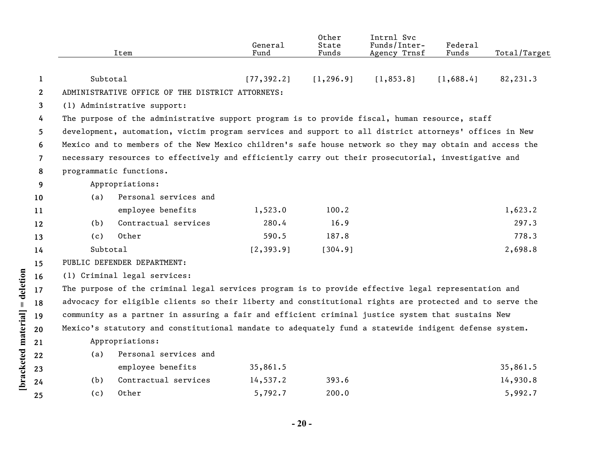|              |          | Item                                                                                                    | General<br>Fund | Other<br>State<br>Funds | Intrnl Svc<br>Funds/Inter-<br>Agency Trnsf | Federal<br>Funds | Total/Target |
|--------------|----------|---------------------------------------------------------------------------------------------------------|-----------------|-------------------------|--------------------------------------------|------------------|--------------|
|              |          |                                                                                                         |                 |                         |                                            |                  |              |
| 1            | Subtotal |                                                                                                         | [77, 392.2]     | [1, 296.9]              | [1, 853.8]                                 | [1,688.4]        | 82,231.3     |
| $\mathbf{2}$ |          | ADMINISTRATIVE OFFICE OF THE DISTRICT ATTORNEYS:                                                        |                 |                         |                                            |                  |              |
| 3            |          | (1) Administrative support:                                                                             |                 |                         |                                            |                  |              |
| 4            |          | The purpose of the administrative support program is to provide fiscal, human resource, staff           |                 |                         |                                            |                  |              |
| 5.           |          | development, automation, victim program services and support to all district attorneys' offices in New  |                 |                         |                                            |                  |              |
| 6            |          | Mexico and to members of the New Mexico children's safe house network so they may obtain and access the |                 |                         |                                            |                  |              |
| $\mathbf{7}$ |          | necessary resources to effectively and efficiently carry out their prosecutorial, investigative and     |                 |                         |                                            |                  |              |
| 8            |          | programmatic functions.                                                                                 |                 |                         |                                            |                  |              |
| 9            |          | Appropriations:                                                                                         |                 |                         |                                            |                  |              |
| 10           | (a)      | Personal services and                                                                                   |                 |                         |                                            |                  |              |
| 11           |          | employee benefits                                                                                       | 1,523.0         | 100.2                   |                                            |                  | 1,623.2      |
| 12           | (b)      | Contractual services                                                                                    | 280.4           | 16.9                    |                                            |                  | 297.3        |
| 13           | (c)      | Other                                                                                                   | 590.5           | 187.8                   |                                            |                  | 778.3        |
| 14           | Subtotal |                                                                                                         | [2, 393.9]      | [304.9]                 |                                            |                  | 2,698.8      |
| 15           |          | PUBLIC DEFENDER DEPARTMENT:                                                                             |                 |                         |                                            |                  |              |
| 16           |          | (1) Criminal legal services:                                                                            |                 |                         |                                            |                  |              |
| 17           |          | The purpose of the criminal legal services program is to provide effective legal representation and     |                 |                         |                                            |                  |              |
| 18           |          | advocacy for eligible clients so their liberty and constitutional rights are protected and to serve the |                 |                         |                                            |                  |              |
| 19           |          | community as a partner in assuring a fair and efficient criminal justice system that sustains New       |                 |                         |                                            |                  |              |
| 20           |          | Mexico's statutory and constitutional mandate to adequately fund a statewide indigent defense system.   |                 |                         |                                            |                  |              |
| 21           |          | Appropriations:                                                                                         |                 |                         |                                            |                  |              |
| 22           | (a)      | Personal services and                                                                                   |                 |                         |                                            |                  |              |
| 23           |          | employee benefits                                                                                       | 35,861.5        |                         |                                            |                  | 35,861.5     |
| 24           | (b)      | Contractual services                                                                                    | 14,537.2        | 393.6                   |                                            |                  | 14,930.8     |
| 25           | (c)      | Other                                                                                                   | 5,792.7         | 200.0                   |                                            |                  | 5,992.7      |

[bracketed material] = deletion **[bracketed material] = deletion**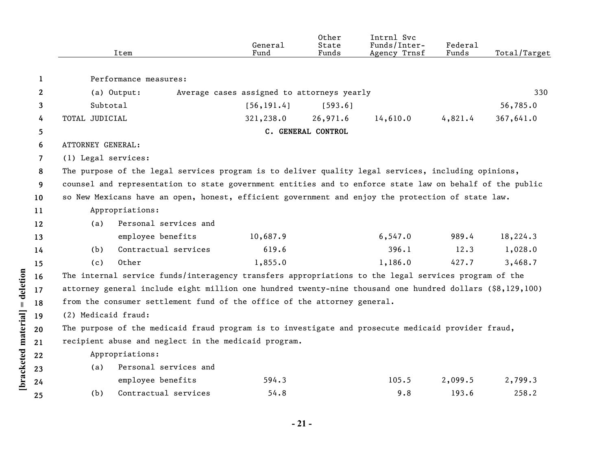|              |                                                                                                          | Item                                                                                                      | General<br>Fund                            | Other<br>State<br>Funds | Intrnl Svc<br>Funds/Inter-<br>Agency Trnsf | Federal<br>Funds | Total/Target |  |  |  |
|--------------|----------------------------------------------------------------------------------------------------------|-----------------------------------------------------------------------------------------------------------|--------------------------------------------|-------------------------|--------------------------------------------|------------------|--------------|--|--|--|
| $\mathbf{1}$ |                                                                                                          | Performance measures:                                                                                     |                                            |                         |                                            |                  |              |  |  |  |
| $\mathbf{2}$ |                                                                                                          | (a) Output:                                                                                               | Average cases assigned to attorneys yearly |                         |                                            |                  | 330          |  |  |  |
| 3            | Subtotal                                                                                                 |                                                                                                           | [56, 191.4]                                | [593.6]                 |                                            |                  | 56,785.0     |  |  |  |
| 4            | TOTAL JUDICIAL                                                                                           |                                                                                                           | 321,238.0                                  | 26,971.6                | 14,610.0                                   | 4,821.4          | 367,641.0    |  |  |  |
| 5            |                                                                                                          |                                                                                                           |                                            | C. GENERAL CONTROL      |                                            |                  |              |  |  |  |
| 6            | ATTORNEY GENERAL:                                                                                        |                                                                                                           |                                            |                         |                                            |                  |              |  |  |  |
| 7            | (1) Legal services:                                                                                      |                                                                                                           |                                            |                         |                                            |                  |              |  |  |  |
| 8            |                                                                                                          | The purpose of the legal services program is to deliver quality legal services, including opinions,       |                                            |                         |                                            |                  |              |  |  |  |
| 9            | counsel and representation to state government entities and to enforce state law on behalf of the public |                                                                                                           |                                            |                         |                                            |                  |              |  |  |  |
| 10           |                                                                                                          | so New Mexicans have an open, honest, efficient government and enjoy the protection of state law.         |                                            |                         |                                            |                  |              |  |  |  |
| 11           |                                                                                                          | Appropriations:                                                                                           |                                            |                         |                                            |                  |              |  |  |  |
| 12           | (a)                                                                                                      | Personal services and                                                                                     |                                            |                         |                                            |                  |              |  |  |  |
| 13           |                                                                                                          | employee benefits                                                                                         | 10,687.9                                   |                         | 6, 547.0                                   | 989.4            | 18,224.3     |  |  |  |
| 14           | (b)                                                                                                      | Contractual services                                                                                      | 619.6                                      |                         | 396.1                                      | 12.3             | 1,028.0      |  |  |  |
| 15           | (c)                                                                                                      | Other                                                                                                     | 1,855.0                                    |                         | 1,186.0                                    | 427.7            | 3,468.7      |  |  |  |
| 16           |                                                                                                          | The internal service funds/interagency transfers appropriations to the legal services program of the      |                                            |                         |                                            |                  |              |  |  |  |
| 17           |                                                                                                          | attorney general include eight million one hundred twenty-nine thousand one hundred dollars (\$8,129,100) |                                            |                         |                                            |                  |              |  |  |  |
| 18           |                                                                                                          | from the consumer settlement fund of the office of the attorney general.                                  |                                            |                         |                                            |                  |              |  |  |  |
| 19           | (2) Medicaid fraud:                                                                                      |                                                                                                           |                                            |                         |                                            |                  |              |  |  |  |
| 20           |                                                                                                          | The purpose of the medicaid fraud program is to investigate and prosecute medicaid provider fraud,        |                                            |                         |                                            |                  |              |  |  |  |
| 21           |                                                                                                          | recipient abuse and neglect in the medicaid program.                                                      |                                            |                         |                                            |                  |              |  |  |  |
| 22           |                                                                                                          | Appropriations:                                                                                           |                                            |                         |                                            |                  |              |  |  |  |
| 23           | (a)                                                                                                      | Personal services and                                                                                     |                                            |                         |                                            |                  |              |  |  |  |
| 24           |                                                                                                          | employee benefits                                                                                         | 594.3                                      |                         | 105.5                                      | 2,099.5          | 2,799.3      |  |  |  |
| 25           | (b)                                                                                                      | Contractual services                                                                                      | 54.8                                       |                         | 9.8                                        | 193.6            | 258.2        |  |  |  |

[bracketed material] = deletion

**- 21 -**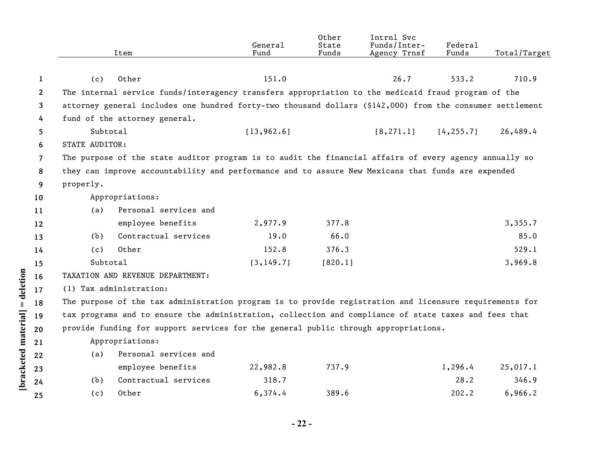|              |                                                                                                           | Item                                                                                                    | General<br>Fund | Other<br>State<br>Funds | Intrnl Svc<br>Funds/Inter-<br>Agency Trnsf | Federal<br>Funds                                                                                    | Total/Target |  |  |
|--------------|-----------------------------------------------------------------------------------------------------------|---------------------------------------------------------------------------------------------------------|-----------------|-------------------------|--------------------------------------------|-----------------------------------------------------------------------------------------------------|--------------|--|--|
|              |                                                                                                           |                                                                                                         |                 |                         |                                            |                                                                                                     |              |  |  |
| 1            | (c)                                                                                                       | Other                                                                                                   | 151.0           |                         | 26.7                                       | 533.2                                                                                               | 710.9        |  |  |
| $\mathbf{2}$ |                                                                                                           |                                                                                                         |                 |                         |                                            | The internal service funds/interagency transfers appropriation to the medicaid fraud program of the |              |  |  |
| 3            | attorney general includes one hundred forty-two thousand dollars (\$142,000) from the consumer settlement |                                                                                                         |                 |                         |                                            |                                                                                                     |              |  |  |
| 4            |                                                                                                           | fund of the attorney general.                                                                           |                 |                         |                                            |                                                                                                     |              |  |  |
| 5            | Subtotal                                                                                                  |                                                                                                         | [13, 962.6]     |                         | [8, 271.1]                                 | [4, 255.7]                                                                                          | 26,489.4     |  |  |
| 6            | STATE AUDITOR:                                                                                            |                                                                                                         |                 |                         |                                            |                                                                                                     |              |  |  |
| 7            | The purpose of the state auditor program is to audit the financial affairs of every agency annually so    |                                                                                                         |                 |                         |                                            |                                                                                                     |              |  |  |
| 8            |                                                                                                           | they can improve accountability and performance and to assure New Mexicans that funds are expended      |                 |                         |                                            |                                                                                                     |              |  |  |
| 9            | properly.                                                                                                 |                                                                                                         |                 |                         |                                            |                                                                                                     |              |  |  |
| 10           |                                                                                                           | Appropriations:                                                                                         |                 |                         |                                            |                                                                                                     |              |  |  |
| 11           | (a)                                                                                                       | Personal services and                                                                                   |                 |                         |                                            |                                                                                                     |              |  |  |
| 12           |                                                                                                           | employee benefits                                                                                       | 2,977.9         | 377.8                   |                                            |                                                                                                     | 3,355.7      |  |  |
| 13           | (b)                                                                                                       | Contractual services                                                                                    | 19.0            | 66.0                    |                                            |                                                                                                     | 85.0         |  |  |
| 14           | (c)                                                                                                       | Other                                                                                                   | 152.8           | 376.3                   |                                            |                                                                                                     | 529.1        |  |  |
| 15           | Subtotal                                                                                                  |                                                                                                         | [3, 149.7]      | [820.1]                 |                                            |                                                                                                     | 3,969.8      |  |  |
| 16           |                                                                                                           | TAXATION AND REVENUE DEPARTMENT:                                                                        |                 |                         |                                            |                                                                                                     |              |  |  |
| 17           |                                                                                                           | (1) Tax administration:                                                                                 |                 |                         |                                            |                                                                                                     |              |  |  |
| 18           |                                                                                                           | The purpose of the tax administration program is to provide registration and licensure requirements for |                 |                         |                                            |                                                                                                     |              |  |  |
| 19           |                                                                                                           | tax programs and to ensure the administration, collection and compliance of state taxes and fees that   |                 |                         |                                            |                                                                                                     |              |  |  |
| 20           |                                                                                                           | provide funding for support services for the general public through appropriations.                     |                 |                         |                                            |                                                                                                     |              |  |  |
| 21           |                                                                                                           | Appropriations:                                                                                         |                 |                         |                                            |                                                                                                     |              |  |  |
| 22           | (a)                                                                                                       | Personal services and                                                                                   |                 |                         |                                            |                                                                                                     |              |  |  |
| 23           |                                                                                                           | employee benefits                                                                                       | 22,982.8        | 737.9                   |                                            | 1,296.4                                                                                             | 25,017.1     |  |  |
| 24           | (b)                                                                                                       | Contractual services                                                                                    | 318.7           |                         |                                            | 28.2                                                                                                | 346.9        |  |  |
| 25           | (c)                                                                                                       | Other                                                                                                   | 6,374.4         | 389.6                   |                                            | 202.2                                                                                               | 6,966.2      |  |  |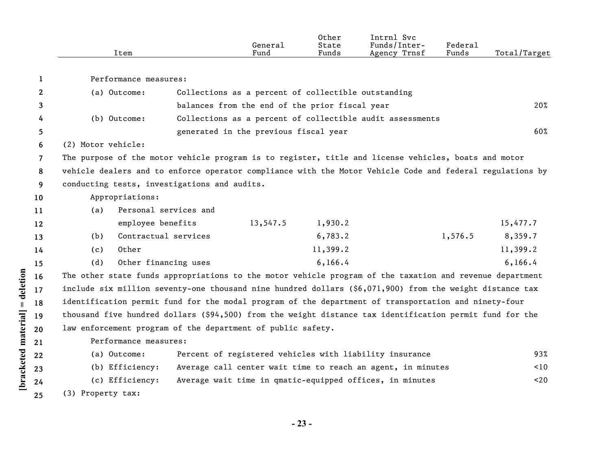|              | Item                                                                                                      |                       | General<br>Fund                                     | Other<br>State<br>Funds | Intrnl Svc<br>Funds/Inter-<br>Agency Trnsf                  | Federal<br>Funds | Total/Target |
|--------------|-----------------------------------------------------------------------------------------------------------|-----------------------|-----------------------------------------------------|-------------------------|-------------------------------------------------------------|------------------|--------------|
| 1            | Performance measures:                                                                                     |                       |                                                     |                         |                                                             |                  |              |
| $\mathbf{2}$ | (a) Outcome:                                                                                              |                       | Collections as a percent of collectible outstanding |                         |                                                             |                  |              |
| 3            |                                                                                                           |                       | balances from the end of the prior fiscal year      |                         |                                                             |                  | 20%          |
| 4            | (b) Outcome:                                                                                              |                       |                                                     |                         | Collections as a percent of collectible audit assessments   |                  |              |
| 5.           |                                                                                                           |                       | generated in the previous fiscal year               |                         |                                                             |                  | 60%          |
| 6            | (2) Motor vehicle:                                                                                        |                       |                                                     |                         |                                                             |                  |              |
| 7            | The purpose of the motor vehicle program is to register, title and license vehicles, boats and motor      |                       |                                                     |                         |                                                             |                  |              |
| 8            | vehicle dealers and to enforce operator compliance with the Motor Vehicle Code and federal regulations by |                       |                                                     |                         |                                                             |                  |              |
| 9            | conducting tests, investigations and audits.                                                              |                       |                                                     |                         |                                                             |                  |              |
| 10           | Appropriations:                                                                                           |                       |                                                     |                         |                                                             |                  |              |
| 11           | (a)                                                                                                       | Personal services and |                                                     |                         |                                                             |                  |              |
| 12           | employee benefits                                                                                         |                       | 13,547.5                                            | 1,930.2                 |                                                             |                  | 15,477.7     |
| 13           | (b)                                                                                                       | Contractual services  |                                                     | 6,783.2                 |                                                             | 1,576.5          | 8,359.7      |
| 14           | Other<br>(c)                                                                                              |                       |                                                     | 11,399.2                |                                                             |                  | 11,399.2     |
| 15           | (d)                                                                                                       | Other financing uses  |                                                     | 6, 166.4                |                                                             |                  | 6, 166.4     |
| 16           | The other state funds appropriations to the motor vehicle program of the taxation and revenue department  |                       |                                                     |                         |                                                             |                  |              |
| 17           | include six million seventy-one thousand nine hundred dollars (\$6,071,900) from the weight distance tax  |                       |                                                     |                         |                                                             |                  |              |
| 18           | identification permit fund for the modal program of the department of transportation and ninety-four      |                       |                                                     |                         |                                                             |                  |              |
| 19           | thousand five hundred dollars (\$94,500) from the weight distance tax identification permit fund for the  |                       |                                                     |                         |                                                             |                  |              |
| 20           | law enforcement program of the department of public safety.                                               |                       |                                                     |                         |                                                             |                  |              |
| 21           | Performance measures:                                                                                     |                       |                                                     |                         |                                                             |                  |              |
| 22           | (a) Outcome:                                                                                              |                       |                                                     |                         | Percent of registered vehicles with liability insurance     |                  | 93%          |
| 23           | (b) Efficiency:                                                                                           |                       |                                                     |                         | Average call center wait time to reach an agent, in minutes |                  | $\leq 10$    |
| 24           | (c) Efficiency:                                                                                           |                       |                                                     |                         | Average wait time in qmatic-equipped offices, in minutes    |                  | $20$         |
| 25           | (3) Property tax:                                                                                         |                       |                                                     |                         |                                                             |                  |              |

[bracketed material] = deletion

**- 23 -**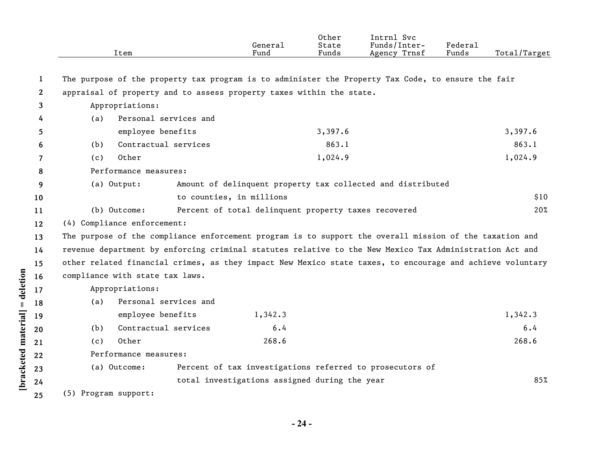|              |                      | Item                            |                          | General<br>Fund                                                      | Other<br>State<br>Funds | Intrnl Svc<br>Funds/Inter-<br>Agency Trnsf                                                                | Federal<br>Funds | Total/Target |
|--------------|----------------------|---------------------------------|--------------------------|----------------------------------------------------------------------|-------------------------|-----------------------------------------------------------------------------------------------------------|------------------|--------------|
| 1            |                      |                                 |                          |                                                                      |                         | The purpose of the property tax program is to administer the Property Tax Code, to ensure the fair        |                  |              |
| $\mathbf{2}$ |                      |                                 |                          | appraisal of property and to assess property taxes within the state. |                         |                                                                                                           |                  |              |
| 3            |                      | Appropriations:                 |                          |                                                                      |                         |                                                                                                           |                  |              |
| 4            | (a)                  | Personal services and           |                          |                                                                      |                         |                                                                                                           |                  |              |
| 5            |                      | employee benefits               |                          |                                                                      | 3,397.6                 |                                                                                                           |                  | 3,397.6      |
| 6            | (b)                  | Contractual services            |                          |                                                                      | 863.1                   |                                                                                                           |                  | 863.1        |
| 7            | (c)                  | Other                           |                          |                                                                      | 1,024.9                 |                                                                                                           |                  | 1,024.9      |
| 8            |                      | Performance measures:           |                          |                                                                      |                         |                                                                                                           |                  |              |
| 9            |                      | (a) Output:                     |                          |                                                                      |                         | Amount of delinquent property tax collected and distributed                                               |                  |              |
| 10           |                      |                                 | to counties, in millions |                                                                      |                         |                                                                                                           |                  | \$10         |
| 11           |                      | (b) Outcome:                    |                          | Percent of total delinquent property taxes recovered                 |                         |                                                                                                           |                  | 20%          |
| 12           |                      | (4) Compliance enforcement:     |                          |                                                                      |                         |                                                                                                           |                  |              |
| 13           |                      |                                 |                          |                                                                      |                         | The purpose of the compliance enforcement program is to support the overall mission of the taxation and   |                  |              |
| 14           |                      |                                 |                          |                                                                      |                         | revenue department by enforcing criminal statutes relative to the New Mexico Tax Administration Act and   |                  |              |
| 15           |                      |                                 |                          |                                                                      |                         | other related financial crimes, as they impact New Mexico state taxes, to encourage and achieve voluntary |                  |              |
| 16           |                      | compliance with state tax laws. |                          |                                                                      |                         |                                                                                                           |                  |              |
| 17           |                      | Appropriations:                 |                          |                                                                      |                         |                                                                                                           |                  |              |
| 18           | (a)                  | Personal services and           |                          |                                                                      |                         |                                                                                                           |                  |              |
| 19           |                      | employee benefits               |                          | 1,342.3                                                              |                         |                                                                                                           |                  | 1,342.3      |
| 20           | (b)                  | Contractual services            |                          | $6.4$                                                                |                         |                                                                                                           |                  | 6.4          |
| 21           | (c)                  | Other                           |                          | 268.6                                                                |                         |                                                                                                           |                  | 268.6        |
| 22           |                      | Performance measures:           |                          |                                                                      |                         |                                                                                                           |                  |              |
| 23           |                      | (a) Outcome:                    |                          |                                                                      |                         | Percent of tax investigations referred to prosecutors of                                                  |                  |              |
| 24           |                      |                                 |                          | total investigations assigned during the year                        |                         |                                                                                                           |                  | 85%          |
| 25           | (5) Program support: |                                 |                          |                                                                      |                         |                                                                                                           |                  |              |

[bracketed material] = deletion

**- 24 -**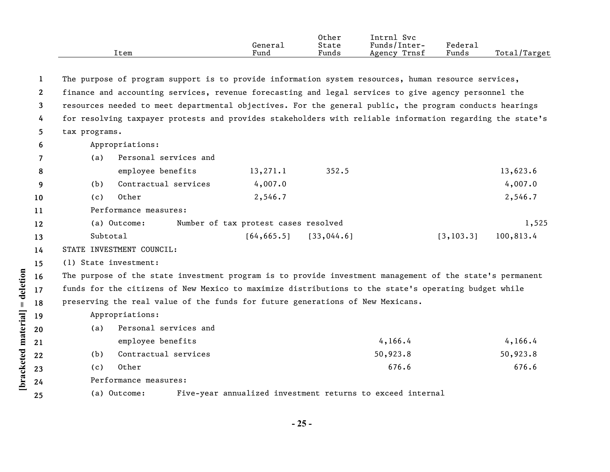|      |         | Other | Svc<br>Intrnl          |        |                     |
|------|---------|-------|------------------------|--------|---------------------|
|      | General | State | $\sim$<br>Funds/Inter- | Federa |                     |
| ltem | Fund    | Funds | Trnsf<br>Agency        | Funds  | Total/<br>$T$ arget |

| -1           |                       | The purpose of program support is to provide information system resources, human resource services,       |                                      |                                                            |            |           |
|--------------|-----------------------|-----------------------------------------------------------------------------------------------------------|--------------------------------------|------------------------------------------------------------|------------|-----------|
| $\mathbf{2}$ |                       | finance and accounting services, revenue forecasting and legal services to give agency personnel the      |                                      |                                                            |            |           |
| 3            |                       | resources needed to meet departmental objectives. For the general public, the program conducts hearings   |                                      |                                                            |            |           |
| 4            |                       | for resolving taxpayer protests and provides stakeholders with reliable information regarding the state's |                                      |                                                            |            |           |
| 5.           | tax programs.         |                                                                                                           |                                      |                                                            |            |           |
| 6            |                       | Appropriations:                                                                                           |                                      |                                                            |            |           |
| 7            | (a)                   | Personal services and                                                                                     |                                      |                                                            |            |           |
| 8            |                       | employee benefits                                                                                         | 13, 271.1                            | 352.5                                                      |            | 13,623.6  |
| 9            | (b)                   | Contractual services                                                                                      | 4,007.0                              |                                                            |            | 4,007.0   |
| 10           | (c)                   | Other                                                                                                     | 2,546.7                              |                                                            |            | 2,546.7   |
| 11           |                       | Performance measures:                                                                                     |                                      |                                                            |            |           |
| 12           |                       | (a) Outcome:                                                                                              | Number of tax protest cases resolved |                                                            |            | 1,525     |
| 13           | Subtotal              |                                                                                                           | [64, 665.5]                          | [33, 044.6]                                                | [3, 103.3] | 100,813.4 |
| 14           |                       | STATE INVESTMENT COUNCIL:                                                                                 |                                      |                                                            |            |           |
| 15           | (1) State investment: |                                                                                                           |                                      |                                                            |            |           |
| 16           |                       | The purpose of the state investment program is to provide investment management of the state's permanent  |                                      |                                                            |            |           |
| 17           |                       | funds for the citizens of New Mexico to maximize distributions to the state's operating budget while      |                                      |                                                            |            |           |
| 18           |                       | preserving the real value of the funds for future generations of New Mexicans.                            |                                      |                                                            |            |           |
| 19           |                       | Appropriations:                                                                                           |                                      |                                                            |            |           |
| 20           | (a)                   | Personal services and                                                                                     |                                      |                                                            |            |           |
| 21           |                       | employee benefits                                                                                         |                                      | 4, 166.4                                                   |            | 4,166.4   |
| 22           | (b)                   | Contractual services                                                                                      |                                      | 50,923.8                                                   |            | 50,923.8  |
| 23           | (c)                   | Other                                                                                                     |                                      |                                                            | 676.6      | 676.6     |
| 24           |                       | Performance measures:                                                                                     |                                      |                                                            |            |           |
| 25           |                       | (a) Outcome:                                                                                              |                                      | Five-year annualized investment returns to exceed internal |            |           |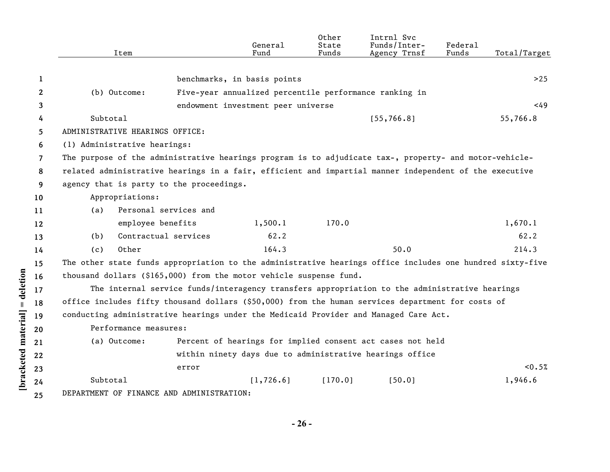|              | Item                                                                                                      |                                                                                               | General<br>Fund                                        | Other<br>State<br>Funds | Intrnl Svc<br>Funds/Inter-<br>Agency Trnsf                 | Federal<br>Funds | Total/Target |
|--------------|-----------------------------------------------------------------------------------------------------------|-----------------------------------------------------------------------------------------------|--------------------------------------------------------|-------------------------|------------------------------------------------------------|------------------|--------------|
|              |                                                                                                           |                                                                                               |                                                        |                         |                                                            |                  |              |
| 1            |                                                                                                           |                                                                                               | benchmarks, in basis points                            |                         |                                                            |                  | >25          |
| $\mathbf{2}$ | (b) Outcome:                                                                                              |                                                                                               | Five-year annualized percentile performance ranking in |                         |                                                            |                  |              |
| 3            |                                                                                                           |                                                                                               | endowment investment peer universe                     |                         |                                                            |                  | <49          |
| 4            | Subtotal                                                                                                  |                                                                                               |                                                        |                         | [55, 766.8]                                                |                  | 55,766.8     |
| 5.           | ADMINISTRATIVE HEARINGS OFFICE:                                                                           |                                                                                               |                                                        |                         |                                                            |                  |              |
| 6            | (1) Administrative hearings:                                                                              |                                                                                               |                                                        |                         |                                                            |                  |              |
| 7            | The purpose of the administrative hearings program is to adjudicate tax-, property- and motor-vehicle-    |                                                                                               |                                                        |                         |                                                            |                  |              |
| 8            | related administrative hearings in a fair, efficient and impartial manner independent of the executive    |                                                                                               |                                                        |                         |                                                            |                  |              |
| 9            | agency that is party to the proceedings.                                                                  |                                                                                               |                                                        |                         |                                                            |                  |              |
| 10           | Appropriations:                                                                                           |                                                                                               |                                                        |                         |                                                            |                  |              |
| 11           | (a)                                                                                                       | Personal services and                                                                         |                                                        |                         |                                                            |                  |              |
| 12           |                                                                                                           | employee benefits                                                                             | 1,500.1                                                | 170.0                   |                                                            |                  | 1,670.1      |
| 13           | (b)                                                                                                       | Contractual services                                                                          | 62.2                                                   |                         |                                                            |                  | 62.2         |
| 14           | Other<br>(c)                                                                                              |                                                                                               | 164.3                                                  |                         | 50.0                                                       |                  | 214.3        |
| 15           | The other state funds appropriation to the administrative hearings office includes one hundred sixty-five |                                                                                               |                                                        |                         |                                                            |                  |              |
| 16           | thousand dollars $(§165,000)$ from the motor vehicle suspense fund.                                       |                                                                                               |                                                        |                         |                                                            |                  |              |
| 17           |                                                                                                           | The internal service funds/interagency transfers appropriation to the administrative hearings |                                                        |                         |                                                            |                  |              |
| 18           | office includes fifty thousand dollars (\$50,000) from the human services department for costs of         |                                                                                               |                                                        |                         |                                                            |                  |              |
| 19           | conducting administrative hearings under the Medicaid Provider and Managed Care Act.                      |                                                                                               |                                                        |                         |                                                            |                  |              |
| 20           | Performance measures:                                                                                     |                                                                                               |                                                        |                         |                                                            |                  |              |
| 21           | (a) Outcome:                                                                                              |                                                                                               |                                                        |                         | Percent of hearings for implied consent act cases not held |                  |              |
| 22           |                                                                                                           |                                                                                               |                                                        |                         | within ninety days due to administrative hearings office   |                  |              |
| 23           |                                                                                                           | error                                                                                         |                                                        |                         |                                                            |                  | < 0.5%       |
| 24           | Subtotal                                                                                                  |                                                                                               | [1, 726.6]                                             | [170.0]                 | [50.0]                                                     |                  | 1,946.6      |
| 25           | DEPARTMENT OF FINANCE AND ADMINISTRATION:                                                                 |                                                                                               |                                                        |                         |                                                            |                  |              |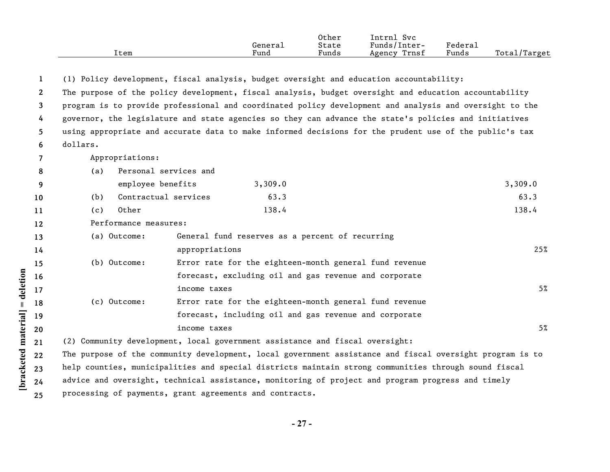|      |         | Other                                              | Svc<br>'ntrnl   |                       |                  |
|------|---------|----------------------------------------------------|-----------------|-----------------------|------------------|
|      | General | State                                              | Funds/Inter-    | $"$ edera $\lrcorner$ |                  |
| ltem | Funa    | $\sim$ $\sim$ $\sim$ $\sim$ $\sim$ $\sim$<br>Funds | Trnsf<br>Agency | Funds                 | Total,<br>Target |

**1** (1) Policy development, fiscal analysis, budget oversight and education accountability:

**2 3 4 5 6** The purpose of the policy development, fiscal analysis, budget oversight and education accountability program is to provide professional and coordinated policy development and analysis and oversight to the governor, the legislature and state agencies so they can advance the state's policies and initiatives using appropriate and accurate data to make informed decisions for the prudent use of the public's tax dollars.

**7** Appropriations:

|                 | (a)   | Personal services and |         |         |
|-----------------|-------|-----------------------|---------|---------|
|                 |       | employee benefits     | 3,309.0 | 3,309.0 |
| 10 <sup>°</sup> | (b)   | Contractual services  | 63.3    | 63.3    |
| 11              | ( C ) | Other                 | 138.4   | 138.4   |

**12** Performance measures:

**[bracketed material] = deletion**

[bracketed material] = deletion

|                          | (a) Outcome: | General fund reserves as a percent of recurring                                                                                                                                                                                                                                                                                                                                                                                                                          |     |
|--------------------------|--------------|--------------------------------------------------------------------------------------------------------------------------------------------------------------------------------------------------------------------------------------------------------------------------------------------------------------------------------------------------------------------------------------------------------------------------------------------------------------------------|-----|
|                          |              | appropriations                                                                                                                                                                                                                                                                                                                                                                                                                                                           | 25% |
|                          | (b) Outcome: | Error rate for the eighteen-month general fund revenue                                                                                                                                                                                                                                                                                                                                                                                                                   |     |
|                          |              | forecast, excluding oil and gas revenue and corporate                                                                                                                                                                                                                                                                                                                                                                                                                    |     |
|                          |              | income taxes                                                                                                                                                                                                                                                                                                                                                                                                                                                             | 5%  |
|                          | (c) Outcome: | Error rate for the eighteen-month general fund revenue                                                                                                                                                                                                                                                                                                                                                                                                                   |     |
|                          |              | forecast, including oil and gas revenue and corporate                                                                                                                                                                                                                                                                                                                                                                                                                    |     |
|                          |              | income taxes                                                                                                                                                                                                                                                                                                                                                                                                                                                             | 5%  |
| $\overline{\phantom{a}}$ |              | $\bullet$ . The state of the state of the state of the state of the state of the state of the state of the state of the state of the state of the state of the state of the state of the state of the state of the state of the st<br>$\bullet$ . The contract of the contract of the contract of the contract of the contract of the contract of the contract of the contract of the contract of the contract of the contract of the contract of the contract of the co |     |

**21** (2) Community development, local government assistance and fiscal oversight:

**22 23 24 25** The purpose of the community development, local government assistance and fiscal oversight program is to help counties, municipalities and special districts maintain strong communities through sound fiscal advice and oversight, technical assistance, monitoring of project and program progress and timely processing of payments, grant agreements and contracts.

**- 27 -**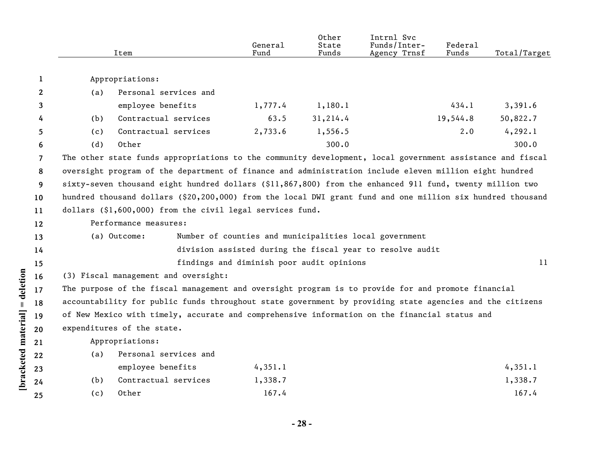|    |     | Item                                                                                                       | General<br>Fund                                        | Other<br>State<br>Funds | Intrnl Svc<br>Funds/Inter-<br>Agency Trnsf                | Federal<br>Funds | Total/Target |
|----|-----|------------------------------------------------------------------------------------------------------------|--------------------------------------------------------|-------------------------|-----------------------------------------------------------|------------------|--------------|
| 1  |     | Appropriations:                                                                                            |                                                        |                         |                                                           |                  |              |
| 2  | (a) | Personal services and                                                                                      |                                                        |                         |                                                           |                  |              |
| 3  |     | employee benefits                                                                                          | 1,777.4                                                | 1,180.1                 |                                                           | 434.1            | 3,391.6      |
| 4  | (b) | Contractual services                                                                                       | 63.5                                                   | 31,214.4                |                                                           | 19,544.8         | 50,822.7     |
| 5  | (c) | Contractual services                                                                                       | 2,733.6                                                | 1,556.5                 |                                                           | 2.0              | 4, 292.1     |
| 6  | (d) | Other                                                                                                      |                                                        | 300.0                   |                                                           |                  | 300.0        |
| 7  |     | The other state funds appropriations to the community development, local government assistance and fiscal  |                                                        |                         |                                                           |                  |              |
| 8  |     | oversight program of the department of finance and administration include eleven million eight hundred     |                                                        |                         |                                                           |                  |              |
| 9  |     | sixty-seven thousand eight hundred dollars (\$11,867,800) from the enhanced 911 fund, twenty million two   |                                                        |                         |                                                           |                  |              |
| 10 |     | hundred thousand dollars (\$20,200,000) from the local DWI grant fund and one million six hundred thousand |                                                        |                         |                                                           |                  |              |
| 11 |     | dollars (\$1,600,000) from the civil legal services fund.                                                  |                                                        |                         |                                                           |                  |              |
| 12 |     | Performance measures:                                                                                      |                                                        |                         |                                                           |                  |              |
| 13 |     | (a) Outcome:                                                                                               | Number of counties and municipalities local government |                         |                                                           |                  |              |
| 14 |     |                                                                                                            |                                                        |                         | division assisted during the fiscal year to resolve audit |                  |              |
| 15 |     |                                                                                                            | findings and diminish poor audit opinions              |                         |                                                           |                  | 11           |
| 16 |     | (3) Fiscal management and oversight:                                                                       |                                                        |                         |                                                           |                  |              |
| 17 |     | The purpose of the fiscal management and oversight program is to provide for and promote financial         |                                                        |                         |                                                           |                  |              |
| 18 |     | accountability for public funds throughout state government by providing state agencies and the citizens   |                                                        |                         |                                                           |                  |              |
| 19 |     | of New Mexico with timely, accurate and comprehensive information on the financial status and              |                                                        |                         |                                                           |                  |              |
| 20 |     | expenditures of the state.                                                                                 |                                                        |                         |                                                           |                  |              |
| 21 |     | Appropriations:                                                                                            |                                                        |                         |                                                           |                  |              |
| 22 | (a) | Personal services and                                                                                      |                                                        |                         |                                                           |                  |              |
| 23 |     | employee benefits                                                                                          | 4,351.1                                                |                         |                                                           |                  | 4,351.1      |
| 24 | (b) | Contractual services                                                                                       | 1,338.7                                                |                         |                                                           |                  | 1,338.7      |
| 25 | (c) | Other                                                                                                      | 167.4                                                  |                         |                                                           |                  | 167.4        |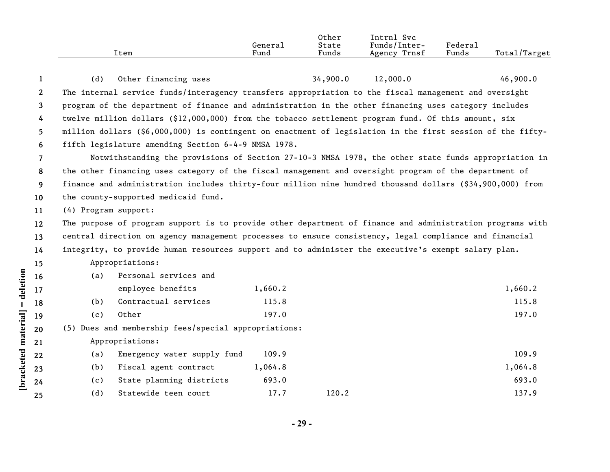|      |         | Other | Intrnl<br>Svc                |         |                    |
|------|---------|-------|------------------------------|---------|--------------------|
|      | Generai | State | $\mathbf{r}$<br>Funds/lnter- | Federau |                    |
| Item | Fund    | Funds | Trnsf<br>Agency              | Funds   | Total,<br>./Target |

| 1                     | (d)                  | Other financing uses                                                                                       |         | 34,900.0 | 12,000.0 | 46,900.0 |
|-----------------------|----------------------|------------------------------------------------------------------------------------------------------------|---------|----------|----------|----------|
| $\mathbf{2}^{\prime}$ |                      | The internal service funds/interagency transfers appropriation to the fiscal management and oversight      |         |          |          |          |
| 3                     |                      | program of the department of finance and administration in the other financing uses category includes      |         |          |          |          |
| 4                     |                      | twelve million dollars (\$12,000,000) from the tobacco settlement program fund. Of this amount, six        |         |          |          |          |
| 5.                    |                      | million dollars (\$6,000,000) is contingent on enactment of legislation in the first session of the fifty- |         |          |          |          |
| 6                     |                      | fifth legislature amending Section 6-4-9 NMSA 1978.                                                        |         |          |          |          |
| $\overline{7}$        |                      | Notwithstanding the provisions of Section 27-10-3 NMSA 1978, the other state funds appropriation in        |         |          |          |          |
| 8                     |                      | the other financing uses category of the fiscal management and oversight program of the department of      |         |          |          |          |
| 9                     |                      | finance and administration includes thirty-four million nine hundred thousand dollars (\$34,900,000) from  |         |          |          |          |
| 10                    |                      | the county-supported medicaid fund.                                                                        |         |          |          |          |
| 11                    | (4) Program support: |                                                                                                            |         |          |          |          |
| $12 \,$               |                      | The purpose of program support is to provide other department of finance and administration programs with  |         |          |          |          |
| 13                    |                      | central direction on agency management processes to ensure consistency, legal compliance and financial     |         |          |          |          |
| 14                    |                      | integrity, to provide human resources support and to administer the executive's exempt salary plan.        |         |          |          |          |
| 15                    |                      | Appropriations:                                                                                            |         |          |          |          |
| 16                    | (a)                  | Personal services and                                                                                      |         |          |          |          |
| 17                    |                      | employee benefits                                                                                          | 1,660.2 |          |          | 1,660.2  |
| 18                    | (b)                  | Contractual services                                                                                       | 115.8   |          |          | 115.8    |
| 19                    | (c)                  | Other                                                                                                      | 197.0   |          |          | 197.0    |
| 20                    |                      | (5) Dues and membership fees/special appropriations:                                                       |         |          |          |          |
| 21                    |                      | Appropriations:                                                                                            |         |          |          |          |
| 22                    | (a)                  | Emergency water supply fund                                                                                | 109.9   |          |          | 109.9    |
| 23                    | (b)                  | Fiscal agent contract                                                                                      | 1,064.8 |          |          | 1,064.8  |
| 24                    | (c)                  | State planning districts                                                                                   | 693.0   |          |          | 693.0    |
| 25                    | (d)                  | Statewide teen court                                                                                       | 17.7    | 120.2    |          | 137.9    |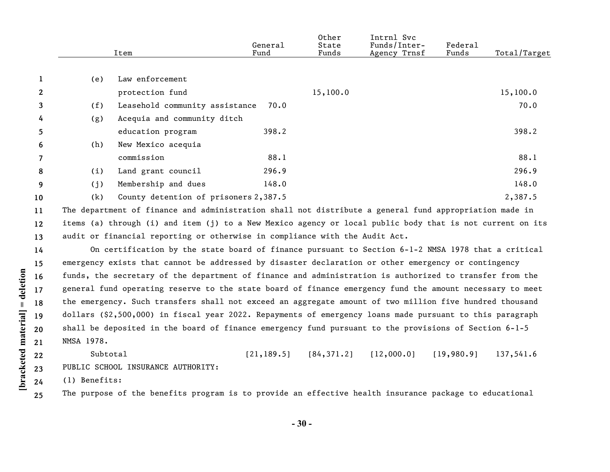|                   |            | Item                                                                                                      | General<br>Fund | Other<br>State<br>Funds | Intrnl Svc<br>Funds/Inter-<br>Agency Trnsf | Federal<br>Funds | Total/Target |
|-------------------|------------|-----------------------------------------------------------------------------------------------------------|-----------------|-------------------------|--------------------------------------------|------------------|--------------|
|                   |            |                                                                                                           |                 |                         |                                            |                  |              |
| 1                 | (e)        | Law enforcement                                                                                           |                 |                         |                                            |                  |              |
| $\mathbf{2}$      |            | protection fund                                                                                           |                 | 15,100.0                |                                            |                  | 15,100.0     |
| 3                 | (f)        | Leasehold community assistance                                                                            | 70.0            |                         |                                            |                  | 70.0         |
| 4                 | (g)        | Acequia and community ditch                                                                               |                 |                         |                                            |                  |              |
| 5.                |            | education program                                                                                         | 398.2           |                         |                                            |                  | 398.2        |
| 6                 | (h)        | New Mexico acequia                                                                                        |                 |                         |                                            |                  |              |
| 7                 |            | commission                                                                                                | 88.1            |                         |                                            |                  | 88.1         |
| 8                 | (i)        | Land grant council                                                                                        | 296.9           |                         |                                            |                  | 296.9        |
| 9                 | (j)        | Membership and dues                                                                                       | 148.0           |                         |                                            |                  | 148.0        |
| 10                | (k)        | County detention of prisoners 2,387.5                                                                     |                 |                         |                                            |                  | 2,387.5      |
| 11                |            | The department of finance and administration shall not distribute a general fund appropriation made in    |                 |                         |                                            |                  |              |
| $12 \overline{ }$ |            | items (a) through (i) and item (j) to a New Mexico agency or local public body that is not current on its |                 |                         |                                            |                  |              |
| 13                |            | audit or financial reporting or otherwise in compliance with the Audit Act.                               |                 |                         |                                            |                  |              |
| 14                |            | On certification by the state board of finance pursuant to Section 6-1-2 NMSA 1978 that a critical        |                 |                         |                                            |                  |              |
| 15                |            | emergency exists that cannot be addressed by disaster declaration or other emergency or contingency       |                 |                         |                                            |                  |              |
| 16                |            | funds, the secretary of the department of finance and administration is authorized to transfer from the   |                 |                         |                                            |                  |              |
| 17                |            | general fund operating reserve to the state board of finance emergency fund the amount necessary to meet  |                 |                         |                                            |                  |              |
| 18                |            | the emergency. Such transfers shall not exceed an aggregate amount of two million five hundred thousand   |                 |                         |                                            |                  |              |
| 19                |            | dollars (\$2,500,000) in fiscal year 2022. Repayments of emergency loans made pursuant to this paragraph  |                 |                         |                                            |                  |              |
| 20                |            | shall be deposited in the board of finance emergency fund pursuant to the provisions of Section 6-1-5     |                 |                         |                                            |                  |              |
| 21                | NMSA 1978. |                                                                                                           |                 |                         |                                            |                  |              |

**22 23** Subtotal [21,189.5] [84,371.2] [12,000.0] [19,980.9] 137,541.6 PUBLIC SCHOOL INSURANCE AUTHORITY:

**24** (1) Benefits:

**[bracketed material] = deletion**

[bracketed material] = deletion

**25** The purpose of the benefits program is to provide an effective health insurance package to educational

**- 30 -**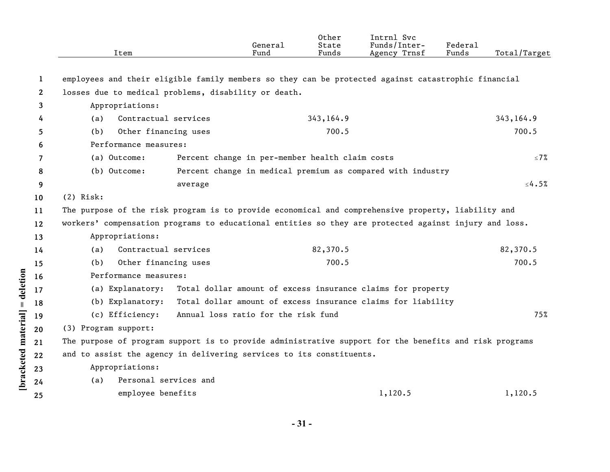|              | Item                         | General<br>Fund                                                                                        | Other<br>State<br>Funds | Intrnl Svc<br>Funds/Inter-<br>Agency Trnsf | Federal<br>Funds | Total/Target |
|--------------|------------------------------|--------------------------------------------------------------------------------------------------------|-------------------------|--------------------------------------------|------------------|--------------|
| 1            |                              | employees and their eligible family members so they can be protected against catastrophic financial    |                         |                                            |                  |              |
| $\mathbf{2}$ |                              | losses due to medical problems, disability or death.                                                   |                         |                                            |                  |              |
| 3            | Appropriations:              |                                                                                                        |                         |                                            |                  |              |
| 4            | Contractual services<br>(a)  |                                                                                                        | 343,164.9               |                                            |                  | 343, 164.9   |
| 5            | Other financing uses<br>(b)  |                                                                                                        | 700.5                   |                                            |                  | 700.5        |
| 6            | Performance measures:        |                                                                                                        |                         |                                            |                  |              |
| 7            | (a) Outcome:                 | Percent change in per-member health claim costs                                                        |                         |                                            |                  | $\leq 7\%$   |
| 8            | (b) Outcome:                 | Percent change in medical premium as compared with industry                                            |                         |                                            |                  |              |
| 9            |                              | average                                                                                                |                         |                                            |                  | $\leq 4.5\%$ |
| 10           | $(2)$ Risk:                  |                                                                                                        |                         |                                            |                  |              |
| 11           |                              | The purpose of the risk program is to provide economical and comprehensive property, liability and     |                         |                                            |                  |              |
| 12           |                              | workers' compensation programs to educational entities so they are protected against injury and loss.  |                         |                                            |                  |              |
| 13           | Appropriations:              |                                                                                                        |                         |                                            |                  |              |
| 14           | Contractual services<br>(a)  |                                                                                                        | 82,370.5                |                                            |                  | 82,370.5     |
| 15           | Other financing uses<br>(b)  |                                                                                                        | 700.5                   |                                            |                  | 700.5        |
| 16           | Performance measures:        |                                                                                                        |                         |                                            |                  |              |
| 17           |                              | (a) Explanatory: Total dollar amount of excess insurance claims for property                           |                         |                                            |                  |              |
| 18           | (b) Explanatory:             | Total dollar amount of excess insurance claims for liability                                           |                         |                                            |                  |              |
| 19           | (c) Efficiency:              | Annual loss ratio for the risk fund                                                                    |                         |                                            |                  | 75%          |
| 20           | (3) Program support:         |                                                                                                        |                         |                                            |                  |              |
| 21           |                              | The purpose of program support is to provide administrative support for the benefits and risk programs |                         |                                            |                  |              |
| 22           |                              | and to assist the agency in delivering services to its constituents.                                   |                         |                                            |                  |              |
| 23           | Appropriations:              |                                                                                                        |                         |                                            |                  |              |
| 24           | Personal services and<br>(a) |                                                                                                        |                         |                                            |                  |              |
| 25           | employee benefits            |                                                                                                        |                         | 1,120.5                                    |                  | 1,120.5      |

[bracketed material] = deletion

**- 31 -**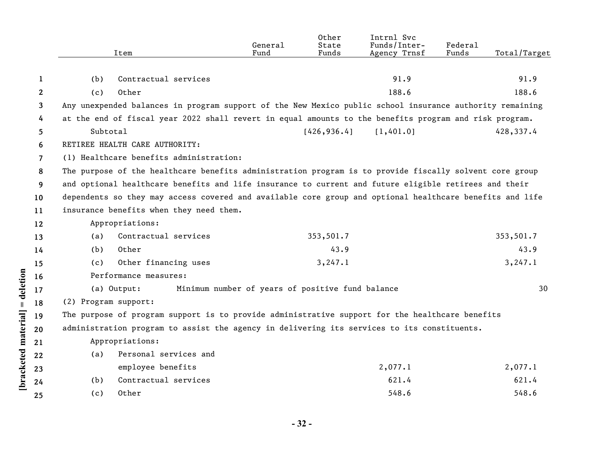|                    |              | Item                                                                                                     | General<br>Fund                                  | Other<br>State<br>Funds | Intrnl Svc<br>Funds/Inter-<br>Agency Trnsf | Federal<br>Funds | Total/Target |
|--------------------|--------------|----------------------------------------------------------------------------------------------------------|--------------------------------------------------|-------------------------|--------------------------------------------|------------------|--------------|
|                    |              |                                                                                                          |                                                  |                         |                                            |                  |              |
|                    | 1            | Contractual services<br>(b)                                                                              |                                                  |                         | 91.9                                       |                  | 91.9         |
|                    | $\mathbf{2}$ | Other<br>(c)                                                                                             |                                                  |                         | 188.6                                      |                  | 188.6        |
|                    | 3            | Any unexpended balances in program support of the New Mexico public school insurance authority remaining |                                                  |                         |                                            |                  |              |
|                    | 4            | at the end of fiscal year 2022 shall revert in equal amounts to the benefits program and risk program.   |                                                  |                         |                                            |                  |              |
|                    | 5            | Subtotal                                                                                                 |                                                  | [426, 936.4]            | [1,401.0]                                  |                  | 428,337.4    |
|                    | 6            | RETIREE HEALTH CARE AUTHORITY:                                                                           |                                                  |                         |                                            |                  |              |
|                    | 7            | (1) Healthcare benefits administration:                                                                  |                                                  |                         |                                            |                  |              |
|                    | 8            | The purpose of the healthcare benefits administration program is to provide fiscally solvent core group  |                                                  |                         |                                            |                  |              |
|                    | 9            | and optional healthcare benefits and life insurance to current and future eligible retirees and their    |                                                  |                         |                                            |                  |              |
|                    | 10           | dependents so they may access covered and available core group and optional healthcare benefits and life |                                                  |                         |                                            |                  |              |
|                    | 11           | insurance benefits when they need them.                                                                  |                                                  |                         |                                            |                  |              |
|                    | 12           | Appropriations:                                                                                          |                                                  |                         |                                            |                  |              |
|                    | 13           | Contractual services<br>(a)                                                                              |                                                  | 353,501.7               |                                            |                  | 353,501.7    |
|                    | 14           | Other<br>(b)                                                                                             |                                                  | 43.9                    |                                            |                  | 43.9         |
|                    | 15           | Other financing uses<br>(c)                                                                              |                                                  | 3, 247.1                |                                            |                  | 3, 247.1     |
|                    | 16           | Performance measures:                                                                                    |                                                  |                         |                                            |                  |              |
| $=$ deletion       | 17           | (a) Output:                                                                                              | Minimum number of years of positive fund balance |                         |                                            |                  | 30           |
|                    | 18           | (2) Program support:                                                                                     |                                                  |                         |                                            |                  |              |
|                    | 19           | The purpose of program support is to provide administrative support for the healthcare benefits          |                                                  |                         |                                            |                  |              |
|                    | 20           | administration program to assist the agency in delivering its services to its constituents.              |                                                  |                         |                                            |                  |              |
|                    | 21           | Appropriations:                                                                                          |                                                  |                         |                                            |                  |              |
|                    | 22           | Personal services and<br>(a)                                                                             |                                                  |                         |                                            |                  |              |
| bracketed material | 23           | employee benefits                                                                                        |                                                  |                         | 2,077.1                                    |                  | 2,077.1      |
|                    | 24           | Contractual services<br>(b)                                                                              |                                                  |                         | 621.4                                      |                  | 621.4        |
|                    | 25           | Other<br>(c)                                                                                             |                                                  |                         | 548.6                                      |                  | 548.6        |
|                    |              |                                                                                                          |                                                  |                         |                                            |                  |              |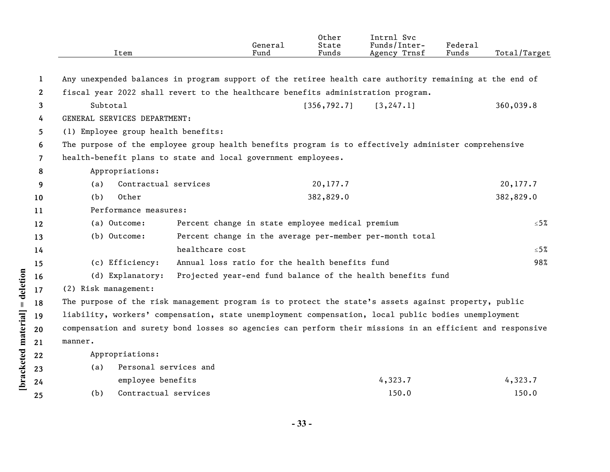| Any unexpended balances in program support of the retiree health care authority remaining at the end of<br>1<br>fiscal year 2022 shall revert to the healthcare benefits administration program.<br>$\mathbf{2}$ | 360,039.8     |
|------------------------------------------------------------------------------------------------------------------------------------------------------------------------------------------------------------------|---------------|
|                                                                                                                                                                                                                  |               |
|                                                                                                                                                                                                                  |               |
|                                                                                                                                                                                                                  |               |
| Subtotal<br>[356, 792.7]<br>[3, 247.1]<br>3                                                                                                                                                                      |               |
| GENERAL SERVICES DEPARTMENT:<br>4                                                                                                                                                                                |               |
| (1) Employee group health benefits:<br>5                                                                                                                                                                         |               |
| The purpose of the employee group health benefits program is to effectively administer comprehensive<br>6                                                                                                        |               |
| health-benefit plans to state and local government employees.<br>$\overline{7}$                                                                                                                                  |               |
| Appropriations:<br>8                                                                                                                                                                                             |               |
| Contractual services<br>20,177.7<br>(a)<br>9                                                                                                                                                                     | 20,177.7      |
| Other<br>382,829.0<br>(b)<br>10                                                                                                                                                                                  | 382,829.0     |
| Performance measures:<br>11                                                                                                                                                                                      |               |
| Percent change in state employee medical premium<br>(a) Outcome:<br>12                                                                                                                                           | $\leq 5\%$    |
| (b) Outcome:<br>Percent change in the average per-member per-month total<br>13                                                                                                                                   |               |
| healthcare cost<br>14                                                                                                                                                                                            | ${\leq}5\,\%$ |
| Annual loss ratio for the health benefits fund<br>(c) Efficiency:<br>15                                                                                                                                          | 98%           |
| Projected year-end fund balance of the health benefits fund<br>(d) Explanatory:<br>16                                                                                                                            |               |
| (2) Risk management:<br>17                                                                                                                                                                                       |               |
| = deletion<br>The purpose of the risk management program is to protect the state's assets against property, public<br>18                                                                                         |               |
| liability, workers' compensation, state unemployment compensation, local public bodies unemployment<br>19                                                                                                        |               |
| compensation and surety bond losses so agencies can perform their missions in an efficient and responsive<br>20                                                                                                  |               |
| manner.<br>21                                                                                                                                                                                                    |               |
| Appropriations:<br>22                                                                                                                                                                                            |               |
| Personal services and<br>(a)<br>23                                                                                                                                                                               |               |
| bracketed material<br>employee benefits<br>4,323.7<br>24                                                                                                                                                         | 4,323.7       |
| Contractual services<br>150.0<br>(b)<br>25                                                                                                                                                                       | 150.0         |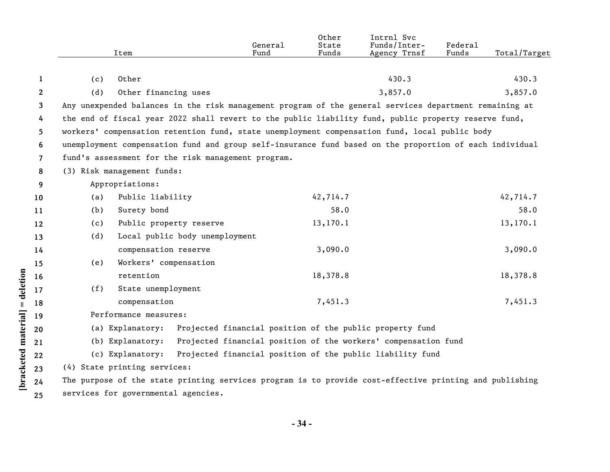|                      |              |                                                                                                         | Item                    |                                                          | General<br>Fund | State<br>Funds | Intrnl Svc<br>Funds/Inter-<br>Agency Trnsf                     | Federal<br>Funds | Total/Target |  |
|----------------------|--------------|---------------------------------------------------------------------------------------------------------|-------------------------|----------------------------------------------------------|-----------------|----------------|----------------------------------------------------------------|------------------|--------------|--|
|                      |              |                                                                                                         |                         |                                                          |                 |                |                                                                |                  |              |  |
|                      | 1            | (c)                                                                                                     | Other                   |                                                          |                 |                | 430.3                                                          |                  | 430.3        |  |
|                      | $\mathbf{2}$ | (d)                                                                                                     | Other financing uses    |                                                          |                 |                | 3,857.0                                                        |                  | 3,857.0      |  |
|                      | 3            | Any unexpended balances in the risk management program of the general services department remaining at  |                         |                                                          |                 |                |                                                                |                  |              |  |
|                      | 4            | the end of fiscal year 2022 shall revert to the public liability fund, public property reserve fund,    |                         |                                                          |                 |                |                                                                |                  |              |  |
|                      | 5            | workers' compensation retention fund, state unemployment compensation fund, local public body           |                         |                                                          |                 |                |                                                                |                  |              |  |
|                      | 6            | unemployment compensation fund and group self-insurance fund based on the proportion of each individual |                         |                                                          |                 |                |                                                                |                  |              |  |
|                      | 7            | fund's assessment for the risk management program.                                                      |                         |                                                          |                 |                |                                                                |                  |              |  |
|                      | 8            | (3) Risk management funds:                                                                              |                         |                                                          |                 |                |                                                                |                  |              |  |
|                      | 9            |                                                                                                         | Appropriations:         |                                                          |                 |                |                                                                |                  |              |  |
|                      | 10           | (a)                                                                                                     | Public liability        |                                                          |                 | 42,714.7       |                                                                |                  | 42,714.7     |  |
|                      | 11           | (b)                                                                                                     | Surety bond             |                                                          |                 | 58.0           |                                                                |                  | 58.0         |  |
|                      | 12           | (c)                                                                                                     | Public property reserve |                                                          |                 | 13,170.1       |                                                                |                  | 13,170.1     |  |
|                      | 13           | (d)                                                                                                     |                         | Local public body unemployment                           |                 |                |                                                                |                  |              |  |
|                      | 14           |                                                                                                         | compensation reserve    |                                                          |                 | 3,090.0        |                                                                |                  | 3,090.0      |  |
|                      | 15           | (e)                                                                                                     | Workers' compensation   |                                                          |                 |                |                                                                |                  |              |  |
| = deletion           | 16           |                                                                                                         | retention               |                                                          |                 | 18,378.8       |                                                                |                  | 18,378.8     |  |
|                      | 17           | (f)                                                                                                     | State unemployment      |                                                          |                 |                |                                                                |                  |              |  |
|                      | 18           |                                                                                                         | compensation            |                                                          |                 | 7,451.3        |                                                                |                  | 7,451.3      |  |
|                      | 19           | Performance measures:                                                                                   |                         |                                                          |                 |                |                                                                |                  |              |  |
|                      | 20           |                                                                                                         | (a) Explanatory:        | Projected financial position of the public property fund |                 |                |                                                                |                  |              |  |
|                      | 21           |                                                                                                         | (b) Explanatory:        |                                                          |                 |                | Projected financial position of the workers' compensation fund |                  |              |  |
|                      | 22           |                                                                                                         | (c) Explanatory:        |                                                          |                 |                | Projected financial position of the public liability fund      |                  |              |  |
| [bracketed material] | 23           | (4) State printing services:                                                                            |                         |                                                          |                 |                |                                                                |                  |              |  |
|                      | 24           | The purpose of the state printing services program is to provide cost-effective printing and publishing |                         |                                                          |                 |                |                                                                |                  |              |  |
|                      | 25           | services for governmental agencies.                                                                     |                         |                                                          |                 |                |                                                                |                  |              |  |

**- 34 -**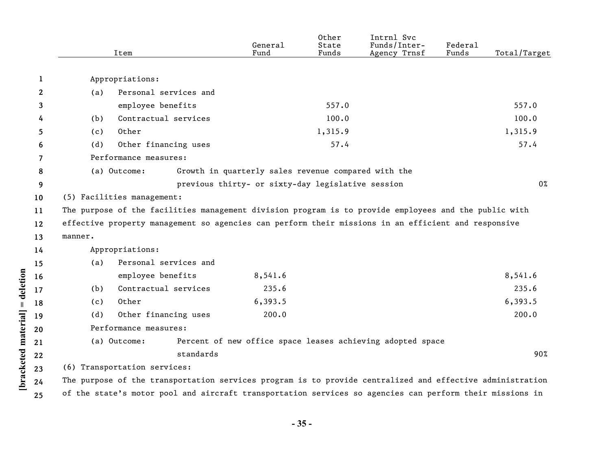| $\mathbf{1}$<br>Appropriations:<br>$\mathbf{2}$<br>Personal services and<br>(a)<br>557.0<br>employee benefits<br>3<br>100.0<br>Contractual services<br>100.0<br>(b)<br>4<br>1,315.9<br>1,315.9<br>5<br>Other<br>(c)<br>Other financing uses<br>57.4<br>(d)<br>6<br>Performance measures:<br>7<br>Growth in quarterly sales revenue compared with the<br>8<br>(a) Outcome:<br>previous thirty- or sixty-day legislative session<br>9<br>(5) Facilities management:<br>10 | Total/Target |  |  |  |  |  |  |
|-------------------------------------------------------------------------------------------------------------------------------------------------------------------------------------------------------------------------------------------------------------------------------------------------------------------------------------------------------------------------------------------------------------------------------------------------------------------------|--------------|--|--|--|--|--|--|
|                                                                                                                                                                                                                                                                                                                                                                                                                                                                         |              |  |  |  |  |  |  |
|                                                                                                                                                                                                                                                                                                                                                                                                                                                                         |              |  |  |  |  |  |  |
|                                                                                                                                                                                                                                                                                                                                                                                                                                                                         | 557.0        |  |  |  |  |  |  |
|                                                                                                                                                                                                                                                                                                                                                                                                                                                                         |              |  |  |  |  |  |  |
|                                                                                                                                                                                                                                                                                                                                                                                                                                                                         |              |  |  |  |  |  |  |
|                                                                                                                                                                                                                                                                                                                                                                                                                                                                         |              |  |  |  |  |  |  |
|                                                                                                                                                                                                                                                                                                                                                                                                                                                                         | 57.4         |  |  |  |  |  |  |
|                                                                                                                                                                                                                                                                                                                                                                                                                                                                         |              |  |  |  |  |  |  |
|                                                                                                                                                                                                                                                                                                                                                                                                                                                                         |              |  |  |  |  |  |  |
|                                                                                                                                                                                                                                                                                                                                                                                                                                                                         | $0\%$        |  |  |  |  |  |  |
|                                                                                                                                                                                                                                                                                                                                                                                                                                                                         |              |  |  |  |  |  |  |
| The purpose of the facilities management division program is to provide employees and the public with<br>11                                                                                                                                                                                                                                                                                                                                                             |              |  |  |  |  |  |  |
| effective property management so agencies can perform their missions in an efficient and responsive<br>12                                                                                                                                                                                                                                                                                                                                                               |              |  |  |  |  |  |  |
| manner.<br>13                                                                                                                                                                                                                                                                                                                                                                                                                                                           |              |  |  |  |  |  |  |
| Appropriations:<br>14                                                                                                                                                                                                                                                                                                                                                                                                                                                   |              |  |  |  |  |  |  |
| Personal services and<br>(a)<br>15                                                                                                                                                                                                                                                                                                                                                                                                                                      |              |  |  |  |  |  |  |
| employee benefits<br>8,541.6<br>8,541.6<br>16                                                                                                                                                                                                                                                                                                                                                                                                                           |              |  |  |  |  |  |  |
| 235.6<br>Contractual services<br>(b)<br>17                                                                                                                                                                                                                                                                                                                                                                                                                              | 235.6        |  |  |  |  |  |  |
| Other<br>6,393.5<br>6,393.5<br>(c)<br>18                                                                                                                                                                                                                                                                                                                                                                                                                                |              |  |  |  |  |  |  |
| Other financing uses<br>200.0<br>(d)<br>19                                                                                                                                                                                                                                                                                                                                                                                                                              | 200.0        |  |  |  |  |  |  |
| Performance measures:                                                                                                                                                                                                                                                                                                                                                                                                                                                   |              |  |  |  |  |  |  |
| Percent of new office space leases achieving adopted space<br>(a) Outcome:<br>21                                                                                                                                                                                                                                                                                                                                                                                        |              |  |  |  |  |  |  |
| [bracketed material] = deletion<br>standards<br>22                                                                                                                                                                                                                                                                                                                                                                                                                      | 90%          |  |  |  |  |  |  |
| (6) Transportation services:                                                                                                                                                                                                                                                                                                                                                                                                                                            |              |  |  |  |  |  |  |
| The purpose of the transportation services program is to provide centralized and effective administration                                                                                                                                                                                                                                                                                                                                                               |              |  |  |  |  |  |  |
| 24<br>of the state's motor pool and aircraft transportation services so agencies can perform their missions in<br>25                                                                                                                                                                                                                                                                                                                                                    |              |  |  |  |  |  |  |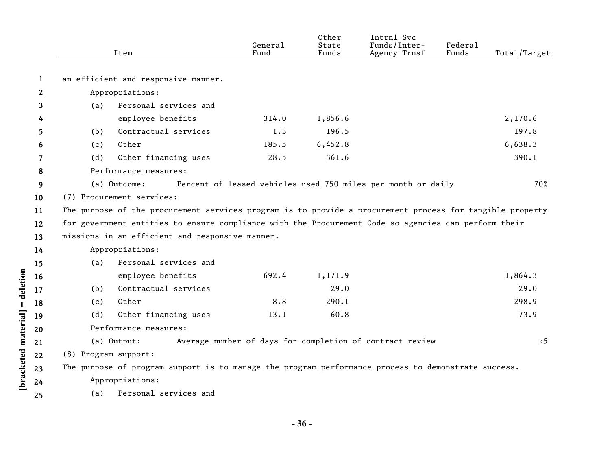|                      |              |                                                                                                           | Item                                | General<br>Fund | Other<br>State<br>Funds | Intrnl Svc<br>Funds/Inter-<br>Agency Trnsf                   | Federal<br>Funds | Total/Target |  |  |
|----------------------|--------------|-----------------------------------------------------------------------------------------------------------|-------------------------------------|-----------------|-------------------------|--------------------------------------------------------------|------------------|--------------|--|--|
|                      | $\mathbf{1}$ |                                                                                                           | an efficient and responsive manner. |                 |                         |                                                              |                  |              |  |  |
|                      | $\mathbf{2}$ | Appropriations:                                                                                           |                                     |                 |                         |                                                              |                  |              |  |  |
|                      | 3            | (a)                                                                                                       | Personal services and               |                 |                         |                                                              |                  |              |  |  |
|                      | 4            |                                                                                                           | employee benefits                   | 314.0           | 1,856.6                 |                                                              |                  | 2,170.6      |  |  |
|                      | 5            | (b)                                                                                                       | Contractual services                | 1.3             | 196.5                   |                                                              |                  | 197.8        |  |  |
|                      | 6            | (c)                                                                                                       | Other                               | 185.5           | 6,452.8                 |                                                              |                  | 6,638.3      |  |  |
|                      | 7            | (d)                                                                                                       | Other financing uses                | 28.5            | 361.6                   |                                                              |                  | 390.1        |  |  |
|                      | 8            | Performance measures:                                                                                     |                                     |                 |                         |                                                              |                  |              |  |  |
|                      | 9            |                                                                                                           | (a) Outcome:                        |                 |                         | Percent of leased vehicles used 750 miles per month or daily |                  | 70%          |  |  |
|                      | 10           | (7) Procurement services:                                                                                 |                                     |                 |                         |                                                              |                  |              |  |  |
|                      | 11           | The purpose of the procurement services program is to provide a procurement process for tangible property |                                     |                 |                         |                                                              |                  |              |  |  |
|                      | 12           | for government entities to ensure compliance with the Procurement Code so agencies can perform their      |                                     |                 |                         |                                                              |                  |              |  |  |
|                      | 13           | missions in an efficient and responsive manner.                                                           |                                     |                 |                         |                                                              |                  |              |  |  |
|                      | 14           | Appropriations:                                                                                           |                                     |                 |                         |                                                              |                  |              |  |  |
|                      | 15           | (a)                                                                                                       | Personal services and               |                 |                         |                                                              |                  |              |  |  |
|                      | 16           |                                                                                                           | employee benefits                   | 692.4           | 1,171.9                 |                                                              |                  | 1,864.3      |  |  |
| = deletion           | 17           | (b)                                                                                                       | Contractual services                |                 | 29.0                    |                                                              |                  | 29.0         |  |  |
|                      | 18           | (c)                                                                                                       | Other                               | 8.8             | 290.1                   |                                                              |                  | 298.9        |  |  |
|                      | 19           | (d)                                                                                                       | Other financing uses                | 13.1            | 60.8                    |                                                              |                  | 73.9         |  |  |
|                      | 20           |                                                                                                           | Performance measures:               |                 |                         |                                                              |                  |              |  |  |
|                      | 21           | Average number of days for completion of contract review<br>(a) Output:                                   |                                     |                 |                         |                                                              |                  | ≤5           |  |  |
|                      | 22           | (8) Program support:                                                                                      |                                     |                 |                         |                                                              |                  |              |  |  |
| [bracketed material] | 23           | The purpose of program support is to manage the program performance process to demonstrate success.       |                                     |                 |                         |                                                              |                  |              |  |  |
|                      | 24           | Appropriations:                                                                                           |                                     |                 |                         |                                                              |                  |              |  |  |
|                      | 25           | (a)                                                                                                       | Personal services and               |                 |                         |                                                              |                  |              |  |  |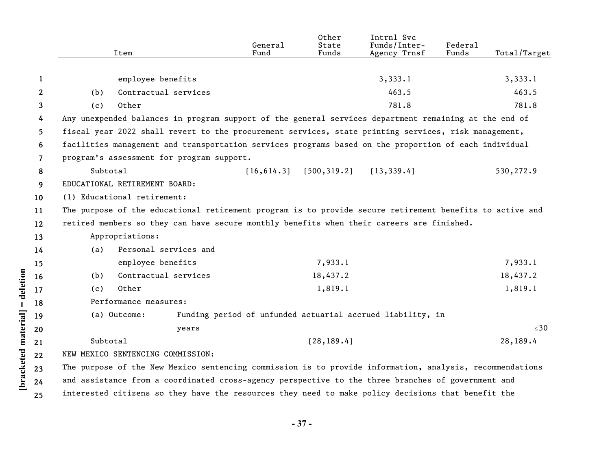|                       |          | Item                                                                                                     | General<br>Fund | Other<br>State<br>Funds | Intrnl Svc<br>Funds/Inter-<br>Agency Trnsf                 | Federal<br>Funds | Total/Target |
|-----------------------|----------|----------------------------------------------------------------------------------------------------------|-----------------|-------------------------|------------------------------------------------------------|------------------|--------------|
|                       |          |                                                                                                          |                 |                         |                                                            |                  |              |
| 1                     |          | employee benefits                                                                                        |                 |                         | 3,333.1                                                    |                  | 3,333.1      |
| $\mathbf{2}^{\prime}$ | (b)      | Contractual services                                                                                     |                 |                         | 463.5                                                      |                  | 463.5        |
| 3                     | (c)      | Other                                                                                                    |                 |                         | 781.8                                                      |                  | 781.8        |
| 4                     |          | Any unexpended balances in program support of the general services department remaining at the end of    |                 |                         |                                                            |                  |              |
| 5.                    |          | fiscal year 2022 shall revert to the procurement services, state printing services, risk management,     |                 |                         |                                                            |                  |              |
| 6                     |          | facilities management and transportation services programs based on the proportion of each individual    |                 |                         |                                                            |                  |              |
| $\overline{7}$        |          | program's assessment for program support.                                                                |                 |                         |                                                            |                  |              |
| 8                     | Subtotal |                                                                                                          | [16, 614.3]     | [500, 319.2]            | [13, 339.4]                                                |                  | 530,272.9    |
| 9                     |          | EDUCATIONAL RETIREMENT BOARD:                                                                            |                 |                         |                                                            |                  |              |
| 10                    |          | (1) Educational retirement:                                                                              |                 |                         |                                                            |                  |              |
| 11                    |          | The purpose of the educational retirement program is to provide secure retirement benefits to active and |                 |                         |                                                            |                  |              |
| $12 \,$               |          | retired members so they can have secure monthly benefits when their careers are finished.                |                 |                         |                                                            |                  |              |
| 13                    |          | Appropriations:                                                                                          |                 |                         |                                                            |                  |              |
| 14                    | (a)      | Personal services and                                                                                    |                 |                         |                                                            |                  |              |
| 15                    |          | employee benefits                                                                                        |                 | 7,933.1                 |                                                            |                  | 7,933.1      |
| 16                    | (b)      | Contractual services                                                                                     |                 | 18,437.2                |                                                            |                  | 18,437.2     |
| 17                    | (c)      | Other                                                                                                    |                 | 1,819.1                 |                                                            |                  | 1,819.1      |
| 18                    |          | Performance measures:                                                                                    |                 |                         |                                                            |                  |              |
| 19                    |          | (a) Outcome:                                                                                             |                 |                         | Funding period of unfunded actuarial accrued liability, in |                  |              |
| 20                    |          | years                                                                                                    |                 |                         |                                                            |                  | $\leq 30$    |
| 21                    | Subtotal |                                                                                                          |                 | [28, 189.4]             |                                                            |                  | 28,189.4     |
| 22                    |          | NEW MEXICO SENTENCING COMMISSION:                                                                        |                 |                         |                                                            |                  |              |
| 23                    |          | The purpose of the New Mexico sentencing commission is to provide information, analysis, recommendations |                 |                         |                                                            |                  |              |
| 24                    |          | and assistance from a coordinated cross-agency perspective to the three branches of government and       |                 |                         |                                                            |                  |              |
| 25                    |          | interested citizens so they have the resources they need to make policy decisions that benefit the       |                 |                         |                                                            |                  |              |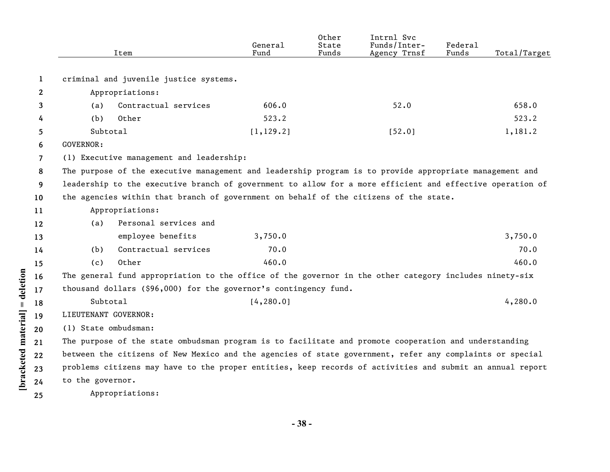|    |                  | Item                                   | General<br>Fund                                                                                 | Other<br>State<br>Funds                                | Intrnl Svc<br>Funds/Inter-<br>Agency Trnsf                       | Federal<br>Funds | Total/Target                                                                                                                                                                                                                                                                                                                                                                                                                                                                                                                                                                                                                                                                                                                                              |
|----|------------------|----------------------------------------|-------------------------------------------------------------------------------------------------|--------------------------------------------------------|------------------------------------------------------------------|------------------|-----------------------------------------------------------------------------------------------------------------------------------------------------------------------------------------------------------------------------------------------------------------------------------------------------------------------------------------------------------------------------------------------------------------------------------------------------------------------------------------------------------------------------------------------------------------------------------------------------------------------------------------------------------------------------------------------------------------------------------------------------------|
|    |                  |                                        |                                                                                                 |                                                        |                                                                  |                  |                                                                                                                                                                                                                                                                                                                                                                                                                                                                                                                                                                                                                                                                                                                                                           |
| 1  |                  | criminal and juvenile justice systems. |                                                                                                 |                                                        |                                                                  |                  |                                                                                                                                                                                                                                                                                                                                                                                                                                                                                                                                                                                                                                                                                                                                                           |
| 2  |                  | Appropriations:                        |                                                                                                 |                                                        |                                                                  |                  |                                                                                                                                                                                                                                                                                                                                                                                                                                                                                                                                                                                                                                                                                                                                                           |
| 3  | (a)              | Contractual services                   | 606.0                                                                                           |                                                        | 52.0                                                             |                  | 658.0                                                                                                                                                                                                                                                                                                                                                                                                                                                                                                                                                                                                                                                                                                                                                     |
| 4  | (b)              | Other                                  | 523.2                                                                                           |                                                        |                                                                  |                  | 523.2                                                                                                                                                                                                                                                                                                                                                                                                                                                                                                                                                                                                                                                                                                                                                     |
| 5  | Subtotal         |                                        | [1, 129.2]                                                                                      |                                                        | [52.0]                                                           |                  | 1,181.2                                                                                                                                                                                                                                                                                                                                                                                                                                                                                                                                                                                                                                                                                                                                                   |
| 6  | <b>GOVERNOR:</b> |                                        |                                                                                                 |                                                        |                                                                  |                  |                                                                                                                                                                                                                                                                                                                                                                                                                                                                                                                                                                                                                                                                                                                                                           |
| 7  |                  |                                        |                                                                                                 |                                                        |                                                                  |                  |                                                                                                                                                                                                                                                                                                                                                                                                                                                                                                                                                                                                                                                                                                                                                           |
| 8  |                  |                                        |                                                                                                 |                                                        |                                                                  |                  |                                                                                                                                                                                                                                                                                                                                                                                                                                                                                                                                                                                                                                                                                                                                                           |
| 9  |                  |                                        |                                                                                                 |                                                        |                                                                  |                  |                                                                                                                                                                                                                                                                                                                                                                                                                                                                                                                                                                                                                                                                                                                                                           |
| 10 |                  |                                        |                                                                                                 |                                                        |                                                                  |                  |                                                                                                                                                                                                                                                                                                                                                                                                                                                                                                                                                                                                                                                                                                                                                           |
| 11 |                  |                                        |                                                                                                 |                                                        |                                                                  |                  |                                                                                                                                                                                                                                                                                                                                                                                                                                                                                                                                                                                                                                                                                                                                                           |
| 12 | (a)              | Personal services and                  |                                                                                                 |                                                        |                                                                  |                  |                                                                                                                                                                                                                                                                                                                                                                                                                                                                                                                                                                                                                                                                                                                                                           |
| 13 |                  | employee benefits                      | 3,750.0                                                                                         |                                                        |                                                                  |                  | 3,750.0                                                                                                                                                                                                                                                                                                                                                                                                                                                                                                                                                                                                                                                                                                                                                   |
| 14 | (b)              | Contractual services                   | 70.0                                                                                            |                                                        |                                                                  |                  | 70.0                                                                                                                                                                                                                                                                                                                                                                                                                                                                                                                                                                                                                                                                                                                                                      |
| 15 | (c)              | Other                                  | 460.0                                                                                           |                                                        |                                                                  |                  | 460.0                                                                                                                                                                                                                                                                                                                                                                                                                                                                                                                                                                                                                                                                                                                                                     |
| 16 |                  |                                        |                                                                                                 |                                                        |                                                                  |                  |                                                                                                                                                                                                                                                                                                                                                                                                                                                                                                                                                                                                                                                                                                                                                           |
| 17 |                  |                                        |                                                                                                 |                                                        |                                                                  |                  |                                                                                                                                                                                                                                                                                                                                                                                                                                                                                                                                                                                                                                                                                                                                                           |
| 18 |                  |                                        |                                                                                                 |                                                        |                                                                  |                  | 4,280.0                                                                                                                                                                                                                                                                                                                                                                                                                                                                                                                                                                                                                                                                                                                                                   |
| 19 |                  |                                        |                                                                                                 |                                                        |                                                                  |                  |                                                                                                                                                                                                                                                                                                                                                                                                                                                                                                                                                                                                                                                                                                                                                           |
| 20 |                  |                                        |                                                                                                 |                                                        |                                                                  |                  |                                                                                                                                                                                                                                                                                                                                                                                                                                                                                                                                                                                                                                                                                                                                                           |
| 21 |                  |                                        |                                                                                                 |                                                        |                                                                  |                  |                                                                                                                                                                                                                                                                                                                                                                                                                                                                                                                                                                                                                                                                                                                                                           |
| 22 |                  |                                        |                                                                                                 |                                                        |                                                                  |                  |                                                                                                                                                                                                                                                                                                                                                                                                                                                                                                                                                                                                                                                                                                                                                           |
| 23 |                  |                                        |                                                                                                 |                                                        |                                                                  |                  |                                                                                                                                                                                                                                                                                                                                                                                                                                                                                                                                                                                                                                                                                                                                                           |
| 24 |                  |                                        |                                                                                                 |                                                        |                                                                  |                  |                                                                                                                                                                                                                                                                                                                                                                                                                                                                                                                                                                                                                                                                                                                                                           |
| 25 |                  |                                        |                                                                                                 |                                                        |                                                                  |                  |                                                                                                                                                                                                                                                                                                                                                                                                                                                                                                                                                                                                                                                                                                                                                           |
|    |                  |                                        | Appropriations:<br>Subtotal<br>LIEUTENANT GOVERNOR:<br>(1) State ombudsman:<br>to the governor. | (1) Executive management and leadership:<br>[4, 280.0] | thousand dollars (\$96,000) for the governor's contingency fund. | Appropriations:  | The purpose of the executive management and leadership program is to provide appropriate management and<br>leadership to the executive branch of government to allow for a more efficient and effective operation of<br>the agencies within that branch of government on behalf of the citizens of the state.<br>The general fund appropriation to the office of the governor in the other category includes ninety-six<br>The purpose of the state ombudsman program is to facilitate and promote cooperation and understanding<br>between the citizens of New Mexico and the agencies of state government, refer any complaints or special<br>problems citizens may have to the proper entities, keep records of activities and submit an annual report |

**- 38 -**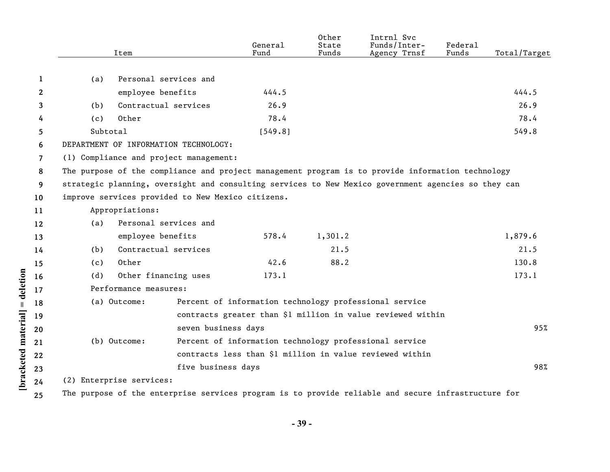|                       |                          | Item                                              |                     | General<br>Fund | Other<br>State<br>Funds | Intrnl Svc<br>Funds/Inter-<br>Agency Trnsf                                                          | Federal<br>Funds | Total/Target |
|-----------------------|--------------------------|---------------------------------------------------|---------------------|-----------------|-------------------------|-----------------------------------------------------------------------------------------------------|------------------|--------------|
|                       |                          |                                                   |                     |                 |                         |                                                                                                     |                  |              |
| 1                     | (a)                      | Personal services and                             |                     |                 |                         |                                                                                                     |                  |              |
| $\mathbf{2}^{\prime}$ |                          | employee benefits                                 |                     | 444.5           |                         |                                                                                                     |                  | 444.5        |
| 3                     | (b)                      | Contractual services                              |                     | 26.9            |                         |                                                                                                     |                  | 26.9         |
| 4                     | (c)                      | Other                                             |                     | 78.4            |                         |                                                                                                     |                  | 78.4         |
| 5                     |                          | Subtotal                                          |                     | [549.8]         |                         |                                                                                                     |                  | 549.8        |
| 6                     |                          | DEPARTMENT OF INFORMATION TECHNOLOGY:             |                     |                 |                         |                                                                                                     |                  |              |
| 7                     |                          | (1) Compliance and project management:            |                     |                 |                         |                                                                                                     |                  |              |
| 8                     |                          |                                                   |                     |                 |                         | The purpose of the compliance and project management program is to provide information technology   |                  |              |
| 9                     |                          |                                                   |                     |                 |                         | strategic planning, oversight and consulting services to New Mexico government agencies so they can |                  |              |
| 10                    |                          | improve services provided to New Mexico citizens. |                     |                 |                         |                                                                                                     |                  |              |
| 11                    |                          | Appropriations:                                   |                     |                 |                         |                                                                                                     |                  |              |
| 12                    | (a)                      | Personal services and                             |                     |                 |                         |                                                                                                     |                  |              |
| 13                    |                          | employee benefits                                 |                     | 578.4           | 1,301.2                 |                                                                                                     |                  | 1,879.6      |
| 14                    | (b)                      | Contractual services                              |                     |                 | 21.5                    |                                                                                                     |                  | 21.5         |
| 15                    | (c)                      | Other                                             |                     | 42.6            | 88.2                    |                                                                                                     |                  | 130.8        |
| 16                    | (d)                      | Other financing uses                              |                     | 173.1           |                         |                                                                                                     |                  | 173.1        |
| 17                    |                          | Performance measures:                             |                     |                 |                         |                                                                                                     |                  |              |
| 18                    |                          | (a) Outcome:                                      |                     |                 |                         | Percent of information technology professional service                                              |                  |              |
| 19                    |                          |                                                   |                     |                 |                         | contracts greater than \$1 million in value reviewed within                                         |                  |              |
| 20                    |                          |                                                   | seven business days |                 |                         |                                                                                                     |                  | 95%          |
| 21                    |                          | (b) Outcome:                                      |                     |                 |                         | Percent of information technology professional service                                              |                  |              |
| 22                    |                          |                                                   |                     |                 |                         | contracts less than \$1 million in value reviewed within                                            |                  |              |
| 23                    |                          |                                                   | five business days  |                 |                         |                                                                                                     |                  | 98%          |
| 24                    | (2) Enterprise services: |                                                   |                     |                 |                         |                                                                                                     |                  |              |
| 25                    |                          |                                                   |                     |                 |                         | The purpose of the enterprise services program is to provide reliable and secure infrastructure for |                  |              |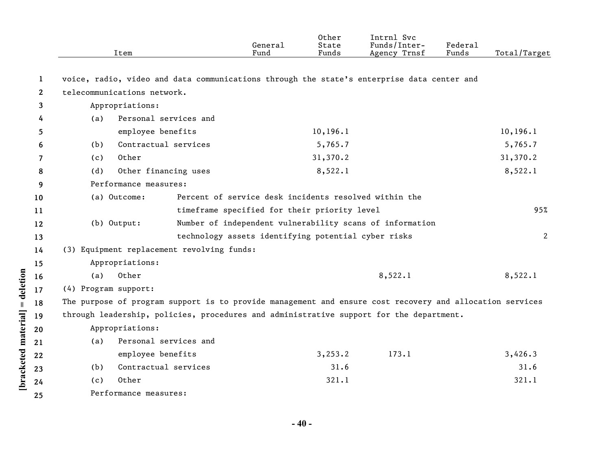|              |                      | Item                                       | General<br>Fund                                                                                          | Other<br>State<br>Funds | Intrnl Svc<br>Funds/Inter-<br>Agency Trnsf | Federal<br>Funds | Total/Target |
|--------------|----------------------|--------------------------------------------|----------------------------------------------------------------------------------------------------------|-------------------------|--------------------------------------------|------------------|--------------|
|              |                      |                                            |                                                                                                          |                         |                                            |                  |              |
| 1            |                      |                                            | voice, radio, video and data communications through the state's enterprise data center and               |                         |                                            |                  |              |
| $\mathbf{2}$ |                      | telecommunications network.                |                                                                                                          |                         |                                            |                  |              |
| 3            |                      | Appropriations:                            |                                                                                                          |                         |                                            |                  |              |
| 4            | (a)                  | Personal services and                      |                                                                                                          |                         |                                            |                  |              |
| 5.           |                      | employee benefits                          |                                                                                                          | 10, 196.1               |                                            |                  | 10, 196.1    |
| 6            | (b)                  | Contractual services                       |                                                                                                          | 5,765.7                 |                                            |                  | 5,765.7      |
| 7            | (c)                  | Other                                      |                                                                                                          | 31,370.2                |                                            |                  | 31,370.2     |
| 8            | (d)                  | Other financing uses                       |                                                                                                          | 8,522.1                 |                                            |                  | 8,522.1      |
| 9            |                      | Performance measures:                      |                                                                                                          |                         |                                            |                  |              |
| 10           |                      | (a) Outcome:                               | Percent of service desk incidents resolved within the                                                    |                         |                                            |                  |              |
| 11           |                      |                                            | timeframe specified for their priority level                                                             |                         |                                            |                  | 95%          |
| 12           |                      | (b) Output:                                | Number of independent vulnerability scans of information                                                 |                         |                                            |                  |              |
| 13           |                      |                                            | technology assets identifying potential cyber risks                                                      |                         |                                            |                  | 2            |
| 14           |                      | (3) Equipment replacement revolving funds: |                                                                                                          |                         |                                            |                  |              |
| 15           |                      | Appropriations:                            |                                                                                                          |                         |                                            |                  |              |
| 16           | (a)                  | Other                                      |                                                                                                          |                         | 8,522.1                                    |                  | 8,522.1      |
| 17           | (4) Program support: |                                            |                                                                                                          |                         |                                            |                  |              |
| 18           |                      |                                            | The purpose of program support is to provide management and ensure cost recovery and allocation services |                         |                                            |                  |              |
| 19           |                      |                                            | through leadership, policies, procedures and administrative support for the department.                  |                         |                                            |                  |              |
| 20           |                      | Appropriations:                            |                                                                                                          |                         |                                            |                  |              |
| 21           | (a)                  | Personal services and                      |                                                                                                          |                         |                                            |                  |              |
| 22           |                      | employee benefits                          |                                                                                                          | 3,253.2                 | 173.1                                      |                  | 3,426.3      |
| 23           | (b)                  | Contractual services                       |                                                                                                          | 31.6                    |                                            |                  | 31.6         |
| 24           | (c)                  | Other                                      |                                                                                                          | 321.1                   |                                            |                  | 321.1        |
| 25           |                      | Performance measures:                      |                                                                                                          |                         |                                            |                  |              |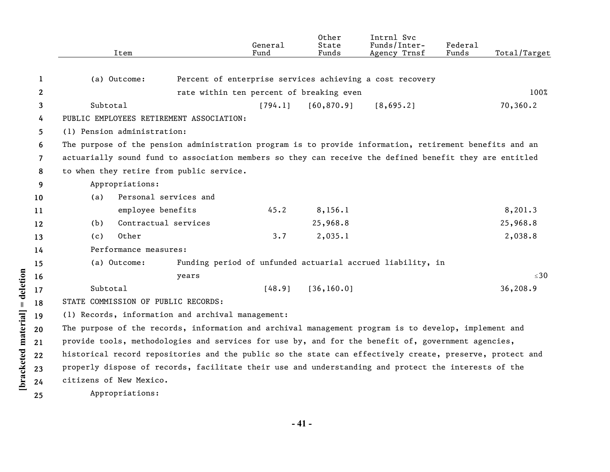|                | Item                                                                                                     |                       | General<br>Fund                          | Other<br>State<br>Funds | Intrnl Svc<br>Funds/Inter-<br>Agency Trnsf                 | Federal<br>Funds | Total/Target |
|----------------|----------------------------------------------------------------------------------------------------------|-----------------------|------------------------------------------|-------------------------|------------------------------------------------------------|------------------|--------------|
| 1              | (a) Outcome:                                                                                             |                       |                                          |                         | Percent of enterprise services achieving a cost recovery   |                  |              |
| $\mathbf{2}$   |                                                                                                          |                       | rate within ten percent of breaking even |                         |                                                            |                  | 100%         |
| 3              | Subtotal                                                                                                 |                       | [794.1]                                  | [60, 870.9]             | [8,695.2]                                                  |                  | 70,360.2     |
| 4              | PUBLIC EMPLOYEES RETIREMENT ASSOCIATION:                                                                 |                       |                                          |                         |                                                            |                  |              |
| 5              | (1) Pension administration:                                                                              |                       |                                          |                         |                                                            |                  |              |
| 6              | The purpose of the pension administration program is to provide information, retirement benefits and an  |                       |                                          |                         |                                                            |                  |              |
| $\overline{7}$ | actuarially sound fund to association members so they can receive the defined benefit they are entitled  |                       |                                          |                         |                                                            |                  |              |
| 8              | to when they retire from public service.                                                                 |                       |                                          |                         |                                                            |                  |              |
| 9              | Appropriations:                                                                                          |                       |                                          |                         |                                                            |                  |              |
| 10             | (a)                                                                                                      | Personal services and |                                          |                         |                                                            |                  |              |
| 11             | employee benefits                                                                                        |                       | 45.2                                     | 8,156.1                 |                                                            |                  | 8,201.3      |
| 12             | (b)                                                                                                      | Contractual services  |                                          | 25,968.8                |                                                            |                  | 25,968.8     |
| 13             | Other<br>(c)                                                                                             |                       | 3.7                                      | 2,035.1                 |                                                            |                  | 2,038.8      |
| 14             | Performance measures:                                                                                    |                       |                                          |                         |                                                            |                  |              |
| 15             | (a) Outcome:                                                                                             |                       |                                          |                         | Funding period of unfunded actuarial accrued liability, in |                  |              |
| 16             |                                                                                                          | years                 |                                          |                         |                                                            |                  | $\leq 30$    |
| 17             | Subtotal                                                                                                 |                       | [48.9]                                   | [36, 160.0]             |                                                            |                  | 36,208.9     |
| 18             | STATE COMMISSION OF PUBLIC RECORDS:                                                                      |                       |                                          |                         |                                                            |                  |              |
| 19             | (1) Records, information and archival management:                                                        |                       |                                          |                         |                                                            |                  |              |
| 20             | The purpose of the records, information and archival management program is to develop, implement and     |                       |                                          |                         |                                                            |                  |              |
| 21             | provide tools, methodologies and services for use by, and for the benefit of, government agencies,       |                       |                                          |                         |                                                            |                  |              |
| 22             | historical record repositories and the public so the state can effectively create, preserve, protect and |                       |                                          |                         |                                                            |                  |              |
| 23             | properly dispose of records, facilitate their use and understanding and protect the interests of the     |                       |                                          |                         |                                                            |                  |              |
| 24             | citizens of New Mexico.                                                                                  |                       |                                          |                         |                                                            |                  |              |
| 25             | Appropriations:                                                                                          |                       |                                          |                         |                                                            |                  |              |

**- 41 -** 

[bracketed material] = deletion **[bracketed material] = deletion**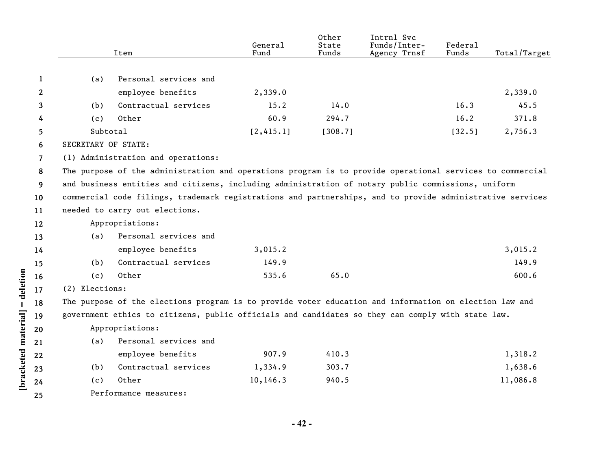|              |                     | Item                                                                                                      | General<br>Fund | Other<br>State<br>Funds | Intrnl Svc<br>Funds/Inter-<br>Agency Trnsf | Federal<br>Funds | Total/Target |
|--------------|---------------------|-----------------------------------------------------------------------------------------------------------|-----------------|-------------------------|--------------------------------------------|------------------|--------------|
|              |                     |                                                                                                           |                 |                         |                                            |                  |              |
| 1            | (a)                 | Personal services and                                                                                     |                 |                         |                                            |                  |              |
| $\mathbf{2}$ |                     | employee benefits                                                                                         | 2,339.0         |                         |                                            |                  | 2,339.0      |
| 3            | (b)                 | Contractual services                                                                                      | 15.2            | 14.0                    |                                            | 16.3             | 45.5         |
| 4            | (c)                 | Other                                                                                                     | 60.9            | 294.7                   |                                            | 16.2             | 371.8        |
| 5            | Subtotal            |                                                                                                           | [2, 415.1]      | [308.7]                 |                                            | [32.5]           | 2,756.3      |
| 6            | SECRETARY OF STATE: |                                                                                                           |                 |                         |                                            |                  |              |
| 7            |                     | (1) Administration and operations:                                                                        |                 |                         |                                            |                  |              |
| 8            |                     | The purpose of the administration and operations program is to provide operational services to commercial |                 |                         |                                            |                  |              |
| 9            |                     | and business entities and citizens, including administration of notary public commissions, uniform        |                 |                         |                                            |                  |              |
| 10           |                     | commercial code filings, trademark registrations and partnerships, and to provide administrative services |                 |                         |                                            |                  |              |
| 11           |                     | needed to carry out elections.                                                                            |                 |                         |                                            |                  |              |
| 12           |                     | Appropriations:                                                                                           |                 |                         |                                            |                  |              |
| 13           | (a)                 | Personal services and                                                                                     |                 |                         |                                            |                  |              |
| 14           |                     | employee benefits                                                                                         | 3,015.2         |                         |                                            |                  | 3,015.2      |
| 15           | (b)                 | Contractual services                                                                                      | 149.9           |                         |                                            |                  | 149.9        |
| 16           | (c)                 | Other                                                                                                     | 535.6           | 65.0                    |                                            |                  | 600.6        |
| 17           | (2) Elections:      |                                                                                                           |                 |                         |                                            |                  |              |
| 18           |                     | The purpose of the elections program is to provide voter education and information on election law and    |                 |                         |                                            |                  |              |
| 19           |                     | government ethics to citizens, public officials and candidates so they can comply with state law.         |                 |                         |                                            |                  |              |
| 20           |                     | Appropriations:                                                                                           |                 |                         |                                            |                  |              |
| 21           | (a)                 | Personal services and                                                                                     |                 |                         |                                            |                  |              |
| 22           |                     | employee benefits                                                                                         | 907.9           | 410.3                   |                                            |                  | 1,318.2      |
| 23           | (b)                 | Contractual services                                                                                      | 1,334.9         | 303.7                   |                                            |                  | 1,638.6      |
| 24           | (c)                 | Other                                                                                                     | 10, 146.3       | 940.5                   |                                            |                  | 11,086.8     |
| 25           |                     | Performance measures:                                                                                     |                 |                         |                                            |                  |              |
|              |                     |                                                                                                           |                 |                         |                                            |                  |              |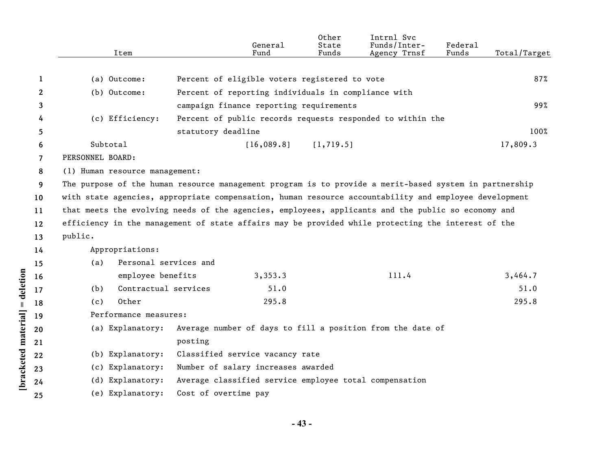|    | Item                                                                                                   |                       | General<br>Fund                                     | Other<br>State<br>Funds | Intrnl Svc<br>Funds/Inter-<br>Agency Trnsf                 | Federal<br>Funds | Total/Target |
|----|--------------------------------------------------------------------------------------------------------|-----------------------|-----------------------------------------------------|-------------------------|------------------------------------------------------------|------------------|--------------|
|    |                                                                                                        |                       |                                                     |                         |                                                            |                  |              |
| 1  | (a) Outcome:                                                                                           |                       | Percent of eligible voters registered to vote       |                         |                                                            |                  | 87%          |
| 2  | (b) Outcome:                                                                                           |                       | Percent of reporting individuals in compliance with |                         |                                                            |                  |              |
| 3  |                                                                                                        |                       | campaign finance reporting requirements             |                         |                                                            |                  | 99%          |
| 4  | (c) Efficiency:                                                                                        |                       |                                                     |                         | Percent of public records requests responded to within the |                  |              |
| 5  |                                                                                                        | statutory deadline    |                                                     |                         |                                                            |                  | 100%         |
| 6  | Subtotal                                                                                               |                       | [16,089.8]                                          | [1, 719.5]              |                                                            |                  | 17,809.3     |
| 7  | PERSONNEL BOARD:                                                                                       |                       |                                                     |                         |                                                            |                  |              |
| 8  | (1) Human resource management:                                                                         |                       |                                                     |                         |                                                            |                  |              |
| 9  | The purpose of the human resource management program is to provide a merit-based system in partnership |                       |                                                     |                         |                                                            |                  |              |
| 10 | with state agencies, appropriate compensation, human resource accountability and employee development  |                       |                                                     |                         |                                                            |                  |              |
| 11 | that meets the evolving needs of the agencies, employees, applicants and the public so economy and     |                       |                                                     |                         |                                                            |                  |              |
| 12 | efficiency in the management of state affairs may be provided while protecting the interest of the     |                       |                                                     |                         |                                                            |                  |              |
| 13 | public.                                                                                                |                       |                                                     |                         |                                                            |                  |              |
| 14 | Appropriations:                                                                                        |                       |                                                     |                         |                                                            |                  |              |
| 15 | (a)                                                                                                    | Personal services and |                                                     |                         |                                                            |                  |              |
| 16 | employee benefits                                                                                      |                       | 3,353.3                                             |                         | 111.4                                                      |                  | 3,464.7      |
| 17 | Contractual services<br>(b)                                                                            |                       | 51.0                                                |                         |                                                            |                  | 51.0         |
| 18 | Other<br>(c)                                                                                           |                       | 295.8                                               |                         |                                                            |                  | 295.8        |
| 19 | Performance measures:                                                                                  |                       |                                                     |                         |                                                            |                  |              |
| 20 | (a) Explanatory:                                                                                       |                       |                                                     |                         | Average number of days to fill a position from the date of |                  |              |
| 21 |                                                                                                        | posting               |                                                     |                         |                                                            |                  |              |
| 22 | (b) Explanatory:                                                                                       |                       | Classified service vacancy rate                     |                         |                                                            |                  |              |
| 23 | (c) Explanatory:                                                                                       |                       | Number of salary increases awarded                  |                         |                                                            |                  |              |
| 24 | (d) Explanatory:                                                                                       |                       |                                                     |                         | Average classified service employee total compensation     |                  |              |
| 25 | (e) Explanatory:                                                                                       | Cost of overtime pay  |                                                     |                         |                                                            |                  |              |

[bracketed material] = deletion

**- 43 -**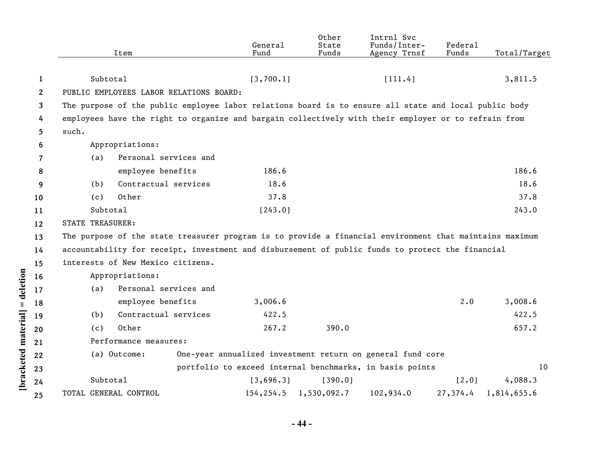|              |                                                                                                      | Item                                                                                                    | General<br>Fund          | Other<br>State<br>Funds | Intrnl Svc<br>Funds/Inter-<br>Agency Trnsf                 | Federal<br>Funds | Total/Target |
|--------------|------------------------------------------------------------------------------------------------------|---------------------------------------------------------------------------------------------------------|--------------------------|-------------------------|------------------------------------------------------------|------------------|--------------|
|              |                                                                                                      |                                                                                                         |                          |                         |                                                            |                  |              |
| 1            | Subtotal                                                                                             |                                                                                                         | [3,700.1]                |                         | [111.4]                                                    |                  | 3,811.5      |
| $\mathbf{2}$ |                                                                                                      | PUBLIC EMPLOYEES LABOR RELATIONS BOARD:                                                                 |                          |                         |                                                            |                  |              |
| 3            |                                                                                                      | The purpose of the public employee labor relations board is to ensure all state and local public body   |                          |                         |                                                            |                  |              |
| 4            | employees have the right to organize and bargain collectively with their employer or to refrain from |                                                                                                         |                          |                         |                                                            |                  |              |
| 5            | such.                                                                                                |                                                                                                         |                          |                         |                                                            |                  |              |
| 6            |                                                                                                      | Appropriations:                                                                                         |                          |                         |                                                            |                  |              |
| 7            | (a)                                                                                                  | Personal services and                                                                                   |                          |                         |                                                            |                  |              |
| 8            |                                                                                                      | employee benefits                                                                                       | 186.6                    |                         |                                                            |                  | 186.6        |
| 9            | (b)                                                                                                  | Contractual services                                                                                    | 18.6                     |                         |                                                            |                  | 18.6         |
| 10           | (c)                                                                                                  | Other                                                                                                   | 37.8                     |                         |                                                            |                  | 37.8         |
| 11           | Subtotal                                                                                             |                                                                                                         | [243.0]                  |                         |                                                            |                  | 243.0        |
| 12           | <b>STATE TREASURER:</b>                                                                              |                                                                                                         |                          |                         |                                                            |                  |              |
| 13           |                                                                                                      | The purpose of the state treasurer program is to provide a financial environment that maintains maximum |                          |                         |                                                            |                  |              |
| 14           |                                                                                                      | accountability for receipt, investment and disbursement of public funds to protect the financial        |                          |                         |                                                            |                  |              |
| 15           |                                                                                                      | interests of New Mexico citizens.                                                                       |                          |                         |                                                            |                  |              |
| 16           |                                                                                                      | Appropriations:                                                                                         |                          |                         |                                                            |                  |              |
| 17           | (a)                                                                                                  | Personal services and                                                                                   |                          |                         |                                                            |                  |              |
| 18           |                                                                                                      | employee benefits                                                                                       | 3,006.6                  |                         |                                                            | 2.0              | 3,008.6      |
| 19           | (b)                                                                                                  | Contractual services                                                                                    | 422.5                    |                         |                                                            |                  | 422.5        |
| 20           | (c)                                                                                                  | Other                                                                                                   | 267.2                    | 390.0                   |                                                            |                  | 657.2        |
| 21           |                                                                                                      | Performance measures:                                                                                   |                          |                         |                                                            |                  |              |
| 22           |                                                                                                      | (a) Outcome:                                                                                            |                          |                         | One-year annualized investment return on general fund core |                  |              |
| 23           |                                                                                                      |                                                                                                         |                          |                         | portfolio to exceed internal benchmarks, in basis points   |                  | 10           |
| 24           | Subtotal                                                                                             |                                                                                                         | [3,696.3]                | [390.0]                 |                                                            | [2.0]            | 4,088.3      |
| 25           | TOTAL GENERAL CONTROL                                                                                |                                                                                                         | 154, 254.5 1, 530, 092.7 |                         | 102,934.0                                                  | 27,374.4         | 1,814,655.6  |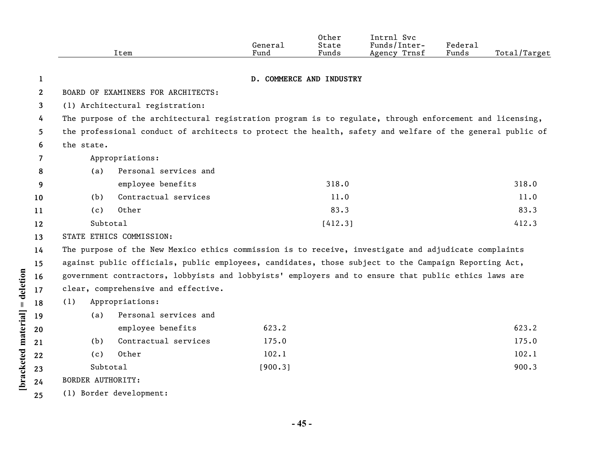|              |                          | Item                                                                                                      | General<br>Fund | Other<br>State<br>Funds  | Intrnl Svc<br>Funds/Inter-<br>Agency Trnsf | Federal<br>Funds | Total/Target |
|--------------|--------------------------|-----------------------------------------------------------------------------------------------------------|-----------------|--------------------------|--------------------------------------------|------------------|--------------|
|              |                          |                                                                                                           |                 |                          |                                            |                  |              |
| 1            |                          |                                                                                                           |                 | D. COMMERCE AND INDUSTRY |                                            |                  |              |
| $\mathbf{2}$ |                          | BOARD OF EXAMINERS FOR ARCHITECTS:                                                                        |                 |                          |                                            |                  |              |
| 3            |                          | (1) Architectural registration:                                                                           |                 |                          |                                            |                  |              |
| 4            |                          | The purpose of the architectural registration program is to regulate, through enforcement and licensing,  |                 |                          |                                            |                  |              |
| 5            |                          | the professional conduct of architects to protect the health, safety and welfare of the general public of |                 |                          |                                            |                  |              |
| 6            | the state.               |                                                                                                           |                 |                          |                                            |                  |              |
| 7            |                          | Appropriations:                                                                                           |                 |                          |                                            |                  |              |
| 8            | (a)                      | Personal services and                                                                                     |                 |                          |                                            |                  |              |
| 9            |                          | employee benefits                                                                                         |                 | 318.0                    |                                            |                  | 318.0        |
| 10           | (b)                      | Contractual services                                                                                      |                 | 11.0                     |                                            |                  | 11.0         |
| 11           | (c)                      | Other                                                                                                     |                 | 83.3                     |                                            |                  | 83.3         |
| 12           | Subtotal                 |                                                                                                           |                 | [412.3]                  |                                            |                  | 412.3        |
| 13           |                          | STATE ETHICS COMMISSION:                                                                                  |                 |                          |                                            |                  |              |
| 14           |                          | The purpose of the New Mexico ethics commission is to receive, investigate and adjudicate complaints      |                 |                          |                                            |                  |              |
| 15           |                          | against public officials, public employees, candidates, those subject to the Campaign Reporting Act,      |                 |                          |                                            |                  |              |
| 16           |                          | government contractors, lobbyists and lobbyists' employers and to ensure that public ethics laws are      |                 |                          |                                            |                  |              |
| 17           |                          | clear, comprehensive and effective.                                                                       |                 |                          |                                            |                  |              |
| 18           | (1)                      | Appropriations:                                                                                           |                 |                          |                                            |                  |              |
| 19           | (a)                      | Personal services and                                                                                     |                 |                          |                                            |                  |              |
| 20           |                          | employee benefits                                                                                         | 623.2           |                          |                                            |                  | 623.2        |
| 21           | (b)                      | Contractual services                                                                                      | 175.0           |                          |                                            |                  | 175.0        |
| 22           | (c)                      | Other                                                                                                     | 102.1           |                          |                                            |                  | 102.1        |
| 23           | Subtotal                 |                                                                                                           | [900.3]         |                          |                                            |                  | 900.3        |
| 24           | <b>BORDER AUTHORITY:</b> |                                                                                                           |                 |                          |                                            |                  |              |
| 25           |                          | (1) Border development:                                                                                   |                 |                          |                                            |                  |              |

**- 45 -** 

**[bracketed material] = deletion**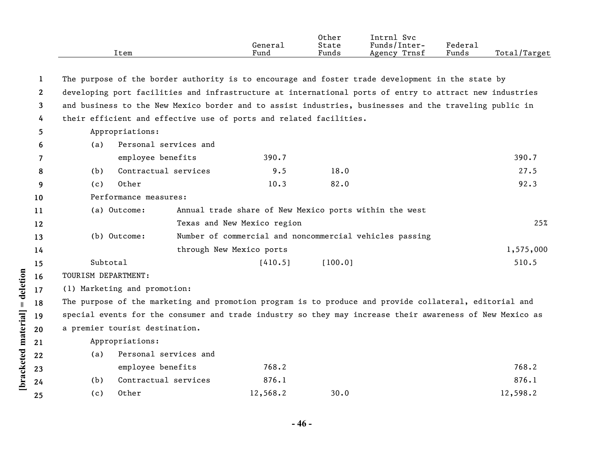|      |         | Other | Intrnl<br>Svc   |         |              |
|------|---------|-------|-----------------|---------|--------------|
|      | Genera⊥ | State | Funds/Inter-    | Federal |              |
| Item | Fund    | Funds | Trnsf<br>Agency | Funds   | Total/Target |

| 1            |                                                                    |                                                         |         | The purpose of the border authority is to encourage and foster trade development in the state by         |           |
|--------------|--------------------------------------------------------------------|---------------------------------------------------------|---------|----------------------------------------------------------------------------------------------------------|-----------|
| $\mathbf{2}$ |                                                                    |                                                         |         | developing port facilities and infrastructure at international ports of entry to attract new industries  |           |
| 3            |                                                                    |                                                         |         | and business to the New Mexico border and to assist industries, businesses and the traveling public in   |           |
| 4            | their efficient and effective use of ports and related facilities. |                                                         |         |                                                                                                          |           |
| 5.           | Appropriations:                                                    |                                                         |         |                                                                                                          |           |
| 6            | Personal services and<br>(a)                                       |                                                         |         |                                                                                                          |           |
| 7            | employee benefits                                                  | 390.7                                                   |         |                                                                                                          | 390.7     |
| 8            | Contractual services<br>(b)                                        | 9.5                                                     | 18.0    |                                                                                                          | 27.5      |
| 9            | Other<br>(c)                                                       | 10.3                                                    | 82.0    |                                                                                                          | 92.3      |
| 10           | Performance measures:                                              |                                                         |         |                                                                                                          |           |
| 11           | (a) Outcome:                                                       | Annual trade share of New Mexico ports within the west  |         |                                                                                                          |           |
| 12           |                                                                    | Texas and New Mexico region                             |         |                                                                                                          | 25%       |
| 13           | (b) Outcome:                                                       | Number of commercial and noncommercial vehicles passing |         |                                                                                                          |           |
| 14           |                                                                    | through New Mexico ports                                |         |                                                                                                          | 1,575,000 |
| 15           | Subtotal                                                           | [410.5]                                                 | [100.0] |                                                                                                          | 510.5     |
| 16           | TOURISM DEPARTMENT:                                                |                                                         |         |                                                                                                          |           |
| 17           | (1) Marketing and promotion:                                       |                                                         |         |                                                                                                          |           |
| 18           |                                                                    |                                                         |         | The purpose of the marketing and promotion program is to produce and provide collateral, editorial and   |           |
| 19           |                                                                    |                                                         |         | special events for the consumer and trade industry so they may increase their awareness of New Mexico as |           |
| 20           | a premier tourist destination.                                     |                                                         |         |                                                                                                          |           |
| 21           | Appropriations:                                                    |                                                         |         |                                                                                                          |           |
| 22           | Personal services and<br>(a)                                       |                                                         |         |                                                                                                          |           |
| 23           | employee benefits                                                  | 768.2                                                   |         |                                                                                                          | 768.2     |
| 24           | Contractual services<br>(b)                                        | 876.1                                                   |         |                                                                                                          | 876.1     |
| 25           | Other<br>(c)                                                       | 12,568.2                                                | 30.0    |                                                                                                          | 12,598.2  |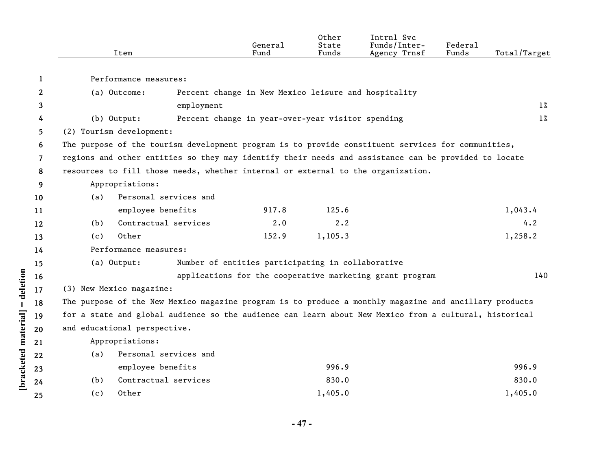|                | Item                                                                                                   |                       | General<br>Fund                                      | Other<br>State<br>Funds | Intrnl Svc<br>Funds/Inter-<br>Agency Trnsf               | Federal<br>Funds | Total/Target |
|----------------|--------------------------------------------------------------------------------------------------------|-----------------------|------------------------------------------------------|-------------------------|----------------------------------------------------------|------------------|--------------|
| 1              | Performance measures:                                                                                  |                       |                                                      |                         |                                                          |                  |              |
| $\mathbf{2}$   | (a) Outcome:                                                                                           |                       | Percent change in New Mexico leisure and hospitality |                         |                                                          |                  |              |
| 3              |                                                                                                        | employment            |                                                      |                         |                                                          |                  | $1\%$        |
| 4              | $(b)$ Output:                                                                                          |                       | Percent change in year-over-year visitor spending    |                         |                                                          |                  | $1\%$        |
| 5.             | (2) Tourism development:                                                                               |                       |                                                      |                         |                                                          |                  |              |
| 6              | The purpose of the tourism development program is to provide constituent services for communities,     |                       |                                                      |                         |                                                          |                  |              |
| $\overline{7}$ | regions and other entities so they may identify their needs and assistance can be provided to locate   |                       |                                                      |                         |                                                          |                  |              |
| 8              | resources to fill those needs, whether internal or external to the organization.                       |                       |                                                      |                         |                                                          |                  |              |
| 9              | Appropriations:                                                                                        |                       |                                                      |                         |                                                          |                  |              |
| 10             | (a)                                                                                                    | Personal services and |                                                      |                         |                                                          |                  |              |
| 11             |                                                                                                        | employee benefits     | 917.8                                                | 125.6                   |                                                          |                  | 1,043.4      |
| 12             | (b)                                                                                                    | Contractual services  | 2.0                                                  | $2 \cdot 2$             |                                                          |                  | 4.2          |
| 13             | Other<br>(c)                                                                                           |                       | 152.9                                                | 1,105.3                 |                                                          |                  | 1,258.2      |
| 14             | Performance measures:                                                                                  |                       |                                                      |                         |                                                          |                  |              |
| 15             | (a) Output:                                                                                            |                       | Number of entities participating in collaborative    |                         |                                                          |                  |              |
| 16             |                                                                                                        |                       |                                                      |                         | applications for the cooperative marketing grant program |                  | 140          |
| 17             | (3) New Mexico magazine:                                                                               |                       |                                                      |                         |                                                          |                  |              |
| 18             | The purpose of the New Mexico magazine program is to produce a monthly magazine and ancillary products |                       |                                                      |                         |                                                          |                  |              |
| 19             | for a state and global audience so the audience can learn about New Mexico from a cultural, historical |                       |                                                      |                         |                                                          |                  |              |
| 20             | and educational perspective.                                                                           |                       |                                                      |                         |                                                          |                  |              |
| 21             | Appropriations:                                                                                        |                       |                                                      |                         |                                                          |                  |              |
| 22             | (a)                                                                                                    | Personal services and |                                                      |                         |                                                          |                  |              |
| 23             |                                                                                                        | employee benefits     |                                                      | 996.9                   |                                                          |                  | 996.9        |
| 24             | (b)                                                                                                    | Contractual services  |                                                      | 830.0                   |                                                          |                  | 830.0        |
| 25             | Other<br>(c)                                                                                           |                       |                                                      | 1,405.0                 |                                                          |                  | 1,405.0      |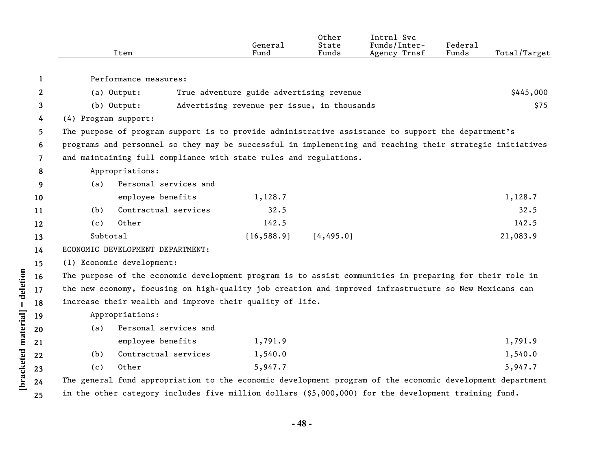|                       |                                                                                                           | Item                                                                                                      | General<br>Fund                             | Other<br>State<br>Funds | Intrnl Svc<br>Funds/Inter-<br>Agency Trnsf | Federal<br>Funds | Total/Target |
|-----------------------|-----------------------------------------------------------------------------------------------------------|-----------------------------------------------------------------------------------------------------------|---------------------------------------------|-------------------------|--------------------------------------------|------------------|--------------|
| 1                     |                                                                                                           | Performance measures:                                                                                     |                                             |                         |                                            |                  |              |
| $\mathbf{2}^{\prime}$ |                                                                                                           | (a) Output:                                                                                               | True adventure guide advertising revenue    |                         |                                            |                  | \$445,000    |
| 3                     |                                                                                                           | $(b)$ Output:                                                                                             | Advertising revenue per issue, in thousands |                         |                                            |                  | \$75         |
| 4                     | (4) Program support:                                                                                      |                                                                                                           |                                             |                         |                                            |                  |              |
| 5.                    |                                                                                                           | The purpose of program support is to provide administrative assistance to support the department's        |                                             |                         |                                            |                  |              |
| 6                     | programs and personnel so they may be successful in implementing and reaching their strategic initiatives |                                                                                                           |                                             |                         |                                            |                  |              |
| $\overline{7}$        | and maintaining full compliance with state rules and regulations.                                         |                                                                                                           |                                             |                         |                                            |                  |              |
| 8                     |                                                                                                           | Appropriations:                                                                                           |                                             |                         |                                            |                  |              |
| 9                     | (a)                                                                                                       | Personal services and                                                                                     |                                             |                         |                                            |                  |              |
| 10                    |                                                                                                           | employee benefits                                                                                         | 1,128.7                                     |                         |                                            |                  | 1,128.7      |
| 11                    | (b)                                                                                                       | Contractual services                                                                                      | 32.5                                        |                         |                                            |                  | 32.5         |
| 12                    | (c)                                                                                                       | Other                                                                                                     | 142.5                                       |                         |                                            |                  | 142.5        |
| 13                    | Subtotal                                                                                                  |                                                                                                           | [16, 588.9]                                 | [4, 495.0]              |                                            |                  | 21,083.9     |
| 14                    |                                                                                                           | ECONOMIC DEVELOPMENT DEPARTMENT:                                                                          |                                             |                         |                                            |                  |              |
| 15                    |                                                                                                           | (1) Economic development:                                                                                 |                                             |                         |                                            |                  |              |
| 16                    |                                                                                                           | The purpose of the economic development program is to assist communities in preparing for their role in   |                                             |                         |                                            |                  |              |
| 17                    |                                                                                                           | the new economy, focusing on high-quality job creation and improved infrastructure so New Mexicans can    |                                             |                         |                                            |                  |              |
| 18                    |                                                                                                           | increase their wealth and improve their quality of life.                                                  |                                             |                         |                                            |                  |              |
| 19                    |                                                                                                           | Appropriations:                                                                                           |                                             |                         |                                            |                  |              |
| 20                    | (a)                                                                                                       | Personal services and                                                                                     |                                             |                         |                                            |                  |              |
| 21                    |                                                                                                           | employee benefits                                                                                         | 1,791.9                                     |                         |                                            |                  | 1,791.9      |
| 22                    | (b)                                                                                                       | Contractual services                                                                                      | 1,540.0                                     |                         |                                            |                  | 1,540.0      |
| 23                    | (c)                                                                                                       | Other                                                                                                     | 5,947.7                                     |                         |                                            |                  | 5,947.7      |
| 24                    |                                                                                                           | The general fund appropriation to the economic development program of the economic development department |                                             |                         |                                            |                  |              |
| 25                    |                                                                                                           | in the other category includes five million dollars (\$5,000,000) for the development training fund.      |                                             |                         |                                            |                  |              |

[bracketed material] = deletion

**- 48 -**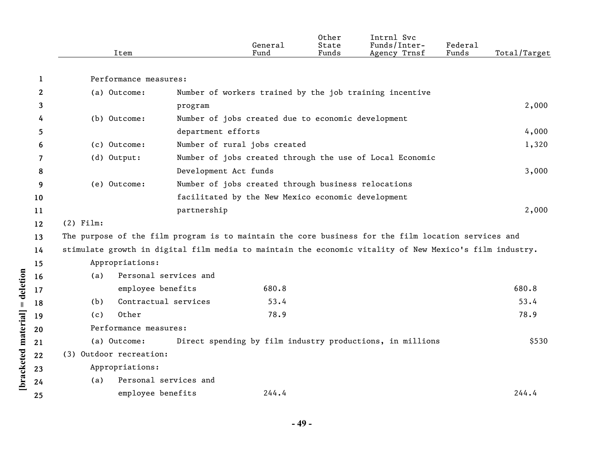|                       | Item                                                                                                    |                       | General<br>Fund                                     | Other<br>State<br>Funds | Intrnl Svc<br>Funds/Inter-<br>Agency Trnsf                | Federal<br>Funds | Total/Target |
|-----------------------|---------------------------------------------------------------------------------------------------------|-----------------------|-----------------------------------------------------|-------------------------|-----------------------------------------------------------|------------------|--------------|
| 1                     | Performance measures:                                                                                   |                       |                                                     |                         |                                                           |                  |              |
| $\mathbf{2}^{\prime}$ | (a) Outcome:                                                                                            |                       |                                                     |                         | Number of workers trained by the job training incentive   |                  |              |
| 3                     |                                                                                                         | program               |                                                     |                         |                                                           |                  | 2,000        |
| 4                     | (b) Outcome:                                                                                            |                       | Number of jobs created due to economic development  |                         |                                                           |                  |              |
| 5.                    |                                                                                                         | department efforts    |                                                     |                         |                                                           |                  | 4,000        |
| 6                     | (c) Outcome:                                                                                            |                       | Number of rural jobs created                        |                         |                                                           |                  | 1,320        |
| 7                     | (d) Output:                                                                                             |                       |                                                     |                         | Number of jobs created through the use of Local Economic  |                  |              |
| 8                     |                                                                                                         | Development Act funds |                                                     |                         |                                                           |                  | 3,000        |
| 9                     | (e) Outcome:                                                                                            |                       | Number of jobs created through business relocations |                         |                                                           |                  |              |
| 10                    |                                                                                                         |                       | facilitated by the New Mexico economic development  |                         |                                                           |                  |              |
| 11                    |                                                                                                         | partnership           |                                                     |                         |                                                           |                  | 2,000        |
| 12                    | $(2)$ Film:                                                                                             |                       |                                                     |                         |                                                           |                  |              |
| 13                    | The purpose of the film program is to maintain the core business for the film location services and     |                       |                                                     |                         |                                                           |                  |              |
| 14                    | stimulate growth in digital film media to maintain the economic vitality of New Mexico's film industry. |                       |                                                     |                         |                                                           |                  |              |
| 15                    | Appropriations:                                                                                         |                       |                                                     |                         |                                                           |                  |              |
| 16                    | (a)                                                                                                     | Personal services and |                                                     |                         |                                                           |                  |              |
| 17                    | employee benefits                                                                                       |                       | 680.8                                               |                         |                                                           |                  | 680.8        |
| 18                    | (b)                                                                                                     | Contractual services  | 53.4                                                |                         |                                                           |                  | 53.4         |
| 19                    | Other<br>(c)                                                                                            |                       | 78.9                                                |                         |                                                           |                  | 78.9         |
| 20                    | Performance measures:                                                                                   |                       |                                                     |                         |                                                           |                  |              |
| 21                    | (a) Outcome:                                                                                            |                       |                                                     |                         | Direct spending by film industry productions, in millions |                  | \$530        |
| 22                    | (3) Outdoor recreation:                                                                                 |                       |                                                     |                         |                                                           |                  |              |
| 23                    | Appropriations:                                                                                         |                       |                                                     |                         |                                                           |                  |              |
| 24                    | (a)                                                                                                     | Personal services and |                                                     |                         |                                                           |                  |              |
| 25                    | employee benefits                                                                                       |                       | 244.4                                               |                         |                                                           |                  | 244.4        |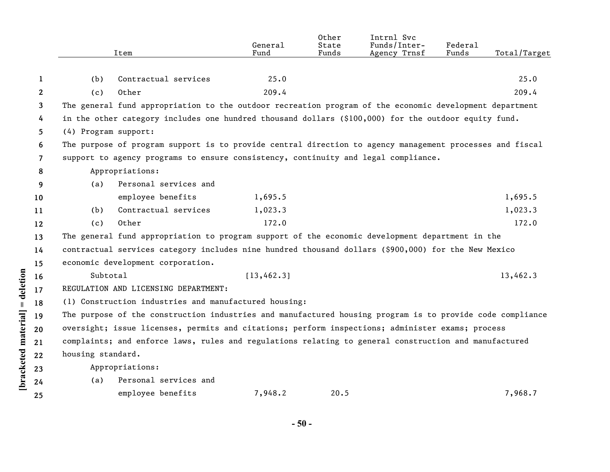|              |                      | Item                                                                                                      | General<br>Fund | Other<br>State<br>Funds | Intrnl Svc<br>Funds/Inter-<br>Agency Trnsf | Federal<br>Funds | Total/Target |
|--------------|----------------------|-----------------------------------------------------------------------------------------------------------|-----------------|-------------------------|--------------------------------------------|------------------|--------------|
|              |                      |                                                                                                           |                 |                         |                                            |                  |              |
| 1            | (b)                  | Contractual services                                                                                      | 25.0            |                         |                                            |                  | 25.0         |
| $\mathbf{2}$ | (c)                  | Other                                                                                                     | 209.4           |                         |                                            |                  | 209.4        |
| 3            |                      | The general fund appropriation to the outdoor recreation program of the economic development department   |                 |                         |                                            |                  |              |
| 4            |                      | in the other category includes one hundred thousand dollars (\$100,000) for the outdoor equity fund.      |                 |                         |                                            |                  |              |
| 5.           | (4) Program support: |                                                                                                           |                 |                         |                                            |                  |              |
| 6            |                      | The purpose of program support is to provide central direction to agency management processes and fiscal  |                 |                         |                                            |                  |              |
| 7            |                      | support to agency programs to ensure consistency, continuity and legal compliance.                        |                 |                         |                                            |                  |              |
| 8            |                      | Appropriations:                                                                                           |                 |                         |                                            |                  |              |
| 9            | (a)                  | Personal services and                                                                                     |                 |                         |                                            |                  |              |
| 10           |                      | employee benefits                                                                                         | 1,695.5         |                         |                                            |                  | 1,695.5      |
| 11           | (b)                  | Contractual services                                                                                      | 1,023.3         |                         |                                            |                  | 1,023.3      |
| 12           | (c)                  | Other                                                                                                     | 172.0           |                         |                                            |                  | 172.0        |
| 13           |                      | The general fund appropriation to program support of the economic development department in the           |                 |                         |                                            |                  |              |
| 14           |                      | contractual services category includes nine hundred thousand dollars (\$900,000) for the New Mexico       |                 |                         |                                            |                  |              |
| 15           |                      | economic development corporation.                                                                         |                 |                         |                                            |                  |              |
| 16           | Subtotal             |                                                                                                           | [13, 462.3]     |                         |                                            |                  | 13,462.3     |
| 17           |                      | REGULATION AND LICENSING DEPARTMENT:                                                                      |                 |                         |                                            |                  |              |
| 18           |                      | (1) Construction industries and manufactured housing:                                                     |                 |                         |                                            |                  |              |
| 19           |                      | The purpose of the construction industries and manufactured housing program is to provide code compliance |                 |                         |                                            |                  |              |
| 20           |                      | oversight; issue licenses, permits and citations; perform inspections; administer exams; process          |                 |                         |                                            |                  |              |
| 21           |                      | complaints; and enforce laws, rules and regulations relating to general construction and manufactured     |                 |                         |                                            |                  |              |
| 22           | housing standard.    |                                                                                                           |                 |                         |                                            |                  |              |
| 23           |                      | Appropriations:                                                                                           |                 |                         |                                            |                  |              |
| 24           | (a)                  | Personal services and                                                                                     |                 |                         |                                            |                  |              |
| 25           |                      | employee benefits                                                                                         | 7,948.2         | 20.5                    |                                            |                  | 7,968.7      |

[bracketed material] = deletion

**- 50 -**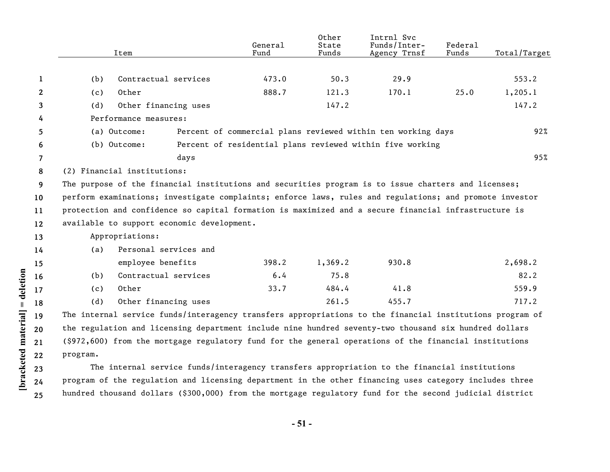|                |                                                                                                     | Item                                       |      | General<br>Fund | Other<br>State<br>Funds | Intrnl Svc<br>Funds/Inter-<br>Agency Trnsf                                                               | Federal<br>Funds | Total/Target |
|----------------|-----------------------------------------------------------------------------------------------------|--------------------------------------------|------|-----------------|-------------------------|----------------------------------------------------------------------------------------------------------|------------------|--------------|
|                |                                                                                                     |                                            |      |                 |                         |                                                                                                          |                  |              |
| 1              | (b)                                                                                                 | Contractual services                       |      | 473.0           | 50.3                    | 29.9                                                                                                     |                  | 553.2        |
| $\mathbf{2}$   | (c)                                                                                                 | Other                                      |      | 888.7           | 121.3                   | 170.1                                                                                                    | 25.0             | 1,205.1      |
| 3              | (d)                                                                                                 | Other financing uses                       |      |                 | 147.2                   |                                                                                                          |                  | 147.2        |
| 4              | Performance measures:                                                                               |                                            |      |                 |                         |                                                                                                          |                  |              |
| 5              |                                                                                                     | (a) Outcome:                               |      |                 |                         | Percent of commercial plans reviewed within ten working days                                             |                  | 92%          |
| 6              |                                                                                                     | (b) Outcome:                               |      |                 |                         | Percent of residential plans reviewed within five working                                                |                  |              |
| $\overline{7}$ |                                                                                                     |                                            | days |                 |                         |                                                                                                          |                  | 95%          |
| 8              | (2) Financial institutions:                                                                         |                                            |      |                 |                         |                                                                                                          |                  |              |
| 9              | The purpose of the financial institutions and securities program is to issue charters and licenses; |                                            |      |                 |                         |                                                                                                          |                  |              |
| 10             |                                                                                                     |                                            |      |                 |                         | perform examinations; investigate complaints; enforce laws, rules and regulations; and promote investor  |                  |              |
| 11             |                                                                                                     |                                            |      |                 |                         | protection and confidence so capital formation is maximized and a secure financial infrastructure is     |                  |              |
| 12             |                                                                                                     | available to support economic development. |      |                 |                         |                                                                                                          |                  |              |
| 13             |                                                                                                     | Appropriations:                            |      |                 |                         |                                                                                                          |                  |              |
| 14             | (a)                                                                                                 | Personal services and                      |      |                 |                         |                                                                                                          |                  |              |
| 15             |                                                                                                     | employee benefits                          |      | 398.2           | 1,369.2                 | 930.8                                                                                                    |                  | 2,698.2      |
| 16             | (b)                                                                                                 | Contractual services                       |      | 6.4             | 75.8                    |                                                                                                          |                  | 82.2         |
| 17             | (c)                                                                                                 | Other                                      |      | 33.7            | 484.4                   | 41.8                                                                                                     |                  | 559.9        |
| 18             | (d)                                                                                                 | Other financing uses                       |      |                 | 261.5                   | 455.7                                                                                                    |                  | 717.2        |
| 19             |                                                                                                     |                                            |      |                 |                         | The internal service funds/interagency transfers appropriations to the financial institutions program of |                  |              |
| 20             |                                                                                                     |                                            |      |                 |                         | the regulation and licensing department include nine hundred seventy-two thousand six hundred dollars    |                  |              |
| 21             |                                                                                                     |                                            |      |                 |                         | (\$972,600) from the mortgage regulatory fund for the general operations of the financial institutions   |                  |              |
| 22             | program.                                                                                            |                                            |      |                 |                         |                                                                                                          |                  |              |
| 23             |                                                                                                     |                                            |      |                 |                         | The internal service funds/interagency transfers appropriation to the financial institutions             |                  |              |
| 24             |                                                                                                     |                                            |      |                 |                         | program of the regulation and licensing department in the other financing uses category includes three   |                  |              |
| 25             |                                                                                                     |                                            |      |                 |                         | hundred thousand dollars (\$300,000) from the mortgage regulatory fund for the second judicial district  |                  |              |

[bracketed material] = deletion **[bracketed material] = deletion**

**- 51 -**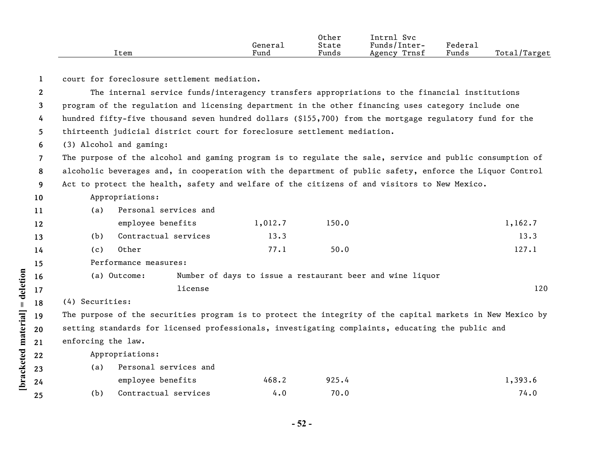|      |         | Other | $\sim$ $\sim$<br>Svc<br>lntrn. |                     |                   |
|------|---------|-------|--------------------------------|---------------------|-------------------|
|      | General | State | Funds/<br>/lnter-              | Federa <sub>1</sub> |                   |
| ltem | Fund    | Funds | Trnsf<br>Agency                | Funds               | Total,<br>'Target |

**1** court for foreclosure settlement mediation.

**2 3 4 5** The internal service funds/interagency transfers appropriations to the financial institutions program of the regulation and licensing department in the other financing uses category include one hundred fifty-five thousand seven hundred dollars (\$155,700) from the mortgage regulatory fund for the thirteenth judicial district court for foreclosure settlement mediation.

**6** (3) Alcohol and gaming:

**7 8 9** The purpose of the alcohol and gaming program is to regulate the sale, service and public consumption of alcoholic beverages and, in cooperation with the department of public safety, enforce the Liquor Control Act to protect the health, safety and welfare of the citizens of and visitors to New Mexico.

## **10** Appropriations:

| (a) | Personal services and |         |       |         |  |
|-----|-----------------------|---------|-------|---------|--|
|     | employee benefits     | 1,012.7 | 150.0 | 1,162.7 |  |
|     | Contractual services  | 13.3    |       | 13.3    |  |

- (c) Other 127.1 50.0 127.1 50.0
- Performance measures:

## (a) Outcome: Number of days to issue a restaurant beer and wine liquor license 120

(4) Securities:

**[bracketed material] = deletion**

[bracketed material] = deletion

The purpose of the securities program is to protect the integrity of the capital markets in New Mexico by setting standards for licensed professionals, investigating complaints, educating the public and enforcing the law.

Appropriations:

| (a)  | Personal services and |       |       |         |  |  |
|------|-----------------------|-------|-------|---------|--|--|
|      | employee benefits     | 468.2 | 925.4 | 1,393.6 |  |  |
| (b). | Contractual services  | 4.0   | 70.0  | 74.0    |  |  |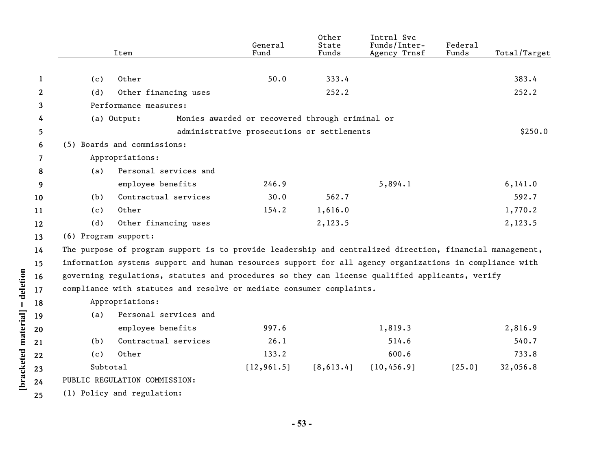|              |                      | Item                                                                                                     | General<br>Fund | Other<br>State<br>Funds | Intrnl Svc<br>Funds/Inter-<br>Agency Trnsf | Federal<br>Funds | Total/Target |
|--------------|----------------------|----------------------------------------------------------------------------------------------------------|-----------------|-------------------------|--------------------------------------------|------------------|--------------|
| 1            | (c)                  | Other                                                                                                    | 50.0            | 333.4                   |                                            |                  | 383.4        |
| $\mathbf{2}$ | (d)                  | Other financing uses                                                                                     |                 | 252.2                   |                                            |                  | 252.2        |
| 3            |                      | Performance measures:                                                                                    |                 |                         |                                            |                  |              |
| 4            |                      | (a) Output:<br>Monies awarded or recovered through criminal or                                           |                 |                         |                                            |                  |              |
| 5            |                      | administrative prosecutions or settlements                                                               |                 |                         |                                            |                  | \$250.0      |
| 6            |                      | (5) Boards and commissions:                                                                              |                 |                         |                                            |                  |              |
| 7            |                      | Appropriations:                                                                                          |                 |                         |                                            |                  |              |
| 8            | (a)                  | Personal services and                                                                                    |                 |                         |                                            |                  |              |
| 9            |                      | employee benefits                                                                                        | 246.9           |                         | 5,894.1                                    |                  | 6, 141.0     |
| 10           | (b)                  | Contractual services                                                                                     | 30.0            | 562.7                   |                                            |                  | 592.7        |
| 11           | (c)                  | Other                                                                                                    | 154.2           | 1,616.0                 |                                            |                  | 1,770.2      |
| 12           | (d)                  | Other financing uses                                                                                     |                 | 2,123.5                 |                                            |                  | 2,123.5      |
| 13           | (6) Program support: |                                                                                                          |                 |                         |                                            |                  |              |
| 14           |                      | The purpose of program support is to provide leadership and centralized direction, financial management, |                 |                         |                                            |                  |              |
| 15           |                      | information systems support and human resources support for all agency organizations in compliance with  |                 |                         |                                            |                  |              |
| 16           |                      | governing regulations, statutes and procedures so they can license qualified applicants, verify          |                 |                         |                                            |                  |              |
| 17           |                      | compliance with statutes and resolve or mediate consumer complaints.                                     |                 |                         |                                            |                  |              |
| 18           |                      | Appropriations:                                                                                          |                 |                         |                                            |                  |              |
| 19           | (a)                  | Personal services and                                                                                    |                 |                         |                                            |                  |              |
| 20           |                      | employee benefits                                                                                        | 997.6           |                         | 1,819.3                                    |                  | 2,816.9      |
| 21           | (b)                  | Contractual services                                                                                     | 26.1            |                         | 514.6                                      |                  | 540.7        |
| 22           | (c)                  | Other                                                                                                    | 133.2           |                         | 600.6                                      |                  | 733.8        |
| 23           | Subtotal             |                                                                                                          | [12, 961.5]     | [8, 613.4]              | [10, 456.9]                                | [25.0]           | 32,056.8     |
| 24           |                      | PUBLIC REGULATION COMMISSION:                                                                            |                 |                         |                                            |                  |              |
| 25           |                      | (1) Policy and regulation:                                                                               |                 |                         |                                            |                  |              |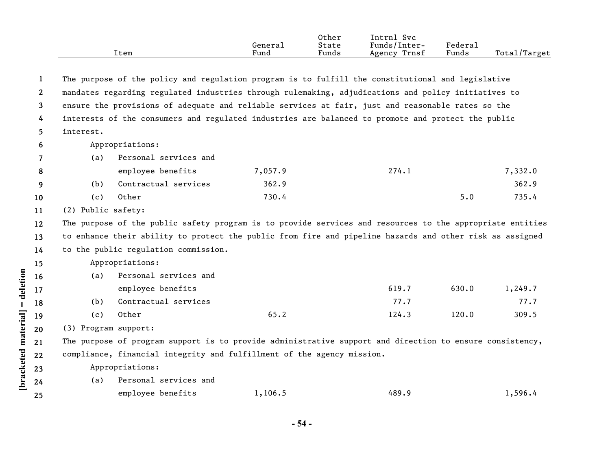|      |         | Other | lntrni<br>Svc   |         |                   |
|------|---------|-------|-----------------|---------|-------------------|
|      | General | State | Funds/Inter-    | Federai |                   |
| ltem | Fund    | Funds | Trnsf<br>Agency | Funds   | Total,<br>'Target |

| 1                                                  |                      |                                                                                                           | The purpose of the policy and regulation program is to fulfill the constitutional and legislative |       |       |         |
|----------------------------------------------------|----------------------|-----------------------------------------------------------------------------------------------------------|---------------------------------------------------------------------------------------------------|-------|-------|---------|
| $\mathbf{2}$                                       |                      | mandates regarding regulated industries through rulemaking, adjudications and policy initiatives to       |                                                                                                   |       |       |         |
| 3                                                  |                      | ensure the provisions of adequate and reliable services at fair, just and reasonable rates so the         |                                                                                                   |       |       |         |
| 4                                                  |                      | interests of the consumers and regulated industries are balanced to promote and protect the public        |                                                                                                   |       |       |         |
| 5                                                  | interest.            |                                                                                                           |                                                                                                   |       |       |         |
| 6                                                  |                      | Appropriations:                                                                                           |                                                                                                   |       |       |         |
| 7                                                  | (a)                  | Personal services and                                                                                     |                                                                                                   |       |       |         |
| 8                                                  |                      | employee benefits                                                                                         | 7,057.9                                                                                           | 274.1 |       | 7,332.0 |
| 9                                                  | (b)                  | Contractual services                                                                                      | 362.9                                                                                             |       |       | 362.9   |
| 10                                                 | (c)                  | Other                                                                                                     | 730.4                                                                                             |       | 5.0   | 735.4   |
| 11                                                 | (2) Public safety:   |                                                                                                           |                                                                                                   |       |       |         |
| 12                                                 |                      | The purpose of the public safety program is to provide services and resources to the appropriate entities |                                                                                                   |       |       |         |
| 13                                                 |                      | to enhance their ability to protect the public from fire and pipeline hazards and other risk as assigned  |                                                                                                   |       |       |         |
| 14                                                 |                      | to the public regulation commission.                                                                      |                                                                                                   |       |       |         |
| 15                                                 |                      |                                                                                                           |                                                                                                   |       |       |         |
|                                                    |                      | Appropriations:                                                                                           |                                                                                                   |       |       |         |
|                                                    | (a)                  | Personal services and                                                                                     |                                                                                                   |       |       |         |
|                                                    |                      | employee benefits                                                                                         |                                                                                                   | 619.7 | 630.0 | 1,249.7 |
|                                                    | (b)                  | Contractual services                                                                                      |                                                                                                   | 77.7  |       | 77.7    |
|                                                    | (c)                  | Other                                                                                                     | 65.2                                                                                              | 124.3 | 120.0 | 309.5   |
|                                                    | (3) Program support: |                                                                                                           |                                                                                                   |       |       |         |
|                                                    |                      | The purpose of program support is to provide administrative support and direction to ensure consistency,  |                                                                                                   |       |       |         |
|                                                    |                      | compliance, financial integrity and fulfillment of the agency mission.                                    |                                                                                                   |       |       |         |
|                                                    |                      | Appropriations:                                                                                           |                                                                                                   |       |       |         |
| 16<br>17<br>18<br>19<br>20<br>21<br>22<br>23<br>24 | (a)                  | Personal services and                                                                                     |                                                                                                   |       |       |         |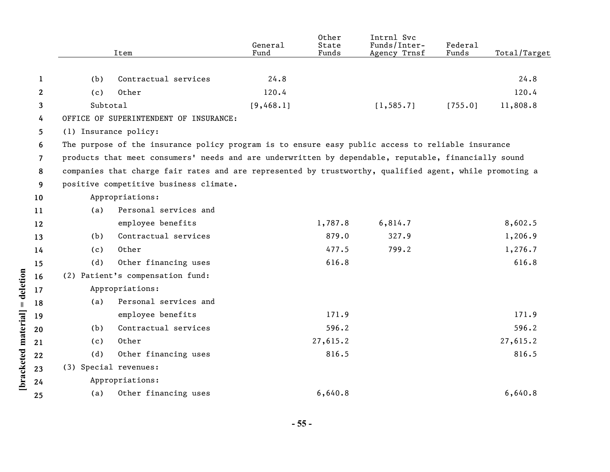|              |                                                                                                   | Item                                                                                                    | General<br>Fund | Other<br>State<br>Funds | Intrnl Svc<br>Funds/Inter-<br>Agency Trnsf | Federal<br>Funds | Total/Target |  |
|--------------|---------------------------------------------------------------------------------------------------|---------------------------------------------------------------------------------------------------------|-----------------|-------------------------|--------------------------------------------|------------------|--------------|--|
|              |                                                                                                   |                                                                                                         |                 |                         |                                            |                  |              |  |
| 1            | (b)                                                                                               | Contractual services                                                                                    | 24.8            |                         |                                            |                  | 24.8         |  |
| $\mathbf{2}$ | (c)                                                                                               | Other                                                                                                   | 120.4           |                         |                                            |                  | 120.4        |  |
| 3            | Subtotal                                                                                          |                                                                                                         | [9, 468.1]      |                         | [1, 585.7]                                 | [755.0]          | 11,808.8     |  |
| 4            |                                                                                                   | OFFICE OF SUPERINTENDENT OF INSURANCE:                                                                  |                 |                         |                                            |                  |              |  |
| 5            |                                                                                                   | (1) Insurance policy:                                                                                   |                 |                         |                                            |                  |              |  |
| 6            | The purpose of the insurance policy program is to ensure easy public access to reliable insurance |                                                                                                         |                 |                         |                                            |                  |              |  |
| 7            |                                                                                                   | products that meet consumers' needs and are underwritten by dependable, reputable, financially sound    |                 |                         |                                            |                  |              |  |
| 8            |                                                                                                   | companies that charge fair rates and are represented by trustworthy, qualified agent, while promoting a |                 |                         |                                            |                  |              |  |
| 9            |                                                                                                   | positive competitive business climate.                                                                  |                 |                         |                                            |                  |              |  |
| 10           |                                                                                                   | Appropriations:                                                                                         |                 |                         |                                            |                  |              |  |
| 11           | (a)                                                                                               | Personal services and                                                                                   |                 |                         |                                            |                  |              |  |
| 12           |                                                                                                   | employee benefits                                                                                       |                 | 1,787.8                 | 6,814.7                                    |                  | 8,602.5      |  |
| 13           | (b)                                                                                               | Contractual services                                                                                    |                 | 879.0                   | 327.9                                      |                  | 1,206.9      |  |
| 14           | (c)                                                                                               | Other                                                                                                   |                 | 477.5                   | 799.2                                      |                  | 1,276.7      |  |
| 15           | (d)                                                                                               | Other financing uses                                                                                    |                 | 616.8                   |                                            |                  | 616.8        |  |
| 16           |                                                                                                   | (2) Patient's compensation fund:                                                                        |                 |                         |                                            |                  |              |  |
| 17           |                                                                                                   | Appropriations:                                                                                         |                 |                         |                                            |                  |              |  |
| 18           | (a)                                                                                               | Personal services and                                                                                   |                 |                         |                                            |                  |              |  |
| 19           |                                                                                                   | employee benefits                                                                                       |                 | 171.9                   |                                            |                  | 171.9        |  |
| 20           | (b)                                                                                               | Contractual services                                                                                    |                 | 596.2                   |                                            |                  | 596.2        |  |
| 21           | (c)                                                                                               | Other                                                                                                   |                 | 27,615.2                |                                            |                  | 27,615.2     |  |
| 22           | (d)                                                                                               | Other financing uses                                                                                    |                 | 816.5                   |                                            |                  | 816.5        |  |
| 23           |                                                                                                   | (3) Special revenues:                                                                                   |                 |                         |                                            |                  |              |  |
| 24           |                                                                                                   | Appropriations:                                                                                         |                 |                         |                                            |                  |              |  |
| 25           | (a)                                                                                               | Other financing uses                                                                                    |                 | 6,640.8                 |                                            |                  | 6,640.8      |  |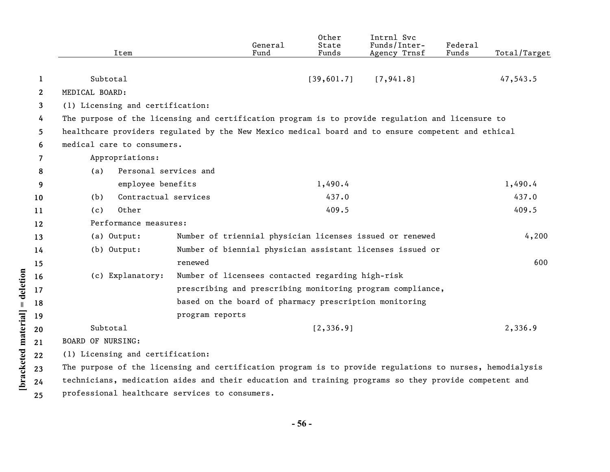|                    |              | Item                                                                                                  | General<br>Fund                                                                                          | Other<br>State<br>Funds | Intrnl Svc<br>Funds/Inter-<br>Agency Trnsf | <b>Federal</b><br>Funds | Total/Target |  |  |
|--------------------|--------------|-------------------------------------------------------------------------------------------------------|----------------------------------------------------------------------------------------------------------|-------------------------|--------------------------------------------|-------------------------|--------------|--|--|
|                    |              |                                                                                                       |                                                                                                          |                         |                                            |                         |              |  |  |
|                    | 1            | Subtotal                                                                                              |                                                                                                          | [39,601.7]              | [7, 941.8]                                 |                         | 47,543.5     |  |  |
|                    | $\mathbf{2}$ | MEDICAL BOARD:                                                                                        |                                                                                                          |                         |                                            |                         |              |  |  |
|                    | 3            | (1) Licensing and certification:                                                                      |                                                                                                          |                         |                                            |                         |              |  |  |
|                    | 4            |                                                                                                       | The purpose of the licensing and certification program is to provide regulation and licensure to         |                         |                                            |                         |              |  |  |
|                    | 5.           |                                                                                                       | healthcare providers regulated by the New Mexico medical board and to ensure competent and ethical       |                         |                                            |                         |              |  |  |
|                    | 6            | medical care to consumers.                                                                            |                                                                                                          |                         |                                            |                         |              |  |  |
|                    | 7            | Appropriations:                                                                                       |                                                                                                          |                         |                                            |                         |              |  |  |
|                    | 8            | Personal services and<br>(a)                                                                          |                                                                                                          |                         |                                            |                         |              |  |  |
|                    | 9            | employee benefits                                                                                     |                                                                                                          | 1,490.4                 |                                            |                         | 1,490.4      |  |  |
|                    | 10           | Contractual services<br>(b)                                                                           |                                                                                                          | 437.0                   |                                            |                         | 437.0        |  |  |
|                    | 11           | Other<br>(c)                                                                                          |                                                                                                          | 409.5                   |                                            |                         | 409.5        |  |  |
|                    | 12           | Performance measures:                                                                                 |                                                                                                          |                         |                                            |                         |              |  |  |
|                    | 13           | (a) Output:                                                                                           | Number of triennial physician licenses issued or renewed                                                 |                         |                                            |                         | 4,200        |  |  |
|                    | 14           | $(b)$ Output:                                                                                         | Number of biennial physician assistant licenses issued or                                                |                         |                                            |                         |              |  |  |
|                    | 15           |                                                                                                       | renewed                                                                                                  |                         |                                            |                         | 600          |  |  |
|                    | 16           | (c) Explanatory:                                                                                      | Number of licensees contacted regarding high-risk                                                        |                         |                                            |                         |              |  |  |
| = deletion         | 17           |                                                                                                       | prescribing and prescribing monitoring program compliance,                                               |                         |                                            |                         |              |  |  |
|                    | 18           |                                                                                                       | based on the board of pharmacy prescription monitoring                                                   |                         |                                            |                         |              |  |  |
|                    | 19           |                                                                                                       | program reports                                                                                          |                         |                                            |                         |              |  |  |
|                    | 20           | Subtotal                                                                                              |                                                                                                          | [2, 336.9]              |                                            |                         | 2,336.9      |  |  |
|                    | 21           | <b>BOARD OF NURSING:</b>                                                                              |                                                                                                          |                         |                                            |                         |              |  |  |
|                    | 22           | (1) Licensing and certification:                                                                      |                                                                                                          |                         |                                            |                         |              |  |  |
| bracketed material | 23           |                                                                                                       | The purpose of the licensing and certification program is to provide regulations to nurses, hemodialysis |                         |                                            |                         |              |  |  |
|                    | 24           | technicians, medication aides and their education and training programs so they provide competent and |                                                                                                          |                         |                                            |                         |              |  |  |
|                    | 25           | professional healthcare services to consumers.                                                        |                                                                                                          |                         |                                            |                         |              |  |  |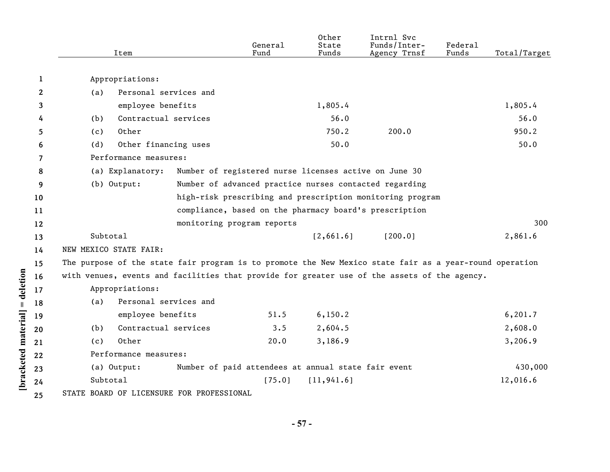| 1<br>Appropriations:<br>$\boldsymbol{2}$<br>Personal services and<br>(a)<br>employee benefits<br>1,805.4<br>3<br>Contractual services<br>56.0<br>(b)<br>4<br>750.2<br>200.0<br>Other<br>5<br>(c)<br>50.0<br>Other financing uses<br>(d)<br>6<br>Performance measures:<br>7<br>(a) Explanatory:<br>Number of registered nurse licenses active on June 30<br>8<br>(b) Output:<br>Number of advanced practice nurses contacted regarding<br>9<br>high-risk prescribing and prescription monitoring program<br>10<br>compliance, based on the pharmacy board's prescription<br>11<br>12<br>monitoring program reports<br>Subtotal<br>[2,661.6]<br>[200.0]<br>13<br>NEW MEXICO STATE FAIR:<br>14<br>The purpose of the state fair program is to promote the New Mexico state fair as a year-round operation<br>15<br>= deletion<br>with venues, events and facilities that provide for greater use of the assets of the agency.<br>16<br>Appropriations:<br>17<br>Personal services and<br>(a)<br>18<br>bracketed material<br>employee benefits<br>6, 150.2<br>51.5<br>19<br>2,604.5<br>Contractual services<br>3.5<br>(b)<br>20<br>Other<br>20.0<br>3,186.9<br>(c)<br>21<br>Performance measures:<br>22<br>Number of paid attendees at annual state fair event<br>(a) Output:<br>23<br>Subtotal<br>[75.0]<br>[11, 941.6]<br>24<br>STATE BOARD OF LICENSURE FOR PROFESSIONAL |    | Item |  | General<br>Fund | Other<br>State<br>Funds | Intrnl Svc<br>Funds/Inter-<br>Agency Trnsf | Federal<br>Funds | Total/Target |  |
|-------------------------------------------------------------------------------------------------------------------------------------------------------------------------------------------------------------------------------------------------------------------------------------------------------------------------------------------------------------------------------------------------------------------------------------------------------------------------------------------------------------------------------------------------------------------------------------------------------------------------------------------------------------------------------------------------------------------------------------------------------------------------------------------------------------------------------------------------------------------------------------------------------------------------------------------------------------------------------------------------------------------------------------------------------------------------------------------------------------------------------------------------------------------------------------------------------------------------------------------------------------------------------------------------------------------------------------------------------------------------|----|------|--|-----------------|-------------------------|--------------------------------------------|------------------|--------------|--|
|                                                                                                                                                                                                                                                                                                                                                                                                                                                                                                                                                                                                                                                                                                                                                                                                                                                                                                                                                                                                                                                                                                                                                                                                                                                                                                                                                                         |    |      |  |                 |                         |                                            |                  |              |  |
|                                                                                                                                                                                                                                                                                                                                                                                                                                                                                                                                                                                                                                                                                                                                                                                                                                                                                                                                                                                                                                                                                                                                                                                                                                                                                                                                                                         |    |      |  |                 |                         |                                            |                  |              |  |
|                                                                                                                                                                                                                                                                                                                                                                                                                                                                                                                                                                                                                                                                                                                                                                                                                                                                                                                                                                                                                                                                                                                                                                                                                                                                                                                                                                         |    |      |  |                 |                         |                                            |                  | 1,805.4      |  |
|                                                                                                                                                                                                                                                                                                                                                                                                                                                                                                                                                                                                                                                                                                                                                                                                                                                                                                                                                                                                                                                                                                                                                                                                                                                                                                                                                                         |    |      |  |                 |                         |                                            |                  | 56.0         |  |
|                                                                                                                                                                                                                                                                                                                                                                                                                                                                                                                                                                                                                                                                                                                                                                                                                                                                                                                                                                                                                                                                                                                                                                                                                                                                                                                                                                         |    |      |  |                 |                         |                                            |                  | 950.2        |  |
|                                                                                                                                                                                                                                                                                                                                                                                                                                                                                                                                                                                                                                                                                                                                                                                                                                                                                                                                                                                                                                                                                                                                                                                                                                                                                                                                                                         |    |      |  |                 |                         |                                            |                  | 50.0         |  |
|                                                                                                                                                                                                                                                                                                                                                                                                                                                                                                                                                                                                                                                                                                                                                                                                                                                                                                                                                                                                                                                                                                                                                                                                                                                                                                                                                                         |    |      |  |                 |                         |                                            |                  |              |  |
|                                                                                                                                                                                                                                                                                                                                                                                                                                                                                                                                                                                                                                                                                                                                                                                                                                                                                                                                                                                                                                                                                                                                                                                                                                                                                                                                                                         |    |      |  |                 |                         |                                            |                  |              |  |
|                                                                                                                                                                                                                                                                                                                                                                                                                                                                                                                                                                                                                                                                                                                                                                                                                                                                                                                                                                                                                                                                                                                                                                                                                                                                                                                                                                         |    |      |  |                 |                         |                                            |                  |              |  |
|                                                                                                                                                                                                                                                                                                                                                                                                                                                                                                                                                                                                                                                                                                                                                                                                                                                                                                                                                                                                                                                                                                                                                                                                                                                                                                                                                                         |    |      |  |                 |                         |                                            |                  |              |  |
|                                                                                                                                                                                                                                                                                                                                                                                                                                                                                                                                                                                                                                                                                                                                                                                                                                                                                                                                                                                                                                                                                                                                                                                                                                                                                                                                                                         |    |      |  |                 |                         |                                            |                  |              |  |
|                                                                                                                                                                                                                                                                                                                                                                                                                                                                                                                                                                                                                                                                                                                                                                                                                                                                                                                                                                                                                                                                                                                                                                                                                                                                                                                                                                         |    |      |  |                 |                         |                                            |                  | 300          |  |
|                                                                                                                                                                                                                                                                                                                                                                                                                                                                                                                                                                                                                                                                                                                                                                                                                                                                                                                                                                                                                                                                                                                                                                                                                                                                                                                                                                         |    |      |  |                 |                         |                                            |                  | 2,861.6      |  |
|                                                                                                                                                                                                                                                                                                                                                                                                                                                                                                                                                                                                                                                                                                                                                                                                                                                                                                                                                                                                                                                                                                                                                                                                                                                                                                                                                                         |    |      |  |                 |                         |                                            |                  |              |  |
|                                                                                                                                                                                                                                                                                                                                                                                                                                                                                                                                                                                                                                                                                                                                                                                                                                                                                                                                                                                                                                                                                                                                                                                                                                                                                                                                                                         |    |      |  |                 |                         |                                            |                  |              |  |
|                                                                                                                                                                                                                                                                                                                                                                                                                                                                                                                                                                                                                                                                                                                                                                                                                                                                                                                                                                                                                                                                                                                                                                                                                                                                                                                                                                         |    |      |  |                 |                         |                                            |                  |              |  |
|                                                                                                                                                                                                                                                                                                                                                                                                                                                                                                                                                                                                                                                                                                                                                                                                                                                                                                                                                                                                                                                                                                                                                                                                                                                                                                                                                                         |    |      |  |                 |                         |                                            |                  |              |  |
|                                                                                                                                                                                                                                                                                                                                                                                                                                                                                                                                                                                                                                                                                                                                                                                                                                                                                                                                                                                                                                                                                                                                                                                                                                                                                                                                                                         |    |      |  |                 |                         |                                            |                  |              |  |
|                                                                                                                                                                                                                                                                                                                                                                                                                                                                                                                                                                                                                                                                                                                                                                                                                                                                                                                                                                                                                                                                                                                                                                                                                                                                                                                                                                         |    |      |  |                 |                         |                                            |                  | 6, 201.7     |  |
|                                                                                                                                                                                                                                                                                                                                                                                                                                                                                                                                                                                                                                                                                                                                                                                                                                                                                                                                                                                                                                                                                                                                                                                                                                                                                                                                                                         |    |      |  |                 |                         |                                            |                  | 2,608.0      |  |
|                                                                                                                                                                                                                                                                                                                                                                                                                                                                                                                                                                                                                                                                                                                                                                                                                                                                                                                                                                                                                                                                                                                                                                                                                                                                                                                                                                         |    |      |  |                 |                         |                                            |                  | 3,206.9      |  |
|                                                                                                                                                                                                                                                                                                                                                                                                                                                                                                                                                                                                                                                                                                                                                                                                                                                                                                                                                                                                                                                                                                                                                                                                                                                                                                                                                                         |    |      |  |                 |                         |                                            |                  |              |  |
|                                                                                                                                                                                                                                                                                                                                                                                                                                                                                                                                                                                                                                                                                                                                                                                                                                                                                                                                                                                                                                                                                                                                                                                                                                                                                                                                                                         |    |      |  |                 |                         |                                            |                  | 430,000      |  |
|                                                                                                                                                                                                                                                                                                                                                                                                                                                                                                                                                                                                                                                                                                                                                                                                                                                                                                                                                                                                                                                                                                                                                                                                                                                                                                                                                                         |    |      |  |                 |                         |                                            |                  | 12,016.6     |  |
|                                                                                                                                                                                                                                                                                                                                                                                                                                                                                                                                                                                                                                                                                                                                                                                                                                                                                                                                                                                                                                                                                                                                                                                                                                                                                                                                                                         | 25 |      |  |                 |                         |                                            |                  |              |  |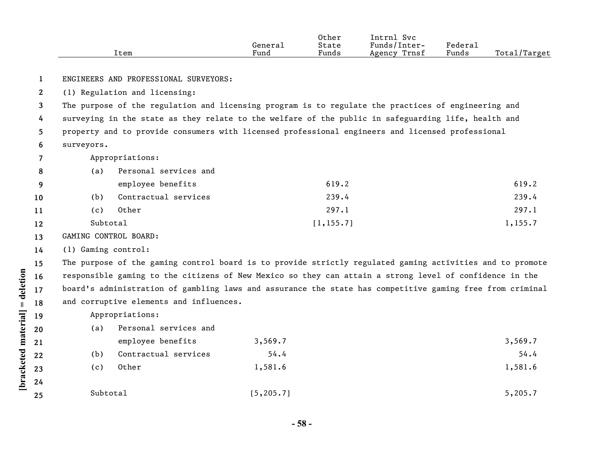|      |         | Other | Intrnl<br><sup>Svc</sup> |         |                    |
|------|---------|-------|--------------------------|---------|--------------------|
|      | General | State | Funds/Inter-             | Federal |                    |
| ltem | Fund    | Funds | Trnsf<br>Agency          | Funds   | Total/<br>./Target |

**1** ENGINEERS AND PROFESSIONAL SURVEYORS:

**2** (1) Regulation and licensing:

**3 4 5 6** The purpose of the regulation and licensing program is to regulate the practices of engineering and surveying in the state as they relate to the welfare of the public in safeguarding life, health and property and to provide consumers with licensed professional engineers and licensed professional surveyors.

**7** Appropriations:

| 8               | (a)      | Personal services and |            |         |
|-----------------|----------|-----------------------|------------|---------|
| -9              |          | employee benefits     | 619.2      | 619.2   |
| 10              | (b)      | Contractual services  | 239.4      | 239.4   |
| 11              | (c)      | Other                 | 297.1      | 297.1   |
| 12 <sup>2</sup> | Subtotal |                       | [1, 155.7] | 1,155.7 |

**13** GAMING CONTROL BOARD:

**14** (1) Gaming control:

**[bracketed material] = deletion**

[bracketed material] = deletion

**19**

**15 16 17 18** The purpose of the gaming control board is to provide strictly regulated gaming activities and to promote responsible gaming to the citizens of New Mexico so they can attain a strong level of confidence in the board's administration of gambling laws and assurance the state has competitive gaming free from criminal and corruptive elements and influences.

Appropriations:

| 20 | Personal services and<br>(a) |            |         |
|----|------------------------------|------------|---------|
| 21 | employee benefits            | 3,569.7    | 3,569.7 |
| 22 | Contractual services<br>(b)  | 54.4       | 54.4    |
| 23 | Other<br>(c)                 | 1,581.6    | 1,581.6 |
| 24 |                              |            |         |
| 25 | Subtotal                     | [5, 205.7] | 5,205.7 |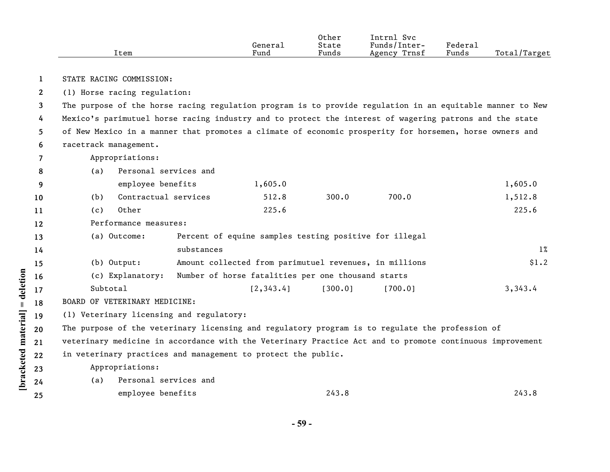|             |                                                                                                           | Item                                                                                                    | General<br>Fund | Other<br>State<br>Funds | Intrnl Svc<br>Funds/Inter-<br>Agency Trnsf | Federal<br>Funds | Total/Target |
|-------------|-----------------------------------------------------------------------------------------------------------|---------------------------------------------------------------------------------------------------------|-----------------|-------------------------|--------------------------------------------|------------------|--------------|
|             |                                                                                                           |                                                                                                         |                 |                         |                                            |                  |              |
| 1           |                                                                                                           | STATE RACING COMMISSION:                                                                                |                 |                         |                                            |                  |              |
| $2^{\circ}$ |                                                                                                           | (1) Horse racing regulation:                                                                            |                 |                         |                                            |                  |              |
| 3           | The purpose of the horse racing regulation program is to provide regulation in an equitable manner to New |                                                                                                         |                 |                         |                                            |                  |              |
| 4           |                                                                                                           | Mexico's parimutuel horse racing industry and to protect the interest of wagering patrons and the state |                 |                         |                                            |                  |              |
| 5.          |                                                                                                           | of New Mexico in a manner that promotes a climate of economic prosperity for horsemen, horse owners and |                 |                         |                                            |                  |              |
| 6           |                                                                                                           | racetrack management.                                                                                   |                 |                         |                                            |                  |              |
|             |                                                                                                           | Appropriations:                                                                                         |                 |                         |                                            |                  |              |
| 8           | (a)                                                                                                       | Personal services and                                                                                   |                 |                         |                                            |                  |              |
| 9           |                                                                                                           | employee benefits                                                                                       | 1,605.0         |                         |                                            |                  | 1,605.0      |
| 10          | (b)                                                                                                       | Contractual services                                                                                    | 512.8           | 300.0                   | 700.0                                      |                  | 1,512.8      |
| 11          | (c)                                                                                                       | Other                                                                                                   | 225.6           |                         |                                            |                  | 225.6        |

**12** Performance measures:

| (a) Outcome:     | Percent of equine samples testing positive for illegal |       |
|------------------|--------------------------------------------------------|-------|
|                  | substances                                             | $1\%$ |
| $(b)$ Output:    | Amount collected from parimutuel revenues, in millions | \$1.2 |
| (c) Explanatory: | Number of horse fatalities per one thousand starts     |       |

- Subtotal [2,343.4] [300.0] [700.0] 3,343.4
- **18** BOARD OF VETERINARY MEDICINE:

**19** (1) Veterinary licensing and regulatory:

**20** The purpose of the veterinary licensing and regulatory program is to regulate the profession of

**21 22** veterinary medicine in accordance with the Veterinary Practice Act and to promote continuous improvement in veterinary practices and management to protect the public.

Appropriations:

**[bracketed material] = deletion**

[bracketed material] = deletion

**23 24 25**

- (a) Personal services and
	- employee benefits 243.8 243.8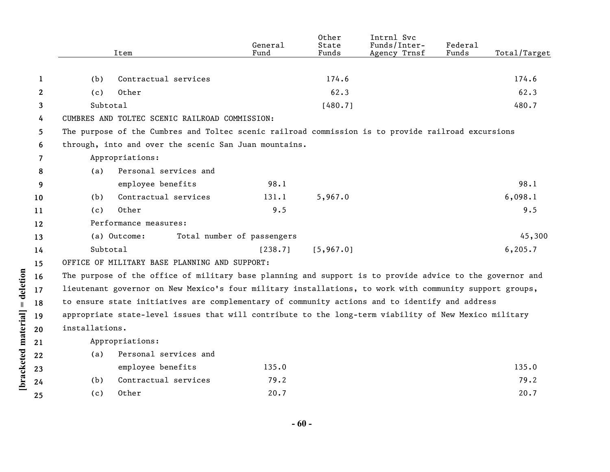|              |                | Item                                                                                                     | General<br>Fund            | Other<br>State<br>Funds | Intrnl Svc<br>Funds/Inter-<br>Agency Trnsf | Federal<br>Funds | Total/Target |
|--------------|----------------|----------------------------------------------------------------------------------------------------------|----------------------------|-------------------------|--------------------------------------------|------------------|--------------|
|              |                |                                                                                                          |                            |                         |                                            |                  |              |
| 1            | (b)            | Contractual services                                                                                     |                            | 174.6                   |                                            |                  | 174.6        |
| $\mathbf{2}$ | (c)            | Other                                                                                                    |                            | 62.3                    |                                            |                  | 62.3         |
| 3            | Subtotal       |                                                                                                          |                            | [480.7]                 |                                            |                  | 480.7        |
| 4            |                | CUMBRES AND TOLTEC SCENIC RAILROAD COMMISSION:                                                           |                            |                         |                                            |                  |              |
| 5.           |                | The purpose of the Cumbres and Toltec scenic railroad commission is to provide railroad excursions       |                            |                         |                                            |                  |              |
| 6            |                | through, into and over the scenic San Juan mountains.                                                    |                            |                         |                                            |                  |              |
| 7            |                | Appropriations:                                                                                          |                            |                         |                                            |                  |              |
| 8            | (a)            | Personal services and                                                                                    |                            |                         |                                            |                  |              |
| 9            |                | employee benefits                                                                                        | 98.1                       |                         |                                            |                  | 98.1         |
| 10           | (b)            | Contractual services                                                                                     | 131.1                      | 5,967.0                 |                                            |                  | 6,098.1      |
| 11           | (c)            | Other                                                                                                    | 9.5                        |                         |                                            |                  | 9.5          |
| 12           |                | Performance measures:                                                                                    |                            |                         |                                            |                  |              |
| 13           |                | (a) Outcome:                                                                                             | Total number of passengers |                         |                                            |                  | 45,300       |
| 14           | Subtotal       |                                                                                                          | [238.7]                    | [5, 967.0]              |                                            |                  | 6, 205.7     |
| 15           |                | OFFICE OF MILITARY BASE PLANNING AND SUPPORT:                                                            |                            |                         |                                            |                  |              |
| 16           |                | The purpose of the office of military base planning and support is to provide advice to the governor and |                            |                         |                                            |                  |              |
| 17           |                | lieutenant governor on New Mexico's four military installations, to work with community support groups,  |                            |                         |                                            |                  |              |
| 18           |                | to ensure state initiatives are complementary of community actions and to identify and address           |                            |                         |                                            |                  |              |
| 19           |                | appropriate state-level issues that will contribute to the long-term viability of New Mexico military    |                            |                         |                                            |                  |              |
| 20           | installations. |                                                                                                          |                            |                         |                                            |                  |              |
| 21           |                | Appropriations:                                                                                          |                            |                         |                                            |                  |              |
| 22           | (a)            | Personal services and                                                                                    |                            |                         |                                            |                  |              |
| 23           |                | employee benefits                                                                                        | 135.0                      |                         |                                            |                  | 135.0        |
| 24           | (b)            | Contractual services                                                                                     | 79.2                       |                         |                                            |                  | 79.2         |
| 25           | (c)            | Other                                                                                                    | 20.7                       |                         |                                            |                  | 20.7         |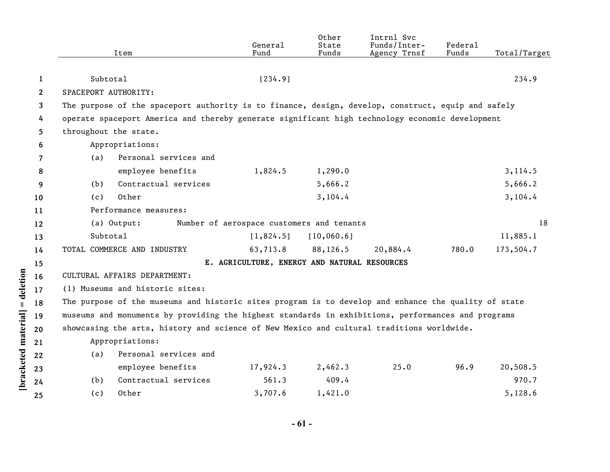|              | Item                                                                                                 | General<br>Fund                              | Other<br>State<br>Funds | Intrnl Svc<br>Funds/Inter-<br>Agency Trnsf | Federal<br>Funds | Total/Target |
|--------------|------------------------------------------------------------------------------------------------------|----------------------------------------------|-------------------------|--------------------------------------------|------------------|--------------|
|              |                                                                                                      |                                              |                         |                                            |                  |              |
| 1            | Subtotal                                                                                             | [234.9]                                      |                         |                                            |                  | 234.9        |
| $\mathbf{2}$ | SPACEPORT AUTHORITY:                                                                                 |                                              |                         |                                            |                  |              |
| 3            | The purpose of the spaceport authority is to finance, design, develop, construct, equip and safely   |                                              |                         |                                            |                  |              |
| 4            | operate spaceport America and thereby generate significant high technology economic development      |                                              |                         |                                            |                  |              |
| 5            | throughout the state.                                                                                |                                              |                         |                                            |                  |              |
| 6            | Appropriations:                                                                                      |                                              |                         |                                            |                  |              |
| 7            | Personal services and<br>(a)                                                                         |                                              |                         |                                            |                  |              |
| 8            | employee benefits                                                                                    | 1,824.5                                      | 1,290.0                 |                                            |                  | 3,114.5      |
| 9            | Contractual services<br>(b)                                                                          |                                              | 5,666.2                 |                                            |                  | 5,666.2      |
| 10           | Other<br>(c)                                                                                         |                                              | 3,104.4                 |                                            |                  | 3,104.4      |
| 11           | Performance measures:                                                                                |                                              |                         |                                            |                  |              |
| 12           | (a) Output:                                                                                          | Number of aerospace customers and tenants    |                         |                                            |                  | 18           |
| 13           | Subtotal                                                                                             | [1,824.5]                                    | [10,060.6]              |                                            |                  | 11,885.1     |
| 14           | TOTAL COMMERCE AND INDUSTRY                                                                          | 63,713.8                                     | 88,126.5                | 20,884.4                                   | 780.0            | 173,504.7    |
| 15           |                                                                                                      | E. AGRICULTURE, ENERGY AND NATURAL RESOURCES |                         |                                            |                  |              |
| 16           | CULTURAL AFFAIRS DEPARTMENT:                                                                         |                                              |                         |                                            |                  |              |
| 17           | (1) Museums and historic sites:                                                                      |                                              |                         |                                            |                  |              |
| 18           | The purpose of the museums and historic sites program is to develop and enhance the quality of state |                                              |                         |                                            |                  |              |
| 19           | museums and monuments by providing the highest standards in exhibitions, performances and programs   |                                              |                         |                                            |                  |              |
| 20           | showcasing the arts, history and science of New Mexico and cultural traditions worldwide.            |                                              |                         |                                            |                  |              |
| 21           | Appropriations:                                                                                      |                                              |                         |                                            |                  |              |
| 22           | Personal services and<br>(a)                                                                         |                                              |                         |                                            |                  |              |
| 23           | employee benefits                                                                                    | 17,924.3                                     | 2,462.3                 | 25.0                                       | 96.9             | 20,508.5     |
| 24           | Contractual services<br>(b)                                                                          | 561.3                                        | 409.4                   |                                            |                  | 970.7        |
| 25           | Other<br>(c)                                                                                         | 3,707.6                                      | 1,421.0                 |                                            |                  | 5,128.6      |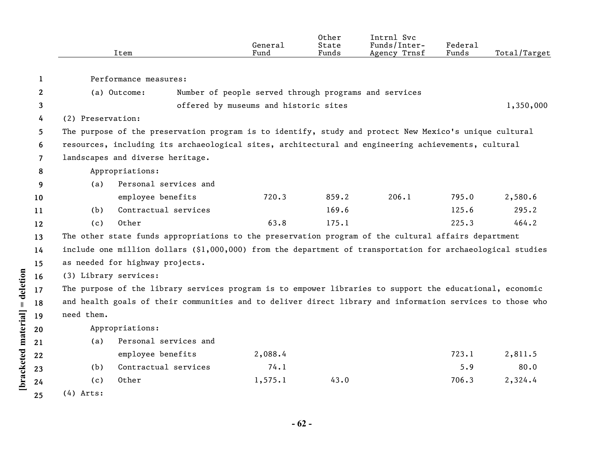|              |                   | Item                                                                                                       | General<br>Fund                                       | Other<br>State<br>Funds | Intrnl Svc<br>Funds/Inter-<br>Agency Trnsf | Federal<br>Funds | Total/Target |
|--------------|-------------------|------------------------------------------------------------------------------------------------------------|-------------------------------------------------------|-------------------------|--------------------------------------------|------------------|--------------|
| 1            |                   | Performance measures:                                                                                      |                                                       |                         |                                            |                  |              |
| $\mathbf{2}$ |                   | (a) Outcome:                                                                                               | Number of people served through programs and services |                         |                                            |                  |              |
|              |                   |                                                                                                            | offered by museums and historic sites                 |                         |                                            |                  | 1,350,000    |
| 3            | (2) Preservation: |                                                                                                            |                                                       |                         |                                            |                  |              |
| 4            |                   |                                                                                                            |                                                       |                         |                                            |                  |              |
| 5.           |                   | The purpose of the preservation program is to identify, study and protect New Mexico's unique cultural     |                                                       |                         |                                            |                  |              |
| 6            |                   | resources, including its archaeological sites, architectural and engineering achievements, cultural        |                                                       |                         |                                            |                  |              |
| 7            |                   | landscapes and diverse heritage.                                                                           |                                                       |                         |                                            |                  |              |
| 8            |                   | Appropriations:                                                                                            |                                                       |                         |                                            |                  |              |
| 9            | (a)               | Personal services and                                                                                      |                                                       |                         |                                            |                  |              |
| 10           |                   | employee benefits                                                                                          | 720.3                                                 | 859.2                   | 206.1                                      | 795.0            | 2,580.6      |
| 11           | (b)               | Contractual services                                                                                       |                                                       | 169.6                   |                                            | 125.6            | 295.2        |
| 12           | (c)               | Other                                                                                                      | 63.8                                                  | 175.1                   |                                            | 225.3            | 464.2        |
| 13           |                   | The other state funds appropriations to the preservation program of the cultural affairs department        |                                                       |                         |                                            |                  |              |
| 14           |                   | include one million dollars (\$1,000,000) from the department of transportation for archaeological studies |                                                       |                         |                                            |                  |              |
| 15           |                   | as needed for highway projects.                                                                            |                                                       |                         |                                            |                  |              |
| 16           |                   | (3) Library services:                                                                                      |                                                       |                         |                                            |                  |              |
| 17           |                   | The purpose of the library services program is to empower libraries to support the educational, economic   |                                                       |                         |                                            |                  |              |
| 18           |                   | and health goals of their communities and to deliver direct library and information services to those who  |                                                       |                         |                                            |                  |              |
| 19           | need them.        |                                                                                                            |                                                       |                         |                                            |                  |              |
| 20           |                   | Appropriations:                                                                                            |                                                       |                         |                                            |                  |              |
| 21           | (a)               | Personal services and                                                                                      |                                                       |                         |                                            |                  |              |
| 22           |                   | employee benefits                                                                                          | 2,088.4                                               |                         |                                            | 723.1            | 2,811.5      |
| 23           | (b)               | Contractual services                                                                                       | 74.1                                                  |                         |                                            | 5.9              | 80.0         |
| 24           | (c)               | Other                                                                                                      | 1,575.1                                               | 43.0                    |                                            | 706.3            | 2,324.4      |
| 25           | $(4)$ Arts:       |                                                                                                            |                                                       |                         |                                            |                  |              |

[bracketed material] = deletion

**- 62 -**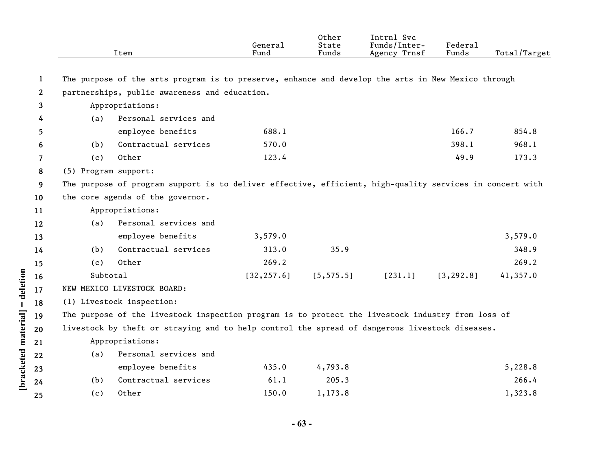|                    |              |                                                                                                   | Item                                                                                                     | General<br>Fund | Other<br>State<br>Funds | Intrnl Svc<br>Funds/Inter-<br>Agency Trnsf | Federal<br>Funds | Total/Target |  |
|--------------------|--------------|---------------------------------------------------------------------------------------------------|----------------------------------------------------------------------------------------------------------|-----------------|-------------------------|--------------------------------------------|------------------|--------------|--|
|                    |              |                                                                                                   |                                                                                                          |                 |                         |                                            |                  |              |  |
|                    | 1            |                                                                                                   | The purpose of the arts program is to preserve, enhance and develop the arts in New Mexico through       |                 |                         |                                            |                  |              |  |
|                    | $\mathbf{2}$ |                                                                                                   | partnerships, public awareness and education.                                                            |                 |                         |                                            |                  |              |  |
|                    | 3            |                                                                                                   | Appropriations:                                                                                          |                 |                         |                                            |                  |              |  |
|                    | 4            | (a)                                                                                               | Personal services and                                                                                    |                 |                         |                                            |                  |              |  |
|                    | 5            |                                                                                                   | employee benefits                                                                                        | 688.1           |                         |                                            | 166.7            | 854.8        |  |
|                    | 6            | (b)                                                                                               | Contractual services                                                                                     | 570.0           |                         |                                            | 398.1            | 968.1        |  |
|                    | 7            | (c)                                                                                               | Other                                                                                                    | 123.4           |                         |                                            | 49.9             | 173.3        |  |
|                    | 8            | (5) Program support:                                                                              |                                                                                                          |                 |                         |                                            |                  |              |  |
|                    | 9            |                                                                                                   | The purpose of program support is to deliver effective, efficient, high-quality services in concert with |                 |                         |                                            |                  |              |  |
|                    | 10           |                                                                                                   | the core agenda of the governor.                                                                         |                 |                         |                                            |                  |              |  |
|                    | 11           |                                                                                                   | Appropriations:                                                                                          |                 |                         |                                            |                  |              |  |
|                    | 12           | (a)                                                                                               | Personal services and                                                                                    |                 |                         |                                            |                  |              |  |
|                    | 13           |                                                                                                   | employee benefits                                                                                        | 3,579.0         |                         |                                            |                  | 3,579.0      |  |
|                    | 14           | (b)                                                                                               | Contractual services                                                                                     | 313.0           | 35.9                    |                                            |                  | 348.9        |  |
|                    | 15           | (c)                                                                                               | Other                                                                                                    | 269.2           |                         |                                            |                  | 269.2        |  |
|                    | 16           | Subtotal                                                                                          |                                                                                                          | [32, 257.6]     | [5, 575.5]              | [231.1]                                    | [3, 292.8]       | 41,357.0     |  |
| $=$ deletion       | 17           |                                                                                                   | NEW MEXICO LIVESTOCK BOARD:                                                                              |                 |                         |                                            |                  |              |  |
|                    | 18           |                                                                                                   | (1) Livestock inspection:                                                                                |                 |                         |                                            |                  |              |  |
|                    | 19           | The purpose of the livestock inspection program is to protect the livestock industry from loss of |                                                                                                          |                 |                         |                                            |                  |              |  |
|                    | 20           |                                                                                                   | livestock by theft or straying and to help control the spread of dangerous livestock diseases.           |                 |                         |                                            |                  |              |  |
|                    | 21           |                                                                                                   | Appropriations:                                                                                          |                 |                         |                                            |                  |              |  |
|                    | 22           | (a)                                                                                               | Personal services and                                                                                    |                 |                         |                                            |                  |              |  |
|                    | 23           |                                                                                                   | employee benefits                                                                                        | 435.0           | 4,793.8                 |                                            |                  | 5,228.8      |  |
| bracketed material | 24           | (b)                                                                                               | Contractual services                                                                                     | 61.1            | 205.3                   |                                            |                  | 266.4        |  |
|                    |              | (c)                                                                                               | Other                                                                                                    | 150.0           | 1,173.8                 |                                            |                  | 1,323.8      |  |
|                    | 25           |                                                                                                   |                                                                                                          |                 |                         |                                            |                  |              |  |

**- 63 -**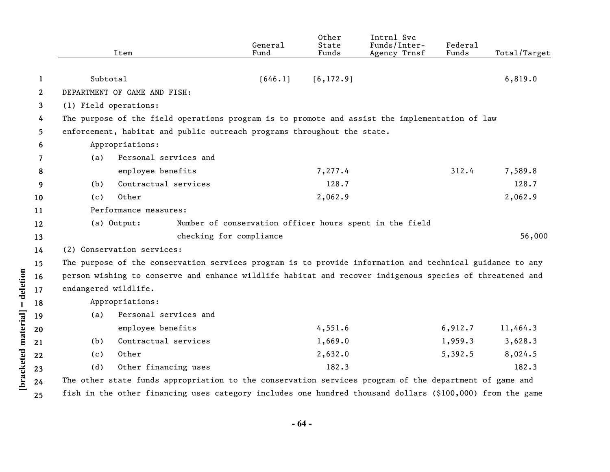|              |                       | Item                                                                                                     | General<br>Fund | Other<br>State<br>Funds | Intrnl Svc<br>Funds/Inter-<br>Agency Trnsf              | Federal<br>Funds | Total/Target |
|--------------|-----------------------|----------------------------------------------------------------------------------------------------------|-----------------|-------------------------|---------------------------------------------------------|------------------|--------------|
| 1            | Subtotal              |                                                                                                          | [646.1]         | [6, 172.9]              |                                                         |                  | 6,819.0      |
| $\mathbf{2}$ |                       | DEPARTMENT OF GAME AND FISH:                                                                             |                 |                         |                                                         |                  |              |
| 3            | (1) Field operations: |                                                                                                          |                 |                         |                                                         |                  |              |
| 4            |                       | The purpose of the field operations program is to promote and assist the implementation of law           |                 |                         |                                                         |                  |              |
| 5            |                       | enforcement, habitat and public outreach programs throughout the state.                                  |                 |                         |                                                         |                  |              |
| 6            |                       | Appropriations:                                                                                          |                 |                         |                                                         |                  |              |
| 7            | (a)                   | Personal services and                                                                                    |                 |                         |                                                         |                  |              |
| 8            |                       | employee benefits                                                                                        |                 | 7,277.4                 |                                                         | 312.4            | 7,589.8      |
| 9            | (b)                   | Contractual services                                                                                     |                 | 128.7                   |                                                         |                  | 128.7        |
| 10           | (c)                   | Other                                                                                                    |                 | 2,062.9                 |                                                         |                  | 2,062.9      |
| 11           |                       | Performance measures:                                                                                    |                 |                         |                                                         |                  |              |
| 12           |                       | (a) Output:                                                                                              |                 |                         | Number of conservation officer hours spent in the field |                  |              |
| 13           |                       | checking for compliance                                                                                  |                 |                         |                                                         |                  | 56,000       |
| 14           |                       | (2) Conservation services:                                                                               |                 |                         |                                                         |                  |              |
| 15           |                       | The purpose of the conservation services program is to provide information and technical guidance to any |                 |                         |                                                         |                  |              |
| 16           |                       | person wishing to conserve and enhance wildlife habitat and recover indigenous species of threatened and |                 |                         |                                                         |                  |              |
| 17           | endangered wildlife.  |                                                                                                          |                 |                         |                                                         |                  |              |
| 18           |                       | Appropriations:                                                                                          |                 |                         |                                                         |                  |              |
| 19           | (a)                   | Personal services and                                                                                    |                 |                         |                                                         |                  |              |
| 20           |                       | employee benefits                                                                                        |                 | 4,551.6                 |                                                         | 6,912.7          | 11,464.3     |
| 21           | (b)                   | Contractual services                                                                                     |                 | 1,669.0                 |                                                         | 1,959.3          | 3,628.3      |
| 22           | (c)                   | Other                                                                                                    |                 | 2,632.0                 |                                                         | 5,392.5          | 8,024.5      |
| 23           | (d)                   | Other financing uses                                                                                     |                 | 182.3                   |                                                         |                  | 182.3        |
| 24           |                       | The other state funds appropriation to the conservation services program of the department of game and   |                 |                         |                                                         |                  |              |
|              |                       |                                                                                                          |                 |                         |                                                         |                  |              |

**25** fish in the other financing uses category includes one hundred thousand dollars (\$100,000) from the game

**[bracketed material] = deletion**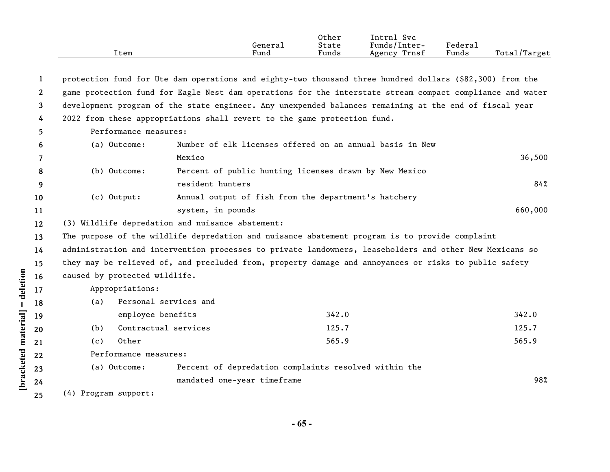|      |         | Other | $\sim$<br>Intrn1<br><b>Svc</b> |        |                     |
|------|---------|-------|--------------------------------|--------|---------------------|
|      | General | State | Funds/Inter-                   | Federa |                     |
| ıtem | Fund    | Funds | Trnsf<br>Agency                | Funds  | Total/<br>$T$ arget |

| 1            |                                                                                                           |                       | protection fund for Ute dam operations and eighty-two thousand three hundred dollars (\$82,300) from the |         |  |  |  |
|--------------|-----------------------------------------------------------------------------------------------------------|-----------------------|----------------------------------------------------------------------------------------------------------|---------|--|--|--|
| $\mathbf{2}$ | game protection fund for Eagle Nest dam operations for the interstate stream compact compliance and water |                       |                                                                                                          |         |  |  |  |
| 3            | development program of the state engineer. Any unexpended balances remaining at the end of fiscal year    |                       |                                                                                                          |         |  |  |  |
| 4            |                                                                                                           |                       | 2022 from these appropriations shall revert to the game protection fund.                                 |         |  |  |  |
| 5.           | Performance measures:                                                                                     |                       |                                                                                                          |         |  |  |  |
| 6            | (a) Outcome:                                                                                              |                       | Number of elk licenses offered on an annual basis in New                                                 |         |  |  |  |
| 7            |                                                                                                           | Mexico                |                                                                                                          | 36,500  |  |  |  |
| 8            | (b) Outcome:                                                                                              |                       | Percent of public hunting licenses drawn by New Mexico                                                   |         |  |  |  |
| 9            |                                                                                                           | resident hunters      |                                                                                                          | 84%     |  |  |  |
| 10           | (c) Output:                                                                                               |                       | Annual output of fish from the department's hatchery                                                     |         |  |  |  |
| 11           |                                                                                                           | system, in pounds     |                                                                                                          | 660,000 |  |  |  |
| 12           | (3) Wildlife depredation and nuisance abatement:                                                          |                       |                                                                                                          |         |  |  |  |
| 13           |                                                                                                           |                       | The purpose of the wildlife depredation and nuisance abatement program is to provide complaint           |         |  |  |  |
| 14           |                                                                                                           |                       | administration and intervention processes to private landowners, leaseholders and other New Mexicans so  |         |  |  |  |
| 15           |                                                                                                           |                       | they may be relieved of, and precluded from, property damage and annoyances or risks to public safety    |         |  |  |  |
| 16           | caused by protected wildlife.                                                                             |                       |                                                                                                          |         |  |  |  |
| 17           | Appropriations:                                                                                           |                       |                                                                                                          |         |  |  |  |
| 18           | (a)                                                                                                       | Personal services and |                                                                                                          |         |  |  |  |
| 19           | employee benefits                                                                                         |                       | 342.0                                                                                                    | 342.0   |  |  |  |
| 20           | Contractual services<br>(b)                                                                               |                       | 125.7                                                                                                    | 125.7   |  |  |  |
| 21           | Other<br>(c)                                                                                              |                       | 565.9                                                                                                    | 565.9   |  |  |  |
| 22           | Performance measures:                                                                                     |                       |                                                                                                          |         |  |  |  |
| 23           | (a) Outcome:                                                                                              |                       | Percent of depredation complaints resolved within the                                                    |         |  |  |  |
| 24           |                                                                                                           |                       | mandated one-year timeframe                                                                              | 98%     |  |  |  |
| 25           | (4) Program support:                                                                                      |                       |                                                                                                          |         |  |  |  |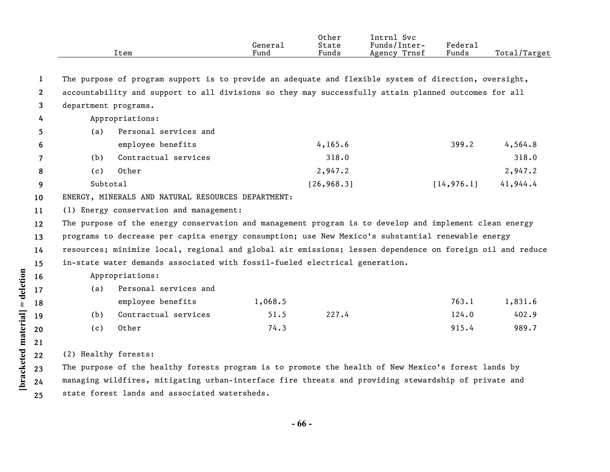| Item | General<br>Fund | Other<br>State<br>Funds | Intrnl Svc<br>Funds/Inter-<br>Agency Trnsf | Federal<br>Funds | Total/Target |
|------|-----------------|-------------------------|--------------------------------------------|------------------|--------------|
|      |                 |                         |                                            |                  |              |

**1** The purpose of program support is to provide an adequate and flexible system of direction, oversight,

- **2 3** accountability and support to all divisions so they may successfully attain planned outcomes for all department programs.
- **4** Appropriations:

| 5              | (a)      | Personal services and |             |             |          |
|----------------|----------|-----------------------|-------------|-------------|----------|
| -6             |          | employee benefits     | 4,165.6     | 399.2       | 4,564.8  |
| $\overline{7}$ | (b)      | Contractual services  | 318.0       |             | 318.0    |
| -8             | (c)      | Other                 | 2,947.2     |             | 2,947.2  |
| -9             | Subtotal |                       | [26, 968.3] | [14, 976.1] | 41,944.4 |

**10** ENERGY, MINERALS AND NATURAL RESOURCES DEPARTMENT:

**11** (1) Energy conservation and management:

**12 13 14 15** The purpose of the energy conservation and management program is to develop and implement clean energy programs to decrease per capita energy consumption; use New Mexico's substantial renewable energy resources; minimize local, regional and global air emissions; lessen dependence on foreign oil and reduce in-state water demands associated with fossil-fueled electrical generation.

Appropriations:

| (a) | Personal services and |         |       |       |         |
|-----|-----------------------|---------|-------|-------|---------|
|     | employee benefits     | 1,068.5 |       | 763.1 | 1,831.6 |
| (b) | Contractual services  | 51.5    | 227.4 | 124.0 | 402.9   |
| (c) | Other                 | 74.3    |       | 915.4 | 989.7   |

[bracketed material] = deletion **[bracketed material] = deletion 18 19 20 21 23 24**

**16 17**

**25**

**22** (2) Healthy forests:

> The purpose of the healthy forests program is to promote the health of New Mexico's forest lands by managing wildfires, mitigating urban-interface fire threats and providing stewardship of private and state forest lands and associated watersheds.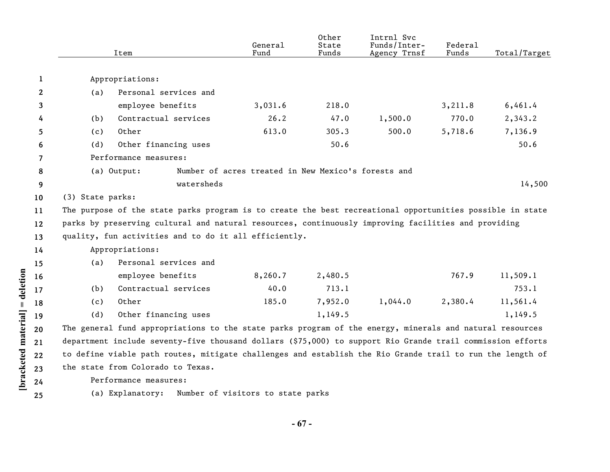|                   |                  | Item                                                                                                       | General<br>Fund                                     | Other<br>State<br>Funds | Intrnl Svc<br>Funds/Inter-<br>Agency Trnsf | Federal<br>Funds | Total/Target |
|-------------------|------------------|------------------------------------------------------------------------------------------------------------|-----------------------------------------------------|-------------------------|--------------------------------------------|------------------|--------------|
| $\mathbf{1}$      |                  | Appropriations:                                                                                            |                                                     |                         |                                            |                  |              |
| $\mathbf{2}$      | (a)              | Personal services and                                                                                      |                                                     |                         |                                            |                  |              |
| 3                 |                  | employee benefits                                                                                          | 3,031.6                                             | 218.0                   |                                            | 3,211.8          | 6,461.4      |
| 4                 | (b)              | Contractual services                                                                                       | 26.2                                                | 47.0                    | 1,500.0                                    | 770.0            | 2,343.2      |
| 5                 | (c)              | Other                                                                                                      | 613.0                                               | 305.3                   | 500.0                                      | 5,718.6          | 7,136.9      |
| 6                 | (d)              | Other financing uses                                                                                       |                                                     | 50.6                    |                                            |                  | 50.6         |
| 7                 |                  | Performance measures:                                                                                      |                                                     |                         |                                            |                  |              |
| 8                 |                  | (a) Output:                                                                                                | Number of acres treated in New Mexico's forests and |                         |                                            |                  |              |
| 9                 |                  | watersheds                                                                                                 |                                                     |                         |                                            |                  | 14,500       |
| 10                | (3) State parks: |                                                                                                            |                                                     |                         |                                            |                  |              |
| 11                |                  | The purpose of the state parks program is to create the best recreational opportunities possible in state  |                                                     |                         |                                            |                  |              |
| $12 \overline{ }$ |                  | parks by preserving cultural and natural resources, continuously improving facilities and providing        |                                                     |                         |                                            |                  |              |
| 13                |                  | quality, fun activities and to do it all efficiently.                                                      |                                                     |                         |                                            |                  |              |
| 14                |                  | Appropriations:                                                                                            |                                                     |                         |                                            |                  |              |
| 15                | (a)              | Personal services and                                                                                      |                                                     |                         |                                            |                  |              |
| 16                |                  | employee benefits                                                                                          | 8,260.7                                             | 2,480.5                 |                                            | 767.9            | 11,509.1     |
| 17                | (b)              | Contractual services                                                                                       | 40.0                                                | 713.1                   |                                            |                  | 753.1        |
| 18                | (c)              | Other                                                                                                      | 185.0                                               | 7,952.0                 | 1,044.0                                    | 2,380.4          | 11,561.4     |
| 19                | (d)              | Other financing uses                                                                                       |                                                     | 1,149.5                 |                                            |                  | 1,149.5      |
| 20                |                  | The general fund appropriations to the state parks program of the energy, minerals and natural resources   |                                                     |                         |                                            |                  |              |
| 21                |                  | department include seventy-five thousand dollars (\$75,000) to support Rio Grande trail commission efforts |                                                     |                         |                                            |                  |              |
| 22                |                  | to define viable path routes, mitigate challenges and establish the Rio Grande trail to run the length of  |                                                     |                         |                                            |                  |              |
| 23                |                  | the state from Colorado to Texas.                                                                          |                                                     |                         |                                            |                  |              |

**[bracketed material] = deletion**

[bracketed material] = deletion

**24 25** Performance measures:

(a) Explanatory: Number of visitors to state parks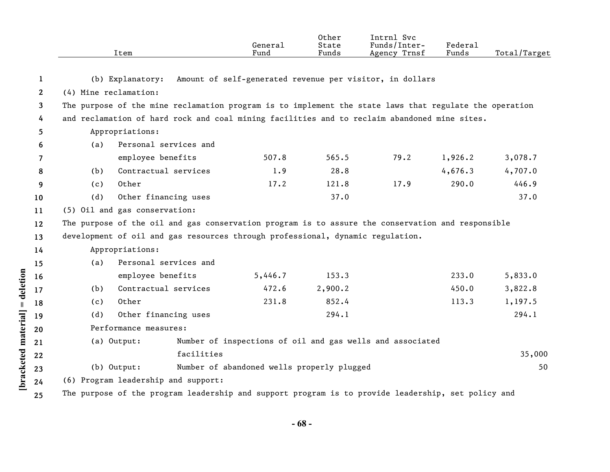|                       |                                                                                                    | Item                                                                                                   | General<br>Fund                            | Other<br>State<br>Funds | Intrnl Svc<br>Funds/Inter-<br>Agency Trnsf                | Federal<br>Funds | Total/Target |  |  |
|-----------------------|----------------------------------------------------------------------------------------------------|--------------------------------------------------------------------------------------------------------|--------------------------------------------|-------------------------|-----------------------------------------------------------|------------------|--------------|--|--|
| $\mathbf{1}$          |                                                                                                    | (b) Explanatory:                                                                                       |                                            |                         | Amount of self-generated revenue per visitor, in dollars  |                  |              |  |  |
| $\mathbf{2}^{\prime}$ | (4) Mine reclamation:                                                                              |                                                                                                        |                                            |                         |                                                           |                  |              |  |  |
| 3                     |                                                                                                    | The purpose of the mine reclamation program is to implement the state laws that regulate the operation |                                            |                         |                                                           |                  |              |  |  |
| 4                     | and reclamation of hard rock and coal mining facilities and to reclaim abandoned mine sites.       |                                                                                                        |                                            |                         |                                                           |                  |              |  |  |
| 5.                    |                                                                                                    | Appropriations:                                                                                        |                                            |                         |                                                           |                  |              |  |  |
| 6                     | (a)                                                                                                | Personal services and                                                                                  |                                            |                         |                                                           |                  |              |  |  |
| 7                     |                                                                                                    | employee benefits                                                                                      | 507.8                                      | 565.5                   | 79.2                                                      | 1,926.2          | 3,078.7      |  |  |
| 8                     | (b)                                                                                                | Contractual services                                                                                   | 1.9                                        | 28.8                    |                                                           | 4,676.3          | 4,707.0      |  |  |
| 9                     | (c)                                                                                                | Other                                                                                                  | 17.2                                       | 121.8                   | 17.9                                                      | 290.0            | 446.9        |  |  |
| 10                    | (d)                                                                                                | Other financing uses                                                                                   |                                            | 37.0                    |                                                           |                  | 37.0         |  |  |
| 11                    |                                                                                                    | (5) Oil and gas conservation:                                                                          |                                            |                         |                                                           |                  |              |  |  |
| 12                    |                                                                                                    | The purpose of the oil and gas conservation program is to assure the conservation and responsible      |                                            |                         |                                                           |                  |              |  |  |
| 13                    |                                                                                                    | development of oil and gas resources through professional, dynamic regulation.                         |                                            |                         |                                                           |                  |              |  |  |
| 14                    |                                                                                                    | Appropriations:                                                                                        |                                            |                         |                                                           |                  |              |  |  |
| 15                    | (a)                                                                                                | Personal services and                                                                                  |                                            |                         |                                                           |                  |              |  |  |
| 16                    |                                                                                                    | employee benefits                                                                                      | 5,446.7                                    | 153.3                   |                                                           | 233.0            | 5,833.0      |  |  |
| 17                    | (b)                                                                                                | Contractual services                                                                                   | 472.6                                      | 2,900.2                 |                                                           | 450.0            | 3,822.8      |  |  |
| 18                    | (c)                                                                                                | Other                                                                                                  | 231.8                                      | 852.4                   |                                                           | 113.3            | 1,197.5      |  |  |
| 19                    | (d)                                                                                                | Other financing uses                                                                                   |                                            | 294.1                   |                                                           |                  | 294.1        |  |  |
| 20                    |                                                                                                    | Performance measures:                                                                                  |                                            |                         |                                                           |                  |              |  |  |
| 21                    |                                                                                                    | (a) Output:                                                                                            |                                            |                         | Number of inspections of oil and gas wells and associated |                  |              |  |  |
| 22                    |                                                                                                    | facilities                                                                                             |                                            |                         |                                                           |                  | 35,000       |  |  |
| 23                    |                                                                                                    | (b) Output:                                                                                            | Number of abandoned wells properly plugged |                         |                                                           |                  | 50           |  |  |
| 24                    |                                                                                                    | (6) Program leadership and support:                                                                    |                                            |                         |                                                           |                  |              |  |  |
| 25                    | The purpose of the program leadership and support program is to provide leadership, set policy and |                                                                                                        |                                            |                         |                                                           |                  |              |  |  |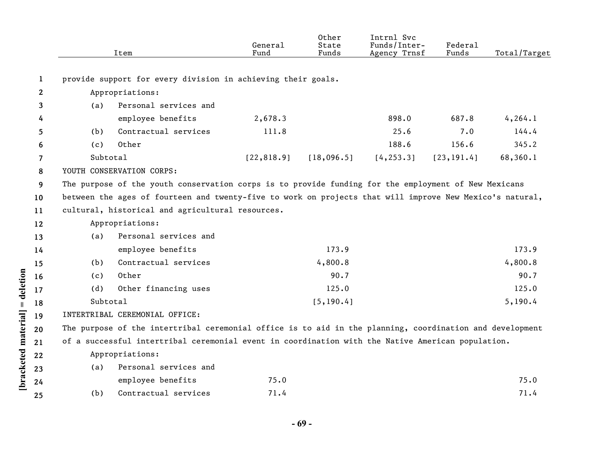|                      |              |          | Item                                                                                                     | General<br>Fund | Other<br>State<br>Funds | Intrnl Svc<br>Funds/Inter-<br>Agency Trnsf | Federal<br>Funds | Total/Target |
|----------------------|--------------|----------|----------------------------------------------------------------------------------------------------------|-----------------|-------------------------|--------------------------------------------|------------------|--------------|
|                      | $\mathbf{1}$ |          | provide support for every division in achieving their goals.                                             |                 |                         |                                            |                  |              |
|                      | 2            |          | Appropriations:                                                                                          |                 |                         |                                            |                  |              |
|                      | 3            | (a)      | Personal services and                                                                                    |                 |                         |                                            |                  |              |
|                      | 4            |          | employee benefits                                                                                        | 2,678.3         |                         | 898.0                                      | 687.8            | 4, 264.1     |
|                      | 5            | (b)      | Contractual services                                                                                     | 111.8           |                         | 25.6                                       | 7.0              | 144.4        |
|                      | 6            | (c)      | Other                                                                                                    |                 |                         | 188.6                                      | 156.6            | 345.2        |
|                      | 7            | Subtotal |                                                                                                          | [22, 818.9]     | [18,096.5]              | [4, 253.3]                                 | [23, 191.4]      | 68,360.1     |
|                      | 8            |          | YOUTH CONSERVATION CORPS:                                                                                |                 |                         |                                            |                  |              |
|                      | 9            |          | The purpose of the youth conservation corps is to provide funding for the employment of New Mexicans     |                 |                         |                                            |                  |              |
|                      | 10           |          | between the ages of fourteen and twenty-five to work on projects that will improve New Mexico's natural, |                 |                         |                                            |                  |              |
|                      | 11           |          | cultural, historical and agricultural resources.                                                         |                 |                         |                                            |                  |              |
|                      | 12           |          | Appropriations:                                                                                          |                 |                         |                                            |                  |              |
|                      | 13           | (a)      | Personal services and                                                                                    |                 |                         |                                            |                  |              |
|                      | 14           |          | employee benefits                                                                                        |                 | 173.9                   |                                            |                  | 173.9        |
|                      | 15           | (b)      | Contractual services                                                                                     |                 | 4,800.8                 |                                            |                  | 4,800.8      |
|                      | 16           | (c)      | Other                                                                                                    |                 | 90.7                    |                                            |                  | 90.7         |
|                      | 17           | (d)      | Other financing uses                                                                                     |                 | 125.0                   |                                            |                  | 125.0        |
| $=$ deletion         | 18           | Subtotal |                                                                                                          |                 | [5, 190.4]              |                                            |                  | 5,190.4      |
|                      | 19           |          | INTERTRIBAL CEREMONIAL OFFICE:                                                                           |                 |                         |                                            |                  |              |
|                      | 20           |          | The purpose of the intertribal ceremonial office is to aid in the planning, coordination and development |                 |                         |                                            |                  |              |
|                      | 21           |          | of a successful intertribal ceremonial event in coordination with the Native American population.        |                 |                         |                                            |                  |              |
|                      | 22           |          | Appropriations:                                                                                          |                 |                         |                                            |                  |              |
|                      | 23           | (a)      | Personal services and                                                                                    |                 |                         |                                            |                  |              |
| [bracketed material] | 24           |          | employee benefits                                                                                        | 75.0            |                         |                                            |                  | 75.0         |
|                      | 25           | (b)      | Contractual services                                                                                     | 71.4            |                         |                                            |                  | 71.4         |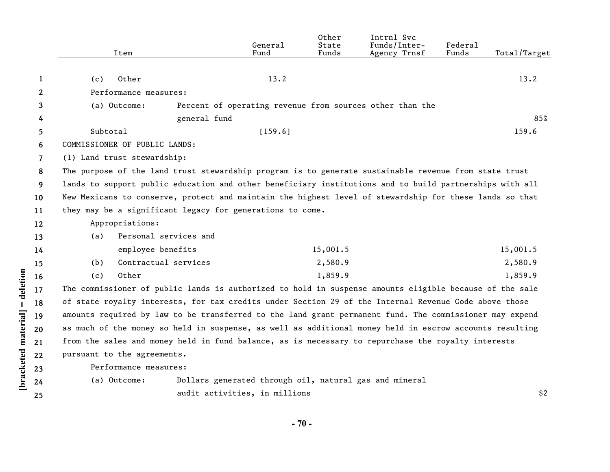|              | Item                                                                                                    |                               | General<br>Fund | Other<br>State<br>Funds | Intrnl Svc<br>Funds/Inter-<br>Agency Trnsf               | Federal<br>Funds | Total/Target |
|--------------|---------------------------------------------------------------------------------------------------------|-------------------------------|-----------------|-------------------------|----------------------------------------------------------|------------------|--------------|
| 1            | Other<br>(c)                                                                                            |                               | 13.2            |                         |                                                          |                  | 13.2         |
| $\mathbf{2}$ | Performance measures:                                                                                   |                               |                 |                         |                                                          |                  |              |
| 3            | (a) Outcome:                                                                                            |                               |                 |                         | Percent of operating revenue from sources other than the |                  |              |
| 4            |                                                                                                         | general fund                  |                 |                         |                                                          |                  | 85%          |
| 5            | Subtotal                                                                                                |                               | [159.6]         |                         |                                                          |                  | 159.6        |
| 6            | COMMISSIONER OF PUBLIC LANDS:                                                                           |                               |                 |                         |                                                          |                  |              |
| 7            | (1) Land trust stewardship:                                                                             |                               |                 |                         |                                                          |                  |              |
| 8            | The purpose of the land trust stewardship program is to generate sustainable revenue from state trust   |                               |                 |                         |                                                          |                  |              |
| 9            | lands to support public education and other beneficiary institutions and to build partnerships with all |                               |                 |                         |                                                          |                  |              |
| 10           | New Mexicans to conserve, protect and maintain the highest level of stewardship for these lands so that |                               |                 |                         |                                                          |                  |              |
| 11           | they may be a significant legacy for generations to come.                                               |                               |                 |                         |                                                          |                  |              |
| 12           | Appropriations:                                                                                         |                               |                 |                         |                                                          |                  |              |
| 13           | (a)                                                                                                     | Personal services and         |                 |                         |                                                          |                  |              |
| 14           | employee benefits                                                                                       |                               |                 | 15,001.5                |                                                          |                  | 15,001.5     |
| 15           | (b)                                                                                                     | Contractual services          |                 | 2,580.9                 |                                                          |                  | 2,580.9      |
| 16           | Other<br>(c)                                                                                            |                               |                 | 1,859.9                 |                                                          |                  | 1,859.9      |
| 17           | The commissioner of public lands is authorized to hold in suspense amounts eligible because of the sale |                               |                 |                         |                                                          |                  |              |
| 18           | of state royalty interests, for tax credits under Section 29 of the Internal Revenue Code above those   |                               |                 |                         |                                                          |                  |              |
| 19           | amounts required by law to be transferred to the land grant permanent fund. The commissioner may expend |                               |                 |                         |                                                          |                  |              |
| 20           | as much of the money so held in suspense, as well as additional money held in escrow accounts resulting |                               |                 |                         |                                                          |                  |              |
| 21           | from the sales and money held in fund balance, as is necessary to repurchase the royalty interests      |                               |                 |                         |                                                          |                  |              |
| 22           | pursuant to the agreements.                                                                             |                               |                 |                         |                                                          |                  |              |
| 23           | Performance measures:                                                                                   |                               |                 |                         |                                                          |                  |              |
| 24           | (a) Outcome:                                                                                            |                               |                 |                         | Dollars generated through oil, natural gas and mineral   |                  |              |
| 25           |                                                                                                         | audit activities, in millions |                 |                         |                                                          |                  | \$2          |
|              |                                                                                                         |                               |                 |                         |                                                          |                  |              |

**- 70 -** 

**[bracketed material] = deletion**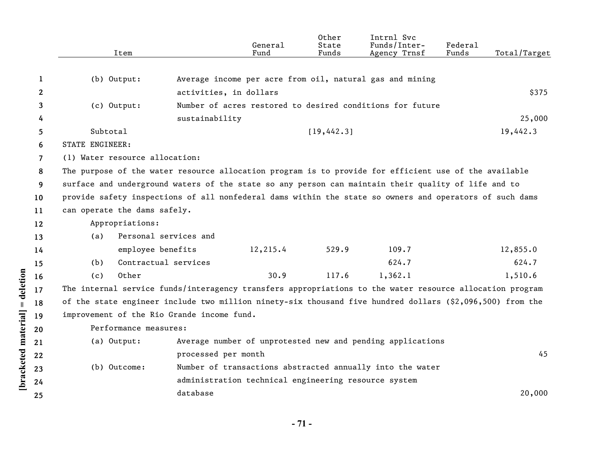|    | Item                                                                                                      |                        | General<br>Fund                                      | Other<br>State<br>Funds | Intrnl Svc<br>Funds/Inter-<br>Agency Trnsf                 | Federal<br>Funds | Total/Target |
|----|-----------------------------------------------------------------------------------------------------------|------------------------|------------------------------------------------------|-------------------------|------------------------------------------------------------|------------------|--------------|
|    |                                                                                                           |                        |                                                      |                         |                                                            |                  |              |
| 1  | (b) Output:                                                                                               |                        |                                                      |                         | Average income per acre from oil, natural gas and mining   |                  |              |
| 2  |                                                                                                           | activities, in dollars |                                                      |                         |                                                            |                  | \$375        |
| 3  | (c) Output:                                                                                               |                        |                                                      |                         | Number of acres restored to desired conditions for future  |                  |              |
| 4  |                                                                                                           | sustainability         |                                                      |                         |                                                            |                  | 25,000       |
| 5  | Subtotal                                                                                                  |                        |                                                      | [19, 442.3]             |                                                            |                  | 19,442.3     |
| 6  | <b>STATE ENGINEER:</b>                                                                                    |                        |                                                      |                         |                                                            |                  |              |
| 7  | (1) Water resource allocation:                                                                            |                        |                                                      |                         |                                                            |                  |              |
| 8  | The purpose of the water resource allocation program is to provide for efficient use of the available     |                        |                                                      |                         |                                                            |                  |              |
| 9  | surface and underground waters of the state so any person can maintain their quality of life and to       |                        |                                                      |                         |                                                            |                  |              |
| 10 | provide safety inspections of all nonfederal dams within the state so owners and operators of such dams   |                        |                                                      |                         |                                                            |                  |              |
| 11 | can operate the dams safely.                                                                              |                        |                                                      |                         |                                                            |                  |              |
| 12 | Appropriations:                                                                                           |                        |                                                      |                         |                                                            |                  |              |
| 13 | Personal services and<br>(a)                                                                              |                        |                                                      |                         |                                                            |                  |              |
| 14 | employee benefits                                                                                         |                        | 12,215.4                                             | 529.9                   | 109.7                                                      |                  | 12,855.0     |
| 15 | Contractual services<br>(b)                                                                               |                        |                                                      |                         | 624.7                                                      |                  | 624.7        |
| 16 | Other<br>(c)                                                                                              |                        | 30.9                                                 | 117.6                   | 1,362.1                                                    |                  | 1,510.6      |
| 17 | The internal service funds/interagency transfers appropriations to the water resource allocation program  |                        |                                                      |                         |                                                            |                  |              |
| 18 | of the state engineer include two million ninety-six thousand five hundred dollars (\$2,096,500) from the |                        |                                                      |                         |                                                            |                  |              |
| 19 | improvement of the Rio Grande income fund.                                                                |                        |                                                      |                         |                                                            |                  |              |
| 20 | Performance measures:                                                                                     |                        |                                                      |                         |                                                            |                  |              |
| 21 | (a) Output:                                                                                               |                        |                                                      |                         | Average number of unprotested new and pending applications |                  |              |
| 22 |                                                                                                           | processed per month    |                                                      |                         |                                                            |                  | 45           |
| 23 | (b) Outcome:                                                                                              |                        |                                                      |                         | Number of transactions abstracted annually into the water  |                  |              |
| 24 |                                                                                                           |                        | administration technical engineering resource system |                         |                                                            |                  |              |
| 25 |                                                                                                           | database               |                                                      |                         |                                                            |                  | 20,000       |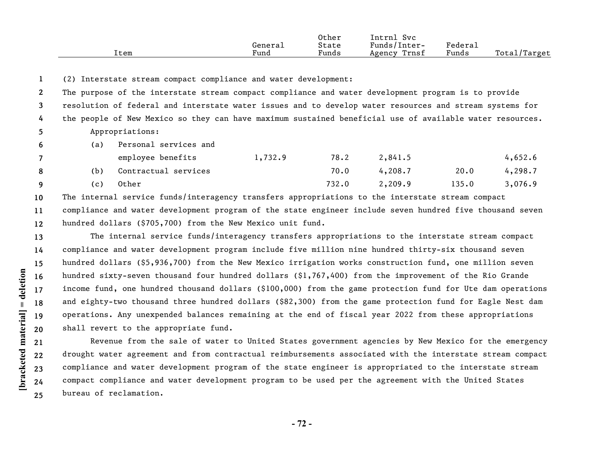|      |                | Other | !ntrni<br><b>Svc</b> |                       |                  |
|------|----------------|-------|----------------------|-----------------------|------------------|
|      | General        | State | Funds/Inter-         | $"$ edera $\lrcorner$ |                  |
| ltem | $\sim$<br>Fund | Funds | Trnst<br>Agency      | Funds                 | Total,<br>Target |

**1** (2) Interstate stream compact compliance and water development:

| 2            |     | The purpose of the interstate stream compact compliance and water development program is to provide      |         |       |         |       |         |
|--------------|-----|----------------------------------------------------------------------------------------------------------|---------|-------|---------|-------|---------|
| $\mathbf{3}$ |     | resolution of federal and interstate water issues and to develop water resources and stream systems for  |         |       |         |       |         |
| 4            |     | the people of New Mexico so they can have maximum sustained beneficial use of available water resources. |         |       |         |       |         |
| 5            |     | Appropriations:                                                                                          |         |       |         |       |         |
| 6            | (a) | Personal services and                                                                                    |         |       |         |       |         |
| $7^{\circ}$  |     | employee benefits                                                                                        | 1,732.9 | 78.2  | 2,841.5 |       | 4,652.6 |
| 8            | (b) | Contractual services                                                                                     |         | 70.0  | 4,208.7 | 20.0  | 4,298.7 |
| 9            | (c) | Other                                                                                                    |         | 732.0 | 2,209.9 | 135.0 | 3,076.9 |
|              |     |                                                                                                          |         |       |         |       |         |

**10 11 12** The internal service funds/interagency transfers appropriations to the interstate stream compact compliance and water development program of the state engineer include seven hundred five thousand seven hundred dollars (\$705,700) from the New Mexico unit fund.

**13 14 15 16 17 18 19 20** The internal service funds/interagency transfers appropriations to the interstate stream compact compliance and water development program include five million nine hundred thirty-six thousand seven hundred dollars (\$5,936,700) from the New Mexico irrigation works construction fund, one million seven hundred sixty-seven thousand four hundred dollars (\$1,767,400) from the improvement of the Rio Grande income fund, one hundred thousand dollars (\$100,000) from the game protection fund for Ute dam operations and eighty-two thousand three hundred dollars (\$82,300) from the game protection fund for Eagle Nest dam operations. Any unexpended balances remaining at the end of fiscal year 2022 from these appropriations shall revert to the appropriate fund.

Revenue from the sale of water to United States government agencies by New Mexico for the emergency drought water agreement and from contractual reimbursements associated with the interstate stream compact compliance and water development program of the state engineer is appropriated to the interstate stream compact compliance and water development program to be used per the agreement with the United States bureau of reclamation.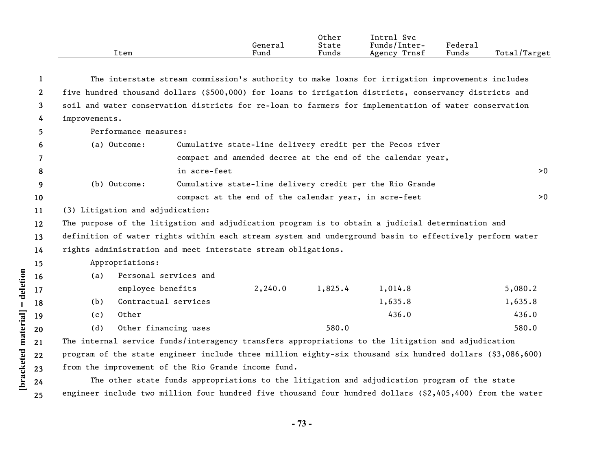|      |                | Other | Intrnl<br>Svc   |         |                   |
|------|----------------|-------|-----------------|---------|-------------------|
|      | General        | State | Funds/Inter-    | ™edera⊥ |                   |
| ltem | $\sim$<br>Fund | Funds | Trnst<br>Agency | Funds   | Total,<br>'Target |

| 1            | The interstate stream commission's authority to make loans for irrigation improvements includes           |                       |                                                             |         |         |         |     |
|--------------|-----------------------------------------------------------------------------------------------------------|-----------------------|-------------------------------------------------------------|---------|---------|---------|-----|
| $\mathbf{2}$ | five hundred thousand dollars (\$500,000) for loans to irrigation districts, conservancy districts and    |                       |                                                             |         |         |         |     |
| 3            | soil and water conservation districts for re-loan to farmers for implementation of water conservation     |                       |                                                             |         |         |         |     |
| 4            | improvements.                                                                                             |                       |                                                             |         |         |         |     |
| 5.           | Performance measures:                                                                                     |                       |                                                             |         |         |         |     |
| 6            | (a) Outcome:                                                                                              |                       | Cumulative state-line delivery credit per the Pecos river   |         |         |         |     |
| 7            |                                                                                                           |                       | compact and amended decree at the end of the calendar year, |         |         |         |     |
| 8            |                                                                                                           | in acre-feet          |                                                             |         |         |         | > 0 |
| 9            | (b) Outcome:                                                                                              |                       | Cumulative state-line delivery credit per the Rio Grande    |         |         |         |     |
| 10           |                                                                                                           |                       | compact at the end of the calendar year, in acre-feet       |         |         |         | >0  |
| 11           | (3) Litigation and adjudication:                                                                          |                       |                                                             |         |         |         |     |
| 12           | The purpose of the litigation and adjudication program is to obtain a judicial determination and          |                       |                                                             |         |         |         |     |
| 13           | definition of water rights within each stream system and underground basin to effectively perform water   |                       |                                                             |         |         |         |     |
| 14           | rights administration and meet interstate stream obligations.                                             |                       |                                                             |         |         |         |     |
| 15           | Appropriations:                                                                                           |                       |                                                             |         |         |         |     |
| 16           | (a)                                                                                                       | Personal services and |                                                             |         |         |         |     |
| 17           | employee benefits                                                                                         |                       | 2,240.0                                                     | 1,825.4 | 1,014.8 | 5,080.2 |     |
| 18           | Contractual services<br>(b)                                                                               |                       |                                                             |         | 1,635.8 | 1,635.8 |     |
| 19           | Other<br>(c)                                                                                              |                       |                                                             |         | 436.0   | 436.0   |     |
| 20           | Other financing uses<br>(d)                                                                               |                       |                                                             | 580.0   |         | 580.0   |     |
| 21           | The internal service funds/interagency transfers appropriations to the litigation and adjudication        |                       |                                                             |         |         |         |     |
| 22           | program of the state engineer include three million eighty-six thousand six hundred dollars (\$3,086,600) |                       |                                                             |         |         |         |     |
| 23           | from the improvement of the Rio Grande income fund.                                                       |                       |                                                             |         |         |         |     |

The other state funds appropriations to the litigation and adjudication program of the state engineer include two million four hundred five thousand four hundred dollars (\$2,405,400) from the water

**[bracketed material] = deletion**

[bracketed material] = deletion

**23 24 25**

**- 73 -**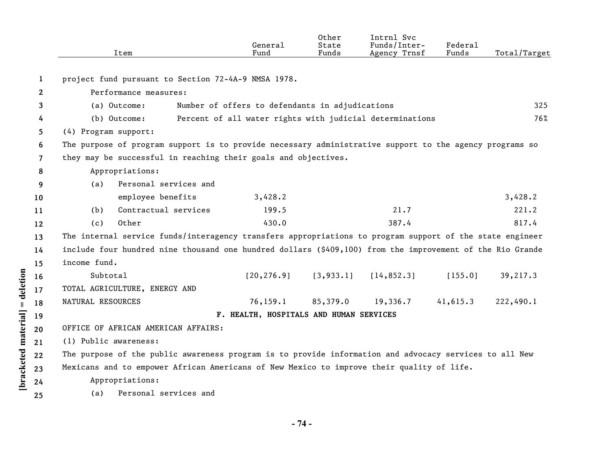|                       |                       | Item                                                                                                      | General<br>Fund                                 | Other<br>State<br>Funds | Intrnl Svc<br>Funds/Inter-<br>Agency Trnsf               | Federal<br>Funds | Total/Target |
|-----------------------|-----------------------|-----------------------------------------------------------------------------------------------------------|-------------------------------------------------|-------------------------|----------------------------------------------------------|------------------|--------------|
| 1                     |                       | project fund pursuant to Section 72-4A-9 NMSA 1978.                                                       |                                                 |                         |                                                          |                  |              |
| $\mathbf{2}^{\prime}$ |                       | Performance measures:                                                                                     |                                                 |                         |                                                          |                  |              |
| 3                     |                       | (a) Outcome:                                                                                              | Number of offers to defendants in adjudications |                         |                                                          |                  | 325          |
| 4                     |                       | (b) Outcome:                                                                                              |                                                 |                         | Percent of all water rights with judicial determinations |                  | 76%          |
| 5.                    | (4) Program support:  |                                                                                                           |                                                 |                         |                                                          |                  |              |
| 6                     |                       | The purpose of program support is to provide necessary administrative support to the agency programs so   |                                                 |                         |                                                          |                  |              |
| $\overline{7}$        |                       | they may be successful in reaching their goals and objectives.                                            |                                                 |                         |                                                          |                  |              |
| 8                     |                       | Appropriations:                                                                                           |                                                 |                         |                                                          |                  |              |
| 9                     | (a)                   | Personal services and                                                                                     |                                                 |                         |                                                          |                  |              |
| 10                    |                       | employee benefits                                                                                         | 3,428.2                                         |                         |                                                          |                  | 3,428.2      |
| 11                    | (b)                   | Contractual services                                                                                      | 199.5                                           |                         | 21.7                                                     |                  | 221.2        |
| 12                    | (c)                   | Other                                                                                                     | 430.0                                           |                         | 387.4                                                    |                  | 817.4        |
| 13                    |                       | The internal service funds/interagency transfers appropriations to program support of the state engineer  |                                                 |                         |                                                          |                  |              |
| 14                    |                       | include four hundred nine thousand one hundred dollars (\$409,100) from the improvement of the Rio Grande |                                                 |                         |                                                          |                  |              |
| 15                    | income fund.          |                                                                                                           |                                                 |                         |                                                          |                  |              |
| 16                    | Subtotal              |                                                                                                           | [20, 276.9]                                     | [3, 933.1]              | [14, 852.3]                                              | [155.0]          | 39,217.3     |
| 17                    |                       | TOTAL AGRICULTURE, ENERGY AND                                                                             |                                                 |                         |                                                          |                  |              |
| 18                    | NATURAL RESOURCES     |                                                                                                           | 76, 159.1                                       | 85,379.0                | 19,336.7                                                 | 41,615.3         | 222,490.1    |
| 19                    |                       |                                                                                                           | F. HEALTH, HOSPITALS AND HUMAN SERVICES         |                         |                                                          |                  |              |
| 20                    |                       | OFFICE OF AFRICAN AMERICAN AFFAIRS:                                                                       |                                                 |                         |                                                          |                  |              |
| 21                    | (1) Public awareness: |                                                                                                           |                                                 |                         |                                                          |                  |              |
| 22                    |                       | The purpose of the public awareness program is to provide information and advocacy services to all New    |                                                 |                         |                                                          |                  |              |
| 23                    |                       | Mexicans and to empower African Americans of New Mexico to improve their quality of life.                 |                                                 |                         |                                                          |                  |              |
| 24                    |                       | Appropriations:                                                                                           |                                                 |                         |                                                          |                  |              |
| 25                    | (a)                   | Personal services and                                                                                     |                                                 |                         |                                                          |                  |              |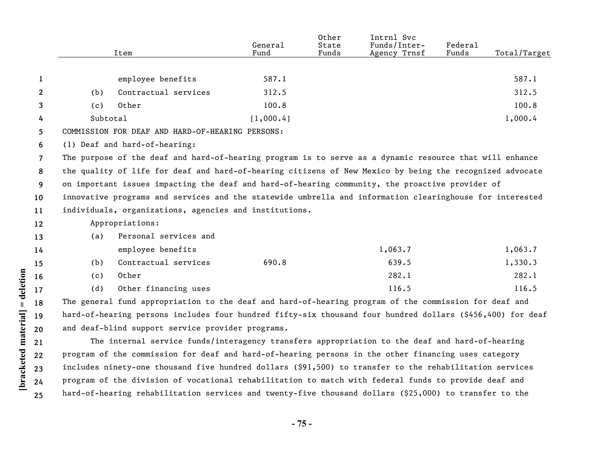|              |          | Item                                                                                                       | General<br>Fund | Other<br>State<br>Funds | Intrnl Svc<br>Funds/Inter-<br>Agency Trnsf | Federal<br>Funds | Total/Target |
|--------------|----------|------------------------------------------------------------------------------------------------------------|-----------------|-------------------------|--------------------------------------------|------------------|--------------|
|              |          |                                                                                                            |                 |                         |                                            |                  |              |
| 1            |          | employee benefits                                                                                          | 587.1           |                         |                                            |                  | 587.1        |
| $\mathbf{2}$ | (b)      | Contractual services                                                                                       | 312.5           |                         |                                            |                  | 312.5        |
| 3            | (c)      | Other                                                                                                      | 100.8           |                         |                                            |                  | 100.8        |
| 4            | Subtotal |                                                                                                            | [1,000.4]       |                         |                                            |                  | 1,000.4      |
| 5            |          | COMMISSION FOR DEAF AND HARD-OF-HEARING PERSONS:                                                           |                 |                         |                                            |                  |              |
| 6            |          | (1) Deaf and hard-of-hearing:                                                                              |                 |                         |                                            |                  |              |
| 7            |          | The purpose of the deaf and hard-of-hearing program is to serve as a dynamic resource that will enhance    |                 |                         |                                            |                  |              |
| 8            |          | the quality of life for deaf and hard-of-hearing citizens of New Mexico by being the recognized advocate   |                 |                         |                                            |                  |              |
| 9            |          | on important issues impacting the deaf and hard-of-hearing community, the proactive provider of            |                 |                         |                                            |                  |              |
| 10           |          | innovative programs and services and the statewide umbrella and information clearinghouse for interested   |                 |                         |                                            |                  |              |
| 11           |          | individuals, organizations, agencies and institutions.                                                     |                 |                         |                                            |                  |              |
| 12           |          | Appropriations:                                                                                            |                 |                         |                                            |                  |              |
| 13           | (a)      | Personal services and                                                                                      |                 |                         |                                            |                  |              |
| 14           |          | employee benefits                                                                                          |                 |                         | 1,063.7                                    |                  | 1,063.7      |
| 15           | (b)      | Contractual services                                                                                       | 690.8           |                         | 639.5                                      |                  | 1,330.3      |
| 16           | (c)      | Other                                                                                                      |                 |                         | 282.1                                      |                  | 282.1        |
| 17           | (d)      | Other financing uses                                                                                       |                 |                         | 116.5                                      |                  | 116.5        |
| 18           |          | The general fund appropriation to the deaf and hard-of-hearing program of the commission for deaf and      |                 |                         |                                            |                  |              |
| 19           |          | hard-of-hearing persons includes four hundred fifty-six thousand four hundred dollars (\$456,400) for deaf |                 |                         |                                            |                  |              |
| 20           |          | and deaf-blind support service provider programs.                                                          |                 |                         |                                            |                  |              |
| 21           |          | The internal service funds/interagency transfers appropriation to the deaf and hard-of-hearing             |                 |                         |                                            |                  |              |
| 22           |          | program of the commission for deaf and hard-of-hearing persons in the other financing uses category        |                 |                         |                                            |                  |              |
| 23           |          | includes ninety-one thousand five hundred dollars (\$91,500) to transfer to the rehabilitation services    |                 |                         |                                            |                  |              |

[bracketed material] = deletion **[bracketed material] = deletion 24 25**

**- 75 -** 

program of the division of vocational rehabilitation to match with federal funds to provide deaf and hard-of-hearing rehabilitation services and twenty-five thousand dollars (\$25,000) to transfer to the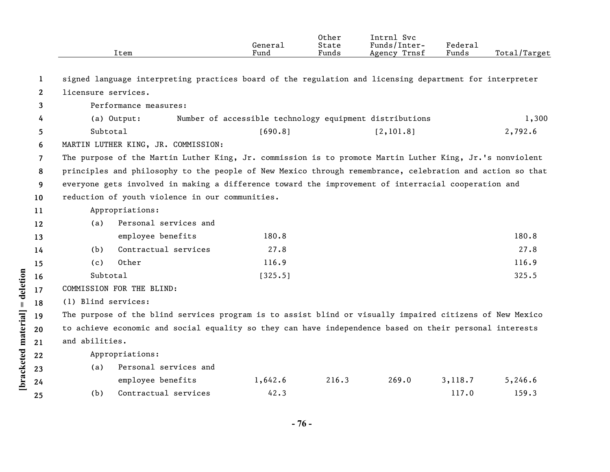|                    |                |                     | Item                                                                                                      | General<br>Fund | Other<br>State<br>Funds | Intrnl Svc<br>Funds/Inter-<br>Agency Trnsf              | Federal<br>Funds | Total/Target |
|--------------------|----------------|---------------------|-----------------------------------------------------------------------------------------------------------|-----------------|-------------------------|---------------------------------------------------------|------------------|--------------|
|                    | 1              |                     | signed language interpreting practices board of the regulation and licensing department for interpreter   |                 |                         |                                                         |                  |              |
|                    | $\mathbf{2}$   | licensure services. |                                                                                                           |                 |                         |                                                         |                  |              |
|                    | 3              |                     | Performance measures:                                                                                     |                 |                         |                                                         |                  |              |
|                    | 4              |                     | (a) Output:                                                                                               |                 |                         | Number of accessible technology equipment distributions |                  | 1,300        |
|                    | 5              | Subtotal            |                                                                                                           | [690.8]         |                         | [2, 101.8]                                              |                  | 2,792.6      |
|                    | 6              |                     | MARTIN LUTHER KING, JR. COMMISSION:                                                                       |                 |                         |                                                         |                  |              |
|                    | $\overline{7}$ |                     | The purpose of the Martin Luther King, Jr. commission is to promote Martin Luther King, Jr.'s nonviolent  |                 |                         |                                                         |                  |              |
|                    | 8              |                     | principles and philosophy to the people of New Mexico through remembrance, celebration and action so that |                 |                         |                                                         |                  |              |
|                    | 9              |                     | everyone gets involved in making a difference toward the improvement of interracial cooperation and       |                 |                         |                                                         |                  |              |
|                    | 10             |                     | reduction of youth violence in our communities.                                                           |                 |                         |                                                         |                  |              |
|                    | 11             |                     | Appropriations:                                                                                           |                 |                         |                                                         |                  |              |
|                    | 12             | (a)                 | Personal services and                                                                                     |                 |                         |                                                         |                  |              |
|                    | 13             |                     | employee benefits                                                                                         | 180.8           |                         |                                                         |                  | 180.8        |
|                    | 14             | (b)                 | Contractual services                                                                                      | 27.8            |                         |                                                         |                  | 27.8         |
|                    | 15             | (c)                 | Other                                                                                                     | 116.9           |                         |                                                         |                  | 116.9        |
|                    | 16             | Subtotal            |                                                                                                           | [325.5]         |                         |                                                         |                  | 325.5        |
| = deletion         | 17             |                     | COMMISSION FOR THE BLIND:                                                                                 |                 |                         |                                                         |                  |              |
|                    | 18             | (1) Blind services: |                                                                                                           |                 |                         |                                                         |                  |              |
|                    | 19             |                     | The purpose of the blind services program is to assist blind or visually impaired citizens of New Mexico  |                 |                         |                                                         |                  |              |
|                    | 20             |                     | to achieve economic and social equality so they can have independence based on their personal interests   |                 |                         |                                                         |                  |              |
|                    | 21             | and abilities.      |                                                                                                           |                 |                         |                                                         |                  |              |
|                    | 22             |                     | Appropriations:                                                                                           |                 |                         |                                                         |                  |              |
| bracketed material | 23             | (a)                 | Personal services and                                                                                     |                 |                         |                                                         |                  |              |
|                    | 24             |                     | employee benefits                                                                                         | 1,642.6         | 216.3                   | 269.0                                                   | 3,118.7          | 5,246.6      |
|                    | 25             | (b)                 | Contractual services                                                                                      | 42.3            |                         |                                                         | 117.0            | 159.3        |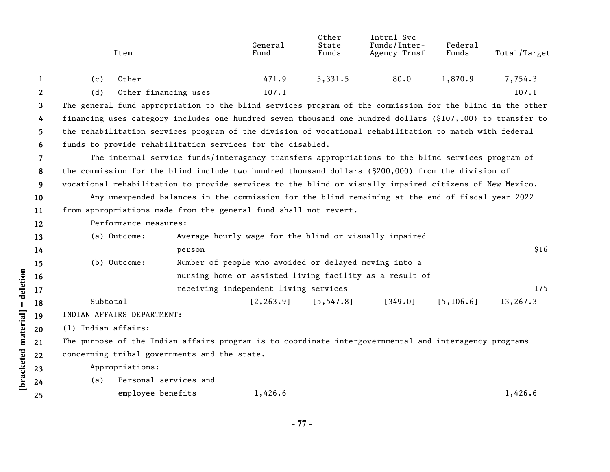|                      |                 | Item                                                                                                       |                                                        | General<br>Fund                       | Other<br>State<br>Funds | Intrnl Svc<br>Funds/Inter-<br>Agency Trnsf              | Federal<br>Funds | Total/Target |  |  |  |
|----------------------|-----------------|------------------------------------------------------------------------------------------------------------|--------------------------------------------------------|---------------------------------------|-------------------------|---------------------------------------------------------|------------------|--------------|--|--|--|
|                      |                 |                                                                                                            |                                                        |                                       |                         |                                                         |                  |              |  |  |  |
|                      | 1               | Other<br>(c)                                                                                               |                                                        | 471.9                                 | 5,331.5                 | 80.0                                                    | 1,870.9          | 7,754.3      |  |  |  |
|                      | $\mathbf{2}$    | (d)<br>Other financing uses                                                                                |                                                        | 107.1                                 |                         |                                                         |                  | 107.1        |  |  |  |
|                      | 3               | The general fund appropriation to the blind services program of the commission for the blind in the other  |                                                        |                                       |                         |                                                         |                  |              |  |  |  |
|                      | 4               | financing uses category includes one hundred seven thousand one hundred dollars (\$107,100) to transfer to |                                                        |                                       |                         |                                                         |                  |              |  |  |  |
|                      | 5               | the rehabilitation services program of the division of vocational rehabilitation to match with federal     |                                                        |                                       |                         |                                                         |                  |              |  |  |  |
|                      | 6               | funds to provide rehabilitation services for the disabled.                                                 |                                                        |                                       |                         |                                                         |                  |              |  |  |  |
|                      | 7               | The internal service funds/interagency transfers appropriations to the blind services program of           |                                                        |                                       |                         |                                                         |                  |              |  |  |  |
|                      | 8               | the commission for the blind include two hundred thousand dollars (\$200,000) from the division of         |                                                        |                                       |                         |                                                         |                  |              |  |  |  |
|                      | 9               | vocational rehabilitation to provide services to the blind or visually impaired citizens of New Mexico.    |                                                        |                                       |                         |                                                         |                  |              |  |  |  |
|                      | 10 <sup>°</sup> | Any unexpended balances in the commission for the blind remaining at the end of fiscal year 2022           |                                                        |                                       |                         |                                                         |                  |              |  |  |  |
|                      | 11              | from appropriations made from the general fund shall not revert.                                           |                                                        |                                       |                         |                                                         |                  |              |  |  |  |
|                      | 12              | Performance measures:                                                                                      |                                                        |                                       |                         |                                                         |                  |              |  |  |  |
|                      | 13              | (a) Outcome:                                                                                               | Average hourly wage for the blind or visually impaired |                                       |                         |                                                         |                  |              |  |  |  |
|                      | 14              |                                                                                                            | \$16<br>person                                         |                                       |                         |                                                         |                  |              |  |  |  |
|                      | 15              | (b) Outcome:                                                                                               | Number of people who avoided or delayed moving into a  |                                       |                         |                                                         |                  |              |  |  |  |
|                      | 16              |                                                                                                            |                                                        |                                       |                         | nursing home or assisted living facility as a result of |                  |              |  |  |  |
| = deletion           | 17              |                                                                                                            |                                                        | receiving independent living services |                         |                                                         |                  | 175          |  |  |  |
|                      | 18              | Subtotal                                                                                                   |                                                        | [2, 263.9]                            | [5, 547.8]              | [349.0]                                                 | [5, 106.6]       | 13,267.3     |  |  |  |
|                      | 19              | INDIAN AFFAIRS DEPARTMENT:                                                                                 |                                                        |                                       |                         |                                                         |                  |              |  |  |  |
|                      | 20              | (1) Indian affairs:                                                                                        |                                                        |                                       |                         |                                                         |                  |              |  |  |  |
|                      | 21              | The purpose of the Indian affairs program is to coordinate intergovernmental and interagency programs      |                                                        |                                       |                         |                                                         |                  |              |  |  |  |
|                      | 22              | concerning tribal governments and the state.                                                               |                                                        |                                       |                         |                                                         |                  |              |  |  |  |
| [bracketed material] | 23              | Appropriations:                                                                                            |                                                        |                                       |                         |                                                         |                  |              |  |  |  |
|                      | 24              | (a)                                                                                                        | Personal services and                                  |                                       |                         |                                                         |                  |              |  |  |  |
|                      | 25              | employee benefits                                                                                          |                                                        | 1,426.6                               |                         |                                                         |                  | 1,426.6      |  |  |  |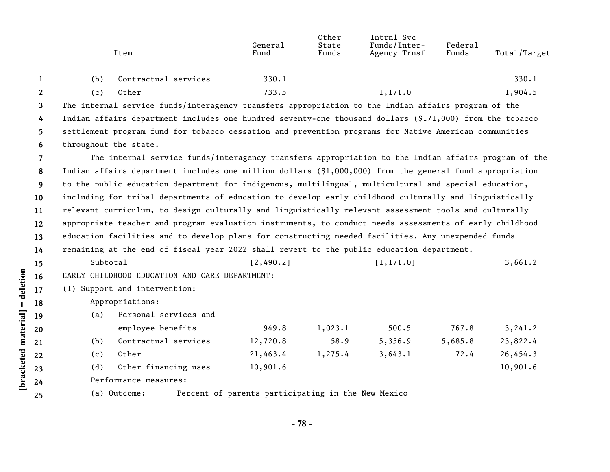|                | Item                                                                                                      | General<br>Fund                                    | Other<br>State<br>Funds | Intrnl Svc<br>Funds/Inter-<br>Agency Trnsf | Federal<br>Funds | Total/Target |
|----------------|-----------------------------------------------------------------------------------------------------------|----------------------------------------------------|-------------------------|--------------------------------------------|------------------|--------------|
|                |                                                                                                           |                                                    |                         |                                            |                  |              |
| 1              | Contractual services<br>(b)                                                                               | 330.1                                              |                         |                                            |                  | 330.1        |
| $\mathbf{2}$   | Other<br>(c)                                                                                              | 733.5                                              |                         | 1,171.0                                    |                  | 1,904.5      |
| $\mathbf{3}$   | The internal service funds/interagency transfers appropriation to the Indian affairs program of the       |                                                    |                         |                                            |                  |              |
| 4              | Indian affairs department includes one hundred seventy-one thousand dollars (\$171,000) from the tobacco  |                                                    |                         |                                            |                  |              |
| 5              | settlement program fund for tobacco cessation and prevention programs for Native American communities     |                                                    |                         |                                            |                  |              |
| 6              | throughout the state.                                                                                     |                                                    |                         |                                            |                  |              |
| $\overline{7}$ | The internal service funds/interagency transfers appropriation to the Indian affairs program of the       |                                                    |                         |                                            |                  |              |
| 8              | Indian affairs department includes one million dollars $(91,000,000)$ from the general fund appropriation |                                                    |                         |                                            |                  |              |
| 9              | to the public education department for indigenous, multilingual, multicultural and special education,     |                                                    |                         |                                            |                  |              |
| 10             | including for tribal departments of education to develop early childhood culturally and linguistically    |                                                    |                         |                                            |                  |              |
| 11             | relevant curriculum, to design culturally and linguistically relevant assessment tools and culturally     |                                                    |                         |                                            |                  |              |
| 12             | appropriate teacher and program evaluation instruments, to conduct needs assessments of early childhood   |                                                    |                         |                                            |                  |              |
| 13             | education facilities and to develop plans for constructing needed facilities. Any unexpended funds        |                                                    |                         |                                            |                  |              |
| 14             | remaining at the end of fiscal year 2022 shall revert to the public education department.                 |                                                    |                         |                                            |                  |              |
| 15             | Subtotal                                                                                                  | [2,490.2]                                          |                         | [1, 171.0]                                 |                  | 3,661.2      |
| 16             | EARLY CHILDHOOD EDUCATION AND CARE DEPARTMENT:                                                            |                                                    |                         |                                            |                  |              |
| 17             | (1) Support and intervention:                                                                             |                                                    |                         |                                            |                  |              |
| 18             | Appropriations:                                                                                           |                                                    |                         |                                            |                  |              |
| 19             | Personal services and<br>(a)                                                                              |                                                    |                         |                                            |                  |              |
| 20             | employee benefits                                                                                         | 949.8                                              | 1,023.1                 | 500.5                                      | 767.8            | 3,241.2      |
| 21             | Contractual services<br>(b)                                                                               | 12,720.8                                           | 58.9                    | 5,356.9                                    | 5,685.8          | 23,822.4     |
| 22             | Other<br>(c)                                                                                              | 21,463.4                                           | 1,275.4                 | 3,643.1                                    | 72.4             | 26,454.3     |
| 23             | Other financing uses<br>(d)                                                                               | 10,901.6                                           |                         |                                            |                  | 10,901.6     |
| 24             | Performance measures:                                                                                     |                                                    |                         |                                            |                  |              |
| 25             | (a) Outcome:                                                                                              | Percent of parents participating in the New Mexico |                         |                                            |                  |              |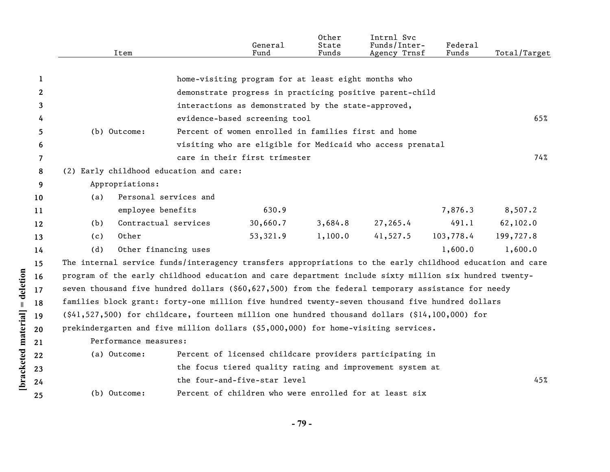|              |     | Item                  |                                         | General<br>Fund                                                                                           | Other<br>State<br>Funds | Intrnl Svc<br>Funds/Inter-<br>Agency Trnsf | Federal<br>Funds | Total/Target |
|--------------|-----|-----------------------|-----------------------------------------|-----------------------------------------------------------------------------------------------------------|-------------------------|--------------------------------------------|------------------|--------------|
| 1            |     |                       |                                         | home-visiting program for at least eight months who                                                       |                         |                                            |                  |              |
| $\mathbf{2}$ |     |                       |                                         | demonstrate progress in practicing positive parent-child                                                  |                         |                                            |                  |              |
| 3            |     |                       |                                         | interactions as demonstrated by the state-approved,                                                       |                         |                                            |                  |              |
|              |     |                       |                                         | evidence-based screening tool                                                                             |                         |                                            |                  | 65%          |
| 4<br>5       |     | (b) Outcome:          |                                         | Percent of women enrolled in families first and home                                                      |                         |                                            |                  |              |
| 6            |     |                       |                                         | visiting who are eligible for Medicaid who access prenatal                                                |                         |                                            |                  |              |
| 7            |     |                       |                                         | care in their first trimester                                                                             |                         |                                            |                  | 74%          |
| 8            |     |                       | (2) Early childhood education and care: |                                                                                                           |                         |                                            |                  |              |
| 9            |     | Appropriations:       |                                         |                                                                                                           |                         |                                            |                  |              |
| 10           | (a) |                       | Personal services and                   |                                                                                                           |                         |                                            |                  |              |
| 11           |     | employee benefits     |                                         | 630.9                                                                                                     |                         |                                            | 7,876.3          | 8,507.2      |
| 12           | (b) | Contractual services  |                                         | 30,660.7                                                                                                  | 3,684.8                 | 27,265.4                                   | 491.1            | 62,102.0     |
| 13           | (c) | Other                 |                                         | 53,321.9                                                                                                  | 1,100.0                 | 41,527.5                                   | 103,778.4        | 199,727.8    |
| 14           | (d) | Other financing uses  |                                         |                                                                                                           |                         |                                            | 1,600.0          | 1,600.0      |
| 15           |     |                       |                                         | The internal service funds/interagency transfers appropriations to the early childhood education and care |                         |                                            |                  |              |
| 16           |     |                       |                                         | program of the early childhood education and care department include sixty million six hundred twenty-    |                         |                                            |                  |              |
| 17           |     |                       |                                         | seven thousand five hundred dollars (\$60,627,500) from the federal temporary assistance for needy        |                         |                                            |                  |              |
| 18           |     |                       |                                         | families block grant: forty-one million five hundred twenty-seven thousand five hundred dollars           |                         |                                            |                  |              |
| 19           |     |                       |                                         | (\$41,527,500) for childcare, fourteen million one hundred thousand dollars (\$14,100,000) for            |                         |                                            |                  |              |
| 20           |     |                       |                                         | prekindergarten and five million dollars (\$5,000,000) for home-visiting services.                        |                         |                                            |                  |              |
| 21           |     | Performance measures: |                                         |                                                                                                           |                         |                                            |                  |              |
| 22           |     | (a) Outcome:          |                                         | Percent of licensed childcare providers participating in                                                  |                         |                                            |                  |              |
| 23           |     |                       |                                         | the focus tiered quality rating and improvement system at                                                 |                         |                                            |                  |              |
| 24           |     |                       |                                         | the four-and-five-star level                                                                              |                         |                                            |                  | 45%          |
|              |     |                       |                                         |                                                                                                           |                         |                                            |                  |              |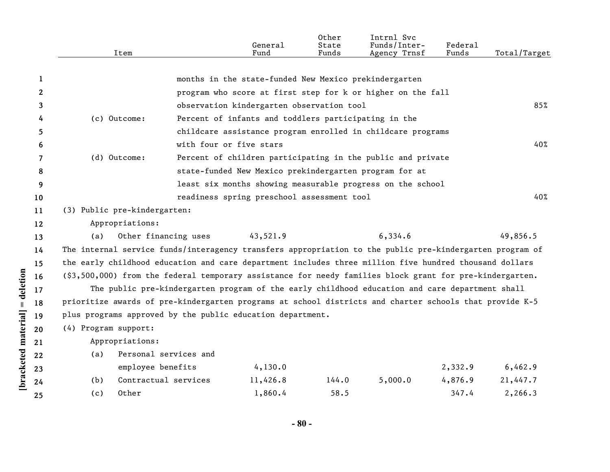|                       | Item                                                                                                     |                       | General<br>Fund                                        | Other<br>State<br>Funds | Intrnl Svc<br>Funds/Inter-<br>Agency Trnsf                                                     | Federal<br>Funds | Total/Target |
|-----------------------|----------------------------------------------------------------------------------------------------------|-----------------------|--------------------------------------------------------|-------------------------|------------------------------------------------------------------------------------------------|------------------|--------------|
|                       |                                                                                                          |                       |                                                        |                         |                                                                                                |                  |              |
| 1                     |                                                                                                          |                       | months in the state-funded New Mexico prekindergarten  |                         |                                                                                                |                  |              |
| $\mathbf{2}^{\prime}$ |                                                                                                          |                       |                                                        |                         | program who score at first step for k or higher on the fall                                    |                  |              |
| 3                     |                                                                                                          |                       | observation kindergarten observation tool              |                         |                                                                                                |                  | 85%          |
| 4                     | (c) Outcome:                                                                                             |                       | Percent of infants and toddlers participating in the   |                         |                                                                                                |                  |              |
| 5.                    |                                                                                                          |                       |                                                        |                         | childcare assistance program enrolled in childcare programs                                    |                  |              |
| 6                     |                                                                                                          |                       | with four or five stars                                |                         |                                                                                                |                  | 40%          |
| 7                     | (d) Outcome:                                                                                             |                       |                                                        |                         | Percent of children participating in the public and private                                    |                  |              |
| 8                     |                                                                                                          |                       | state-funded New Mexico prekindergarten program for at |                         |                                                                                                |                  |              |
| 9                     |                                                                                                          |                       |                                                        |                         | least six months showing measurable progress on the school                                     |                  |              |
| 10                    |                                                                                                          |                       | readiness spring preschool assessment tool             |                         |                                                                                                |                  | 40%          |
| 11                    | (3) Public pre-kindergarten:                                                                             |                       |                                                        |                         |                                                                                                |                  |              |
| 12                    | Appropriations:                                                                                          |                       |                                                        |                         |                                                                                                |                  |              |
| 13                    | (a)                                                                                                      | Other financing uses  | 43,521.9                                               |                         | 6,334.6                                                                                        |                  | 49,856.5     |
| 14                    | The internal service funds/interagency transfers appropriation to the public pre-kindergarten program of |                       |                                                        |                         |                                                                                                |                  |              |
| 15                    | the early childhood education and care department includes three million five hundred thousand dollars   |                       |                                                        |                         |                                                                                                |                  |              |
| 16                    | (\$3,500,000) from the federal temporary assistance for needy families block grant for pre-kindergarten. |                       |                                                        |                         |                                                                                                |                  |              |
| 17                    |                                                                                                          |                       |                                                        |                         | The public pre-kindergarten program of the early childhood education and care department shall |                  |              |
| 18                    | prioritize awards of pre-kindergarten programs at school districts and charter schools that provide K-5  |                       |                                                        |                         |                                                                                                |                  |              |
| 19                    | plus programs approved by the public education department.                                               |                       |                                                        |                         |                                                                                                |                  |              |
| 20                    | (4) Program support:                                                                                     |                       |                                                        |                         |                                                                                                |                  |              |
| 21                    | Appropriations:                                                                                          |                       |                                                        |                         |                                                                                                |                  |              |
| 22                    | (a)                                                                                                      | Personal services and |                                                        |                         |                                                                                                |                  |              |
| 23                    | employee benefits                                                                                        |                       | 4,130.0                                                |                         |                                                                                                | 2,332.9          | 6,462.9      |
| 24                    | Contractual services<br>(b)                                                                              |                       | 11,426.8                                               | 144.0                   | 5,000.0                                                                                        | 4,876.9          | 21,447.7     |
| 25                    | Other<br>(c)                                                                                             |                       | 1,860.4                                                | 58.5                    |                                                                                                | 347.4            | 2,266.3      |
|                       |                                                                                                          |                       |                                                        |                         |                                                                                                |                  |              |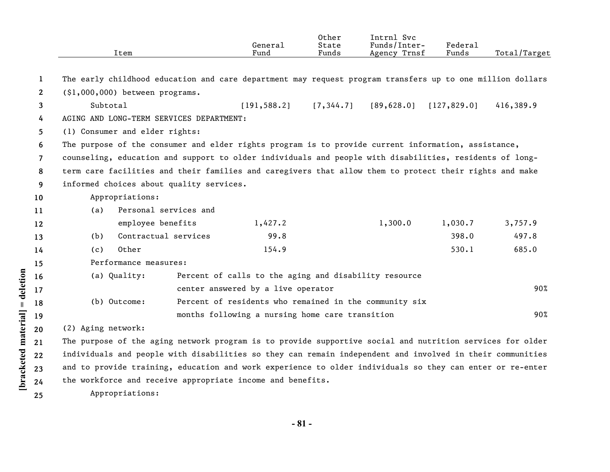|                | Item                                                                                                      |                       | General<br>Fund                                       | Other<br>State<br>Funds | Intrnl Svc<br>Funds/Inter-<br>Agency Trnsf               | Federal<br>Funds | Total/Target |
|----------------|-----------------------------------------------------------------------------------------------------------|-----------------------|-------------------------------------------------------|-------------------------|----------------------------------------------------------|------------------|--------------|
|                |                                                                                                           |                       |                                                       |                         |                                                          |                  |              |
| 1              | The early childhood education and care department may request program transfers up to one million dollars |                       |                                                       |                         |                                                          |                  |              |
| $\mathbf{2}$   | (\$1,000,000) between programs.                                                                           |                       |                                                       |                         |                                                          |                  |              |
| 3              | Subtotal                                                                                                  |                       |                                                       |                         | $[191, 588.2]$ $[7, 344.7]$ $[89, 628.0]$ $[127, 829.0]$ |                  | 416,389.9    |
| 4              | AGING AND LONG-TERM SERVICES DEPARTMENT:                                                                  |                       |                                                       |                         |                                                          |                  |              |
| 5              | (1) Consumer and elder rights:                                                                            |                       |                                                       |                         |                                                          |                  |              |
| 6              | The purpose of the consumer and elder rights program is to provide current information, assistance,       |                       |                                                       |                         |                                                          |                  |              |
| $\overline{7}$ | counseling, education and support to older individuals and people with disabilities, residents of long-   |                       |                                                       |                         |                                                          |                  |              |
| 8              | term care facilities and their families and caregivers that allow them to protect their rights and make   |                       |                                                       |                         |                                                          |                  |              |
| 9              | informed choices about quality services.                                                                  |                       |                                                       |                         |                                                          |                  |              |
| 10             | Appropriations:                                                                                           |                       |                                                       |                         |                                                          |                  |              |
| 11             | (a)                                                                                                       | Personal services and |                                                       |                         |                                                          |                  |              |
| 12             | employee benefits                                                                                         |                       | 1,427.2                                               |                         | 1,300.0                                                  | 1,030.7          | 3,757.9      |
| 13             | (b)                                                                                                       | Contractual services  | 99.8                                                  |                         |                                                          | 398.0            | 497.8        |
| 14             | Other<br>(c)                                                                                              |                       | 154.9                                                 |                         |                                                          | 530.1            | 685.0        |
| 15             | Performance measures:                                                                                     |                       |                                                       |                         |                                                          |                  |              |
| 16             | (a) Quality:                                                                                              |                       | Percent of calls to the aging and disability resource |                         |                                                          |                  |              |
| 17             |                                                                                                           |                       | center answered by a live operator                    |                         |                                                          |                  | 90%          |
| 18             | (b) Outcome:                                                                                              |                       |                                                       |                         | Percent of residents who remained in the community six   |                  |              |
| 19             |                                                                                                           |                       | months following a nursing home care transition       |                         |                                                          |                  | 90%          |
| 20             | (2) Aging network:                                                                                        |                       |                                                       |                         |                                                          |                  |              |
| 21             | The purpose of the aging network program is to provide supportive social and nutrition services for older |                       |                                                       |                         |                                                          |                  |              |
| $22 \,$        | individuals and people with disabilities so they can remain independent and involved in their communities |                       |                                                       |                         |                                                          |                  |              |
| 23             | and to provide training, education and work experience to older individuals so they can enter or re-enter |                       |                                                       |                         |                                                          |                  |              |
| 24             | the workforce and receive appropriate income and benefits.                                                |                       |                                                       |                         |                                                          |                  |              |
| 25             | Appropriations:                                                                                           |                       |                                                       |                         |                                                          |                  |              |

[bracketed material] = deletion

**- 81 -**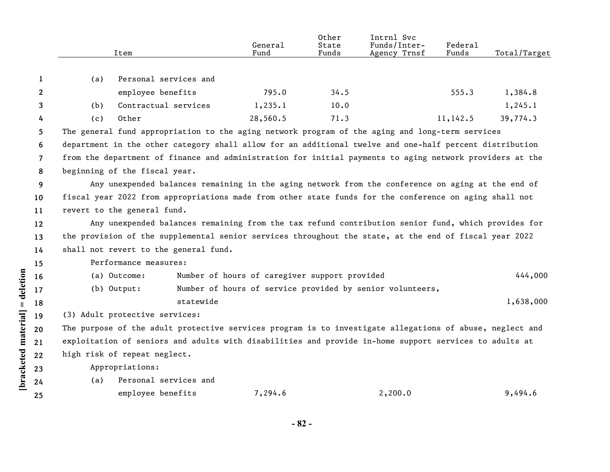|                      |              |                                                                                                        | Item                           |           | General<br>Fund                               | Other<br>State<br>Funds | Intrnl Svc<br>Funds/Inter-<br>Agency Trnsf                                                               | Federal<br>Funds | Total/Target |  |  |
|----------------------|--------------|--------------------------------------------------------------------------------------------------------|--------------------------------|-----------|-----------------------------------------------|-------------------------|----------------------------------------------------------------------------------------------------------|------------------|--------------|--|--|
|                      | 1            | (a)                                                                                                    | Personal services and          |           |                                               |                         |                                                                                                          |                  |              |  |  |
|                      | $\mathbf{2}$ |                                                                                                        | employee benefits              |           | 795.0                                         | 34.5                    |                                                                                                          | 555.3            | 1,384.8      |  |  |
|                      | 3            | (b)                                                                                                    | Contractual services           |           | 1,235.1                                       | 10.0                    |                                                                                                          |                  | 1, 245.1     |  |  |
|                      | 4            | (c)                                                                                                    | Other                          |           | 28,560.5                                      | 71.3                    |                                                                                                          | 11,142.5         | 39,774.3     |  |  |
|                      | 5            |                                                                                                        |                                |           |                                               |                         | The general fund appropriation to the aging network program of the aging and long-term services          |                  |              |  |  |
|                      | 6            |                                                                                                        |                                |           |                                               |                         | department in the other category shall allow for an additional twelve and one-half percent distribution  |                  |              |  |  |
|                      | 7            |                                                                                                        |                                |           |                                               |                         | from the department of finance and administration for initial payments to aging network providers at the |                  |              |  |  |
|                      | 8            |                                                                                                        | beginning of the fiscal year.  |           |                                               |                         |                                                                                                          |                  |              |  |  |
|                      | 9            |                                                                                                        |                                |           |                                               |                         | Any unexpended balances remaining in the aging network from the conference on aging at the end of        |                  |              |  |  |
|                      | 10           | fiscal year 2022 from appropriations made from other state funds for the conference on aging shall not |                                |           |                                               |                         |                                                                                                          |                  |              |  |  |
|                      | 11           |                                                                                                        | revert to the general fund.    |           |                                               |                         |                                                                                                          |                  |              |  |  |
|                      | 12           |                                                                                                        |                                |           |                                               |                         | Any unexpended balances remaining from the tax refund contribution senior fund, which provides for       |                  |              |  |  |
|                      | 13           |                                                                                                        |                                |           |                                               |                         | the provision of the supplemental senior services throughout the state, at the end of fiscal year 2022   |                  |              |  |  |
|                      | 14           | shall not revert to the general fund.                                                                  |                                |           |                                               |                         |                                                                                                          |                  |              |  |  |
|                      | 15           |                                                                                                        | Performance measures:          |           |                                               |                         |                                                                                                          |                  |              |  |  |
|                      | 16           |                                                                                                        | (a) Outcome:                   |           | Number of hours of caregiver support provided |                         |                                                                                                          |                  | 444,000      |  |  |
| $=$ deletion         | 17           |                                                                                                        | $(b)$ Output:                  |           |                                               |                         | Number of hours of service provided by senior volunteers,                                                |                  |              |  |  |
|                      | 18           |                                                                                                        |                                | statewide |                                               |                         |                                                                                                          |                  | 1,638,000    |  |  |
|                      | 19           |                                                                                                        | (3) Adult protective services: |           |                                               |                         |                                                                                                          |                  |              |  |  |
|                      | 20           |                                                                                                        |                                |           |                                               |                         | The purpose of the adult protective services program is to investigate allegations of abuse, neglect and |                  |              |  |  |
|                      | 21           |                                                                                                        |                                |           |                                               |                         | exploitation of seniors and adults with disabilities and provide in-home support services to adults at   |                  |              |  |  |
|                      | 22           |                                                                                                        | high risk of repeat neglect.   |           |                                               |                         |                                                                                                          |                  |              |  |  |
|                      | 23           |                                                                                                        | Appropriations:                |           |                                               |                         |                                                                                                          |                  |              |  |  |
| [bracketed material] | 24           | (a)                                                                                                    | Personal services and          |           |                                               |                         |                                                                                                          |                  |              |  |  |
|                      | 25           |                                                                                                        | employee benefits              |           | 7,294.6                                       |                         | 2,200.0                                                                                                  |                  | 9,494.6      |  |  |
|                      |              |                                                                                                        |                                |           |                                               |                         |                                                                                                          |                  |              |  |  |

**- 82 -**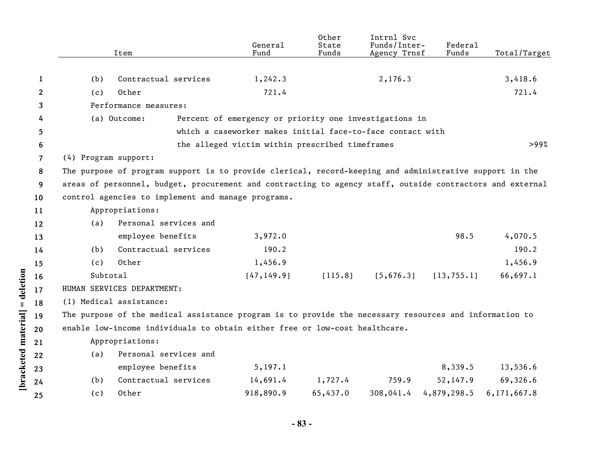|                    |              |                                                                                                           | Item                                                                                                    | General<br>Fund                                            | Other<br>State<br>Funds | Intrnl Svc<br>Funds/Inter-<br>Agency Trnsf | Federal<br>Funds | Total/Target |  |  |  |
|--------------------|--------------|-----------------------------------------------------------------------------------------------------------|---------------------------------------------------------------------------------------------------------|------------------------------------------------------------|-------------------------|--------------------------------------------|------------------|--------------|--|--|--|
|                    |              |                                                                                                           |                                                                                                         |                                                            |                         |                                            |                  |              |  |  |  |
|                    | 1            | (b)                                                                                                       | Contractual services                                                                                    | 1,242.3                                                    |                         | 2,176.3                                    |                  | 3,418.6      |  |  |  |
|                    | $\mathbf{2}$ | (c)                                                                                                       | Other                                                                                                   | 721.4                                                      |                         |                                            |                  | 721.4        |  |  |  |
|                    | 3            |                                                                                                           | Performance measures:                                                                                   |                                                            |                         |                                            |                  |              |  |  |  |
|                    | 4            |                                                                                                           | (a) Outcome:                                                                                            | Percent of emergency or priority one investigations in     |                         |                                            |                  |              |  |  |  |
|                    | 5            |                                                                                                           |                                                                                                         | which a caseworker makes initial face-to-face contact with |                         |                                            |                  |              |  |  |  |
|                    | 6            |                                                                                                           |                                                                                                         | the alleged victim within prescribed timeframes            |                         |                                            |                  | >99%         |  |  |  |
|                    | 7            | (4) Program support:                                                                                      |                                                                                                         |                                                            |                         |                                            |                  |              |  |  |  |
|                    | 8            |                                                                                                           | The purpose of program support is to provide clerical, record-keeping and administrative support in the |                                                            |                         |                                            |                  |              |  |  |  |
|                    | 9            | areas of personnel, budget, procurement and contracting to agency staff, outside contractors and external |                                                                                                         |                                                            |                         |                                            |                  |              |  |  |  |
|                    | 10           | control agencies to implement and manage programs.                                                        |                                                                                                         |                                                            |                         |                                            |                  |              |  |  |  |
|                    | 11           | Appropriations:                                                                                           |                                                                                                         |                                                            |                         |                                            |                  |              |  |  |  |
|                    | 12           | (a)                                                                                                       | Personal services and                                                                                   |                                                            |                         |                                            |                  |              |  |  |  |
|                    | 13           |                                                                                                           | employee benefits                                                                                       | 3,972.0                                                    |                         |                                            | 98.5             | 4,070.5      |  |  |  |
|                    | 14           | (b)                                                                                                       | Contractual services                                                                                    | 190.2                                                      |                         |                                            |                  | 190.2        |  |  |  |
|                    | 15           | (c)                                                                                                       | Other                                                                                                   | 1,456.9                                                    |                         |                                            |                  | 1,456.9      |  |  |  |
|                    | 16           | Subtotal                                                                                                  |                                                                                                         | [47, 149.9]                                                | [115.8]                 | [5,676.3]                                  | [13, 755.1]      | 66,697.1     |  |  |  |
| = deletion         | 17           |                                                                                                           | HUMAN SERVICES DEPARTMENT:                                                                              |                                                            |                         |                                            |                  |              |  |  |  |
|                    | 18           |                                                                                                           | (1) Medical assistance:                                                                                 |                                                            |                         |                                            |                  |              |  |  |  |
|                    | 19           |                                                                                                           | The purpose of the medical assistance program is to provide the necessary resources and information to  |                                                            |                         |                                            |                  |              |  |  |  |
|                    | 20           |                                                                                                           | enable low-income individuals to obtain either free or low-cost healthcare.                             |                                                            |                         |                                            |                  |              |  |  |  |
|                    | 21           |                                                                                                           | Appropriations:                                                                                         |                                                            |                         |                                            |                  |              |  |  |  |
|                    | 22           | (a)                                                                                                       | Personal services and                                                                                   |                                                            |                         |                                            |                  |              |  |  |  |
|                    |              |                                                                                                           | employee benefits                                                                                       | 5, 197.1                                                   |                         |                                            | 8,339.5          | 13,536.6     |  |  |  |
| bracketed material | 23           | (b)                                                                                                       | Contractual services                                                                                    | 14,691.4                                                   | 1,727.4                 | 759.9                                      | 52, 147.9        | 69,326.6     |  |  |  |
|                    | 24           |                                                                                                           | Other                                                                                                   |                                                            |                         |                                            |                  | 6,171,667.8  |  |  |  |
|                    | 25           | (c)                                                                                                       |                                                                                                         | 918,890.9                                                  | 65,437.0                | 308,041.4                                  | 4,879,298.5      |              |  |  |  |

**- 83 -**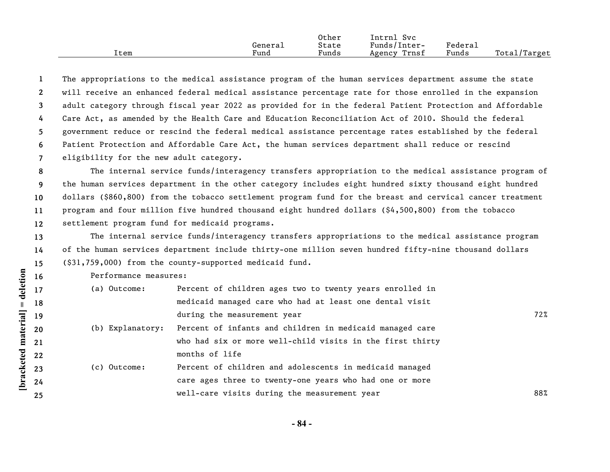|      |         | Other | Intrnl<br><b>Svc</b> |         |              |
|------|---------|-------|----------------------|---------|--------------|
|      | General | State | Funds/Inter-         | Federal |              |
| Item | Fund    | Funds | Trnsf<br>Agency      | Funds   | Total/Target |

**1 2 3 4 5 6 7** The appropriations to the medical assistance program of the human services department assume the state will receive an enhanced federal medical assistance percentage rate for those enrolled in the expansion adult category through fiscal year 2022 as provided for in the federal Patient Protection and Affordable Care Act, as amended by the Health Care and Education Reconciliation Act of 2010. Should the federal government reduce or rescind the federal medical assistance percentage rates established by the federal Patient Protection and Affordable Care Act, the human services department shall reduce or rescind eligibility for the new adult category.

**8 9 10 11 12** The internal service funds/interagency transfers appropriation to the medical assistance program of the human services department in the other category includes eight hundred sixty thousand eight hundred dollars (\$860,800) from the tobacco settlement program fund for the breast and cervical cancer treatment program and four million five hundred thousand eight hundred dollars (\$4,500,800) from the tobacco settlement program fund for medicaid programs.

**13 14 15** The internal service funds/interagency transfers appropriations to the medical assistance program of the human services department include thirty-one million seven hundred fifty-nine thousand dollars (\$31,759,000) from the county-supported medicaid fund.

Performance measures:

| (a) Outcome:     | Percent of children ages two to twenty years enrolled in  |     |
|------------------|-----------------------------------------------------------|-----|
|                  | medicaid managed care who had at least one dental visit   |     |
|                  | during the measurement year                               | 72% |
| (b) Explanatory: | Percent of infants and children in medicaid managed care  |     |
|                  | who had six or more well-child visits in the first thirty |     |
|                  | months of life                                            |     |
| (c) Outcome:     | Percent of children and adolescents in medicaid managed   |     |
|                  | care ages three to twenty-one years who had one or more   |     |
|                  | well-care visits during the measurement year              | 88% |
|                  |                                                           |     |

**25**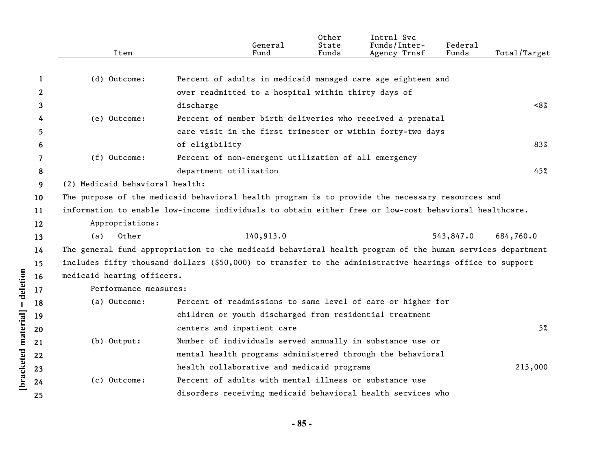|              | Item                            | General<br>Fund                                                                                           | Other<br>State<br>Funds | Intrnl Svc<br>Funds/Inter-<br>Agency Trnsf | Federal<br>Funds | Total/Target |
|--------------|---------------------------------|-----------------------------------------------------------------------------------------------------------|-------------------------|--------------------------------------------|------------------|--------------|
|              |                                 |                                                                                                           |                         |                                            |                  |              |
| 1            | (d) Outcome:                    | Percent of adults in medicaid managed care age eighteen and                                               |                         |                                            |                  |              |
| $\mathbf{2}$ |                                 | over readmitted to a hospital within thirty days of                                                       |                         |                                            |                  |              |
| 3            |                                 | discharge                                                                                                 |                         |                                            |                  | ~58          |
| 4            | (e) Outcome:                    | Percent of member birth deliveries who received a prenatal                                                |                         |                                            |                  |              |
| 5            |                                 | care visit in the first trimester or within forty-two days                                                |                         |                                            |                  |              |
| 6            |                                 | of eligibility                                                                                            |                         |                                            |                  | 83%          |
| 7            | $(f)$ Outcome:                  | Percent of non-emergent utilization of all emergency                                                      |                         |                                            |                  |              |
| 8            |                                 | department utilization                                                                                    |                         |                                            |                  | 45%          |
| 9            | (2) Medicaid behavioral health: |                                                                                                           |                         |                                            |                  |              |
| 10           |                                 | The purpose of the medicaid behavioral health program is to provide the necessary resources and           |                         |                                            |                  |              |
| 11           |                                 | information to enable low-income individuals to obtain either free or low-cost behavioral healthcare.     |                         |                                            |                  |              |
| 12           | Appropriations:                 |                                                                                                           |                         |                                            |                  |              |
| 13           | Other<br>(a)                    | 140,913.0                                                                                                 |                         |                                            | 543,847.0        | 684,760.0    |
| 14           |                                 | The general fund appropriation to the medicaid behavioral health program of the human services department |                         |                                            |                  |              |
| 15           |                                 | includes fifty thousand dollars (\$50,000) to transfer to the administrative hearings office to support   |                         |                                            |                  |              |
| 16           | medicaid hearing officers.      |                                                                                                           |                         |                                            |                  |              |
| 17           | Performance measures:           |                                                                                                           |                         |                                            |                  |              |
| 18           | (a) Outcome:                    | Percent of readmissions to same level of care or higher for                                               |                         |                                            |                  |              |
| 19           |                                 | children or youth discharged from residential treatment                                                   |                         |                                            |                  |              |
| 20           |                                 | centers and inpatient care                                                                                |                         |                                            |                  | 5%           |
| 21           | $(b)$ Output:                   | Number of individuals served annually in substance use or                                                 |                         |                                            |                  |              |
| 22           |                                 | mental health programs administered through the behavioral                                                |                         |                                            |                  |              |
| 23           |                                 | health collaborative and medicaid programs                                                                |                         |                                            |                  | 215,000      |
| 24           | (c) Outcome:                    | Percent of adults with mental illness or substance use                                                    |                         |                                            |                  |              |
| 25           |                                 | disorders receiving medicaid behavioral health services who                                               |                         |                                            |                  |              |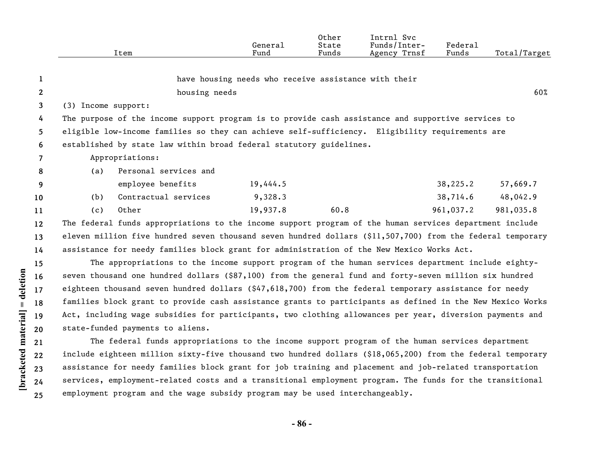|                |                     | Item                                                                                                       | General<br>Fund                                      | Other<br>State<br>Funds | Intrnl Svc<br>Funds/Inter-<br>Agency Trnsf | Federal<br>Funds | Total/Target |
|----------------|---------------------|------------------------------------------------------------------------------------------------------------|------------------------------------------------------|-------------------------|--------------------------------------------|------------------|--------------|
| 1              |                     |                                                                                                            | have housing needs who receive assistance with their |                         |                                            |                  |              |
| $\mathbf{2}$   |                     | housing needs                                                                                              |                                                      |                         |                                            |                  | 60%          |
| 3              | (3) Income support: |                                                                                                            |                                                      |                         |                                            |                  |              |
| 4              |                     | The purpose of the income support program is to provide cash assistance and supportive services to         |                                                      |                         |                                            |                  |              |
| 5.             |                     | eligible low-income families so they can achieve self-sufficiency. Eligibility requirements are            |                                                      |                         |                                            |                  |              |
| 6              |                     | established by state law within broad federal statutory guidelines.                                        |                                                      |                         |                                            |                  |              |
| $\overline{7}$ |                     | Appropriations:                                                                                            |                                                      |                         |                                            |                  |              |
| 8              | (a)                 | Personal services and                                                                                      |                                                      |                         |                                            |                  |              |
| 9              |                     | employee benefits                                                                                          | 19,444.5                                             |                         |                                            | 38,225.2         | 57,669.7     |
| 10             | (b)                 | Contractual services                                                                                       | 9,328.3                                              |                         |                                            | 38,714.6         | 48,042.9     |
| 11             | (c)                 | Other                                                                                                      | 19,937.8                                             | 60.8                    |                                            | 961,037.2        | 981,035.8    |
| 12             |                     | The federal funds appropriations to the income support program of the human services department include    |                                                      |                         |                                            |                  |              |
| 13             |                     | eleven million five hundred seven thousand seven hundred dollars (\$11,507,700) from the federal temporary |                                                      |                         |                                            |                  |              |
| 14             |                     | assistance for needy families block grant for administration of the New Mexico Works Act.                  |                                                      |                         |                                            |                  |              |
| 15             |                     | The appropriations to the income support program of the human services department include eighty-          |                                                      |                         |                                            |                  |              |
| 16             |                     | seven thousand one hundred dollars (\$87,100) from the general fund and forty-seven million six hundred    |                                                      |                         |                                            |                  |              |
| 17             |                     | eighteen thousand seven hundred dollars (\$47,618,700) from the federal temporary assistance for needy     |                                                      |                         |                                            |                  |              |
| 18             |                     | families block grant to provide cash assistance grants to participants as defined in the New Mexico Works  |                                                      |                         |                                            |                  |              |
| 19             |                     | Act, including wage subsidies for participants, two clothing allowances per year, diversion payments and   |                                                      |                         |                                            |                  |              |
| 20             |                     | state-funded payments to aliens.                                                                           |                                                      |                         |                                            |                  |              |
| 21             |                     | The federal funds appropriations to the income support program of the human services department            |                                                      |                         |                                            |                  |              |
| 22             |                     | include eighteen million sixty-five thousand two hundred dollars (\$18,065,200) from the federal temporary |                                                      |                         |                                            |                  |              |
| 23             |                     | assistance for needy families block grant for job training and placement and job-related transportation    |                                                      |                         |                                            |                  |              |
| 24             |                     | services, employment-related costs and a transitional employment program. The funds for the transitional   |                                                      |                         |                                            |                  |              |

employment program and the wage subsidy program may be used interchangeably.

**[bracketed material] = deletion**

[bracketed material] = deletion

**25**

**- 86 -**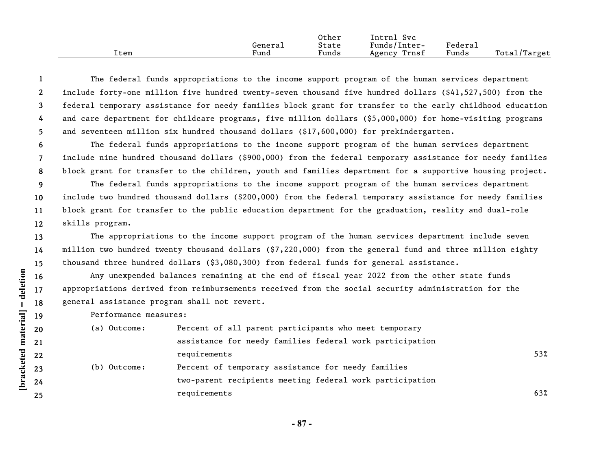|      |         | Other | Intrnl<br><b>Svc</b> |         |              |
|------|---------|-------|----------------------|---------|--------------|
|      | General | State | Funds/Inter-         | Federai |              |
| ⊥tem | Fund    | Funds | Trnsf<br>Agency      | Funds   | Total/Target |

**1 2 3 4 5** The federal funds appropriations to the income support program of the human services department include forty-one million five hundred twenty-seven thousand five hundred dollars (\$41,527,500) from the federal temporary assistance for needy families block grant for transfer to the early childhood education and care department for childcare programs, five million dollars (\$5,000,000) for home-visiting programs and seventeen million six hundred thousand dollars (\$17,600,000) for prekindergarten.

**6 7 8** The federal funds appropriations to the income support program of the human services department include nine hundred thousand dollars (\$900,000) from the federal temporary assistance for needy families block grant for transfer to the children, youth and families department for a supportive housing project.

**9 10 11 12** The federal funds appropriations to the income support program of the human services department include two hundred thousand dollars (\$200,000) from the federal temporary assistance for needy families block grant for transfer to the public education department for the graduation, reality and dual-role skills program.

**13 14 15** The appropriations to the income support program of the human services department include seven million two hundred twenty thousand dollars (\$7,220,000) from the general fund and three million eighty thousand three hundred dollars (\$3,080,300) from federal funds for general assistance.

Any unexpended balances remaining at the end of fiscal year 2022 from the other state funds appropriations derived from reimbursements received from the social security administration for the general assistance program shall not revert.

Performance measures:

| (a) Outcome: | Percent of all parent participants who meet temporary    |     |
|--------------|----------------------------------------------------------|-----|
|              | assistance for needy families federal work participation |     |
|              | requirements                                             | 53% |
| (b) Outcome: | Percent of temporary assistance for needy families       |     |
|              | two-parent recipients meeting federal work participation |     |
|              | requirements                                             | 63% |

**- 87 -** 

**25**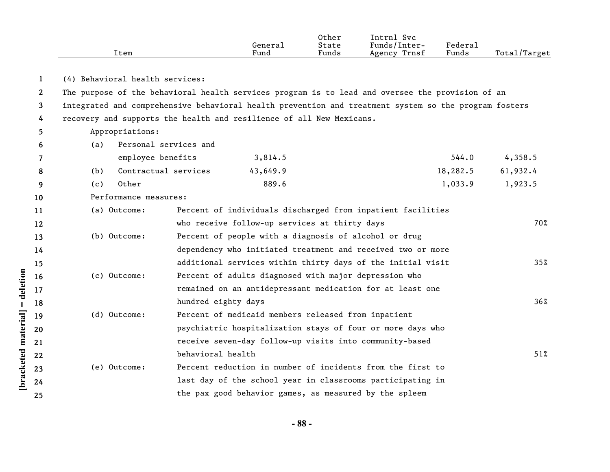| Item | General<br>Fund | Other<br>State<br>Funds | Intrnl Svc<br>Funds/Inter-<br>Agency Trnsf | Federal<br>Funds | Total/Target |
|------|-----------------|-------------------------|--------------------------------------------|------------------|--------------|
|      |                 |                         |                                            |                  |              |

**1** (4) Behavioral health services:

**2 3 4** The purpose of the behavioral health services program is to lead and oversee the provision of an integrated and comprehensive behavioral health prevention and treatment system so the program fosters recovery and supports the health and resilience of all New Mexicans.

- Appropriations:
- (a) Personal services and

|   |     | employee benefits        | 3,814.5  | 544.0    | 4,358.5  |
|---|-----|--------------------------|----------|----------|----------|
| 8 |     | (b) Contractual services | 43,649.9 | 18,282.5 | 61,932.4 |
|   | (C) | Other                    | 889.6    | 1,033.9  | 1,923.5  |

**10** Performance measures:

**[bracketed material] = deletion**

[bracketed material] = deletion

**5 6**

| (a) Outcome: | Percent of individuals discharged from inpatient facilities |     |
|--------------|-------------------------------------------------------------|-----|
|              | who receive follow-up services at thirty days               | 70% |
| (b) Outcome: | Percent of people with a diagnosis of alcohol or drug       |     |
|              | dependency who initiated treatment and received two or more |     |
|              | additional services within thirty days of the initial visit | 35% |
| (c) Outcome: | Percent of adults diagnosed with major depression who       |     |
|              | remained on an antidepressant medication for at least one   |     |
|              | hundred eighty days                                         | 36% |
| (d) Outcome: | Percent of medicaid members released from inpatient         |     |
|              | psychiatric hospitalization stays of four or more days who  |     |
|              | receive seven-day follow-up visits into community-based     |     |
|              | behavioral health                                           | 51% |
| (e) Outcome: | Percent reduction in number of incidents from the first to  |     |
|              | last day of the school year in classrooms participating in  |     |
|              | the pax good behavior games, as measured by the spleem      |     |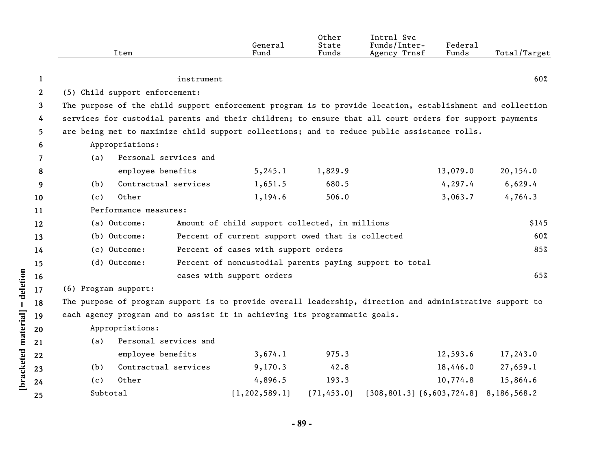|                    |              | Item                                                                                                      |                                      | General<br>Fund                                         | Other<br>State<br>Funds | Intrnl Svc<br>Funds/Inter-<br>Agency Trnsf | Federal<br>Funds | Total/Target |  |
|--------------------|--------------|-----------------------------------------------------------------------------------------------------------|--------------------------------------|---------------------------------------------------------|-------------------------|--------------------------------------------|------------------|--------------|--|
|                    | $\mathbf{1}$ |                                                                                                           | instrument                           |                                                         |                         |                                            |                  | 60%          |  |
|                    | $\mathbf{2}$ | (5) Child support enforcement:                                                                            |                                      |                                                         |                         |                                            |                  |              |  |
|                    | 3            | The purpose of the child support enforcement program is to provide location, establishment and collection |                                      |                                                         |                         |                                            |                  |              |  |
|                    | 4            | services for custodial parents and their children; to ensure that all court orders for support payments   |                                      |                                                         |                         |                                            |                  |              |  |
|                    | 5.           | are being met to maximize child support collections; and to reduce public assistance rolls.               |                                      |                                                         |                         |                                            |                  |              |  |
|                    | 6            | Appropriations:                                                                                           |                                      |                                                         |                         |                                            |                  |              |  |
|                    | 7            | (a)                                                                                                       | Personal services and                |                                                         |                         |                                            |                  |              |  |
|                    | 8            |                                                                                                           | employee benefits                    | 5, 245.1                                                | 1,829.9                 |                                            | 13,079.0         | 20,154.0     |  |
|                    | 9            | (b)                                                                                                       | Contractual services                 | 1,651.5                                                 | 680.5                   |                                            | 4, 297.4         | 6,629.4      |  |
|                    | 10           | Other<br>(c)                                                                                              |                                      | 1,194.6                                                 | 506.0                   |                                            | 3,063.7          | 4,764.3      |  |
|                    | 11           | Performance measures:                                                                                     |                                      |                                                         |                         |                                            |                  |              |  |
|                    | 12           | (a) Outcome:<br>Amount of child support collected, in millions                                            |                                      |                                                         |                         |                                            |                  | \$145        |  |
|                    | 13           | (b) Outcome:<br>Percent of current support owed that is collected                                         |                                      |                                                         |                         |                                            |                  | 60%          |  |
|                    | 14           | (c) Outcome:                                                                                              | Percent of cases with support orders |                                                         |                         |                                            |                  | 85%          |  |
|                    | 15           | (d) Outcome:                                                                                              |                                      | Percent of noncustodial parents paying support to total |                         |                                            |                  |              |  |
| = deletion         | 16           |                                                                                                           |                                      | cases with support orders                               |                         |                                            |                  | 65%          |  |
|                    | 17           | (6) Program support:                                                                                      |                                      |                                                         |                         |                                            |                  |              |  |
|                    | 18           | The purpose of program support is to provide overall leadership, direction and administrative support to  |                                      |                                                         |                         |                                            |                  |              |  |
|                    | 19           | each agency program and to assist it in achieving its programmatic goals.                                 |                                      |                                                         |                         |                                            |                  |              |  |
|                    | 20           | Appropriations:                                                                                           |                                      |                                                         |                         |                                            |                  |              |  |
|                    | 21           | (a)                                                                                                       | Personal services and                |                                                         |                         |                                            |                  |              |  |
|                    | 22           |                                                                                                           | employee benefits                    | 3,674.1                                                 | 975.3                   |                                            | 12,593.6         | 17,243.0     |  |
| bracketed material | 23           | (b)                                                                                                       | Contractual services                 | 9,170.3                                                 | 42.8                    |                                            | 18,446.0         | 27,659.1     |  |
|                    | 24           | Other<br>(c)                                                                                              |                                      | 4,896.5                                                 | 193.3                   |                                            | 10,774.8         | 15,864.6     |  |
|                    | 25           | Subtotal                                                                                                  |                                      | [1, 202, 589.1]                                         | [71, 453.0]             | $[308, 801.3]$ $[6, 603, 724.8]$           |                  | 8,186,568.2  |  |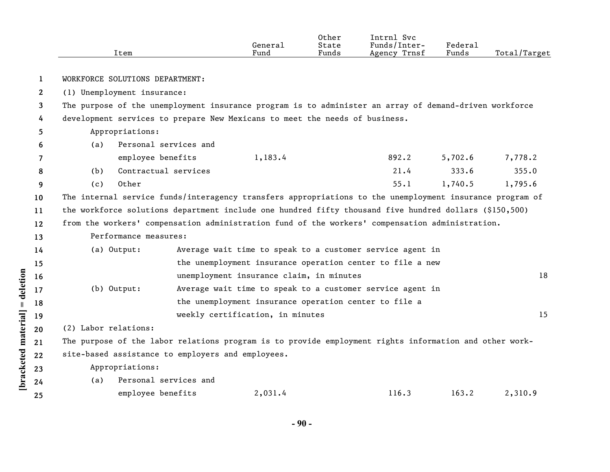|                    |                 | Item                                                                                                     |                       | General<br>Fund                                       | Other<br>State<br>Funds | Intrnl Svc<br>Funds/Inter-<br>Agency Trnsf                | Federal<br>Funds | Total/Target |
|--------------------|-----------------|----------------------------------------------------------------------------------------------------------|-----------------------|-------------------------------------------------------|-------------------------|-----------------------------------------------------------|------------------|--------------|
|                    | 1               | WORKFORCE SOLUTIONS DEPARTMENT:                                                                          |                       |                                                       |                         |                                                           |                  |              |
|                    | $\mathbf{2}$    | (1) Unemployment insurance:                                                                              |                       |                                                       |                         |                                                           |                  |              |
|                    | 3               | The purpose of the unemployment insurance program is to administer an array of demand-driven workforce   |                       |                                                       |                         |                                                           |                  |              |
|                    | 4               | development services to prepare New Mexicans to meet the needs of business.                              |                       |                                                       |                         |                                                           |                  |              |
|                    | 5               | Appropriations:                                                                                          |                       |                                                       |                         |                                                           |                  |              |
|                    | 6               | (a)                                                                                                      | Personal services and |                                                       |                         |                                                           |                  |              |
|                    | 7               | employee benefits                                                                                        |                       | 1,183.4                                               |                         | 892.2                                                     | 5,702.6          | 7,778.2      |
|                    | 8               | Contractual services<br>(b)                                                                              |                       |                                                       |                         | 21.4                                                      | 333.6            | 355.0        |
|                    | 9               | Other<br>(c)                                                                                             |                       |                                                       |                         | 55.1                                                      | 1,740.5          | 1,795.6      |
|                    | 10 <sup>°</sup> | The internal service funds/interagency transfers appropriations to the unemployment insurance program of |                       |                                                       |                         |                                                           |                  |              |
|                    | 11              | the workforce solutions department include one hundred fifty thousand five hundred dollars (\$150,500)   |                       |                                                       |                         |                                                           |                  |              |
|                    | 12              | from the workers' compensation administration fund of the workers' compensation administration.          |                       |                                                       |                         |                                                           |                  |              |
|                    | 13              | Performance measures:                                                                                    |                       |                                                       |                         |                                                           |                  |              |
|                    | 14              | (a) Output:                                                                                              |                       |                                                       |                         | Average wait time to speak to a customer service agent in |                  |              |
|                    | 15              |                                                                                                          |                       |                                                       |                         | the unemployment insurance operation center to file a new |                  |              |
|                    | 16              |                                                                                                          |                       | unemployment insurance claim, in minutes              |                         |                                                           |                  | 18           |
| = deletion         | 17              | (b) Output:                                                                                              |                       |                                                       |                         | Average wait time to speak to a customer service agent in |                  |              |
|                    | 18              |                                                                                                          |                       | the unemployment insurance operation center to file a |                         |                                                           |                  |              |
|                    | 19              |                                                                                                          |                       | weekly certification, in minutes                      |                         |                                                           |                  | 15           |
|                    | 20              | (2) Labor relations:                                                                                     |                       |                                                       |                         |                                                           |                  |              |
|                    | 21              | The purpose of the labor relations program is to provide employment rights information and other work-   |                       |                                                       |                         |                                                           |                  |              |
|                    | 22              | site-based assistance to employers and employees.                                                        |                       |                                                       |                         |                                                           |                  |              |
| bracketed material | 23              | Appropriations:                                                                                          |                       |                                                       |                         |                                                           |                  |              |
|                    | 24              | (a)                                                                                                      | Personal services and |                                                       |                         |                                                           |                  |              |
|                    | 25              | employee benefits                                                                                        |                       | 2,031.4                                               |                         | 116.3                                                     | 163.2            | 2,310.9      |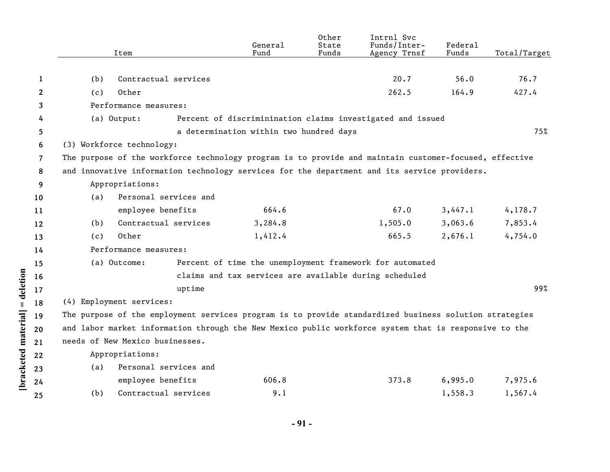|                    |                | Item                                                                                                   | General<br>Fund                         | Other<br>State<br>Funds | Intrnl Svc<br>Funds/Inter-<br>Agency Trnsf                 | Federal<br>Funds | Total/Target |  |
|--------------------|----------------|--------------------------------------------------------------------------------------------------------|-----------------------------------------|-------------------------|------------------------------------------------------------|------------------|--------------|--|
|                    |                |                                                                                                        |                                         |                         |                                                            |                  |              |  |
|                    | $\mathbf{1}$   | Contractual services<br>(b)                                                                            |                                         |                         | 20.7                                                       | 56.0             | 76.7         |  |
|                    | $\mathbf{2}$   | Other<br>(c)                                                                                           |                                         |                         | 262.5                                                      | 164.9            | 427.4        |  |
|                    | 3              | Performance measures:                                                                                  |                                         |                         |                                                            |                  |              |  |
|                    | 4              | (a) Output:                                                                                            |                                         |                         | Percent of discriminination claims investigated and issued |                  |              |  |
|                    | 5              |                                                                                                        | a determination within two hundred days |                         |                                                            |                  | 75%          |  |
|                    | 6              | (3) Workforce technology:                                                                              |                                         |                         |                                                            |                  |              |  |
|                    | $\overline{7}$ | The purpose of the workforce technology program is to provide and maintain customer-focused, effective |                                         |                         |                                                            |                  |              |  |
|                    | 8              | and innovative information technology services for the department and its service providers.           |                                         |                         |                                                            |                  |              |  |
|                    | 9              | Appropriations:                                                                                        |                                         |                         |                                                            |                  |              |  |
|                    | 10             | Personal services and<br>(a)                                                                           |                                         |                         |                                                            |                  |              |  |
|                    | 11             | employee benefits                                                                                      | 664.6                                   |                         | 67.0                                                       | 3,447.1          | 4, 178.7     |  |
|                    | 12             | Contractual services<br>(b)                                                                            | 3,284.8                                 |                         | 1,505.0                                                    | 3,063.6          | 7,853.4      |  |
|                    | 13             | Other<br>(c)                                                                                           | 1,412.4                                 |                         | 665.5                                                      | 2,676.1          | 4,754.0      |  |
|                    | 14             | Performance measures:                                                                                  |                                         |                         |                                                            |                  |              |  |
|                    | 15             | (a) Outcome:                                                                                           |                                         |                         | Percent of time the unemployment framework for automated   |                  |              |  |
| = deletion         | 16             |                                                                                                        |                                         |                         | claims and tax services are available during scheduled     |                  |              |  |
|                    | 17             | uptime                                                                                                 |                                         |                         |                                                            |                  | 99%          |  |
|                    | 18             | (4) Employment services:                                                                               |                                         |                         |                                                            |                  |              |  |
|                    | 19             | The purpose of the employment services program is to provide standardized business solution strategies |                                         |                         |                                                            |                  |              |  |
|                    | 20             | and labor market information through the New Mexico public workforce system that is responsive to the  |                                         |                         |                                                            |                  |              |  |
| bracketed material | 21             | needs of New Mexico businesses.                                                                        |                                         |                         |                                                            |                  |              |  |
|                    | 22             | Appropriations:                                                                                        |                                         |                         |                                                            |                  |              |  |
|                    | 23             | Personal services and<br>(a)                                                                           |                                         |                         |                                                            |                  |              |  |
|                    | 24             | employee benefits                                                                                      | 606.8                                   |                         | 373.8                                                      | 6,995.0          | 7,975.6      |  |
|                    | 25             | Contractual services<br>(b)                                                                            | 9.1                                     |                         |                                                            | 1,558.3          | 1,567.4      |  |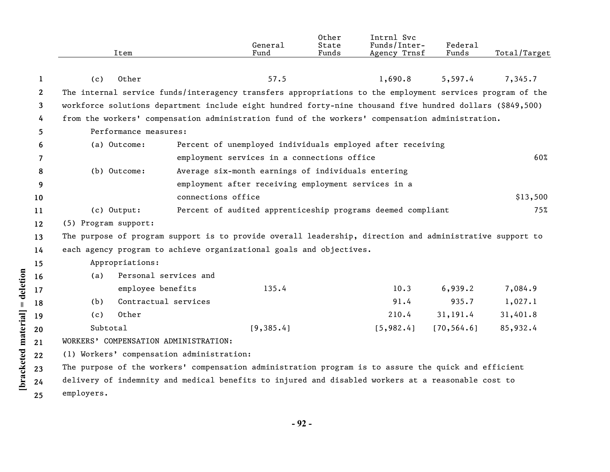|              | Item                                                                                                      |                       | General<br>Fund                                             | Other<br>State<br>Funds | Intrnl Svc<br>Funds/Inter-<br>Agency Trnsf | Federal<br>Funds | Total/Target |
|--------------|-----------------------------------------------------------------------------------------------------------|-----------------------|-------------------------------------------------------------|-------------------------|--------------------------------------------|------------------|--------------|
|              |                                                                                                           |                       |                                                             |                         |                                            |                  |              |
| 1            | (c)<br>Other                                                                                              |                       | 57.5                                                        |                         | 1,690.8                                    | 5,597.4          | 7,345.7      |
| $\mathbf{2}$ | The internal service funds/interagency transfers appropriations to the employment services program of the |                       |                                                             |                         |                                            |                  |              |
| 3            | workforce solutions department include eight hundred forty-nine thousand five hundred dollars (\$849,500) |                       |                                                             |                         |                                            |                  |              |
| 4            | from the workers' compensation administration fund of the workers' compensation administration.           |                       |                                                             |                         |                                            |                  |              |
| 5.           | Performance measures:                                                                                     |                       |                                                             |                         |                                            |                  |              |
| 6            | (a) Outcome:                                                                                              |                       | Percent of unemployed individuals employed after receiving  |                         |                                            |                  |              |
| 7            |                                                                                                           |                       | employment services in a connections office                 |                         |                                            |                  | 60%          |
| 8            | (b) Outcome:                                                                                              |                       | Average six-month earnings of individuals entering          |                         |                                            |                  |              |
| 9            |                                                                                                           |                       | employment after receiving employment services in a         |                         |                                            |                  |              |
| 10           |                                                                                                           | connections office    |                                                             |                         |                                            |                  | \$13,500     |
| 11           | $(c)$ Output:                                                                                             |                       | Percent of audited apprenticeship programs deemed compliant |                         |                                            |                  | 75%          |
| $12 \,$      | (5) Program support:                                                                                      |                       |                                                             |                         |                                            |                  |              |
| 13           | The purpose of program support is to provide overall leadership, direction and administrative support to  |                       |                                                             |                         |                                            |                  |              |
| 14           | each agency program to achieve organizational goals and objectives.                                       |                       |                                                             |                         |                                            |                  |              |
| 15           | Appropriations:                                                                                           |                       |                                                             |                         |                                            |                  |              |
| 16           | (a)                                                                                                       | Personal services and |                                                             |                         |                                            |                  |              |
| 17           | employee benefits                                                                                         |                       | 135.4                                                       |                         | 10.3                                       | 6,939.2          | 7,084.9      |
| 18           | (b)                                                                                                       | Contractual services  |                                                             |                         | 91.4                                       | 935.7            | 1,027.1      |
| 19           | Other<br>(c)                                                                                              |                       |                                                             |                         | 210.4                                      | 31, 191.4        | 31,401.8     |
| 20           | Subtotal                                                                                                  |                       | [9, 385.4]                                                  |                         | [5, 982.4]                                 | [70, 564.6]      | 85,932.4     |
| 21           | WORKERS' COMPENSATION ADMINISTRATION:                                                                     |                       |                                                             |                         |                                            |                  |              |
| 22           | (1) Workers' compensation administration:                                                                 |                       |                                                             |                         |                                            |                  |              |
| 23           | The purpose of the workers' compensation administration program is to assure the quick and efficient      |                       |                                                             |                         |                                            |                  |              |
| 24           | delivery of indemnity and medical benefits to injured and disabled workers at a reasonable cost to        |                       |                                                             |                         |                                            |                  |              |
| 25           | employers.                                                                                                |                       |                                                             |                         |                                            |                  |              |

[bracketed material] = deletion

**- 92 -**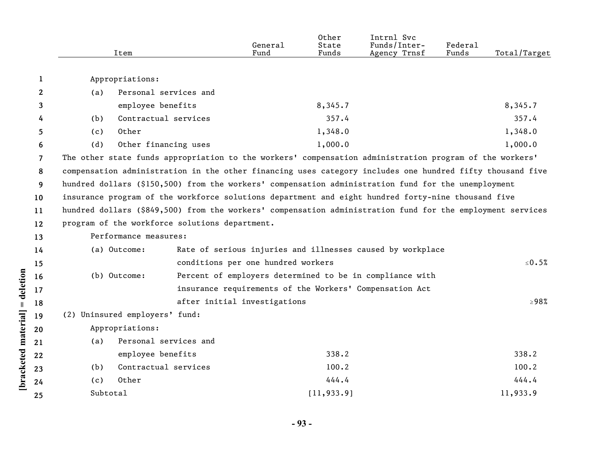|                      |                | Item                                                                                                       |                                                            | General<br>Fund                                                                                    | Other<br>State<br>Funds | Intrnl Svc<br>Funds/Inter-<br>Agency Trnsf               | Federal<br>Funds | Total/Target |  |
|----------------------|----------------|------------------------------------------------------------------------------------------------------------|------------------------------------------------------------|----------------------------------------------------------------------------------------------------|-------------------------|----------------------------------------------------------|------------------|--------------|--|
|                      | 1              | Appropriations:                                                                                            |                                                            |                                                                                                    |                         |                                                          |                  |              |  |
|                      | $\mathbf{2}$   | (a)                                                                                                        | Personal services and                                      |                                                                                                    |                         |                                                          |                  |              |  |
|                      | 3              | employee benefits                                                                                          |                                                            |                                                                                                    | 8,345.7                 |                                                          |                  | 8,345.7      |  |
|                      | 4              | (b)                                                                                                        | Contractual services                                       |                                                                                                    | 357.4                   |                                                          |                  | 357.4        |  |
|                      | 5              | Other<br>(c)                                                                                               |                                                            |                                                                                                    | 1,348.0                 |                                                          |                  | 1,348.0      |  |
|                      | 6              | (d)                                                                                                        | Other financing uses                                       |                                                                                                    | 1,000.0                 |                                                          |                  | 1,000.0      |  |
|                      | $\overline{7}$ | The other state funds appropriation to the workers' compensation administration program of the workers'    |                                                            |                                                                                                    |                         |                                                          |                  |              |  |
|                      | 8              | compensation administration in the other financing uses category includes one hundred fifty thousand five  |                                                            |                                                                                                    |                         |                                                          |                  |              |  |
|                      | 9              | hundred dollars (\$150,500) from the workers' compensation administration fund for the unemployment        |                                                            |                                                                                                    |                         |                                                          |                  |              |  |
|                      | 10             |                                                                                                            |                                                            | insurance program of the workforce solutions department and eight hundred forty-nine thousand five |                         |                                                          |                  |              |  |
|                      | 11             | hundred dollars (\$849,500) from the workers' compensation administration fund for the employment services |                                                            |                                                                                                    |                         |                                                          |                  |              |  |
|                      | 12             | program of the workforce solutions department.                                                             |                                                            |                                                                                                    |                         |                                                          |                  |              |  |
|                      | 13             | Performance measures:                                                                                      |                                                            |                                                                                                    |                         |                                                          |                  |              |  |
|                      | 14             | (a) Outcome:                                                                                               | Rate of serious injuries and illnesses caused by workplace |                                                                                                    |                         |                                                          |                  |              |  |
|                      | 15             |                                                                                                            |                                                            | conditions per one hundred workers                                                                 |                         |                                                          |                  | $\leq 0.5\%$ |  |
| = deletion           | 16             | (b) Outcome:                                                                                               |                                                            |                                                                                                    |                         | Percent of employers determined to be in compliance with |                  |              |  |
|                      | 17             |                                                                                                            |                                                            |                                                                                                    |                         | insurance requirements of the Workers' Compensation Act  |                  |              |  |
|                      | 18             |                                                                                                            |                                                            | after initial investigations                                                                       |                         |                                                          |                  | $\geq 98\%$  |  |
|                      | 19             | (2) Uninsured employers' fund:                                                                             |                                                            |                                                                                                    |                         |                                                          |                  |              |  |
|                      | 20             | Appropriations:                                                                                            |                                                            |                                                                                                    |                         |                                                          |                  |              |  |
|                      | 21             | (a)                                                                                                        | Personal services and                                      |                                                                                                    |                         |                                                          |                  |              |  |
|                      | 22             | employee benefits                                                                                          |                                                            |                                                                                                    | 338.2                   |                                                          |                  | 338.2        |  |
| [bracketed material] | 23             | (b)                                                                                                        | Contractual services                                       |                                                                                                    | 100.2                   |                                                          |                  | 100.2        |  |
|                      | 24             | Other<br>(c)                                                                                               |                                                            |                                                                                                    | 444.4                   |                                                          |                  | 444.4        |  |
|                      | 25             | Subtotal                                                                                                   |                                                            |                                                                                                    | [11, 933.9]             |                                                          |                  | 11,933.9     |  |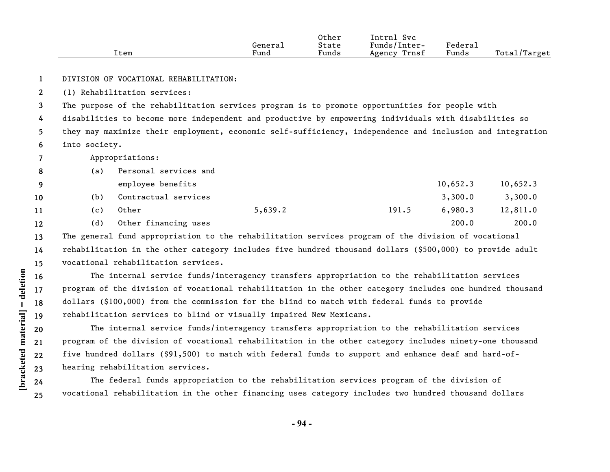|      |         | Other | Svc<br>Intrnl   |         |              |
|------|---------|-------|-----------------|---------|--------------|
|      | Generai | State | Funds/Inter-    | Federal |              |
| ⊥tem | Fund    | Funds | Trnsf<br>Agency | Funds   | Total/Target |

**1** DIVISION OF VOCATIONAL REHABILITATION:

**2** (1) Rehabilitation services:

**3** The purpose of the rehabilitation services program is to promote opportunities for people with

**4 5 6** disabilities to become more independent and productive by empowering individuals with disabilities so they may maximize their employment, economic self-sufficiency, independence and inclusion and integration into society.

**7** Appropriations:

| 8                 | (a) | Personal services and |         |       |          |          |
|-------------------|-----|-----------------------|---------|-------|----------|----------|
| 9                 |     | employee benefits     |         |       | 10,652.3 | 10,652.3 |
| 10                | (b) | Contractual services  |         |       | 3,300.0  | 3,300.0  |
| 11                | (c) | Other                 | 5,639.2 | 191.5 | 6,980.3  | 12,811.0 |
| $12 \overline{ }$ | (d) | Other financing uses  |         |       | 200.0    | 200.0    |

**13 14 15** The general fund appropriation to the rehabilitation services program of the division of vocational rehabilitation in the other category includes five hundred thousand dollars (\$500,000) to provide adult vocational rehabilitation services.

The internal service funds/interagency transfers appropriation to the rehabilitation services program of the division of vocational rehabilitation in the other category includes one hundred thousand dollars (\$100,000) from the commission for the blind to match with federal funds to provide rehabilitation services to blind or visually impaired New Mexicans.

The internal service funds/interagency transfers appropriation to the rehabilitation services program of the division of vocational rehabilitation in the other category includes ninety-one thousand five hundred dollars (\$91,500) to match with federal funds to support and enhance deaf and hard-ofhearing rehabilitation services.

The federal funds appropriation to the rehabilitation services program of the division of vocational rehabilitation in the other financing uses category includes two hundred thousand dollars

**22 23**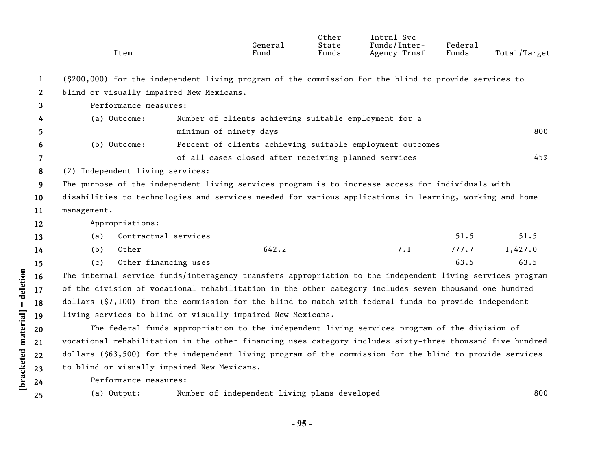|              | Item                                        | General<br>Fund                                                                                           | Other<br>State<br>Funds | Intrnl Svc<br>Funds/Inter-<br>Agency Trnsf | Federal<br>Funds | Total/Target |
|--------------|---------------------------------------------|-----------------------------------------------------------------------------------------------------------|-------------------------|--------------------------------------------|------------------|--------------|
|              |                                             |                                                                                                           |                         |                                            |                  |              |
| 1            |                                             | (\$200,000) for the independent living program of the commission for the blind to provide services to     |                         |                                            |                  |              |
| $\mathbf{2}$ | blind or visually impaired New Mexicans.    |                                                                                                           |                         |                                            |                  |              |
| 3            | Performance measures:                       |                                                                                                           |                         |                                            |                  |              |
| 4            | (a) Outcome:                                | Number of clients achieving suitable employment for a                                                     |                         |                                            |                  |              |
| 5            |                                             | minimum of ninety days                                                                                    |                         |                                            |                  | 800          |
| 6            | (b) Outcome:                                | Percent of clients achieving suitable employment outcomes                                                 |                         |                                            |                  |              |
| 7            |                                             | of all cases closed after receiving planned services                                                      |                         |                                            |                  | 45%          |
| 8            | (2) Independent living services:            |                                                                                                           |                         |                                            |                  |              |
| 9            |                                             | The purpose of the independent living services program is to increase access for individuals with         |                         |                                            |                  |              |
| 10           |                                             | disabilities to technologies and services needed for various applications in learning, working and home   |                         |                                            |                  |              |
| 11           | management.                                 |                                                                                                           |                         |                                            |                  |              |
| 12           | Appropriations:                             |                                                                                                           |                         |                                            |                  |              |
| 13           | Contractual services<br>(a)                 |                                                                                                           |                         |                                            | 51.5             | 51.5         |
| 14           | Other<br>(b)                                | 642.2                                                                                                     |                         | 7.1                                        | 777.7            | 1,427.0      |
| 15           | Other financing uses<br>(c)                 |                                                                                                           |                         |                                            | 63.5             | 63.5         |
| 16           |                                             | The internal service funds/interagency transfers appropriation to the independent living services program |                         |                                            |                  |              |
| 17           |                                             | of the division of vocational rehabilitation in the other category includes seven thousand one hundred    |                         |                                            |                  |              |
| 18           |                                             | dollars (\$7,100) from the commission for the blind to match with federal funds to provide independent    |                         |                                            |                  |              |
| 19           |                                             | living services to blind or visually impaired New Mexicans.                                               |                         |                                            |                  |              |
| 20           |                                             | The federal funds appropriation to the independent living services program of the division of             |                         |                                            |                  |              |
| 21           |                                             | vocational rehabilitation in the other financing uses category includes sixty-three thousand five hundred |                         |                                            |                  |              |
| 22           |                                             | dollars (\$63,500) for the independent living program of the commission for the blind to provide services |                         |                                            |                  |              |
| 23           | to blind or visually impaired New Mexicans. |                                                                                                           |                         |                                            |                  |              |
| 24           | Performance measures:                       |                                                                                                           |                         |                                            |                  |              |
| 25           | (a) Output:                                 | Number of independent living plans developed                                                              |                         |                                            |                  | 800          |

**- 95 -** 

[bracketed material] = deletion **[bracketed material] = deletion**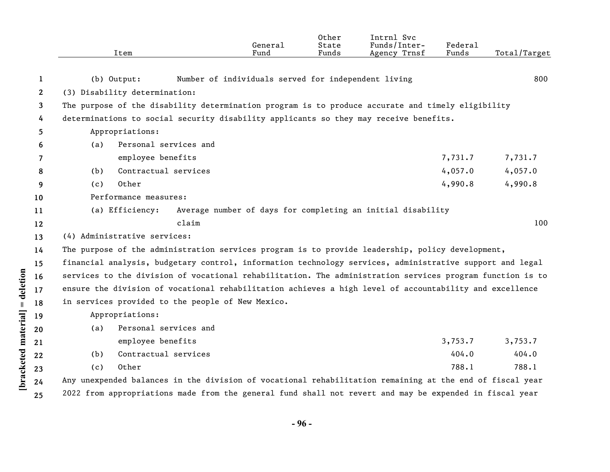|              |     | Item                                      |                                                                                                                                                                                                                       | General<br>Fund | Other<br>State<br>Funds | Intrnl Svc<br>Funds/Inter-<br>Agency Trnsf                  | Federal<br>Funds | Total/Target       |
|--------------|-----|-------------------------------------------|-----------------------------------------------------------------------------------------------------------------------------------------------------------------------------------------------------------------------|-----------------|-------------------------|-------------------------------------------------------------|------------------|--------------------|
|              |     |                                           |                                                                                                                                                                                                                       |                 |                         |                                                             |                  |                    |
| 1            |     | $(b)$ Output:                             | Number of individuals served for independent living                                                                                                                                                                   |                 |                         |                                                             |                  | 800                |
| $\mathbf{2}$ |     | (3) Disability determination:             |                                                                                                                                                                                                                       |                 |                         |                                                             |                  |                    |
| 3            |     |                                           | The purpose of the disability determination program is to produce accurate and timely eligibility                                                                                                                     |                 |                         |                                                             |                  |                    |
| 4            |     |                                           | determinations to social security disability applicants so they may receive benefits.                                                                                                                                 |                 |                         |                                                             |                  |                    |
| 5            |     | Appropriations:<br>Personal services and  |                                                                                                                                                                                                                       |                 |                         |                                                             |                  |                    |
| 6            | (a) |                                           |                                                                                                                                                                                                                       |                 |                         |                                                             | 7,731.7          |                    |
| 7            |     | employee benefits<br>Contractual services |                                                                                                                                                                                                                       |                 |                         |                                                             | 4,057.0          | 7,731.7<br>4,057.0 |
| 8            | (b) | Other                                     |                                                                                                                                                                                                                       |                 |                         |                                                             | 4,990.8          | 4,990.8            |
| 9            | (c) |                                           |                                                                                                                                                                                                                       |                 |                         |                                                             |                  |                    |
| 10           |     | Performance measures:                     |                                                                                                                                                                                                                       |                 |                         |                                                             |                  |                    |
| 11           |     | (a) Efficiency:                           | claim                                                                                                                                                                                                                 |                 |                         | Average number of days for completing an initial disability |                  | 100                |
| 12           |     |                                           |                                                                                                                                                                                                                       |                 |                         |                                                             |                  |                    |
| 13           |     | (4) Administrative services:              |                                                                                                                                                                                                                       |                 |                         |                                                             |                  |                    |
| 14           |     |                                           | The purpose of the administration services program is to provide leadership, policy development,                                                                                                                      |                 |                         |                                                             |                  |                    |
| 15           |     |                                           | financial analysis, budgetary control, information technology services, administrative support and legal<br>services to the division of vocational rehabilitation. The administration services program function is to |                 |                         |                                                             |                  |                    |
| 16           |     |                                           | ensure the division of vocational rehabilitation achieves a high level of accountability and excellence                                                                                                               |                 |                         |                                                             |                  |                    |
| 17           |     |                                           | in services provided to the people of New Mexico.                                                                                                                                                                     |                 |                         |                                                             |                  |                    |
| 18           |     | Appropriations:                           |                                                                                                                                                                                                                       |                 |                         |                                                             |                  |                    |
| 19           |     | Personal services and                     |                                                                                                                                                                                                                       |                 |                         |                                                             |                  |                    |
| 20           | (a) | employee benefits                         |                                                                                                                                                                                                                       |                 |                         |                                                             | 3,753.7          | 3,753.7            |
| 21           |     | Contractual services                      |                                                                                                                                                                                                                       |                 |                         |                                                             | 404.0            | 404.0              |
| 22           | (b) |                                           |                                                                                                                                                                                                                       |                 |                         |                                                             |                  | 788.1              |
| 23           | (c) | Other                                     |                                                                                                                                                                                                                       |                 |                         |                                                             | 788.1            |                    |
| 24           |     |                                           | Any unexpended balances in the division of vocational rehabilitation remaining at the end of fiscal year                                                                                                              |                 |                         |                                                             |                  |                    |
| 25           |     |                                           | 2022 from appropriations made from the general fund shall not revert and may be expended in fiscal year                                                                                                               |                 |                         |                                                             |                  |                    |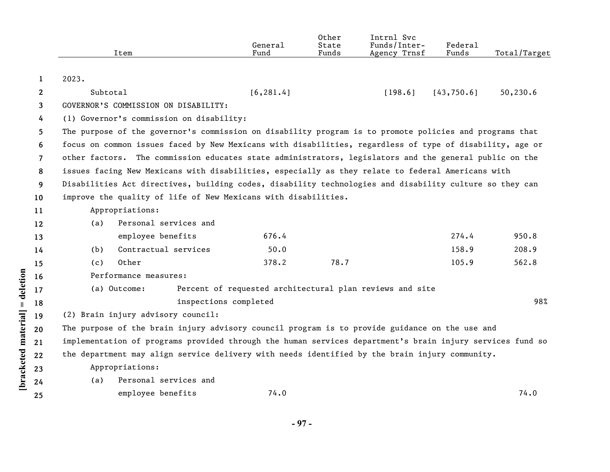|                |          | Item                                                                                                      | General<br>Fund                                          | Other<br>State<br>Funds | Intrnl Svc<br>Funds/Inter-<br>Agency Trnsf | Federal<br>Funds | Total/Target |
|----------------|----------|-----------------------------------------------------------------------------------------------------------|----------------------------------------------------------|-------------------------|--------------------------------------------|------------------|--------------|
| 1              | 2023.    |                                                                                                           |                                                          |                         |                                            |                  |              |
| $\mathbf{2}$   | Subtotal |                                                                                                           | [6, 281.4]                                               |                         | [198.6]                                    | [43, 750.6]      | 50,230.6     |
| 3              |          | GOVERNOR'S COMMISSION ON DISABILITY:                                                                      |                                                          |                         |                                            |                  |              |
| 4              |          | (1) Governor's commission on disability:                                                                  |                                                          |                         |                                            |                  |              |
| 5.             |          | The purpose of the governor's commission on disability program is to promote policies and programs that   |                                                          |                         |                                            |                  |              |
| 6              |          | focus on common issues faced by New Mexicans with disabilities, regardless of type of disability, age or  |                                                          |                         |                                            |                  |              |
| $\overline{7}$ |          | other factors. The commission educates state administrators, legislators and the general public on the    |                                                          |                         |                                            |                  |              |
| 8              |          | issues facing New Mexicans with disabilities, especially as they relate to federal Americans with         |                                                          |                         |                                            |                  |              |
| 9              |          | Disabilities Act directives, building codes, disability technologies and disability culture so they can   |                                                          |                         |                                            |                  |              |
| 10             |          | improve the quality of life of New Mexicans with disabilities.                                            |                                                          |                         |                                            |                  |              |
| 11             |          | Appropriations:                                                                                           |                                                          |                         |                                            |                  |              |
| 12             | (a)      | Personal services and                                                                                     |                                                          |                         |                                            |                  |              |
| 13             |          | employee benefits                                                                                         | 676.4                                                    |                         |                                            | 274.4            | 950.8        |
| 14             | (b)      | Contractual services                                                                                      | 50.0                                                     |                         |                                            | 158.9            | 208.9        |
| 15             | (c)      | Other                                                                                                     | 378.2                                                    | 78.7                    |                                            | 105.9            | 562.8        |
| 16             |          | Performance measures:                                                                                     |                                                          |                         |                                            |                  |              |
| 17             |          | (a) Outcome:                                                                                              | Percent of requested architectural plan reviews and site |                         |                                            |                  |              |
| 18             |          |                                                                                                           | inspections completed                                    |                         |                                            |                  | 98%          |
| 19             |          | (2) Brain injury advisory council:                                                                        |                                                          |                         |                                            |                  |              |
| 20             |          | The purpose of the brain injury advisory council program is to provide guidance on the use and            |                                                          |                         |                                            |                  |              |
| 21             |          | implementation of programs provided through the human services department's brain injury services fund so |                                                          |                         |                                            |                  |              |
| 22             |          | the department may align service delivery with needs identified by the brain injury community.            |                                                          |                         |                                            |                  |              |
| 23             |          | Appropriations:                                                                                           |                                                          |                         |                                            |                  |              |
| 24             | (a)      | Personal services and                                                                                     |                                                          |                         |                                            |                  |              |
| 25             |          | employee benefits                                                                                         | 74.0                                                     |                         |                                            |                  | 74.0         |

[bracketed material] = deletion

**- 97 -**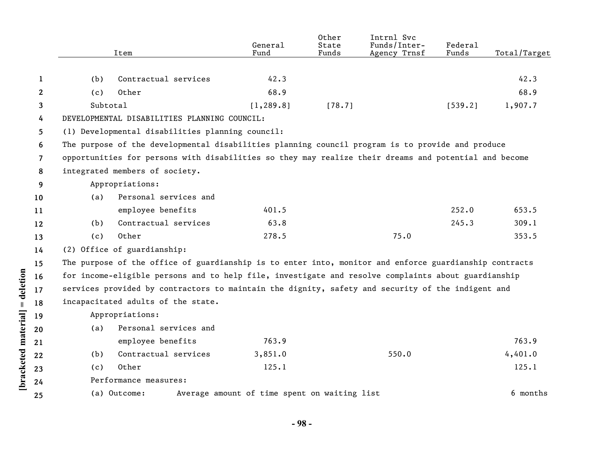|    |          | Item                                                                                                   | General<br>Fund                              | Other<br>State<br>Funds | Intrnl Svc<br>Funds/Inter-<br>Agency Trnsf | Federal<br>Funds | Total/Target |
|----|----------|--------------------------------------------------------------------------------------------------------|----------------------------------------------|-------------------------|--------------------------------------------|------------------|--------------|
|    |          | Contractual services                                                                                   | 42.3                                         |                         |                                            |                  | 42.3         |
| 1  | (b)      |                                                                                                        |                                              |                         |                                            |                  |              |
| 2  | (c)      | Other                                                                                                  | 68.9                                         |                         |                                            |                  | 68.9         |
| 3  | Subtotal |                                                                                                        | [1, 289.8]                                   | [78.7]                  |                                            | [539.2]          | 1,907.7      |
| 4  |          | DEVELOPMENTAL DISABILITIES PLANNING COUNCIL:                                                           |                                              |                         |                                            |                  |              |
| 5  |          | (1) Developmental disabilities planning council:                                                       |                                              |                         |                                            |                  |              |
| 6  |          | The purpose of the developmental disabilities planning council program is to provide and produce       |                                              |                         |                                            |                  |              |
| 7  |          | opportunities for persons with disabilities so they may realize their dreams and potential and become  |                                              |                         |                                            |                  |              |
| 8  |          | integrated members of society.                                                                         |                                              |                         |                                            |                  |              |
| 9  |          | Appropriations:                                                                                        |                                              |                         |                                            |                  |              |
| 10 | (a)      | Personal services and                                                                                  |                                              |                         |                                            |                  |              |
| 11 |          | employee benefits                                                                                      | 401.5                                        |                         |                                            | 252.0            | 653.5        |
| 12 | (b)      | Contractual services                                                                                   | 63.8                                         |                         |                                            | 245.3            | 309.1        |
| 13 | (c)      | Other                                                                                                  | 278.5                                        |                         | 75.0                                       |                  | 353.5        |
| 14 |          | (2) Office of guardianship:                                                                            |                                              |                         |                                            |                  |              |
| 15 |          | The purpose of the office of guardianship is to enter into, monitor and enforce guardianship contracts |                                              |                         |                                            |                  |              |
| 16 |          | for income-eligible persons and to help file, investigate and resolve complaints about guardianship    |                                              |                         |                                            |                  |              |
| 17 |          | services provided by contractors to maintain the dignity, safety and security of the indigent and      |                                              |                         |                                            |                  |              |
| 18 |          | incapacitated adults of the state.                                                                     |                                              |                         |                                            |                  |              |
| 19 |          | Appropriations:                                                                                        |                                              |                         |                                            |                  |              |
| 20 | (a)      | Personal services and                                                                                  |                                              |                         |                                            |                  |              |
| 21 |          | employee benefits                                                                                      | 763.9                                        |                         |                                            |                  | 763.9        |
| 22 | (b)      | Contractual services                                                                                   | 3,851.0                                      |                         | 550.0                                      |                  | 4,401.0      |
| 23 | (c)      | Other                                                                                                  | 125.1                                        |                         |                                            |                  | 125.1        |
| 24 |          | Performance measures:                                                                                  |                                              |                         |                                            |                  |              |
| 25 |          | (a) Outcome:                                                                                           | Average amount of time spent on waiting list |                         |                                            |                  | 6 months     |
|    |          |                                                                                                        |                                              |                         |                                            |                  |              |

[bracketed material] = deletion

**- 98 -**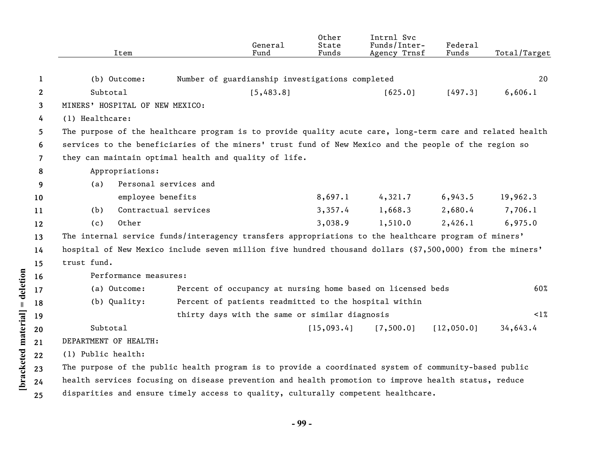|                |                       | Item                            |                       | General<br>Fund                                       | Other<br>State<br>Funds | Intrnl Svc<br>Funds/Inter-<br>Agency Trnsf                                                                | Federal<br>Funds | Total/Target |
|----------------|-----------------------|---------------------------------|-----------------------|-------------------------------------------------------|-------------------------|-----------------------------------------------------------------------------------------------------------|------------------|--------------|
| 1              |                       | (b) Outcome:                    |                       | Number of guardianship investigations completed       |                         |                                                                                                           |                  | 20           |
| $\mathbf{2}$   | Subtotal              |                                 |                       | [5,483.8]                                             |                         | [625.0]                                                                                                   | [497.3]          | 6,606.1      |
| 3              |                       | MINERS' HOSPITAL OF NEW MEXICO: |                       |                                                       |                         |                                                                                                           |                  |              |
| 4              | (1) Healthcare:       |                                 |                       |                                                       |                         |                                                                                                           |                  |              |
| 5              |                       |                                 |                       |                                                       |                         | The purpose of the healthcare program is to provide quality acute care, long-term care and related health |                  |              |
| 6              |                       |                                 |                       |                                                       |                         | services to the beneficiaries of the miners' trust fund of New Mexico and the people of the region so     |                  |              |
| $\overline{7}$ |                       |                                 |                       | they can maintain optimal health and quality of life. |                         |                                                                                                           |                  |              |
| 8              |                       | Appropriations:                 |                       |                                                       |                         |                                                                                                           |                  |              |
| 9              | (a)                   |                                 | Personal services and |                                                       |                         |                                                                                                           |                  |              |
| 10             |                       | employee benefits               |                       |                                                       | 8,697.1                 | 4,321.7                                                                                                   | 6,943.5          | 19,962.3     |
| 11             | (b)                   |                                 | Contractual services  |                                                       | 3,357.4                 | 1,668.3                                                                                                   | 2,680.4          | 7,706.1      |
| 12             | (c)                   | Other                           |                       |                                                       | 3,038.9                 | 1,510.0                                                                                                   | 2,426.1          | 6,975.0      |
| 13             |                       |                                 |                       |                                                       |                         | The internal service funds/interagency transfers appropriations to the healthcare program of miners'      |                  |              |
| 14             |                       |                                 |                       |                                                       |                         | hospital of New Mexico include seven million five hundred thousand dollars (\$7,500,000) from the miners' |                  |              |
| 15             | trust fund.           |                                 |                       |                                                       |                         |                                                                                                           |                  |              |
| 16             |                       | Performance measures:           |                       |                                                       |                         |                                                                                                           |                  |              |
| 17             |                       | (a) Outcome:                    |                       |                                                       |                         | Percent of occupancy at nursing home based on licensed beds                                               |                  | 60%          |
| 18             |                       | (b) Quality:                    |                       | Percent of patients readmitted to the hospital within |                         |                                                                                                           |                  |              |
| 19             |                       |                                 |                       | thirty days with the same or similar diagnosis        |                         |                                                                                                           |                  | $\leq$ 1%    |
| 20             | Subtotal              |                                 |                       |                                                       | [15,093.4]              | [7, 500.0]                                                                                                | [12,050.0]       | 34,643.4     |
| 21             | DEPARTMENT OF HEALTH: |                                 |                       |                                                       |                         |                                                                                                           |                  |              |
| 22             | (1) Public health:    |                                 |                       |                                                       |                         |                                                                                                           |                  |              |
| 23             |                       |                                 |                       |                                                       |                         | The purpose of the public health program is to provide a coordinated system of community-based public     |                  |              |
| 24             |                       |                                 |                       |                                                       |                         | health services focusing on disease prevention and health promotion to improve health status, reduce      |                  |              |
| 25             |                       |                                 |                       |                                                       |                         | disparities and ensure timely access to quality, culturally competent healthcare.                         |                  |              |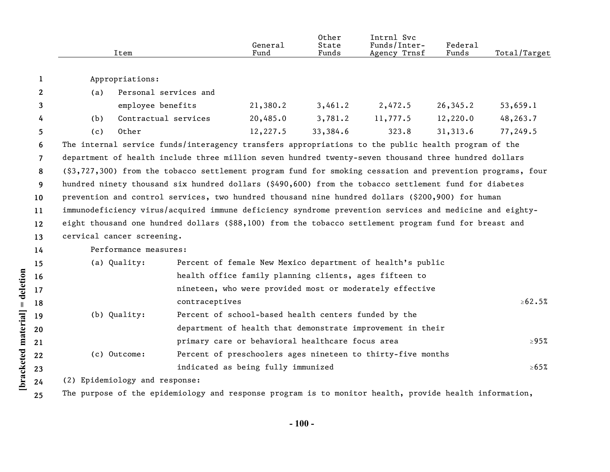|                    |    |                                                                                                            | Item                  |                | General<br>Fund                                      | Other<br>State<br>Funds | Intrnl Svc<br>Funds/Inter-<br>Agency Trnsf                                                              | Federal<br>Funds | Total/Target |  |  |  |
|--------------------|----|------------------------------------------------------------------------------------------------------------|-----------------------|----------------|------------------------------------------------------|-------------------------|---------------------------------------------------------------------------------------------------------|------------------|--------------|--|--|--|
|                    | 1  |                                                                                                            | Appropriations:       |                |                                                      |                         |                                                                                                         |                  |              |  |  |  |
|                    | 2  | (a)                                                                                                        | Personal services and |                |                                                      |                         |                                                                                                         |                  |              |  |  |  |
|                    | 3  |                                                                                                            | employee benefits     |                | 21,380.2                                             | 3,461.2                 | 2,472.5                                                                                                 | 26,345.2         | 53,659.1     |  |  |  |
|                    | 4  | (b)                                                                                                        | Contractual services  |                | 20,485.0                                             | 3,781.2                 | 11,777.5                                                                                                | 12,220.0         | 48,263.7     |  |  |  |
|                    | 5  | (c)                                                                                                        | Other                 |                | 12,227.5                                             | 33,384.6                | 323.8                                                                                                   | 31,313.6         | 77,249.5     |  |  |  |
|                    | 6  | The internal service funds/interagency transfers appropriations to the public health program of the        |                       |                |                                                      |                         |                                                                                                         |                  |              |  |  |  |
|                    | 7  | department of health include three million seven hundred twenty-seven thousand three hundred dollars       |                       |                |                                                      |                         |                                                                                                         |                  |              |  |  |  |
|                    | 8  | (\$3,727,300) from the tobacco settlement program fund for smoking cessation and prevention programs, four |                       |                |                                                      |                         |                                                                                                         |                  |              |  |  |  |
|                    | 9  |                                                                                                            |                       |                |                                                      |                         | hundred ninety thousand six hundred dollars (\$490,600) from the tobacco settlement fund for diabetes   |                  |              |  |  |  |
|                    | 10 |                                                                                                            |                       |                |                                                      |                         | prevention and control services, two hundred thousand nine hundred dollars (\$200,900) for human        |                  |              |  |  |  |
|                    | 11 |                                                                                                            |                       |                |                                                      |                         | immunodeficiency virus/acquired immune deficiency syndrome prevention services and medicine and eighty- |                  |              |  |  |  |
|                    | 12 | eight thousand one hundred dollars (\$88,100) from the tobacco settlement program fund for breast and      |                       |                |                                                      |                         |                                                                                                         |                  |              |  |  |  |
|                    | 13 | cervical cancer screening.                                                                                 |                       |                |                                                      |                         |                                                                                                         |                  |              |  |  |  |
|                    | 14 | Performance measures:                                                                                      |                       |                |                                                      |                         |                                                                                                         |                  |              |  |  |  |
|                    | 15 |                                                                                                            | (a) Quality:          |                |                                                      |                         | Percent of female New Mexico department of health's public                                              |                  |              |  |  |  |
| $=$ deletion       | 16 |                                                                                                            |                       |                |                                                      |                         | health office family planning clients, ages fifteen to                                                  |                  |              |  |  |  |
|                    | 17 |                                                                                                            |                       |                |                                                      |                         | nineteen, who were provided most or moderately effective                                                |                  |              |  |  |  |
|                    | 18 |                                                                                                            |                       | contraceptives |                                                      |                         |                                                                                                         |                  | $\ge 62.5\%$ |  |  |  |
|                    | 19 |                                                                                                            | (b) Quality:          |                | Percent of school-based health centers funded by the |                         |                                                                                                         |                  |              |  |  |  |
|                    | 20 |                                                                                                            |                       |                |                                                      |                         | department of health that demonstrate improvement in their                                              |                  |              |  |  |  |
|                    | 21 |                                                                                                            |                       |                | primary care or behavioral healthcare focus area     |                         |                                                                                                         |                  | $\geq 95\%$  |  |  |  |
|                    | 22 |                                                                                                            | (c) Outcome:          |                |                                                      |                         | Percent of preschoolers ages nineteen to thirty-five months                                             |                  |              |  |  |  |
| bracketed material | 23 |                                                                                                            |                       |                | indicated as being fully immunized                   |                         |                                                                                                         |                  | $\ge 65\%$   |  |  |  |
|                    | 24 | (2) Epidemiology and response:                                                                             |                       |                |                                                      |                         |                                                                                                         |                  |              |  |  |  |
|                    | 25 |                                                                                                            |                       |                |                                                      |                         | The purpose of the epidemiology and response program is to monitor health, provide health information,  |                  |              |  |  |  |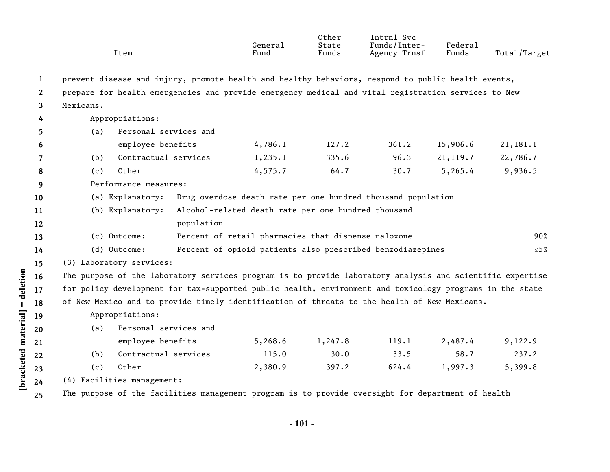|              | Item                                                                                                      |                       | General<br>Fund                                     | Other<br>State<br>Funds | Intrnl Svc<br>Funds/Inter-<br>Agency Trnsf                   | Federal<br>Funds | Total/Target |
|--------------|-----------------------------------------------------------------------------------------------------------|-----------------------|-----------------------------------------------------|-------------------------|--------------------------------------------------------------|------------------|--------------|
|              |                                                                                                           |                       |                                                     |                         |                                                              |                  |              |
| 1            | prevent disease and injury, promote health and healthy behaviors, respond to public health events,        |                       |                                                     |                         |                                                              |                  |              |
| $\mathbf{2}$ | prepare for health emergencies and provide emergency medical and vital registration services to New       |                       |                                                     |                         |                                                              |                  |              |
| 3            | Mexicans.                                                                                                 |                       |                                                     |                         |                                                              |                  |              |
| 4            | Appropriations:                                                                                           |                       |                                                     |                         |                                                              |                  |              |
| 5            | (a)                                                                                                       | Personal services and |                                                     |                         |                                                              |                  |              |
| 6            | employee benefits                                                                                         |                       | 4,786.1                                             | 127.2                   | 361.2                                                        | 15,906.6         | 21,181.1     |
| 7            | (b)                                                                                                       | Contractual services  | 1,235.1                                             | 335.6                   | 96.3                                                         | 21,119.7         | 22,786.7     |
| 8            | Other<br>(c)                                                                                              |                       | 4, 575.7                                            | 64.7                    | 30.7                                                         | 5, 265.4         | 9,936.5      |
| 9            | Performance measures:                                                                                     |                       |                                                     |                         |                                                              |                  |              |
| 10           | (a) Explanatory:                                                                                          |                       |                                                     |                         | Drug overdose death rate per one hundred thousand population |                  |              |
| 11           | (b) Explanatory:                                                                                          |                       | Alcohol-related death rate per one hundred thousand |                         |                                                              |                  |              |
| 12           |                                                                                                           | population            |                                                     |                         |                                                              |                  |              |
| 13           | (c) Outcome:                                                                                              |                       | Percent of retail pharmacies that dispense naloxone |                         |                                                              |                  | 90%          |
| 14           | (d) Outcome:                                                                                              |                       |                                                     |                         | Percent of opioid patients also prescribed benzodiazepines   |                  | $≤ 5%$       |
| 15           | (3) Laboratory services:                                                                                  |                       |                                                     |                         |                                                              |                  |              |
| 16           | The purpose of the laboratory services program is to provide laboratory analysis and scientific expertise |                       |                                                     |                         |                                                              |                  |              |
| 17           | for policy development for tax-supported public health, environment and toxicology programs in the state  |                       |                                                     |                         |                                                              |                  |              |
| 18           | of New Mexico and to provide timely identification of threats to the health of New Mexicans.              |                       |                                                     |                         |                                                              |                  |              |
| 19           | Appropriations:                                                                                           |                       |                                                     |                         |                                                              |                  |              |
| 20           | (a)                                                                                                       | Personal services and |                                                     |                         |                                                              |                  |              |
| 21           | employee benefits                                                                                         |                       | 5,268.6                                             | 1,247.8                 | 119.1                                                        | 2,487.4          | 9,122.9      |
| 22           | (b)                                                                                                       | Contractual services  | 115.0                                               | 30.0                    | 33.5                                                         | 58.7             | 237.2        |
| 23           | Other<br>(c)                                                                                              |                       | 2,380.9                                             | 397.2                   | 624.4                                                        | 1,997.3          | 5,399.8      |
| 24           | (4) Facilities management:                                                                                |                       |                                                     |                         |                                                              |                  |              |
| 25           | The purpose of the facilities management program is to provide oversight for department of health         |                       |                                                     |                         |                                                              |                  |              |

[bracketed material] = deletion

**- 101 -**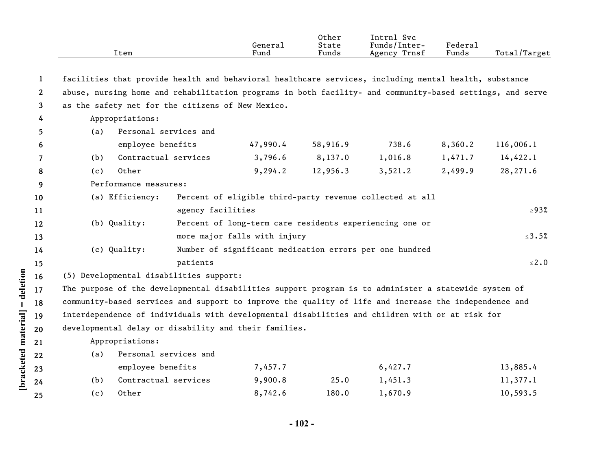|                 | Item                                                                                                      |                       | General<br>Fund              | Other<br>State<br>Funds | Intrnl Svc<br>Funds/Inter-<br>Agency Trnsf               | Federal<br>Funds | Total/Target |
|-----------------|-----------------------------------------------------------------------------------------------------------|-----------------------|------------------------------|-------------------------|----------------------------------------------------------|------------------|--------------|
| $\mathbf{1}$    | facilities that provide health and behavioral healthcare services, including mental health, substance     |                       |                              |                         |                                                          |                  |              |
| $\mathbf{2}$    | abuse, nursing home and rehabilitation programs in both facility- and community-based settings, and serve |                       |                              |                         |                                                          |                  |              |
| 3               | as the safety net for the citizens of New Mexico.                                                         |                       |                              |                         |                                                          |                  |              |
| 4               | Appropriations:                                                                                           |                       |                              |                         |                                                          |                  |              |
| 5               | (a)                                                                                                       | Personal services and |                              |                         |                                                          |                  |              |
| 6               | employee benefits                                                                                         |                       | 47,990.4                     | 58,916.9                | 738.6                                                    | 8,360.2          | 116,006.1    |
| 7               | (b)                                                                                                       | Contractual services  | 3,796.6                      | 8,137.0                 | 1,016.8                                                  | 1,471.7          | 14,422.1     |
| 8               | Other<br>(c)                                                                                              |                       | 9,294.2                      | 12,956.3                | 3,521.2                                                  | 2,499.9          | 28,271.6     |
| 9               | Performance measures:                                                                                     |                       |                              |                         |                                                          |                  |              |
| 10 <sup>°</sup> | (a) Efficiency:                                                                                           |                       |                              |                         | Percent of eligible third-party revenue collected at all |                  |              |
| 11              |                                                                                                           | agency facilities     |                              |                         |                                                          |                  | $\geq 93\%$  |
| 12              | (b) Quality:                                                                                              |                       |                              |                         | Percent of long-term care residents experiencing one or  |                  |              |
| 13              |                                                                                                           |                       | more major falls with injury |                         |                                                          |                  | $\leq$ 3.5%  |
| 14              | (c) Quality:                                                                                              |                       |                              |                         | Number of significant medication errors per one hundred  |                  |              |
| 15              |                                                                                                           | patients              |                              |                         |                                                          |                  | $\leq 2.0$   |
| 16              | (5) Developmental disabilities support:                                                                   |                       |                              |                         |                                                          |                  |              |
| 17              | The purpose of the developmental disabilities support program is to administer a statewide system of      |                       |                              |                         |                                                          |                  |              |
| 18              | community-based services and support to improve the quality of life and increase the independence and     |                       |                              |                         |                                                          |                  |              |
| 19              | interdependence of individuals with developmental disabilities and children with or at risk for           |                       |                              |                         |                                                          |                  |              |
| 20              | developmental delay or disability and their families.                                                     |                       |                              |                         |                                                          |                  |              |
| 21              | Appropriations:                                                                                           |                       |                              |                         |                                                          |                  |              |
| 22              | (a)                                                                                                       | Personal services and |                              |                         |                                                          |                  |              |
| 23              | employee benefits                                                                                         |                       | 7,457.7                      |                         | 6,427.7                                                  |                  | 13,885.4     |
| 24              | (b)                                                                                                       | Contractual services  | 9,900.8                      | 25.0                    | 1,451.3                                                  |                  | 11,377.1     |
| 25              | Other<br>(c)                                                                                              |                       | 8,742.6                      | 180.0                   | 1,670.9                                                  |                  | 10,593.5     |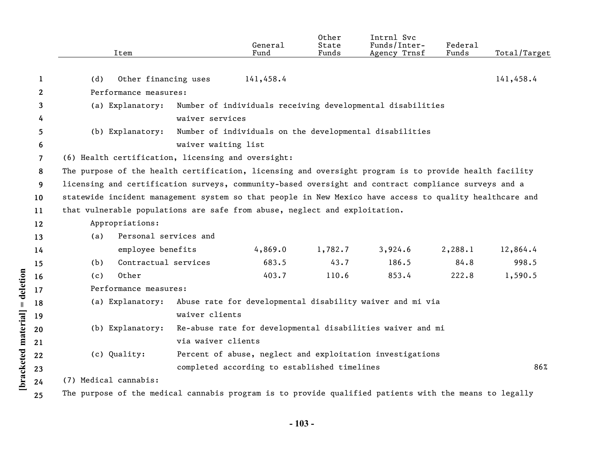|                                 |                | Item                                                                                                    | General<br>Fund                                            | Other<br>State<br>Funds | Intrnl Svc<br>Funds/Inter-<br>Agency Trnsf | Federal<br>Funds | Total/Target |  |  |  |
|---------------------------------|----------------|---------------------------------------------------------------------------------------------------------|------------------------------------------------------------|-------------------------|--------------------------------------------|------------------|--------------|--|--|--|
|                                 |                |                                                                                                         |                                                            |                         |                                            |                  |              |  |  |  |
|                                 | 1              | Other financing uses<br>(d)                                                                             | 141,458.4                                                  |                         |                                            |                  | 141,458.4    |  |  |  |
|                                 | $\mathbf{2}$   | Performance measures:                                                                                   |                                                            |                         |                                            |                  |              |  |  |  |
|                                 | 3              | (a) Explanatory:                                                                                        | Number of individuals receiving developmental disabilities |                         |                                            |                  |              |  |  |  |
|                                 | 4              |                                                                                                         | waiver services                                            |                         |                                            |                  |              |  |  |  |
|                                 | 5              | (b) Explanatory:                                                                                        | Number of individuals on the developmental disabilities    |                         |                                            |                  |              |  |  |  |
|                                 | 6              | waiver waiting list                                                                                     |                                                            |                         |                                            |                  |              |  |  |  |
|                                 | $\overline{7}$ | (6) Health certification, licensing and oversight:                                                      |                                                            |                         |                                            |                  |              |  |  |  |
|                                 | 8              | The purpose of the health certification, licensing and oversight program is to provide health facility  |                                                            |                         |                                            |                  |              |  |  |  |
|                                 | 9              | licensing and certification surveys, community-based oversight and contract compliance surveys and a    |                                                            |                         |                                            |                  |              |  |  |  |
|                                 | 10             | statewide incident management system so that people in New Mexico have access to quality healthcare and |                                                            |                         |                                            |                  |              |  |  |  |
|                                 | 11             | that vulnerable populations are safe from abuse, neglect and exploitation.                              |                                                            |                         |                                            |                  |              |  |  |  |
|                                 | 12             | Appropriations:                                                                                         |                                                            |                         |                                            |                  |              |  |  |  |
|                                 | 13             | Personal services and<br>(a)                                                                            |                                                            |                         |                                            |                  |              |  |  |  |
|                                 | 14             | employee benefits                                                                                       | 4,869.0                                                    | 1,782.7                 | 3,924.6                                    | 2,288.1          | 12,864.4     |  |  |  |
|                                 | 15             | Contractual services<br>(b)                                                                             | 683.5                                                      | 43.7                    | 186.5                                      | 84.8             | 998.5        |  |  |  |
|                                 | 16             | Other<br>(c)                                                                                            | 403.7                                                      | 110.6                   | 853.4                                      | 222.8            | 1,590.5      |  |  |  |
|                                 | 17             | Performance measures:                                                                                   |                                                            |                         |                                            |                  |              |  |  |  |
|                                 | 18             | (a) Explanatory:<br>Abuse rate for developmental disability waiver and mi via                           |                                                            |                         |                                            |                  |              |  |  |  |
|                                 | 19             |                                                                                                         | waiver clients                                             |                         |                                            |                  |              |  |  |  |
|                                 | 20             | (b) Explanatory:                                                                                        | Re-abuse rate for developmental disabilities waiver and mi |                         |                                            |                  |              |  |  |  |
|                                 | 21             |                                                                                                         | via waiver clients                                         |                         |                                            |                  |              |  |  |  |
|                                 | 22             | (c) Quality:                                                                                            | Percent of abuse, neglect and exploitation investigations  |                         |                                            |                  |              |  |  |  |
|                                 | 23             |                                                                                                         | completed according to established timelines               |                         |                                            |                  | 86%          |  |  |  |
| [bracketed material] = deletion | 24             | (7) Medical cannabis:                                                                                   |                                                            |                         |                                            |                  |              |  |  |  |
|                                 | 25             | The purpose of the medical cannabis program is to provide qualified patients with the means to legally  |                                                            |                         |                                            |                  |              |  |  |  |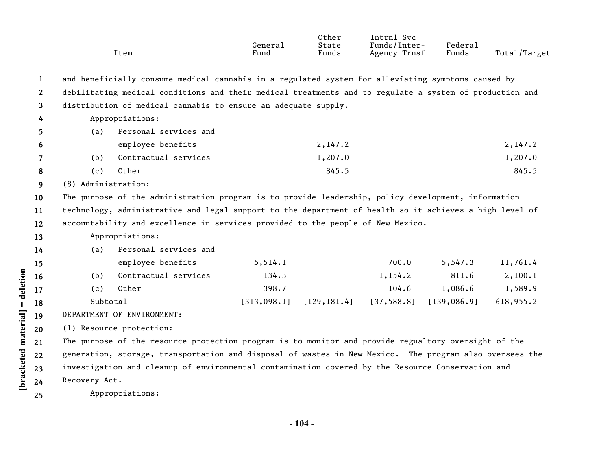|              |                     | Item                                                                                                    | General<br>Fund | Other<br>State<br>Funds | Intrnl Svc<br>Funds/Inter-<br>Agency Trnsf | Federal<br>Funds | Total/Target |
|--------------|---------------------|---------------------------------------------------------------------------------------------------------|-----------------|-------------------------|--------------------------------------------|------------------|--------------|
| 1            |                     | and beneficially consume medical cannabis in a regulated system for alleviating symptoms caused by      |                 |                         |                                            |                  |              |
| $\mathbf{2}$ |                     | debilitating medical conditions and their medical treatments and to regulate a system of production and |                 |                         |                                            |                  |              |
| 3            |                     | distribution of medical cannabis to ensure an adequate supply.                                          |                 |                         |                                            |                  |              |
| 4            |                     | Appropriations:                                                                                         |                 |                         |                                            |                  |              |
| 5.           | (a)                 | Personal services and                                                                                   |                 |                         |                                            |                  |              |
| 6            |                     | employee benefits                                                                                       |                 | 2,147.2                 |                                            |                  | 2,147.2      |
| 7            | (b)                 | Contractual services                                                                                    |                 | 1,207.0                 |                                            |                  | 1,207.0      |
| 8            | (c)                 | Other                                                                                                   |                 | 845.5                   |                                            |                  | 845.5        |
| 9            | (8) Administration: |                                                                                                         |                 |                         |                                            |                  |              |
| 10           |                     | The purpose of the administration program is to provide leadership, policy development, information     |                 |                         |                                            |                  |              |
| 11           |                     | technology, administrative and legal support to the department of health so it achieves a high level of |                 |                         |                                            |                  |              |
| 12           |                     | accountability and excellence in services provided to the people of New Mexico.                         |                 |                         |                                            |                  |              |
| 13           |                     | Appropriations:                                                                                         |                 |                         |                                            |                  |              |
| 14           | (a)                 | Personal services and                                                                                   |                 |                         |                                            |                  |              |
| 15           |                     | employee benefits                                                                                       | 5, 514.1        |                         | 700.0                                      | 5,547.3          | 11,761.4     |
| 16           | (b)                 | Contractual services                                                                                    | 134.3           |                         | 1,154.2                                    | 811.6            | 2,100.1      |
| 17           | (c)                 | Other                                                                                                   | 398.7           |                         | 104.6                                      | 1,086.6          | 1,589.9      |
| 18           | Subtotal            |                                                                                                         | [313,098.1]     | [129, 181.4]            | [37, 588.8]                                | [139, 086.9]     | 618,955.2    |
| 19           |                     | DEPARTMENT OF ENVIRONMENT:                                                                              |                 |                         |                                            |                  |              |
| 20           |                     | (1) Resource protection:                                                                                |                 |                         |                                            |                  |              |
| 21           |                     | The purpose of the resource protection program is to monitor and provide regualtory oversight of the    |                 |                         |                                            |                  |              |
| 22           |                     | generation, storage, transportation and disposal of wastes in New Mexico. The program also oversees the |                 |                         |                                            |                  |              |
| 23           |                     | investigation and cleanup of environmental contamination covered by the Resource Conservation and       |                 |                         |                                            |                  |              |
| 24           | Recovery Act.       |                                                                                                         |                 |                         |                                            |                  |              |
| 25           |                     | Appropriations:                                                                                         |                 |                         |                                            |                  |              |
|              |                     |                                                                                                         |                 |                         |                                            |                  |              |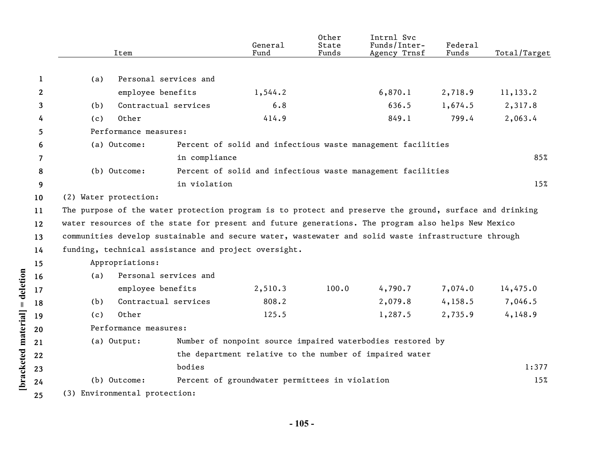|              | Item                                                                                                    |                       | General<br>Fund                                | Other<br>State<br>Funds | Intrnl Svc<br>Funds/Inter-<br>Agency Trnsf                  | Federal<br>Funds | Total/Target |
|--------------|---------------------------------------------------------------------------------------------------------|-----------------------|------------------------------------------------|-------------------------|-------------------------------------------------------------|------------------|--------------|
|              |                                                                                                         |                       |                                                |                         |                                                             |                  |              |
| 1            | (a)                                                                                                     | Personal services and |                                                |                         |                                                             |                  |              |
| $\mathbf{2}$ | employee benefits                                                                                       |                       | 1,544.2                                        |                         | 6,870.1                                                     | 2,718.9          | 11,133.2     |
| 3            | (b)                                                                                                     | Contractual services  | 6.8                                            |                         | 636.5                                                       | 1,674.5          | 2,317.8      |
| 4            | Other<br>(c)                                                                                            |                       | 414.9                                          |                         | 849.1                                                       | 799.4            | 2,063.4      |
| 5            | Performance measures:                                                                                   |                       |                                                |                         |                                                             |                  |              |
| 6            | (a) Outcome:                                                                                            |                       |                                                |                         | Percent of solid and infectious waste management facilities |                  |              |
| 7            |                                                                                                         | in compliance         |                                                |                         |                                                             |                  | 85%          |
| 8            | (b) Outcome:                                                                                            |                       |                                                |                         | Percent of solid and infectious waste management facilities |                  |              |
| 9            |                                                                                                         | in violation          |                                                |                         |                                                             |                  | 15%          |
| 10           | (2) Water protection:                                                                                   |                       |                                                |                         |                                                             |                  |              |
| 11           | The purpose of the water protection program is to protect and preserve the ground, surface and drinking |                       |                                                |                         |                                                             |                  |              |
| 12           | water resources of the state for present and future generations. The program also helps New Mexico      |                       |                                                |                         |                                                             |                  |              |
| 13           | communities develop sustainable and secure water, wastewater and solid waste infrastructure through     |                       |                                                |                         |                                                             |                  |              |
| 14           | funding, technical assistance and project oversight.                                                    |                       |                                                |                         |                                                             |                  |              |
| 15           | Appropriations:                                                                                         |                       |                                                |                         |                                                             |                  |              |
| 16           | (a)                                                                                                     | Personal services and |                                                |                         |                                                             |                  |              |
| 17           | employee benefits                                                                                       |                       | 2,510.3                                        | 100.0                   | 4,790.7                                                     | 7,074.0          | 14,475.0     |
| 18           | (b)                                                                                                     | Contractual services  | 808.2                                          |                         | 2,079.8                                                     | 4,158.5          | 7,046.5      |
| 19           | Other<br>(c)                                                                                            |                       | 125.5                                          |                         | 1,287.5                                                     | 2,735.9          | 4,148.9      |
| 20           | Performance measures:                                                                                   |                       |                                                |                         |                                                             |                  |              |
| 21           | (a) Output:                                                                                             |                       |                                                |                         | Number of nonpoint source impaired waterbodies restored by  |                  |              |
| 22           |                                                                                                         |                       |                                                |                         | the department relative to the number of impaired water     |                  |              |
| 23           |                                                                                                         | bodies                |                                                |                         |                                                             |                  | 1:377        |
| 24           | (b) Outcome:                                                                                            |                       | Percent of groundwater permittees in violation |                         |                                                             |                  | 15%          |
| 25           | (3) Environmental protection:                                                                           |                       |                                                |                         |                                                             |                  |              |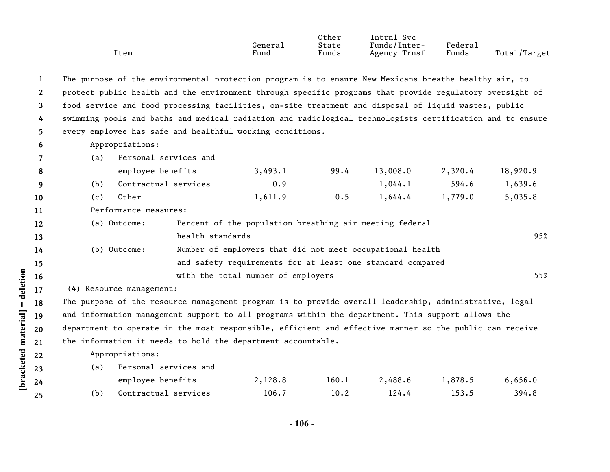|      |                      | Other           | L <b>ntrn⊥</b><br><b>Svc</b>     |        |                   |
|------|----------------------|-----------------|----------------------------------|--------|-------------------|
|      | General              | State           | $\mathbf{r}$<br>-Inter<br>Funds/ | Federa |                   |
| ltem | $\mathbf{r}$<br>Fund | $\sim$<br>Funds | Trnsf<br>Agency                  | Funds  | Total,<br>'Target |

| -1             |                          | The purpose of the environmental protection program is to ensure New Mexicans breathe healthy air, to     |                                                            |      |          |         |          |
|----------------|--------------------------|-----------------------------------------------------------------------------------------------------------|------------------------------------------------------------|------|----------|---------|----------|
| $\mathbf{2}$   |                          | protect public health and the environment through specific programs that provide regulatory oversight of  |                                                            |      |          |         |          |
| $\mathbf{3}$   |                          | food service and food processing facilities, on-site treatment and disposal of liquid wastes, public      |                                                            |      |          |         |          |
| 4              |                          | swimming pools and baths and medical radiation and radiological technologists certification and to ensure |                                                            |      |          |         |          |
| 5.             |                          | every employee has safe and healthful working conditions.                                                 |                                                            |      |          |         |          |
| 6              | Appropriations:          |                                                                                                           |                                                            |      |          |         |          |
| $\overline{7}$ | (a)                      | Personal services and                                                                                     |                                                            |      |          |         |          |
| 8              |                          | employee benefits                                                                                         | 3,493.1                                                    | 99.4 | 13,008.0 | 2,320.4 | 18,920.9 |
| 9              | (b)                      | Contractual services                                                                                      | 0.9                                                        |      | 1,044.1  | 594.6   | 1,639.6  |
| 10             | Other<br>(c)             |                                                                                                           | 1,611.9                                                    | 0.5  | 1,644.4  | 1,779.0 | 5,035.8  |
| 11             |                          | Performance measures:                                                                                     |                                                            |      |          |         |          |
| 12             | (a) Outcome:             |                                                                                                           | Percent of the population breathing air meeting federal    |      |          |         |          |
| 13             |                          | health standards                                                                                          |                                                            |      |          |         | 95%      |
| 14             | (b) Outcome:             |                                                                                                           | Number of employers that did not meet occupational health  |      |          |         |          |
| 15             |                          |                                                                                                           | and safety requirements for at least one standard compared |      |          |         |          |
| 16             |                          |                                                                                                           | with the total number of employers                         |      |          |         | 55%      |
| 17             | (4) Resource management: |                                                                                                           |                                                            |      |          |         |          |
| 18             |                          | The purpose of the resource management program is to provide overall leadership, administrative, legal    |                                                            |      |          |         |          |
| 19             |                          | and information management support to all programs within the department. This support allows the         |                                                            |      |          |         |          |
| 20             |                          | department to operate in the most responsible, efficient and effective manner so the public can receive   |                                                            |      |          |         |          |
| 21             |                          | the information it needs to hold the department accountable.                                              |                                                            |      |          |         |          |
| 22             | Appropriations:          |                                                                                                           |                                                            |      |          |         |          |
| າາ             |                          | (a) Personal services and                                                                                 |                                                            |      |          |         |          |

[bracketed material] = deletion

**23 24 25**

| 1 a s | I CLSONAI SCIVICES ANU |         |       |         |         |         |
|-------|------------------------|---------|-------|---------|---------|---------|
|       | employee benefits      | 2,128.8 | 160.1 | 2,488.6 | 1,878.5 | 6,656.0 |
|       | Contractual services   | 106.7   | 10.2  | 124.4   | 153.5   | 394.8   |

**- 106 -**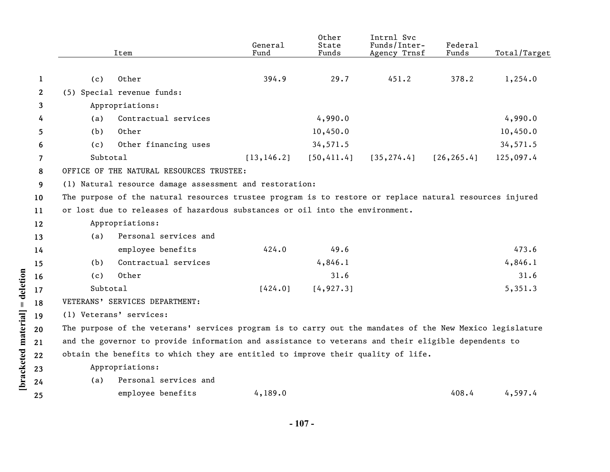|              |          | Item                                                                                                     | General<br>Fund | Other<br>State<br>Funds | Intrnl Svc<br>Funds/Inter-<br>Agency Trnsf | Federal<br>Funds | Total/Target |
|--------------|----------|----------------------------------------------------------------------------------------------------------|-----------------|-------------------------|--------------------------------------------|------------------|--------------|
|              |          |                                                                                                          |                 |                         |                                            |                  |              |
| 1            | (c)      | Other                                                                                                    | 394.9           | 29.7                    | 451.2                                      | 378.2            | 1,254.0      |
| $\mathbf{2}$ |          | (5) Special revenue funds:                                                                               |                 |                         |                                            |                  |              |
| 3            |          | Appropriations:                                                                                          |                 |                         |                                            |                  |              |
| 4            | (a)      | Contractual services                                                                                     |                 | 4,990.0                 |                                            |                  | 4,990.0      |
| 5            | (b)      | Other                                                                                                    |                 | 10,450.0                |                                            |                  | 10,450.0     |
| 6            | (c)      | Other financing uses                                                                                     |                 | 34,571.5                |                                            |                  | 34,571.5     |
| 7            | Subtotal |                                                                                                          | [13, 146.2]     | [50, 411.4]             | [35, 274.4]                                | [26, 265.4]      | 125,097.4    |
| 8            |          | OFFICE OF THE NATURAL RESOURCES TRUSTEE:                                                                 |                 |                         |                                            |                  |              |
| 9            |          | (1) Natural resource damage assessment and restoration:                                                  |                 |                         |                                            |                  |              |
| 10           |          | The purpose of the natural resources trustee program is to restore or replace natural resources injured  |                 |                         |                                            |                  |              |
| 11           |          | or lost due to releases of hazardous substances or oil into the environment.                             |                 |                         |                                            |                  |              |
| 12           |          | Appropriations:                                                                                          |                 |                         |                                            |                  |              |
| 13           | (a)      | Personal services and                                                                                    |                 |                         |                                            |                  |              |
| 14           |          | employee benefits                                                                                        | 424.0           | 49.6                    |                                            |                  | 473.6        |
| 15           | (b)      | Contractual services                                                                                     |                 | 4,846.1                 |                                            |                  | 4,846.1      |
| 16           | (c)      | Other                                                                                                    |                 | 31.6                    |                                            |                  | 31.6         |
| 17           | Subtotal |                                                                                                          | [424.0]         | [4, 927.3]              |                                            |                  | 5,351.3      |
| 18           |          | VETERANS' SERVICES DEPARTMENT:                                                                           |                 |                         |                                            |                  |              |
| 19           |          | (1) Veterans' services:                                                                                  |                 |                         |                                            |                  |              |
| 20           |          | The purpose of the veterans' services program is to carry out the mandates of the New Mexico legislature |                 |                         |                                            |                  |              |
| 21           |          | and the governor to provide information and assistance to veterans and their eligible dependents to      |                 |                         |                                            |                  |              |
| 22           |          | obtain the benefits to which they are entitled to improve their quality of life.                         |                 |                         |                                            |                  |              |
| 23           |          | Appropriations:                                                                                          |                 |                         |                                            |                  |              |
| 24           | (a)      | Personal services and                                                                                    |                 |                         |                                            |                  |              |
| 25           |          | employee benefits                                                                                        | 4,189.0         |                         |                                            | 408.4            | 4,597.4      |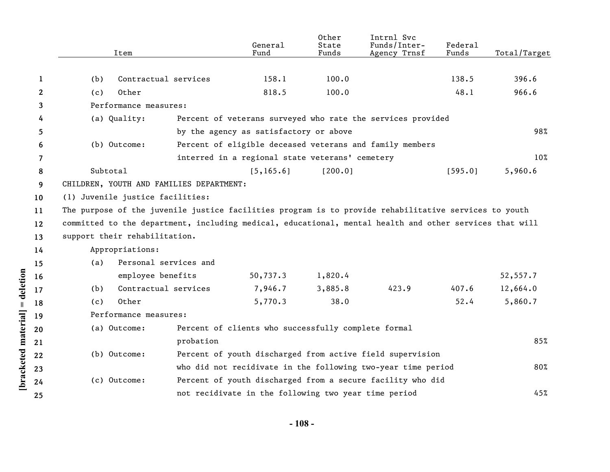|                    |    | Item                                                                                                    |                                                                     | General<br>Fund                                      | Other<br>State<br>Funds | Intrnl Svc<br>Funds/Inter-<br>Agency Trnsf                  | Federal<br>Funds | Total/Target |  |  |
|--------------------|----|---------------------------------------------------------------------------------------------------------|---------------------------------------------------------------------|------------------------------------------------------|-------------------------|-------------------------------------------------------------|------------------|--------------|--|--|
|                    |    |                                                                                                         |                                                                     |                                                      |                         |                                                             |                  |              |  |  |
|                    | 1  | (b)                                                                                                     | Contractual services                                                | 158.1                                                | 100.0                   |                                                             | 138.5            | 396.6        |  |  |
|                    | 2  | Other<br>(c)                                                                                            |                                                                     | 818.5                                                | 100.0                   |                                                             | 48.1             | 966.6        |  |  |
|                    | 3  | Performance measures:                                                                                   |                                                                     |                                                      |                         |                                                             |                  |              |  |  |
|                    | 4  | (a) Quality:                                                                                            |                                                                     |                                                      |                         | Percent of veterans surveyed who rate the services provided |                  |              |  |  |
|                    | 5  |                                                                                                         |                                                                     | by the agency as satisfactory or above               |                         |                                                             |                  | 98%          |  |  |
|                    | 6  | (b) Outcome:<br>Percent of eligible deceased veterans and family members                                |                                                                     |                                                      |                         |                                                             |                  |              |  |  |
|                    | 7  |                                                                                                         |                                                                     | interred in a regional state veterans' cemetery      |                         |                                                             |                  | 10%          |  |  |
|                    | 8  | Subtotal                                                                                                |                                                                     | [5, 165.6]                                           | [200.0]                 |                                                             | [595.0]          | 5,960.6      |  |  |
|                    | 9  | CHILDREN, YOUTH AND FAMILIES DEPARTMENT:                                                                |                                                                     |                                                      |                         |                                                             |                  |              |  |  |
|                    | 10 | (1) Juvenile justice facilities:                                                                        |                                                                     |                                                      |                         |                                                             |                  |              |  |  |
|                    | 11 | The purpose of the juvenile justice facilities program is to provide rehabilitative services to youth   |                                                                     |                                                      |                         |                                                             |                  |              |  |  |
|                    | 12 | committed to the department, including medical, educational, mental health and other services that will |                                                                     |                                                      |                         |                                                             |                  |              |  |  |
|                    | 13 | support their rehabilitation.                                                                           |                                                                     |                                                      |                         |                                                             |                  |              |  |  |
|                    | 14 | Appropriations:                                                                                         |                                                                     |                                                      |                         |                                                             |                  |              |  |  |
|                    | 15 | (a)                                                                                                     | Personal services and                                               |                                                      |                         |                                                             |                  |              |  |  |
|                    | 16 | employee benefits                                                                                       |                                                                     | 50,737.3                                             | 1,820.4                 |                                                             |                  | 52,557.7     |  |  |
| = deletion         | 17 | (b)                                                                                                     | Contractual services                                                | 7,946.7                                              | 3,885.8                 | 423.9                                                       | 407.6            | 12,664.0     |  |  |
|                    | 18 | Other<br>(c)                                                                                            |                                                                     | 5,770.3                                              | 38.0                    |                                                             | 52.4             | 5,860.7      |  |  |
| bracketed material | 19 | Performance measures:                                                                                   |                                                                     |                                                      |                         |                                                             |                  |              |  |  |
|                    | 20 | (a) Outcome:                                                                                            |                                                                     | Percent of clients who successfully complete formal  |                         |                                                             |                  |              |  |  |
|                    | 21 |                                                                                                         | probation                                                           |                                                      |                         |                                                             |                  | 85%          |  |  |
|                    | 22 | Percent of youth discharged from active field supervision<br>(b) Outcome:                               |                                                                     |                                                      |                         |                                                             |                  |              |  |  |
|                    | 23 |                                                                                                         | who did not recidivate in the following two-year time period<br>80% |                                                      |                         |                                                             |                  |              |  |  |
|                    | 24 | (c) Outcome:                                                                                            |                                                                     |                                                      |                         | Percent of youth discharged from a secure facility who did  |                  |              |  |  |
|                    |    |                                                                                                         |                                                                     | not recidivate in the following two year time period |                         |                                                             |                  | 45%          |  |  |
|                    | 25 |                                                                                                         |                                                                     |                                                      |                         |                                                             |                  |              |  |  |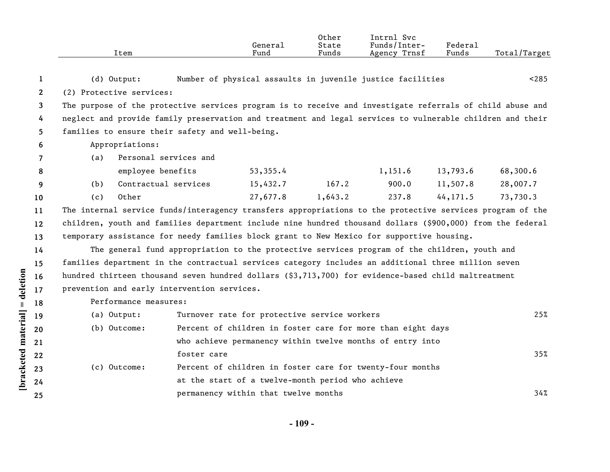|              | Item                                                                                                       |             | General<br>Fund                                   | Other<br>State<br>Funds | Intrnl Svc<br>Funds/Inter-<br>Agency Trnsf                  | Federal<br>Funds | Total/Target |
|--------------|------------------------------------------------------------------------------------------------------------|-------------|---------------------------------------------------|-------------------------|-------------------------------------------------------------|------------------|--------------|
| 1            | $(d)$ Output:                                                                                              |             |                                                   |                         | Number of physical assaults in juvenile justice facilities  |                  | < 285        |
| $\mathbf{2}$ | (2) Protective services:                                                                                   |             |                                                   |                         |                                                             |                  |              |
| 3            | The purpose of the protective services program is to receive and investigate referrals of child abuse and  |             |                                                   |                         |                                                             |                  |              |
| 4            | neglect and provide family preservation and treatment and legal services to vulnerable children and their  |             |                                                   |                         |                                                             |                  |              |
| 5            | families to ensure their safety and well-being.                                                            |             |                                                   |                         |                                                             |                  |              |
| 6            | Appropriations:                                                                                            |             |                                                   |                         |                                                             |                  |              |
| 7            | Personal services and<br>(a)                                                                               |             |                                                   |                         |                                                             |                  |              |
| 8            | employee benefits                                                                                          |             | 53,355.4                                          |                         | 1,151.6                                                     | 13,793.6         | 68,300.6     |
| 9            | Contractual services<br>(b)                                                                                |             | 15,432.7                                          | 167.2                   | 900.0                                                       | 11,507.8         | 28,007.7     |
| 10           | Other<br>(c)                                                                                               |             | 27,677.8                                          | 1,643.2                 | 237.8                                                       | 44, 171.5        | 73,730.3     |
| 11           | The internal service funds/interagency transfers appropriations to the protective services program of the  |             |                                                   |                         |                                                             |                  |              |
| 12           | children, youth and families department include nine hundred thousand dollars (\$900,000) from the federal |             |                                                   |                         |                                                             |                  |              |
| 13           | temporary assistance for needy families block grant to New Mexico for supportive housing.                  |             |                                                   |                         |                                                             |                  |              |
| 14           | The general fund appropriation to the protective services program of the children, youth and               |             |                                                   |                         |                                                             |                  |              |
| 15           | families department in the contractual services category includes an additional three million seven        |             |                                                   |                         |                                                             |                  |              |
| 16           | hundred thirteen thousand seven hundred dollars (\$3,713,700) for evidence-based child maltreatment        |             |                                                   |                         |                                                             |                  |              |
| 17           | prevention and early intervention services.                                                                |             |                                                   |                         |                                                             |                  |              |
| 18           | Performance measures:                                                                                      |             |                                                   |                         |                                                             |                  |              |
| 19           | (a) Output:                                                                                                |             | Turnover rate for protective service workers      |                         |                                                             |                  | 25%          |
| 20           | (b) Outcome:                                                                                               |             |                                                   |                         | Percent of children in foster care for more than eight days |                  |              |
| 21           |                                                                                                            |             |                                                   |                         | who achieve permanency within twelve months of entry into   |                  |              |
| 22           |                                                                                                            | foster care |                                                   |                         |                                                             |                  | 35%          |
| 23           | (c) Outcome:                                                                                               |             |                                                   |                         | Percent of children in foster care for twenty-four months   |                  |              |
| 24           |                                                                                                            |             | at the start of a twelve-month period who achieve |                         |                                                             |                  |              |
| 25           |                                                                                                            |             | permanency within that twelve months              |                         |                                                             |                  | 34%          |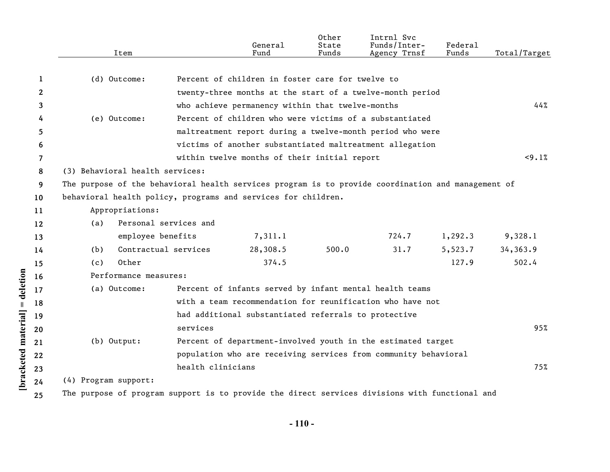|                    |              |                                                                                                    | Item                  |                   | General<br>Fund                                                                                | Other<br>State<br>Funds | Intrnl Svc<br>Funds/Inter-<br>Agency Trnsf              | Federal<br>Funds | Total/Target |  |  |
|--------------------|--------------|----------------------------------------------------------------------------------------------------|-----------------------|-------------------|------------------------------------------------------------------------------------------------|-------------------------|---------------------------------------------------------|------------------|--------------|--|--|
|                    |              |                                                                                                    |                       |                   |                                                                                                |                         |                                                         |                  |              |  |  |
|                    | 1            | (d) Outcome:                                                                                       |                       |                   | Percent of children in foster care for twelve to                                               |                         |                                                         |                  |              |  |  |
|                    | $\mathbf{2}$ |                                                                                                    |                       |                   | twenty-three months at the start of a twelve-month period                                      |                         |                                                         |                  | 44%          |  |  |
|                    | 3            |                                                                                                    |                       |                   |                                                                                                |                         | who achieve permanency within that twelve-months        |                  |              |  |  |
|                    | 4            | (e) Outcome:                                                                                       |                       |                   |                                                                                                |                         | Percent of children who were victims of a substantiated |                  |              |  |  |
|                    | 5            |                                                                                                    |                       |                   | maltreatment report during a twelve-month period who were                                      |                         |                                                         |                  |              |  |  |
|                    | 6            |                                                                                                    |                       |                   | victims of another substantiated maltreatment allegation                                       |                         |                                                         |                  |              |  |  |
|                    | 7            |                                                                                                    |                       |                   | within twelve months of their initial report                                                   |                         |                                                         |                  | <9.1%        |  |  |
|                    | 8            | (3) Behavioral health services:                                                                    |                       |                   |                                                                                                |                         |                                                         |                  |              |  |  |
|                    | 9            | The purpose of the behavioral health services program is to provide coordination and management of |                       |                   |                                                                                                |                         |                                                         |                  |              |  |  |
|                    | 10           | behavioral health policy, programs and services for children.                                      |                       |                   |                                                                                                |                         |                                                         |                  |              |  |  |
|                    | 11           |                                                                                                    | Appropriations:       |                   |                                                                                                |                         |                                                         |                  |              |  |  |
|                    | 12           | (a)                                                                                                | Personal services and |                   |                                                                                                |                         |                                                         |                  |              |  |  |
|                    | 13           |                                                                                                    | employee benefits     |                   | 7,311.1                                                                                        |                         | 724.7                                                   | 1,292.3          | 9,328.1      |  |  |
|                    | 14           | (b)                                                                                                | Contractual services  |                   | 28,308.5                                                                                       | 500.0                   | 31.7                                                    | 5,523.7          | 34,363.9     |  |  |
|                    | 15           | (c)                                                                                                | Other                 |                   | 374.5                                                                                          |                         |                                                         | 127.9            | 502.4        |  |  |
|                    | 16           |                                                                                                    | Performance measures: |                   |                                                                                                |                         |                                                         |                  |              |  |  |
| = deletion         | 17           | (a) Outcome:                                                                                       |                       |                   | Percent of infants served by infant mental health teams                                        |                         |                                                         |                  |              |  |  |
|                    | 18           |                                                                                                    |                       |                   | with a team recommendation for reunification who have not                                      |                         |                                                         |                  |              |  |  |
|                    | 19           |                                                                                                    |                       |                   | had additional substantiated referrals to protective                                           |                         |                                                         |                  |              |  |  |
|                    | 20           |                                                                                                    |                       | services          |                                                                                                |                         |                                                         |                  | 95%          |  |  |
|                    | 21           | (b) Output:                                                                                        |                       |                   | Percent of department-involved youth in the estimated target                                   |                         |                                                         |                  |              |  |  |
|                    | 22           |                                                                                                    |                       |                   | population who are receiving services from community behavioral                                |                         |                                                         |                  |              |  |  |
|                    | 23           |                                                                                                    |                       | health clinicians |                                                                                                |                         |                                                         |                  | 75%          |  |  |
| bracketed material | 24           | (4) Program support:                                                                               |                       |                   |                                                                                                |                         |                                                         |                  |              |  |  |
|                    | 25           |                                                                                                    |                       |                   | The purpose of program support is to provide the direct services divisions with functional and |                         |                                                         |                  |              |  |  |
|                    |              |                                                                                                    |                       |                   |                                                                                                |                         |                                                         |                  |              |  |  |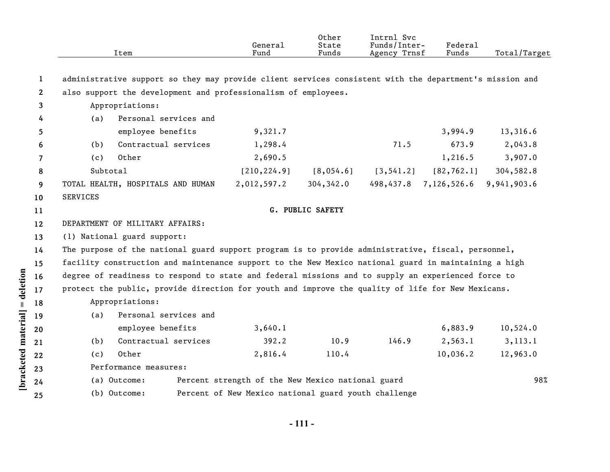|              |                 | Item                                                                                                    | General<br>Fund                                      | Other<br>State<br>Funds | Intrnl Svc<br>Funds/Inter-<br>Agency Trnsf | Federal<br>Funds | Total/Target |
|--------------|-----------------|---------------------------------------------------------------------------------------------------------|------------------------------------------------------|-------------------------|--------------------------------------------|------------------|--------------|
| 1            |                 | administrative support so they may provide client services consistent with the department's mission and |                                                      |                         |                                            |                  |              |
| $\mathbf{2}$ |                 | also support the development and professionalism of employees.                                          |                                                      |                         |                                            |                  |              |
| 3            |                 | Appropriations:                                                                                         |                                                      |                         |                                            |                  |              |
| 4            | (a)             | Personal services and                                                                                   |                                                      |                         |                                            |                  |              |
| 5            |                 | employee benefits                                                                                       | 9,321.7                                              |                         |                                            | 3,994.9          | 13,316.6     |
| 6            | (b)             | Contractual services                                                                                    | 1,298.4                                              |                         | 71.5                                       | 673.9            | 2,043.8      |
| 7            | (c)             | Other                                                                                                   | 2,690.5                                              |                         |                                            | 1,216.5          | 3,907.0      |
| 8            | Subtotal        |                                                                                                         | [210, 224.9]                                         | [8,054.6]               | [3, 541.2]                                 | [82, 762.1]      | 304,582.8    |
| 9            |                 | TOTAL HEALTH, HOSPITALS AND HUMAN                                                                       | 2,012,597.2                                          | 304,342.0               | 498,437.8                                  | 7,126,526.6      | 9,941,903.6  |
| 10           | <b>SERVICES</b> |                                                                                                         |                                                      |                         |                                            |                  |              |
| 11           |                 |                                                                                                         |                                                      | G. PUBLIC SAFETY        |                                            |                  |              |
| 12           |                 | DEPARTMENT OF MILITARY AFFAIRS:                                                                         |                                                      |                         |                                            |                  |              |
| 13           |                 | (1) National guard support:                                                                             |                                                      |                         |                                            |                  |              |
| 14           |                 | The purpose of the national guard support program is to provide administrative, fiscal, personnel,      |                                                      |                         |                                            |                  |              |
| 15           |                 | facility construction and maintenance support to the New Mexico national guard in maintaining a high    |                                                      |                         |                                            |                  |              |
| 16           |                 | degree of readiness to respond to state and federal missions and to supply an experienced force to      |                                                      |                         |                                            |                  |              |
| 17           |                 | protect the public, provide direction for youth and improve the quality of life for New Mexicans.       |                                                      |                         |                                            |                  |              |
| 18           |                 | Appropriations:                                                                                         |                                                      |                         |                                            |                  |              |
| 19           | (a)             | Personal services and                                                                                   |                                                      |                         |                                            |                  |              |
| 20           |                 | employee benefits                                                                                       | 3,640.1                                              |                         |                                            | 6,883.9          | 10,524.0     |
| 21           | (b)             | Contractual services                                                                                    | 392.2                                                | 10.9                    | 146.9                                      | 2,563.1          | 3, 113.1     |
| 22           | (c)             | Other                                                                                                   | 2,816.4                                              | 110.4                   |                                            | 10,036.2         | 12,963.0     |
| 23           |                 | Performance measures:                                                                                   |                                                      |                         |                                            |                  |              |
| 24           |                 | (a) Outcome:                                                                                            | Percent strength of the New Mexico national guard    |                         |                                            |                  | 98%          |
| 25           |                 | (b) Outcome:                                                                                            | Percent of New Mexico national guard youth challenge |                         |                                            |                  |              |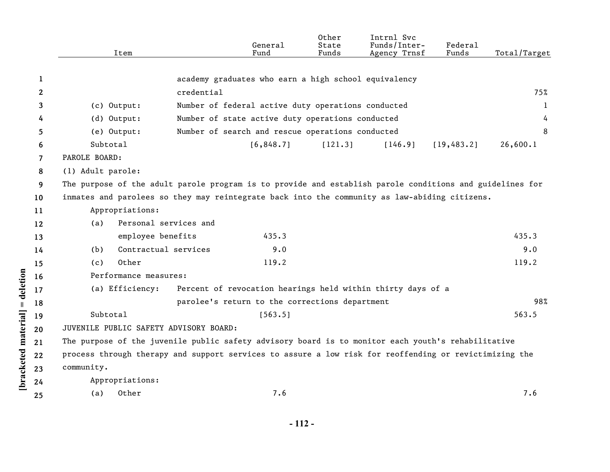|                  |    | Item                                                                                                     | General<br>Fund                                             | Other<br>State<br>Funds | Intrnl Svc<br>Funds/Inter-<br>Agency Trnsf | Federal<br>Funds | Total/Target |
|------------------|----|----------------------------------------------------------------------------------------------------------|-------------------------------------------------------------|-------------------------|--------------------------------------------|------------------|--------------|
|                  | 1  |                                                                                                          | academy graduates who earn a high school equivalency        |                         |                                            |                  |              |
|                  | 2  |                                                                                                          | credential                                                  |                         |                                            |                  | 75%          |
|                  | 3  | (c) Output:                                                                                              | Number of federal active duty operations conducted          |                         |                                            |                  | $\mathbf{1}$ |
|                  | 4  | (d) Output:                                                                                              | Number of state active duty operations conducted            |                         |                                            |                  | 4            |
|                  | 5  | (e) Output:                                                                                              | Number of search and rescue operations conducted            |                         |                                            |                  | 8            |
|                  | 6  | Subtotal                                                                                                 | [6, 848.7]                                                  | [121.3]                 | [146.9]                                    | [19, 483.2]      | 26,600.1     |
|                  | 7  | PAROLE BOARD:                                                                                            |                                                             |                         |                                            |                  |              |
|                  | 8  | (1) Adult parole:                                                                                        |                                                             |                         |                                            |                  |              |
|                  | 9  | The purpose of the adult parole program is to provide and establish parole conditions and guidelines for |                                                             |                         |                                            |                  |              |
|                  | 10 | inmates and parolees so they may reintegrate back into the community as law-abiding citizens.            |                                                             |                         |                                            |                  |              |
|                  | 11 | Appropriations:                                                                                          |                                                             |                         |                                            |                  |              |
|                  | 12 | Personal services and<br>(a)                                                                             |                                                             |                         |                                            |                  |              |
|                  | 13 | employee benefits                                                                                        | 435.3                                                       |                         |                                            |                  | 435.3        |
|                  | 14 | Contractual services<br>(b)                                                                              | 9.0                                                         |                         |                                            |                  | 9.0          |
|                  | 15 | Other<br>(c)                                                                                             | 119.2                                                       |                         |                                            |                  | 119.2        |
|                  | 16 | Performance measures:                                                                                    |                                                             |                         |                                            |                  |              |
| = deletion       | 17 | (a) Efficiency:                                                                                          | Percent of revocation hearings held within thirty days of a |                         |                                            |                  |              |
|                  | 18 |                                                                                                          | parolee's return to the corrections department              |                         |                                            |                  | 98%          |
|                  | 19 | Subtotal                                                                                                 | [563.5]                                                     |                         |                                            |                  | 563.5        |
|                  | 20 | JUVENILE PUBLIC SAFETY ADVISORY BOARD:                                                                   |                                                             |                         |                                            |                  |              |
| material         | 21 | The purpose of the juvenile public safety advisory board is to monitor each youth's rehabilitative       |                                                             |                         |                                            |                  |              |
|                  | 22 | process through therapy and support services to assure a low risk for reoffending or revictimizing the   |                                                             |                         |                                            |                  |              |
|                  | 23 | community.                                                                                               |                                                             |                         |                                            |                  |              |
| <b>bracketed</b> | 24 | Appropriations:                                                                                          |                                                             |                         |                                            |                  |              |
|                  | 25 | Other<br>(a)                                                                                             | 7.6                                                         |                         |                                            |                  | 7.6          |
|                  |    |                                                                                                          |                                                             |                         |                                            |                  |              |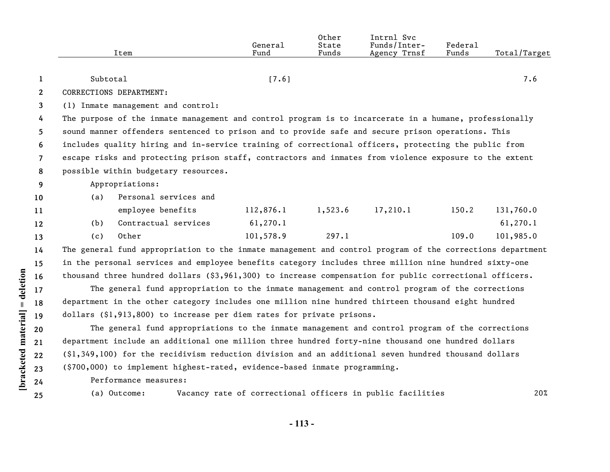|                | Item                                                                                                   | General<br>Fund | Other<br>State<br>Funds | Intrnl Svc<br>Funds/Inter-<br>Agency Trnsf | Federal<br>Funds | Total/Target |
|----------------|--------------------------------------------------------------------------------------------------------|-----------------|-------------------------|--------------------------------------------|------------------|--------------|
|                |                                                                                                        |                 |                         |                                            |                  |              |
|                | Subtotal                                                                                               | 17.61           |                         |                                            |                  | 7.6          |
| 2              | CORRECTIONS DEPARTMENT:                                                                                |                 |                         |                                            |                  |              |
| 3              | (1) Inmate management and control:                                                                     |                 |                         |                                            |                  |              |
| $\overline{4}$ | The purpose of the inmate management and control program is to incarcerate in a humane, professionally |                 |                         |                                            |                  |              |
| 5              | sound manner offenders sentenced to prison and to provide safe and secure prison operations. This      |                 |                         |                                            |                  |              |
| 6              | includes quality hiring and in-service training of correctional officers, protecting the public from   |                 |                         |                                            |                  |              |

**7** escape risks and protecting prison staff, contractors and inmates from violence exposure to the extent

**8** possible within budgetary resources.

## **9** Appropriations:

| 10  | (a) | Personal services and |           |         |          |       |           |
|-----|-----|-----------------------|-----------|---------|----------|-------|-----------|
| -11 |     | employee benefits     | 112,876.1 | 1,523.6 | 17,210.1 | 150.2 | 131,760.0 |
| 12  | (b) | Contractual services  | 61, 270.1 |         |          |       | 61,270.1  |
| 13  | (C) | Other                 | 101,578.9 | 297.1   |          | 109.0 | 101,985.0 |

The general fund appropriation to the inmate management and control program of the corrections department in the personal services and employee benefits category includes three million nine hundred sixty-one thousand three hundred dollars (\$3,961,300) to increase compensation for public correctional officers.

The general fund appropriation to the inmate management and control program of the corrections department in the other category includes one million nine hundred thirteen thousand eight hundred dollars (\$1,913,800) to increase per diem rates for private prisons.

The general fund appropriations to the inmate management and control program of the corrections department include an additional one million three hundred forty-nine thousand one hundred dollars (\$1,349,100) for the recidivism reduction division and an additional seven hundred thousand dollars (\$700,000) to implement highest-rated, evidence-based inmate programming.

Performance measures:

(a) Outcome: Vacancy rate of correctional officers in public facilities 20%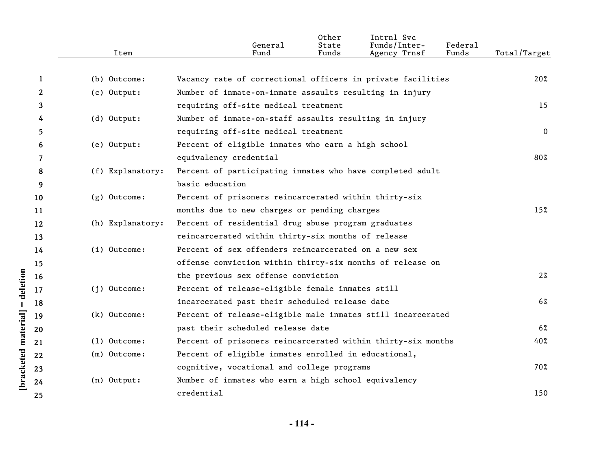|              | Item             | General<br>Fund                                              | Other<br>State<br>Funds | Intrnl Svc<br>Funds/Inter-<br>Agency Trnsf | Federa1<br>Funds | Total/Target |
|--------------|------------------|--------------------------------------------------------------|-------------------------|--------------------------------------------|------------------|--------------|
| 1            | (b) Outcome:     | Vacancy rate of correctional officers in private facilities  |                         |                                            |                  | 20%          |
| $\mathbf{2}$ | (c) Output:      | Number of inmate-on-inmate assaults resulting in injury      |                         |                                            |                  |              |
| 3            |                  | requiring off-site medical treatment                         |                         |                                            |                  | 15           |
| 4            | (d) Output:      | Number of inmate-on-staff assaults resulting in injury       |                         |                                            |                  |              |
| 5            |                  | requiring off-site medical treatment                         |                         |                                            |                  | $\Omega$     |
| 6            | (e) Output:      | Percent of eligible inmates who earn a high school           |                         |                                            |                  |              |
| 7            |                  | equivalency credential                                       |                         |                                            |                  | 80%          |
| 8            | (f) Explanatory: | Percent of participating inmates who have completed adult    |                         |                                            |                  |              |
| 9            |                  | basic education                                              |                         |                                            |                  |              |
| 10           | (g) Outcome:     | Percent of prisoners reincarcerated within thirty-six        |                         |                                            |                  |              |
| 11           |                  | months due to new charges or pending charges                 |                         |                                            |                  | 15%          |
| 12           | (h) Explanatory: | Percent of residential drug abuse program graduates          |                         |                                            |                  |              |
| 13           |                  | reincarcerated within thirty-six months of release           |                         |                                            |                  |              |
| 14           | $(i)$ Outcome:   | Percent of sex offenders reincarcerated on a new sex         |                         |                                            |                  |              |
| 15           |                  | offense conviction within thirty-six months of release on    |                         |                                            |                  |              |
| 16           |                  | the previous sex offense conviction                          |                         |                                            |                  | $2\%$        |
| 17           | $(i)$ Outcome:   | Percent of release-eligible female inmates still             |                         |                                            |                  |              |
| 18           |                  | incarcerated past their scheduled release date               |                         |                                            |                  | $6\%$        |
| 19           | (k) Outcome:     | Percent of release-eligible male inmates still incarcerated  |                         |                                            |                  |              |
| 20           |                  | past their scheduled release date                            |                         |                                            |                  | $6\%$        |
| 21           | $(1)$ Outcome:   | Percent of prisoners reincarcerated within thirty-six months |                         |                                            |                  | 40%          |
| 22           | (m) Outcome:     | Percent of eligible inmates enrolled in educational,         |                         |                                            |                  |              |
| 23           |                  | cognitive, vocational and college programs                   |                         |                                            |                  | 70%          |
| 24           | (n) Output:      | Number of inmates who earn a high school equivalency         |                         |                                            |                  |              |
| 25           |                  | credential                                                   |                         |                                            |                  | 150          |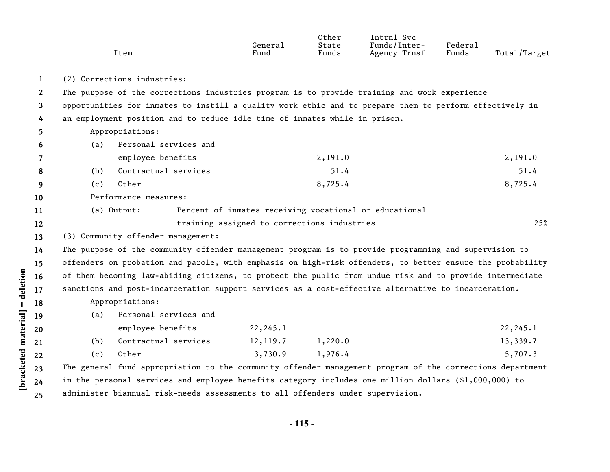|              |     | Item                                                                                                      | General<br>Fund                             | Other<br>State<br>Funds | Intrnl Svc<br>Funds/Inter-<br>Agency Trnsf             | Federal<br>Funds | Total/Target |
|--------------|-----|-----------------------------------------------------------------------------------------------------------|---------------------------------------------|-------------------------|--------------------------------------------------------|------------------|--------------|
| $\mathbf{1}$ |     | (2) Corrections industries:                                                                               |                                             |                         |                                                        |                  |              |
| $\mathbf{2}$ |     | The purpose of the corrections industries program is to provide training and work experience              |                                             |                         |                                                        |                  |              |
| 3            |     | opportunities for inmates to instill a quality work ethic and to prepare them to perform effectively in   |                                             |                         |                                                        |                  |              |
| 4            |     | an employment position and to reduce idle time of inmates while in prison.                                |                                             |                         |                                                        |                  |              |
| 5            |     | Appropriations:                                                                                           |                                             |                         |                                                        |                  |              |
| 6            | (a) | Personal services and                                                                                     |                                             |                         |                                                        |                  |              |
| 7            |     | employee benefits                                                                                         |                                             | 2,191.0                 |                                                        |                  | 2,191.0      |
| 8            | (b) | Contractual services                                                                                      |                                             | 51.4                    |                                                        |                  | 51.4         |
| 9            | (c) | Other                                                                                                     |                                             | 8,725.4                 |                                                        |                  | 8,725.4      |
| 10           |     | Performance measures:                                                                                     |                                             |                         |                                                        |                  |              |
| 11           |     | (a) Output:                                                                                               |                                             |                         | Percent of inmates receiving vocational or educational |                  |              |
| 12           |     |                                                                                                           | training assigned to corrections industries |                         |                                                        |                  | 25%          |
| 13           |     | (3) Community offender management:                                                                        |                                             |                         |                                                        |                  |              |
| 14           |     | The purpose of the community offender management program is to provide programming and supervision to     |                                             |                         |                                                        |                  |              |
| 15           |     | offenders on probation and parole, with emphasis on high-risk offenders, to better ensure the probability |                                             |                         |                                                        |                  |              |
| 16           |     | of them becoming law-abiding citizens, to protect the public from undue risk and to provide intermediate  |                                             |                         |                                                        |                  |              |
| 17           |     | sanctions and post-incarceration support services as a cost-effective alternative to incarceration.       |                                             |                         |                                                        |                  |              |
| 18           |     | Appropriations:                                                                                           |                                             |                         |                                                        |                  |              |
| 19           | (a) | Personal services and                                                                                     |                                             |                         |                                                        |                  |              |
| 20           |     | employee benefits                                                                                         | 22, 245.1                                   |                         |                                                        |                  | 22, 245.1    |
| 21           | (b) | Contractual services                                                                                      | 12,119.7                                    | 1,220.0                 |                                                        |                  | 13,339.7     |
| 22           | (c) | Other                                                                                                     | 3,730.9                                     | 1,976.4                 |                                                        |                  | 5,707.3      |
| 23           |     | The general fund appropriation to the community offender management program of the corrections department |                                             |                         |                                                        |                  |              |
| 24           |     | in the personal services and employee benefits category includes one million dollars (\$1,000,000) to     |                                             |                         |                                                        |                  |              |
| 25           |     | administer biannual risk-needs assessments to all offenders under supervision.                            |                                             |                         |                                                        |                  |              |

**- 115 -**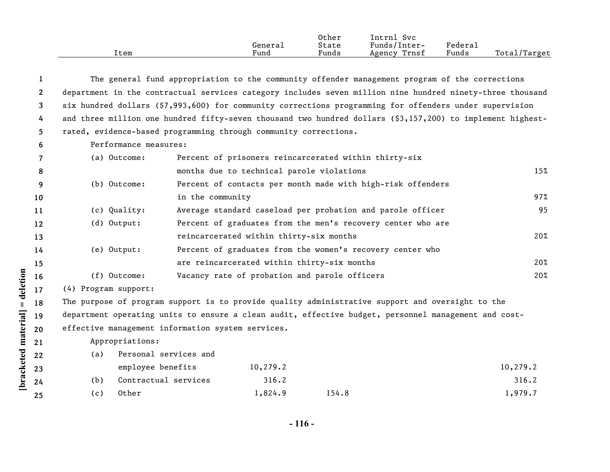|      |         | Other | Intrnl<br><b>Svc</b> |                            |                   |
|------|---------|-------|----------------------|----------------------------|-------------------|
|      | General | State | Funds/Inter-         | $\nabla$ edera $\lrcorner$ |                   |
| ltem | Fund    | Funds | Trnsf<br>Agency      | Funds                      | Total/<br>'Target |

| $\mathbf{1}$          |                                                                                                            |                                             |           |                                                             | The general fund appropriation to the community offender management program of the corrections |           |
|-----------------------|------------------------------------------------------------------------------------------------------------|---------------------------------------------|-----------|-------------------------------------------------------------|------------------------------------------------------------------------------------------------|-----------|
| $\mathbf{2}^{\prime}$ | department in the contractual services category includes seven million nine hundred ninety-three thousand  |                                             |           |                                                             |                                                                                                |           |
| 3                     | six hundred dollars (\$7,993,600) for community corrections programming for offenders under supervision    |                                             |           |                                                             |                                                                                                |           |
| 4                     | and three million one hundred fifty-seven thousand two hundred dollars (\$3,157,200) to implement highest- |                                             |           |                                                             |                                                                                                |           |
| 5.                    | rated, evidence-based programming through community corrections.                                           |                                             |           |                                                             |                                                                                                |           |
| 6                     | Performance measures:                                                                                      |                                             |           |                                                             |                                                                                                |           |
| 7                     | (a) Outcome:                                                                                               |                                             |           | Percent of prisoners reincarcerated within thirty-six       |                                                                                                |           |
| 8                     |                                                                                                            | months due to technical parole violations   |           |                                                             |                                                                                                | 15%       |
| 9                     | (b) Outcome:                                                                                               |                                             |           | Percent of contacts per month made with high-risk offenders |                                                                                                |           |
| 10                    |                                                                                                            | in the community                            |           |                                                             |                                                                                                | 97%       |
| 11                    | (c) Quality:                                                                                               |                                             |           | Average standard caseload per probation and parole officer  |                                                                                                | 95        |
| 12                    | (d) Output:                                                                                                |                                             |           | Percent of graduates from the men's recovery center who are |                                                                                                |           |
| 13                    |                                                                                                            | reincarcerated within thirty-six months     |           |                                                             |                                                                                                | 20%       |
| 14                    | (e) Output:                                                                                                |                                             |           | Percent of graduates from the women's recovery center who   |                                                                                                |           |
| 15                    |                                                                                                            | are reincarcerated within thirty-six months |           |                                                             |                                                                                                | 20%       |
| 16                    | $(f)$ Outcome:                                                                                             |                                             |           | Vacancy rate of probation and parole officers               |                                                                                                | 20%       |
| 17                    | (4) Program support:                                                                                       |                                             |           |                                                             |                                                                                                |           |
| 18                    | The purpose of program support is to provide quality administrative support and oversight to the           |                                             |           |                                                             |                                                                                                |           |
| 19                    | department operating units to ensure a clean audit, effective budget, personnel management and cost-       |                                             |           |                                                             |                                                                                                |           |
| 20                    | effective management information system services.                                                          |                                             |           |                                                             |                                                                                                |           |
| 21                    | Appropriations:                                                                                            |                                             |           |                                                             |                                                                                                |           |
| 22                    | Personal services and<br>(a)                                                                               |                                             |           |                                                             |                                                                                                |           |
| 23                    | employee benefits                                                                                          |                                             | 10, 279.2 |                                                             |                                                                                                | 10, 279.2 |
| 24                    | Contractual services<br>(b)                                                                                |                                             | 316.2     |                                                             |                                                                                                | 316.2     |
| 25                    | Other<br>(c)                                                                                               |                                             | 1,824.9   | 154.8                                                       |                                                                                                | 1,979.7   |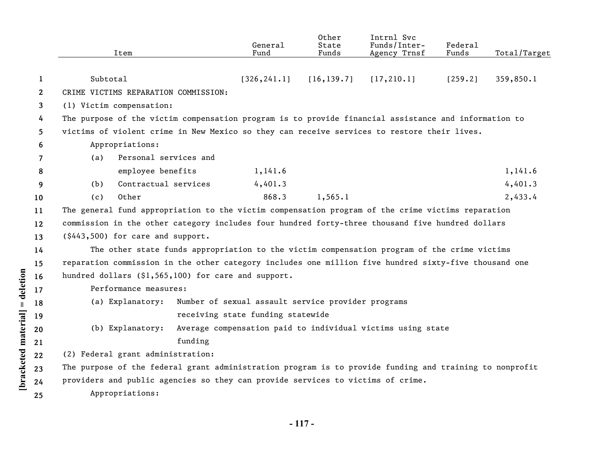|              | Item                                                                                                                                                                                                |         | General<br>Fund                                    | Other<br>State<br>Funds | Intrnl Svc<br>Funds/Inter-<br>Agency Trnsf                  | Federal<br>Funds | Total/Target |
|--------------|-----------------------------------------------------------------------------------------------------------------------------------------------------------------------------------------------------|---------|----------------------------------------------------|-------------------------|-------------------------------------------------------------|------------------|--------------|
|              |                                                                                                                                                                                                     |         |                                                    |                         |                                                             |                  |              |
| 1            | Subtotal<br>CRIME VICTIMS REPARATION COMMISSION:                                                                                                                                                    |         | [326, 241.1]                                       | [16, 139.7]             | [17, 210.1]                                                 | [259.2]          | 359,850.1    |
| $\mathbf{2}$ |                                                                                                                                                                                                     |         |                                                    |                         |                                                             |                  |              |
| 3            | (1) Victim compensation:                                                                                                                                                                            |         |                                                    |                         |                                                             |                  |              |
| 4<br>5       | The purpose of the victim compensation program is to provide financial assistance and information to<br>victims of violent crime in New Mexico so they can receive services to restore their lives. |         |                                                    |                         |                                                             |                  |              |
| 6            | Appropriations:                                                                                                                                                                                     |         |                                                    |                         |                                                             |                  |              |
| 7            | Personal services and<br>(a)                                                                                                                                                                        |         |                                                    |                         |                                                             |                  |              |
| 8            | employee benefits                                                                                                                                                                                   |         | 1,141.6                                            |                         |                                                             |                  | 1,141.6      |
| 9            | Contractual services<br>(b)                                                                                                                                                                         |         | 4,401.3                                            |                         |                                                             |                  | 4,401.3      |
| 10           | Other<br>(c)                                                                                                                                                                                        |         | 868.3                                              | 1,565.1                 |                                                             |                  | 2,433.4      |
| 11           | The general fund appropriation to the victim compensation program of the crime victims reparation                                                                                                   |         |                                                    |                         |                                                             |                  |              |
| 12           | commission in the other category includes four hundred forty-three thousand five hundred dollars                                                                                                    |         |                                                    |                         |                                                             |                  |              |
| 13           | (\$443,500) for care and support.                                                                                                                                                                   |         |                                                    |                         |                                                             |                  |              |
| 14           | The other state funds appropriation to the victim compensation program of the crime victims                                                                                                         |         |                                                    |                         |                                                             |                  |              |
| 15           | reparation commission in the other category includes one million five hundred sixty-five thousand one                                                                                               |         |                                                    |                         |                                                             |                  |              |
| 16           | hundred dollars (\$1,565,100) for care and support.                                                                                                                                                 |         |                                                    |                         |                                                             |                  |              |
| 17           | Performance measures:                                                                                                                                                                               |         |                                                    |                         |                                                             |                  |              |
| 18           | (a) Explanatory:                                                                                                                                                                                    |         | Number of sexual assault service provider programs |                         |                                                             |                  |              |
| 19           |                                                                                                                                                                                                     |         | receiving state funding statewide                  |                         |                                                             |                  |              |
| 20           | (b) Explanatory:                                                                                                                                                                                    |         |                                                    |                         | Average compensation paid to individual victims using state |                  |              |
| 21           |                                                                                                                                                                                                     | funding |                                                    |                         |                                                             |                  |              |
| 22           | (2) Federal grant administration:                                                                                                                                                                   |         |                                                    |                         |                                                             |                  |              |
| 23           | The purpose of the federal grant administration program is to provide funding and training to nonprofit                                                                                             |         |                                                    |                         |                                                             |                  |              |
| 24           | providers and public agencies so they can provide services to victims of crime.                                                                                                                     |         |                                                    |                         |                                                             |                  |              |
| 25           | Appropriations:                                                                                                                                                                                     |         |                                                    |                         |                                                             |                  |              |
|              |                                                                                                                                                                                                     |         |                                                    |                         |                                                             |                  |              |

[bracketed material] = deletion

**- 117 -**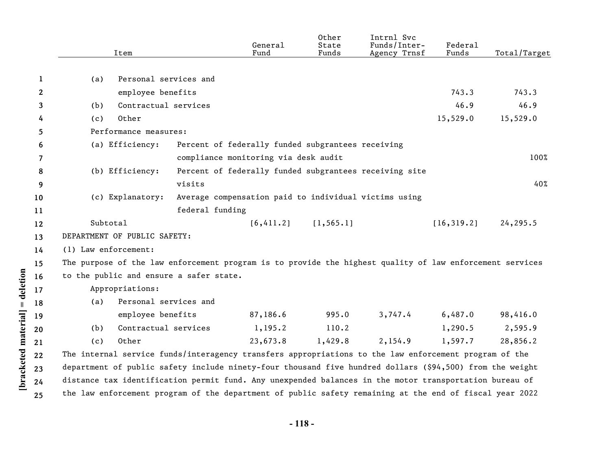|              | Item                                                                                                     |                                                        | General<br>Fund | Other<br>State<br>Funds   | Intrnl Svc<br>Funds/Inter-<br>Agency Trnsf | Federal<br>Funds | Total/Target |
|--------------|----------------------------------------------------------------------------------------------------------|--------------------------------------------------------|-----------------|---------------------------|--------------------------------------------|------------------|--------------|
| 1            | Personal services and<br>(a)                                                                             |                                                        |                 |                           |                                            |                  |              |
| $\mathbf{2}$ |                                                                                                          |                                                        |                 |                           |                                            | 743.3            | 743.3        |
| 3            | employee benefits<br>Contractual services<br>(b)                                                         |                                                        |                 |                           |                                            | 46.9             | 46.9         |
|              | Other                                                                                                    |                                                        |                 |                           |                                            | 15,529.0         | 15,529.0     |
| 4            | (c)<br>Performance measures:                                                                             |                                                        |                 |                           |                                            |                  |              |
| 5            |                                                                                                          |                                                        |                 |                           |                                            |                  |              |
| 6            | (a) Efficiency:                                                                                          | Percent of federally funded subgrantees receiving      |                 |                           |                                            |                  |              |
| 7            |                                                                                                          | compliance monitoring via desk audit                   |                 |                           |                                            |                  | 100%         |
| 8            | (b) Efficiency:                                                                                          | Percent of federally funded subgrantees receiving site |                 |                           |                                            |                  |              |
| 9            |                                                                                                          | visits                                                 |                 |                           |                                            |                  | 40%          |
| 10           | (c) Explanatory:                                                                                         | Average compensation paid to individual victims using  |                 |                           |                                            |                  |              |
| 11           |                                                                                                          | federal funding                                        |                 |                           |                                            |                  |              |
| 12           | Subtotal                                                                                                 |                                                        |                 | $[6, 411.2]$ $[1, 565.1]$ |                                            | [16, 319.2]      | 24,295.5     |
| 13           | DEPARTMENT OF PUBLIC SAFETY:                                                                             |                                                        |                 |                           |                                            |                  |              |
| 14           | (1) Law enforcement:                                                                                     |                                                        |                 |                           |                                            |                  |              |
| 15           | The purpose of the law enforcement program is to provide the highest quality of law enforcement services |                                                        |                 |                           |                                            |                  |              |
| 16           | to the public and ensure a safer state.                                                                  |                                                        |                 |                           |                                            |                  |              |
| 17           | Appropriations:                                                                                          |                                                        |                 |                           |                                            |                  |              |
| 18           | Personal services and<br>(a)                                                                             |                                                        |                 |                           |                                            |                  |              |
| 19           | employee benefits                                                                                        |                                                        | 87,186.6        | 995.0                     | 3,747.4                                    | 6,487.0          | 98,416.0     |
| 20           | Contractual services<br>(b)                                                                              |                                                        | 1,195.2         | 110.2                     |                                            | 1,290.5          | 2,595.9      |
| 21           | Other<br>(c)                                                                                             |                                                        | 23,673.8        | 1,429.8                   | 2,154.9                                    | 1,597.7          | 28,856.2     |
| 22           | The internal service funds/interagency transfers appropriations to the law enforcement program of the    |                                                        |                 |                           |                                            |                  |              |
| 23           | department of public safety include ninety-four thousand five hundred dollars (\$94,500) from the weight |                                                        |                 |                           |                                            |                  |              |
| 24           | distance tax identification permit fund. Any unexpended balances in the motor transportation bureau of   |                                                        |                 |                           |                                            |                  |              |
| 25           | the law enforcement program of the department of public safety remaining at the end of fiscal year 2022  |                                                        |                 |                           |                                            |                  |              |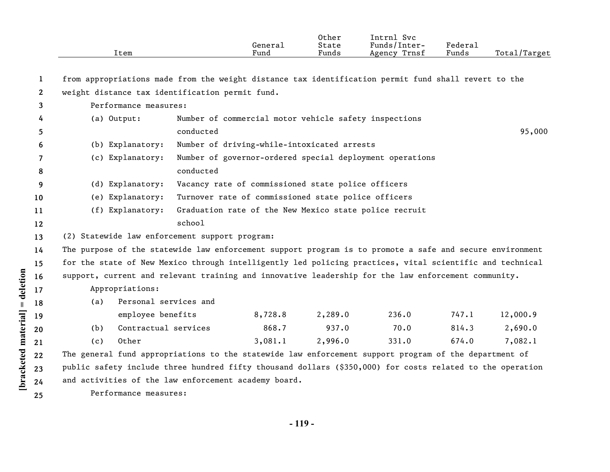|                       | Item                                                                                                      |                                                       | General<br>Fund | Other<br>State<br>Funds | Intrnl Svc<br>Funds/Inter-<br>Agency Trnsf               | Federal<br>Funds | Total/Target |
|-----------------------|-----------------------------------------------------------------------------------------------------------|-------------------------------------------------------|-----------------|-------------------------|----------------------------------------------------------|------------------|--------------|
|                       |                                                                                                           |                                                       |                 |                         |                                                          |                  |              |
| 1                     | from appropriations made from the weight distance tax identification permit fund shall revert to the      |                                                       |                 |                         |                                                          |                  |              |
| $\mathbf{2}^{\prime}$ | weight distance tax identification permit fund.                                                           |                                                       |                 |                         |                                                          |                  |              |
| 3                     | Performance measures:                                                                                     |                                                       |                 |                         |                                                          |                  |              |
| 4                     | (a) Output:                                                                                               | Number of commercial motor vehicle safety inspections |                 |                         |                                                          |                  |              |
| 5.                    |                                                                                                           | conducted                                             |                 |                         |                                                          |                  | 95,000       |
| 6                     | (b) Explanatory:                                                                                          | Number of driving-while-intoxicated arrests           |                 |                         |                                                          |                  |              |
| 7                     | (c) Explanatory:                                                                                          |                                                       |                 |                         | Number of governor-ordered special deployment operations |                  |              |
| 8                     |                                                                                                           | conducted                                             |                 |                         |                                                          |                  |              |
| 9                     | (d) Explanatory:                                                                                          | Vacancy rate of commissioned state police officers    |                 |                         |                                                          |                  |              |
| 10                    | (e) Explanatory:                                                                                          | Turnover rate of commissioned state police officers   |                 |                         |                                                          |                  |              |
| 11                    | (f) Explanatory:                                                                                          |                                                       |                 |                         | Graduation rate of the New Mexico state police recruit   |                  |              |
| $12 \,$               |                                                                                                           | school                                                |                 |                         |                                                          |                  |              |
| 13                    | (2) Statewide law enforcement support program:                                                            |                                                       |                 |                         |                                                          |                  |              |
| 14                    | The purpose of the statewide law enforcement support program is to promote a safe and secure environment  |                                                       |                 |                         |                                                          |                  |              |
| 15                    | for the state of New Mexico through intelligently led policing practices, vital scientific and technical  |                                                       |                 |                         |                                                          |                  |              |
| 16                    | support, current and relevant training and innovative leadership for the law enforcement community.       |                                                       |                 |                         |                                                          |                  |              |
| 17                    | Appropriations:                                                                                           |                                                       |                 |                         |                                                          |                  |              |
| 18                    | (a)                                                                                                       | Personal services and                                 |                 |                         |                                                          |                  |              |
| 19                    | employee benefits                                                                                         |                                                       | 8,728.8         | 2,289.0                 | 236.0                                                    | 747.1            | 12,000.9     |
| 20                    | Contractual services<br>(b)                                                                               |                                                       | 868.7           | 937.0                   | 70.0                                                     | 814.3            | 2,690.0      |
| 21                    | Other<br>(c)                                                                                              |                                                       | 3,081.1         | 2,996.0                 | 331.0                                                    | 674.0            | 7,082.1      |
| 22                    | The general fund appropriations to the statewide law enforcement support program of the department of     |                                                       |                 |                         |                                                          |                  |              |
| 23                    | public safety include three hundred fifty thousand dollars (\$350,000) for costs related to the operation |                                                       |                 |                         |                                                          |                  |              |
| 24                    | and activities of the law enforcement academy board.                                                      |                                                       |                 |                         |                                                          |                  |              |
| 25                    | Performance measures:                                                                                     |                                                       |                 |                         |                                                          |                  |              |

**- 119 -** 

[bracketed material] = deletion **[bracketed material] = deletion**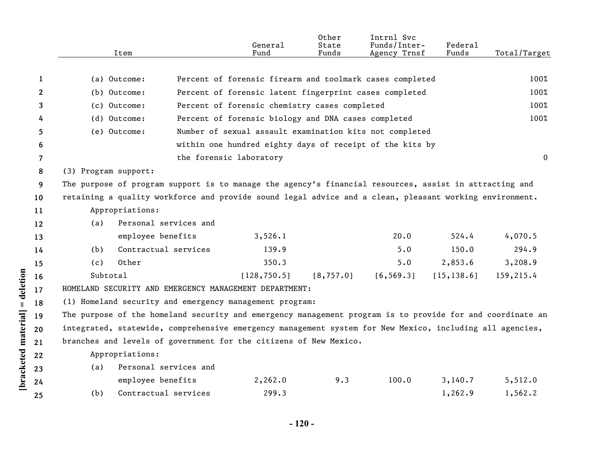|                       | Item                                                                                                      |                       | General<br>Fund                                          | Other<br>State<br>Funds | Intrnl Svc<br>Funds/Inter-<br>Agency Trnsf | Federal<br>Funds | Total/Target |  |  |
|-----------------------|-----------------------------------------------------------------------------------------------------------|-----------------------|----------------------------------------------------------|-------------------------|--------------------------------------------|------------------|--------------|--|--|
|                       |                                                                                                           |                       |                                                          |                         |                                            |                  |              |  |  |
| 1                     | (a) Outcome:                                                                                              |                       | Percent of forensic firearm and toolmark cases completed |                         |                                            |                  | 100%         |  |  |
| $\mathbf{2}^{\prime}$ | (b) Outcome:                                                                                              |                       | Percent of forensic latent fingerprint cases completed   |                         |                                            |                  | 100%         |  |  |
| 3                     | (c) Outcome:                                                                                              |                       | Percent of forensic chemistry cases completed            |                         |                                            |                  | 100%         |  |  |
| 4                     | (d) Outcome:                                                                                              |                       | Percent of forensic biology and DNA cases completed      |                         |                                            |                  | 100%         |  |  |
| 5.                    | (e) Outcome:                                                                                              |                       | Number of sexual assault examination kits not completed  |                         |                                            |                  |              |  |  |
| 6                     |                                                                                                           |                       | within one hundred eighty days of receipt of the kits by |                         |                                            |                  |              |  |  |
| 7                     |                                                                                                           |                       | the forensic laboratory                                  |                         |                                            |                  | $\mathbf{0}$ |  |  |
| 8                     | (3) Program support:                                                                                      |                       |                                                          |                         |                                            |                  |              |  |  |
| 9                     | The purpose of program support is to manage the agency's financial resources, assist in attracting and    |                       |                                                          |                         |                                            |                  |              |  |  |
| 10 <sup>°</sup>       | retaining a quality workforce and provide sound legal advice and a clean, pleasant working environment.   |                       |                                                          |                         |                                            |                  |              |  |  |
| 11                    | Appropriations:                                                                                           |                       |                                                          |                         |                                            |                  |              |  |  |
| 12                    | (a)                                                                                                       | Personal services and |                                                          |                         |                                            |                  |              |  |  |
| 13                    | employee benefits                                                                                         |                       | 3,526.1                                                  |                         | 20.0                                       | 524.4            | 4,070.5      |  |  |
| 14                    | (b)                                                                                                       | Contractual services  | 139.9                                                    |                         | 5.0                                        | 150.0            | 294.9        |  |  |
| 15                    | Other<br>(c)                                                                                              |                       | 350.3                                                    |                         | 5.0                                        | 2,853.6          | 3,208.9      |  |  |
| 16                    | Subtotal                                                                                                  |                       | [128, 750.5]                                             | [8, 757.0]              | [6, 569.3]                                 | [15, 138.6]      | 159,215.4    |  |  |
| 17                    | HOMELAND SECURITY AND EMERGENCY MANAGEMENT DEPARTMENT:                                                    |                       |                                                          |                         |                                            |                  |              |  |  |
| 18                    | (1) Homeland security and emergency management program:                                                   |                       |                                                          |                         |                                            |                  |              |  |  |
| 19                    | The purpose of the homeland security and emergency management program is to provide for and coordinate an |                       |                                                          |                         |                                            |                  |              |  |  |
| 20                    | integrated, statewide, comprehensive emergency management system for New Mexico, including all agencies,  |                       |                                                          |                         |                                            |                  |              |  |  |
| 21                    | branches and levels of government for the citizens of New Mexico.                                         |                       |                                                          |                         |                                            |                  |              |  |  |
| 22                    | Appropriations:                                                                                           |                       |                                                          |                         |                                            |                  |              |  |  |
| 23                    | (a)                                                                                                       | Personal services and |                                                          |                         |                                            |                  |              |  |  |
| 24                    | employee benefits                                                                                         |                       | 2,262.0                                                  | 9.3                     | 100.0                                      | 3,140.7          | 5,512.0      |  |  |
| 25                    | (b)                                                                                                       | Contractual services  | 299.3                                                    |                         |                                            | 1,262.9          | 1,562.2      |  |  |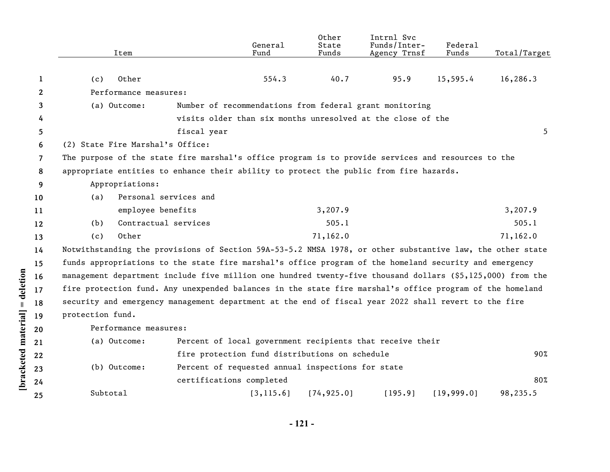|                    |                | Item                                                                                                       |                          | General<br>Fund                                             | Other<br>State<br>Funds | Intrnl Svc<br>Funds/Inter-<br>Agency Trnsf | Federal<br>Funds | Total/Target |  |
|--------------------|----------------|------------------------------------------------------------------------------------------------------------|--------------------------|-------------------------------------------------------------|-------------------------|--------------------------------------------|------------------|--------------|--|
|                    |                |                                                                                                            |                          |                                                             |                         |                                            |                  |              |  |
|                    | 1              | Other<br>(c)                                                                                               |                          | 554.3                                                       | 40.7                    | 95.9                                       | 15,595.4         | 16,286.3     |  |
|                    | 2              | Performance measures:                                                                                      |                          |                                                             |                         |                                            |                  |              |  |
|                    | 3              | (a) Outcome:                                                                                               |                          | Number of recommendations from federal grant monitoring     |                         |                                            |                  |              |  |
|                    | 4              |                                                                                                            |                          | visits older than six months unresolved at the close of the |                         |                                            |                  |              |  |
|                    | 5              |                                                                                                            | fiscal year              |                                                             |                         |                                            |                  | 5            |  |
|                    | 6              | (2) State Fire Marshal's Office:                                                                           |                          |                                                             |                         |                                            |                  |              |  |
|                    | $\overline{7}$ | The purpose of the state fire marshal's office program is to provide services and resources to the         |                          |                                                             |                         |                                            |                  |              |  |
|                    | 8              | appropriate entities to enhance their ability to protect the public from fire hazards.                     |                          |                                                             |                         |                                            |                  |              |  |
|                    | 9              | Appropriations:                                                                                            |                          |                                                             |                         |                                            |                  |              |  |
|                    | 10             | Personal services and<br>(a)                                                                               |                          |                                                             |                         |                                            |                  |              |  |
|                    | 11             | employee benefits                                                                                          |                          |                                                             | 3,207.9                 |                                            |                  | 3,207.9      |  |
|                    | 12             | Contractual services<br>(b)                                                                                |                          |                                                             | 505.1                   |                                            |                  | 505.1        |  |
|                    | 13             | Other<br>(c)                                                                                               |                          |                                                             | 71,162.0                |                                            |                  | 71,162.0     |  |
|                    | 14             | Notwithstanding the provisions of Section 59A-53-5.2 NMSA 1978, or other substantive law, the other state  |                          |                                                             |                         |                                            |                  |              |  |
|                    | 15             | funds appropriations to the state fire marshal's office program of the homeland security and emergency     |                          |                                                             |                         |                                            |                  |              |  |
|                    | 16             | management department include five million one hundred twenty-five thousand dollars (\$5,125,000) from the |                          |                                                             |                         |                                            |                  |              |  |
| = deletion         | 17             | fire protection fund. Any unexpended balances in the state fire marshal's office program of the homeland   |                          |                                                             |                         |                                            |                  |              |  |
|                    | 18             | security and emergency management department at the end of fiscal year 2022 shall revert to the fire       |                          |                                                             |                         |                                            |                  |              |  |
|                    | 19             | protection fund.                                                                                           |                          |                                                             |                         |                                            |                  |              |  |
|                    | 20             | Performance measures:                                                                                      |                          |                                                             |                         |                                            |                  |              |  |
| bracketed material | 21             | (a) Outcome:                                                                                               |                          | Percent of local government recipients that receive their   |                         |                                            |                  |              |  |
|                    | 22             |                                                                                                            |                          | fire protection fund distributions on schedule              |                         |                                            |                  | 90%          |  |
|                    | 23             | (b) Outcome:                                                                                               |                          | Percent of requested annual inspections for state           |                         |                                            |                  |              |  |
|                    | 24             |                                                                                                            | certifications completed |                                                             |                         |                                            |                  | 80%          |  |
|                    | 25             | Subtotal                                                                                                   |                          | [3, 115.6]                                                  | [74, 925.0]             | [195.9]                                    | [19, 999.0]      | 98,235.5     |  |
|                    |                |                                                                                                            |                          |                                                             |                         |                                            |                  |              |  |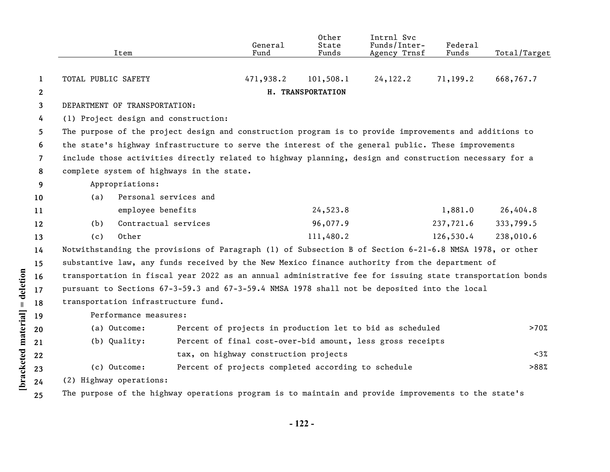|                      |              |                                                                                                        | Item                                                                                               |                                      | General<br>Fund                       | Other<br>State<br>Funds                             | Intrnl Svc<br>Funds/Inter-<br>Agency Trnsf                                                                | Federal<br>Funds | Total/Target |  |  |
|----------------------|--------------|--------------------------------------------------------------------------------------------------------|----------------------------------------------------------------------------------------------------|--------------------------------------|---------------------------------------|-----------------------------------------------------|-----------------------------------------------------------------------------------------------------------|------------------|--------------|--|--|
|                      | $\mathbf{1}$ | TOTAL PUBLIC SAFETY                                                                                    |                                                                                                    |                                      | 471,938.2                             | 101,508.1                                           | 24, 122.2                                                                                                 | 71,199.2         | 668,767.7    |  |  |
|                      | $\mathbf{2}$ |                                                                                                        |                                                                                                    |                                      |                                       | H. TRANSPORTATION                                   |                                                                                                           |                  |              |  |  |
|                      | 3            | DEPARTMENT OF TRANSPORTATION:                                                                          |                                                                                                    |                                      |                                       |                                                     |                                                                                                           |                  |              |  |  |
|                      | 4            |                                                                                                        |                                                                                                    | (1) Project design and construction: |                                       |                                                     |                                                                                                           |                  |              |  |  |
|                      | 5            |                                                                                                        |                                                                                                    |                                      |                                       |                                                     | The purpose of the project design and construction program is to provide improvements and additions to    |                  |              |  |  |
|                      | 6            |                                                                                                        | the state's highway infrastructure to serve the interest of the general public. These improvements |                                      |                                       |                                                     |                                                                                                           |                  |              |  |  |
|                      | 7            | include those activities directly related to highway planning, design and construction necessary for a |                                                                                                    |                                      |                                       |                                                     |                                                                                                           |                  |              |  |  |
|                      | 8            | complete system of highways in the state.                                                              |                                                                                                    |                                      |                                       |                                                     |                                                                                                           |                  |              |  |  |
|                      | 9            | Appropriations:                                                                                        |                                                                                                    |                                      |                                       |                                                     |                                                                                                           |                  |              |  |  |
|                      | 10           | (a)                                                                                                    | Personal services and                                                                              |                                      |                                       |                                                     |                                                                                                           |                  |              |  |  |
|                      | 11           |                                                                                                        | employee benefits                                                                                  |                                      |                                       | 24,523.8                                            |                                                                                                           | 1,881.0          | 26,404.8     |  |  |
|                      | 12           | (b)                                                                                                    | Contractual services                                                                               |                                      |                                       | 96,077.9                                            |                                                                                                           | 237,721.6        | 333,799.5    |  |  |
|                      | 13           | (c)                                                                                                    | Other                                                                                              |                                      |                                       | 111,480.2                                           |                                                                                                           | 126,530.4        | 238,010.6    |  |  |
|                      | 14           |                                                                                                        |                                                                                                    |                                      |                                       |                                                     | Notwithstanding the provisions of Paragraph (1) of Subsection B of Section 6-21-6.8 NMSA 1978, or other   |                  |              |  |  |
|                      | 15           |                                                                                                        |                                                                                                    |                                      |                                       |                                                     | substantive law, any funds received by the New Mexico finance authority from the department of            |                  |              |  |  |
| = deletion           | 16           |                                                                                                        |                                                                                                    |                                      |                                       |                                                     | transportation in fiscal year 2022 as an annual administrative fee for issuing state transportation bonds |                  |              |  |  |
|                      | 17           |                                                                                                        |                                                                                                    |                                      |                                       |                                                     | pursuant to Sections 67-3-59.3 and 67-3-59.4 NMSA 1978 shall not be deposited into the local              |                  |              |  |  |
|                      | 18           |                                                                                                        | transportation infrastructure fund.                                                                |                                      |                                       |                                                     |                                                                                                           |                  |              |  |  |
|                      | 19           |                                                                                                        | Performance measures:                                                                              |                                      |                                       |                                                     |                                                                                                           |                  |              |  |  |
|                      | 20           |                                                                                                        | (a) Outcome:                                                                                       |                                      |                                       |                                                     | Percent of projects in production let to bid as scheduled                                                 |                  | >70%         |  |  |
|                      | 21           |                                                                                                        | (b) Quality:                                                                                       |                                      |                                       |                                                     | Percent of final cost-over-bid amount, less gross receipts                                                |                  |              |  |  |
|                      | 22           |                                                                                                        |                                                                                                    |                                      | tax, on highway construction projects |                                                     |                                                                                                           |                  | $< 3\%$      |  |  |
| [bracketed material] | 23           |                                                                                                        | (c) Outcome:                                                                                       |                                      |                                       | Percent of projects completed according to schedule |                                                                                                           |                  | >88%         |  |  |
|                      | 24           |                                                                                                        | (2) Highway operations:                                                                            |                                      |                                       |                                                     |                                                                                                           |                  |              |  |  |
|                      | 25           |                                                                                                        |                                                                                                    |                                      |                                       |                                                     | The purpose of the highway operations program is to maintain and provide improvements to the state's      |                  |              |  |  |
|                      |              |                                                                                                        |                                                                                                    |                                      |                                       |                                                     |                                                                                                           |                  |              |  |  |

**- 122 -**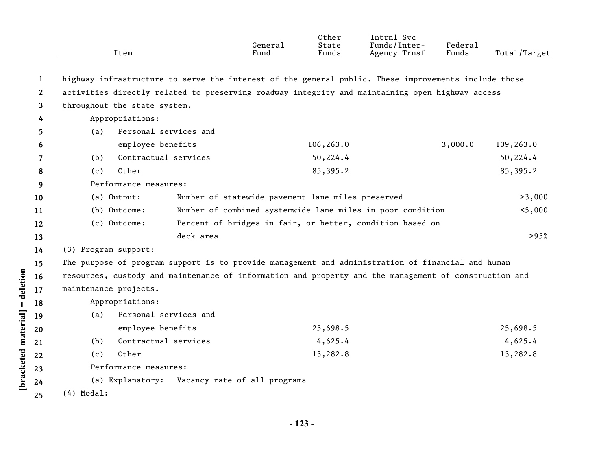|                       | Item                                                                                                  |                              | General<br>Fund | Other<br>State<br>Funds | Intrnl Svc<br>Funds/Inter-<br>Agency Trnsf | Federal<br>Funds | Total/Target |
|-----------------------|-------------------------------------------------------------------------------------------------------|------------------------------|-----------------|-------------------------|--------------------------------------------|------------------|--------------|
|                       |                                                                                                       |                              |                 |                         |                                            |                  |              |
| 1                     | highway infrastructure to serve the interest of the general public. These improvements include those  |                              |                 |                         |                                            |                  |              |
| $\mathbf{2}^{\prime}$ | activities directly related to preserving roadway integrity and maintaining open highway access       |                              |                 |                         |                                            |                  |              |
| 3                     | throughout the state system.                                                                          |                              |                 |                         |                                            |                  |              |
| 4                     | Appropriations:                                                                                       |                              |                 |                         |                                            |                  |              |
| 5                     | Personal services and<br>(a)                                                                          |                              |                 |                         |                                            |                  |              |
| 6                     | employee benefits                                                                                     |                              |                 | 106,263.0               |                                            | 3,000.0          | 109,263.0    |
| 7                     | Contractual services<br>(b)                                                                           |                              |                 | 50,224.4                |                                            |                  | 50,224.4     |
| 8                     | Other<br>(c)                                                                                          |                              |                 | 85,395.2                |                                            |                  | 85,395.2     |
| 9                     | Performance measures:                                                                                 |                              |                 |                         |                                            |                  |              |
| 10                    | Number of statewide pavement lane miles preserved<br>(a) Output:                                      |                              |                 |                         |                                            | >3,000           |              |
| 11                    | (b) Outcome:<br>Number of combined systemwide lane miles in poor condition                            |                              |                 |                         |                                            | $5,000$          |              |
| 12                    | Percent of bridges in fair, or better, condition based on<br>(c) Outcome:                             |                              |                 |                         |                                            |                  |              |
| 13                    |                                                                                                       | deck area                    |                 |                         |                                            |                  | >95%         |
| 14                    | (3) Program support:                                                                                  |                              |                 |                         |                                            |                  |              |
| 15                    | The purpose of program support is to provide management and administration of financial and human     |                              |                 |                         |                                            |                  |              |
| 16                    | resources, custody and maintenance of information and property and the management of construction and |                              |                 |                         |                                            |                  |              |
| 17                    | maintenance projects.                                                                                 |                              |                 |                         |                                            |                  |              |
| 18                    | Appropriations:                                                                                       |                              |                 |                         |                                            |                  |              |
| 19                    | Personal services and<br>(a)                                                                          |                              |                 |                         |                                            |                  |              |
| 20                    | employee benefits                                                                                     |                              |                 | 25,698.5                |                                            |                  | 25,698.5     |
| 21                    | Contractual services<br>(b)                                                                           |                              |                 | 4,625.4                 |                                            |                  | 4,625.4      |
| 22                    | Other<br>(c)                                                                                          |                              |                 | 13,282.8                |                                            |                  | 13,282.8     |
| 23                    | Performance measures:                                                                                 |                              |                 |                         |                                            |                  |              |
| 24                    | (a) Explanatory:                                                                                      | Vacancy rate of all programs |                 |                         |                                            |                  |              |
| 25                    | $(4)$ Modal:                                                                                          |                              |                 |                         |                                            |                  |              |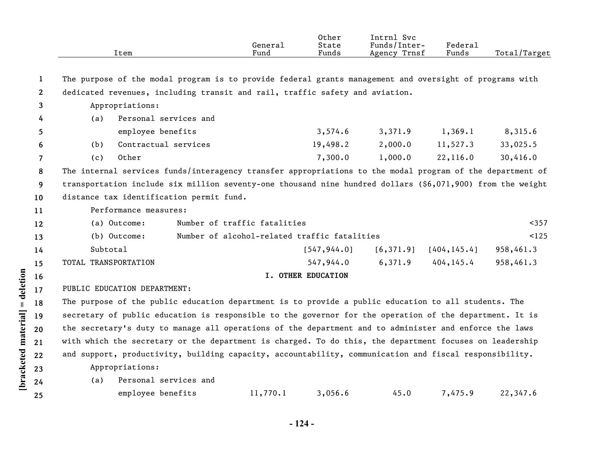|                       | Item                                                                                                                                                                                                                    | General<br>Fund              | Other<br>State<br>Funds | Intrnl Svc<br>Funds/Inter-<br>Agency Trnsf | Federal<br>Funds | Total/Target |  |  |
|-----------------------|-------------------------------------------------------------------------------------------------------------------------------------------------------------------------------------------------------------------------|------------------------------|-------------------------|--------------------------------------------|------------------|--------------|--|--|
| 1                     | The purpose of the modal program is to provide federal grants management and oversight of programs with                                                                                                                 |                              |                         |                                            |                  |              |  |  |
| $\mathbf{2}^{\prime}$ | dedicated revenues, including transit and rail, traffic safety and aviation.                                                                                                                                            |                              |                         |                                            |                  |              |  |  |
| 3                     | Appropriations:                                                                                                                                                                                                         |                              |                         |                                            |                  |              |  |  |
|                       | Personal services and<br>(a)                                                                                                                                                                                            |                              |                         |                                            |                  |              |  |  |
| 4                     |                                                                                                                                                                                                                         |                              | 3,574.6                 | 3,371.9                                    | 1,369.1          | 8,315.6      |  |  |
| 5                     | employee benefits                                                                                                                                                                                                       |                              |                         |                                            |                  |              |  |  |
| 6                     | Contractual services<br>(b)                                                                                                                                                                                             |                              | 19,498.2                | 2,000.0                                    | 11,527.3         | 33,025.5     |  |  |
| $\overline{7}$        | Other<br>(c)                                                                                                                                                                                                            |                              | 7,300.0                 | 1,000.0                                    | 22,116.0         | 30,416.0     |  |  |
| 8                     | The internal services funds/interagency transfer appropriations to the modal program of the department of<br>transportation include six million seventy-one thousand nine hundred dollars (\$6,071,900) from the weight |                              |                         |                                            |                  |              |  |  |
| 9                     |                                                                                                                                                                                                                         |                              |                         |                                            |                  |              |  |  |
| 10                    | distance tax identification permit fund.                                                                                                                                                                                |                              |                         |                                            |                  |              |  |  |
| 11                    | Performance measures:                                                                                                                                                                                                   |                              |                         |                                            |                  |              |  |  |
| 12                    | (a) Outcome:                                                                                                                                                                                                            | Number of traffic fatalities |                         |                                            |                  | $357$        |  |  |
| 13                    | Number of alcohol-related traffic fatalities<br>(b) Outcome:                                                                                                                                                            |                              |                         |                                            |                  |              |  |  |
| 14                    | Subtotal                                                                                                                                                                                                                |                              |                         | $[547, 944.0]$ $[6, 371.9]$                | [404, 145.4]     | 958,461.3    |  |  |
| 15                    | TOTAL TRANSPORTATION                                                                                                                                                                                                    |                              | 547,944.0               | 6,371.9                                    | 404, 145.4       | 958,461.3    |  |  |
| 16                    |                                                                                                                                                                                                                         |                              | I. OTHER EDUCATION      |                                            |                  |              |  |  |
| 17                    | PUBLIC EDUCATION DEPARTMENT:                                                                                                                                                                                            |                              |                         |                                            |                  |              |  |  |
| 18                    | The purpose of the public education department is to provide a public education to all students. The                                                                                                                    |                              |                         |                                            |                  |              |  |  |
| 19                    | secretary of public education is responsible to the governor for the operation of the department. It is                                                                                                                 |                              |                         |                                            |                  |              |  |  |
| 20                    | the secretary's duty to manage all operations of the department and to administer and enforce the laws                                                                                                                  |                              |                         |                                            |                  |              |  |  |
| 21                    | with which the secretary or the department is charged. To do this, the department focuses on leadership                                                                                                                 |                              |                         |                                            |                  |              |  |  |
| 22                    | and support, productivity, building capacity, accountability, communication and fiscal responsibility.                                                                                                                  |                              |                         |                                            |                  |              |  |  |
|                       | Appropriations:                                                                                                                                                                                                         |                              |                         |                                            |                  |              |  |  |
| 23                    | Personal services and<br>(a)                                                                                                                                                                                            |                              |                         |                                            |                  |              |  |  |
| 24                    |                                                                                                                                                                                                                         | 11,770.1                     |                         | 45.0                                       | 7,475.9          | 22,347.6     |  |  |
| 25                    | employee benefits                                                                                                                                                                                                       |                              | 3,056.6                 |                                            |                  |              |  |  |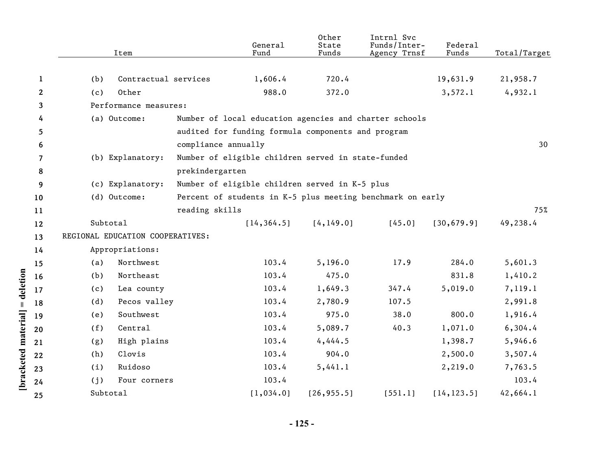|              | Item                             |                      | General<br>Fund                                    | Other<br>State<br>Funds | Intrnl Svc<br>Funds/Inter-<br>Agency Trnsf                 | Federal<br>Funds | Total/Target |
|--------------|----------------------------------|----------------------|----------------------------------------------------|-------------------------|------------------------------------------------------------|------------------|--------------|
|              |                                  |                      |                                                    |                         |                                                            |                  |              |
| $\mathbf{1}$ | (b)                              | Contractual services | 1,606.4                                            | 720.4                   |                                                            | 19,631.9         | 21,958.7     |
| 2            | Other<br>(c)                     |                      | 988.0                                              | 372.0                   |                                                            | 3,572.1          | 4,932.1      |
| 3            | Performance measures:            |                      |                                                    |                         |                                                            |                  |              |
| 4            | (a) Outcome:                     |                      |                                                    |                         | Number of local education agencies and charter schools     |                  |              |
| 5            |                                  |                      | audited for funding formula components and program |                         |                                                            |                  |              |
| 6            |                                  | compliance annually  |                                                    |                         |                                                            |                  | 30           |
| 7            | (b) Explanatory:                 |                      | Number of eligible children served in state-funded |                         |                                                            |                  |              |
| 8            |                                  | prekindergarten      |                                                    |                         |                                                            |                  |              |
| 9            | (c) Explanatory:                 |                      | Number of eligible children served in K-5 plus     |                         |                                                            |                  |              |
| 10           | (d) Outcome:                     |                      |                                                    |                         | Percent of students in K-5 plus meeting benchmark on early |                  |              |
| 11           |                                  | reading skills       |                                                    |                         |                                                            |                  | 75%          |
| 12           | Subtotal                         |                      | [14, 364.5]                                        | [4, 149.0]              | [45.0]                                                     | [30, 679.9]      | 49,238.4     |
| 13           | REGIONAL EDUCATION COOPERATIVES: |                      |                                                    |                         |                                                            |                  |              |
| 14           | Appropriations:                  |                      |                                                    |                         |                                                            |                  |              |
| 15           | Northwest<br>(a)                 |                      | 103.4                                              | 5, 196.0                | 17.9                                                       | 284.0            | 5,601.3      |
| 16           | Northeast<br>(b)                 |                      | 103.4                                              | 475.0                   |                                                            | 831.8            | 1,410.2      |
| 17           | Lea county<br>(c)                |                      | 103.4                                              | 1,649.3                 | 347.4                                                      | 5,019.0          | 7,119.1      |
| 18           | (d)<br>Pecos valley              |                      | 103.4                                              | 2,780.9                 | 107.5                                                      |                  | 2,991.8      |
| 19           | Southwest<br>(e)                 |                      | 103.4                                              | 975.0                   | 38.0                                                       | 800.0            | 1,916.4      |
| 20           | Central<br>(f)                   |                      | 103.4                                              | 5,089.7                 | 40.3                                                       | 1,071.0          | 6,304.4      |
| 21           | High plains<br>(g)               |                      | 103.4                                              | 4,444.5                 |                                                            | 1,398.7          | 5,946.6      |
| 22           | (h)<br>Clovis                    |                      | 103.4                                              | 904.0                   |                                                            | 2,500.0          | 3,507.4      |
| 23           | Ruidoso<br>(i)                   |                      | 103.4                                              | 5,441.1                 |                                                            | 2,219.0          | 7,763.5      |
| 24           | Four corners<br>(j)              |                      | 103.4                                              |                         |                                                            |                  | 103.4        |
| 25           | Subtotal                         |                      | [1,034.0]                                          | [26, 955.5]             | [551.1]                                                    | [14, 123.5]      | 42,664.1     |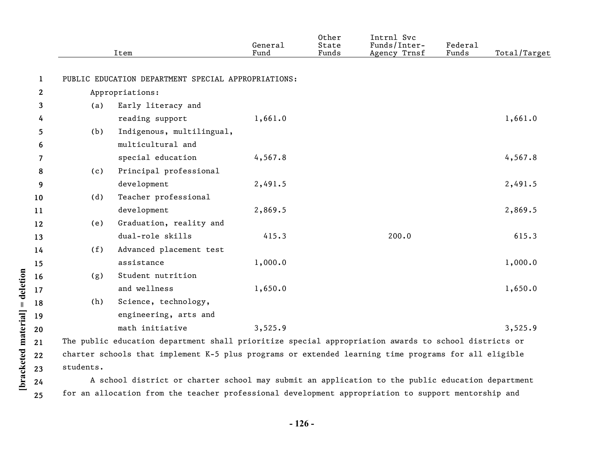|              |     | Item                                                                                                 | General<br>Fund | Other<br>State<br>Funds | Intrnl Svc<br>Funds/Inter-<br>Agency Trnsf | Federal<br>Funds | Total/Target |
|--------------|-----|------------------------------------------------------------------------------------------------------|-----------------|-------------------------|--------------------------------------------|------------------|--------------|
| $\mathbf{1}$ |     | PUBLIC EDUCATION DEPARTMENT SPECIAL APPROPRIATIONS:                                                  |                 |                         |                                            |                  |              |
| $\mathbf{2}$ |     | Appropriations:                                                                                      |                 |                         |                                            |                  |              |
| 3            | (a) | Early literacy and                                                                                   |                 |                         |                                            |                  |              |
| 4            |     | reading support                                                                                      | 1,661.0         |                         |                                            |                  | 1,661.0      |
| 5            | (b) | Indigenous, multilingual,                                                                            |                 |                         |                                            |                  |              |
| 6            |     | multicultural and                                                                                    |                 |                         |                                            |                  |              |
| 7            |     | special education                                                                                    | 4,567.8         |                         |                                            |                  | 4,567.8      |
| 8            | (c) | Principal professional                                                                               |                 |                         |                                            |                  |              |
| 9            |     | development                                                                                          | 2,491.5         |                         |                                            |                  | 2,491.5      |
| 10           | (d) | Teacher professional                                                                                 |                 |                         |                                            |                  |              |
| 11           |     | development                                                                                          | 2,869.5         |                         |                                            |                  | 2,869.5      |
| 12           | (e) | Graduation, reality and                                                                              |                 |                         |                                            |                  |              |
| 13           |     | dual-role skills                                                                                     | 415.3           |                         | 200.0                                      |                  | 615.3        |
| 14           | (f) | Advanced placement test                                                                              |                 |                         |                                            |                  |              |
| 15           |     | assistance                                                                                           | 1,000.0         |                         |                                            |                  | 1,000.0      |
| 16           | (g) | Student nutrition                                                                                    |                 |                         |                                            |                  |              |
| 17           |     | and wellness                                                                                         | 1,650.0         |                         |                                            |                  | 1,650.0      |
| 18           | (h) | Science, technology,                                                                                 |                 |                         |                                            |                  |              |
| 19           |     | engineering, arts and                                                                                |                 |                         |                                            |                  |              |
| 20           |     | math initiative                                                                                      | 3,525.9         |                         |                                            |                  | 3,525.9      |
| 21           |     | The public education department shall prioritize special appropriation awards to school districts or |                 |                         |                                            |                  |              |
|              |     |                                                                                                      |                 |                         |                                            |                  |              |

**22 23** charter schools that implement K-5 plus programs or extended learning time programs for all eligible students.

**[bracketed material] = deletion**

[bracketed material] = deletion

**24 25**

A school district or charter school may submit an application to the public education department for an allocation from the teacher professional development appropriation to support mentorship and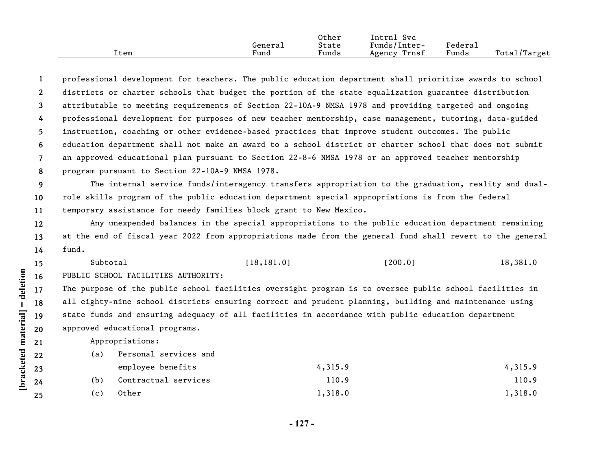|      |         | Other | Intrnl<br><b>Svc</b>          |                         |                              |
|------|---------|-------|-------------------------------|-------------------------|------------------------------|
|      | Generai | State | $\mathbf{r}$<br>- Funds/Inter | $r_{\text{edera}\perp}$ |                              |
| Item | Fund    | Funds | Trnsf<br>Agency               | Funds                   | Total <sub>l</sub><br>Target |

**1 2 3 4 5 6 7 8** professional development for teachers. The public education department shall prioritize awards to school districts or charter schools that budget the portion of the state equalization guarantee distribution attributable to meeting requirements of Section 22-10A-9 NMSA 1978 and providing targeted and ongoing professional development for purposes of new teacher mentorship, case management, tutoring, data-guided instruction, coaching or other evidence-based practices that improve student outcomes. The public education department shall not make an award to a school district or charter school that does not submit an approved educational plan pursuant to Section 22-8-6 NMSA 1978 or an approved teacher mentorship program pursuant to Section 22-10A-9 NMSA 1978.

**9 10 11** The internal service funds/interagency transfers appropriation to the graduation, reality and dualrole skills program of the public education department special appropriations is from the federal temporary assistance for needy families block grant to New Mexico.

**12 13 14** Any unexpended balances in the special appropriations to the public education department remaining at the end of fiscal year 2022 from appropriations made from the general fund shall revert to the general fund.

Subtotal [18,181.0] [200.0] 18,381.0

**16** PUBLIC SCHOOL FACILITIES AUTHORITY:

**17 18 19 20** The purpose of the public school facilities oversight program is to oversee public school facilities in all eighty-nine school districts ensuring correct and prudent planning, building and maintenance using state funds and ensuring adequacy of all facilities in accordance with public education department approved educational programs.

Appropriations:

(a) Personal services and

**[bracketed material] = deletion**

 $[\text{bracketed material}] = \text{detection}$ 

**15**

- employee benefits 4,315.9 4,315.9 (b) Contractual services 110.9 110.9 110.9
- (c) Other 1,318.0 1,318.0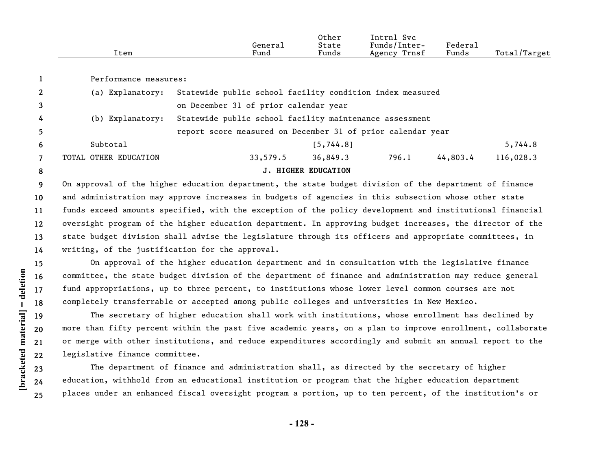|      |         | Other | $\sim$ $\sim$<br>lntrn.<br>Svc |            |                  |
|------|---------|-------|--------------------------------|------------|------------------|
|      | Genera⊥ | State | Funds/Inter-                   | $"$ edera⊥ |                  |
| ltem | Fund    | Funds | Trnsf<br>Agency                | Funds      | Total,<br>Target |

Performance measures:

| 8              |                       |                                                             | <b>J. HIGHER EDUCATION</b> |       |          |           |
|----------------|-----------------------|-------------------------------------------------------------|----------------------------|-------|----------|-----------|
|                | TOTAL OTHER EDUCATION | 33,579.5                                                    | 36,849.3                   | 796.1 | 44,803.4 | 116,028.3 |
| 6              | Subtotal              |                                                             | [5, 744.8]                 |       |          | 5,744.8   |
| 5 <sup>5</sup> |                       | report score measured on December 31 of prior calendar year |                            |       |          |           |
| 4              | (b) Explanatory:      | Statewide public school facility maintenance assessment     |                            |       |          |           |
| 3              |                       | on December 31 of prior calendar year                       |                            |       |          |           |
| $2^{\circ}$    | (a) Explanatory:      | Statewide public school facility condition index measured   |                            |       |          |           |

**9 10 11 12 13 14** On approval of the higher education department, the state budget division of the department of finance and administration may approve increases in budgets of agencies in this subsection whose other state funds exceed amounts specified, with the exception of the policy development and institutional financial oversight program of the higher education department. In approving budget increases, the director of the state budget division shall advise the legislature through its officers and appropriate committees, in writing, of the justification for the approval.

On approval of the higher education department and in consultation with the legislative finance committee, the state budget division of the department of finance and administration may reduce general fund appropriations, up to three percent, to institutions whose lower level common courses are not completely transferrable or accepted among public colleges and universities in New Mexico.

The secretary of higher education shall work with institutions, whose enrollment has declined by more than fifty percent within the past five academic years, on a plan to improve enrollment, collaborate or merge with other institutions, and reduce expenditures accordingly and submit an annual report to the legislative finance committee.

The department of finance and administration shall, as directed by the secretary of higher education, withhold from an educational institution or program that the higher education department places under an enhanced fiscal oversight program a portion, up to ten percent, of the institution's or

[bracketed material] = deletion **[bracketed material] = deletion**

**1**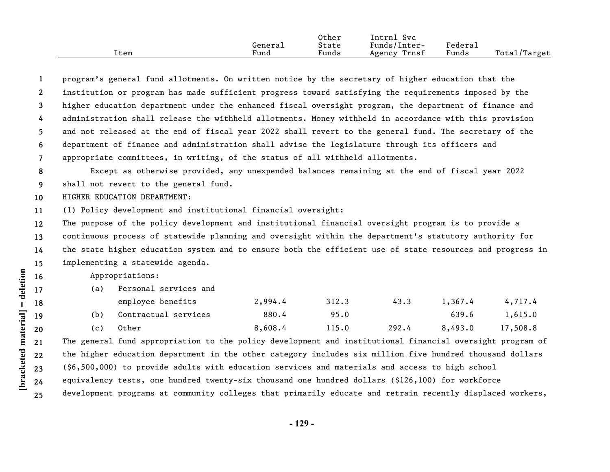|      |         | Other | Svc<br>Intrnl   |         |              |
|------|---------|-------|-----------------|---------|--------------|
|      | Generai | State | Funds/Inter-    | Federal |              |
| ⊥tem | Fund    | Funds | Trnsf<br>Agency | Funds   | Total/Target |

**1 2 3 4 5 6 7** program's general fund allotments. On written notice by the secretary of higher education that the institution or program has made sufficient progress toward satisfying the requirements imposed by the higher education department under the enhanced fiscal oversight program, the department of finance and administration shall release the withheld allotments. Money withheld in accordance with this provision and not released at the end of fiscal year 2022 shall revert to the general fund. The secretary of the department of finance and administration shall advise the legislature through its officers and appropriate committees, in writing, of the status of all withheld allotments.

**8 9** Except as otherwise provided, any unexpended balances remaining at the end of fiscal year 2022 shall not revert to the general fund.

**10** HIGHER EDUCATION DEPARTMENT:

**11** (1) Policy development and institutional financial oversight:

**12 13 14 15** The purpose of the policy development and institutional financial oversight program is to provide a continuous process of statewide planning and oversight within the department's statutory authority for the state higher education system and to ensure both the efficient use of state resources and progress in implementing a statewide agenda.

Appropriations:

| (a) | Personal services and |         |       |       |         |          |  |  |  |
|-----|-----------------------|---------|-------|-------|---------|----------|--|--|--|
|     | employee benefits     | 2,994.4 | 312.3 | 43.3  | 1,367.4 | 4,717.4  |  |  |  |
| (b) | Contractual services  | 880.4   | 95.0  |       | 639.6   | 1,615.0  |  |  |  |
| (c) | Other                 | 8,608.4 | 115.0 | 292.4 | 8,493.0 | 17,508.8 |  |  |  |

**21 22 23 24 25** The general fund appropriation to the policy development and institutional financial oversight program of the higher education department in the other category includes six million five hundred thousand dollars (\$6,500,000) to provide adults with education services and materials and access to high school equivalency tests, one hundred twenty-six thousand one hundred dollars (\$126,100) for workforce development programs at community colleges that primarily educate and retrain recently displaced workers,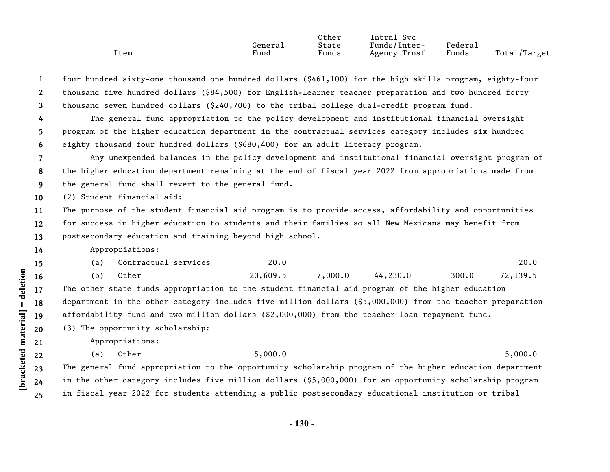|      |         | Other | Svc<br>'ntrnl   |                     |              |
|------|---------|-------|-----------------|---------------------|--------------|
|      | General | State | Funds/Inter-    | Federa <sub>1</sub> |              |
| Item | Fund    | Funds | Trnsf<br>Agency | Funds               | Total/Target |

|                                                                                                                                                                                                                        | $\mathbf{1}$                                                   | four hundred sixty-one thousand one hundred dollars (\$461,100) for the high skills program, eighty-four  |  |  |  |  |  |  |   |                                                                                                                                                                                            |  |
|------------------------------------------------------------------------------------------------------------------------------------------------------------------------------------------------------------------------|----------------------------------------------------------------|-----------------------------------------------------------------------------------------------------------|--|--|--|--|--|--|---|--------------------------------------------------------------------------------------------------------------------------------------------------------------------------------------------|--|
|                                                                                                                                                                                                                        | $\mathbf{2}$                                                   | thousand five hundred dollars (\$84,500) for English-learner teacher preparation and two hundred forty    |  |  |  |  |  |  |   |                                                                                                                                                                                            |  |
|                                                                                                                                                                                                                        | 3                                                              | thousand seven hundred dollars (\$240,700) to the tribal college dual-credit program fund.                |  |  |  |  |  |  |   |                                                                                                                                                                                            |  |
|                                                                                                                                                                                                                        | 4                                                              | The general fund appropriation to the policy development and institutional financial oversight            |  |  |  |  |  |  |   |                                                                                                                                                                                            |  |
|                                                                                                                                                                                                                        | 5                                                              | program of the higher education department in the contractual services category includes six hundred      |  |  |  |  |  |  |   |                                                                                                                                                                                            |  |
|                                                                                                                                                                                                                        | 6                                                              | eighty thousand four hundred dollars (\$680,400) for an adult literacy program.                           |  |  |  |  |  |  |   |                                                                                                                                                                                            |  |
| Any unexpended balances in the policy development and institutional financial oversight program of<br>7<br>the higher education department remaining at the end of fiscal year 2022 from appropriations made from<br>8 |                                                                |                                                                                                           |  |  |  |  |  |  |   |                                                                                                                                                                                            |  |
|                                                                                                                                                                                                                        |                                                                |                                                                                                           |  |  |  |  |  |  | 9 | the general fund shall revert to the general fund.<br>(2) Student financial aid:<br>The purpose of the student financial aid program is to provide access, affordability and opportunities |  |
|                                                                                                                                                                                                                        | 10 <sup>°</sup>                                                |                                                                                                           |  |  |  |  |  |  |   |                                                                                                                                                                                            |  |
|                                                                                                                                                                                                                        | 11                                                             |                                                                                                           |  |  |  |  |  |  |   |                                                                                                                                                                                            |  |
| for success in higher education to students and their families so all New Mexicans may benefit from<br>12                                                                                                              |                                                                |                                                                                                           |  |  |  |  |  |  |   |                                                                                                                                                                                            |  |
|                                                                                                                                                                                                                        | postsecondary education and training beyond high school.<br>13 |                                                                                                           |  |  |  |  |  |  |   |                                                                                                                                                                                            |  |
|                                                                                                                                                                                                                        | 14                                                             | Appropriations:                                                                                           |  |  |  |  |  |  |   |                                                                                                                                                                                            |  |
|                                                                                                                                                                                                                        | 15                                                             | 20.0<br>20.0<br>Contractual services<br>(a)                                                               |  |  |  |  |  |  |   |                                                                                                                                                                                            |  |
| deletion                                                                                                                                                                                                               | 16                                                             | Other<br>20,609.5<br>7,000.0<br>44, 230.0<br>300.0<br>72,139.5<br>(b)                                     |  |  |  |  |  |  |   |                                                                                                                                                                                            |  |
|                                                                                                                                                                                                                        | 17                                                             | The other state funds appropriation to the student financial aid program of the higher education          |  |  |  |  |  |  |   |                                                                                                                                                                                            |  |
|                                                                                                                                                                                                                        | 18                                                             | department in the other category includes five million dollars (\$5,000,000) from the teacher preparation |  |  |  |  |  |  |   |                                                                                                                                                                                            |  |
|                                                                                                                                                                                                                        | 19                                                             | affordability fund and two million dollars (\$2,000,000) from the teacher loan repayment fund.            |  |  |  |  |  |  |   |                                                                                                                                                                                            |  |
|                                                                                                                                                                                                                        | 20                                                             | (3) The opportunity scholarship:                                                                          |  |  |  |  |  |  |   |                                                                                                                                                                                            |  |
|                                                                                                                                                                                                                        | 21                                                             | Appropriations:                                                                                           |  |  |  |  |  |  |   |                                                                                                                                                                                            |  |
|                                                                                                                                                                                                                        | 22                                                             | Other<br>5,000.0<br>5,000.0<br>(a)                                                                        |  |  |  |  |  |  |   |                                                                                                                                                                                            |  |
| bracketed material                                                                                                                                                                                                     | 23                                                             | The general fund appropriation to the opportunity scholarship program of the higher education department  |  |  |  |  |  |  |   |                                                                                                                                                                                            |  |
|                                                                                                                                                                                                                        | 24                                                             | in the other category includes five million dollars (\$5,000,000) for an opportunity scholarship program  |  |  |  |  |  |  |   |                                                                                                                                                                                            |  |
|                                                                                                                                                                                                                        | 25                                                             | in fiscal year 2022 for students attending a public postsecondary educational institution or tribal       |  |  |  |  |  |  |   |                                                                                                                                                                                            |  |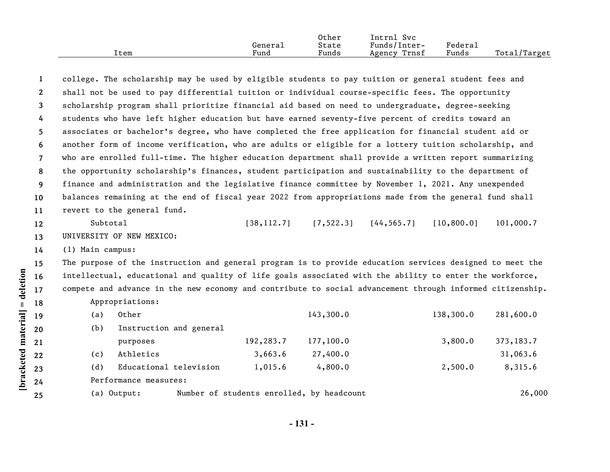|      |         | Other | Intrnl<br><b>Svc</b> |         |                    |
|------|---------|-------|----------------------|---------|--------------------|
|      | Generai | State | Funds/Inter-         | Federa⊥ |                    |
| Item | Fund    | Funds | Trnsf<br>Agency      | Funds   | Total/<br>'Target' |

| 1              | college. The scholarship may be used by eligible students to pay tuition or general student fees and      |                                           |                                          |  |             |            |  |  |
|----------------|-----------------------------------------------------------------------------------------------------------|-------------------------------------------|------------------------------------------|--|-------------|------------|--|--|
| $2^{\circ}$    | shall not be used to pay differential tuition or individual course-specific fees. The opportunity         |                                           |                                          |  |             |            |  |  |
| 3              | scholarship program shall prioritize financial aid based on need to undergraduate, degree-seeking         |                                           |                                          |  |             |            |  |  |
| 4              | students who have left higher education but have earned seventy-five percent of credits toward an         |                                           |                                          |  |             |            |  |  |
| 5              | associates or bachelor's degree, who have completed the free application for financial student aid or     |                                           |                                          |  |             |            |  |  |
| 6              | another form of income verification, who are adults or eligible for a lottery tuition scholarship, and    |                                           |                                          |  |             |            |  |  |
| $\overline{7}$ | who are enrolled full-time. The higher education department shall provide a written report summarizing    |                                           |                                          |  |             |            |  |  |
| 8              | the opportunity scholarship's finances, student participation and sustainability to the department of     |                                           |                                          |  |             |            |  |  |
| 9              | finance and administration and the legislative finance committee by November 1, 2021. Any unexpended      |                                           |                                          |  |             |            |  |  |
| 10             | balances remaining at the end of fiscal year 2022 from appropriations made from the general fund shall    |                                           |                                          |  |             |            |  |  |
| 11             | revert to the general fund.                                                                               |                                           |                                          |  |             |            |  |  |
| 12             | Subtotal                                                                                                  |                                           | $[38, 112.7]$ $[7, 522.3]$ $[44, 565.7]$ |  | [10, 800.0] | 101,000.7  |  |  |
| 13             | UNIVERSITY OF NEW MEXICO:                                                                                 |                                           |                                          |  |             |            |  |  |
| 14             | (1) Main campus:                                                                                          |                                           |                                          |  |             |            |  |  |
| 15             | The purpose of the instruction and general program is to provide education services designed to meet the  |                                           |                                          |  |             |            |  |  |
| 16             | intellectual, educational and quality of life goals associated with the ability to enter the workforce,   |                                           |                                          |  |             |            |  |  |
| 17             | compete and advance in the new economy and contribute to social advancement through informed citizenship. |                                           |                                          |  |             |            |  |  |
| 18             | Appropriations:                                                                                           |                                           |                                          |  |             |            |  |  |
| 19             | Other<br>(a)                                                                                              |                                           | 143,300.0                                |  | 138,300.0   | 281,600.0  |  |  |
| 20             | Instruction and general<br>(b)                                                                            |                                           |                                          |  |             |            |  |  |
| 21             | purposes                                                                                                  | 192,283.7                                 | 177,100.0                                |  | 3,800.0     | 373, 183.7 |  |  |
| 22             | Athletics<br>(c)                                                                                          | 3,663.6                                   | 27,400.0                                 |  |             | 31,063.6   |  |  |
| 23             | Educational television<br>(d)                                                                             | 1,015.6                                   | 4,800.0                                  |  | 2,500.0     | 8,315.6    |  |  |
| 24             | Performance measures:                                                                                     |                                           |                                          |  |             |            |  |  |
| 25             | (a) Output:                                                                                               | Number of students enrolled, by headcount |                                          |  |             | 26,000     |  |  |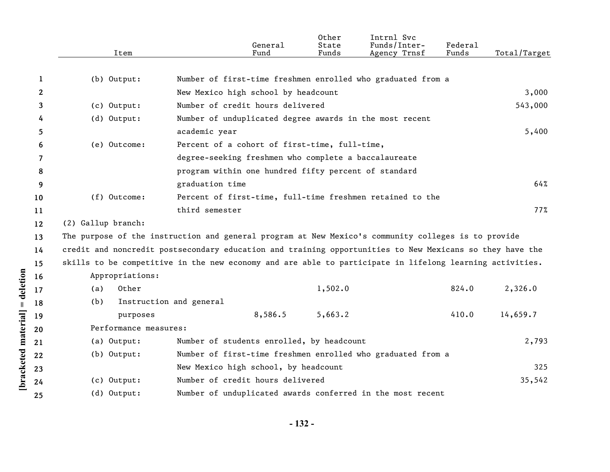|              | Item                  | General<br>Fund                                                                                          | Other<br>State<br>Funds | Intrnl Svc<br>Funds/Inter-<br>Agency Trnsf | Federal<br>Funds | Total/Target |
|--------------|-----------------------|----------------------------------------------------------------------------------------------------------|-------------------------|--------------------------------------------|------------------|--------------|
|              |                       |                                                                                                          |                         |                                            |                  |              |
| 1            | $(b)$ Output:         | Number of first-time freshmen enrolled who graduated from a                                              |                         |                                            |                  |              |
| $\mathbf{2}$ |                       | New Mexico high school by headcount                                                                      |                         |                                            |                  | 3,000        |
| 3            | (c) Output:           | Number of credit hours delivered                                                                         |                         |                                            |                  | 543,000      |
| 4            | $(d)$ Output:         | Number of unduplicated degree awards in the most recent                                                  |                         |                                            |                  |              |
| 5            |                       | academic year                                                                                            |                         |                                            |                  | 5,400        |
| 6            | (e) Outcome:          | Percent of a cohort of first-time, full-time,                                                            |                         |                                            |                  |              |
| 7            |                       | degree-seeking freshmen who complete a baccalaureate                                                     |                         |                                            |                  |              |
| 8            |                       | program within one hundred fifty percent of standard                                                     |                         |                                            |                  |              |
| 9            |                       | graduation time                                                                                          |                         |                                            |                  | 64%          |
| 10           | (f) Outcome:          | Percent of first-time, full-time freshmen retained to the                                                |                         |                                            |                  |              |
| 11           |                       | third semester                                                                                           |                         |                                            |                  | 77%          |
| 12           | (2) Gallup branch:    |                                                                                                          |                         |                                            |                  |              |
| 13           |                       | The purpose of the instruction and general program at New Mexico's community colleges is to provide      |                         |                                            |                  |              |
| 14           |                       | credit and noncredit postsecondary education and training opportunities to New Mexicans so they have the |                         |                                            |                  |              |
| 15           |                       | skills to be competitive in the new economy and are able to participate in lifelong learning activities. |                         |                                            |                  |              |
| 16           | Appropriations:       |                                                                                                          |                         |                                            |                  |              |
| 17           | Other<br>(a)          |                                                                                                          | 1,502.0                 |                                            | 824.0            | 2,326.0      |
| 18           | (b)                   | Instruction and general                                                                                  |                         |                                            |                  |              |
| 19           | purposes              | 8,586.5                                                                                                  | 5,663.2                 |                                            | 410.0            | 14,659.7     |
| 20           | Performance measures: |                                                                                                          |                         |                                            |                  |              |
| 21           | (a) Output:           | Number of students enrolled, by headcount                                                                |                         |                                            |                  | 2,793        |
| 22           | $(b)$ Output:         | Number of first-time freshmen enrolled who graduated from a                                              |                         |                                            |                  |              |
| 23           |                       | New Mexico high school, by headcount                                                                     |                         |                                            |                  | 325          |
| 24           | (c) Output:           | Number of credit hours delivered                                                                         |                         |                                            |                  | 35,542       |
| 25           | (d) Output:           | Number of unduplicated awards conferred in the most recent                                               |                         |                                            |                  |              |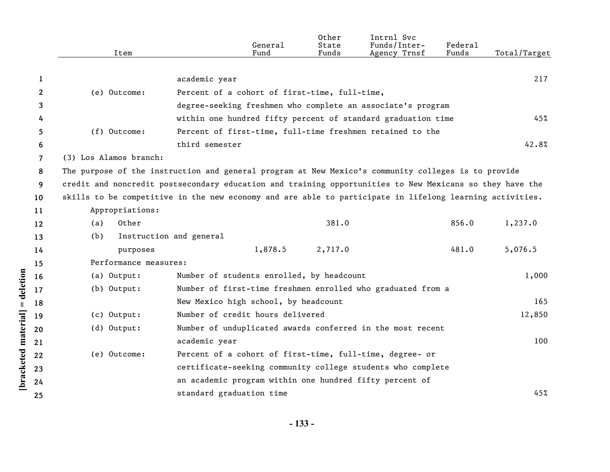|              | Item                   | General<br>Fund                                                                                          | Other<br>State<br>Funds | Intrnl Svc<br>Funds/Inter-<br>Agency Trnsf | Federal<br>Funds | Total/Target |
|--------------|------------------------|----------------------------------------------------------------------------------------------------------|-------------------------|--------------------------------------------|------------------|--------------|
|              |                        |                                                                                                          |                         |                                            |                  |              |
| 1            |                        | academic year                                                                                            |                         |                                            |                  | 217          |
| $\mathbf{2}$ | (e) Outcome:           | Percent of a cohort of first-time, full-time,                                                            |                         |                                            |                  |              |
| 3            |                        | degree-seeking freshmen who complete an associate's program                                              |                         |                                            |                  |              |
| 4            |                        | within one hundred fifty percent of standard graduation time                                             |                         |                                            |                  | 45%          |
| 5            | (f) Outcome:           | Percent of first-time, full-time freshmen retained to the                                                |                         |                                            |                  |              |
| 6            |                        | third semester                                                                                           |                         |                                            |                  | 42.8%        |
| 7            | (3) Los Alamos branch: |                                                                                                          |                         |                                            |                  |              |
| 8            |                        | The purpose of the instruction and general program at New Mexico's community colleges is to provide      |                         |                                            |                  |              |
| 9            |                        | credit and noncredit postsecondary education and training opportunities to New Mexicans so they have the |                         |                                            |                  |              |
| 10           |                        | skills to be competitive in the new economy and are able to participate in lifelong learning activities. |                         |                                            |                  |              |
| 11           | Appropriations:        |                                                                                                          |                         |                                            |                  |              |
| 12           | Other<br>(a)           |                                                                                                          | 381.0                   |                                            | 856.0            | 1,237.0      |
| 13           | (b)                    | Instruction and general                                                                                  |                         |                                            |                  |              |
| 14           | purposes               | 1,878.5                                                                                                  | 2,717.0                 |                                            | 481.0            | 5,076.5      |
| 15           | Performance measures:  |                                                                                                          |                         |                                            |                  |              |
| 16           | (a) Output:            | Number of students enrolled, by headcount                                                                |                         |                                            |                  | 1,000        |
| 17           | (b) Output:            | Number of first-time freshmen enrolled who graduated from a                                              |                         |                                            |                  |              |
| 18           |                        | New Mexico high school, by headcount                                                                     |                         |                                            |                  | 165          |
| 19           | (c) Output:            | Number of credit hours delivered                                                                         |                         |                                            |                  | 12,850       |
| 20           | (d) Output:            | Number of unduplicated awards conferred in the most recent                                               |                         |                                            |                  |              |
| 21           |                        | academic year                                                                                            |                         |                                            |                  | 100          |
| 22           | (e) Outcome:           | Percent of a cohort of first-time, full-time, degree- or                                                 |                         |                                            |                  |              |
| 23           |                        | certificate-seeking community college students who complete                                              |                         |                                            |                  |              |
| 24           |                        | an academic program within one hundred fifty percent of                                                  |                         |                                            |                  |              |
| 25           |                        | standard graduation time                                                                                 |                         |                                            |                  | 45%          |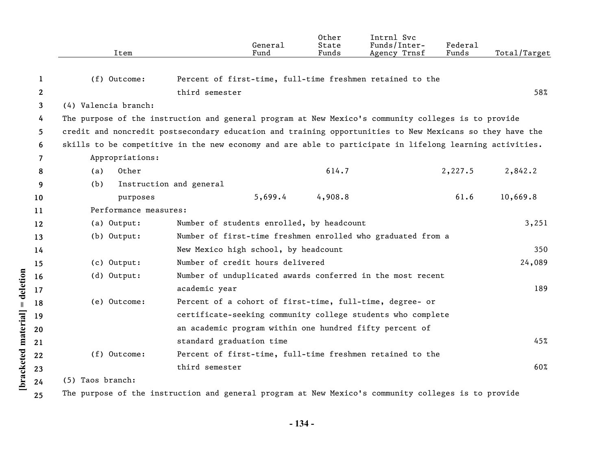|                      |                                                                                                                | Item                                                                                                | General<br>Fund                                                                                          | Other<br>State<br>Funds | Intrnl Svc<br>Funds/Inter-<br>Agency Trnsf | Federal<br>Funds | Total/Target |  |  |
|----------------------|----------------------------------------------------------------------------------------------------------------|-----------------------------------------------------------------------------------------------------|----------------------------------------------------------------------------------------------------------|-------------------------|--------------------------------------------|------------------|--------------|--|--|
|                      | 1                                                                                                              | (f) Outcome:                                                                                        | Percent of first-time, full-time freshmen retained to the                                                |                         |                                            |                  |              |  |  |
|                      | $\boldsymbol{2}$                                                                                               |                                                                                                     | third semester                                                                                           |                         |                                            |                  | 58%          |  |  |
|                      | 3                                                                                                              | (4) Valencia branch:                                                                                |                                                                                                          |                         |                                            |                  |              |  |  |
|                      | 4                                                                                                              | The purpose of the instruction and general program at New Mexico's community colleges is to provide |                                                                                                          |                         |                                            |                  |              |  |  |
|                      | credit and noncredit postsecondary education and training opportunities to New Mexicans so they have the<br>5. |                                                                                                     |                                                                                                          |                         |                                            |                  |              |  |  |
|                      | 6                                                                                                              |                                                                                                     | skills to be competitive in the new economy and are able to participate in lifelong learning activities. |                         |                                            |                  |              |  |  |
|                      | 7                                                                                                              | Appropriations:                                                                                     |                                                                                                          |                         |                                            |                  |              |  |  |
|                      | 8                                                                                                              | Other<br>(a)                                                                                        |                                                                                                          | 614.7                   |                                            | 2,227.5          | 2,842.2      |  |  |
|                      | 9                                                                                                              | Instruction and general<br>(b)                                                                      |                                                                                                          |                         |                                            |                  |              |  |  |
|                      | 10                                                                                                             | purposes                                                                                            | 5,699.4                                                                                                  | 4,908.8                 |                                            | 61.6             | 10,669.8     |  |  |
|                      | 11                                                                                                             | Performance measures:                                                                               |                                                                                                          |                         |                                            |                  |              |  |  |
|                      | 12                                                                                                             | (a) Output:                                                                                         | Number of students enrolled, by headcount                                                                |                         |                                            |                  | 3,251        |  |  |
|                      | 13                                                                                                             | (b) Output:                                                                                         | Number of first-time freshmen enrolled who graduated from a                                              |                         |                                            |                  |              |  |  |
|                      | 14                                                                                                             |                                                                                                     | New Mexico high school, by headcount                                                                     |                         |                                            |                  | 350          |  |  |
|                      | 15                                                                                                             | (c) Output:                                                                                         | Number of credit hours delivered                                                                         |                         |                                            |                  | 24,089       |  |  |
| = deletion           | 16                                                                                                             | (d) Output:                                                                                         | Number of unduplicated awards conferred in the most recent                                               |                         |                                            |                  |              |  |  |
|                      | 17                                                                                                             |                                                                                                     | academic year                                                                                            |                         |                                            |                  | 189          |  |  |
|                      | 18                                                                                                             | (e) Outcome:                                                                                        | Percent of a cohort of first-time, full-time, degree- or                                                 |                         |                                            |                  |              |  |  |
|                      | 19                                                                                                             |                                                                                                     | certificate-seeking community college students who complete                                              |                         |                                            |                  |              |  |  |
|                      | 20                                                                                                             |                                                                                                     | an academic program within one hundred fifty percent of                                                  |                         |                                            |                  |              |  |  |
|                      | 21                                                                                                             |                                                                                                     | standard graduation time                                                                                 |                         |                                            |                  | 45%          |  |  |
| [bracketed material] | 22                                                                                                             | (f) Outcome:                                                                                        | Percent of first-time, full-time freshmen retained to the                                                |                         |                                            |                  |              |  |  |
|                      | 23                                                                                                             |                                                                                                     | third semester                                                                                           |                         |                                            |                  | 60%          |  |  |
|                      | 24                                                                                                             | (5) Taos branch:                                                                                    |                                                                                                          |                         |                                            |                  |              |  |  |
|                      | 25                                                                                                             |                                                                                                     | The purpose of the instruction and general program at New Mexico's community colleges is to provide      |                         |                                            |                  |              |  |  |

**- 134 -**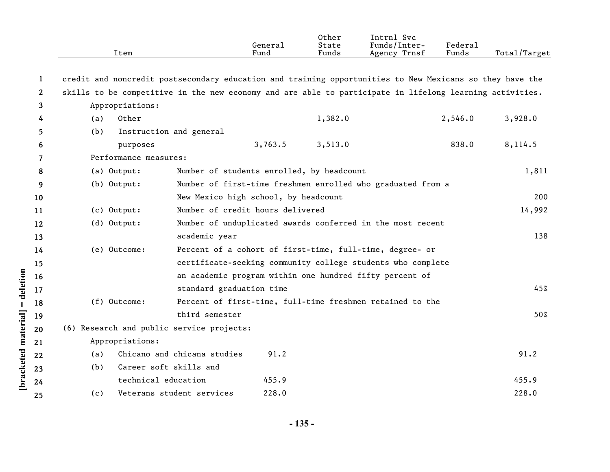|              | Item                                                                                                     |                                           | General<br>Fund | Other<br>State<br>Funds | Intrnl Svc<br>Funds/Inter-<br>Agency Trnsf                  | Federal<br>Funds | Total/Target |
|--------------|----------------------------------------------------------------------------------------------------------|-------------------------------------------|-----------------|-------------------------|-------------------------------------------------------------|------------------|--------------|
| 1            | credit and noncredit postsecondary education and training opportunities to New Mexicans so they have the |                                           |                 |                         |                                                             |                  |              |
| $\mathbf{2}$ | skills to be competitive in the new economy and are able to participate in lifelong learning activities. |                                           |                 |                         |                                                             |                  |              |
| 3            | Appropriations:                                                                                          |                                           |                 |                         |                                                             |                  |              |
| 4            | Other<br>(a)                                                                                             |                                           |                 | 1,382.0                 |                                                             | 2,546.0          | 3,928.0      |
| 5            | (b)                                                                                                      | Instruction and general                   |                 |                         |                                                             |                  |              |
| 6            | purposes                                                                                                 |                                           | 3,763.5         | 3,513.0                 |                                                             | 838.0            | 8,114.5      |
| 7            | Performance measures:                                                                                    |                                           |                 |                         |                                                             |                  |              |
| 8            | (a) Output:                                                                                              | Number of students enrolled, by headcount |                 |                         |                                                             |                  | 1,811        |
| 9            | (b) Output:                                                                                              |                                           |                 |                         | Number of first-time freshmen enrolled who graduated from a |                  |              |
| 10           |                                                                                                          | New Mexico high school, by headcount      |                 |                         |                                                             |                  | 200          |
| 11           | (c) Output:                                                                                              | Number of credit hours delivered          |                 |                         |                                                             |                  | 14,992       |
| 12           | $(d)$ Output:                                                                                            |                                           |                 |                         | Number of unduplicated awards conferred in the most recent  |                  |              |
| 13           |                                                                                                          | academic year                             |                 |                         |                                                             |                  | 138          |
| 14           | (e) Outcome:                                                                                             |                                           |                 |                         | Percent of a cohort of first-time, full-time, degree- or    |                  |              |
| 15           |                                                                                                          |                                           |                 |                         | certificate-seeking community college students who complete |                  |              |
| 16           |                                                                                                          |                                           |                 |                         | an academic program within one hundred fifty percent of     |                  |              |
| 17           |                                                                                                          | standard graduation time                  |                 |                         |                                                             |                  | 45%          |
| 18           | (f) Outcome:                                                                                             |                                           |                 |                         | Percent of first-time, full-time freshmen retained to the   |                  |              |
| 19           |                                                                                                          | third semester                            |                 |                         |                                                             |                  | 50%          |
| 20           | (6) Research and public service projects:                                                                |                                           |                 |                         |                                                             |                  |              |
| 21           | Appropriations:                                                                                          |                                           |                 |                         |                                                             |                  |              |
| 22           | (a)                                                                                                      | Chicano and chicana studies               | 91.2            |                         |                                                             |                  | 91.2         |
| 23           | (b)                                                                                                      | Career soft skills and                    |                 |                         |                                                             |                  |              |
| 24           | technical education                                                                                      |                                           | 455.9           |                         |                                                             |                  | 455.9        |
| 25           | (c)                                                                                                      | Veterans student services                 | 228.0           |                         |                                                             |                  | 228.0        |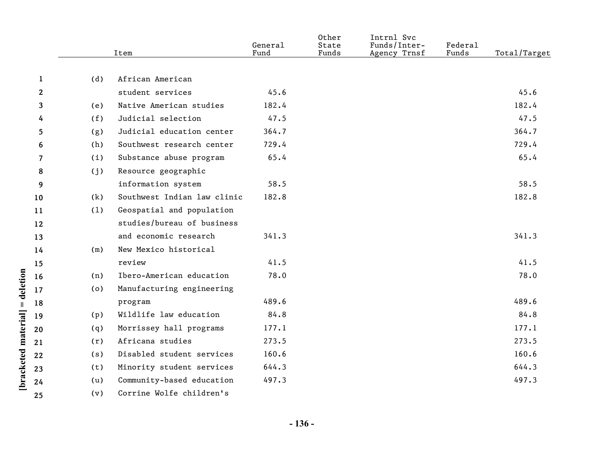|              |     | Item                        | General<br>Fund | Other<br>State<br>Funds | Intrnl Svc<br>Funds/Inter-<br>Agency Trnsf | Federal<br>Funds | Total/Target |
|--------------|-----|-----------------------------|-----------------|-------------------------|--------------------------------------------|------------------|--------------|
|              |     |                             |                 |                         |                                            |                  |              |
| 1            | (d) | African American            |                 |                         |                                            |                  |              |
| $\mathbf{2}$ |     | student services            | 45.6            |                         |                                            |                  | 45.6         |
| 3            | (e) | Native American studies     | 182.4           |                         |                                            |                  | 182.4        |
| 4            | (f) | Judicial selection          | 47.5            |                         |                                            |                  | 47.5         |
| 5            | (g) | Judicial education center   | 364.7           |                         |                                            |                  | 364.7        |
| 6            | (h) | Southwest research center   | 729.4           |                         |                                            |                  | 729.4        |
| 7            | (i) | Substance abuse program     | 65.4            |                         |                                            |                  | 65.4         |
| 8            | (j) | Resource geographic         |                 |                         |                                            |                  |              |
| 9            |     | information system          | 58.5            |                         |                                            |                  | 58.5         |
| 10           | (k) | Southwest Indian law clinic | 182.8           |                         |                                            |                  | 182.8        |
| 11           | (1) | Geospatial and population   |                 |                         |                                            |                  |              |
| 12           |     | studies/bureau of business  |                 |                         |                                            |                  |              |
| 13           |     | and economic research       | 341.3           |                         |                                            |                  | 341.3        |
| 14           | (m) | New Mexico historical       |                 |                         |                                            |                  |              |
| 15           |     | review                      | 41.5            |                         |                                            |                  | 41.5         |
| 16           | (n) | Ibero-American education    | 78.0            |                         |                                            |                  | 78.0         |
| 17           | (0) | Manufacturing engineering   |                 |                         |                                            |                  |              |
| 18           |     | program                     | 489.6           |                         |                                            |                  | 489.6        |
| 19           | (p) | Wildlife law education      | 84.8            |                         |                                            |                  | 84.8         |
| 20           | (q) | Morrissey hall programs     | 177.1           |                         |                                            |                  | 177.1        |
| 21           | (r) | Africana studies            | 273.5           |                         |                                            |                  | 273.5        |
| 22           | (s) | Disabled student services   | 160.6           |                         |                                            |                  | 160.6        |
| 23           | (t) | Minority student services   | 644.3           |                         |                                            |                  | 644.3        |
| 24           | (u) | Community-based education   | 497.3           |                         |                                            |                  | 497.3        |
| 25           | (v) | Corrine Wolfe children's    |                 |                         |                                            |                  |              |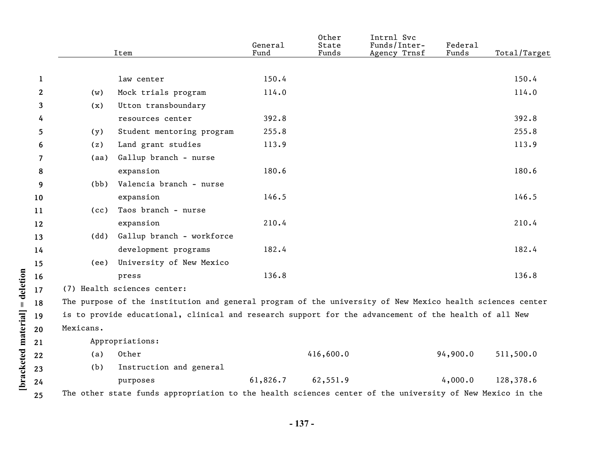|              |           | Item                                                                                                      | General<br>Fund | Other<br>State<br>Funds | Intrnl Svc<br>Funds/Inter-<br>Agency Trnsf | Federal<br>Funds | Total/Target |
|--------------|-----------|-----------------------------------------------------------------------------------------------------------|-----------------|-------------------------|--------------------------------------------|------------------|--------------|
|              |           |                                                                                                           |                 |                         |                                            |                  |              |
| $\mathbf{1}$ |           | law center                                                                                                | 150.4           |                         |                                            |                  | 150.4        |
| $\mathbf{2}$ | (w)       | Mock trials program                                                                                       | 114.0           |                         |                                            |                  | 114.0        |
| 3            | (x)       | Utton transboundary                                                                                       |                 |                         |                                            |                  |              |
| 4            |           | resources center                                                                                          | 392.8           |                         |                                            |                  | 392.8        |
| 5            | (y)       | Student mentoring program                                                                                 | 255.8           |                         |                                            |                  | 255.8        |
| 6            | (z)       | Land grant studies                                                                                        | 113.9           |                         |                                            |                  | 113.9        |
| 7            | (aa)      | Gallup branch - nurse                                                                                     |                 |                         |                                            |                  |              |
| 8            |           | expansion                                                                                                 | 180.6           |                         |                                            |                  | 180.6        |
| 9            | (bb)      | Valencia branch - nurse                                                                                   |                 |                         |                                            |                  |              |
| 10           |           | expansion                                                                                                 | 146.5           |                         |                                            |                  | 146.5        |
| 11           | (cc)      | Taos branch - nurse                                                                                       |                 |                         |                                            |                  |              |
| 12           |           | expansion                                                                                                 | 210.4           |                         |                                            |                  | 210.4        |
| 13           | (dd)      | Gallup branch - workforce                                                                                 |                 |                         |                                            |                  |              |
| 14           |           | development programs                                                                                      | 182.4           |                         |                                            |                  | 182.4        |
| 15           | (ee)      | University of New Mexico                                                                                  |                 |                         |                                            |                  |              |
| 16           |           | press                                                                                                     | 136.8           |                         |                                            |                  | 136.8        |
| 17           |           | (7) Health sciences center:                                                                               |                 |                         |                                            |                  |              |
| 18           |           | The purpose of the institution and general program of the university of New Mexico health sciences center |                 |                         |                                            |                  |              |
| 19           |           | is to provide educational, clinical and research support for the advancement of the health of all New     |                 |                         |                                            |                  |              |
| 20           | Mexicans. |                                                                                                           |                 |                         |                                            |                  |              |
| 21           |           | Appropriations:                                                                                           |                 |                         |                                            |                  |              |
| 22           | (a)       | Other                                                                                                     |                 | 416,600.0               |                                            | 94,900.0         | 511,500.0    |
| 23           | (b)       | Instruction and general                                                                                   |                 |                         |                                            |                  |              |
| 24           |           | purposes                                                                                                  | 61,826.7        | 62,551.9                |                                            | 4,000.0          | 128,378.6    |
| 25           |           | The other state funds appropriation to the health sciences center of the university of New Mexico in the  |                 |                         |                                            |                  |              |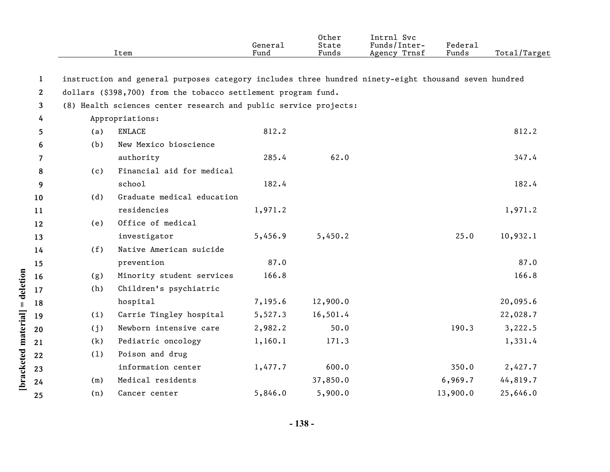|              |     | Item                                                                                                 | General<br>Fund | Other<br>State<br>Funds | Intrnl Svc<br>Funds/Inter-<br>Agency Trnsf | <b>Federal</b><br>Funds | Total/Target |
|--------------|-----|------------------------------------------------------------------------------------------------------|-----------------|-------------------------|--------------------------------------------|-------------------------|--------------|
| $\mathbf{1}$ |     | instruction and general purposes category includes three hundred ninety-eight thousand seven hundred |                 |                         |                                            |                         |              |
| $\mathbf{2}$ |     | dollars (\$398,700) from the tobacco settlement program fund.                                        |                 |                         |                                            |                         |              |
| 3            |     | (8) Health sciences center research and public service projects:                                     |                 |                         |                                            |                         |              |
| 4            |     | Appropriations:                                                                                      |                 |                         |                                            |                         |              |
| 5            | (a) | <b>ENLACE</b>                                                                                        | 812.2           |                         |                                            |                         | 812.2        |
| 6            | (b) | New Mexico bioscience                                                                                |                 |                         |                                            |                         |              |
| 7            |     | authority                                                                                            | 285.4           | 62.0                    |                                            |                         | 347.4        |
| 8            | (c) | Financial aid for medical                                                                            |                 |                         |                                            |                         |              |
| 9            |     | school                                                                                               | 182.4           |                         |                                            |                         | 182.4        |
| 10           | (d) | Graduate medical education                                                                           |                 |                         |                                            |                         |              |
| 11           |     | residencies                                                                                          | 1,971.2         |                         |                                            |                         | 1,971.2      |
| 12           | (e) | Office of medical                                                                                    |                 |                         |                                            |                         |              |
| 13           |     | investigator                                                                                         | 5,456.9         | 5,450.2                 |                                            | 25.0                    | 10,932.1     |
| 14           | (f) | Native American suicide                                                                              |                 |                         |                                            |                         |              |
| 15           |     | prevention                                                                                           | 87.0            |                         |                                            |                         | 87.0         |
| 16           | (g) | Minority student services                                                                            | 166.8           |                         |                                            |                         | 166.8        |
| 17           | (h) | Children's psychiatric                                                                               |                 |                         |                                            |                         |              |
| 18           |     | hospital                                                                                             | 7,195.6         | 12,900.0                |                                            |                         | 20,095.6     |
| 19           | (i) | Carrie Tingley hospital                                                                              | 5,527.3         | 16,501.4                |                                            |                         | 22,028.7     |
| 20           | (j) | Newborn intensive care                                                                               | 2,982.2         | 50.0                    |                                            | 190.3                   | 3,222.5      |
| 21           | (k) | Pediatric oncology                                                                                   | 1,160.1         | 171.3                   |                                            |                         | 1,331.4      |
| 22           | (1) | Poison and drug                                                                                      |                 |                         |                                            |                         |              |
| 23           |     | information center                                                                                   | 1,477.7         | 600.0                   |                                            | 350.0                   | 2,427.7      |
| 24           | (m) | Medical residents                                                                                    |                 | 37,850.0                |                                            | 6,969.7                 | 44,819.7     |
| 25           | (n) | Cancer center                                                                                        | 5,846.0         | 5,900.0                 |                                            | 13,900.0                | 25,646.0     |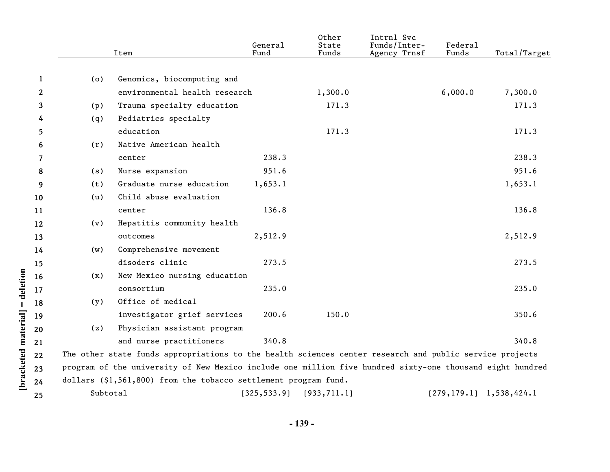|         |          | Item                                                                                                      | General<br>Fund | Other<br>State<br>Funds | Intrnl Svc<br>Funds/Inter-<br>Agency Trnsf | Federal<br>Funds           | Total/Target |
|---------|----------|-----------------------------------------------------------------------------------------------------------|-----------------|-------------------------|--------------------------------------------|----------------------------|--------------|
|         |          |                                                                                                           |                 |                         |                                            |                            |              |
| 1       | (o)      | Genomics, biocomputing and                                                                                |                 |                         |                                            |                            |              |
| 2       |          | environmental health research                                                                             |                 | 1,300.0                 |                                            | 6,000.0                    | 7,300.0      |
| 3       | (p)      | Trauma specialty education                                                                                |                 | 171.3                   |                                            |                            | 171.3        |
| 4       | (q)      | Pediatrics specialty                                                                                      |                 |                         |                                            |                            |              |
| 5       |          | education                                                                                                 |                 | 171.3                   |                                            |                            | 171.3        |
| 6       | (r)      | Native American health                                                                                    |                 |                         |                                            |                            |              |
| 7       |          | center                                                                                                    | 238.3           |                         |                                            |                            | 238.3        |
| 8       | (s)      | Nurse expansion                                                                                           | 951.6           |                         |                                            |                            | 951.6        |
| 9       | (t)      | Graduate nurse education                                                                                  | 1,653.1         |                         |                                            |                            | 1,653.1      |
| 10      | (u)      | Child abuse evaluation                                                                                    |                 |                         |                                            |                            |              |
| 11      |          | center                                                                                                    | 136.8           |                         |                                            |                            | 136.8        |
| $12 \,$ | (v)      | Hepatitis community health                                                                                |                 |                         |                                            |                            |              |
| 13      |          | outcomes                                                                                                  | 2,512.9         |                         |                                            |                            | 2,512.9      |
| 14      | (w)      | Comprehensive movement                                                                                    |                 |                         |                                            |                            |              |
| 15      |          | disoders clinic                                                                                           | 273.5           |                         |                                            |                            | 273.5        |
| 16      | (x)      | New Mexico nursing education                                                                              |                 |                         |                                            |                            |              |
| 17      |          | consortium                                                                                                | 235.0           |                         |                                            |                            | 235.0        |
| 18      | (y)      | Office of medical                                                                                         |                 |                         |                                            |                            |              |
| 19      |          | investigator grief services                                                                               | 200.6           | 150.0                   |                                            |                            | 350.6        |
| 20      | (z)      | Physician assistant program                                                                               |                 |                         |                                            |                            |              |
| 21      |          | and nurse practitioners                                                                                   | 340.8           |                         |                                            |                            | 340.8        |
| 22      |          | The other state funds appropriations to the health sciences center research and public service projects   |                 |                         |                                            |                            |              |
| 23      |          | program of the university of New Mexico include one million five hundred sixty-one thousand eight hundred |                 |                         |                                            |                            |              |
| 24      |          | dollars (\$1,561,800) from the tobacco settlement program fund.                                           |                 |                         |                                            |                            |              |
| 25      | Subtotal |                                                                                                           | [325, 533.9]    | [933, 711.1]            |                                            | $[279, 179.1]$ 1,538,424.1 |              |

**- 139 -**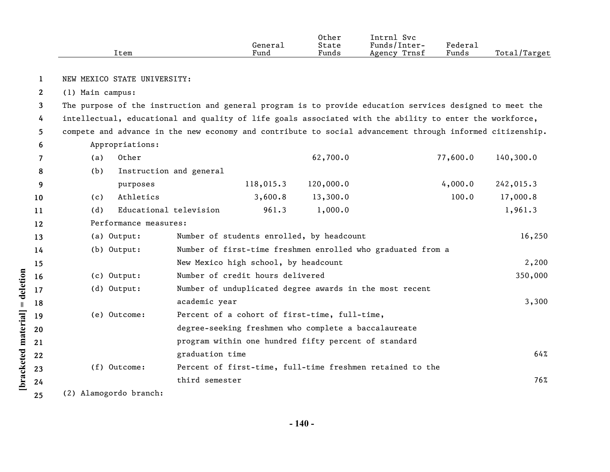|              | Item                                                                                                      |                                                      | General<br>Fund | Other<br>State<br>Funds | Intrnl Svc<br>Funds/Inter-<br>Agency Trnsf                  | Federal<br>Funds | Total/Target |
|--------------|-----------------------------------------------------------------------------------------------------------|------------------------------------------------------|-----------------|-------------------------|-------------------------------------------------------------|------------------|--------------|
| $\mathbf{1}$ | NEW MEXICO STATE UNIVERSITY:                                                                              |                                                      |                 |                         |                                                             |                  |              |
| $\mathbf{2}$ | (1) Main campus:                                                                                          |                                                      |                 |                         |                                                             |                  |              |
| 3            | The purpose of the instruction and general program is to provide education services designed to meet the  |                                                      |                 |                         |                                                             |                  |              |
| 4            | intellectual, educational and quality of life goals associated with the ability to enter the workforce,   |                                                      |                 |                         |                                                             |                  |              |
| 5            | compete and advance in the new economy and contribute to social advancement through informed citizenship. |                                                      |                 |                         |                                                             |                  |              |
| 6            | Appropriations:                                                                                           |                                                      |                 |                         |                                                             |                  |              |
| 7            | Other<br>(a)                                                                                              |                                                      |                 | 62,700.0                |                                                             | 77,600.0         | 140,300.0    |
| 8            | (b)                                                                                                       | Instruction and general                              |                 |                         |                                                             |                  |              |
| 9            | purposes                                                                                                  |                                                      | 118,015.3       | 120,000.0               |                                                             | 4,000.0          | 242,015.3    |
| 10           | Athletics<br>(c)                                                                                          |                                                      | 3,600.8         | 13,300.0                |                                                             | 100.0            | 17,000.8     |
| 11           | (d)                                                                                                       | Educational television                               | 961.3           | 1,000.0                 |                                                             |                  | 1,961.3      |
| 12           | Performance measures:                                                                                     |                                                      |                 |                         |                                                             |                  |              |
| 13           | (a) Output:                                                                                               | Number of students enrolled, by headcount            |                 |                         |                                                             |                  | 16,250       |
| 14           | (b) Output:                                                                                               |                                                      |                 |                         | Number of first-time freshmen enrolled who graduated from a |                  |              |
| 15           |                                                                                                           | New Mexico high school, by headcount                 |                 |                         |                                                             |                  | 2,200        |
| 16           | (c) Output:                                                                                               | Number of credit hours delivered                     |                 |                         |                                                             |                  | 350,000      |
| 17           | (d) Output:                                                                                               |                                                      |                 |                         | Number of unduplicated degree awards in the most recent     |                  |              |
| 18           |                                                                                                           | academic year                                        |                 |                         |                                                             |                  | 3,300        |
| 19           | (e) Outcome:                                                                                              | Percent of a cohort of first-time, full-time,        |                 |                         |                                                             |                  |              |
| 20           |                                                                                                           | degree-seeking freshmen who complete a baccalaureate |                 |                         |                                                             |                  |              |
| 21           |                                                                                                           | program within one hundred fifty percent of standard |                 |                         |                                                             |                  |              |
| 22           |                                                                                                           | graduation time                                      |                 |                         |                                                             |                  | 64%          |
| 23           | (f) Outcome:                                                                                              |                                                      |                 |                         | Percent of first-time, full-time freshmen retained to the   |                  |              |
| 24           |                                                                                                           | third semester                                       |                 |                         |                                                             |                  | 76%          |
| 25           | (2) Alamogordo branch:                                                                                    |                                                      |                 |                         |                                                             |                  |              |

[bracketed material] = deletion **[bracketed material] = deletion**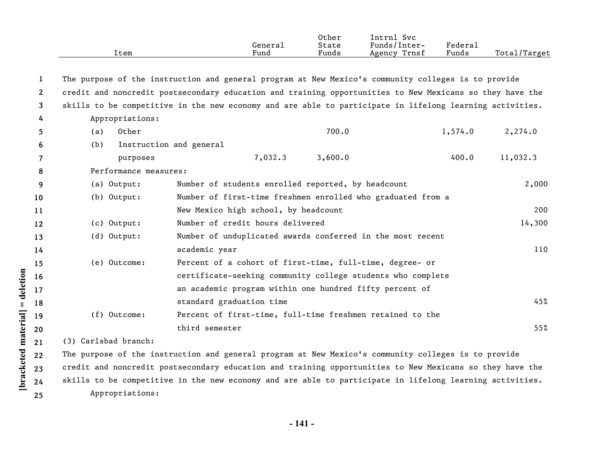|              | Item                  | General<br>Fund                                                                                          | Other<br>State<br>Funds | Intrnl Svc<br>Funds/Inter-<br>Agency Trnsf | Federal<br>Funds | Total/Target |
|--------------|-----------------------|----------------------------------------------------------------------------------------------------------|-------------------------|--------------------------------------------|------------------|--------------|
| 1            |                       | The purpose of the instruction and general program at New Mexico's community colleges is to provide      |                         |                                            |                  |              |
| $\mathbf{2}$ |                       | credit and noncredit postsecondary education and training opportunities to New Mexicans so they have the |                         |                                            |                  |              |
| 3            |                       | skills to be competitive in the new economy and are able to participate in lifelong learning activities. |                         |                                            |                  |              |
| 4            | Appropriations:       |                                                                                                          |                         |                                            |                  |              |
| 5            | Other<br>(a)          |                                                                                                          | 700.0                   |                                            | 1,574.0          | 2,274.0      |
| 6            | (b)                   | Instruction and general                                                                                  |                         |                                            |                  |              |
| 7            | purposes              | 7,032.3                                                                                                  | 3,600.0                 |                                            | 400.0            | 11,032.3     |
| 8            | Performance measures: |                                                                                                          |                         |                                            |                  |              |
| 9            | (a) Output:           | Number of students enrolled reported, by headcount                                                       |                         |                                            |                  | 2,000        |
| 10           | (b) Output:           | Number of first-time freshmen enrolled who graduated from a                                              |                         |                                            |                  |              |
| 11           |                       | New Mexico high school, by headcount                                                                     |                         |                                            |                  | 200          |
| 12           | (c) Output:           | Number of credit hours delivered                                                                         |                         |                                            |                  | 14,300       |
| 13           | (d) Output:           | Number of unduplicated awards conferred in the most recent                                               |                         |                                            |                  |              |
| 14           |                       | academic year                                                                                            |                         |                                            |                  | 110          |
| 15           | (e) Outcome:          | Percent of a cohort of first-time, full-time, degree- or                                                 |                         |                                            |                  |              |
| 16           |                       | certificate-seeking community college students who complete                                              |                         |                                            |                  |              |
| 17           |                       | an academic program within one hundred fifty percent of                                                  |                         |                                            |                  |              |
| 18           |                       | standard graduation time                                                                                 |                         |                                            |                  | 45%          |
| 19           | (f) Outcome:          | Percent of first-time, full-time freshmen retained to the                                                |                         |                                            |                  |              |
| 20           |                       | third semester                                                                                           |                         |                                            |                  | 55%          |
| 21           | (3) Carlsbad branch:  |                                                                                                          |                         |                                            |                  |              |
| 22           |                       | The purpose of the instruction and general program at New Mexico's community colleges is to provide      |                         |                                            |                  |              |
| 23           |                       | credit and noncredit postsecondary education and training opportunities to New Mexicans so they have the |                         |                                            |                  |              |
| 24           |                       | skills to be competitive in the new economy and are able to participate in lifelong learning activities. |                         |                                            |                  |              |

Appropriations:

**[bracketed material] = deletion**

[bracketed material] = deletion

**25**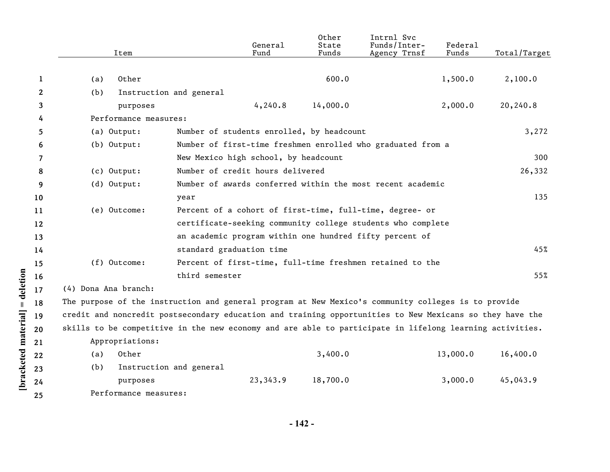|              | Item                                                                                                     |                                           | General<br>Fund | Other<br>State<br>Funds | Intrnl Svc<br>Funds/Inter-<br>Agency Trnsf                  | Federal<br>Funds | Total/Target |
|--------------|----------------------------------------------------------------------------------------------------------|-------------------------------------------|-----------------|-------------------------|-------------------------------------------------------------|------------------|--------------|
|              |                                                                                                          |                                           |                 |                         |                                                             |                  |              |
| 1            | Other<br>(a)                                                                                             |                                           |                 | 600.0                   |                                                             | 1,500.0          | 2,100.0      |
| $\mathbf{2}$ | (b)                                                                                                      | Instruction and general                   |                 |                         |                                                             |                  |              |
| 3            | purposes                                                                                                 |                                           | 4, 240.8        | 14,000.0                |                                                             | 2,000.0          | 20,240.8     |
| 4            | Performance measures:                                                                                    |                                           |                 |                         |                                                             |                  |              |
| 5.           | (a) Output:                                                                                              | Number of students enrolled, by headcount |                 |                         |                                                             |                  | 3,272        |
| 6            | $(b)$ Output:                                                                                            |                                           |                 |                         | Number of first-time freshmen enrolled who graduated from a |                  |              |
| 7            |                                                                                                          | New Mexico high school, by headcount      |                 |                         |                                                             |                  | 300          |
| 8            | (c) Output:                                                                                              | Number of credit hours delivered          |                 |                         |                                                             |                  | 26,332       |
| 9            | (d) Output:                                                                                              |                                           |                 |                         | Number of awards conferred within the most recent academic  |                  |              |
| 10           |                                                                                                          | year                                      |                 |                         |                                                             |                  | 135          |
| 11           | (e) Outcome:                                                                                             |                                           |                 |                         | Percent of a cohort of first-time, full-time, degree- or    |                  |              |
| 12           |                                                                                                          |                                           |                 |                         | certificate-seeking community college students who complete |                  |              |
| 13           |                                                                                                          |                                           |                 |                         | an academic program within one hundred fifty percent of     |                  |              |
| 14           |                                                                                                          | standard graduation time                  |                 |                         |                                                             |                  | 45%          |
| 15           | (f) Outcome:                                                                                             |                                           |                 |                         | Percent of first-time, full-time freshmen retained to the   |                  |              |
| 16           |                                                                                                          | third semester                            |                 |                         |                                                             |                  | 55%          |
| 17           | (4) Dona Ana branch:                                                                                     |                                           |                 |                         |                                                             |                  |              |
| 18           | The purpose of the instruction and general program at New Mexico's community colleges is to provide      |                                           |                 |                         |                                                             |                  |              |
| 19           | credit and noncredit postsecondary education and training opportunities to New Mexicans so they have the |                                           |                 |                         |                                                             |                  |              |
| 20           | skills to be competitive in the new economy and are able to participate in lifelong learning activities. |                                           |                 |                         |                                                             |                  |              |
| 21           | Appropriations:                                                                                          |                                           |                 |                         |                                                             |                  |              |
| 22           | Other<br>(a)                                                                                             |                                           |                 | 3,400.0                 |                                                             | 13,000.0         | 16,400.0     |
| 23           | (b)                                                                                                      | Instruction and general                   |                 |                         |                                                             |                  |              |
| 24           | purposes                                                                                                 |                                           | 23,343.9        | 18,700.0                |                                                             | 3,000.0          | 45,043.9     |
| 25           | Performance measures:                                                                                    |                                           |                 |                         |                                                             |                  |              |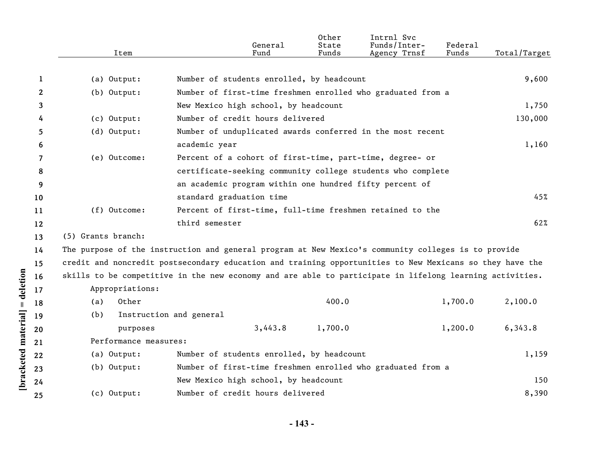|              | Item                  | General<br>Fund                                                                                          | Other<br>State<br>Funds | Intrnl Svc<br>Funds/Inter-<br>Agency Trnsf | Federal<br>Funds | Total/Target |
|--------------|-----------------------|----------------------------------------------------------------------------------------------------------|-------------------------|--------------------------------------------|------------------|--------------|
| $\mathbf{1}$ | (a) Output:           | Number of students enrolled, by headcount                                                                |                         |                                            |                  | 9,600        |
| 2            | (b) Output:           | Number of first-time freshmen enrolled who graduated from a                                              |                         |                                            |                  |              |
| 3            |                       | New Mexico high school, by headcount                                                                     |                         |                                            |                  | 1,750        |
| 4            | (c) Output:           | Number of credit hours delivered                                                                         |                         |                                            |                  | 130,000      |
| 5            | (d) Output:           | Number of unduplicated awards conferred in the most recent                                               |                         |                                            |                  |              |
| 6            |                       | academic year                                                                                            |                         |                                            |                  | 1,160        |
| 7            | (e) Outcome:          | Percent of a cohort of first-time, part-time, degree- or                                                 |                         |                                            |                  |              |
| 8            |                       | certificate-seeking community college students who complete                                              |                         |                                            |                  |              |
| 9            |                       | an academic program within one hundred fifty percent of                                                  |                         |                                            |                  |              |
| 10           |                       | standard graduation time                                                                                 |                         |                                            |                  | 45%          |
| 11           | (f) Outcome:          | Percent of first-time, full-time freshmen retained to the                                                |                         |                                            |                  |              |
| 12           |                       | third semester                                                                                           |                         |                                            |                  | 62%          |
| 13           | (5) Grants branch:    |                                                                                                          |                         |                                            |                  |              |
| 14           |                       | The purpose of the instruction and general program at New Mexico's community colleges is to provide      |                         |                                            |                  |              |
| 15           |                       | credit and noncredit postsecondary education and training opportunities to New Mexicans so they have the |                         |                                            |                  |              |
| 16           |                       | skills to be competitive in the new economy and are able to participate in lifelong learning activities. |                         |                                            |                  |              |
| 17           | Appropriations:       |                                                                                                          |                         |                                            |                  |              |
| 18           | Other<br>(a)          |                                                                                                          | 400.0                   |                                            | 1,700.0          | 2,100.0      |
| 19           | (b)                   | Instruction and general                                                                                  |                         |                                            |                  |              |
| 20           | purposes              | 3,443.8                                                                                                  | 1,700.0                 |                                            | 1,200.0          | 6,343.8      |
| 21           | Performance measures: |                                                                                                          |                         |                                            |                  |              |
| 22           | (a) Output:           | Number of students enrolled, by headcount                                                                |                         |                                            |                  | 1,159        |
| 23           | (b) Output:           | Number of first-time freshmen enrolled who graduated from a                                              |                         |                                            |                  |              |
| 24           |                       | New Mexico high school, by headcount                                                                     |                         |                                            |                  | 150          |
| 25           | (c) Output:           | Number of credit hours delivered                                                                         |                         |                                            |                  | 8,390        |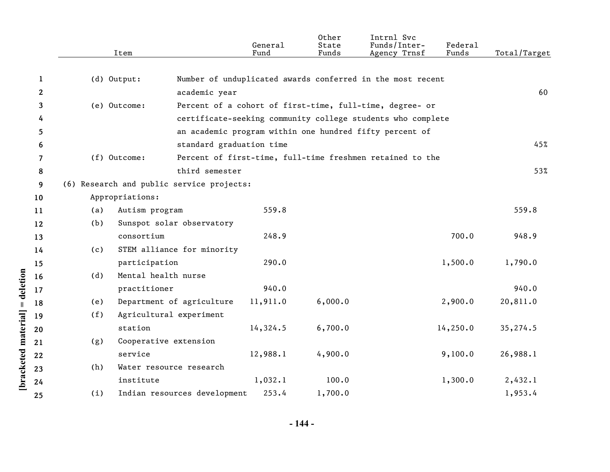|              | Item                                      |                              | General<br>Fund | Other<br>State<br>Funds | Intrnl Svc<br>Funds/Inter-<br>Agency Trnsf                  | Federal<br>Funds | Total/Target |
|--------------|-------------------------------------------|------------------------------|-----------------|-------------------------|-------------------------------------------------------------|------------------|--------------|
| $\mathbf{1}$ | (d) Output:                               |                              |                 |                         | Number of unduplicated awards conferred in the most recent  |                  |              |
| $\mathbf{2}$ |                                           | academic year                |                 |                         |                                                             |                  | 60           |
| 3            | (e) Outcome:                              |                              |                 |                         | Percent of a cohort of first-time, full-time, degree- or    |                  |              |
| 4            |                                           |                              |                 |                         | certificate-seeking community college students who complete |                  |              |
| 5            |                                           |                              |                 |                         | an academic program within one hundred fifty percent of     |                  |              |
| 6            |                                           | standard graduation time     |                 |                         |                                                             |                  | 45%          |
| 7            | (f) Outcome:                              |                              |                 |                         | Percent of first-time, full-time freshmen retained to the   |                  |              |
| 8            |                                           | third semester               |                 |                         |                                                             |                  | 53%          |
| 9            | (6) Research and public service projects: |                              |                 |                         |                                                             |                  |              |
| 10           | Appropriations:                           |                              |                 |                         |                                                             |                  |              |
| 11           | Autism program<br>(a)                     |                              | 559.8           |                         |                                                             |                  | 559.8        |
| 12           | (b)                                       | Sunspot solar observatory    |                 |                         |                                                             |                  |              |
| 13           | consortium                                |                              | 248.9           |                         |                                                             | 700.0            | 948.9        |
| 14           | (c)                                       | STEM alliance for minority   |                 |                         |                                                             |                  |              |
| 15           | participation                             |                              | 290.0           |                         |                                                             | 1,500.0          | 1,790.0      |
| 16           | (d)                                       | Mental health nurse          |                 |                         |                                                             |                  |              |
| 17           | practitioner                              |                              | 940.0           |                         |                                                             |                  | 940.0        |
| 18           | (e)                                       | Department of agriculture    | 11,911.0        | 6,000.0                 |                                                             | 2,900.0          | 20,811.0     |
| 19           | (f)                                       | Agricultural experiment      |                 |                         |                                                             |                  |              |
| 20           | station                                   |                              | 14,324.5        | 6,700.0                 |                                                             | 14, 250.0        | 35,274.5     |
| 21           | (g)                                       | Cooperative extension        |                 |                         |                                                             |                  |              |
| 22           | service                                   |                              | 12,988.1        | 4,900.0                 |                                                             | 9,100.0          | 26,988.1     |
| 23           | (h)                                       | Water resource research      |                 |                         |                                                             |                  |              |
| 24           | institute                                 |                              | 1,032.1         | 100.0                   |                                                             | 1,300.0          | 2,432.1      |
| 25           | (i)                                       | Indian resources development | 253.4           | 1,700.0                 |                                                             |                  | 1,953.4      |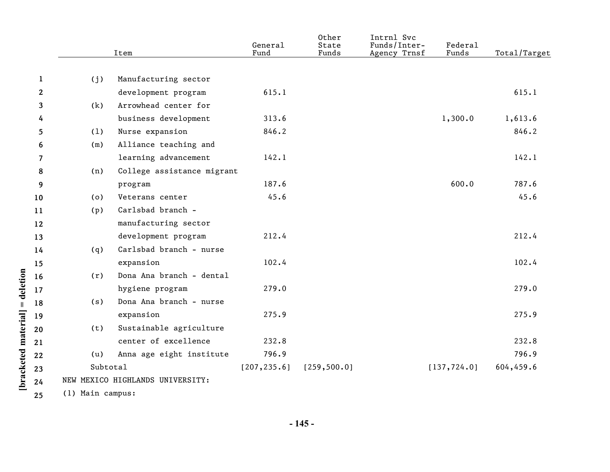|                       |                  | Item                             | General<br>Fund | Other<br>State<br>Funds | Intrnl Svc<br>Funds/Inter-<br>Agency Trnsf | Federal<br>Funds | Total/Target |
|-----------------------|------------------|----------------------------------|-----------------|-------------------------|--------------------------------------------|------------------|--------------|
|                       |                  |                                  |                 |                         |                                            |                  |              |
| $\mathbf{1}$          | (j)              | Manufacturing sector             |                 |                         |                                            |                  |              |
| $\mathbf{2}^{\prime}$ |                  | development program              | 615.1           |                         |                                            |                  | 615.1        |
| 3                     | (k)              | Arrowhead center for             |                 |                         |                                            |                  |              |
| 4                     |                  | business development             | 313.6           |                         |                                            | 1,300.0          | 1,613.6      |
| 5                     | (1)              | Nurse expansion                  | 846.2           |                         |                                            |                  | 846.2        |
| 6                     | (m)              | Alliance teaching and            |                 |                         |                                            |                  |              |
| 7                     |                  | learning advancement             | 142.1           |                         |                                            |                  | 142.1        |
| 8                     | (n)              | College assistance migrant       |                 |                         |                                            |                  |              |
| 9                     |                  | program                          | 187.6           |                         |                                            | 600.0            | 787.6        |
| 10                    | (o)              | Veterans center                  | 45.6            |                         |                                            |                  | 45.6         |
| 11                    | (p)              | Carlsbad branch -                |                 |                         |                                            |                  |              |
| 12                    |                  | manufacturing sector             |                 |                         |                                            |                  |              |
| 13                    |                  | development program              | 212.4           |                         |                                            |                  | 212.4        |
| 14                    | (q)              | Carlsbad branch - nurse          |                 |                         |                                            |                  |              |
| 15                    |                  | expansion                        | 102.4           |                         |                                            |                  | 102.4        |
| 16                    | (r)              | Dona Ana branch - dental         |                 |                         |                                            |                  |              |
| 17                    |                  | hygiene program                  | 279.0           |                         |                                            |                  | 279.0        |
| 18                    | (s)              | Dona Ana branch - nurse          |                 |                         |                                            |                  |              |
| 19                    |                  | expansion                        | 275.9           |                         |                                            |                  | 275.9        |
| 20                    | (t)              | Sustainable agriculture          |                 |                         |                                            |                  |              |
| 21                    |                  | center of excellence             | 232.8           |                         |                                            |                  | 232.8        |
| 22                    | (u)              | Anna age eight institute         | 796.9           |                         |                                            |                  | 796.9        |
| 23                    | Subtotal         |                                  | [207, 235.6]    | [259, 500.0]            |                                            | [137, 724.0]     | 604,459.6    |
| 24                    |                  | NEW MEXICO HIGHLANDS UNIVERSITY: |                 |                         |                                            |                  |              |
| 25                    | (1) Main campus: |                                  |                 |                         |                                            |                  |              |

**[bracketed material] = deletion**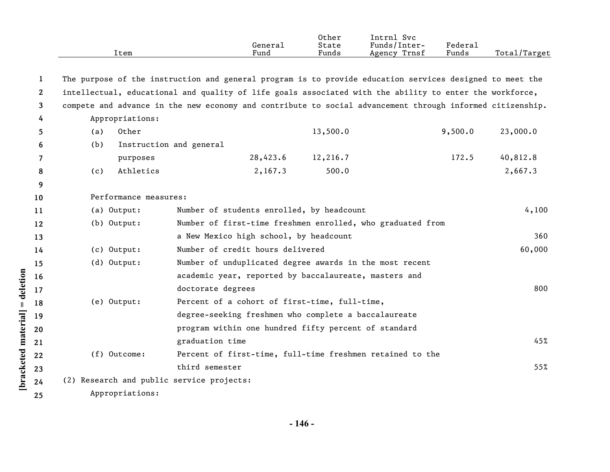|                       | Item                                                                                                      |                                                       | General<br>Fund | Other<br>State<br>Funds | Intrnl Svc<br>Funds/Inter-<br>Agency Trnsf                 | Federal<br>Funds | Total/Target |
|-----------------------|-----------------------------------------------------------------------------------------------------------|-------------------------------------------------------|-----------------|-------------------------|------------------------------------------------------------|------------------|--------------|
|                       |                                                                                                           |                                                       |                 |                         |                                                            |                  |              |
| 1                     | The purpose of the instruction and general program is to provide education services designed to meet the  |                                                       |                 |                         |                                                            |                  |              |
| $\mathbf{2}^{\prime}$ | intellectual, educational and quality of life goals associated with the ability to enter the workforce,   |                                                       |                 |                         |                                                            |                  |              |
| 3                     | compete and advance in the new economy and contribute to social advancement through informed citizenship. |                                                       |                 |                         |                                                            |                  |              |
| 4                     | Appropriations:                                                                                           |                                                       |                 |                         |                                                            |                  |              |
| 5.                    | Other<br>(a)                                                                                              |                                                       |                 | 13,500.0                |                                                            | 9,500.0          | 23,000.0     |
| 6                     | (b)                                                                                                       | Instruction and general                               |                 |                         |                                                            |                  |              |
| 7                     | purposes                                                                                                  |                                                       | 28,423.6        | 12,216.7                |                                                            | 172.5            | 40,812.8     |
| 8                     | Athletics<br>(c)                                                                                          |                                                       | 2,167.3         | 500.0                   |                                                            |                  | 2,667.3      |
| 9                     |                                                                                                           |                                                       |                 |                         |                                                            |                  |              |
| 10                    | Performance measures:                                                                                     |                                                       |                 |                         |                                                            |                  |              |
| 11                    | (a) Output:                                                                                               | Number of students enrolled, by headcount             |                 |                         |                                                            |                  | 4,100        |
| 12                    | (b) Output:                                                                                               |                                                       |                 |                         | Number of first-time freshmen enrolled, who graduated from |                  |              |
| 13                    |                                                                                                           | a New Mexico high school, by headcount                |                 |                         |                                                            |                  | 360          |
| 14                    | (c) Output:                                                                                               | Number of credit hours delivered                      |                 |                         |                                                            |                  | 60,000       |
| 15                    | $(d)$ Output:                                                                                             |                                                       |                 |                         | Number of unduplicated degree awards in the most recent    |                  |              |
| 16                    |                                                                                                           | academic year, reported by baccalaureate, masters and |                 |                         |                                                            |                  |              |
| 17                    |                                                                                                           | doctorate degrees                                     |                 |                         |                                                            |                  | 800          |
| 18                    | (e) Output:                                                                                               | Percent of a cohort of first-time, full-time,         |                 |                         |                                                            |                  |              |
| 19                    |                                                                                                           | degree-seeking freshmen who complete a baccalaureate  |                 |                         |                                                            |                  |              |
| 20                    |                                                                                                           | program within one hundred fifty percent of standard  |                 |                         |                                                            |                  |              |
| 21                    |                                                                                                           | graduation time                                       |                 |                         |                                                            |                  | 45%          |
| 22                    | (f) Outcome:                                                                                              |                                                       |                 |                         | Percent of first-time, full-time freshmen retained to the  |                  |              |
| 23                    |                                                                                                           | third semester                                        |                 |                         |                                                            |                  | 55%          |
| 24                    | (2) Research and public service projects:                                                                 |                                                       |                 |                         |                                                            |                  |              |
| 25                    | Appropriations:                                                                                           |                                                       |                 |                         |                                                            |                  |              |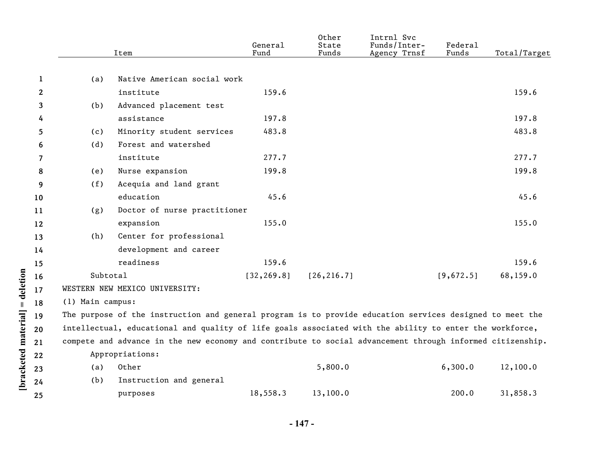| Native American social work<br>1<br>(a)<br>159.6<br>$\mathbf{2}$<br>159.6<br>institute<br>Advanced placement test<br>(b)<br>3<br>assistance<br>197.8<br>197.8<br>4<br>483.8<br>Minority student services<br>483.8<br>5.<br>(c)<br>Forest and watershed<br>(d)<br>6<br>277.7<br>277.7<br>institute<br>7<br>199.8<br>Nurse expansion<br>199.8<br>(e)<br>8<br>Acequia and land grant<br>(f)<br>9<br>education<br>45.6<br>45.6<br>10<br>Doctor of nurse practitioner<br>(g)<br>11<br>expansion<br>155.0<br>155.0<br>12<br>Center for professional<br>(h)<br>13<br>development and career<br>14<br>readiness<br>159.6<br>159.6<br>15<br>Subtotal<br>[32, 269.8]<br>[26, 216.7]<br>[9,672.5]<br>68,159.0<br>16<br>WESTERN NEW MEXICO UNIVERSITY:<br>17<br>(1) Main campus:<br>18<br>The purpose of the instruction and general program is to provide education services designed to meet the<br>19<br>intellectual, educational and quality of life goals associated with the ability to enter the workforce,<br>20<br>compete and advance in the new economy and contribute to social advancement through informed citizenship.<br>21<br>Appropriations:<br>22<br>Other<br>5,800.0<br>6,300.0<br>12,100.0<br>(a)<br>23<br>(b)<br>Instruction and general<br>24<br>18,558.3<br>13,100.0<br>200.0<br>31,858.3<br>purposes<br>25 |  | Item | General<br>Fund | Other<br>State<br>Funds | Intrnl Svc<br>Funds/Inter-<br>Agency Trnsf | Federal<br>Funds | Total/Target |
|--------------------------------------------------------------------------------------------------------------------------------------------------------------------------------------------------------------------------------------------------------------------------------------------------------------------------------------------------------------------------------------------------------------------------------------------------------------------------------------------------------------------------------------------------------------------------------------------------------------------------------------------------------------------------------------------------------------------------------------------------------------------------------------------------------------------------------------------------------------------------------------------------------------------------------------------------------------------------------------------------------------------------------------------------------------------------------------------------------------------------------------------------------------------------------------------------------------------------------------------------------------------------------------------------------------------------|--|------|-----------------|-------------------------|--------------------------------------------|------------------|--------------|
|                                                                                                                                                                                                                                                                                                                                                                                                                                                                                                                                                                                                                                                                                                                                                                                                                                                                                                                                                                                                                                                                                                                                                                                                                                                                                                                          |  |      |                 |                         |                                            |                  |              |
|                                                                                                                                                                                                                                                                                                                                                                                                                                                                                                                                                                                                                                                                                                                                                                                                                                                                                                                                                                                                                                                                                                                                                                                                                                                                                                                          |  |      |                 |                         |                                            |                  |              |
|                                                                                                                                                                                                                                                                                                                                                                                                                                                                                                                                                                                                                                                                                                                                                                                                                                                                                                                                                                                                                                                                                                                                                                                                                                                                                                                          |  |      |                 |                         |                                            |                  |              |
|                                                                                                                                                                                                                                                                                                                                                                                                                                                                                                                                                                                                                                                                                                                                                                                                                                                                                                                                                                                                                                                                                                                                                                                                                                                                                                                          |  |      |                 |                         |                                            |                  |              |
|                                                                                                                                                                                                                                                                                                                                                                                                                                                                                                                                                                                                                                                                                                                                                                                                                                                                                                                                                                                                                                                                                                                                                                                                                                                                                                                          |  |      |                 |                         |                                            |                  |              |
|                                                                                                                                                                                                                                                                                                                                                                                                                                                                                                                                                                                                                                                                                                                                                                                                                                                                                                                                                                                                                                                                                                                                                                                                                                                                                                                          |  |      |                 |                         |                                            |                  |              |
|                                                                                                                                                                                                                                                                                                                                                                                                                                                                                                                                                                                                                                                                                                                                                                                                                                                                                                                                                                                                                                                                                                                                                                                                                                                                                                                          |  |      |                 |                         |                                            |                  |              |
|                                                                                                                                                                                                                                                                                                                                                                                                                                                                                                                                                                                                                                                                                                                                                                                                                                                                                                                                                                                                                                                                                                                                                                                                                                                                                                                          |  |      |                 |                         |                                            |                  |              |
|                                                                                                                                                                                                                                                                                                                                                                                                                                                                                                                                                                                                                                                                                                                                                                                                                                                                                                                                                                                                                                                                                                                                                                                                                                                                                                                          |  |      |                 |                         |                                            |                  |              |
|                                                                                                                                                                                                                                                                                                                                                                                                                                                                                                                                                                                                                                                                                                                                                                                                                                                                                                                                                                                                                                                                                                                                                                                                                                                                                                                          |  |      |                 |                         |                                            |                  |              |
|                                                                                                                                                                                                                                                                                                                                                                                                                                                                                                                                                                                                                                                                                                                                                                                                                                                                                                                                                                                                                                                                                                                                                                                                                                                                                                                          |  |      |                 |                         |                                            |                  |              |
|                                                                                                                                                                                                                                                                                                                                                                                                                                                                                                                                                                                                                                                                                                                                                                                                                                                                                                                                                                                                                                                                                                                                                                                                                                                                                                                          |  |      |                 |                         |                                            |                  |              |
|                                                                                                                                                                                                                                                                                                                                                                                                                                                                                                                                                                                                                                                                                                                                                                                                                                                                                                                                                                                                                                                                                                                                                                                                                                                                                                                          |  |      |                 |                         |                                            |                  |              |
|                                                                                                                                                                                                                                                                                                                                                                                                                                                                                                                                                                                                                                                                                                                                                                                                                                                                                                                                                                                                                                                                                                                                                                                                                                                                                                                          |  |      |                 |                         |                                            |                  |              |
|                                                                                                                                                                                                                                                                                                                                                                                                                                                                                                                                                                                                                                                                                                                                                                                                                                                                                                                                                                                                                                                                                                                                                                                                                                                                                                                          |  |      |                 |                         |                                            |                  |              |
|                                                                                                                                                                                                                                                                                                                                                                                                                                                                                                                                                                                                                                                                                                                                                                                                                                                                                                                                                                                                                                                                                                                                                                                                                                                                                                                          |  |      |                 |                         |                                            |                  |              |
|                                                                                                                                                                                                                                                                                                                                                                                                                                                                                                                                                                                                                                                                                                                                                                                                                                                                                                                                                                                                                                                                                                                                                                                                                                                                                                                          |  |      |                 |                         |                                            |                  |              |
|                                                                                                                                                                                                                                                                                                                                                                                                                                                                                                                                                                                                                                                                                                                                                                                                                                                                                                                                                                                                                                                                                                                                                                                                                                                                                                                          |  |      |                 |                         |                                            |                  |              |
|                                                                                                                                                                                                                                                                                                                                                                                                                                                                                                                                                                                                                                                                                                                                                                                                                                                                                                                                                                                                                                                                                                                                                                                                                                                                                                                          |  |      |                 |                         |                                            |                  |              |
|                                                                                                                                                                                                                                                                                                                                                                                                                                                                                                                                                                                                                                                                                                                                                                                                                                                                                                                                                                                                                                                                                                                                                                                                                                                                                                                          |  |      |                 |                         |                                            |                  |              |
|                                                                                                                                                                                                                                                                                                                                                                                                                                                                                                                                                                                                                                                                                                                                                                                                                                                                                                                                                                                                                                                                                                                                                                                                                                                                                                                          |  |      |                 |                         |                                            |                  |              |
|                                                                                                                                                                                                                                                                                                                                                                                                                                                                                                                                                                                                                                                                                                                                                                                                                                                                                                                                                                                                                                                                                                                                                                                                                                                                                                                          |  |      |                 |                         |                                            |                  |              |
|                                                                                                                                                                                                                                                                                                                                                                                                                                                                                                                                                                                                                                                                                                                                                                                                                                                                                                                                                                                                                                                                                                                                                                                                                                                                                                                          |  |      |                 |                         |                                            |                  |              |
|                                                                                                                                                                                                                                                                                                                                                                                                                                                                                                                                                                                                                                                                                                                                                                                                                                                                                                                                                                                                                                                                                                                                                                                                                                                                                                                          |  |      |                 |                         |                                            |                  |              |
|                                                                                                                                                                                                                                                                                                                                                                                                                                                                                                                                                                                                                                                                                                                                                                                                                                                                                                                                                                                                                                                                                                                                                                                                                                                                                                                          |  |      |                 |                         |                                            |                  |              |
|                                                                                                                                                                                                                                                                                                                                                                                                                                                                                                                                                                                                                                                                                                                                                                                                                                                                                                                                                                                                                                                                                                                                                                                                                                                                                                                          |  |      |                 |                         |                                            |                  |              |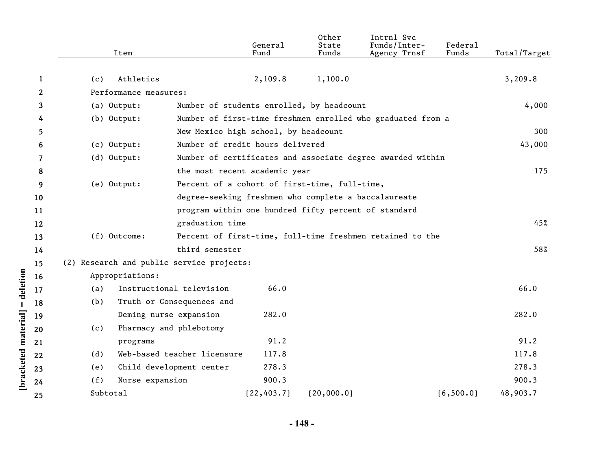|              | Item                                      |                                                      | General<br>Fund | Other<br>State<br>Funds | Intrnl Svc<br>Funds/Inter-<br>Agency Trnsf                  | Federal<br>Funds | Total/Target |
|--------------|-------------------------------------------|------------------------------------------------------|-----------------|-------------------------|-------------------------------------------------------------|------------------|--------------|
|              |                                           |                                                      |                 |                         |                                                             |                  |              |
| 1            | Athletics<br>(c)                          |                                                      | 2,109.8         | 1,100.0                 |                                                             |                  | 3,209.8      |
| $\mathbf{2}$ | Performance measures:                     |                                                      |                 |                         |                                                             |                  |              |
| 3            | (a) Output:                               | Number of students enrolled, by headcount            |                 |                         |                                                             |                  | 4,000        |
| 4            | (b) Output:                               |                                                      |                 |                         | Number of first-time freshmen enrolled who graduated from a |                  |              |
| 5            |                                           | New Mexico high school, by headcount                 |                 |                         |                                                             |                  | 300          |
| 6            | (c) Output:                               | Number of credit hours delivered                     |                 |                         |                                                             |                  | 43,000       |
| 7            | (d) Output:                               |                                                      |                 |                         | Number of certificates and associate degree awarded within  |                  |              |
| 8            |                                           | the most recent academic year                        |                 |                         |                                                             |                  | 175          |
| 9            | (e) Output:                               | Percent of a cohort of first-time, full-time,        |                 |                         |                                                             |                  |              |
| 10           |                                           | degree-seeking freshmen who complete a baccalaureate |                 |                         |                                                             |                  |              |
| 11           |                                           | program within one hundred fifty percent of standard |                 |                         |                                                             |                  |              |
| 12           |                                           | graduation time                                      |                 |                         |                                                             |                  | 45%          |
| 13           | (f) Outcome:                              |                                                      |                 |                         | Percent of first-time, full-time freshmen retained to the   |                  |              |
| 14           |                                           | third semester                                       |                 |                         |                                                             |                  | 58%          |
| 15           | (2) Research and public service projects: |                                                      |                 |                         |                                                             |                  |              |
| 16           | Appropriations:                           |                                                      |                 |                         |                                                             |                  |              |
| 17           | (a)                                       | Instructional television                             | 66.0            |                         |                                                             |                  | 66.0         |
| 18           | (b)                                       | Truth or Consequences and                            |                 |                         |                                                             |                  |              |
| 19           |                                           | Deming nurse expansion                               | 282.0           |                         |                                                             |                  | 282.0        |
| 20           | (c)                                       | Pharmacy and phlebotomy                              |                 |                         |                                                             |                  |              |
| 21           | programs                                  |                                                      | 91.2            |                         |                                                             |                  | 91.2         |
| 22           | (d)                                       | Web-based teacher licensure                          | 117.8           |                         |                                                             |                  | 117.8        |
| 23           | (e)                                       | Child development center                             | 278.3           |                         |                                                             |                  | 278.3        |
| 24           | (f)<br>Nurse expansion                    |                                                      | 900.3           |                         |                                                             |                  | 900.3        |
| 25           | Subtotal                                  |                                                      | [22, 403.7]     | [20,000.0]              |                                                             | [6, 500.0]       | 48,903.7     |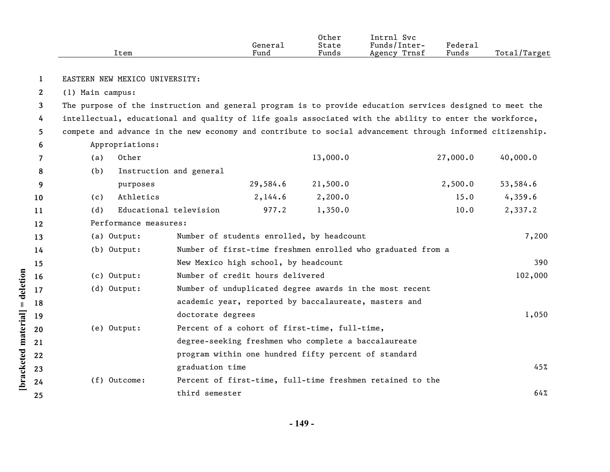|                       |                  | Item                           |                   | General<br>Fund                                      | Other<br>State<br>Funds | Intrnl Svc<br>Funds/Inter-<br>Agency Trnsf                                                                | Federal<br>Funds | Total/Target |
|-----------------------|------------------|--------------------------------|-------------------|------------------------------------------------------|-------------------------|-----------------------------------------------------------------------------------------------------------|------------------|--------------|
| 1                     |                  | EASTERN NEW MEXICO UNIVERSITY: |                   |                                                      |                         |                                                                                                           |                  |              |
| $\mathbf{2}^{\prime}$ | (1) Main campus: |                                |                   |                                                      |                         |                                                                                                           |                  |              |
| 3                     |                  |                                |                   |                                                      |                         | The purpose of the instruction and general program is to provide education services designed to meet the  |                  |              |
| 4                     |                  |                                |                   |                                                      |                         | intellectual, educational and quality of life goals associated with the ability to enter the workforce,   |                  |              |
| 5                     |                  |                                |                   |                                                      |                         | compete and advance in the new economy and contribute to social advancement through informed citizenship. |                  |              |
| 6                     |                  | Appropriations:                |                   |                                                      |                         |                                                                                                           |                  |              |
| 7                     | (a)              | Other                          |                   |                                                      | 13,000.0                |                                                                                                           | 27,000.0         | 40,000.0     |
| 8                     | (b)              | Instruction and general        |                   |                                                      |                         |                                                                                                           |                  |              |
| 9                     |                  | purposes                       |                   | 29,584.6                                             | 21,500.0                |                                                                                                           | 2,500.0          | 53,584.6     |
| 10                    | (c)              | Athletics                      |                   | 2,144.6                                              | 2,200.0                 |                                                                                                           | 15.0             | 4,359.6      |
| 11                    | (d)              | Educational television         |                   | 977.2                                                | 1,350.0                 |                                                                                                           | 10.0             | 2,337.2      |
| 12                    |                  | Performance measures:          |                   |                                                      |                         |                                                                                                           |                  |              |
| 13                    |                  | (a) Output:                    |                   | Number of students enrolled, by headcount            |                         |                                                                                                           |                  | 7,200        |
| 14                    |                  | (b) Output:                    |                   |                                                      |                         | Number of first-time freshmen enrolled who graduated from a                                               |                  |              |
| 15                    |                  |                                |                   | New Mexico high school, by headcount                 |                         |                                                                                                           |                  | 390          |
| 16                    |                  | (c) Output:                    |                   | Number of credit hours delivered                     |                         |                                                                                                           |                  | 102,000      |
| 17                    |                  | (d) Output:                    |                   |                                                      |                         | Number of unduplicated degree awards in the most recent                                                   |                  |              |
| 18                    |                  |                                |                   |                                                      |                         | academic year, reported by baccalaureate, masters and                                                     |                  |              |
| 19                    |                  |                                | doctorate degrees |                                                      |                         |                                                                                                           |                  | 1,050        |
| 20                    |                  | (e) Output:                    |                   | Percent of a cohort of first-time, full-time,        |                         |                                                                                                           |                  |              |
| 21                    |                  |                                |                   | degree-seeking freshmen who complete a baccalaureate |                         |                                                                                                           |                  |              |
| 22                    |                  |                                |                   | program within one hundred fifty percent of standard |                         |                                                                                                           |                  |              |
| 23                    |                  |                                | graduation time   |                                                      |                         |                                                                                                           |                  | 45%          |
| 24                    |                  | (f) Outcome:                   |                   |                                                      |                         | Percent of first-time, full-time freshmen retained to the                                                 |                  |              |
| 25                    |                  |                                | third semester    |                                                      |                         |                                                                                                           |                  | 64%          |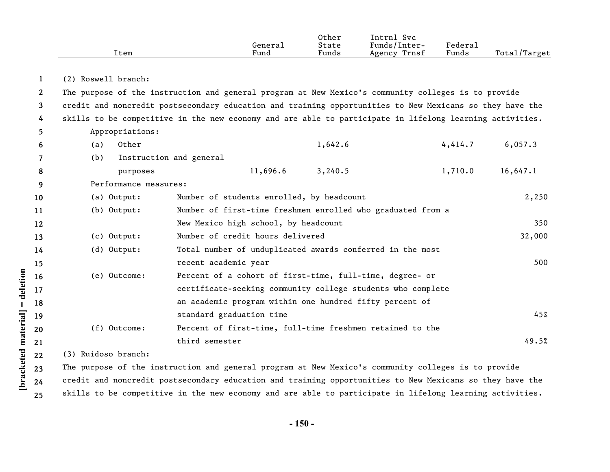|              | Item                  | General<br>Fund                                                                                          | Other<br>State<br>Funds | Intrnl Svc<br>Funds/Inter-<br>Agency Trnsf | Federal<br>Funds | Total/Target |
|--------------|-----------------------|----------------------------------------------------------------------------------------------------------|-------------------------|--------------------------------------------|------------------|--------------|
|              |                       |                                                                                                          |                         |                                            |                  |              |
| 1            | (2) Roswell branch:   |                                                                                                          |                         |                                            |                  |              |
| $\mathbf{2}$ |                       | The purpose of the instruction and general program at New Mexico's community colleges is to provide      |                         |                                            |                  |              |
| 3            |                       | credit and noncredit postsecondary education and training opportunities to New Mexicans so they have the |                         |                                            |                  |              |
| 4            |                       | skills to be competitive in the new economy and are able to participate in lifelong learning activities. |                         |                                            |                  |              |
| 5            | Appropriations:       |                                                                                                          |                         |                                            |                  |              |
| 6            | Other<br>(a)          |                                                                                                          | 1,642.6                 |                                            | 4,414.7          | 6,057.3      |
| 7            | (b)                   | Instruction and general                                                                                  |                         |                                            |                  |              |
| 8            | purposes              | 11,696.6                                                                                                 | 3,240.5                 |                                            | 1,710.0          | 16,647.1     |
| 9            | Performance measures: |                                                                                                          |                         |                                            |                  |              |
| 10           | (a) Output:           | Number of students enrolled, by headcount                                                                |                         |                                            |                  | 2,250        |
| 11           | $(b)$ Output:         | Number of first-time freshmen enrolled who graduated from a                                              |                         |                                            |                  |              |
| 12           |                       | New Mexico high school, by headcount                                                                     |                         |                                            |                  | 350          |
| 13           | (c) Output:           | Number of credit hours delivered                                                                         |                         |                                            |                  | 32,000       |
| 14           | (d) Output:           | Total number of unduplicated awards conferred in the most                                                |                         |                                            |                  |              |
| 15           |                       | recent academic year                                                                                     |                         |                                            |                  | 500          |
| 16           | (e) Outcome:          | Percent of a cohort of first-time, full-time, degree- or                                                 |                         |                                            |                  |              |
| 17           |                       | certificate-seeking community college students who complete                                              |                         |                                            |                  |              |
| 18           |                       | an academic program within one hundred fifty percent of                                                  |                         |                                            |                  |              |
| 19           |                       | standard graduation time                                                                                 |                         |                                            |                  | 45%          |
| 20           | (f) Outcome:          | Percent of first-time, full-time freshmen retained to the                                                |                         |                                            |                  |              |
| 21           |                       | third semester                                                                                           |                         |                                            |                  | 49.5%        |
| 22           | (3) Ruidoso branch:   |                                                                                                          |                         |                                            |                  |              |
| 23           |                       | The purpose of the instruction and general program at New Mexico's community colleges is to provide      |                         |                                            |                  |              |

**24 25** The purpose of the instruction and general program at New Mexico's community colleges is to provide credit and noncredit postsecondary education and training opportunities to New Mexicans so they have the skills to be competitive in the new economy and are able to participate in lifelong learning activities.

**[bracketed material] = deletion**

[bracketed material] = deletion

**- 150 -**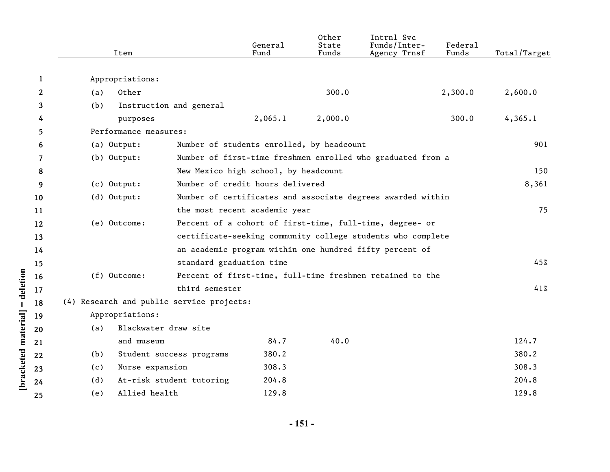|              |     | Item                  |                                           | General<br>Fund | Other<br>State<br>Funds | Intrnl Svc<br>Funds/Inter-<br>Agency Trnsf                  | Federal<br>Funds | Total/Target |
|--------------|-----|-----------------------|-------------------------------------------|-----------------|-------------------------|-------------------------------------------------------------|------------------|--------------|
|              |     |                       |                                           |                 |                         |                                                             |                  |              |
| 1            |     | Appropriations:       |                                           |                 |                         |                                                             |                  |              |
| $\mathbf{2}$ | (a) | Other                 |                                           |                 | 300.0                   |                                                             | 2,300.0          | 2,600.0      |
| 3            | (b) |                       | Instruction and general                   |                 |                         |                                                             |                  |              |
| 4            |     | purposes              |                                           | 2,065.1         | 2,000.0                 |                                                             | 300.0            | 4,365.1      |
| 5            |     | Performance measures: |                                           |                 |                         |                                                             |                  |              |
| 6            |     | (a) Output:           | Number of students enrolled, by headcount |                 |                         |                                                             |                  | 901          |
| 7            |     | $(b)$ Output:         |                                           |                 |                         | Number of first-time freshmen enrolled who graduated from a |                  |              |
| 8            |     |                       | New Mexico high school, by headcount      |                 |                         |                                                             |                  | 150          |
| 9            |     | (c) Output:           | Number of credit hours delivered          |                 |                         |                                                             |                  | 8,361        |
| 10           |     | (d) Output:           |                                           |                 |                         | Number of certificates and associate degrees awarded within |                  |              |
| 11           |     |                       | the most recent academic year             |                 |                         |                                                             |                  | 75           |
| 12           |     | (e) Outcome:          |                                           |                 |                         | Percent of a cohort of first-time, full-time, degree- or    |                  |              |
| 13           |     |                       |                                           |                 |                         | certificate-seeking community college students who complete |                  |              |
| 14           |     |                       |                                           |                 |                         | an academic program within one hundred fifty percent of     |                  |              |
| 15           |     |                       | standard graduation time                  |                 |                         |                                                             |                  | 45%          |
| 16           |     | (f) Outcome:          |                                           |                 |                         | Percent of first-time, full-time freshmen retained to the   |                  |              |
| 17           |     |                       | third semester                            |                 |                         |                                                             |                  | 41%          |
| 18           |     |                       | (4) Research and public service projects: |                 |                         |                                                             |                  |              |
| 19           |     | Appropriations:       |                                           |                 |                         |                                                             |                  |              |
| 20           | (a) | Blackwater draw site  |                                           |                 |                         |                                                             |                  |              |
| 21           |     | and museum            |                                           | 84.7            | 40.0                    |                                                             |                  | 124.7        |
| 22           | (b) |                       | Student success programs                  | 380.2           |                         |                                                             |                  | 380.2        |
| 23           | (c) | Nurse expansion       |                                           | 308.3           |                         |                                                             |                  | 308.3        |
| 24           | (d) |                       | At-risk student tutoring                  | 204.8           |                         |                                                             |                  | 204.8        |
| 25           | (e) | Allied health         |                                           | 129.8           |                         |                                                             |                  | 129.8        |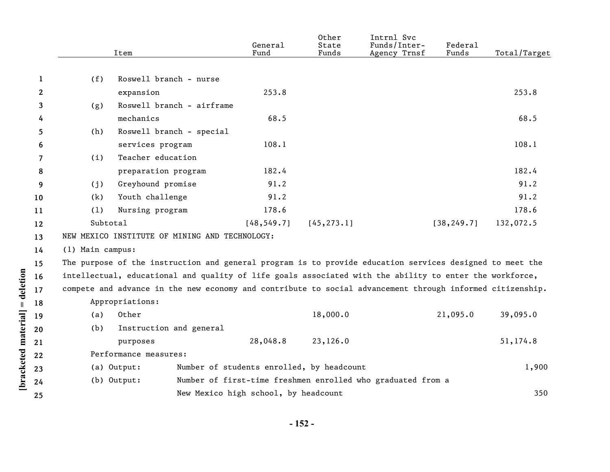|              |                  | Item                                           | General<br>Fund                                                                                           | State<br>Funds | Funds/Inter-<br>Agency Trnsf | Federal<br>Funds | Total/Target |
|--------------|------------------|------------------------------------------------|-----------------------------------------------------------------------------------------------------------|----------------|------------------------------|------------------|--------------|
|              |                  |                                                |                                                                                                           |                |                              |                  |              |
| 1            | (f)              | Roswell branch - nurse                         |                                                                                                           |                |                              |                  |              |
| $\mathbf{2}$ |                  | expansion                                      | 253.8                                                                                                     |                |                              |                  | 253.8        |
| 3            | (g)              | Roswell branch - airframe                      |                                                                                                           |                |                              |                  |              |
| 4            |                  | mechanics                                      | 68.5                                                                                                      |                |                              |                  | 68.5         |
| 5            | (h)              | Roswell branch - special                       |                                                                                                           |                |                              |                  |              |
| 6            |                  | services program                               | 108.1                                                                                                     |                |                              |                  | 108.1        |
| 7            | (i)              | Teacher education                              |                                                                                                           |                |                              |                  |              |
| 8            |                  | preparation program                            | 182.4                                                                                                     |                |                              |                  | 182.4        |
| 9            | (j)              | Greyhound promise                              | 91.2                                                                                                      |                |                              |                  | 91.2         |
| 10           | (k)              | Youth challenge                                | 91.2                                                                                                      |                |                              |                  | 91.2         |
| 11           | (1)              | Nursing program                                | 178.6                                                                                                     |                |                              |                  | 178.6        |
| 12           | Subtotal         |                                                | [48, 549.7]                                                                                               | [45, 273.1]    |                              | [38, 249.7]      | 132,072.5    |
| 13           |                  | NEW MEXICO INSTITUTE OF MINING AND TECHNOLOGY: |                                                                                                           |                |                              |                  |              |
| 14           | (1) Main campus: |                                                |                                                                                                           |                |                              |                  |              |
| 15           |                  |                                                | The purpose of the instruction and general program is to provide education services designed to meet the  |                |                              |                  |              |
| 16           |                  |                                                | intellectual, educational and quality of life goals associated with the ability to enter the workforce,   |                |                              |                  |              |
| 17           |                  |                                                | compete and advance in the new economy and contribute to social advancement through informed citizenship. |                |                              |                  |              |
| 18           |                  | Appropriations:                                |                                                                                                           |                |                              |                  |              |
| 19           | (a)              | Other                                          |                                                                                                           | 18,000.0       |                              | 21,095.0         | 39,095.0     |
| 20           | (b)              | Instruction and general                        |                                                                                                           |                |                              |                  |              |
| 21           |                  | purposes                                       | 28,048.8                                                                                                  | 23,126.0       |                              |                  | 51,174.8     |
| 22           |                  | Performance measures:                          |                                                                                                           |                |                              |                  |              |
| 23           |                  | (a) Output:                                    | Number of students enrolled, by headcount                                                                 |                |                              |                  | 1,900        |
| 24           |                  | (b) Output:                                    | Number of first-time freshmen enrolled who graduated from a                                               |                |                              |                  |              |
| 25           |                  |                                                | New Mexico high school, by headcount                                                                      |                |                              |                  | 350          |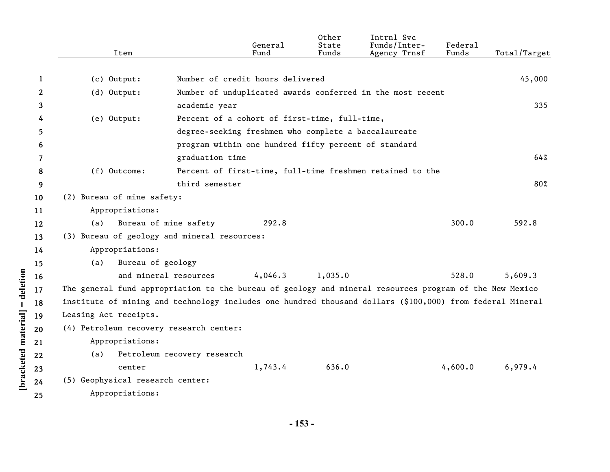|    | Item                                                                                                      |                             | General<br>Fund                                      | Other<br>State<br>Funds | Intrnl Svc<br>Funds/Inter-<br>Agency Trnsf                 | Federal<br>Funds | Total/Target |
|----|-----------------------------------------------------------------------------------------------------------|-----------------------------|------------------------------------------------------|-------------------------|------------------------------------------------------------|------------------|--------------|
|    |                                                                                                           |                             |                                                      |                         |                                                            |                  |              |
| 1  | $(c)$ Output:                                                                                             |                             | Number of credit hours delivered                     |                         |                                                            |                  | 45,000       |
| 2  | (d) Output:                                                                                               |                             |                                                      |                         | Number of unduplicated awards conferred in the most recent |                  |              |
| 3  |                                                                                                           | academic year               |                                                      |                         |                                                            |                  | 335          |
| 4  | (e) Output:                                                                                               |                             | Percent of a cohort of first-time, full-time,        |                         |                                                            |                  |              |
| 5  |                                                                                                           |                             | degree-seeking freshmen who complete a baccalaureate |                         |                                                            |                  |              |
| 6  |                                                                                                           |                             | program within one hundred fifty percent of standard |                         |                                                            |                  |              |
| 7  |                                                                                                           | graduation time             |                                                      |                         |                                                            |                  | 64%          |
| 8  | (f) Outcome:                                                                                              |                             |                                                      |                         | Percent of first-time, full-time freshmen retained to the  |                  |              |
| 9  |                                                                                                           | third semester              |                                                      |                         |                                                            |                  | 80%          |
| 10 | (2) Bureau of mine safety:                                                                                |                             |                                                      |                         |                                                            |                  |              |
| 11 | Appropriations:                                                                                           |                             |                                                      |                         |                                                            |                  |              |
| 12 | (a)                                                                                                       | Bureau of mine safety       | 292.8                                                |                         |                                                            | 300.0            | 592.8        |
| 13 | (3) Bureau of geology and mineral resources:                                                              |                             |                                                      |                         |                                                            |                  |              |
| 14 | Appropriations:                                                                                           |                             |                                                      |                         |                                                            |                  |              |
| 15 | Bureau of geology<br>(a)                                                                                  |                             |                                                      |                         |                                                            |                  |              |
| 16 |                                                                                                           | and mineral resources       | 4,046.3                                              | 1,035.0                 |                                                            | 528.0            | 5,609.3      |
| 17 | The general fund appropriation to the bureau of geology and mineral resources program of the New Mexico   |                             |                                                      |                         |                                                            |                  |              |
| 18 | institute of mining and technology includes one hundred thousand dollars (\$100,000) from federal Mineral |                             |                                                      |                         |                                                            |                  |              |
| 19 | Leasing Act receipts.                                                                                     |                             |                                                      |                         |                                                            |                  |              |
| 20 | (4) Petroleum recovery research center:                                                                   |                             |                                                      |                         |                                                            |                  |              |
| 21 | Appropriations:                                                                                           |                             |                                                      |                         |                                                            |                  |              |
| 22 | (a)                                                                                                       | Petroleum recovery research |                                                      |                         |                                                            |                  |              |
| 23 | center                                                                                                    |                             | 1,743.4                                              | 636.0                   |                                                            | 4,600.0          | 6,979.4      |
| 24 | (5) Geophysical research center:                                                                          |                             |                                                      |                         |                                                            |                  |              |
| 25 | Appropriations:                                                                                           |                             |                                                      |                         |                                                            |                  |              |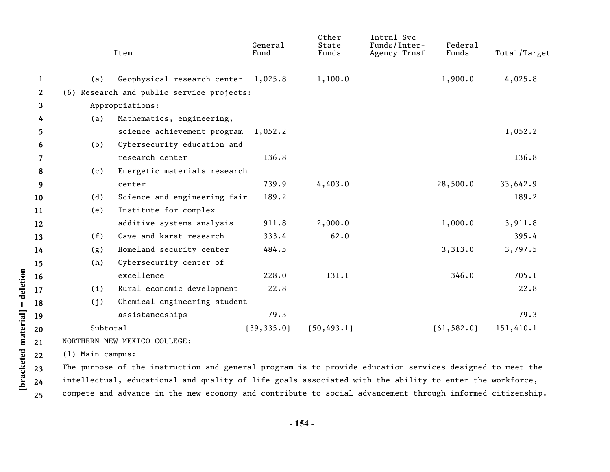|              |                  | Item                                                                                                     | General<br>Fund | Other<br>State<br>Funds | Intrnl Svc<br>Funds/Inter-<br>Agency Trnsf | Federal<br>Funds | Total/Target |
|--------------|------------------|----------------------------------------------------------------------------------------------------------|-----------------|-------------------------|--------------------------------------------|------------------|--------------|
|              |                  |                                                                                                          |                 |                         |                                            |                  |              |
| 1            | (a)              | Geophysical research center 1,025.8                                                                      |                 | 1,100.0                 |                                            | 1,900.0          | 4,025.8      |
| $\mathbf{2}$ |                  | (6) Research and public service projects:                                                                |                 |                         |                                            |                  |              |
| 3            |                  | Appropriations:                                                                                          |                 |                         |                                            |                  |              |
| 4            | (a)              | Mathematics, engineering,                                                                                |                 |                         |                                            |                  |              |
| 5.           |                  | science achievement program                                                                              | 1,052.2         |                         |                                            |                  | 1,052.2      |
| 6            | (b)              | Cybersecurity education and                                                                              |                 |                         |                                            |                  |              |
| 7            |                  | research center                                                                                          | 136.8           |                         |                                            |                  | 136.8        |
| 8            | (c)              | Energetic materials research                                                                             |                 |                         |                                            |                  |              |
| 9            |                  | center                                                                                                   | 739.9           | 4,403.0                 |                                            | 28,500.0         | 33,642.9     |
| 10           | (d)              | Science and engineering fair                                                                             | 189.2           |                         |                                            |                  | 189.2        |
| 11           | (e)              | Institute for complex                                                                                    |                 |                         |                                            |                  |              |
| 12           |                  | additive systems analysis                                                                                | 911.8           | 2,000.0                 |                                            | 1,000.0          | 3,911.8      |
| 13           | (f)              | Cave and karst research                                                                                  | 333.4           | 62.0                    |                                            |                  | 395.4        |
| 14           | (g)              | Homeland security center                                                                                 | 484.5           |                         |                                            | 3,313.0          | 3,797.5      |
| 15           | (h)              | Cybersecurity center of                                                                                  |                 |                         |                                            |                  |              |
| 16           |                  | excellence                                                                                               | 228.0           | 131.1                   |                                            | 346.0            | 705.1        |
| 17           | (i)              | Rural economic development                                                                               | 22.8            |                         |                                            |                  | 22.8         |
| 18           | (j)              | Chemical engineering student                                                                             |                 |                         |                                            |                  |              |
| 19           |                  | assistanceships                                                                                          | 79.3            |                         |                                            |                  | 79.3         |
| 20           | Subtotal         |                                                                                                          | [39, 335.0]     | [50, 493.1]             |                                            | [61, 582.0]      | 151,410.1    |
| 21           |                  | NORTHERN NEW MEXICO COLLEGE:                                                                             |                 |                         |                                            |                  |              |
| 22           | (1) Main campus: |                                                                                                          |                 |                         |                                            |                  |              |
| 23           |                  | The purpose of the instruction and general program is to provide education services designed to meet the |                 |                         |                                            |                  |              |
| 24           |                  | intellectual, educational and quality of life goals associated with the ability to enter the workforce,  |                 |                         |                                            |                  |              |

**25** compete and advance in the new economy and contribute to social advancement through informed citizenship.

**[bracketed material] = deletion**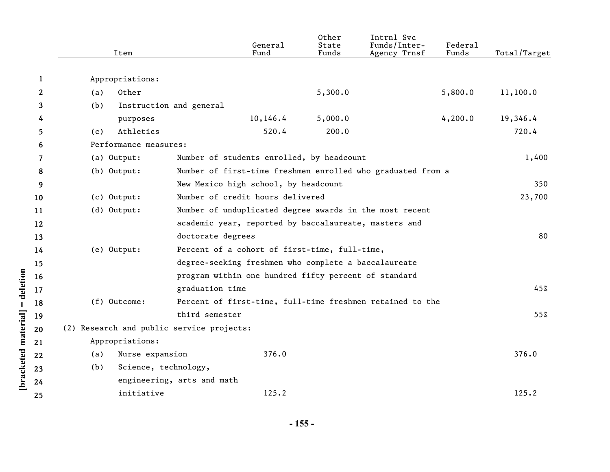|              | Item                                      |                                                       | General<br>Fund | Other<br>State<br>Funds | Intrnl Svc<br>Funds/Inter-<br>Agency Trnsf                  | Federal<br>Funds | Total/Target |
|--------------|-------------------------------------------|-------------------------------------------------------|-----------------|-------------------------|-------------------------------------------------------------|------------------|--------------|
| 1            | Appropriations:                           |                                                       |                 |                         |                                                             |                  |              |
| $\mathbf{2}$ | Other<br>(a)                              |                                                       |                 | 5,300.0                 |                                                             | 5,800.0          | 11,100.0     |
| 3            | (b)                                       | Instruction and general                               |                 |                         |                                                             |                  |              |
| 4            | purposes                                  |                                                       | 10, 146.4       | 5,000.0                 |                                                             | 4,200.0          | 19,346.4     |
| 5            | Athletics<br>(c)                          |                                                       | 520.4           | 200.0                   |                                                             |                  | 720.4        |
| 6            | Performance measures:                     |                                                       |                 |                         |                                                             |                  |              |
| 7            | (a) Output:                               | Number of students enrolled, by headcount             |                 |                         |                                                             |                  | 1,400        |
| 8            | (b) Output:                               |                                                       |                 |                         | Number of first-time freshmen enrolled who graduated from a |                  |              |
| 9            |                                           | New Mexico high school, by headcount                  |                 |                         |                                                             |                  | 350          |
| 10           | (c) Output:                               | Number of credit hours delivered                      |                 |                         |                                                             |                  | 23,700       |
| 11           | (d) Output:                               |                                                       |                 |                         | Number of unduplicated degree awards in the most recent     |                  |              |
| 12           |                                           | academic year, reported by baccalaureate, masters and |                 |                         |                                                             |                  |              |
| 13           |                                           | doctorate degrees                                     |                 |                         |                                                             |                  | 80           |
| 14           | (e) Output:                               | Percent of a cohort of first-time, full-time,         |                 |                         |                                                             |                  |              |
| 15           |                                           | degree-seeking freshmen who complete a baccalaureate  |                 |                         |                                                             |                  |              |
| 16           |                                           | program within one hundred fifty percent of standard  |                 |                         |                                                             |                  |              |
| 17           |                                           | graduation time                                       |                 |                         |                                                             |                  | 45%          |
| 18           | (f) Outcome:                              |                                                       |                 |                         | Percent of first-time, full-time freshmen retained to the   |                  |              |
| 19           |                                           | third semester                                        |                 |                         |                                                             |                  | 55%          |
| 20           | (2) Research and public service projects: |                                                       |                 |                         |                                                             |                  |              |
| 21           | Appropriations:                           |                                                       |                 |                         |                                                             |                  |              |
| 22           | (a)<br>Nurse expansion                    |                                                       | 376.0           |                         |                                                             |                  | 376.0        |
| 23           | Science, technology,<br>(b)               |                                                       |                 |                         |                                                             |                  |              |
| 24           |                                           | engineering, arts and math                            |                 |                         |                                                             |                  |              |
| 25           | initiative                                |                                                       | 125.2           |                         |                                                             |                  | 125.2        |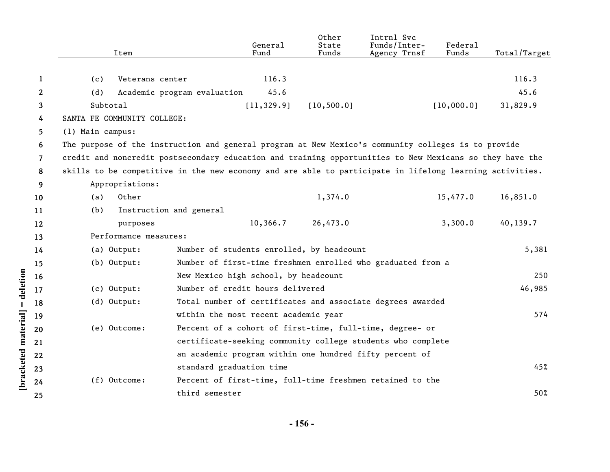|                | Item                        | General<br>Fund                                                                                          | Other<br>State<br>Funds | Intrnl Svc<br>Funds/Inter-<br>Agency Trnsf | Federal<br>Funds | Total/Target |
|----------------|-----------------------------|----------------------------------------------------------------------------------------------------------|-------------------------|--------------------------------------------|------------------|--------------|
| 1              | (c)<br>Veterans center      | 116.3                                                                                                    |                         |                                            |                  | 116.3        |
| $\mathbf{2}$   | (d)                         | Academic program evaluation                                                                              | 45.6                    |                                            |                  | 45.6         |
| 3              | Subtotal                    | [11, 329.9]                                                                                              | [10, 500.0]             |                                            | [10,000.0]       | 31,829.9     |
| 4              | SANTA FE COMMUNITY COLLEGE: |                                                                                                          |                         |                                            |                  |              |
| 5.             | (1) Main campus:            |                                                                                                          |                         |                                            |                  |              |
| 6              |                             | The purpose of the instruction and general program at New Mexico's community colleges is to provide      |                         |                                            |                  |              |
| $\overline{7}$ |                             | credit and noncredit postsecondary education and training opportunities to New Mexicans so they have the |                         |                                            |                  |              |
| 8              |                             | skills to be competitive in the new economy and are able to participate in lifelong learning activities. |                         |                                            |                  |              |
| 9              | Appropriations:             |                                                                                                          |                         |                                            |                  |              |
| 10             | Other<br>(a)                |                                                                                                          | 1,374.0                 |                                            | 15,477.0         | 16,851.0     |
| 11             | (b)                         | Instruction and general                                                                                  |                         |                                            |                  |              |
| 12             | purposes                    | 10,366.7                                                                                                 | 26,473.0                |                                            | 3,300.0          | 40,139.7     |
| 13             | Performance measures:       |                                                                                                          |                         |                                            |                  |              |
| 14             | (a) Output:                 | Number of students enrolled, by headcount                                                                |                         |                                            |                  | 5,381        |
| 15             | (b) Output:                 | Number of first-time freshmen enrolled who graduated from a                                              |                         |                                            |                  |              |
| 16             |                             | New Mexico high school, by headcount                                                                     |                         |                                            |                  | 250          |
| 17             | (c) Output:                 | Number of credit hours delivered                                                                         |                         |                                            |                  | 46,985       |
| 18             | (d) Output:                 | Total number of certificates and associate degrees awarded                                               |                         |                                            |                  |              |
| 19             |                             | within the most recent academic year                                                                     |                         |                                            |                  | 574          |
| 20             | (e) Outcome:                | Percent of a cohort of first-time, full-time, degree- or                                                 |                         |                                            |                  |              |
| 21             |                             | certificate-seeking community college students who complete                                              |                         |                                            |                  |              |
| 22             |                             | an academic program within one hundred fifty percent of                                                  |                         |                                            |                  |              |
| 23             |                             | standard graduation time                                                                                 |                         |                                            |                  | 45%          |
| 24             | (f) Outcome:                | Percent of first-time, full-time freshmen retained to the                                                |                         |                                            |                  |              |
| 25             |                             | third semester                                                                                           |                         |                                            |                  | 50%          |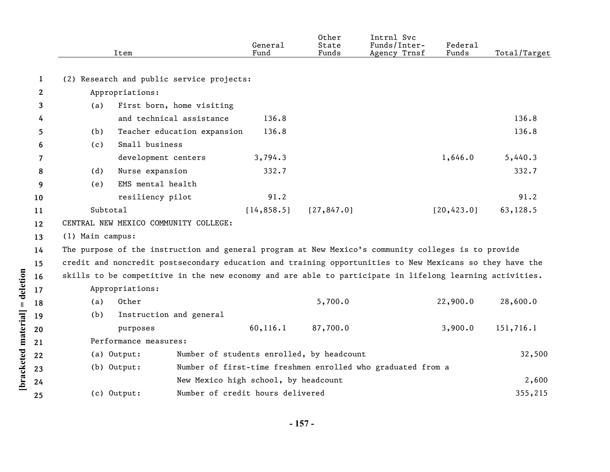|              |                  | Item                                                                                                     |                                      | General<br>Fund | Other<br>State<br>Funds                   | Intrnl Svc<br>Funds/Inter-<br>Agency Trnsf                  | Federal<br>Funds | Total/Target |
|--------------|------------------|----------------------------------------------------------------------------------------------------------|--------------------------------------|-----------------|-------------------------------------------|-------------------------------------------------------------|------------------|--------------|
| 1            |                  | (2) Research and public service projects:                                                                |                                      |                 |                                           |                                                             |                  |              |
| $\mathbf{2}$ |                  | Appropriations:                                                                                          |                                      |                 |                                           |                                                             |                  |              |
| 3            | (a)              | First born, home visiting                                                                                |                                      |                 |                                           |                                                             |                  |              |
| 4            |                  | and technical assistance                                                                                 |                                      | 136.8           |                                           |                                                             |                  | 136.8        |
| 5            | (b)              | Teacher education expansion                                                                              |                                      | 136.8           |                                           |                                                             |                  | 136.8        |
| 6            | (c)              | Small business                                                                                           |                                      |                 |                                           |                                                             |                  |              |
| 7            |                  | development centers                                                                                      |                                      | 3,794.3         |                                           |                                                             | 1,646.0          | 5,440.3      |
| 8            | (d)              | Nurse expansion                                                                                          |                                      | 332.7           |                                           |                                                             |                  | 332.7        |
| 9            | (e)              | EMS mental health                                                                                        |                                      |                 |                                           |                                                             |                  |              |
| 10           |                  | resiliency pilot                                                                                         |                                      | 91.2            |                                           |                                                             |                  | 91.2         |
| 11           | Subtotal         |                                                                                                          |                                      | [14, 858.5]     | [27, 847.0]                               |                                                             | [20, 423.0]      | 63,128.5     |
| $12 \,$      |                  | CENTRAL NEW MEXICO COMMUNITY COLLEGE:                                                                    |                                      |                 |                                           |                                                             |                  |              |
| 13           | (1) Main campus: |                                                                                                          |                                      |                 |                                           |                                                             |                  |              |
| 14           |                  | The purpose of the instruction and general program at New Mexico's community colleges is to provide      |                                      |                 |                                           |                                                             |                  |              |
| 15           |                  | credit and noncredit postsecondary education and training opportunities to New Mexicans so they have the |                                      |                 |                                           |                                                             |                  |              |
| 16           |                  | skills to be competitive in the new economy and are able to participate in lifelong learning activities. |                                      |                 |                                           |                                                             |                  |              |
| 17           |                  | Appropriations:                                                                                          |                                      |                 |                                           |                                                             |                  |              |
| 18           | (a)              | Other                                                                                                    |                                      |                 | 5,700.0                                   |                                                             | 22,900.0         | 28,600.0     |
| 19           | (b)              | Instruction and general                                                                                  |                                      |                 |                                           |                                                             |                  |              |
| 20           |                  | purposes                                                                                                 |                                      | 60, 116.1       | 87,700.0                                  |                                                             | 3,900.0          | 151,716.1    |
| 21           |                  | Performance measures:                                                                                    |                                      |                 |                                           |                                                             |                  |              |
| 22           |                  | (a) Output:                                                                                              |                                      |                 | Number of students enrolled, by headcount |                                                             |                  | 32,500       |
| 23           |                  | (b) Output:                                                                                              |                                      |                 |                                           | Number of first-time freshmen enrolled who graduated from a |                  |              |
| 24           |                  |                                                                                                          | New Mexico high school, by headcount |                 |                                           |                                                             |                  | 2,600        |
| 25           |                  | (c) Output:                                                                                              | Number of credit hours delivered     |                 |                                           |                                                             |                  | 355,215      |

**- 157 -** 

[bracketed material] = deletion **[bracketed material] = deletion**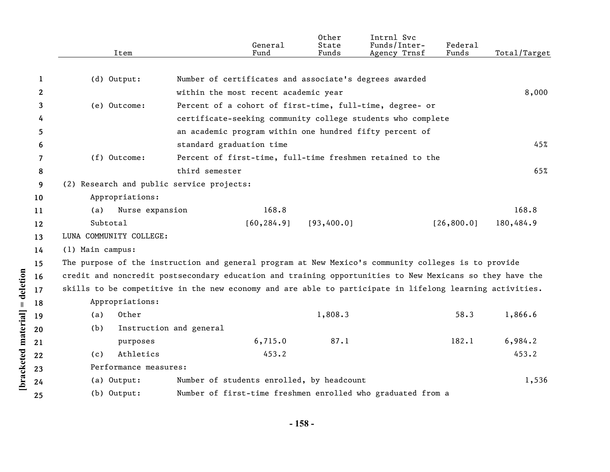|    | Item                                      | General<br>Fund                                                                                          | Other<br>State<br>Funds | Intrnl Svc<br>Funds/Inter-<br>Agency Trnsf | Federal<br>Funds | Total/Target |
|----|-------------------------------------------|----------------------------------------------------------------------------------------------------------|-------------------------|--------------------------------------------|------------------|--------------|
|    |                                           |                                                                                                          |                         |                                            |                  |              |
| 1  | (d) Output:                               | Number of certificates and associate's degrees awarded                                                   |                         |                                            |                  |              |
| 2  |                                           | within the most recent academic year                                                                     |                         |                                            |                  | 8,000        |
| 3  | (e) Outcome:                              | Percent of a cohort of first-time, full-time, degree- or                                                 |                         |                                            |                  |              |
| 4  |                                           | certificate-seeking community college students who complete                                              |                         |                                            |                  |              |
| 5  |                                           | an academic program within one hundred fifty percent of                                                  |                         |                                            |                  |              |
| 6  |                                           | standard graduation time                                                                                 |                         |                                            |                  | 45%          |
| 7  | $(f)$ Outcome:                            | Percent of first-time, full-time freshmen retained to the                                                |                         |                                            |                  |              |
| 8  |                                           | third semester                                                                                           |                         |                                            |                  | 65%          |
| 9  | (2) Research and public service projects: |                                                                                                          |                         |                                            |                  |              |
| 10 | Appropriations:                           |                                                                                                          |                         |                                            |                  |              |
| 11 | Nurse expansion<br>(a)                    | 168.8                                                                                                    |                         |                                            |                  | 168.8        |
| 12 | Subtotal                                  | [60, 284.9]                                                                                              | [93, 400.0]             |                                            | [26, 800.0]      | 180,484.9    |
| 13 | LUNA COMMUNITY COLLEGE:                   |                                                                                                          |                         |                                            |                  |              |
| 14 | (1) Main campus:                          |                                                                                                          |                         |                                            |                  |              |
| 15 |                                           | The purpose of the instruction and general program at New Mexico's community colleges is to provide      |                         |                                            |                  |              |
| 16 |                                           | credit and noncredit postsecondary education and training opportunities to New Mexicans so they have the |                         |                                            |                  |              |
| 17 |                                           | skills to be competitive in the new economy and are able to participate in lifelong learning activities. |                         |                                            |                  |              |
| 18 | Appropriations:                           |                                                                                                          |                         |                                            |                  |              |
| 19 | Other<br>(a)                              |                                                                                                          | 1,808.3                 |                                            | 58.3             | 1,866.6      |
| 20 | (b)                                       | Instruction and general                                                                                  |                         |                                            |                  |              |
| 21 | purposes                                  | 6,715.0                                                                                                  | 87.1                    |                                            | 182.1            | 6,984.2      |
| 22 | Athletics<br>(c)                          | 453.2                                                                                                    |                         |                                            |                  | 453.2        |
| 23 | Performance measures:                     |                                                                                                          |                         |                                            |                  |              |
| 24 | (a) Output:                               | Number of students enrolled, by headcount                                                                |                         |                                            |                  | 1,536        |
| 25 | (b) Output:                               | Number of first-time freshmen enrolled who graduated from a                                              |                         |                                            |                  |              |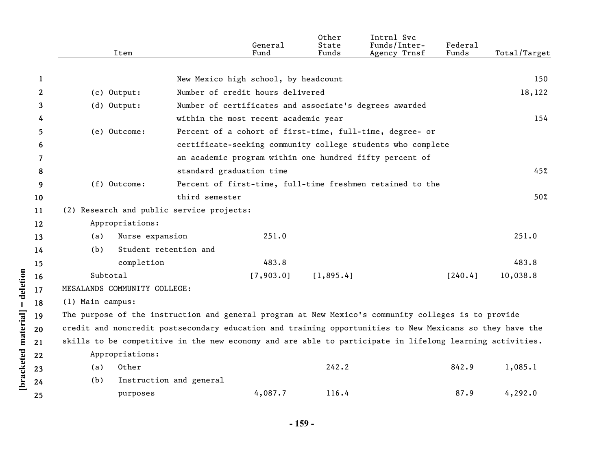|              | Item                                                                                                     |                         | General<br>Fund                                        | Other<br>State<br>Funds | Intrnl Svc<br>Funds/Inter-<br>Agency Trnsf                  | Federal<br>Funds | Total/Target |
|--------------|----------------------------------------------------------------------------------------------------------|-------------------------|--------------------------------------------------------|-------------------------|-------------------------------------------------------------|------------------|--------------|
|              |                                                                                                          |                         |                                                        |                         |                                                             |                  |              |
| 1            |                                                                                                          |                         | New Mexico high school, by headcount                   |                         |                                                             |                  | 150          |
| $\mathbf{2}$ | $(c)$ Output:                                                                                            |                         | Number of credit hours delivered                       |                         |                                                             |                  | 18,122       |
| 3            | $(d)$ Output:                                                                                            |                         | Number of certificates and associate's degrees awarded |                         |                                                             |                  |              |
| 4            |                                                                                                          |                         | within the most recent academic year                   |                         |                                                             |                  | 154          |
| 5            | (e) Outcome:                                                                                             |                         |                                                        |                         | Percent of a cohort of first-time, full-time, degree- or    |                  |              |
| 6            |                                                                                                          |                         |                                                        |                         | certificate-seeking community college students who complete |                  |              |
| 7            |                                                                                                          |                         |                                                        |                         | an academic program within one hundred fifty percent of     |                  |              |
| 8            |                                                                                                          |                         | standard graduation time                               |                         |                                                             |                  | 45%          |
| 9            | (f) Outcome:                                                                                             |                         |                                                        |                         | Percent of first-time, full-time freshmen retained to the   |                  |              |
| 10           |                                                                                                          | third semester          |                                                        |                         |                                                             |                  | 50%          |
| 11           | (2) Research and public service projects:                                                                |                         |                                                        |                         |                                                             |                  |              |
| 12           | Appropriations:                                                                                          |                         |                                                        |                         |                                                             |                  |              |
| 13           | (a)                                                                                                      | Nurse expansion         | 251.0                                                  |                         |                                                             |                  | 251.0        |
| 14           | (b)                                                                                                      | Student retention and   |                                                        |                         |                                                             |                  |              |
| 15           | completion                                                                                               |                         | 483.8                                                  |                         |                                                             |                  | 483.8        |
| 16           | Subtotal                                                                                                 |                         | [7,903.0]                                              | [1, 895.4]              |                                                             | [240.4]          | 10,038.8     |
| 17           | MESALANDS COMMUNITY COLLEGE:                                                                             |                         |                                                        |                         |                                                             |                  |              |
| 18           | (1) Main campus:                                                                                         |                         |                                                        |                         |                                                             |                  |              |
| 19           | The purpose of the instruction and general program at New Mexico's community colleges is to provide      |                         |                                                        |                         |                                                             |                  |              |
| 20           | credit and noncredit postsecondary education and training opportunities to New Mexicans so they have the |                         |                                                        |                         |                                                             |                  |              |
| 21           | skills to be competitive in the new economy and are able to participate in lifelong learning activities. |                         |                                                        |                         |                                                             |                  |              |
| 22           | Appropriations:                                                                                          |                         |                                                        |                         |                                                             |                  |              |
| 23           | Other<br>(a)                                                                                             |                         |                                                        | 242.2                   |                                                             | 842.9            | 1,085.1      |
| 24           | (b)                                                                                                      | Instruction and general |                                                        |                         |                                                             |                  |              |
| 25           | purposes                                                                                                 |                         | 4,087.7                                                | 116.4                   |                                                             | 87.9             | 4, 292.0     |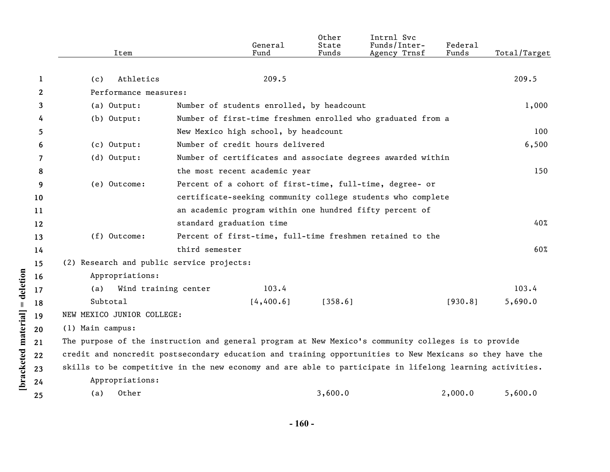|    | Item                                                                                                     |                | General<br>Fund                           | Other<br>State<br>Funds | Intrnl Svc<br>Funds/Inter-<br>Agency Trnsf                  | Federal<br>Funds | Total/Target |
|----|----------------------------------------------------------------------------------------------------------|----------------|-------------------------------------------|-------------------------|-------------------------------------------------------------|------------------|--------------|
|    |                                                                                                          |                |                                           |                         |                                                             |                  |              |
| 1  | Athletics<br>(c)                                                                                         |                | 209.5                                     |                         |                                                             |                  | 209.5        |
| 2  | Performance measures:                                                                                    |                |                                           |                         |                                                             |                  |              |
| 3  | (a) Output:                                                                                              |                | Number of students enrolled, by headcount |                         |                                                             |                  | 1,000        |
| 4  | (b) Output:                                                                                              |                |                                           |                         | Number of first-time freshmen enrolled who graduated from a |                  |              |
| 5  |                                                                                                          |                | New Mexico high school, by headcount      |                         |                                                             |                  | 100          |
| 6  | (c) Output:                                                                                              |                | Number of credit hours delivered          |                         |                                                             |                  | 6,500        |
| 7  | $(d)$ Output:                                                                                            |                |                                           |                         | Number of certificates and associate degrees awarded within |                  |              |
| 8  |                                                                                                          |                | the most recent academic year             |                         |                                                             |                  | 150          |
| 9  | (e) Outcome:                                                                                             |                |                                           |                         | Percent of a cohort of first-time, full-time, degree- or    |                  |              |
| 10 |                                                                                                          |                |                                           |                         | certificate-seeking community college students who complete |                  |              |
| 11 |                                                                                                          |                |                                           |                         | an academic program within one hundred fifty percent of     |                  |              |
| 12 |                                                                                                          |                | standard graduation time                  |                         |                                                             |                  | 40%          |
| 13 | (f) Outcome:                                                                                             |                |                                           |                         | Percent of first-time, full-time freshmen retained to the   |                  |              |
| 14 |                                                                                                          | third semester |                                           |                         |                                                             |                  | 60%          |
| 15 | (2) Research and public service projects:                                                                |                |                                           |                         |                                                             |                  |              |
| 16 | Appropriations:                                                                                          |                |                                           |                         |                                                             |                  |              |
| 17 | Wind training center<br>(a)                                                                              |                | 103.4                                     |                         |                                                             |                  | 103.4        |
| 18 | Subtotal                                                                                                 |                | [4, 400.6]                                | [358.6]                 |                                                             | [930.8]          | 5,690.0      |
| 19 | NEW MEXICO JUNIOR COLLEGE:                                                                               |                |                                           |                         |                                                             |                  |              |
| 20 | (1) Main campus:                                                                                         |                |                                           |                         |                                                             |                  |              |
| 21 | The purpose of the instruction and general program at New Mexico's community colleges is to provide      |                |                                           |                         |                                                             |                  |              |
| 22 | credit and noncredit postsecondary education and training opportunities to New Mexicans so they have the |                |                                           |                         |                                                             |                  |              |
| 23 | skills to be competitive in the new economy and are able to participate in lifelong learning activities. |                |                                           |                         |                                                             |                  |              |
| 24 | Appropriations:                                                                                          |                |                                           |                         |                                                             |                  |              |
| 25 | Other<br>(a)                                                                                             |                |                                           | 3,600.0                 |                                                             | 2,000.0          | 5,600.0      |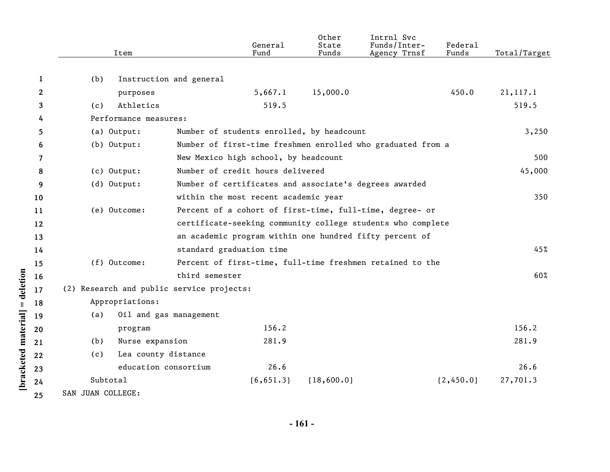|              | Item                                      |                         | General<br>Fund                           | Other<br>State<br>Funds | Intrnl Svc<br>Funds/Inter-<br>Agency Trnsf                  | Federal<br>Funds | Total/Target |
|--------------|-------------------------------------------|-------------------------|-------------------------------------------|-------------------------|-------------------------------------------------------------|------------------|--------------|
| 1            | (b)                                       | Instruction and general |                                           |                         |                                                             |                  |              |
| $\mathbf{2}$ | purposes                                  |                         | 5,667.1                                   | 15,000.0                |                                                             | 450.0            | 21, 117.1    |
| 3            | Athletics<br>(c)                          |                         | 519.5                                     |                         |                                                             |                  | 519.5        |
| 4            | Performance measures:                     |                         |                                           |                         |                                                             |                  |              |
| 5            | (a) Output:                               |                         | Number of students enrolled, by headcount |                         |                                                             |                  | 3,250        |
| 6            | $(b)$ Output:                             |                         |                                           |                         | Number of first-time freshmen enrolled who graduated from a |                  |              |
| 7            |                                           |                         | New Mexico high school, by headcount      |                         |                                                             |                  | 500          |
| 8            | (c) Output:                               |                         | Number of credit hours delivered          |                         |                                                             |                  | 45,000       |
| 9            | (d) Output:                               |                         |                                           |                         | Number of certificates and associate's degrees awarded      |                  |              |
| 10           |                                           |                         | within the most recent academic year      |                         |                                                             |                  | 350          |
| 11           | (e) Outcome:                              |                         |                                           |                         | Percent of a cohort of first-time, full-time, degree- or    |                  |              |
| 12           |                                           |                         |                                           |                         | certificate-seeking community college students who complete |                  |              |
| 13           |                                           |                         |                                           |                         | an academic program within one hundred fifty percent of     |                  |              |
| 14           |                                           |                         | standard graduation time                  |                         |                                                             |                  | 45%          |
| 15           | (f) Outcome:                              |                         |                                           |                         | Percent of first-time, full-time freshmen retained to the   |                  |              |
| 16           |                                           | third semester          |                                           |                         |                                                             |                  | 60%          |
| 17           | (2) Research and public service projects: |                         |                                           |                         |                                                             |                  |              |
| 18           | Appropriations:                           |                         |                                           |                         |                                                             |                  |              |
| 19           | (a)                                       | Oil and gas management  |                                           |                         |                                                             |                  |              |
| 20           | program                                   |                         | 156.2                                     |                         |                                                             |                  | 156.2        |
| 21           | Nurse expansion<br>(b)                    |                         | 281.9                                     |                         |                                                             |                  | 281.9        |
| 22           | (c)                                       | Lea county distance     |                                           |                         |                                                             |                  |              |
| 23           |                                           | education consortium    | 26.6                                      |                         |                                                             |                  | 26.6         |
| 24           | Subtotal                                  |                         | [6, 651.3]                                | [18,600.0]              |                                                             | [2,450.0]        | 27,701.3     |
| 25           | SAN JUAN COLLEGE:                         |                         |                                           |                         |                                                             |                  |              |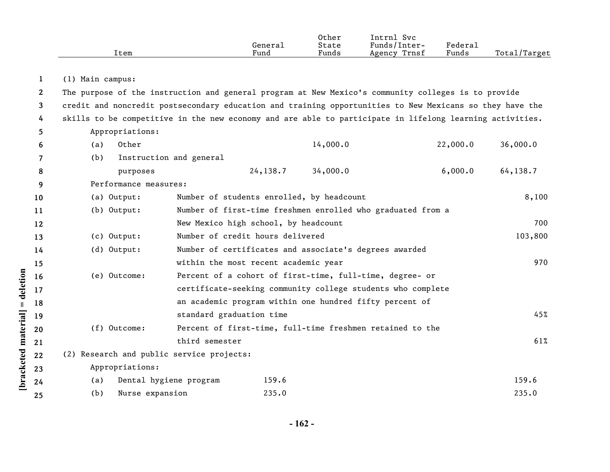|                       | Item                                                                                                     |                          | General<br>Fund                           | Other<br>State<br>Funds | Intrnl Svc<br>Funds/Inter-<br>Agency Trnsf                  | Federal<br>Funds | Total/Target |
|-----------------------|----------------------------------------------------------------------------------------------------------|--------------------------|-------------------------------------------|-------------------------|-------------------------------------------------------------|------------------|--------------|
| 1                     | (1) Main campus:                                                                                         |                          |                                           |                         |                                                             |                  |              |
| $\mathbf{2}^{\prime}$ | The purpose of the instruction and general program at New Mexico's community colleges is to provide      |                          |                                           |                         |                                                             |                  |              |
| 3                     | credit and noncredit postsecondary education and training opportunities to New Mexicans so they have the |                          |                                           |                         |                                                             |                  |              |
| 4                     | skills to be competitive in the new economy and are able to participate in lifelong learning activities. |                          |                                           |                         |                                                             |                  |              |
| 5                     | Appropriations:                                                                                          |                          |                                           |                         |                                                             |                  |              |
| 6                     | Other<br>(a)                                                                                             |                          |                                           | 14,000.0                |                                                             | 22,000.0         | 36,000.0     |
| 7                     | (b)                                                                                                      | Instruction and general  |                                           |                         |                                                             |                  |              |
| 8                     | purposes                                                                                                 |                          | 24,138.7                                  | 34,000.0                |                                                             | 6,000.0          | 64,138.7     |
| 9                     | Performance measures:                                                                                    |                          |                                           |                         |                                                             |                  |              |
| 10                    | (a) Output:                                                                                              |                          | Number of students enrolled, by headcount |                         |                                                             |                  | 8,100        |
| 11                    | $(b)$ Output:                                                                                            |                          |                                           |                         | Number of first-time freshmen enrolled who graduated from a |                  |              |
| 12                    |                                                                                                          |                          | New Mexico high school, by headcount      |                         |                                                             |                  | 700          |
| 13                    | (c) Output:                                                                                              |                          | Number of credit hours delivered          |                         |                                                             |                  | 103,800      |
| 14                    | (d) Output:                                                                                              |                          |                                           |                         | Number of certificates and associate's degrees awarded      |                  |              |
| 15                    |                                                                                                          |                          | within the most recent academic year      |                         |                                                             |                  | 970          |
| 16                    | (e) Outcome:                                                                                             |                          |                                           |                         | Percent of a cohort of first-time, full-time, degree- or    |                  |              |
| 17                    |                                                                                                          |                          |                                           |                         | certificate-seeking community college students who complete |                  |              |
| 18                    |                                                                                                          |                          |                                           |                         | an academic program within one hundred fifty percent of     |                  |              |
| 19                    |                                                                                                          | standard graduation time |                                           |                         |                                                             |                  | 45%          |
| 20                    | $(f)$ Outcome:                                                                                           |                          |                                           |                         | Percent of first-time, full-time freshmen retained to the   |                  |              |
| 21                    |                                                                                                          | third semester           |                                           |                         |                                                             |                  | 61%          |
| 22                    | (2) Research and public service projects:                                                                |                          |                                           |                         |                                                             |                  |              |
| 23                    | Appropriations:                                                                                          |                          |                                           |                         |                                                             |                  |              |
| 24                    | (a)                                                                                                      | Dental hygiene program   | 159.6                                     |                         |                                                             |                  | 159.6        |
| 25                    | (b)<br>Nurse expansion                                                                                   |                          | 235.0                                     |                         |                                                             |                  | 235.0        |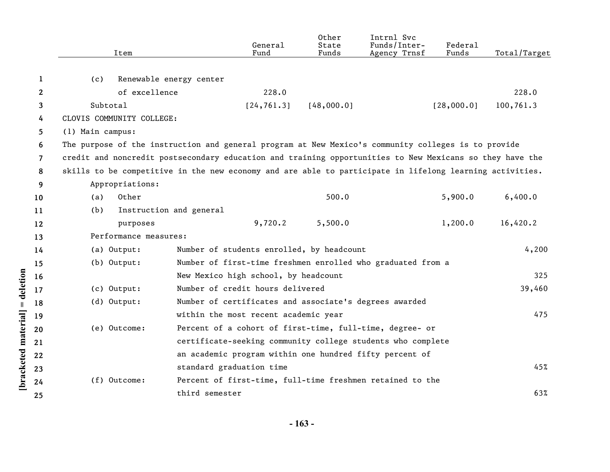|                | Item                                                                                                     |                                                             | General<br>Fund | Other<br>State<br>Funds | Intrnl Svc<br>Funds/Inter-<br>Agency Trnsf | Federal<br>Funds | Total/Target |
|----------------|----------------------------------------------------------------------------------------------------------|-------------------------------------------------------------|-----------------|-------------------------|--------------------------------------------|------------------|--------------|
| 1              | (c)                                                                                                      | Renewable energy center                                     |                 |                         |                                            |                  |              |
| $\mathbf{2}$   | of excellence                                                                                            |                                                             | 228.0           |                         |                                            |                  | 228.0        |
| 3              | Subtotal                                                                                                 |                                                             | [24, 761.3]     | [48,000.0]              |                                            | [28,000.0]       | 100,761.3    |
| 4              | CLOVIS COMMUNITY COLLEGE:                                                                                |                                                             |                 |                         |                                            |                  |              |
| 5.             | (1) Main campus:                                                                                         |                                                             |                 |                         |                                            |                  |              |
| 6              | The purpose of the instruction and general program at New Mexico's community colleges is to provide      |                                                             |                 |                         |                                            |                  |              |
| $\overline{7}$ | credit and noncredit postsecondary education and training opportunities to New Mexicans so they have the |                                                             |                 |                         |                                            |                  |              |
| 8              | skills to be competitive in the new economy and are able to participate in lifelong learning activities. |                                                             |                 |                         |                                            |                  |              |
| 9              | Appropriations:                                                                                          |                                                             |                 |                         |                                            |                  |              |
| 10             | Other<br>(a)                                                                                             |                                                             |                 | 500.0                   |                                            | 5,900.0          | 6,400.0      |
| 11             | (b)                                                                                                      | Instruction and general                                     |                 |                         |                                            |                  |              |
| 12             | purposes                                                                                                 |                                                             | 9,720.2         | 5,500.0                 |                                            | 1,200.0          | 16,420.2     |
| 13             | Performance measures:                                                                                    |                                                             |                 |                         |                                            |                  |              |
| 14             | (a) Output:                                                                                              | Number of students enrolled, by headcount                   |                 |                         |                                            |                  | 4,200        |
| 15             | $(b)$ Output:                                                                                            | Number of first-time freshmen enrolled who graduated from a |                 |                         |                                            |                  |              |
| 16             |                                                                                                          | New Mexico high school, by headcount                        |                 |                         |                                            |                  | 325          |
| 17             | $(c)$ Output:                                                                                            | Number of credit hours delivered                            |                 |                         |                                            |                  | 39,460       |
| 18             | $(d)$ Output:                                                                                            | Number of certificates and associate's degrees awarded      |                 |                         |                                            |                  |              |
| 19             |                                                                                                          | within the most recent academic year                        |                 |                         |                                            |                  | 475          |
| 20             | (e) Outcome:                                                                                             | Percent of a cohort of first-time, full-time, degree- or    |                 |                         |                                            |                  |              |
| 21             |                                                                                                          | certificate-seeking community college students who complete |                 |                         |                                            |                  |              |
| 22             |                                                                                                          | an academic program within one hundred fifty percent of     |                 |                         |                                            |                  |              |
| 23             |                                                                                                          | standard graduation time                                    |                 |                         |                                            |                  | 45%          |
| 24             | $(f)$ Outcome:                                                                                           | Percent of first-time, full-time freshmen retained to the   |                 |                         |                                            |                  |              |
| 25             |                                                                                                          | third semester                                              |                 |                         |                                            |                  | 63%          |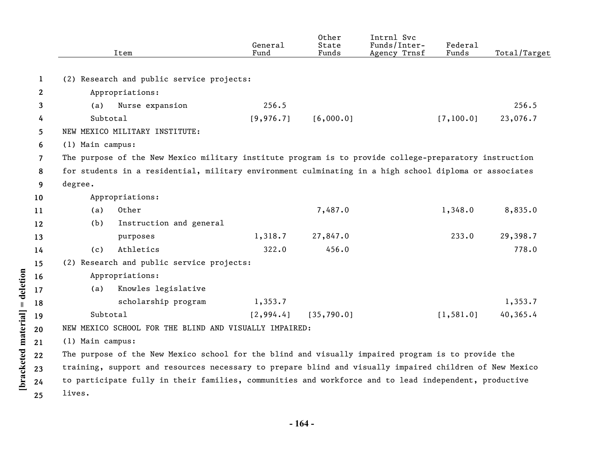|                |                  | Item                                                                                                    | General<br>Fund | Other<br>State<br>Funds | Intrnl Svc<br>Funds/Inter-<br>Agency Trnsf | Federal<br>Funds | Total/Target |
|----------------|------------------|---------------------------------------------------------------------------------------------------------|-----------------|-------------------------|--------------------------------------------|------------------|--------------|
|                |                  |                                                                                                         |                 |                         |                                            |                  |              |
| 1              |                  | (2) Research and public service projects:                                                               |                 |                         |                                            |                  |              |
| $\mathbf{2}$   |                  | Appropriations:                                                                                         |                 |                         |                                            |                  |              |
| 3              | (a)              | Nurse expansion                                                                                         | 256.5           |                         |                                            |                  | 256.5        |
| 4              | Subtotal         |                                                                                                         | [9, 976.7]      | [6,000.0]               |                                            | [7, 100.0]       | 23,076.7     |
| 5              |                  | NEW MEXICO MILITARY INSTITUTE:                                                                          |                 |                         |                                            |                  |              |
| 6              | (1) Main campus: |                                                                                                         |                 |                         |                                            |                  |              |
| $\overline{7}$ |                  | The purpose of the New Mexico military institute program is to provide college-preparatory instruction  |                 |                         |                                            |                  |              |
| 8              |                  | for students in a residential, military environment culminating in a high school diploma or associates  |                 |                         |                                            |                  |              |
| 9              | degree.          |                                                                                                         |                 |                         |                                            |                  |              |
| 10             |                  | Appropriations:                                                                                         |                 |                         |                                            |                  |              |
| 11             | (a)              | Other                                                                                                   |                 | 7,487.0                 |                                            | 1,348.0          | 8,835.0      |
| 12             | (b)              | Instruction and general                                                                                 |                 |                         |                                            |                  |              |
| 13             |                  | purposes                                                                                                | 1,318.7         | 27,847.0                |                                            | 233.0            | 29,398.7     |
| 14             | (c)              | Athletics                                                                                               | 322.0           | 456.0                   |                                            |                  | 778.0        |
| 15             |                  | (2) Research and public service projects:                                                               |                 |                         |                                            |                  |              |
| 16             |                  | Appropriations:                                                                                         |                 |                         |                                            |                  |              |
| 17             | (a)              | Knowles legislative                                                                                     |                 |                         |                                            |                  |              |
| 18             |                  | scholarship program                                                                                     | 1,353.7         |                         |                                            |                  | 1,353.7      |
| 19             | Subtotal         |                                                                                                         | [2, 994.4]      | [35, 790.0]             |                                            | [1, 581.0]       | 40,365.4     |
| 20             |                  | NEW MEXICO SCHOOL FOR THE BLIND AND VISUALLY IMPAIRED:                                                  |                 |                         |                                            |                  |              |
| 21             | (1) Main campus: |                                                                                                         |                 |                         |                                            |                  |              |
| 22             |                  | The purpose of the New Mexico school for the blind and visually impaired program is to provide the      |                 |                         |                                            |                  |              |
| 23             |                  | training, support and resources necessary to prepare blind and visually impaired children of New Mexico |                 |                         |                                            |                  |              |
| 24             |                  | to participate fully in their families, communities and workforce and to lead independent, productive   |                 |                         |                                            |                  |              |
| 25             | lives.           |                                                                                                         |                 |                         |                                            |                  |              |

 $[bracketed material] = deletion \label{eq:1}$ 

**- 164 -**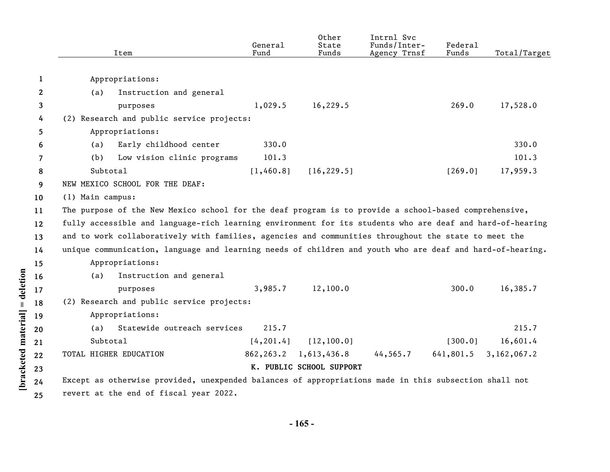|                |                  | Item                                                                                                      | General<br>Fund | Other<br>State<br>Funds  | Intrnl Svc<br>Funds/Inter-<br>Agency Trnsf | Federal<br>Funds | Total/Target |
|----------------|------------------|-----------------------------------------------------------------------------------------------------------|-----------------|--------------------------|--------------------------------------------|------------------|--------------|
| $\mathbf{1}$   |                  | Appropriations:                                                                                           |                 |                          |                                            |                  |              |
| 2              | (a)              | Instruction and general                                                                                   |                 |                          |                                            |                  |              |
| 3              |                  | purposes                                                                                                  | 1,029.5         | 16,229.5                 |                                            | 269.0            | 17,528.0     |
| 4              |                  | (2) Research and public service projects:                                                                 |                 |                          |                                            |                  |              |
| 5              |                  | Appropriations:                                                                                           |                 |                          |                                            |                  |              |
| 6              | (a)              | Early childhood center                                                                                    | 330.0           |                          |                                            |                  | 330.0        |
| $\overline{7}$ | (b)              | Low vision clinic programs                                                                                | 101.3           |                          |                                            |                  | 101.3        |
| 8              | Subtotal         |                                                                                                           | [1,460.8]       | [16, 229.5]              |                                            | [269.0]          | 17,959.3     |
| 9              |                  | NEW MEXICO SCHOOL FOR THE DEAF:                                                                           |                 |                          |                                            |                  |              |
| 10             | (1) Main campus: |                                                                                                           |                 |                          |                                            |                  |              |
| 11             |                  | The purpose of the New Mexico school for the deaf program is to provide a school-based comprehensive,     |                 |                          |                                            |                  |              |
| 12             |                  | fully accessible and language-rich learning environment for its students who are deaf and hard-of-hearing |                 |                          |                                            |                  |              |
| 13             |                  | and to work collaboratively with families, agencies and communities throughout the state to meet the      |                 |                          |                                            |                  |              |
| 14             |                  | unique communication, language and learning needs of children and youth who are deaf and hard-of-hearing. |                 |                          |                                            |                  |              |
| 15             |                  | Appropriations:                                                                                           |                 |                          |                                            |                  |              |
| 16             | (a)              | Instruction and general                                                                                   |                 |                          |                                            |                  |              |
| 17             |                  | purposes                                                                                                  | 3,985.7         | 12,100.0                 |                                            | 300.0            | 16,385.7     |
| 18             |                  | (2) Research and public service projects:                                                                 |                 |                          |                                            |                  |              |
| 19             |                  | Appropriations:                                                                                           |                 |                          |                                            |                  |              |
| 20             | (a)              | Statewide outreach services                                                                               | 215.7           |                          |                                            |                  | 215.7        |
| 21             | Subtotal         |                                                                                                           | [4, 201.4]      | [12, 100.0]              |                                            | [300.0]          | 16,601.4     |
| 22             |                  | TOTAL HIGHER EDUCATION                                                                                    | 862, 263.2      | 1,613,436.8              | 44, 565.7                                  | 641,801.5        | 3,162,067.2  |
| 23             |                  |                                                                                                           |                 | K. PUBLIC SCHOOL SUPPORT |                                            |                  |              |
| 24             |                  | Except as otherwise provided, unexpended balances of appropriations made in this subsection shall not     |                 |                          |                                            |                  |              |
| 25             |                  | revert at the end of fiscal year 2022.                                                                    |                 |                          |                                            |                  |              |

[bracketed material] = deletion **[bracketed material] = deletion**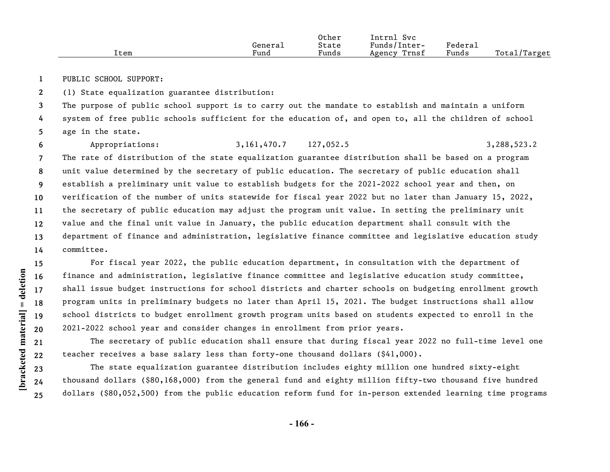|      | General | Other<br>State | Svc<br>Intrnl<br>Funds/Inter- | Federal |              |
|------|---------|----------------|-------------------------------|---------|--------------|
| Item | Fund    | Funds          | Trnsf<br>Agency               | Funds   | Total/Target |

**1** PUBLIC SCHOOL SUPPORT:

**2** (1) State equalization guarantee distribution:

**3 4 5** The purpose of public school support is to carry out the mandate to establish and maintain a uniform system of free public schools sufficient for the education of, and open to, all the children of school age in the state.

**6 7 8 9 10 11 12 13 14** Appropriations: 3,161,470.7 127,052.5 3,288,523.2 The rate of distribution of the state equalization guarantee distribution shall be based on a program unit value determined by the secretary of public education. The secretary of public education shall establish a preliminary unit value to establish budgets for the 2021-2022 school year and then, on verification of the number of units statewide for fiscal year 2022 but no later than January 15, 2022, the secretary of public education may adjust the program unit value. In setting the preliminary unit value and the final unit value in January, the public education department shall consult with the department of finance and administration, legislative finance committee and legislative education study committee.

**15 16 17** For fiscal year 2022, the public education department, in consultation with the department of finance and administration, legislative finance committee and legislative education study committee, shall issue budget instructions for school districts and charter schools on budgeting enrollment growth program units in preliminary budgets no later than April 15, 2021. The budget instructions shall allow school districts to budget enrollment growth program units based on students expected to enroll in the 2021-2022 school year and consider changes in enrollment from prior years.

The secretary of public education shall ensure that during fiscal year 2022 no full-time level one teacher receives a base salary less than forty-one thousand dollars (\$41,000).

The state equalization guarantee distribution includes eighty million one hundred sixty-eight thousand dollars (\$80,168,000) from the general fund and eighty million fifty-two thousand five hundred dollars (\$80,052,500) from the public education reform fund for in-person extended learning time programs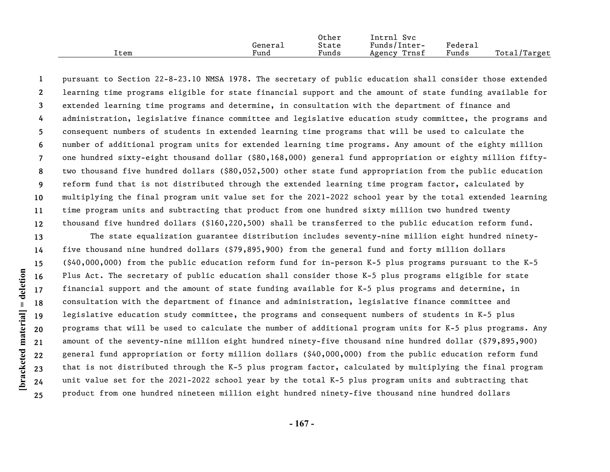|      |         | Other | Svc<br>Intrnl   |         |              |
|------|---------|-------|-----------------|---------|--------------|
|      | General | State | Funds/Inter-    | Federal |              |
| Item | Fund    | Funds | Trnsf<br>Agency | Funds   | Total/Target |

**1 2 3 4 5 6 7 8 9 10 11 12** pursuant to Section 22-8-23.10 NMSA 1978. The secretary of public education shall consider those extended learning time programs eligible for state financial support and the amount of state funding available for extended learning time programs and determine, in consultation with the department of finance and administration, legislative finance committee and legislative education study committee, the programs and consequent numbers of students in extended learning time programs that will be used to calculate the number of additional program units for extended learning time programs. Any amount of the eighty million one hundred sixty-eight thousand dollar (\$80,168,000) general fund appropriation or eighty million fiftytwo thousand five hundred dollars (\$80,052,500) other state fund appropriation from the public education reform fund that is not distributed through the extended learning time program factor, calculated by multiplying the final program unit value set for the 2021-2022 school year by the total extended learning time program units and subtracting that product from one hundred sixty million two hundred twenty thousand five hundred dollars (\$160,220,500) shall be transferred to the public education reform fund.

**13 14 15 16 17 18 19 20 21 22 23 24 25** The state equalization guarantee distribution includes seventy-nine million eight hundred ninetyfive thousand nine hundred dollars (\$79,895,900) from the general fund and forty million dollars (\$40,000,000) from the public education reform fund for in-person K-5 plus programs pursuant to the K-5 Plus Act. The secretary of public education shall consider those K-5 plus programs eligible for state financial support and the amount of state funding available for K-5 plus programs and determine, in consultation with the department of finance and administration, legislative finance committee and legislative education study committee, the programs and consequent numbers of students in K-5 plus programs that will be used to calculate the number of additional program units for K-5 plus programs. Any amount of the seventy-nine million eight hundred ninety-five thousand nine hundred dollar (\$79,895,900) general fund appropriation or forty million dollars (\$40,000,000) from the public education reform fund that is not distributed through the K-5 plus program factor, calculated by multiplying the final program unit value set for the 2021-2022 school year by the total K-5 plus program units and subtracting that product from one hundred nineteen million eight hundred ninety-five thousand nine hundred dollars

**- 167 -**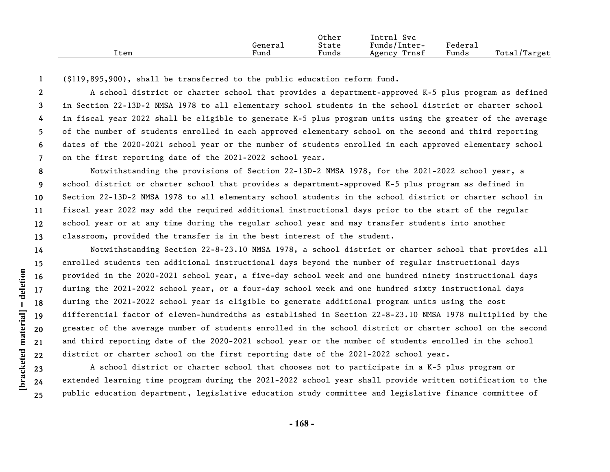|      |         | Other | Intrnl<br><b>Svc</b> |         |              |
|------|---------|-------|----------------------|---------|--------------|
|      | General | State | Funds/Inter-         | Federa⊥ |              |
| Item | Fund    | Funds | Trnsf<br>Agency      | Funds   | Total/Target |

**1** (\$119,895,900), shall be transferred to the public education reform fund.

**2 3 4 5 6 7** A school district or charter school that provides a department-approved K-5 plus program as defined in Section 22-13D-2 NMSA 1978 to all elementary school students in the school district or charter school in fiscal year 2022 shall be eligible to generate K-5 plus program units using the greater of the average of the number of students enrolled in each approved elementary school on the second and third reporting dates of the 2020-2021 school year or the number of students enrolled in each approved elementary school on the first reporting date of the 2021-2022 school year.

**8 9 10 11 12 13** Notwithstanding the provisions of Section 22-13D-2 NMSA 1978, for the 2021-2022 school year, a school district or charter school that provides a department-approved K-5 plus program as defined in Section 22-13D-2 NMSA 1978 to all elementary school students in the school district or charter school in fiscal year 2022 may add the required additional instructional days prior to the start of the regular school year or at any time during the regular school year and may transfer students into another classroom, provided the transfer is in the best interest of the student.

**14 22** Notwithstanding Section 22-8-23.10 NMSA 1978, a school district or charter school that provides all enrolled students ten additional instructional days beyond the number of regular instructional days provided in the 2020-2021 school year, a five-day school week and one hundred ninety instructional days during the 2021-2022 school year, or a four-day school week and one hundred sixty instructional days during the 2021-2022 school year is eligible to generate additional program units using the cost differential factor of eleven-hundredths as established in Section 22-8-23.10 NMSA 1978 multiplied by the greater of the average number of students enrolled in the school district or charter school on the second and third reporting date of the 2020-2021 school year or the number of students enrolled in the school district or charter school on the first reporting date of the 2021-2022 school year.

A school district or charter school that chooses not to participate in a K-5 plus program or extended learning time program during the 2021-2022 school year shall provide written notification to the public education department, legislative education study committee and legislative finance committee of

**- 168 -** 

**23 24 25**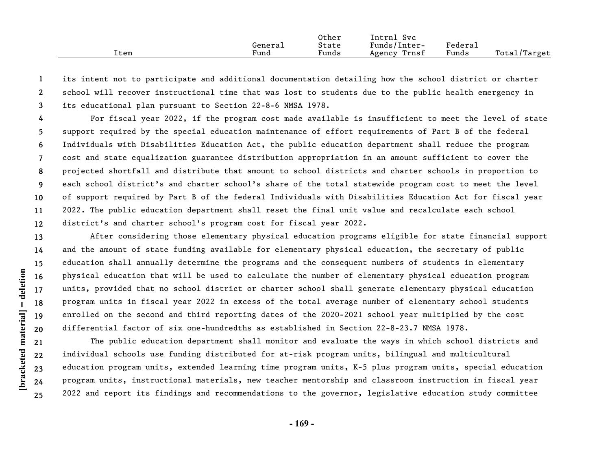|      |         | Other | Intrnl<br><b>Svc</b> |         |              |
|------|---------|-------|----------------------|---------|--------------|
|      | General | State | Funds/Inter-         | Federal |              |
| Item | ±und    | Funds | Trnsf<br>Agency      | Funds   | Total/Target |

**1 2 3** its intent not to participate and additional documentation detailing how the school district or charter school will recover instructional time that was lost to students due to the public health emergency in its educational plan pursuant to Section 22-8-6 NMSA 1978.

**4 5 6 7 8 9 10 11 12** For fiscal year 2022, if the program cost made available is insufficient to meet the level of state support required by the special education maintenance of effort requirements of Part B of the federal Individuals with Disabilities Education Act, the public education department shall reduce the program cost and state equalization guarantee distribution appropriation in an amount sufficient to cover the projected shortfall and distribute that amount to school districts and charter schools in proportion to each school district's and charter school's share of the total statewide program cost to meet the level of support required by Part B of the federal Individuals with Disabilities Education Act for fiscal year 2022. The public education department shall reset the final unit value and recalculate each school district's and charter school's program cost for fiscal year 2022.

**13 14 15 16 17 18 19 20** After considering those elementary physical education programs eligible for state financial support and the amount of state funding available for elementary physical education, the secretary of public education shall annually determine the programs and the consequent numbers of students in elementary physical education that will be used to calculate the number of elementary physical education program units, provided that no school district or charter school shall generate elementary physical education program units in fiscal year 2022 in excess of the total average number of elementary school students enrolled on the second and third reporting dates of the 2020-2021 school year multiplied by the cost differential factor of six one-hundredths as established in Section 22-8-23.7 NMSA 1978.

**22** The public education department shall monitor and evaluate the ways in which school districts and individual schools use funding distributed for at-risk program units, bilingual and multicultural education program units, extended learning time program units, K-5 plus program units, special education program units, instructional materials, new teacher mentorship and classroom instruction in fiscal year 2022 and report its findings and recommendations to the governor, legislative education study committee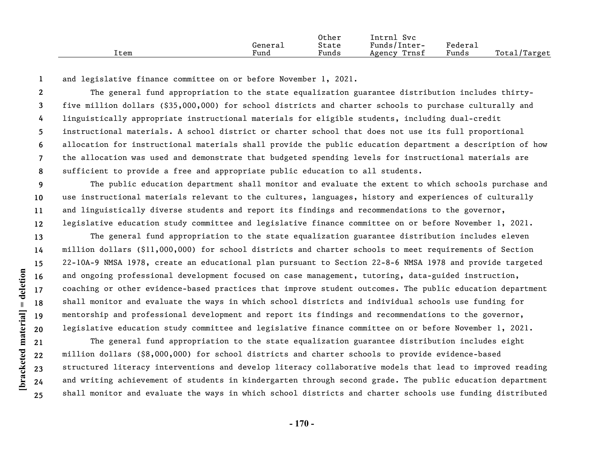|      |         | Other | Intrnl<br>Svc   |         |              |
|------|---------|-------|-----------------|---------|--------------|
|      | General | State | Funds/Inter-    | Federau |              |
| Item | Fund    | Funds | Trnsf<br>Agency | Funds   | Total/Target |

**1** and legislative finance committee on or before November 1, 2021.

**2 3 4 5 6 7 8** The general fund appropriation to the state equalization guarantee distribution includes thirtyfive million dollars (\$35,000,000) for school districts and charter schools to purchase culturally and linguistically appropriate instructional materials for eligible students, including dual-credit instructional materials. A school district or charter school that does not use its full proportional allocation for instructional materials shall provide the public education department a description of how the allocation was used and demonstrate that budgeted spending levels for instructional materials are sufficient to provide a free and appropriate public education to all students.

**9 10 11 12** The public education department shall monitor and evaluate the extent to which schools purchase and use instructional materials relevant to the cultures, languages, history and experiences of culturally and linguistically diverse students and report its findings and recommendations to the governor, legislative education study committee and legislative finance committee on or before November 1, 2021.

**13 14 15 16 17 18 19 20** The general fund appropriation to the state equalization guarantee distribution includes eleven million dollars (\$11,000,000) for school districts and charter schools to meet requirements of Section 22-10A-9 NMSA 1978, create an educational plan pursuant to Section 22-8-6 NMSA 1978 and provide targeted and ongoing professional development focused on case management, tutoring, data-guided instruction, coaching or other evidence-based practices that improve student outcomes. The public education department shall monitor and evaluate the ways in which school districts and individual schools use funding for mentorship and professional development and report its findings and recommendations to the governor, legislative education study committee and legislative finance committee on or before November 1, 2021.

The general fund appropriation to the state equalization guarantee distribution includes eight million dollars (\$8,000,000) for school districts and charter schools to provide evidence-based structured literacy interventions and develop literacy collaborative models that lead to improved reading and writing achievement of students in kindergarten through second grade. The public education department shall monitor and evaluate the ways in which school districts and charter schools use funding distributed

**- 170 -**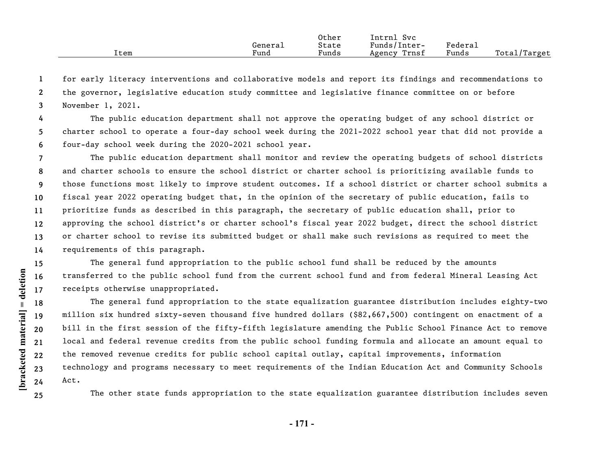|      |         | Other | Intrnl<br>Svc   |         |              |
|------|---------|-------|-----------------|---------|--------------|
|      | Genera⊥ | State | Funds/Inter-    | Federai |              |
| Item | Fund    | Funds | Trnsf<br>Agency | Funds   | Total/Target |

**1 2 3** for early literacy interventions and collaborative models and report its findings and recommendations to the governor, legislative education study committee and legislative finance committee on or before November 1, 2021.

**4 5 6** The public education department shall not approve the operating budget of any school district or charter school to operate a four-day school week during the 2021-2022 school year that did not provide a four-day school week during the 2020-2021 school year.

**7 8 9 10 11 12 13 14** The public education department shall monitor and review the operating budgets of school districts and charter schools to ensure the school district or charter school is prioritizing available funds to those functions most likely to improve student outcomes. If a school district or charter school submits a fiscal year 2022 operating budget that, in the opinion of the secretary of public education, fails to prioritize funds as described in this paragraph, the secretary of public education shall, prior to approving the school district's or charter school's fiscal year 2022 budget, direct the school district or charter school to revise its submitted budget or shall make such revisions as required to meet the requirements of this paragraph.

The general fund appropriation to the public school fund shall be reduced by the amounts transferred to the public school fund from the current school fund and from federal Mineral Leasing Act receipts otherwise unappropriated.

**22** The general fund appropriation to the state equalization guarantee distribution includes eighty-two million six hundred sixty-seven thousand five hundred dollars (\$82,667,500) contingent on enactment of a bill in the first session of the fifty-fifth legislature amending the Public School Finance Act to remove local and federal revenue credits from the public school funding formula and allocate an amount equal to the removed revenue credits for public school capital outlay, capital improvements, information technology and programs necessary to meet requirements of the Indian Education Act and Community Schools Act.

The other state funds appropriation to the state equalization guarantee distribution includes seven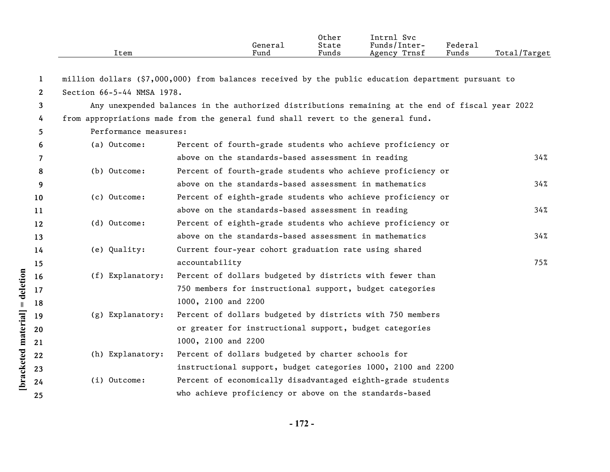|                            |              | Item                                                                        | General<br>Fund                                                                                     | Other<br>State<br>Funds | Intrnl Svc<br>Funds/Inter-<br>Agency Trnsf | Federal<br>Funds | Total/Target |
|----------------------------|--------------|-----------------------------------------------------------------------------|-----------------------------------------------------------------------------------------------------|-------------------------|--------------------------------------------|------------------|--------------|
|                            | 1            |                                                                             | million dollars (\$7,000,000) from balances received by the public education department pursuant to |                         |                                            |                  |              |
|                            | $\mathbf{2}$ | Section 66-5-44 NMSA 1978.                                                  |                                                                                                     |                         |                                            |                  |              |
|                            | 3            |                                                                             | Any unexpended balances in the authorized distributions remaining at the end of fiscal year 2022    |                         |                                            |                  |              |
|                            | 4            |                                                                             | from appropriations made from the general fund shall revert to the general fund.                    |                         |                                            |                  |              |
|                            | 5            | Performance measures:                                                       |                                                                                                     |                         |                                            |                  |              |
|                            | 6            | (a) Outcome:                                                                | Percent of fourth-grade students who achieve proficiency or                                         |                         |                                            |                  |              |
|                            | 7            |                                                                             | above on the standards-based assessment in reading                                                  |                         |                                            |                  | 34%          |
|                            | 8            | (b) Outcome:<br>Percent of fourth-grade students who achieve proficiency or |                                                                                                     |                         |                                            |                  |              |
|                            | 9            |                                                                             | above on the standards-based assessment in mathematics                                              |                         |                                            |                  |              |
|                            | 10           | (c) Outcome:                                                                | Percent of eighth-grade students who achieve proficiency or                                         |                         |                                            |                  |              |
|                            | 11           |                                                                             | above on the standards-based assessment in reading                                                  |                         |                                            | 34%              |              |
|                            | 12           | (d) Outcome:                                                                | Percent of eighth-grade students who achieve proficiency or                                         |                         |                                            |                  |              |
|                            | 13           |                                                                             | above on the standards-based assessment in mathematics                                              |                         |                                            |                  | 34%          |
|                            | 14           | (e) Quality:                                                                | Current four-year cohort graduation rate using shared                                               |                         |                                            |                  |              |
|                            | 15           |                                                                             | accountability                                                                                      |                         |                                            |                  | 75%          |
|                            | 16           | (f) Explanatory:                                                            | Percent of dollars budgeted by districts with fewer than                                            |                         |                                            |                  |              |
| deletion                   | 17           |                                                                             | 750 members for instructional support, budget categories                                            |                         |                                            |                  |              |
| $\ensuremath{\mathsf{II}}$ | 18           |                                                                             | 1000, 2100 and 2200                                                                                 |                         |                                            |                  |              |
|                            | 19           | (g) Explanatory:                                                            | Percent of dollars budgeted by districts with 750 members                                           |                         |                                            |                  |              |
|                            | 20           |                                                                             | or greater for instructional support, budget categories                                             |                         |                                            |                  |              |
|                            | 21           |                                                                             | 1000, 2100 and 2200                                                                                 |                         |                                            |                  |              |
|                            | 22           | (h) Explanatory:                                                            | Percent of dollars budgeted by charter schools for                                                  |                         |                                            |                  |              |
| bracketed material         | 23           |                                                                             | instructional support, budget categories 1000, 2100 and 2200                                        |                         |                                            |                  |              |
|                            | 24           | (i) Outcome:                                                                | Percent of economically disadvantaged eighth-grade students                                         |                         |                                            |                  |              |
|                            | 25           |                                                                             | who achieve proficiency or above on the standards-based                                             |                         |                                            |                  |              |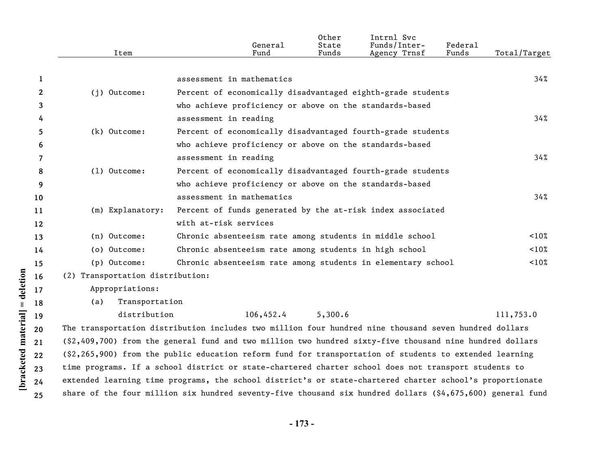|    | Item                             | General<br>Fund                                                                                            | Other<br>State<br>Funds | Intrnl Svc<br>Funds/Inter-<br>Agency Trnsf | Federal<br>Funds | Total/Target |
|----|----------------------------------|------------------------------------------------------------------------------------------------------------|-------------------------|--------------------------------------------|------------------|--------------|
|    |                                  |                                                                                                            |                         |                                            |                  |              |
| 1  |                                  | assessment in mathematics                                                                                  |                         |                                            |                  | 34%          |
| 2  | $(i)$ Outcome:                   | Percent of economically disadvantaged eighth-grade students                                                |                         |                                            |                  |              |
| 3  |                                  | who achieve proficiency or above on the standards-based                                                    |                         |                                            |                  |              |
| 4  |                                  | assessment in reading                                                                                      |                         |                                            |                  | 34%          |
| 5. | (k) Outcome:                     | Percent of economically disadvantaged fourth-grade students                                                |                         |                                            |                  |              |
| 6  |                                  | who achieve proficiency or above on the standards-based                                                    |                         |                                            |                  |              |
| 7  |                                  | assessment in reading                                                                                      |                         |                                            |                  | 34%          |
| 8  | $(1)$ Outcome:                   | Percent of economically disadvantaged fourth-grade students                                                |                         |                                            |                  |              |
| 9  |                                  | who achieve proficiency or above on the standards-based                                                    |                         |                                            |                  |              |
| 10 |                                  | assessment in mathematics                                                                                  |                         |                                            |                  | 34%          |
| 11 | (m) Explanatory:                 | Percent of funds generated by the at-risk index associated                                                 |                         |                                            |                  |              |
| 12 |                                  | with at-risk services                                                                                      |                         |                                            |                  |              |
| 13 | (n) Outcome:                     | Chronic absenteeism rate among students in middle school                                                   |                         |                                            |                  | $10\%$       |
| 14 | (o) Outcome:                     | Chronic absenteeism rate among students in high school                                                     |                         |                                            |                  | $10\%$       |
| 15 | (p) Outcome:                     | Chronic absenteeism rate among students in elementary school                                               |                         |                                            |                  | $10\%$       |
| 16 | (2) Transportation distribution: |                                                                                                            |                         |                                            |                  |              |
| 17 | Appropriations:                  |                                                                                                            |                         |                                            |                  |              |
| 18 | Transportation<br>(a)            |                                                                                                            |                         |                                            |                  |              |
| 19 | distribution                     | 106,452.4                                                                                                  | 5,300.6                 |                                            |                  | 111,753.0    |
| 20 |                                  | The transportation distribution includes two million four hundred nine thousand seven hundred dollars      |                         |                                            |                  |              |
| 21 |                                  | (\$2,409,700) from the general fund and two million two hundred sixty-five thousand nine hundred dollars   |                         |                                            |                  |              |
| 22 |                                  | $(92, 265, 900)$ from the public education reform fund for transportation of students to extended learning |                         |                                            |                  |              |
| 23 |                                  | time programs. If a school district or state-chartered charter school does not transport students to       |                         |                                            |                  |              |
| 24 |                                  | extended learning time programs, the school district's or state-chartered charter school's proportionate   |                         |                                            |                  |              |
| 25 |                                  | share of the four million six hundred seventy-five thousand six hundred dollars (\$4,675,600) general fund |                         |                                            |                  |              |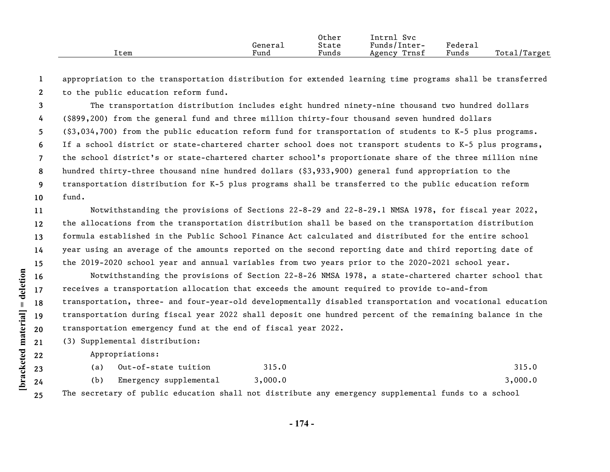|      |         | Other | Intrnl<br><b>Svc</b> |         |              |
|------|---------|-------|----------------------|---------|--------------|
|      | General | State | Funds/Inter-         | Federai |              |
| Item | Fund    | Funds | Trnsf<br>Agency      | Funds   | Total/Target |

**1 2** appropriation to the transportation distribution for extended learning time programs shall be transferred to the public education reform fund.

**3 4 5 6 7 8 9 10** The transportation distribution includes eight hundred ninety-nine thousand two hundred dollars (\$899,200) from the general fund and three million thirty-four thousand seven hundred dollars (\$3,034,700) from the public education reform fund for transportation of students to K-5 plus programs. If a school district or state-chartered charter school does not transport students to K-5 plus programs, the school district's or state-chartered charter school's proportionate share of the three million nine hundred thirty-three thousand nine hundred dollars (\$3,933,900) general fund appropriation to the transportation distribution for K-5 plus programs shall be transferred to the public education reform fund.

**11 12 13 14 15** Notwithstanding the provisions of Sections 22-8-29 and 22-8-29.1 NMSA 1978, for fiscal year 2022, the allocations from the transportation distribution shall be based on the transportation distribution formula established in the Public School Finance Act calculated and distributed for the entire school year using an average of the amounts reported on the second reporting date and third reporting date of the 2019-2020 school year and annual variables from two years prior to the 2020-2021 school year.

**16 17 18 19 20** Notwithstanding the provisions of Section 22-8-26 NMSA 1978, a state-chartered charter school that receives a transportation allocation that exceeds the amount required to provide to-and-from transportation, three- and four-year-old developmentally disabled transportation and vocational education transportation during fiscal year 2022 shall deposit one hundred percent of the remaining balance in the transportation emergency fund at the end of fiscal year 2022.

**21** (3) Supplemental distribution:

Appropriations:

|     | Out-of-state tuition   |  | 315.0   |  |                                                                                                     |  |         | 315.0 |
|-----|------------------------|--|---------|--|-----------------------------------------------------------------------------------------------------|--|---------|-------|
| (b) | Emergency supplemental |  | 3,000.0 |  |                                                                                                     |  | 3,000.0 |       |
|     |                        |  |         |  | The secretary of public education shall not distribute any emergency supplemental funds to a school |  |         |       |

**- 174 -**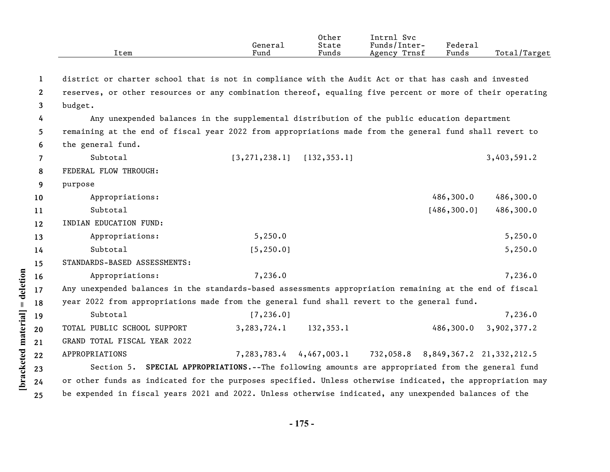|                       | Item                                                                                                      | General<br>Fund                                                                              | Other<br>State<br>Funds | Intrnl Svc<br>Funds/Inter-<br>Agency Trnsf | Federal<br>Funds | Total/Target |
|-----------------------|-----------------------------------------------------------------------------------------------------------|----------------------------------------------------------------------------------------------|-------------------------|--------------------------------------------|------------------|--------------|
|                       |                                                                                                           |                                                                                              |                         |                                            |                  |              |
| 1                     | district or charter school that is not in compliance with the Audit Act or that has cash and invested     |                                                                                              |                         |                                            |                  |              |
| $\mathbf{2}^{\prime}$ | reserves, or other resources or any combination thereof, equaling five percent or more of their operating |                                                                                              |                         |                                            |                  |              |
| 3                     | budget.                                                                                                   |                                                                                              |                         |                                            |                  |              |
| 4                     | Any unexpended balances in the supplemental distribution of the public education department               |                                                                                              |                         |                                            |                  |              |
| 5.                    | remaining at the end of fiscal year 2022 from appropriations made from the general fund shall revert to   |                                                                                              |                         |                                            |                  |              |
| 6                     | the general fund.                                                                                         |                                                                                              |                         |                                            |                  |              |
| $\overline{7}$        | Subtotal                                                                                                  | $[3, 271, 238.1]$ $[132, 353.1]$                                                             |                         |                                            |                  | 3,403,591.2  |
| 8                     | FEDERAL FLOW THROUGH:                                                                                     |                                                                                              |                         |                                            |                  |              |
| 9                     | purpose                                                                                                   |                                                                                              |                         |                                            |                  |              |
| 10                    | Appropriations:                                                                                           |                                                                                              |                         |                                            | 486,300.0        | 486,300.0    |
| 11                    | Subtotal                                                                                                  |                                                                                              |                         |                                            | [486, 300.0]     | 486,300.0    |
| $12 \,$               | INDIAN EDUCATION FUND:                                                                                    |                                                                                              |                         |                                            |                  |              |
| 13                    | Appropriations:                                                                                           | 5,250.0                                                                                      |                         |                                            |                  | 5,250.0      |
| 14                    | Subtotal                                                                                                  | [5, 250.0]                                                                                   |                         |                                            |                  | 5,250.0      |
| 15                    | STANDARDS-BASED ASSESSMENTS:                                                                              |                                                                                              |                         |                                            |                  |              |
| 16                    | Appropriations:                                                                                           | 7,236.0                                                                                      |                         |                                            |                  | 7,236.0      |
| 17                    | Any unexpended balances in the standards-based assessments appropriation remaining at the end of fiscal   |                                                                                              |                         |                                            |                  |              |
| 18                    | year 2022 from appropriations made from the general fund shall revert to the general fund.                |                                                                                              |                         |                                            |                  |              |
| 19                    | Subtotal                                                                                                  | [7, 236.0]                                                                                   |                         |                                            |                  | 7,236.0      |
| 20                    | TOTAL PUBLIC SCHOOL SUPPORT                                                                               | 3,283,724.1                                                                                  | 132, 353.1              |                                            | 486,300.0        | 3,902,377.2  |
| 21                    | GRAND TOTAL FISCAL YEAR 2022                                                                              |                                                                                              |                         |                                            |                  |              |
| 22                    | APPROPRIATIONS                                                                                            |                                                                                              | 7,283,783.4 4,467,003.1 | 732,058.8 8,849,367.2 21,332,212.5         |                  |              |
| 23                    | Section 5.                                                                                                | <b>SPECIAL APPROPRIATIONS.--The following amounts are appropriated from the general fund</b> |                         |                                            |                  |              |
| 24                    | or other funds as indicated for the purposes specified. Unless otherwise indicated, the appropriation may |                                                                                              |                         |                                            |                  |              |
| 25                    | be expended in fiscal years 2021 and 2022. Unless otherwise indicated, any unexpended balances of the     |                                                                                              |                         |                                            |                  |              |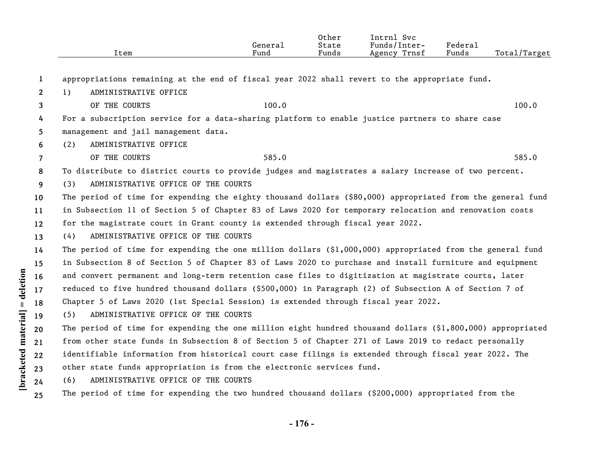|                            |                 | Item                                                                                                         | General<br>Fund | Other<br>State<br>Funds | Intrnl Svc<br>Funds/Inter-<br>Agency Trnsf | Federal<br>Funds | Total/Target |  |
|----------------------------|-----------------|--------------------------------------------------------------------------------------------------------------|-----------------|-------------------------|--------------------------------------------|------------------|--------------|--|
|                            | 1               | appropriations remaining at the end of fiscal year 2022 shall revert to the appropriate fund.                |                 |                         |                                            |                  |              |  |
|                            | $\mathbf{2}$    | ADMINISTRATIVE OFFICE<br>1)                                                                                  |                 |                         |                                            |                  |              |  |
|                            | 3               | OF THE COURTS                                                                                                | 100.0           |                         |                                            |                  | 100.0        |  |
|                            | 4               | For a subscription service for a data-sharing platform to enable justice partners to share case              |                 |                         |                                            |                  |              |  |
|                            | 5.              | management and jail management data.                                                                         |                 |                         |                                            |                  |              |  |
|                            | 6               | ADMINISTRATIVE OFFICE<br>(2)                                                                                 |                 |                         |                                            |                  |              |  |
|                            | $\overline{7}$  | OF THE COURTS                                                                                                | 585.0           |                         |                                            |                  | 585.0        |  |
|                            | 8               | To distribute to district courts to provide judges and magistrates a salary increase of two percent.         |                 |                         |                                            |                  |              |  |
|                            | 9               | ADMINISTRATIVE OFFICE OF THE COURTS<br>(3)                                                                   |                 |                         |                                            |                  |              |  |
|                            | 10 <sup>°</sup> | The period of time for expending the eighty thousand dollars (\$80,000) appropriated from the general fund   |                 |                         |                                            |                  |              |  |
|                            | 11              | in Subsection 11 of Section 5 of Chapter 83 of Laws 2020 for temporary relocation and renovation costs       |                 |                         |                                            |                  |              |  |
|                            | 12              | for the magistrate court in Grant county is extended through fiscal year 2022.                               |                 |                         |                                            |                  |              |  |
|                            | 13              | ADMINISTRATIVE OFFICE OF THE COURTS<br>(4)                                                                   |                 |                         |                                            |                  |              |  |
|                            | 14              | The period of time for expending the one million dollars $(\xi1,000,000)$ appropriated from the general fund |                 |                         |                                            |                  |              |  |
|                            | 15              | in Subsection 8 of Section 5 of Chapter 83 of Laws 2020 to purchase and install furniture and equipment      |                 |                         |                                            |                  |              |  |
|                            | 16              | and convert permanent and long-term retention case files to digitization at magistrate courts, later         |                 |                         |                                            |                  |              |  |
| deletion                   | 17              | reduced to five hundred thousand dollars (\$500,000) in Paragraph (2) of Subsection A of Section 7 of        |                 |                         |                                            |                  |              |  |
| $\ensuremath{\mathsf{II}}$ | 18              | Chapter 5 of Laws 2020 (1st Special Session) is extended through fiscal year 2022.                           |                 |                         |                                            |                  |              |  |
|                            | 19              | ADMINISTRATIVE OFFICE OF THE COURTS<br>(5)                                                                   |                 |                         |                                            |                  |              |  |
| material                   | 20              | The period of time for expending the one million eight hundred thousand dollars (\$1,800,000) appropriated   |                 |                         |                                            |                  |              |  |
|                            | 21              | from other state funds in Subsection 8 of Section 5 of Chapter 271 of Laws 2019 to redact personally         |                 |                         |                                            |                  |              |  |
|                            | 22              | identifiable information from historical court case filings is extended through fiscal year 2022. The        |                 |                         |                                            |                  |              |  |
| <b>bracketed</b>           | 23              | other state funds appropriation is from the electronic services fund.                                        |                 |                         |                                            |                  |              |  |
|                            | 24              | (6)<br>ADMINISTRATIVE OFFICE OF THE COURTS                                                                   |                 |                         |                                            |                  |              |  |
|                            | 25              | The period of time for expending the two hundred thousand dollars (\$200,000) appropriated from the          |                 |                         |                                            |                  |              |  |

**- 176 -**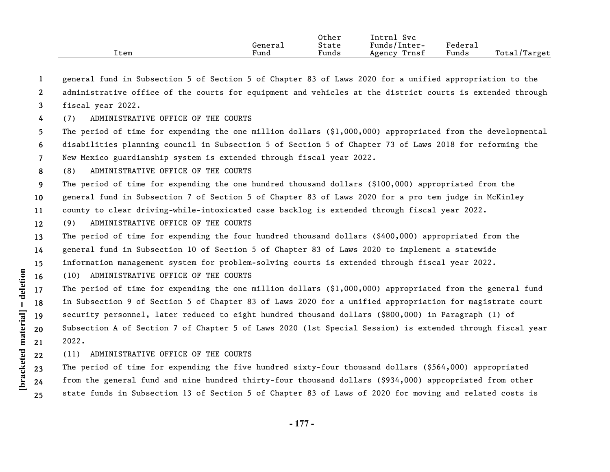|      |         | Other | Svc<br>Intrnl   |         |              |
|------|---------|-------|-----------------|---------|--------------|
|      | Generai | State | Funds/Inter-    | Federal |              |
| ⊥tem | Fund    | Funds | Trnsf<br>Agency | Funds   | Total/Target |

**1** general fund in Subsection 5 of Section 5 of Chapter 83 of Laws 2020 for a unified appropriation to the

**2 3** administrative office of the courts for equipment and vehicles at the district courts is extended through fiscal year 2022.

**4** (7) ADMINISTRATIVE OFFICE OF THE COURTS

**5 6 7** The period of time for expending the one million dollars (\$1,000,000) appropriated from the developmental disabilities planning council in Subsection 5 of Section 5 of Chapter 73 of Laws 2018 for reforming the New Mexico guardianship system is extended through fiscal year 2022.

**8** (8) ADMINISTRATIVE OFFICE OF THE COURTS

**9** The period of time for expending the one hundred thousand dollars (\$100,000) appropriated from the

**10** general fund in Subsection 7 of Section 5 of Chapter 83 of Laws 2020 for a pro tem judge in McKinley

**11** county to clear driving-while-intoxicated case backlog is extended through fiscal year 2022.

**12** (9) ADMINISTRATIVE OFFICE OF THE COURTS

**13 14 15** The period of time for expending the four hundred thousand dollars (\$400,000) appropriated from the general fund in Subsection 10 of Section 5 of Chapter 83 of Laws 2020 to implement a statewide information management system for problem-solving courts is extended through fiscal year 2022.

**16** (10) ADMINISTRATIVE OFFICE OF THE COURTS

**17 18 19 20 21** The period of time for expending the one million dollars  $(\xi_1,000,000)$  appropriated from the general fund in Subsection 9 of Section 5 of Chapter 83 of Laws 2020 for a unified appropriation for magistrate court security personnel, later reduced to eight hundred thousand dollars (\$800,000) in Paragraph (1) of Subsection A of Section 7 of Chapter 5 of Laws 2020 (1st Special Session) is extended through fiscal year 2022.

**22** (11) ADMINISTRATIVE OFFICE OF THE COURTS

**23 24 25** The period of time for expending the five hundred sixty-four thousand dollars (\$564,000) appropriated from the general fund and nine hundred thirty-four thousand dollars (\$934,000) appropriated from other state funds in Subsection 13 of Section 5 of Chapter 83 of Laws of 2020 for moving and related costs is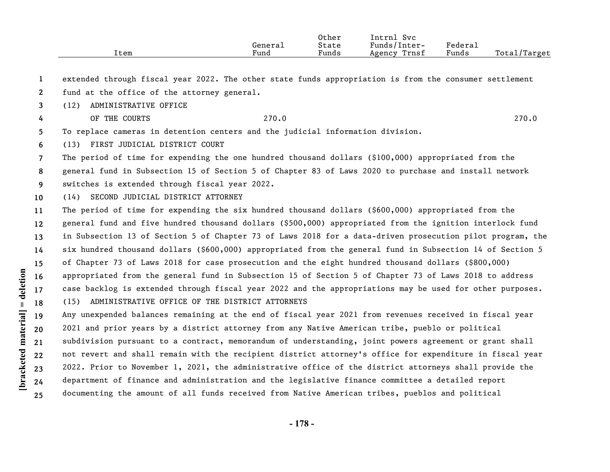|      |         | Other | Intrnl<br><b>Svc</b> |                   |                    |
|------|---------|-------|----------------------|-------------------|--------------------|
|      | Genera⊥ | State | Funds/Inter-         | ${}_{\rm Federa}$ |                    |
| ltem | Fund    | Funds | Trnsf<br>Agency      | Funds             | Total,<br>l/Target |

**1** extended through fiscal year 2022. The other state funds appropriation is from the consumer settlement

- **2** fund at the office of the attorney general.
- **3** (12) ADMINISTRATIVE OFFICE
- **4**
- 

OF THE COURTS 270.0 270.0

**5** To replace cameras in detention centers and the judicial information division.

**6** (13) FIRST JUDICIAL DISTRICT COURT

**7** The period of time for expending the one hundred thousand dollars (\$100,000) appropriated from the

**8** general fund in Subsection 15 of Section 5 of Chapter 83 of Laws 2020 to purchase and install network

- **9** switches is extended through fiscal year 2022.
- **10** (14) SECOND JUDICIAL DISTRICT ATTORNEY

**11 12 13 14 15 16 17 18** The period of time for expending the six hundred thousand dollars (\$600,000) appropriated from the general fund and five hundred thousand dollars (\$500,000) appropriated from the ignition interlock fund in Subsection 13 of Section 5 of Chapter 73 of Laws 2018 for a data-driven prosecution pilot program, the six hundred thousand dollars (\$600,000) appropriated from the general fund in Subsection 14 of Section 5 of Chapter 73 of Laws 2018 for case prosecution and the eight hundred thousand dollars (\$800,000) appropriated from the general fund in Subsection 15 of Section 5 of Chapter 73 of Laws 2018 to address case backlog is extended through fiscal year 2022 and the appropriations may be used for other purposes. (15) ADMINISTRATIVE OFFICE OF THE DISTRICT ATTORNEYS

**19 20 21 22 23 24 25** Any unexpended balances remaining at the end of fiscal year 2021 from revenues received in fiscal year 2021 and prior years by a district attorney from any Native American tribe, pueblo or political subdivision pursuant to a contract, memorandum of understanding, joint powers agreement or grant shall not revert and shall remain with the recipient district attorney's office for expenditure in fiscal year 2022. Prior to November 1, 2021, the administrative office of the district attorneys shall provide the department of finance and administration and the legislative finance committee a detailed report documenting the amount of all funds received from Native American tribes, pueblos and political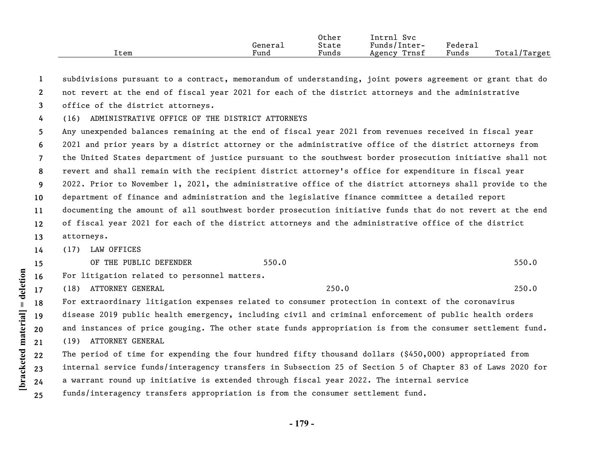|      |         | Other | Intrnl<br><b>Svc</b> |                     |                   |
|------|---------|-------|----------------------|---------------------|-------------------|
|      | General | State | Funds/Inter-         | Federa <sub>1</sub> |                   |
| Item | Fund    | Funds | Trnsf<br>Agency      | Funds               | Total,<br>'Target |

**1 2 3** subdivisions pursuant to a contract, memorandum of understanding, joint powers agreement or grant that do not revert at the end of fiscal year 2021 for each of the district attorneys and the administrative office of the district attorneys.

**4** (16) ADMINISTRATIVE OFFICE OF THE DISTRICT ATTORNEYS

**5 6 7 8 9 10 11 12 13** Any unexpended balances remaining at the end of fiscal year 2021 from revenues received in fiscal year 2021 and prior years by a district attorney or the administrative office of the district attorneys from the United States department of justice pursuant to the southwest border prosecution initiative shall not revert and shall remain with the recipient district attorney's office for expenditure in fiscal year 2022. Prior to November 1, 2021, the administrative office of the district attorneys shall provide to the department of finance and administration and the legislative finance committee a detailed report documenting the amount of all southwest border prosecution initiative funds that do not revert at the end of fiscal year 2021 for each of the district attorneys and the administrative office of the district attorneys.

**14** (17) LAW OFFICES

**[bracketed material] = deletion**

[bracketed material] = deletion

**17**

**15** OF THE PUBLIC DEFENDER 550.0 550.0 550.0 550.0 550.0 550.0 550.0 550.0 550.0 550.0 550.0 550.0 550.0 550.0 550

- **16** For litigation related to personnel matters.
	- (18) ATTORNEY GENERAL 250.0 250.0

**18 19 20 21** For extraordinary litigation expenses related to consumer protection in context of the coronavirus disease 2019 public health emergency, including civil and criminal enforcement of public health orders and instances of price gouging. The other state funds appropriation is from the consumer settlement fund. (19) ATTORNEY GENERAL

**22 23 24 25** The period of time for expending the four hundred fifty thousand dollars (\$450,000) appropriated from internal service funds/interagency transfers in Subsection 25 of Section 5 of Chapter 83 of Laws 2020 for a warrant round up initiative is extended through fiscal year 2022. The internal service funds/interagency transfers appropriation is from the consumer settlement fund.

**- 179 -**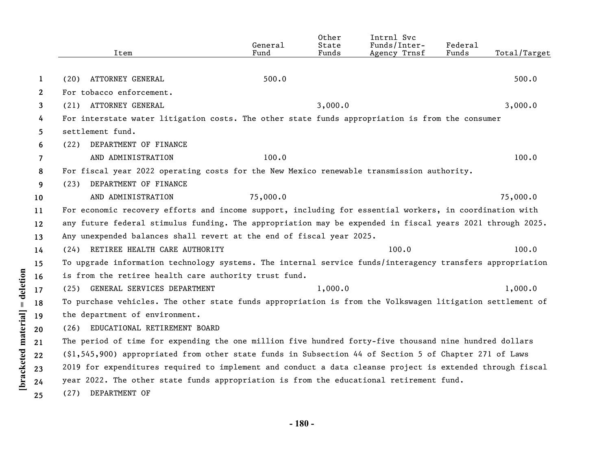|              | Item                                                                                                                | General<br>Fund | Other<br>State<br>Funds | Intrnl Svc<br>Funds/Inter-<br>Agency Trnsf | Federal<br>Funds | Total/Target |
|--------------|---------------------------------------------------------------------------------------------------------------------|-----------------|-------------------------|--------------------------------------------|------------------|--------------|
|              |                                                                                                                     |                 |                         |                                            |                  |              |
| 1            | ATTORNEY GENERAL<br>(20)<br>For tobacco enforcement.                                                                | 500.0           |                         |                                            |                  | 500.0        |
| $\mathbf{2}$ | (21) ATTORNEY GENERAL                                                                                               |                 | 3,000.0                 |                                            |                  |              |
| 3            |                                                                                                                     |                 |                         |                                            |                  | 3,000.0      |
| 4            | For interstate water litigation costs. The other state funds appropriation is from the consumer<br>settlement fund. |                 |                         |                                            |                  |              |
| 5            |                                                                                                                     |                 |                         |                                            |                  |              |
| 6            | DEPARTMENT OF FINANCE<br>(22)                                                                                       |                 |                         |                                            |                  |              |
| 7            | AND ADMINISTRATION                                                                                                  | 100.0           |                         |                                            |                  | 100.0        |
| 8            | For fiscal year 2022 operating costs for the New Mexico renewable transmission authority.                           |                 |                         |                                            |                  |              |
| 9            | DEPARTMENT OF FINANCE<br>(23)                                                                                       |                 |                         |                                            |                  |              |
| 10           | AND ADMINISTRATION                                                                                                  | 75,000.0        |                         |                                            |                  | 75,000.0     |
| 11           | For economic recovery efforts and income support, including for essential workers, in coordination with             |                 |                         |                                            |                  |              |
| 12           | any future federal stimulus funding. The appropriation may be expended in fiscal years 2021 through 2025.           |                 |                         |                                            |                  |              |
| 13           | Any unexpended balances shall revert at the end of fiscal year 2025.                                                |                 |                         |                                            |                  |              |
| 14           | (24) RETIREE HEALTH CARE AUTHORITY                                                                                  |                 |                         | 100.0                                      |                  | 100.0        |
| 15           | To upgrade information technology systems. The internal service funds/interagency transfers appropriation           |                 |                         |                                            |                  |              |
| 16           | is from the retiree health care authority trust fund.                                                               |                 |                         |                                            |                  |              |
| 17           | (25) GENERAL SERVICES DEPARTMENT                                                                                    |                 | 1,000.0                 |                                            |                  | 1,000.0      |
| 18           | To purchase vehicles. The other state funds appropriation is from the Volkswagen litigation settlement of           |                 |                         |                                            |                  |              |
| 19           | the department of environment.                                                                                      |                 |                         |                                            |                  |              |
| 20           | (26) EDUCATIONAL RETIREMENT BOARD                                                                                   |                 |                         |                                            |                  |              |
| 21           | The period of time for expending the one million five hundred forty-five thousand nine hundred dollars              |                 |                         |                                            |                  |              |
| 22           | (\$1,545,900) appropriated from other state funds in Subsection 44 of Section 5 of Chapter 271 of Laws              |                 |                         |                                            |                  |              |
| 23           | 2019 for expenditures required to implement and conduct a data cleanse project is extended through fiscal           |                 |                         |                                            |                  |              |
| 24           | year 2022. The other state funds appropriation is from the educational retirement fund.                             |                 |                         |                                            |                  |              |
| 25           | DEPARTMENT OF<br>(27)                                                                                               |                 |                         |                                            |                  |              |

[bracketed material] = deletion

**- 180 -**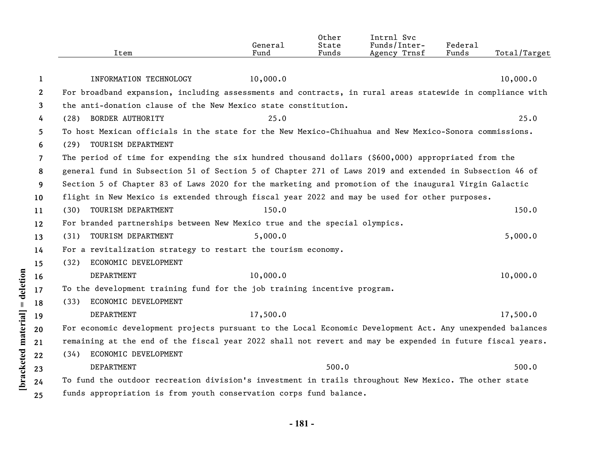|                | Item                                                                                                      | General<br>Fund | Other<br>State<br>Funds | Intrnl Svc<br>Funds/Inter-<br>Agency Trnsf | Federal<br>Funds | Total/Target |
|----------------|-----------------------------------------------------------------------------------------------------------|-----------------|-------------------------|--------------------------------------------|------------------|--------------|
| 1              | INFORMATION TECHNOLOGY                                                                                    | 10,000.0        |                         |                                            |                  | 10,000.0     |
| $\mathbf{2}$   | For broadband expansion, including assessments and contracts, in rural areas statewide in compliance with |                 |                         |                                            |                  |              |
| 3              | the anti-donation clause of the New Mexico state constitution.                                            |                 |                         |                                            |                  |              |
| 4              | (28) BORDER AUTHORITY                                                                                     | 25.0            |                         |                                            |                  | 25.0         |
| 5              | To host Mexican officials in the state for the New Mexico-Chihuahua and New Mexico-Sonora commissions.    |                 |                         |                                            |                  |              |
| 6              | TOURISM DEPARTMENT<br>(29)                                                                                |                 |                         |                                            |                  |              |
| $\overline{7}$ | The period of time for expending the six hundred thousand dollars (\$600,000) appropriated from the       |                 |                         |                                            |                  |              |
| 8              | general fund in Subsection 51 of Section 5 of Chapter 271 of Laws 2019 and extended in Subsection 46 of   |                 |                         |                                            |                  |              |
| 9              | Section 5 of Chapter 83 of Laws 2020 for the marketing and promotion of the inaugural Virgin Galactic     |                 |                         |                                            |                  |              |
| 10             | flight in New Mexico is extended through fiscal year 2022 and may be used for other purposes.             |                 |                         |                                            |                  |              |
| 11             | TOURISM DEPARTMENT<br>(30)                                                                                | 150.0           |                         |                                            |                  | 150.0        |
| 12             | For branded partnerships between New Mexico true and the special olympics.                                |                 |                         |                                            |                  |              |
| 13             | TOURISM DEPARTMENT<br>(31)                                                                                | 5,000.0         |                         |                                            |                  | 5,000.0      |
| 14             | For a revitalization strategy to restart the tourism economy.                                             |                 |                         |                                            |                  |              |
| 15             | ECONOMIC DEVELOPMENT<br>(32)                                                                              |                 |                         |                                            |                  |              |
| 16             | DEPARTMENT                                                                                                | 10,000.0        |                         |                                            |                  | 10,000.0     |
| 17             | To the development training fund for the job training incentive program.                                  |                 |                         |                                            |                  |              |
| 18             | ECONOMIC DEVELOPMENT<br>(33)                                                                              |                 |                         |                                            |                  |              |
| 19             | DEPARTMENT                                                                                                | 17,500.0        |                         |                                            |                  | 17,500.0     |
| 20             | For economic development projects pursuant to the Local Economic Development Act. Any unexpended balances |                 |                         |                                            |                  |              |
| 21             | remaining at the end of the fiscal year 2022 shall not revert and may be expended in future fiscal years. |                 |                         |                                            |                  |              |
| 22             | ECONOMIC DEVELOPMENT<br>(34)                                                                              |                 |                         |                                            |                  |              |
| 23             | DEPARTMENT                                                                                                |                 | 500.0                   |                                            |                  | 500.0        |
| 24             | To fund the outdoor recreation division's investment in trails throughout New Mexico. The other state     |                 |                         |                                            |                  |              |
| 25             | funds appropriation is from youth conservation corps fund balance.                                        |                 |                         |                                            |                  |              |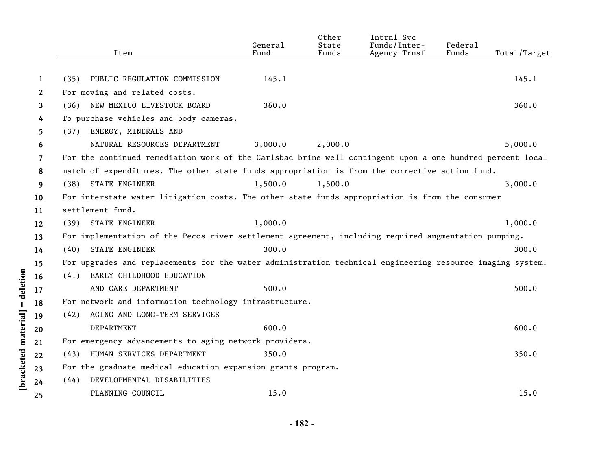|              |                                                                                                           | General | Other<br>State | Intrnl Svc<br>Funds/Inter- | Federal |              |
|--------------|-----------------------------------------------------------------------------------------------------------|---------|----------------|----------------------------|---------|--------------|
|              | Item                                                                                                      | Fund    | Funds          | Agency Trnsf               | Funds   | Total/Target |
| 1            | (35)<br>PUBLIC REGULATION COMMISSION                                                                      | 145.1   |                |                            |         | 145.1        |
| $\mathbf{2}$ | For moving and related costs.                                                                             |         |                |                            |         |              |
| 3            | NEW MEXICO LIVESTOCK BOARD<br>(36)                                                                        | 360.0   |                |                            |         | 360.0        |
| 4            | To purchase vehicles and body cameras.                                                                    |         |                |                            |         |              |
| 5            | ENERGY, MINERALS AND<br>(37)                                                                              |         |                |                            |         |              |
| 6            | NATURAL RESOURCES DEPARTMENT                                                                              | 3,000.0 | 2,000.0        |                            |         | 5,000.0      |
| 7            | For the continued remediation work of the Carlsbad brine well contingent upon a one hundred percent local |         |                |                            |         |              |
| 8            | match of expenditures. The other state funds appropriation is from the corrective action fund.            |         |                |                            |         |              |
| 9            | <b>STATE ENGINEER</b><br>(38)                                                                             | 1,500.0 | 1,500.0        |                            |         | 3,000.0      |
| 10           | For interstate water litigation costs. The other state funds appropriation is from the consumer           |         |                |                            |         |              |
| 11           | settlement fund.                                                                                          |         |                |                            |         |              |
| 12           | STATE ENGINEER<br>(39)                                                                                    | 1,000.0 |                |                            |         | 1,000.0      |
| 13           | For implementation of the Pecos river settlement agreement, including required augmentation pumping.      |         |                |                            |         |              |
| 14           | STATE ENGINEER<br>(40)                                                                                    | 300.0   |                |                            |         | 300.0        |
| 15           | For upgrades and replacements for the water administration technical engineering resource imaging system. |         |                |                            |         |              |
| 16           | EARLY CHILDHOOD EDUCATION<br>(41)                                                                         |         |                |                            |         |              |
| 17           | AND CARE DEPARTMENT                                                                                       | 500.0   |                |                            |         | 500.0        |
| 18           | For network and information technology infrastructure.                                                    |         |                |                            |         |              |
| 19           | AGING AND LONG-TERM SERVICES<br>(42)                                                                      |         |                |                            |         |              |
| 20           | DEPARTMENT                                                                                                | 600.0   |                |                            |         | 600.0        |
| 21           | For emergency advancements to aging network providers.                                                    |         |                |                            |         |              |
| 22           | HUMAN SERVICES DEPARTMENT<br>(43)                                                                         | 350.0   |                |                            |         | 350.0        |
| 23           | For the graduate medical education expansion grants program.                                              |         |                |                            |         |              |
| 24           | DEVELOPMENTAL DISABILITIES<br>(44)                                                                        |         |                |                            |         |              |
| 25           | PLANNING COUNCIL                                                                                          | 15.0    |                |                            |         | 15.0         |
|              |                                                                                                           |         |                |                            |         |              |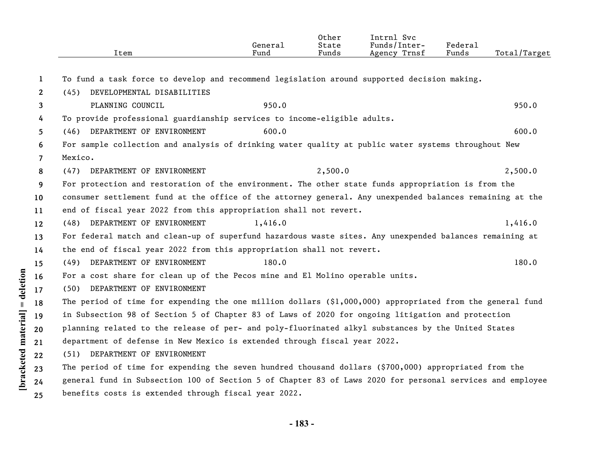| Item                              | General<br>Fund            | Other<br>State<br>Funds | Intrnl Svc<br>Funds/Inter-<br>Agency Trnsf           | Federal<br>Funds                                                                                                                                                                                                                                                                                                                                                                     | Total/Target                                                                                                                                                                                                                                                                                                                                                                                                                                                                                                                                                                                                                                                                                                                                                                                                                                                                                                                                                                                                                                                                   |
|-----------------------------------|----------------------------|-------------------------|------------------------------------------------------|--------------------------------------------------------------------------------------------------------------------------------------------------------------------------------------------------------------------------------------------------------------------------------------------------------------------------------------------------------------------------------------|--------------------------------------------------------------------------------------------------------------------------------------------------------------------------------------------------------------------------------------------------------------------------------------------------------------------------------------------------------------------------------------------------------------------------------------------------------------------------------------------------------------------------------------------------------------------------------------------------------------------------------------------------------------------------------------------------------------------------------------------------------------------------------------------------------------------------------------------------------------------------------------------------------------------------------------------------------------------------------------------------------------------------------------------------------------------------------|
|                                   |                            |                         |                                                      |                                                                                                                                                                                                                                                                                                                                                                                      |                                                                                                                                                                                                                                                                                                                                                                                                                                                                                                                                                                                                                                                                                                                                                                                                                                                                                                                                                                                                                                                                                |
|                                   |                            |                         |                                                      |                                                                                                                                                                                                                                                                                                                                                                                      |                                                                                                                                                                                                                                                                                                                                                                                                                                                                                                                                                                                                                                                                                                                                                                                                                                                                                                                                                                                                                                                                                |
| (45)                              |                            |                         |                                                      |                                                                                                                                                                                                                                                                                                                                                                                      |                                                                                                                                                                                                                                                                                                                                                                                                                                                                                                                                                                                                                                                                                                                                                                                                                                                                                                                                                                                                                                                                                |
| PLANNING COUNCIL                  |                            |                         |                                                      |                                                                                                                                                                                                                                                                                                                                                                                      | 950.0                                                                                                                                                                                                                                                                                                                                                                                                                                                                                                                                                                                                                                                                                                                                                                                                                                                                                                                                                                                                                                                                          |
|                                   |                            |                         |                                                      |                                                                                                                                                                                                                                                                                                                                                                                      |                                                                                                                                                                                                                                                                                                                                                                                                                                                                                                                                                                                                                                                                                                                                                                                                                                                                                                                                                                                                                                                                                |
| DEPARTMENT OF ENVIRONMENT<br>(46) | 600.0                      |                         |                                                      |                                                                                                                                                                                                                                                                                                                                                                                      | 600.0                                                                                                                                                                                                                                                                                                                                                                                                                                                                                                                                                                                                                                                                                                                                                                                                                                                                                                                                                                                                                                                                          |
|                                   |                            |                         |                                                      |                                                                                                                                                                                                                                                                                                                                                                                      |                                                                                                                                                                                                                                                                                                                                                                                                                                                                                                                                                                                                                                                                                                                                                                                                                                                                                                                                                                                                                                                                                |
| Mexico.                           |                            |                         |                                                      |                                                                                                                                                                                                                                                                                                                                                                                      |                                                                                                                                                                                                                                                                                                                                                                                                                                                                                                                                                                                                                                                                                                                                                                                                                                                                                                                                                                                                                                                                                |
| (47) DEPARTMENT OF ENVIRONMENT    |                            | 2,500.0                 |                                                      |                                                                                                                                                                                                                                                                                                                                                                                      | 2,500.0                                                                                                                                                                                                                                                                                                                                                                                                                                                                                                                                                                                                                                                                                                                                                                                                                                                                                                                                                                                                                                                                        |
|                                   |                            |                         |                                                      |                                                                                                                                                                                                                                                                                                                                                                                      |                                                                                                                                                                                                                                                                                                                                                                                                                                                                                                                                                                                                                                                                                                                                                                                                                                                                                                                                                                                                                                                                                |
|                                   |                            |                         |                                                      |                                                                                                                                                                                                                                                                                                                                                                                      |                                                                                                                                                                                                                                                                                                                                                                                                                                                                                                                                                                                                                                                                                                                                                                                                                                                                                                                                                                                                                                                                                |
|                                   |                            |                         |                                                      |                                                                                                                                                                                                                                                                                                                                                                                      |                                                                                                                                                                                                                                                                                                                                                                                                                                                                                                                                                                                                                                                                                                                                                                                                                                                                                                                                                                                                                                                                                |
| (48) DEPARTMENT OF ENVIRONMENT    | 1,416.0                    |                         |                                                      |                                                                                                                                                                                                                                                                                                                                                                                      | 1,416.0                                                                                                                                                                                                                                                                                                                                                                                                                                                                                                                                                                                                                                                                                                                                                                                                                                                                                                                                                                                                                                                                        |
|                                   |                            |                         |                                                      |                                                                                                                                                                                                                                                                                                                                                                                      |                                                                                                                                                                                                                                                                                                                                                                                                                                                                                                                                                                                                                                                                                                                                                                                                                                                                                                                                                                                                                                                                                |
|                                   |                            |                         |                                                      |                                                                                                                                                                                                                                                                                                                                                                                      |                                                                                                                                                                                                                                                                                                                                                                                                                                                                                                                                                                                                                                                                                                                                                                                                                                                                                                                                                                                                                                                                                |
| (49) DEPARTMENT OF ENVIRONMENT    | 180.0                      |                         |                                                      |                                                                                                                                                                                                                                                                                                                                                                                      | 180.0                                                                                                                                                                                                                                                                                                                                                                                                                                                                                                                                                                                                                                                                                                                                                                                                                                                                                                                                                                                                                                                                          |
|                                   |                            |                         |                                                      |                                                                                                                                                                                                                                                                                                                                                                                      |                                                                                                                                                                                                                                                                                                                                                                                                                                                                                                                                                                                                                                                                                                                                                                                                                                                                                                                                                                                                                                                                                |
| (50) DEPARTMENT OF ENVIRONMENT    |                            |                         |                                                      |                                                                                                                                                                                                                                                                                                                                                                                      |                                                                                                                                                                                                                                                                                                                                                                                                                                                                                                                                                                                                                                                                                                                                                                                                                                                                                                                                                                                                                                                                                |
|                                   |                            |                         |                                                      |                                                                                                                                                                                                                                                                                                                                                                                      |                                                                                                                                                                                                                                                                                                                                                                                                                                                                                                                                                                                                                                                                                                                                                                                                                                                                                                                                                                                                                                                                                |
|                                   |                            |                         |                                                      |                                                                                                                                                                                                                                                                                                                                                                                      |                                                                                                                                                                                                                                                                                                                                                                                                                                                                                                                                                                                                                                                                                                                                                                                                                                                                                                                                                                                                                                                                                |
|                                   |                            |                         |                                                      |                                                                                                                                                                                                                                                                                                                                                                                      |                                                                                                                                                                                                                                                                                                                                                                                                                                                                                                                                                                                                                                                                                                                                                                                                                                                                                                                                                                                                                                                                                |
|                                   |                            |                         |                                                      |                                                                                                                                                                                                                                                                                                                                                                                      |                                                                                                                                                                                                                                                                                                                                                                                                                                                                                                                                                                                                                                                                                                                                                                                                                                                                                                                                                                                                                                                                                |
| (51) DEPARTMENT OF ENVIRONMENT    |                            |                         |                                                      |                                                                                                                                                                                                                                                                                                                                                                                      |                                                                                                                                                                                                                                                                                                                                                                                                                                                                                                                                                                                                                                                                                                                                                                                                                                                                                                                                                                                                                                                                                |
|                                   |                            |                         |                                                      |                                                                                                                                                                                                                                                                                                                                                                                      |                                                                                                                                                                                                                                                                                                                                                                                                                                                                                                                                                                                                                                                                                                                                                                                                                                                                                                                                                                                                                                                                                |
|                                   |                            |                         |                                                      |                                                                                                                                                                                                                                                                                                                                                                                      |                                                                                                                                                                                                                                                                                                                                                                                                                                                                                                                                                                                                                                                                                                                                                                                                                                                                                                                                                                                                                                                                                |
|                                   |                            |                         |                                                      |                                                                                                                                                                                                                                                                                                                                                                                      |                                                                                                                                                                                                                                                                                                                                                                                                                                                                                                                                                                                                                                                                                                                                                                                                                                                                                                                                                                                                                                                                                |
|                                   | DEVELOPMENTAL DISABILITIES | 950.0                   | benefits costs is extended through fiscal year 2022. | To provide professional guardianship services to income-eligible adults.<br>end of fiscal year 2022 from this appropriation shall not revert.<br>the end of fiscal year 2022 from this appropriation shall not revert.<br>For a cost share for clean up of the Pecos mine and El Molino operable units.<br>department of defense in New Mexico is extended through fiscal year 2022. | To fund a task force to develop and recommend legislation around supported decision making.<br>For sample collection and analysis of drinking water quality at public water systems throughout New<br>For protection and restoration of the environment. The other state funds appropriation is from the<br>consumer settlement fund at the office of the attorney general. Any unexpended balances remaining at the<br>For federal match and clean-up of superfund hazardous waste sites. Any unexpended balances remaining at<br>The period of time for expending the one million dollars $(§1,000,000)$ appropriated from the general fund<br>in Subsection 98 of Section 5 of Chapter 83 of Laws of 2020 for ongoing litigation and protection<br>planning related to the release of per- and poly-fluorinated alkyl substances by the United States<br>The period of time for expending the seven hundred thousand dollars (\$700,000) appropriated from the<br>general fund in Subsection 100 of Section 5 of Chapter 83 of Laws 2020 for personal services and employee |

[bracketed material] = deletion

**- 183 -**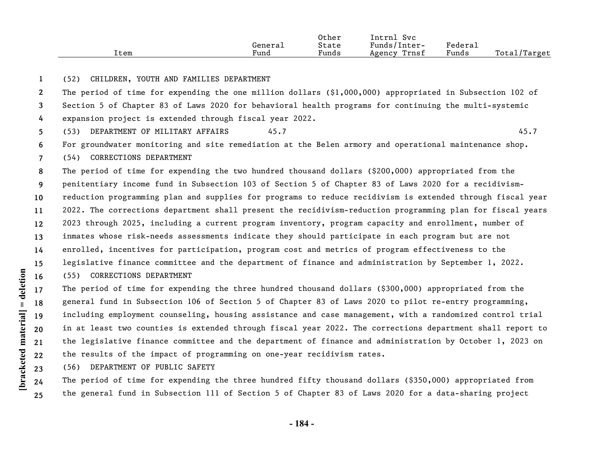|      |         | Other | Intrnl<br><b>Svc</b> |         |              |
|------|---------|-------|----------------------|---------|--------------|
|      | General | State | Funds/Inter-         | Federal |              |
| Item | Fund    | Funds | Trnsf<br>Agency      | Funds   | Total/Target |

## **1** (52) CHILDREN, YOUTH AND FAMILIES DEPARTMENT

**2 3 4** The period of time for expending the one million dollars (\$1,000,000) appropriated in Subsection 102 of Section 5 of Chapter 83 of Laws 2020 for behavioral health programs for continuing the multi-systemic expansion project is extended through fiscal year 2022.

**5** (53) DEPARTMENT OF MILITARY AFFAIRS 45.7 45.7 45.7

**6 7** For groundwater monitoring and site remediation at the Belen armory and operational maintenance shop. (54) CORRECTIONS DEPARTMENT

**8 9 10 11 12 13 14 15 16** The period of time for expending the two hundred thousand dollars (\$200,000) appropriated from the penitentiary income fund in Subsection 103 of Section 5 of Chapter 83 of Laws 2020 for a recidivismreduction programming plan and supplies for programs to reduce recidivism is extended through fiscal year 2022. The corrections department shall present the recidivism-reduction programming plan for fiscal years 2023 through 2025, including a current program inventory, program capacity and enrollment, number of inmates whose risk-needs assessments indicate they should participate in each program but are not enrolled, incentives for participation, program cost and metrics of program effectiveness to the legislative finance committee and the department of finance and administration by September 1, 2022.

## (55) CORRECTIONS DEPARTMENT

**17 18 19 20 21 22** The period of time for expending the three hundred thousand dollars (\$300,000) appropriated from the general fund in Subsection 106 of Section 5 of Chapter 83 of Laws 2020 to pilot re-entry programming, including employment counseling, housing assistance and case management, with a randomized control trial in at least two counties is extended through fiscal year 2022. The corrections department shall report to the legislative finance committee and the department of finance and administration by October 1, 2023 on the results of the impact of programming on one-year recidivism rates.

**23** (56) DEPARTMENT OF PUBLIC SAFETY

The period of time for expending the three hundred fifty thousand dollars (\$350,000) appropriated from the general fund in Subsection 111 of Section 5 of Chapter 83 of Laws 2020 for a data-sharing project

**24 25**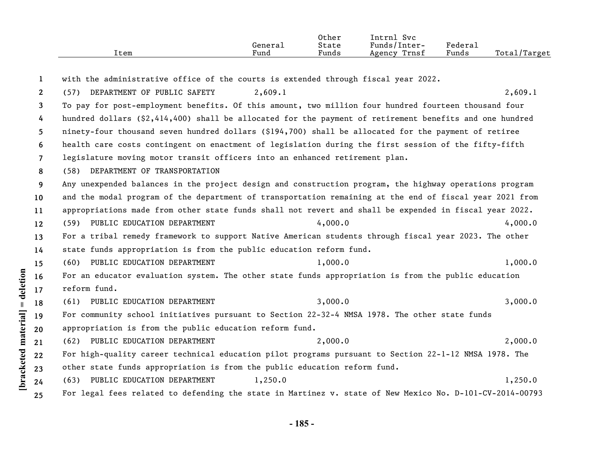|      |         | Other                                              | Svc<br>'ntrnl   |                       |                  |
|------|---------|----------------------------------------------------|-----------------|-----------------------|------------------|
|      | General | State                                              | Funds/Inter-    | $"$ edera $\lrcorner$ |                  |
| ltem | Funa    | $\sim$ $\sim$ $\sim$ $\sim$ $\sim$ $\sim$<br>Funds | Trnsf<br>Agency | Funds                 | Total,<br>Target |

**[bracketed material] = deletion 1 2 3 4 5 6 7 8 9 10 11 12 13 14 15 16 17 18 19 20 21 22 23 24 25** with the administrative office of the courts is extended through fiscal year 2022. (57) DEPARTMENT OF PUBLIC SAFETY 2,609.1 2,609.1 To pay for post-employment benefits. Of this amount, two million four hundred fourteen thousand four hundred dollars (\$2,414,400) shall be allocated for the payment of retirement benefits and one hundred ninety-four thousand seven hundred dollars (\$194,700) shall be allocated for the payment of retiree health care costs contingent on enactment of legislation during the first session of the fifty-fifth legislature moving motor transit officers into an enhanced retirement plan. (58) DEPARTMENT OF TRANSPORTATION Any unexpended balances in the project design and construction program, the highway operations program and the modal program of the department of transportation remaining at the end of fiscal year 2021 from appropriations made from other state funds shall not revert and shall be expended in fiscal year 2022. (59) PUBLIC EDUCATION DEPARTMENT 4,000.0 4,000.0 4,000 4,000 4,000.0 For a tribal remedy framework to support Native American students through fiscal year 2023. The other state funds appropriation is from the public education reform fund. (60) PUBLIC EDUCATION DEPARTMENT 1,000.0 1,000.0 1,000 1,000.0 For an educator evaluation system. The other state funds appropriation is from the public education reform fund. (61) PUBLIC EDUCATION DEPARTMENT 3,000.0 3,000.0 3,000 3,000.0 For community school initiatives pursuant to Section 22-32-4 NMSA 1978. The other state funds appropriation is from the public education reform fund. (62) PUBLIC EDUCATION DEPARTMENT 2,000.0 2,000.0 For high-quality career technical education pilot programs pursuant to Section 22-1-12 NMSA 1978. The other state funds appropriation is from the public education reform fund. (63) PUBLIC EDUCATION DEPARTMENT  $1,250.0$  1,250.0 For legal fees related to defending the state in Martinez v. state of New Mexico No. D-101-CV-2014-00793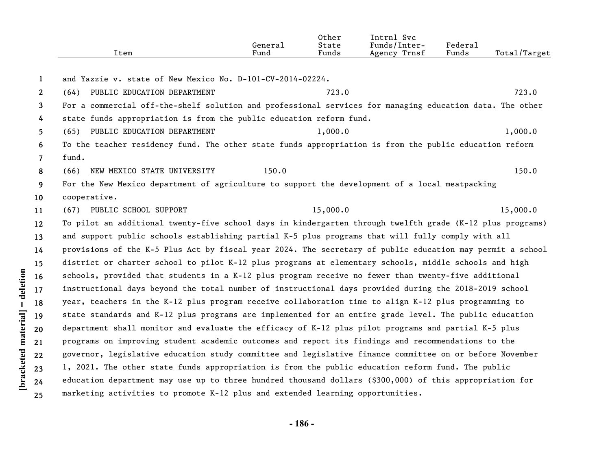| Item | General<br><sup></sup> und | Other<br>State<br>Funds | Intrnl<br>. Svc<br>Funds/Inter-<br>Agency Trnsf | Federal<br>Funds | Total/Target |
|------|----------------------------|-------------------------|-------------------------------------------------|------------------|--------------|
|      |                            |                         |                                                 |                  |              |

| 1               | and Yazzie v. state of New Mexico No. D-101-CV-2014-02224.          |                                                                                                           |          |
|-----------------|---------------------------------------------------------------------|-----------------------------------------------------------------------------------------------------------|----------|
| 2               | (64) PUBLIC EDUCATION DEPARTMENT                                    | 723.0                                                                                                     | 723.0    |
| 3               |                                                                     | For a commercial off-the-shelf solution and professional services for managing education data. The other  |          |
| 4               | state funds appropriation is from the public education reform fund. |                                                                                                           |          |
| 5               | (65) PUBLIC EDUCATION DEPARTMENT                                    | 1,000.0                                                                                                   | 1,000.0  |
| 6               |                                                                     | To the teacher residency fund. The other state funds appropriation is from the public education reform    |          |
| $\overline{7}$  | fund.                                                               |                                                                                                           |          |
| 8               | NEW MEXICO STATE UNIVERSITY<br>(66)                                 | 150.0                                                                                                     | 150.0    |
| 9               |                                                                     | For the New Mexico department of agriculture to support the development of a local meatpacking            |          |
| 10 <sup>°</sup> | cooperative.                                                        |                                                                                                           |          |
| 11              | (67) PUBLIC SCHOOL SUPPORT                                          | 15,000.0                                                                                                  | 15,000.0 |
| $12 \,$         |                                                                     | To pilot an additional twenty-five school days in kindergarten through twelfth grade (K-12 plus programs) |          |
| 13              |                                                                     | and support public schools establishing partial K-5 plus programs that will fully comply with all         |          |
| 14              |                                                                     | provisions of the K-5 Plus Act by fiscal year 2024. The secretary of public education may permit a school |          |
| 15 <sub>1</sub> |                                                                     | district or charter school to pilot K-12 plus programs at elementary schools, middle schools and high     |          |
| 16              |                                                                     | schools, provided that students in a K-12 plus program receive no fewer than twenty-five additional       |          |
| 17              |                                                                     | instructional days beyond the total number of instructional days provided during the 2018-2019 school     |          |
| 18              |                                                                     | year, teachers in the K-12 plus program receive collaboration time to align K-12 plus programming to      |          |
| 19              |                                                                     | state standards and K-12 plus programs are implemented for an entire grade level. The public education    |          |
| 20              |                                                                     | department shall monitor and evaluate the efficacy of K-12 plus pilot programs and partial K-5 plus       |          |
| 21              |                                                                     | programs on improving student academic outcomes and report its findings and recommendations to the        |          |
| 22              |                                                                     | governor, legislative education study committee and legislative finance committee on or before November   |          |
| 23              |                                                                     | 1, 2021. The other state funds appropriation is from the public education reform fund. The public         |          |
| 24              |                                                                     | education department may use up to three hundred thousand dollars $(§300,000)$ of this appropriation for  |          |
| 25              |                                                                     | marketing activities to promote K-12 plus and extended learning opportunities.                            |          |

[bracketed material] = deletion

**- 186 -**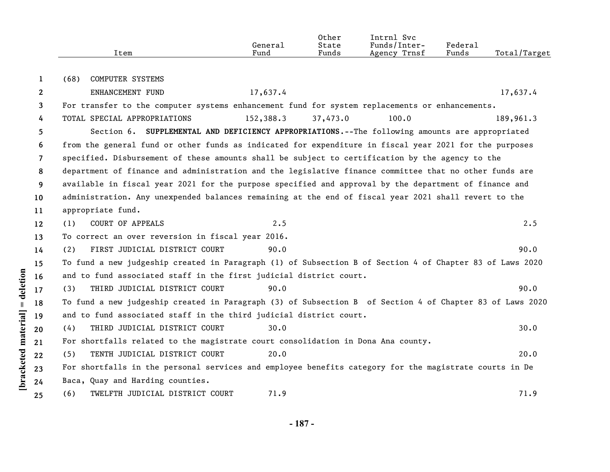|    | Item                                                                                                     | General<br>Fund | Other<br>State<br>Funds | Intrnl Svc<br>Funds/Inter-<br>Agency Trnsf | Federal<br>Funds | Total/Target |
|----|----------------------------------------------------------------------------------------------------------|-----------------|-------------------------|--------------------------------------------|------------------|--------------|
| 1  | <b>COMPUTER SYSTEMS</b><br>(68)                                                                          |                 |                         |                                            |                  |              |
| 2  | ENHANCEMENT FUND                                                                                         | 17,637.4        |                         |                                            |                  | 17,637.4     |
| 3  | For transfer to the computer systems enhancement fund for system replacements or enhancements.           |                 |                         |                                            |                  |              |
| 4  | TOTAL SPECIAL APPROPRIATIONS                                                                             | 152,388.3       | 37,473.0                | 100.0                                      |                  | 189,961.3    |
| 5  | Section 6. SUPPLEMENTAL AND DEFICIENCY APPROPRIATIONS.--The following amounts are appropriated           |                 |                         |                                            |                  |              |
| 6  | from the general fund or other funds as indicated for expenditure in fiscal year 2021 for the purposes   |                 |                         |                                            |                  |              |
| 7  | specified. Disbursement of these amounts shall be subject to certification by the agency to the          |                 |                         |                                            |                  |              |
| 8  | department of finance and administration and the legislative finance committee that no other funds are   |                 |                         |                                            |                  |              |
| 9  | available in fiscal year 2021 for the purpose specified and approval by the department of finance and    |                 |                         |                                            |                  |              |
| 10 | administration. Any unexpended balances remaining at the end of fiscal year 2021 shall revert to the     |                 |                         |                                            |                  |              |
| 11 | appropriate fund.                                                                                        |                 |                         |                                            |                  |              |
| 12 | <b>COURT OF APPEALS</b><br>(1)                                                                           | 2.5             |                         |                                            |                  | 2.5          |
| 13 | To correct an over reversion in fiscal year 2016.                                                        |                 |                         |                                            |                  |              |
| 14 | FIRST JUDICIAL DISTRICT COURT<br>(2)                                                                     | 90.0            |                         |                                            |                  | 90.0         |
| 15 | To fund a new judgeship created in Paragraph (1) of Subsection B of Section 4 of Chapter 83 of Laws 2020 |                 |                         |                                            |                  |              |
| 16 | and to fund associated staff in the first judicial district court.                                       |                 |                         |                                            |                  |              |
| 17 | THIRD JUDICIAL DISTRICT COURT<br>(3)                                                                     | 90.0            |                         |                                            |                  | 90.0         |
| 18 | To fund a new judgeship created in Paragraph (3) of Subsection B of Section 4 of Chapter 83 of Laws 2020 |                 |                         |                                            |                  |              |
| 19 | and to fund associated staff in the third judicial district court.                                       |                 |                         |                                            |                  |              |
| 20 | THIRD JUDICIAL DISTRICT COURT<br>(4)                                                                     | 30.0            |                         |                                            |                  | 30.0         |
| 21 | For shortfalls related to the magistrate court consolidation in Dona Ana county.                         |                 |                         |                                            |                  |              |
| 22 | TENTH JUDICIAL DISTRICT COURT<br>(5)                                                                     | 20.0            |                         |                                            |                  | 20.0         |
| 23 | For shortfalls in the personal services and employee benefits category for the magistrate courts in De   |                 |                         |                                            |                  |              |
| 24 | Baca, Quay and Harding counties.                                                                         |                 |                         |                                            |                  |              |
| 25 | TWELFTH JUDICIAL DISTRICT COURT<br>(6)                                                                   | 71.9            |                         |                                            |                  | 71.9         |

[bracketed material] = deletion

**- 187 -**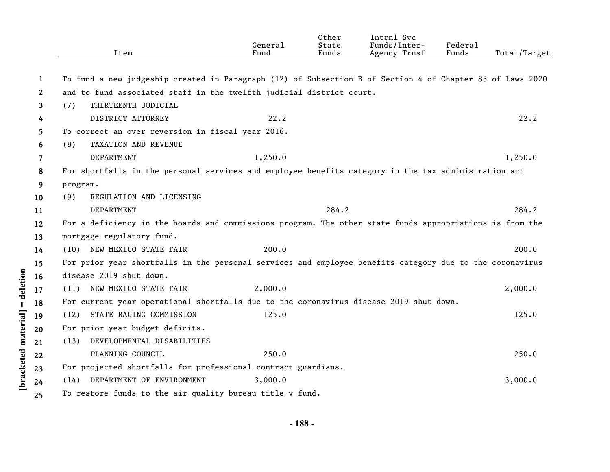|                       | Item                                                                                                      | General<br>Fund | Other<br>State<br>Funds | Intrnl Svc<br>Funds/Inter-<br>Agency Trnsf | Federal<br>Funds | Total/Target |
|-----------------------|-----------------------------------------------------------------------------------------------------------|-----------------|-------------------------|--------------------------------------------|------------------|--------------|
| 1                     | To fund a new judgeship created in Paragraph (12) of Subsection B of Section 4 of Chapter 83 of Laws 2020 |                 |                         |                                            |                  |              |
| $\mathbf{2}^{\prime}$ | and to fund associated staff in the twelfth judicial district court.                                      |                 |                         |                                            |                  |              |
| 3                     | THIRTEENTH JUDICIAL<br>(7)                                                                                |                 |                         |                                            |                  |              |
| 4                     | DISTRICT ATTORNEY                                                                                         | 22.2            |                         |                                            |                  | 22.2         |
| 5.                    | To correct an over reversion in fiscal year 2016.                                                         |                 |                         |                                            |                  |              |
| 6                     | TAXATION AND REVENUE<br>(8)                                                                               |                 |                         |                                            |                  |              |
| 7                     | DEPARTMENT                                                                                                | 1,250.0         |                         |                                            |                  | 1,250.0      |
| 8                     | For shortfalls in the personal services and employee benefits category in the tax administration act      |                 |                         |                                            |                  |              |
| 9                     | program.                                                                                                  |                 |                         |                                            |                  |              |
| 10                    | REGULATION AND LICENSING<br>(9)                                                                           |                 |                         |                                            |                  |              |
| 11                    | DEPARTMENT                                                                                                |                 | 284.2                   |                                            |                  | 284.2        |
| $12 \overline{ }$     | For a deficiency in the boards and commissions program. The other state funds appropriations is from the  |                 |                         |                                            |                  |              |
| 13                    | mortgage regulatory fund.                                                                                 |                 |                         |                                            |                  |              |
| 14                    | (10) NEW MEXICO STATE FAIR                                                                                | 200.0           |                         |                                            |                  | 200.0        |
| 15                    | For prior year shortfalls in the personal services and employee benefits category due to the coronavirus  |                 |                         |                                            |                  |              |
| 16                    | disease 2019 shut down.                                                                                   |                 |                         |                                            |                  |              |
| 17                    | (11) NEW MEXICO STATE FAIR                                                                                | 2,000.0         |                         |                                            |                  | 2,000.0      |
| 18                    | For current year operational shortfalls due to the coronavirus disease 2019 shut down.                    |                 |                         |                                            |                  |              |
| 19                    | STATE RACING COMMISSION<br>(12)                                                                           | 125.0           |                         |                                            |                  | 125.0        |
| 20                    | For prior year budget deficits.                                                                           |                 |                         |                                            |                  |              |
| 21                    | DEVELOPMENTAL DISABILITIES<br>(13)                                                                        |                 |                         |                                            |                  |              |
| 22                    | PLANNING COUNCIL                                                                                          | 250.0           |                         |                                            |                  | 250.0        |
| 23                    | For projected shortfalls for professional contract guardians.                                             |                 |                         |                                            |                  |              |
| 24                    | (14) DEPARTMENT OF ENVIRONMENT                                                                            | 3,000.0         |                         |                                            |                  | 3,000.0      |
| 25                    | To restore funds to the air quality bureau title v fund.                                                  |                 |                         |                                            |                  |              |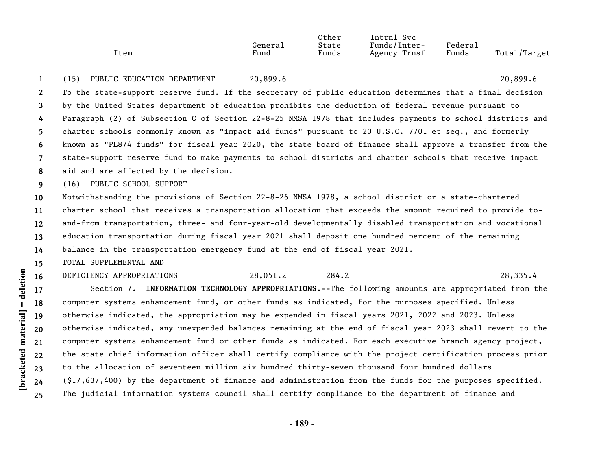|      |         | Other | Intrnl<br><b>Svc</b> |         |                           |
|------|---------|-------|----------------------|---------|---------------------------|
|      | General | State | Funds/Inter-         | Federai |                           |
| Item | Fund    | Funds | Trnsf<br>Agency      | Funds   | Total/<br><i>l</i> Target |

**1** (15) PUBLIC EDUCATION DEPARTMENT 20,899.6 20,899.6

**2 3 4 5 6 7 8** To the state-support reserve fund. If the secretary of public education determines that a final decision by the United States department of education prohibits the deduction of federal revenue pursuant to Paragraph (2) of Subsection C of Section 22-8-25 NMSA 1978 that includes payments to school districts and charter schools commonly known as "impact aid funds" pursuant to 20 U.S.C. 7701 et seq., and formerly known as "PL874 funds" for fiscal year 2020, the state board of finance shall approve a transfer from the state-support reserve fund to make payments to school districts and charter schools that receive impact aid and are affected by the decision.

**9** (16) PUBLIC SCHOOL SUPPORT

**10 11 12 13 14** Notwithstanding the provisions of Section 22-8-26 NMSA 1978, a school district or a state-chartered charter school that receives a transportation allocation that exceeds the amount required to provide toand-from transportation, three- and four-year-old developmentally disabled transportation and vocational education transportation during fiscal year 2021 shall deposit one hundred percent of the remaining balance in the transportation emergency fund at the end of fiscal year 2021.

**15** TOTAL SUPPLEMENTAL AND

**16**

## DEFICIENCY APPROPRIATIONS 28,051.2 284.2 28,335.4

**17 18 19 20 21 22 23 24 25** Section 7. **INFORMATION TECHNOLOGY APPROPRIATIONS**.--The following amounts are appropriated from the computer systems enhancement fund, or other funds as indicated, for the purposes specified. Unless otherwise indicated, the appropriation may be expended in fiscal years 2021, 2022 and 2023. Unless otherwise indicated, any unexpended balances remaining at the end of fiscal year 2023 shall revert to the computer systems enhancement fund or other funds as indicated. For each executive branch agency project, the state chief information officer shall certify compliance with the project certification process prior to the allocation of seventeen million six hundred thirty-seven thousand four hundred dollars (\$17,637,400) by the department of finance and administration from the funds for the purposes specified. The judicial information systems council shall certify compliance to the department of finance and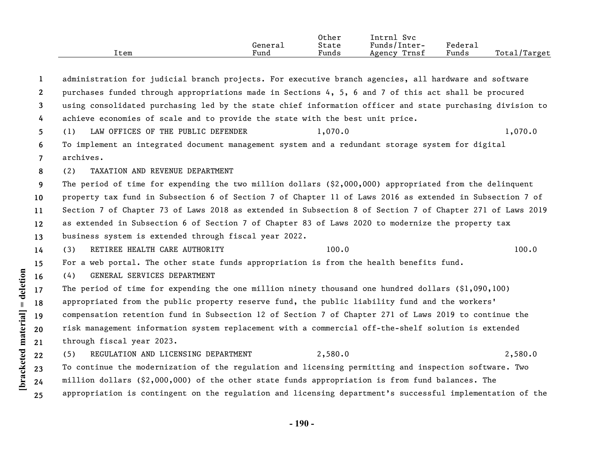|      |         | Other | $\sim$ $\sim$<br>lntrn.<br>Svc |               |                   |
|------|---------|-------|--------------------------------|---------------|-------------------|
|      | General | State | Funds/Inter-                   | <b>Federa</b> |                   |
| ltem | Funa    | Funds | Trnsf<br>Agency                | Funds         | Total,<br>'Target |

**1 2 3 4 5 6 7 8 9 10 11 12 13 14 15 16 17 18 19 20 21 22 23 24 25** administration for judicial branch projects. For executive branch agencies, all hardware and software purchases funded through appropriations made in Sections 4, 5, 6 and 7 of this act shall be procured using consolidated purchasing led by the state chief information officer and state purchasing division to achieve economies of scale and to provide the state with the best unit price. (1) LAW OFFICES OF THE PUBLIC DEFENDER 1,070.0 1,070.0 1,070.0 To implement an integrated document management system and a redundant storage system for digital archives. (2) TAXATION AND REVENUE DEPARTMENT The period of time for expending the two million dollars (\$2,000,000) appropriated from the delinquent property tax fund in Subsection 6 of Section 7 of Chapter 11 of Laws 2016 as extended in Subsection 7 of Section 7 of Chapter 73 of Laws 2018 as extended in Subsection 8 of Section 7 of Chapter 271 of Laws 2019 as extended in Subsection 6 of Section 7 of Chapter 83 of Laws 2020 to modernize the property tax business system is extended through fiscal year 2022. (3) RETIREE HEALTH CARE AUTHORITY 100.0 100.0 100.0 100.0 100.0 100.0 100.0 100.0 100.0 100.0 100.0 100.0 100.0 100.0 100.0 100.0 100.0 100.0 100.0 100.0 100.0 100.0 100.0 100.0 100.0 100.0 100.0 100.0 100.0 100.0 100.0 10 For a web portal. The other state funds appropriation is from the health benefits fund. (4) GENERAL SERVICES DEPARTMENT The period of time for expending the one million ninety thousand one hundred dollars  $(\$1,090,100)$ appropriated from the public property reserve fund, the public liability fund and the workers' compensation retention fund in Subsection 12 of Section 7 of Chapter 271 of Laws 2019 to continue the risk management information system replacement with a commercial off-the-shelf solution is extended through fiscal year 2023. (5) REGULATION AND LICENSING DEPARTMENT 2,580.0 2,580.0 To continue the modernization of the regulation and licensing permitting and inspection software. Two million dollars (\$2,000,000) of the other state funds appropriation is from fund balances. The appropriation is contingent on the regulation and licensing department's successful implementation of the

**[bracketed material] = deletion**

 $[\text{bracketed material}] = \text{detection}$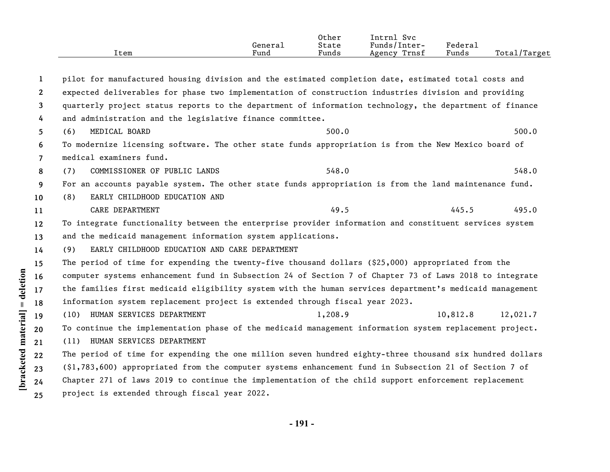|      |         | Other | $\sim$<br>'ntrni<br><b>Svc</b> |                   |                    |
|------|---------|-------|--------------------------------|-------------------|--------------------|
|      | Genera⊥ | State | Funds/Inter-                   | ${}_{\rm Federa}$ |                    |
| Item | Fund    | Funds | Trnst<br>Agency                | Funds             | Total<br>$T$ arget |

**1 2 3 4 5 6 7 8 9 10 11 12 13 14 15 16 17 18 19 20 21 22 23 24 25** pilot for manufactured housing division and the estimated completion date, estimated total costs and expected deliverables for phase two implementation of construction industries division and providing quarterly project status reports to the department of information technology, the department of finance and administration and the legislative finance committee. (6) MEDICAL BOARD 500.0 500.0 500.0 500.0 500.0 500.0 500.0 500.0 500.0 500.0 500.0 500.0 500.0 500.0 500.0 500.0 500.0 500.0 500.0 500.0 500.0 500.0 500.0 500.0 500.0 500.0 500.0 500.0 500.0 500.0 500.0 500.0 500.0 500.0 To modernize licensing software. The other state funds appropriation is from the New Mexico board of medical examiners fund. (7) COMMISSIONER OF PUBLIC LANDS 548.0 548.0 548.0 For an accounts payable system. The other state funds appropriation is from the land maintenance fund. (8) EARLY CHILDHOOD EDUCATION AND CARE DEPARTMENT 49.5 495.0 To integrate functionality between the enterprise provider information and constituent services system and the medicaid management information system applications. (9) EARLY CHILDHOOD EDUCATION AND CARE DEPARTMENT The period of time for expending the twenty-five thousand dollars (\$25,000) appropriated from the computer systems enhancement fund in Subsection 24 of Section 7 of Chapter 73 of Laws 2018 to integrate the families first medicaid eligibility system with the human services department's medicaid management information system replacement project is extended through fiscal year 2023. (10) HUMAN SERVICES DEPARTMENT 1,208.9 10,812.8 12,021.7 To continue the implementation phase of the medicaid management information system replacement project. (11) HUMAN SERVICES DEPARTMENT The period of time for expending the one million seven hundred eighty-three thousand six hundred dollars (\$1,783,600) appropriated from the computer systems enhancement fund in Subsection 21 of Section 7 of Chapter 271 of laws 2019 to continue the implementation of the child support enforcement replacement project is extended through fiscal year 2022.

**[bracketed material] = deletion**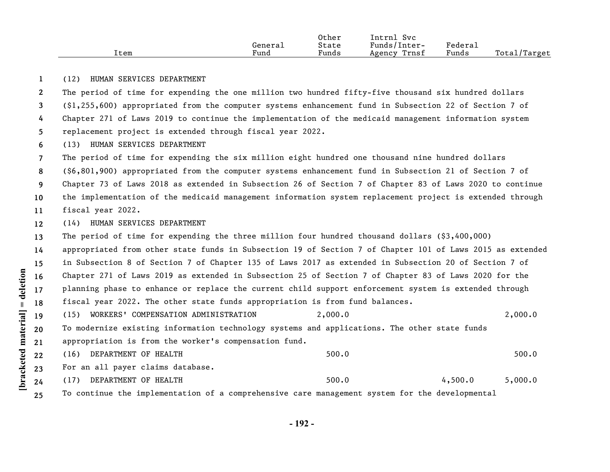|      |         | Other | Intrnl<br>Svc   |         |              |
|------|---------|-------|-----------------|---------|--------------|
|      | General | State | Funds/Inter-    | Federal |              |
| Item | Fund    | Funds | Trnsf<br>Agency | Funds   | Total/Target |

## **1** (12) HUMAN SERVICES DEPARTMENT

**2 3 4 5 6 7** The period of time for expending the one million two hundred fifty-five thousand six hundred dollars (\$1,255,600) appropriated from the computer systems enhancement fund in Subsection 22 of Section 7 of Chapter 271 of Laws 2019 to continue the implementation of the medicaid management information system replacement project is extended through fiscal year 2022. (13) HUMAN SERVICES DEPARTMENT The period of time for expending the six million eight hundred one thousand nine hundred dollars

**8 9** (\$6,801,900) appropriated from the computer systems enhancement fund in Subsection 21 of Section 7 of Chapter 73 of Laws 2018 as extended in Subsection 26 of Section 7 of Chapter 83 of Laws 2020 to continue

**10** the implementation of the medicaid management information system replacement project is extended through

**11** fiscal year 2022.

**12** (14) HUMAN SERVICES DEPARTMENT

**13** The period of time for expending the three million four hundred thousand dollars (\$3,400,000)

**14 15 16 17 18** appropriated from other state funds in Subsection 19 of Section 7 of Chapter 101 of Laws 2015 as extended in Subsection 8 of Section 7 of Chapter 135 of Laws 2017 as extended in Subsection 20 of Section 7 of Chapter 271 of Laws 2019 as extended in Subsection 25 of Section 7 of Chapter 83 of Laws 2020 for the planning phase to enhance or replace the current child support enforcement system is extended through fiscal year 2022. The other state funds appropriation is from fund balances.

- **19** (15) WORKERS' COMPENSATION ADMINISTRATION 2,000.0 2,000.0
- **20 21** To modernize existing information technology systems and applications. The other state funds appropriation is from the worker's compensation fund.
- **22** (16) DEPARTMENT OF HEALTH 500.0 500.0 500.0

**23** For an all payer claims database.

- (17) DEPARTMENT OF HEALTH  $500.0$  4,500.0 5,000.0
- **25** To continue the implementation of a comprehensive care management system for the developmental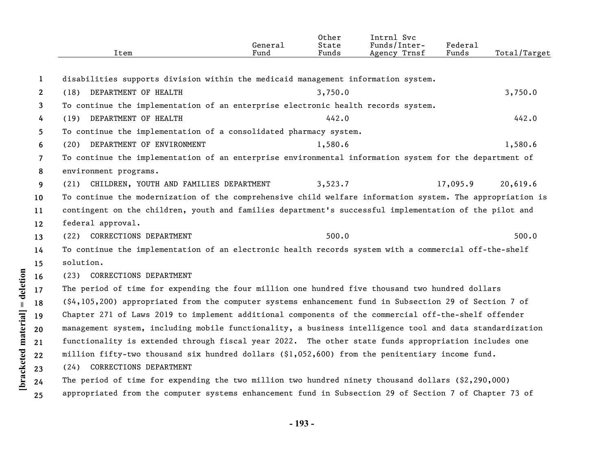|                | Item                                                                                                               | General<br>Fund | Other<br>State<br>Funds | Intrnl Svc<br>Funds/Inter-<br>Agency Trnsf | Federal<br>Funds | Total/Target |
|----------------|--------------------------------------------------------------------------------------------------------------------|-----------------|-------------------------|--------------------------------------------|------------------|--------------|
| 1              | disabilities supports division within the medicaid management information system.                                  |                 |                         |                                            |                  |              |
| $\mathbf{2}$   | (18) DEPARTMENT OF HEALTH                                                                                          |                 | 3,750.0                 |                                            |                  | 3,750.0      |
| 3              | To continue the implementation of an enterprise electronic health records system.                                  |                 |                         |                                            |                  |              |
| 4              | (19) DEPARTMENT OF HEALTH                                                                                          |                 | 442.0                   |                                            |                  | 442.0        |
| 5              | To continue the implementation of a consolidated pharmacy system.                                                  |                 |                         |                                            |                  |              |
| 6              | (20) DEPARTMENT OF ENVIRONMENT                                                                                     |                 | 1,580.6                 |                                            |                  | 1,580.6      |
| $\overline{7}$ | To continue the implementation of an enterprise environmental information system for the department of             |                 |                         |                                            |                  |              |
| 8              | environment programs.                                                                                              |                 |                         |                                            |                  |              |
| 9              | CHILDREN, YOUTH AND FAMILIES DEPARTMENT<br>(21)                                                                    |                 | 3,523.7                 |                                            | 17,095.9         | 20,619.6     |
| 10             | To continue the modernization of the comprehensive child welfare information system. The appropriation is          |                 |                         |                                            |                  |              |
| 11             | contingent on the children, youth and families department's successful implementation of the pilot and             |                 |                         |                                            |                  |              |
| 12             | federal approval.                                                                                                  |                 |                         |                                            |                  |              |
| 13             | (22) CORRECTIONS DEPARTMENT                                                                                        |                 | 500.0                   |                                            |                  | 500.0        |
| 14             | To continue the implementation of an electronic health records system with a commercial off-the-shelf              |                 |                         |                                            |                  |              |
| 15             | solution.                                                                                                          |                 |                         |                                            |                  |              |
| 16             | CORRECTIONS DEPARTMENT<br>(23)                                                                                     |                 |                         |                                            |                  |              |
| 17             | The period of time for expending the four million one hundred five thousand two hundred dollars                    |                 |                         |                                            |                  |              |
| 18             | $(\frac{6}{4}, 105, 200)$ appropriated from the computer systems enhancement fund in Subsection 29 of Section 7 of |                 |                         |                                            |                  |              |
| 19             | Chapter 271 of Laws 2019 to implement additional components of the commercial off-the-shelf offender               |                 |                         |                                            |                  |              |
| 20             | management system, including mobile functionality, a business intelligence tool and data standardization           |                 |                         |                                            |                  |              |
| 21             | functionality is extended through fiscal year 2022. The other state funds appropriation includes one               |                 |                         |                                            |                  |              |
| 22             | million fifty-two thousand six hundred dollars (\$1,052,600) from the penitentiary income fund.                    |                 |                         |                                            |                  |              |
| 23             | (24) CORRECTIONS DEPARTMENT                                                                                        |                 |                         |                                            |                  |              |
| 24             | The period of time for expending the two million two hundred ninety thousand dollars $(2, 290, 000)$               |                 |                         |                                            |                  |              |
| 25             | appropriated from the computer systems enhancement fund in Subsection 29 of Section 7 of Chapter 73 of             |                 |                         |                                            |                  |              |

[bracketed material] = deletion

**- 193 -**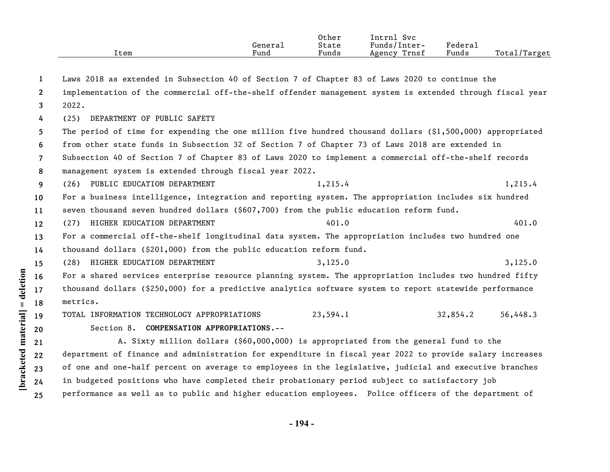|      |                      | Other | <b>Lntrni</b><br><b>Svc</b> |                                   |                  |
|------|----------------------|-------|-----------------------------|-----------------------------------|------------------|
|      | Generai              | State | Funds/Inter-                | $"$ edera $\lrcorner$             |                  |
| ltem | $\mathbf{r}$<br>Fund | Funds | Trnst<br>Agency             | $\overline{\phantom{a}}$<br>Funds | Total,<br>Target |

| 1                     | Laws 2018 as extended in Subsection 40 of Section 7 of Chapter 83 of Laws 2020 to continue the             |          |          |          |
|-----------------------|------------------------------------------------------------------------------------------------------------|----------|----------|----------|
| $\mathbf{2}^{\prime}$ | implementation of the commercial off-the-shelf offender management system is extended through fiscal year  |          |          |          |
| 3                     | 2022.                                                                                                      |          |          |          |
| 4                     | DEPARTMENT OF PUBLIC SAFETY<br>(25)                                                                        |          |          |          |
| 5.                    | The period of time for expending the one million five hundred thousand dollars $(91,500,000)$ appropriated |          |          |          |
| 6                     | from other state funds in Subsection 32 of Section 7 of Chapter 73 of Laws 2018 are extended in            |          |          |          |
| $\overline{7}$        | Subsection 40 of Section 7 of Chapter 83 of Laws 2020 to implement a commercial off-the-shelf records      |          |          |          |
| 8                     | management system is extended through fiscal year 2022.                                                    |          |          |          |
| 9                     | (26) PUBLIC EDUCATION DEPARTMENT                                                                           | 1,215.4  |          | 1,215.4  |
| 10                    | For a business intelligence, integration and reporting system. The appropriation includes six hundred      |          |          |          |
| 11                    | seven thousand seven hundred dollars (\$607,700) from the public education reform fund.                    |          |          |          |
| 12                    | HIGHER EDUCATION DEPARTMENT<br>(27)                                                                        | 401.0    |          | 401.0    |
| 13                    | For a commercial off-the-shelf longitudinal data system. The appropriation includes two hundred one        |          |          |          |
| 14                    | thousand dollars $(§201,000)$ from the public education reform fund.                                       |          |          |          |
| 15                    | HIGHER EDUCATION DEPARTMENT<br>(28)                                                                        | 3,125.0  |          | 3,125.0  |
| 16                    | For a shared services enterprise resource planning system. The appropriation includes two hundred fifty    |          |          |          |
| 17                    | thousand dollars (\$250,000) for a predictive analytics software system to report statewide performance    |          |          |          |
| 18                    | metrics.                                                                                                   |          |          |          |
| 19                    | TOTAL INFORMATION TECHNOLOGY APPROPRIATIONS                                                                | 23,594.1 | 32,854.2 | 56,448.3 |
| 20                    | Section 8. COMPENSATION APPROPRIATIONS.--                                                                  |          |          |          |
| 21                    | A. Sixty million dollars (\$60,000,000) is appropriated from the general fund to the                       |          |          |          |
| 22                    | department of finance and administration for expenditure in fiscal year 2022 to provide salary increases   |          |          |          |
| 23                    | of one and one-half percent on average to employees in the legislative, judicial and executive branches    |          |          |          |
| 24                    | in budgeted positions who have completed their probationary period subject to satisfactory job             |          |          |          |

**25** performance as well as to public and higher education employees. Police officers of the department of

**[bracketed material] = deletion**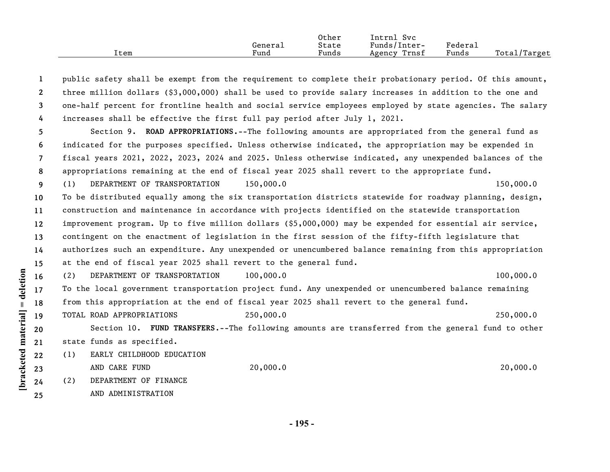|      |         | Other | Svc<br>Intrnl   |         |              |
|------|---------|-------|-----------------|---------|--------------|
|      | General | State | Funds/Inter-    | Federau |              |
| Item | Fund    | Funds | Trnsf<br>Agency | Funds   | Total/Target |

| 1               | public safety shall be exempt from the requirement to complete their probationary period. Of this amount, |
|-----------------|-----------------------------------------------------------------------------------------------------------|
| $\mathbf{2}$    | three million dollars $(§3,000,000)$ shall be used to provide salary increases in addition to the one and |
| 3               | one-half percent for frontline health and social service employees employed by state agencies. The salary |
| 4               | increases shall be effective the first full pay period after July 1, 2021.                                |
| 5.              | Section 9. ROAD APPROPRIATIONS.--The following amounts are appropriated from the general fund as          |
| 6               | indicated for the purposes specified. Unless otherwise indicated, the appropriation may be expended in    |
| 7               | fiscal years 2021, 2022, 2023, 2024 and 2025. Unless otherwise indicated, any unexpended balances of the  |
| 8               | appropriations remaining at the end of fiscal year 2025 shall revert to the appropriate fund.             |
| 9               | 150,000.0<br>DEPARTMENT OF TRANSPORTATION<br>150,000.0<br>(1)                                             |
| 10 <sup>°</sup> | To be distributed equally among the six transportation districts statewide for roadway planning, design,  |
| 11              | construction and maintenance in accordance with projects identified on the statewide transportation       |
| 12              | improvement program. Up to five million dollars (\$5,000,000) may be expended for essential air service,  |
| 13              | contingent on the enactment of legislation in the first session of the fifty-fifth legislature that       |
| 14              | authorizes such an expenditure. Any unexpended or unencumbered balance remaining from this appropriation  |
| 15              | at the end of fiscal year 2025 shall revert to the general fund.                                          |
| 16              | 100,000.0<br>DEPARTMENT OF TRANSPORTATION<br>100,000.0<br>(2)                                             |
| 17              | To the local government transportation project fund. Any unexpended or unencumbered balance remaining     |
| 18              | from this appropriation at the end of fiscal year 2025 shall revert to the general fund.                  |
| 19              | 250,000.0<br>TOTAL ROAD APPROPRIATIONS<br>250,000.0                                                       |
| 20              | Section 10. FUND TRANSFERS.--The following amounts are transferred from the general fund to other         |
| 21              | state funds as specified.                                                                                 |
| 22              | EARLY CHILDHOOD EDUCATION<br>(1)                                                                          |
| 23              | 20,000.0<br>20,000.0<br>AND CARE FUND                                                                     |
| 24              | DEPARTMENT OF FINANCE<br>(2)                                                                              |
| 25              | AND ADMINISTRATION                                                                                        |
|                 |                                                                                                           |